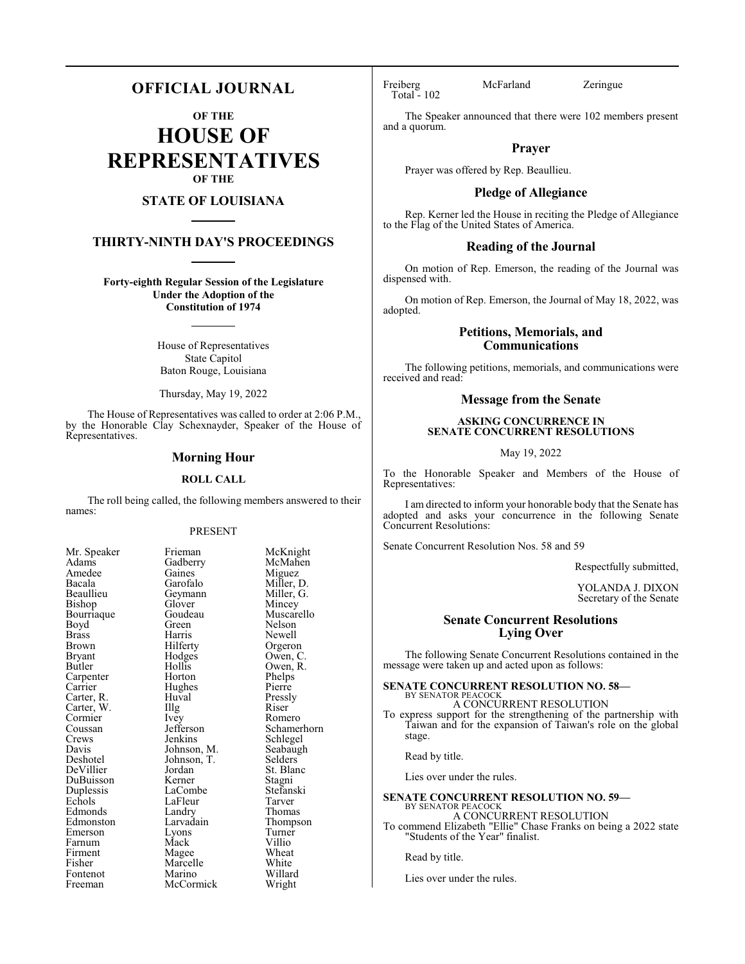## **OFFICIAL JOURNAL**

**OF THE**

**HOUSE OF REPRESENTATIVES OF THE**

### **STATE OF LOUISIANA**

### **THIRTY-NINTH DAY'S PROCEEDINGS**

**Forty-eighth Regular Session of the Legislature Under the Adoption of the Constitution of 1974**

> House of Representatives State Capitol Baton Rouge, Louisiana

Thursday, May 19, 2022

The House of Representatives was called to order at 2:06 P.M., by the Honorable Clay Schexnayder, Speaker of the House of Representatives.

#### **Morning Hour**

#### **ROLL CALL**

The roll being called, the following members answered to their names:

#### PRESENT

Gaines<br>Garofalo

Hughes<br>Huval

| Mr. Speaker                         |
|-------------------------------------|
| Adams                               |
| Amedee                              |
| Bacala                              |
| Beaullieu                           |
| Bishop                              |
| Bourriaque                          |
| Boyd                                |
| <b>Brass</b>                        |
| Brown                               |
| Bryant                              |
| Butler                              |
| Carpenter                           |
| Carrier<br>Carter, R.<br>Carter, W. |
|                                     |
|                                     |
| Cormier                             |
| Coussan                             |
| Crews                               |
| Davis                               |
| Deshotel                            |
| DeVillier                           |
| DuBuisson                           |
| Duplessis                           |
| Echols                              |
| Edmonds                             |
| Edmonston                           |
| Emerson                             |
| Farnum                              |
| Firment                             |
| Fisher                              |
| Fontenot                            |
| Freeman                             |

Frieman McKnight<br>Gadberry McMahen McMahen<br>Miguez Miller, D.<br>Miller, G. Geymann Miller, Glover Mincey Glover<br>Goudeau Goudeau Muscarello<br>Green Nelson Green Nelson<br>Harris Newell Harris Newell<br>Hilferty Orgeror Hilferty Orgeron<br>Hodges Owen, C Hodges Owen, C.<br>Hollis Owen, R. Hollis Owen, R.<br>Horton Phelps Phelps<br>Pierre Huval Pressly<br>
Illg Riser Carter, W. Illg Riser Ivey Romero<br>Jefferson Schamer Jefferson Schamerhorn<br>Jenkins Schlegel Jenkins Schlegel<br>Johnson, M. Seabaugh Seabaugh<br>Selders Johnson, T.<br>Jordan St. Blanc<br>Stagni Kerner Stagni<br>LaCombe Stefanski LaCombe Stefans<br>LaFleur Tarver Example LaFleur Tarver<br>
Example 2011 Landry Thomas Landry<br>Larvadain Thompson<br>Turner Eyons Turner<br>
Mack Villio Farnum Mack Villio Magee Wheat<br>Marcelle White Marcelle White<br>
Marino Willard Marino Willard<br>
McCormick Wright McCormick

Total - 102

Freiberg McFarland Zeringue

The Speaker announced that there were 102 members present and a quorum.

### **Prayer**

Prayer was offered by Rep. Beaullieu.

### **Pledge of Allegiance**

Rep. Kerner led the House in reciting the Pledge of Allegiance to the Flag of the United States of America.

#### **Reading of the Journal**

On motion of Rep. Emerson, the reading of the Journal was dispensed with.

On motion of Rep. Emerson, the Journal of May 18, 2022, was adopted.

### **Petitions, Memorials, and Communications**

The following petitions, memorials, and communications were received and read:

### **Message from the Senate**

### **ASKING CONCURRENCE IN SENATE CONCURRENT RESOLUTIONS**

May 19, 2022

To the Honorable Speaker and Members of the House of Representatives:

I am directed to inform your honorable body that the Senate has adopted and asks your concurrence in the following Senate Concurrent Resolutions:

Senate Concurrent Resolution Nos. 58 and 59

Respectfully submitted,

YOLANDA J. DIXON Secretary of the Senate

### **Senate Concurrent Resolutions Lying Over**

The following Senate Concurrent Resolutions contained in the message were taken up and acted upon as follows:

#### **SENATE CONCURRENT RESOLUTION NO. 58—**

BY SENATOR PEACOCK A CONCURRENT RESOLUTION

To express support for the strengthening of the partnership with Taiwan and for the expansion of Taiwan's role on the global stage.

Read by title.

Lies over under the rules.

#### **SENATE CONCURRENT RESOLUTION NO. 59—** BY SENATOR PEACOCK A CONCURRENT RESOLUTION

To commend Elizabeth "Ellie" Chase Franks on being a 2022 state "Students of the Year" finalist.

Read by title.

Lies over under the rules.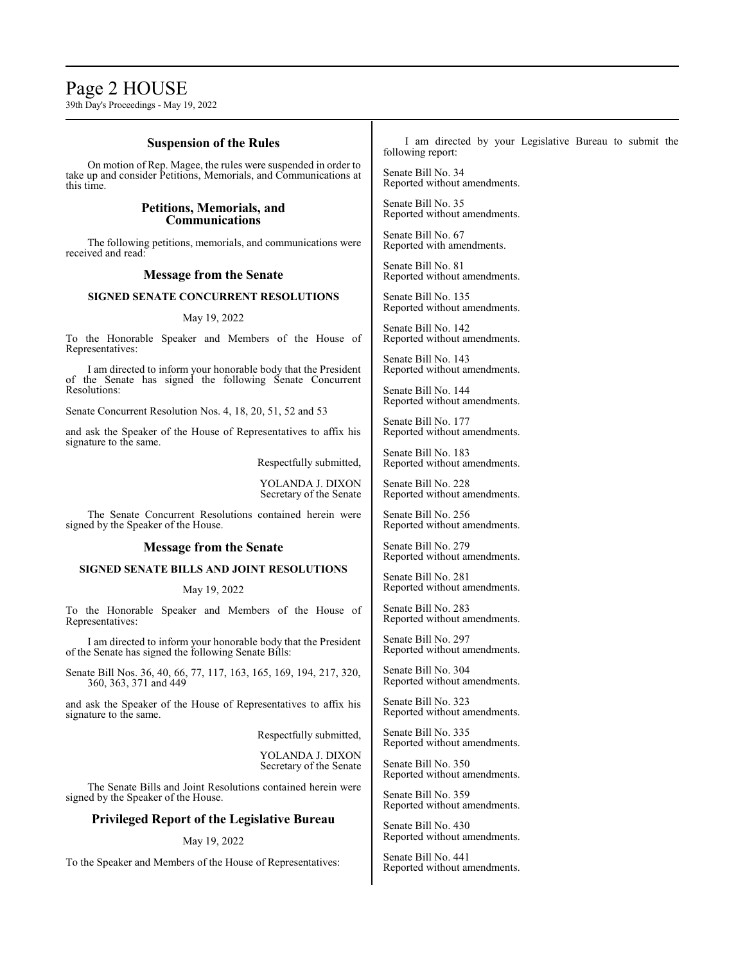## Page 2 HOUSE

39th Day's Proceedings - May 19, 2022

### **Suspension of the Rules**

On motion of Rep. Magee, the rules were suspended in order to take up and consider Petitions, Memorials, and Communications at this time.

### **Petitions, Memorials, and Communications**

The following petitions, memorials, and communications were received and read:

### **Message from the Senate**

### **SIGNED SENATE CONCURRENT RESOLUTIONS**

#### May 19, 2022

To the Honorable Speaker and Members of the House of Representatives:

I am directed to inform your honorable body that the President of the Senate has signed the following Senate Concurrent Resolutions:

Senate Concurrent Resolution Nos. 4, 18, 20, 51, 52 and 53

and ask the Speaker of the House of Representatives to affix his signature to the same.

Respectfully submitted,

YOLANDA J. DIXON Secretary of the Senate

The Senate Concurrent Resolutions contained herein were signed by the Speaker of the House.

#### **Message from the Senate**

### **SIGNED SENATE BILLS AND JOINT RESOLUTIONS**

#### May 19, 2022

To the Honorable Speaker and Members of the House of Representatives:

I am directed to inform your honorable body that the President of the Senate has signed the following Senate Bills:

Senate Bill Nos. 36, 40, 66, 77, 117, 163, 165, 169, 194, 217, 320, 360, 363, 371 and 449

and ask the Speaker of the House of Representatives to affix his signature to the same.

Respectfully submitted,

YOLANDA J. DIXON Secretary of the Senate

The Senate Bills and Joint Resolutions contained herein were signed by the Speaker of the House.

### **Privileged Report of the Legislative Bureau**

May 19, 2022

To the Speaker and Members of the House of Representatives:

I am directed by your Legislative Bureau to submit the following report:

Senate Bill No. 34 Reported without amendments.

Senate Bill No. 35 Reported without amendments.

Senate Bill No. 67 Reported with amendments.

Senate Bill No. 81 Reported without amendments.

Senate Bill No. 135 Reported without amendments.

Senate Bill No. 142 Reported without amendments.

Senate Bill No. 143 Reported without amendments.

Senate Bill No. 144 Reported without amendments.

Senate Bill No. 177 Reported without amendments.

Senate Bill No. 183 Reported without amendments.

Senate Bill No. 228 Reported without amendments.

Senate Bill No. 256 Reported without amendments.

Senate Bill No. 279 Reported without amendments.

Senate Bill No. 281 Reported without amendments.

Senate Bill No. 283 Reported without amendments.

Senate Bill No. 297 Reported without amendments.

Senate Bill No. 304 Reported without amendments.

Senate Bill No. 323 Reported without amendments.

Senate Bill No. 335 Reported without amendments.

Senate Bill No. 350 Reported without amendments.

Senate Bill No. 359 Reported without amendments.

Senate Bill No. 430 Reported without amendments.

Senate Bill No. 441 Reported without amendments.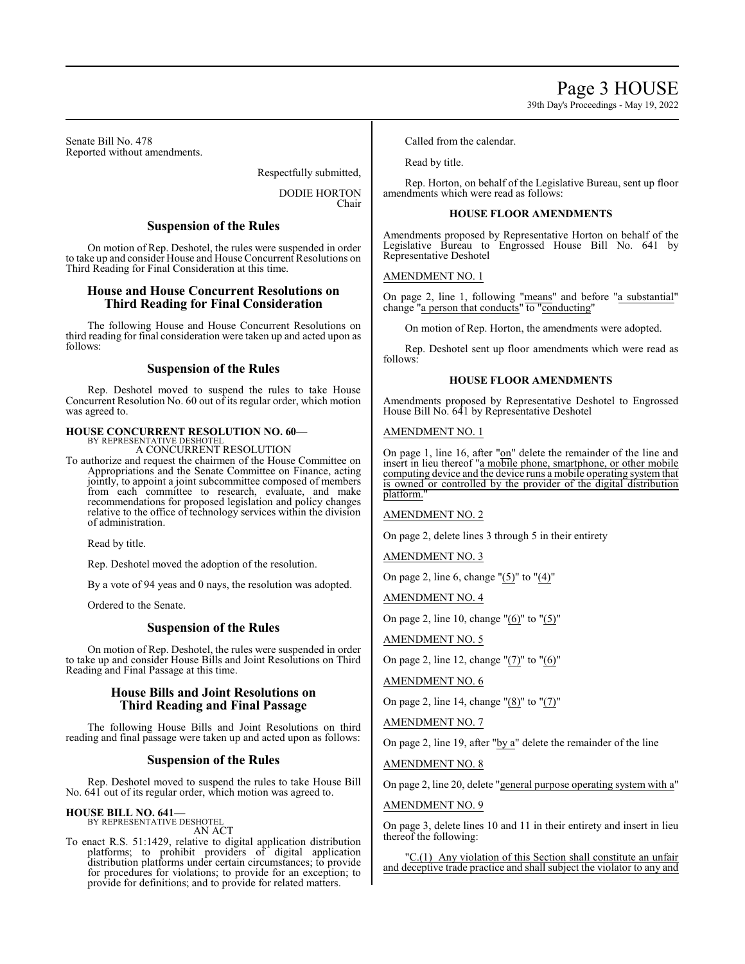Senate Bill No. 478 Reported without amendments.

Respectfully submitted,

DODIE HORTON Chair

### **Suspension of the Rules**

On motion of Rep. Deshotel, the rules were suspended in order to take up and consider House and House Concurrent Resolutions on Third Reading for Final Consideration at this time.

### **House and House Concurrent Resolutions on Third Reading for Final Consideration**

The following House and House Concurrent Resolutions on third reading for final consideration were taken up and acted upon as follows:

### **Suspension of the Rules**

Rep. Deshotel moved to suspend the rules to take House Concurrent Resolution No. 60 out of its regular order, which motion was agreed to.

## **HOUSE CONCURRENT RESOLUTION NO. 60—** BY REPRESENTATIVE DESHOTEL

A CONCURRENT RESOLUTION

To authorize and request the chairmen of the House Committee on Appropriations and the Senate Committee on Finance, acting jointly, to appoint a joint subcommittee composed of members from each committee to research, evaluate, and make recommendations for proposed legislation and policy changes relative to the office of technology services within the division of administration.

Read by title.

Rep. Deshotel moved the adoption of the resolution.

By a vote of 94 yeas and 0 nays, the resolution was adopted.

Ordered to the Senate.

### **Suspension of the Rules**

On motion of Rep. Deshotel, the rules were suspended in order to take up and consider House Bills and Joint Resolutions on Third Reading and Final Passage at this time.

### **House Bills and Joint Resolutions on Third Reading and Final Passage**

The following House Bills and Joint Resolutions on third reading and final passage were taken up and acted upon as follows:

### **Suspension of the Rules**

Rep. Deshotel moved to suspend the rules to take House Bill No. 641 out of its regular order, which motion was agreed to.

### **HOUSE BILL NO. 641—**

BY REPRESENTATIVE DESHOTEL AN ACT

To enact R.S. 51:1429, relative to digital application distribution platforms; to prohibit providers of digital application distribution platforms under certain circumstances; to provide for procedures for violations; to provide for an exception; to provide for definitions; and to provide for related matters.

Called from the calendar.

Read by title.

Rep. Horton, on behalf of the Legislative Bureau, sent up floor amendments which were read as follows:

### **HOUSE FLOOR AMENDMENTS**

Amendments proposed by Representative Horton on behalf of the Legislative Bureau to Engrossed House Bill No. 641 by Representative Deshotel

AMENDMENT NO. 1

On page 2, line 1, following "means" and before "a substantial" change "a person that conducts" to "conducting"

On motion of Rep. Horton, the amendments were adopted.

Rep. Deshotel sent up floor amendments which were read as follows:

### **HOUSE FLOOR AMENDMENTS**

Amendments proposed by Representative Deshotel to Engrossed House Bill No. 641 by Representative Deshotel

#### AMENDMENT NO. 1

On page 1, line 16, after "on" delete the remainder of the line and insert in lieu thereof "a mobile phone, smartphone, or other mobile computing device and the device runs a mobile operating system that is owned or controlled by the provider of the digital distribution platform.

AMENDMENT NO. 2

On page 2, delete lines 3 through 5 in their entirety

AMENDMENT NO. 3

On page 2, line 6, change "(5)" to "(4)"

AMENDMENT NO. 4

On page 2, line 10, change " $(6)$ " to " $(5)$ "

```
AMENDMENT NO. 5
```
On page 2, line 12, change "(7)" to "(6)"

AMENDMENT NO. 6

On page 2, line 14, change "(8)" to "(7)"

AMENDMENT NO. 7

On page 2, line 19, after "by a" delete the remainder of the line

AMENDMENT NO. 8

On page 2, line 20, delete "general purpose operating system with a"

#### AMENDMENT NO. 9

On page 3, delete lines 10 and 11 in their entirety and insert in lieu thereof the following:

"C.(1) Any violation of this Section shall constitute an unfair and deceptive trade practice and shall subject the violator to any and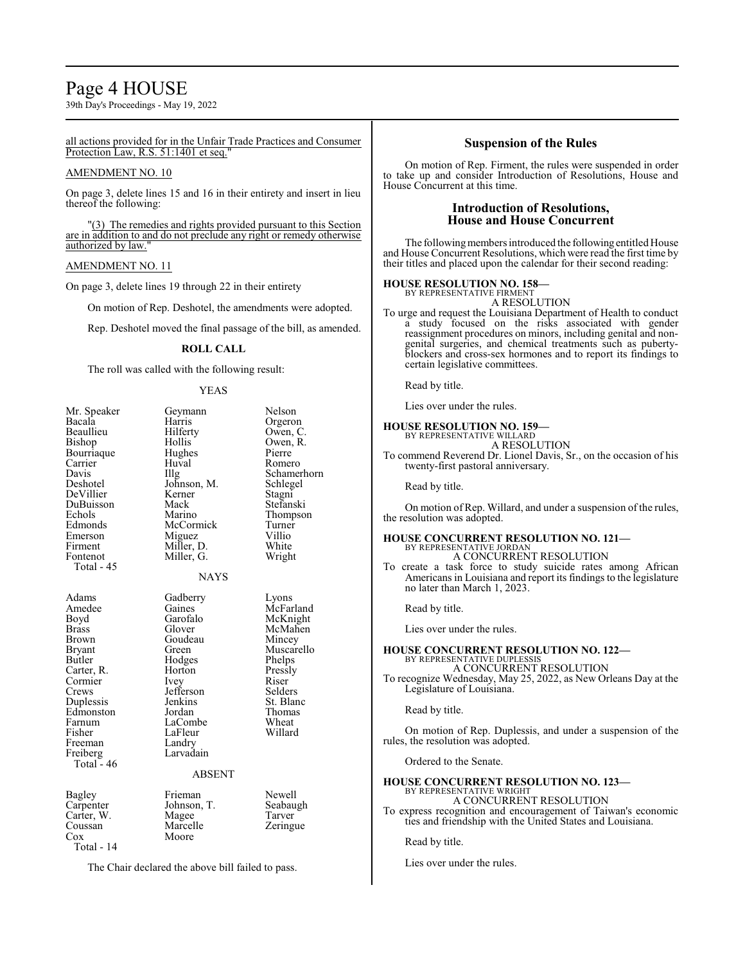## Page 4 HOUSE

39th Day's Proceedings - May 19, 2022

#### all actions provided for in the Unfair Trade Practices and Consumer Protection Law, R.S. 51:1401 et seq.

#### AMENDMENT NO. 10

On page 3, delete lines 15 and 16 in their entirety and insert in lieu thereof the following:

"(3) The remedies and rights provided pursuant to this Section are in addition to and do not preclude any right or remedy otherwise authorized by law.

#### AMENDMENT NO. 11

On page 3, delete lines 19 through 22 in their entirety

On motion of Rep. Deshotel, the amendments were adopted.

Rep. Deshotel moved the final passage of the bill, as amended.

#### **ROLL CALL**

The roll was called with the following result:

#### YEAS

| Mr. Speaker<br>Bacala<br>Beaullieu<br>Bishop<br>Bourriaque<br>Carrier<br>Davis<br>Deshotel<br>DeVillier<br>DuBuisson<br>Echols<br>Edmonds<br>Emerson<br>Firment<br>Fontenot<br>Total - 45 | Geymann<br>Harris<br>Hilferty<br>Hollis<br>Hughes<br>Huval<br>Illg<br>Johnson, M.<br>Kerner<br>Mack<br>Marino<br>McCormick<br>Miguez<br>Miller, D.<br>Miller, G.<br><b>NAYS</b>          | Nelson<br>Orgeron<br>Owen, C.<br>Owen, R.<br>Pierre<br>Romero<br>Schamerhorn<br>Schlegel<br>Stagni<br>Stefanski<br>Thompson<br>Turner<br>Villio<br>White<br>Wright |
|-------------------------------------------------------------------------------------------------------------------------------------------------------------------------------------------|------------------------------------------------------------------------------------------------------------------------------------------------------------------------------------------|--------------------------------------------------------------------------------------------------------------------------------------------------------------------|
| Adams<br>Amedee<br>Boyd<br>Brass<br><b>Brown</b><br>Bryant<br>Butler<br>Carter, R.<br>Cormier<br>Crews<br>Duplessis<br>Edmonston<br>Farnum<br>Fisher<br>Freeman<br>Freiberg<br>Total - 46 | Gadberry<br>Gaines<br>Garofalo<br>Glover<br>Goudeau<br>Green<br>Hodges<br>Horton<br>Ivey<br>Jefferson<br>Jenkins<br>Jordan<br>LaCombe<br>LaFleur<br>Landry<br>Larvadain<br><b>ABSENT</b> | Lyons<br>McFarland<br>McKnight<br>McMahen<br>Mincey<br>Muscarello<br>Phelps<br>Pressly<br>Riser<br>Selders<br>St. Blanc<br>Thomas<br>Wheat<br>Willard              |
| Bagley<br>Carpenter<br>Carter, W.<br>Coussan<br>Cox<br>Total - 14                                                                                                                         | Frieman<br>Johnson, T.<br>Magee<br>Marcelle<br>Moore                                                                                                                                     | Newell<br>Seabaugh<br>Tarver<br>Zeringue                                                                                                                           |

The Chair declared the above bill failed to pass.

#### **Suspension of the Rules**

On motion of Rep. Firment, the rules were suspended in order to take up and consider Introduction of Resolutions, House and House Concurrent at this time.

### **Introduction of Resolutions, House and House Concurrent**

The following members introduced the following entitled House and House Concurrent Resolutions, which were read the first time by their titles and placed upon the calendar for their second reading:

## **HOUSE RESOLUTION NO. 158—** BY REPRESENTATIVE FIRMENT

A RESOLUTION

To urge and request the Louisiana Department of Health to conduct a study focused on the risks associated with gender reassignment procedures on minors, including genital and nongenital surgeries, and chemical treatments such as pubertyblockers and cross-sex hormones and to report its findings to certain legislative committees.

Read by title.

Lies over under the rules.

#### **HOUSE RESOLUTION NO. 159—** BY REPRESENTATIVE WILLARD

A RESOLUTION

To commend Reverend Dr. Lionel Davis, Sr., on the occasion of his twenty-first pastoral anniversary.

Read by title.

On motion of Rep. Willard, and under a suspension of the rules, the resolution was adopted.

#### **HOUSE CONCURRENT RESOLUTION NO. 121—** BY REPRESENTATIVE JORDAN A CONCURRENT RESOLUTION

To create a task force to study suicide rates among African Americans in Louisiana and report its findings to the legislature no later than March 1, 2023.

Read by title.

Lies over under the rules.

#### **HOUSE CONCURRENT RESOLUTION NO. 122—** BY REPRESENTATIVE DUPLESSIS

A CONCURRENT RESOLUTION To recognize Wednesday, May 25, 2022, as New Orleans Day at the Legislature of Louisiana.

Read by title.

On motion of Rep. Duplessis, and under a suspension of the rules, the resolution was adopted.

Ordered to the Senate.

## **HOUSE CONCURRENT RESOLUTION NO. 123—** BY REPRESENTATIVE WRIGHT

A CONCURRENT RESOLUTION To express recognition and encouragement of Taiwan's economic

ties and friendship with the United States and Louisiana.

Read by title.

Lies over under the rules.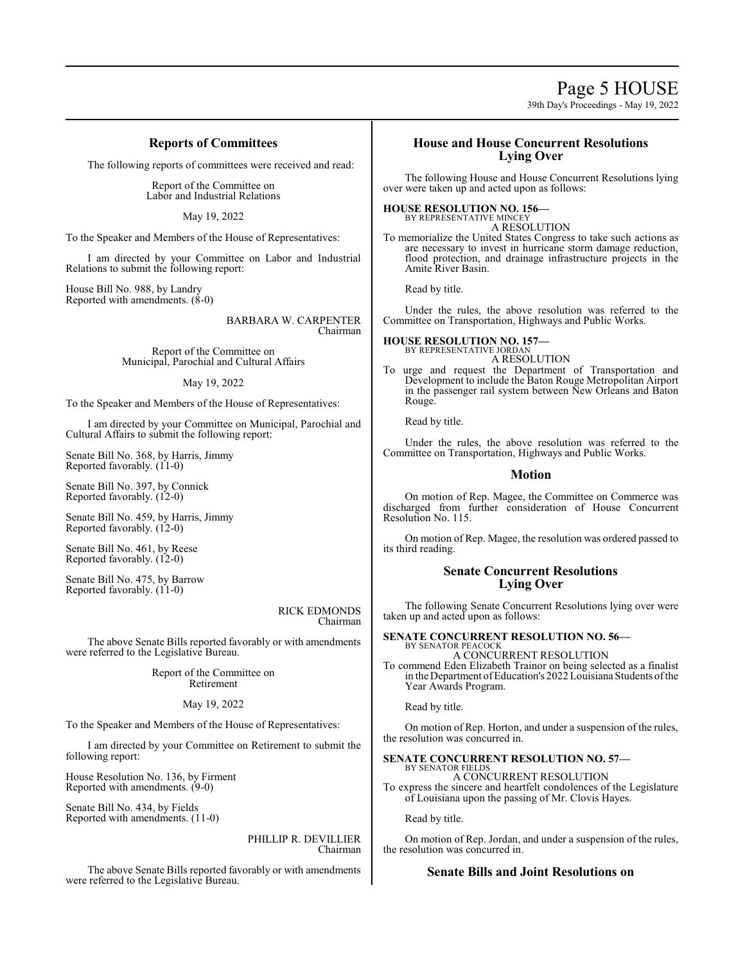# Page 5 HOUSE

39th Day's Proceedings - May 19, 2022

### **Reports of Committees**

The following reports of committees were received and read:

Report of the Committee on Labor and Industrial Relations

May 19, 2022

To the Speaker and Members of the House of Representatives:

I am directed by your Committee on Labor and Industrial Relations to submit the following report:

House Bill No. 988, by Landry Reported with amendments. (8-0)

> BARBARA W. CARPENTER Chairman

Report of the Committee on Municipal, Parochial and Cultural Affairs

#### May 19, 2022

To the Speaker and Members of the House of Representatives:

I am directed by your Committee on Municipal, Parochial and Cultural Affairs to submit the following report:

Senate Bill No. 368, by Harris, Jimmy Reported favorably. (11-0)

Senate Bill No. 397, by Connick Reported favorably. (12-0)

Senate Bill No. 459, by Harris, Jimmy Reported favorably. (12-0)

Senate Bill No. 461, by Reese Reported favorably. (12-0)

Senate Bill No. 475, by Barrow Reported favorably. (11-0)

#### RICK EDMONDS Chairman

The above Senate Bills reported favorably or with amendments were referred to the Legislative Bureau.

> Report of the Committee on Retirement

#### May 19, 2022

To the Speaker and Members of the House of Representatives:

I am directed by your Committee on Retirement to submit the following report:

House Resolution No. 136, by Firment Reported with amendments. (9-0)

Senate Bill No. 434, by Fields Reported with amendments. (11-0)

#### PHILLIP R. DEVILLIER Chairman

The above Senate Bills reported favorably or with amendments were referred to the Legislative Bureau.

### **House and House Concurrent Resolutions Lying Over**

The following House and House Concurrent Resolutions lying over were taken up and acted upon as follows:

#### **HOUSE RESOLUTION NO. 156—**

BY REPRESENTATIVE MINCEY A RESOLUTION

To memorialize the United States Congress to take such actions as are necessary to invest in hurricane storm damage reduction, flood protection, and drainage infrastructure projects in the Amite River Basin.

Read by title.

Under the rules, the above resolution was referred to the Committee on Transportation, Highways and Public Works.

## **HOUSE RESOLUTION NO. 157—** BY REPRESENTATIVE JORDAN

A RESOLUTION

To urge and request the Department of Transportation and Development to include the Baton Rouge Metropolitan Airport in the passenger rail system between New Orleans and Baton Rouge.

Read by title.

Under the rules, the above resolution was referred to the Committee on Transportation, Highways and Public Works.

#### **Motion**

On motion of Rep. Magee, the Committee on Commerce was discharged from further consideration of House Concurrent Resolution No. 115.

On motion of Rep. Magee, the resolution was ordered passed to its third reading.

### **Senate Concurrent Resolutions Lying Over**

The following Senate Concurrent Resolutions lying over were taken up and acted upon as follows:

**SENATE CONCURRENT RESOLUTION NO. 56—** BY SENATOR PEACOC A CONCURRENT RESOLUTION

To commend Eden Elizabeth Trainor on being selected as a finalist in the Department ofEducation's 2022 Louisiana Students ofthe Year Awards Program.

Read by title.

On motion of Rep. Horton, and under a suspension of the rules, the resolution was concurred in.

#### **SENATE CONCURRENT RESOLUTION NO. 57—** BY SENATOR FIELDS

A CONCURRENT RESOLUTION To express the sincere and heartfelt condolences of the Legislature of Louisiana upon the passing of Mr. Clovis Hayes.

Read by title.

On motion of Rep. Jordan, and under a suspension of the rules, the resolution was concurred in.

### **Senate Bills and Joint Resolutions on**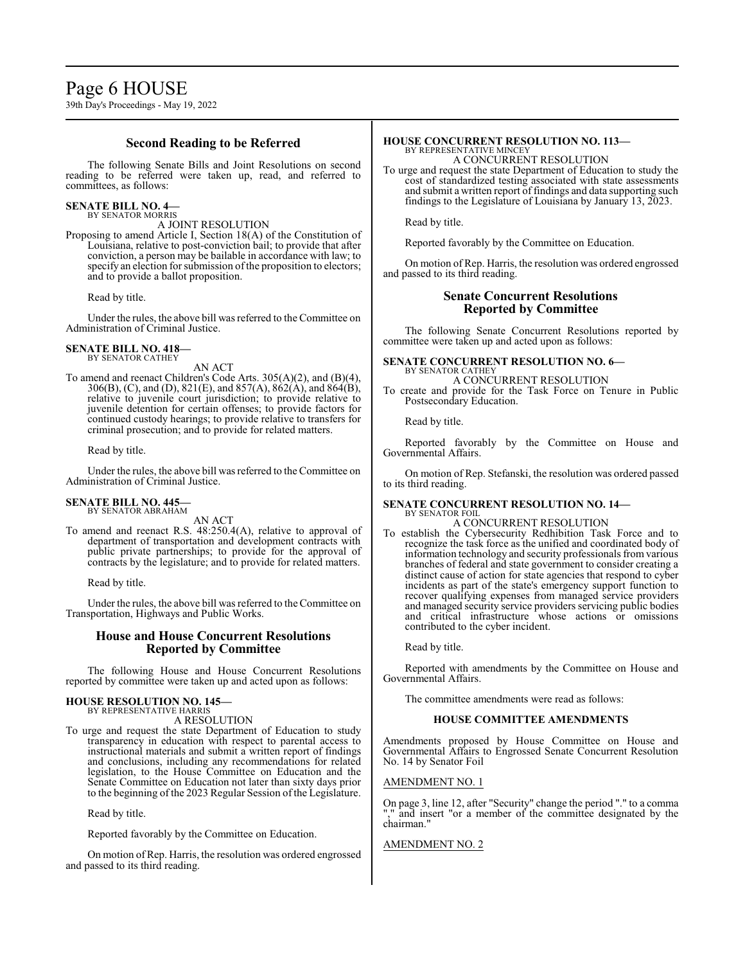**Second Reading to be Referred**

The following Senate Bills and Joint Resolutions on second reading to be referred were taken up, read, and referred to committees, as follows:

#### **SENATE BILL NO. 4—** BY SENATOR MORRIS

A JOINT RESOLUTION

Proposing to amend Article I, Section 18(A) of the Constitution of Louisiana, relative to post-conviction bail; to provide that after conviction, a person may be bailable in accordance with law; to specify an election for submission of the proposition to electors; and to provide a ballot proposition.

Read by title.

Under the rules, the above bill was referred to the Committee on Administration of Criminal Justice.

#### **SENATE BILL NO. 418—** BY SENATOR CATHEY

AN ACT

To amend and reenact Children's Code Arts. 305(A)(2), and (B)(4), 306(B), (C), and (D), 821(E), and 857(A), 862(A), and 864(B), relative to juvenile court jurisdiction; to provide relative to juvenile detention for certain offenses; to provide factors for continued custody hearings; to provide relative to transfers for criminal prosecution; and to provide for related matters.

Read by title.

Under the rules, the above bill was referred to the Committee on Administration of Criminal Justice.

## **SENATE BILL NO. 445—** BY SENATOR ABRAHAM

AN ACT

To amend and reenact R.S. 48:250.4(A), relative to approval of department of transportation and development contracts with public private partnerships; to provide for the approval of contracts by the legislature; and to provide for related matters.

Read by title.

Under the rules, the above bill was referred to theCommittee on Transportation, Highways and Public Works.

#### **House and House Concurrent Resolutions Reported by Committee**

The following House and House Concurrent Resolutions reported by committee were taken up and acted upon as follows:

## **HOUSE RESOLUTION NO. 145—** BY REPRESENTATIVE HARRIS

A RESOLUTION

To urge and request the state Department of Education to study transparency in education with respect to parental access to instructional materials and submit a written report of findings and conclusions, including any recommendations for related legislation, to the House Committee on Education and the Senate Committee on Education not later than sixty days prior to the beginning of the 2023 Regular Session of the Legislature.

Read by title.

Reported favorably by the Committee on Education.

On motion of Rep. Harris, the resolution was ordered engrossed and passed to its third reading.

#### **HOUSE CONCURRENT RESOLUTION NO. 113—** BY REPRESENTATIVE MINCEY

A CONCURRENT RESOLUTION

To urge and request the state Department of Education to study the cost of standardized testing associated with state assessments and submit a written report of findings and data supporting such findings to the Legislature of Louisiana by January 13, 2023.

Read by title.

Reported favorably by the Committee on Education.

On motion of Rep. Harris, the resolution was ordered engrossed and passed to its third reading.

### **Senate Concurrent Resolutions Reported by Committee**

The following Senate Concurrent Resolutions reported by committee were taken up and acted upon as follows:

#### **SENATE CONCURRENT RESOLUTION NO. 6—** BY SENATOR CATHEY

A CONCURRENT RESOLUTION To create and provide for the Task Force on Tenure in Public Postsecondary Education.

Read by title.

Reported favorably by the Committee on House and Governmental Affairs.

On motion of Rep. Stefanski, the resolution was ordered passed to its third reading.

#### **SENATE CONCURRENT RESOLUTION NO. 14—** BY SENATOR FOIL

### A CONCURRENT RESOLUTION

To establish the Cybersecurity Redhibition Task Force and to recognize the task force as the unified and coordinated body of information technology and security professionals fromvarious branches of federal and state government to consider creating a distinct cause of action for state agencies that respond to cyber incidents as part of the state's emergency support function to recover qualifying expenses from managed service providers and managed security service providers servicing public bodies and critical infrastructure whose actions or omissions contributed to the cyber incident.

Read by title.

Reported with amendments by the Committee on House and Governmental Affairs.

The committee amendments were read as follows:

#### **HOUSE COMMITTEE AMENDMENTS**

Amendments proposed by House Committee on House and Governmental Affairs to Engrossed Senate Concurrent Resolution No. 14 by Senator Foil

#### AMENDMENT NO. 1

On page 3, line 12, after "Security" change the period "." to a comma "," and insert "or a member of the committee designated by the chairman."

AMENDMENT NO. 2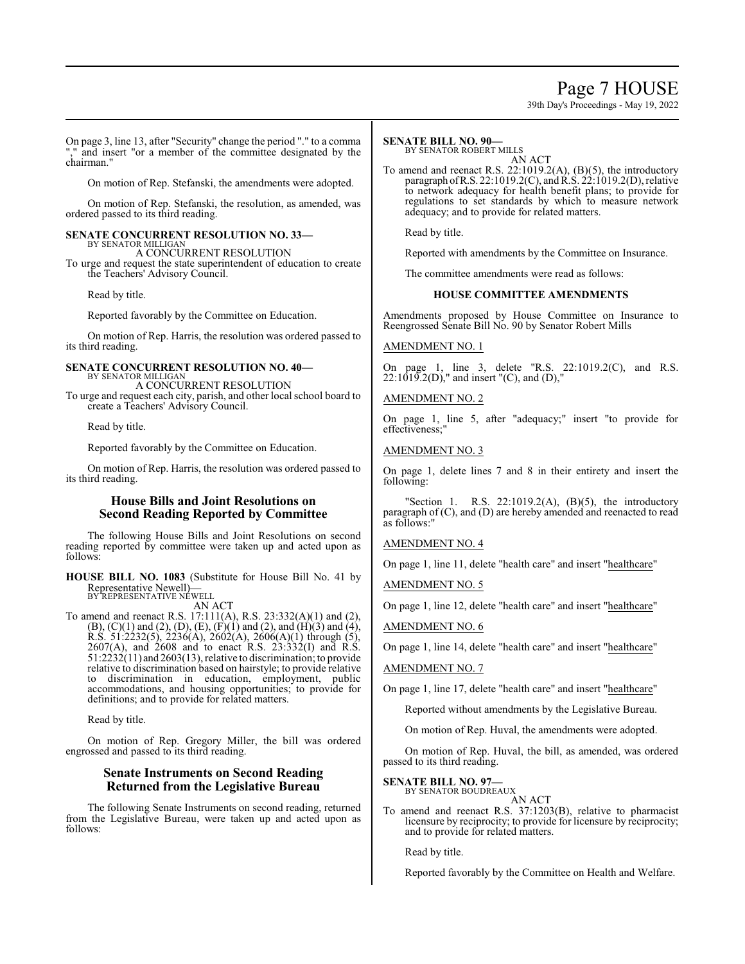## Page 7 HOUSE

39th Day's Proceedings - May 19, 2022

On page 3, line 13, after "Security" change the period "." to a comma "," and insert "or a member of the committee designated by the chairman."

On motion of Rep. Stefanski, the amendments were adopted.

On motion of Rep. Stefanski, the resolution, as amended, was ordered passed to its third reading.

#### **SENATE CONCURRENT RESOLUTION NO. 33—** BY SENATOR MILLIGAN

A CONCURRENT RESOLUTION

To urge and request the state superintendent of education to create the Teachers' Advisory Council.

Read by title.

Reported favorably by the Committee on Education.

On motion of Rep. Harris, the resolution was ordered passed to its third reading.

#### **SENATE CONCURRENT RESOLUTION NO. 40—** BY SENATOR MILLIGAN A CONCURRENT RESOLUTION

To urge and request each city, parish, and other local school board to create a Teachers' Advisory Council.

Read by title.

Reported favorably by the Committee on Education.

On motion of Rep. Harris, the resolution was ordered passed to its third reading.

### **House Bills and Joint Resolutions on Second Reading Reported by Committee**

The following House Bills and Joint Resolutions on second reading reported by committee were taken up and acted upon as follows:

**HOUSE BILL NO. 1083** (Substitute for House Bill No. 41 by Representative Newell)— BY REPRESENTATIVE NEWELL

AN ACT

To amend and reenact R.S. 17:111(A), R.S. 23:332(A)(1) and (2),  $(B)$ ,  $(C)(1)$  and  $(2)$ ,  $(D)$ ,  $(E)$ ,  $(F)(1)$  and  $(2)$ , and  $(H)(3)$  and  $(4)$ , R.S. 51:2232(5), 2236(A), 2602(A), 2606(A)(1) through (5),  $2607(A)$ , and  $2608$  and to enact R.S.  $23:332(I)$  and R.S.  $51:2232(11)$  and  $2603(13)$ , relative to discrimination; to provide relative to discrimination based on hairstyle; to provide relative to discrimination in education, employment, public accommodations, and housing opportunities; to provide for definitions; and to provide for related matters.

Read by title.

On motion of Rep. Gregory Miller, the bill was ordered engrossed and passed to its third reading.

### **Senate Instruments on Second Reading Returned from the Legislative Bureau**

The following Senate Instruments on second reading, returned from the Legislative Bureau, were taken up and acted upon as follows:

#### **SENATE BILL NO. 90—**

BY SENATOR ROBERT MILLS

AN ACT To amend and reenact R.S. 22:1019.2(A), (B)(5), the introductory paragraph of R.S. 22:1019.2(C), and R.S. 22:1019.2(D), relative to network adequacy for health benefit plans; to provide for regulations to set standards by which to measure network adequacy; and to provide for related matters.

Read by title.

Reported with amendments by the Committee on Insurance.

The committee amendments were read as follows:

#### **HOUSE COMMITTEE AMENDMENTS**

Amendments proposed by House Committee on Insurance to Reengrossed Senate Bill No. 90 by Senator Robert Mills

#### AMENDMENT NO. 1

On page 1, line 3, delete "R.S. 22:1019.2(C), and R.S.  $22:1019.2(D)$ ," and insert "(C), and (D),"

#### AMENDMENT NO. 2

On page 1, line 5, after "adequacy;" insert "to provide for effectiveness;

#### AMENDMENT NO. 3

On page 1, delete lines 7 and 8 in their entirety and insert the following:

"Section 1. R.S. 22:1019.2(A), (B)(5), the introductory paragraph of (C), and (D) are hereby amended and reenacted to read as follows:"

#### AMENDMENT NO. 4

On page 1, line 11, delete "health care" and insert "healthcare"

AMENDMENT NO. 5

On page 1, line 12, delete "health care" and insert "healthcare"

AMENDMENT NO. 6

On page 1, line 14, delete "health care" and insert "healthcare"

#### AMENDMENT NO. 7

On page 1, line 17, delete "health care" and insert "healthcare"

Reported without amendments by the Legislative Bureau.

On motion of Rep. Huval, the amendments were adopted.

On motion of Rep. Huval, the bill, as amended, was ordered passed to its third reading.

## **SENATE BILL NO. 97—** BY SENATOR BOUDREAUX

AN ACT

To amend and reenact R.S. 37:1203(B), relative to pharmacist licensure by reciprocity; to provide for licensure by reciprocity; and to provide for related matters.

Read by title.

Reported favorably by the Committee on Health and Welfare.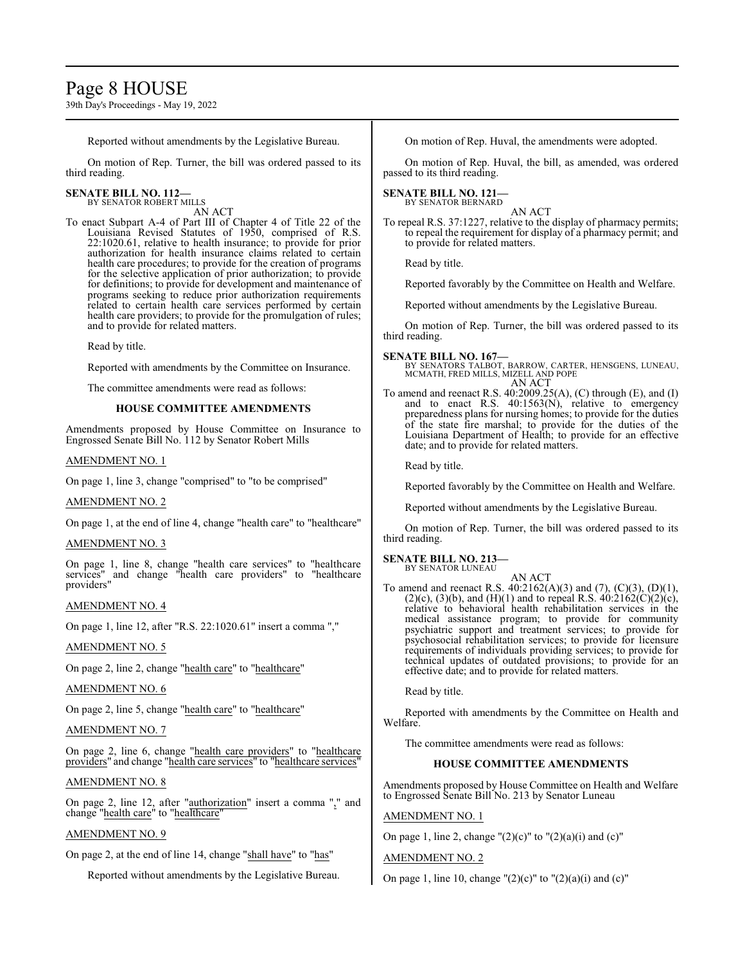# Page 8 HOUSE

39th Day's Proceedings - May 19, 2022

Reported without amendments by the Legislative Bureau.

On motion of Rep. Turner, the bill was ordered passed to its third reading.

## **SENATE BILL NO. 112—** BY SENATOR ROBERT MILLS

AN ACT

To enact Subpart A-4 of Part III of Chapter 4 of Title 22 of the Louisiana Revised Statutes of 1950, comprised of R.S. 22:1020.61, relative to health insurance; to provide for prior authorization for health insurance claims related to certain health care procedures; to provide for the creation of programs for the selective application of prior authorization; to provide for definitions; to provide for development and maintenance of programs seeking to reduce prior authorization requirements related to certain health care services performed by certain health care providers; to provide for the promulgation of rules; and to provide for related matters.

Read by title.

Reported with amendments by the Committee on Insurance.

The committee amendments were read as follows:

### **HOUSE COMMITTEE AMENDMENTS**

Amendments proposed by House Committee on Insurance to Engrossed Senate Bill No. 112 by Senator Robert Mills

### AMENDMENT NO. 1

On page 1, line 3, change "comprised" to "to be comprised"

### AMENDMENT NO. 2

On page 1, at the end of line 4, change "health care" to "healthcare"

### AMENDMENT NO. 3

On page 1, line 8, change "health care services" to "healthcare services" and change "health care providers" to "healthcare providers"

#### AMENDMENT NO. 4

On page 1, line 12, after "R.S. 22:1020.61" insert a comma ","

### AMENDMENT NO. 5

On page 2, line 2, change "health care" to "healthcare"

#### AMENDMENT NO. 6

On page 2, line 5, change "health care" to "healthcare"

### AMENDMENT NO. 7

On page 2, line 6, change "health care providers" to "healthcare providers" and change "health care services" to "healthcare services"

### AMENDMENT NO. 8

On page 2, line 12, after "authorization" insert a comma "," and change "health care" to "healthcare"

### AMENDMENT NO. 9

On page 2, at the end of line 14, change "shall have" to "has"

Reported without amendments by the Legislative Bureau.

On motion of Rep. Huval, the amendments were adopted.

On motion of Rep. Huval, the bill, as amended, was ordered passed to its third reading.

#### **SENATE BILL NO. 121—** BY SENATOR BERNARD

AN ACT

To repeal R.S. 37:1227, relative to the display of pharmacy permits; to repeal the requirement for display of a pharmacy permit; and to provide for related matters.

Read by title.

Reported favorably by the Committee on Health and Welfare.

Reported without amendments by the Legislative Bureau.

On motion of Rep. Turner, the bill was ordered passed to its third reading.

**SENATE BILL NO. 167—**

BY SENATORS TALBOT, BARROW, CARTER, HENSGENS, LUNEAU, MCMATH, FRED MILLS, MIZELL AND POPE AN ACT

To amend and reenact R.S. 40:2009.25(A), (C) through (E), and (I) and to enact R.S. 40:1563(N), relative to emergency preparedness plans for nursing homes; to provide for the duties of the state fire marshal; to provide for the duties of the Louisiana Department of Health; to provide for an effective date; and to provide for related matters.

Read by title.

Reported favorably by the Committee on Health and Welfare.

Reported without amendments by the Legislative Bureau.

On motion of Rep. Turner, the bill was ordered passed to its third reading.

#### **SENATE BILL NO. 213—** BY SENATOR LUNEAU

AN ACT

To amend and reenact R.S. 40:2162(A)(3) and (7), (C)(3), (D)(1),  $(2)(c)$ ,  $(3)(b)$ , and  $(H)(1)$  and to repeal R.S.  $40:2162(C)(2)(c)$ , relative to behavioral health rehabilitation services in the medical assistance program; to provide for community psychiatric support and treatment services; to provide for psychosocial rehabilitation services; to provide for licensure requirements of individuals providing services; to provide for technical updates of outdated provisions; to provide for an effective date; and to provide for related matters.

Read by title.

Reported with amendments by the Committee on Health and Welfare.

The committee amendments were read as follows:

### **HOUSE COMMITTEE AMENDMENTS**

Amendments proposed by House Committee on Health and Welfare to Engrossed Senate Bill No. 213 by Senator Luneau

### AMENDMENT NO. 1

On page 1, line 2, change " $(2)(c)$ " to " $(2)(a)(i)$  and  $(c)$ "

### AMENDMENT NO. 2

On page 1, line 10, change " $(2)(c)$ " to " $(2)(a)(i)$  and  $(c)$ "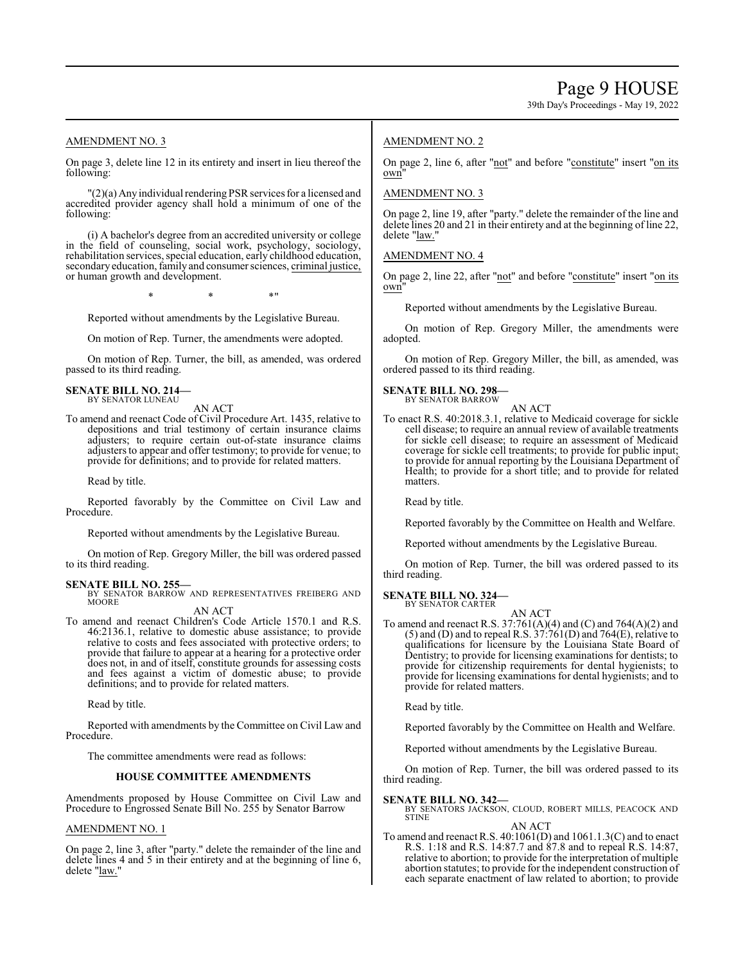39th Day's Proceedings - May 19, 2022

### AMENDMENT NO. 3

On page 3, delete line 12 in its entirety and insert in lieu thereof the following:

"(2)(a) Anyindividual rendering PSR services for a licensed and accredited provider agency shall hold a minimum of one of the following:

(i) A bachelor's degree from an accredited university or college in the field of counseling, social work, psychology, sociology, rehabilitation services, special education, early childhood education, secondary education, family and consumer sciences, criminal justice, or human growth and development.

 $*$  \*  $*$  \*

Reported without amendments by the Legislative Bureau.

On motion of Rep. Turner, the amendments were adopted.

On motion of Rep. Turner, the bill, as amended, was ordered passed to its third reading.

#### **SENATE BILL NO. 214—** BY SENATOR LUNEAU

AN ACT

To amend and reenact Code of Civil Procedure Art. 1435, relative to depositions and trial testimony of certain insurance claims adjusters; to require certain out-of-state insurance claims adjusters to appear and offer testimony; to provide for venue; to provide for definitions; and to provide for related matters.

Read by title.

Reported favorably by the Committee on Civil Law and Procedure.

Reported without amendments by the Legislative Bureau.

On motion of Rep. Gregory Miller, the bill was ordered passed to its third reading.

#### **SENATE BILL NO. 255—**

BY SENATOR BARROW AND REPRESENTATIVES FREIBERG AND **MOORE** AN ACT

To amend and reenact Children's Code Article 1570.1 and R.S. 46:2136.1, relative to domestic abuse assistance; to provide relative to costs and fees associated with protective orders; to provide that failure to appear at a hearing for a protective order does not, in and of itself, constitute grounds for assessing costs and fees against a victim of domestic abuse; to provide definitions; and to provide for related matters.

Read by title.

Reported with amendments by the Committee on Civil Law and Procedure.

The committee amendments were read as follows:

#### **HOUSE COMMITTEE AMENDMENTS**

Amendments proposed by House Committee on Civil Law and Procedure to Engrossed Senate Bill No. 255 by Senator Barrow

#### AMENDMENT NO. 1

On page 2, line 3, after "party." delete the remainder of the line and delete lines 4 and 5 in their entirety and at the beginning of line 6, delete "law."

### AMENDMENT NO. 2

On page 2, line 6, after "not" and before "constitute" insert "on its own"

#### AMENDMENT NO. 3

On page 2, line 19, after "party." delete the remainder of the line and delete lines 20 and 21 in their entirety and at the beginning of line 22, delete "law."

#### AMENDMENT NO. 4

On page 2, line 22, after "not" and before "constitute" insert "on its own"

Reported without amendments by the Legislative Bureau.

On motion of Rep. Gregory Miller, the amendments were adopted.

On motion of Rep. Gregory Miller, the bill, as amended, was ordered passed to its third reading.

#### **SENATE BILL NO. 298—** BY SENATOR BARROW

AN ACT To enact R.S. 40:2018.3.1, relative to Medicaid coverage for sickle cell disease; to require an annual review of available treatments for sickle cell disease; to require an assessment of Medicaid coverage for sickle cell treatments; to provide for public input; to provide for annual reporting by the Louisiana Department of Health; to provide for a short title; and to provide for related matters.

Read by title.

Reported favorably by the Committee on Health and Welfare.

Reported without amendments by the Legislative Bureau.

On motion of Rep. Turner, the bill was ordered passed to its third reading.

### **SENATE BILL NO. 324—**

BY SENATOR CARTER AN ACT

To amend and reenact R.S. 37:761(A)(4) and (C) and 764(A)(2) and  $(5)$  and  $(D)$  and to repeal R.S.  $37:761(D)$  and  $764(E)$ , relative to qualifications for licensure by the Louisiana State Board of Dentistry; to provide for licensing examinations for dentists; to provide for citizenship requirements for dental hygienists; to provide for licensing examinations for dental hygienists; and to provide for related matters.

Read by title.

Reported favorably by the Committee on Health and Welfare.

Reported without amendments by the Legislative Bureau.

On motion of Rep. Turner, the bill was ordered passed to its third reading.

#### **SENATE BILL NO. 342—**

BY SENATORS JACKSON, CLOUD, ROBERT MILLS, PEACOCK AND STINE

### AN ACT

To amend and reenact R.S. 40:1061(D) and 1061.1.3(C) and to enact R.S. 1:18 and R.S. 14:87.7 and 87.8 and to repeal R.S. 14:87, relative to abortion; to provide for the interpretation of multiple abortion statutes; to provide for the independent construction of each separate enactment of law related to abortion; to provide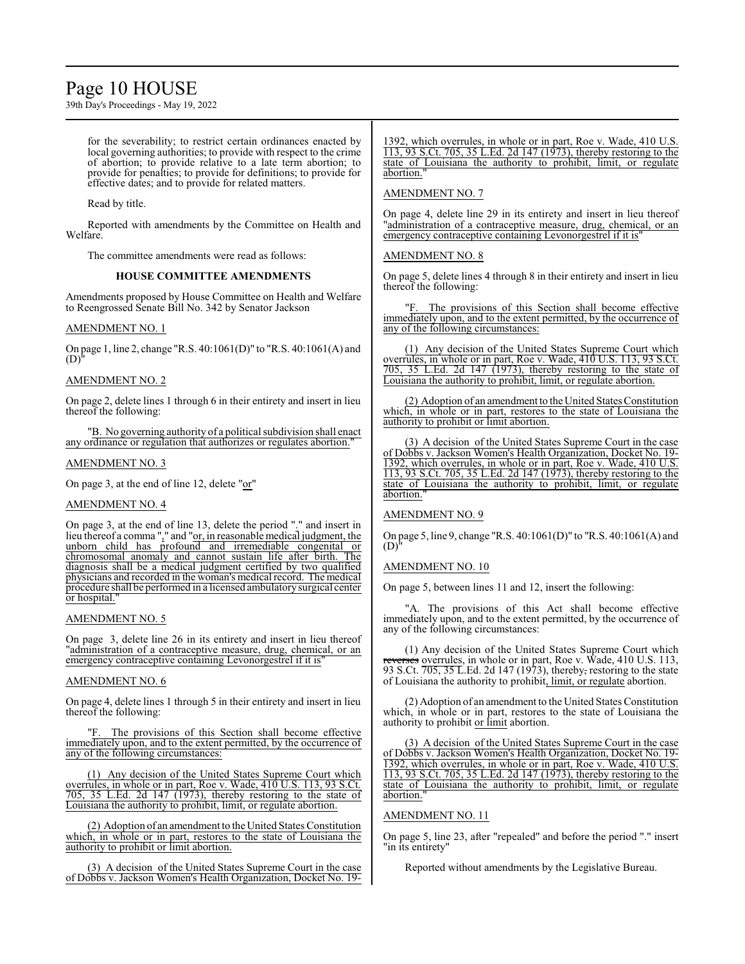## Page 10 HOUSE

39th Day's Proceedings - May 19, 2022

for the severability; to restrict certain ordinances enacted by local governing authorities; to provide with respect to the crime of abortion; to provide relative to a late term abortion; to provide for penalties; to provide for definitions; to provide for effective dates; and to provide for related matters.

Read by title.

Reported with amendments by the Committee on Health and Welfare.

The committee amendments were read as follows:

#### **HOUSE COMMITTEE AMENDMENTS**

Amendments proposed by House Committee on Health and Welfare to Reengrossed Senate Bill No. 342 by Senator Jackson

#### AMENDMENT NO. 1

On page 1, line 2, change "R.S. 40:1061(D)" to "R.S. 40:1061(A) and  $(D)'$ 

### AMENDMENT NO. 2

On page 2, delete lines 1 through 6 in their entirety and insert in lieu thereof the following:

"B. No governing authority of a political subdivision shall enact any ordinance or regulation that authorizes or regulates abortion."

### AMENDMENT NO. 3

On page 3, at the end of line 12, delete "or"

#### AMENDMENT NO. 4

On page 3, at the end of line 13, delete the period "." and insert in lieu thereof a comma "," and "<u>or, in reasonable medical judgment</u>, the unborn child has profound and irremediable congenital or chromosomal anomaly and cannot sustain life after birth. The diagnosis shall be a medical judgment certified by two qualified physicians and recorded in the woman's medical record. The medical procedure shall be performed in a licensed ambulatorysurgical center or hospital."

### AMENDMENT NO. 5

On page 3, delete line 26 in its entirety and insert in lieu thereof "administration of a contraceptive measure, drug, chemical, or an emergency contraceptive containing Levonorgestrel if it is

### AMENDMENT NO. 6

On page 4, delete lines 1 through 5 in their entirety and insert in lieu thereof the following:

The provisions of this Section shall become effective immediately upon, and to the extent permitted, by the occurrence of any of the following circumstances:

(1) Any decision of the United States Supreme Court which overrules, in whole or in part, Roe v. Wade, 410 U.S. 113, 93 S.Ct. 705, 35 L.Ed. 2d 147 (1973), thereby restoring to the state of Louisiana the authority to prohibit, limit, or regulate abortion.

(2) Adoption of an amendment to the United States Constitution which, in whole or in part, restores to the state of Louisiana the authority to prohibit or limit abortion.

(3) A decision of the United States Supreme Court in the case of Dobbs v. Jackson Women's Health Organization, Docket No. 19-

1392, which overrules, in whole or in part, Roe v. Wade, 410 U.S. 113, 93 S.Ct. 705, 35 L.Ed. 2d 147 (1973), thereby restoring to the state of Louisiana the authority to prohibit, limit, or regulate abortion."

#### AMENDMENT NO. 7

On page 4, delete line 29 in its entirety and insert in lieu thereof "administration of a contraceptive measure, drug, chemical, or an emergency contraceptive containing Levonorgestrel if it is

### AMENDMENT NO. 8

On page 5, delete lines 4 through 8 in their entirety and insert in lieu thereof the following:

The provisions of this Section shall become effective immediately upon, and to the extent permitted, by the occurrence of any of the following circumstances:

(1) Any decision of the United States Supreme Court which overrules, in whole or in part, Roe v. Wade, 410 U.S. 113, 93 S.Ct. 705, 35 L.Ed. 2d 147 (1973), thereby restoring to the state of Louisiana the authority to prohibit, limit, or regulate abortion.

(2) Adoption of an amendment to the United States Constitution which, in whole or in part, restores to the state of Louisiana the authority to prohibit or limit abortion.

(3) A decision of the United States Supreme Court in the case of Dobbs v. Jackson Women's Health Organization, Docket No. 19- 1392, which overrules, in whole or in part, Roe v. Wade, 410 U.S. 113, 93 S.Ct. 705, 35 L.Ed. 2d 147 (1973), thereby restoring to the state of Louisiana the authority to prohibit, limit, or regulate abortion.

### AMENDMENT NO. 9

On page 5, line 9, change "R.S. 40:1061(D)" to "R.S. 40:1061(A) and  $(D)$ 

### AMENDMENT NO. 10

On page 5, between lines 11 and 12, insert the following:

"A. The provisions of this Act shall become effective immediately upon, and to the extent permitted, by the occurrence of any of the following circumstances:

(1) Any decision of the United States Supreme Court which reverses overrules, in whole or in part, Roe v. Wade, 410 U.S. 113, 93 S.Ct. 705, 35 L.Ed. 2d 147 (1973), thereby, restoring to the state of Louisiana the authority to prohibit, limit, or regulate abortion.

(2) Adoption of an amendment to the United States Constitution which, in whole or in part, restores to the state of Louisiana the authority to prohibit or limit abortion.

(3) A decision of the United States Supreme Court in the case of Dobbs v. Jackson Women's Health Organization, Docket No. 19- 1392, which overrules, in whole or in part, Roe v. Wade, 410 U.S. 113, 93 S.Ct. 705, 35 L.Ed. 2d 147 (1973), thereby restoring to the state of Louisiana the authority to prohibit, limit, or regulate abortion."

#### AMENDMENT NO. 11

On page 5, line 23, after "repealed" and before the period "." insert "in its entirety"

Reported without amendments by the Legislative Bureau.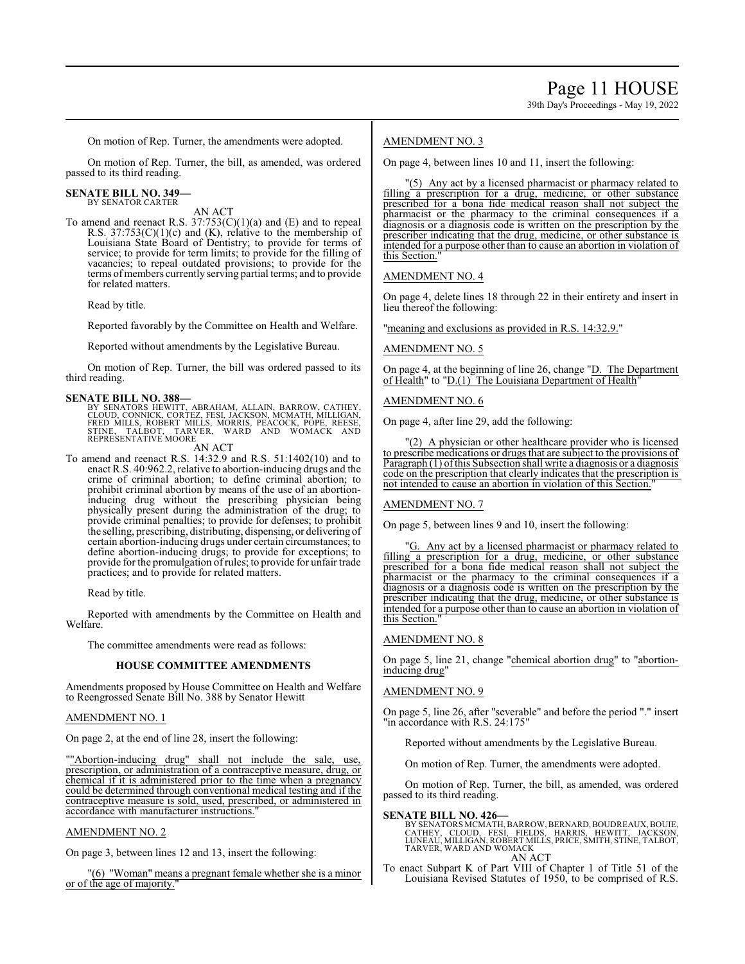39th Day's Proceedings - May 19, 2022

On motion of Rep. Turner, the amendments were adopted.

On motion of Rep. Turner, the bill, as amended, was ordered passed to its third reading.

#### **SENATE BILL NO. 349—** BY SENATOR CARTER

AN ACT To amend and reenact R.S.  $37:753(C)(1)(a)$  and (E) and to repeal R.S. 37:753(C)(1)(c) and (K), relative to the membership of Louisiana State Board of Dentistry; to provide for terms of service; to provide for term limits; to provide for the filling of vacancies; to repeal outdated provisions; to provide for the terms of members currently serving partial terms; and to provide for related matters.

Read by title.

Reported favorably by the Committee on Health and Welfare.

Reported without amendments by the Legislative Bureau.

On motion of Rep. Turner, the bill was ordered passed to its third reading.

**SENATE BILL NO. 388—**<br>BY SENATORS HEWITT, ABRAHAM, ALLAIN, BARROW, CATHEY,<br>CLOUD, CONNICK, CORTEZ, FESI, JACKSON, MCMATH, MILLIGAN,<br>FRED MILLS, ROBERT MILLS, MORRIS, PEACOCK, PÓPE, REESE,<br>STINE, TALBOT, TARVER, WARD AND W

AN ACT

To amend and reenact R.S. 14:32.9 and R.S. 51:1402(10) and to enact R.S. 40:962.2, relative to abortion-inducing drugs and the crime of criminal abortion; to define criminal abortion; to prohibit criminal abortion by means of the use of an abortioninducing drug without the prescribing physician being physically present during the administration of the drug; to provide criminal penalties; to provide for defenses; to prohibit the selling, prescribing, distributing, dispensing, or delivering of certain abortion-inducing drugs under certain circumstances; to define abortion-inducing drugs; to provide for exceptions; to provide for the promulgation ofrules; to provide for unfair trade practices; and to provide for related matters.

Read by title.

Reported with amendments by the Committee on Health and Welfare.

The committee amendments were read as follows:

### **HOUSE COMMITTEE AMENDMENTS**

Amendments proposed by House Committee on Health and Welfare to Reengrossed Senate Bill No. 388 by Senator Hewitt

### AMENDMENT NO. 1

On page 2, at the end of line 28, insert the following:

""Abortion-inducing drug" shall not include the sale, use, prescription, or administration of a contraceptive measure, drug, or chemical if it is administered prior to the time when a pregnancy could be determined through conventional medical testing and if the contraceptive measure is sold, used, prescribed, or administered in accordance with manufacturer instructions.

### AMENDMENT NO. 2

On page 3, between lines 12 and 13, insert the following:

"(6) "Woman" means a pregnant female whether she is a minor or of the age of majority."

### AMENDMENT NO. 3

On page 4, between lines 10 and 11, insert the following:

"(5) Any act by a licensed pharmacist or pharmacy related to filling a prescription for a drug, medicine, or other substance prescribed for a bona fide medical reason shall not subject the pharmacist or the pharmacy to the criminal consequences if a diagnosis or a diagnosis code is written on the prescription by the prescriber indicating that the drug, medicine, or other substance is intended for a purpose other than to cause an abortion in violation of this Section."

AMENDMENT NO. 4

On page 4, delete lines 18 through 22 in their entirety and insert in lieu thereof the following:

"meaning and exclusions as provided in R.S. 14:32.9."

AMENDMENT NO. 5

On page 4, at the beginning of line 26, change "D. The Department of Health" to "D.(1) The Louisiana Department of Health"

### AMENDMENT NO. 6

On page 4, after line 29, add the following:

"(2) A physician or other healthcare provider who is licensed to prescribe medications or drugs that are subject to the provisions of Paragraph (1) ofthis Subsection shall write a diagnosis or a diagnosis code on the prescription that clearly indicates that the prescription is not intended to cause an abortion in violation of this Section."

AMENDMENT NO. 7

On page 5, between lines 9 and 10, insert the following:

"G. Any act by a licensed pharmacist or pharmacy related to filling a prescription for a drug, medicine, or other substance prescribed for a bona fide medical reason shall not subject the pharmacist or the pharmacy to the criminal consequences if a diagnosis or a diagnosis code is written on the prescription by the prescriber indicating that the drug, medicine, or other substance is intended for a purpose other than to cause an abortion in violation of this Section."

### AMENDMENT NO. 8

On page 5, line 21, change "chemical abortion drug" to "abortioninducing drug"

### AMENDMENT NO. 9

On page 5, line 26, after "severable" and before the period "." insert "in accordance with R.S. 24:175"

Reported without amendments by the Legislative Bureau.

On motion of Rep. Turner, the amendments were adopted.

On motion of Rep. Turner, the bill, as amended, was ordered passed to its third reading.

### **SENATE BILL NO. 426—**

BY SENATORS MCMATH, BARROW, BERNARD, BOUDREAUX, BOUIE,<br>CATHEY, CLOUD, FESI, FIELDS, HARRIS, HEWITT, JACKSON,<br>LUNEAU, MILLIGAN, ROBERT MILLS, PRICE, SMITH, STINE, TALBOT,<br>TARVER, WARD AND WOMACK AN ACT

To enact Subpart K of Part VIII of Chapter 1 of Title 51 of the Louisiana Revised Statutes of 1950, to be comprised of R.S.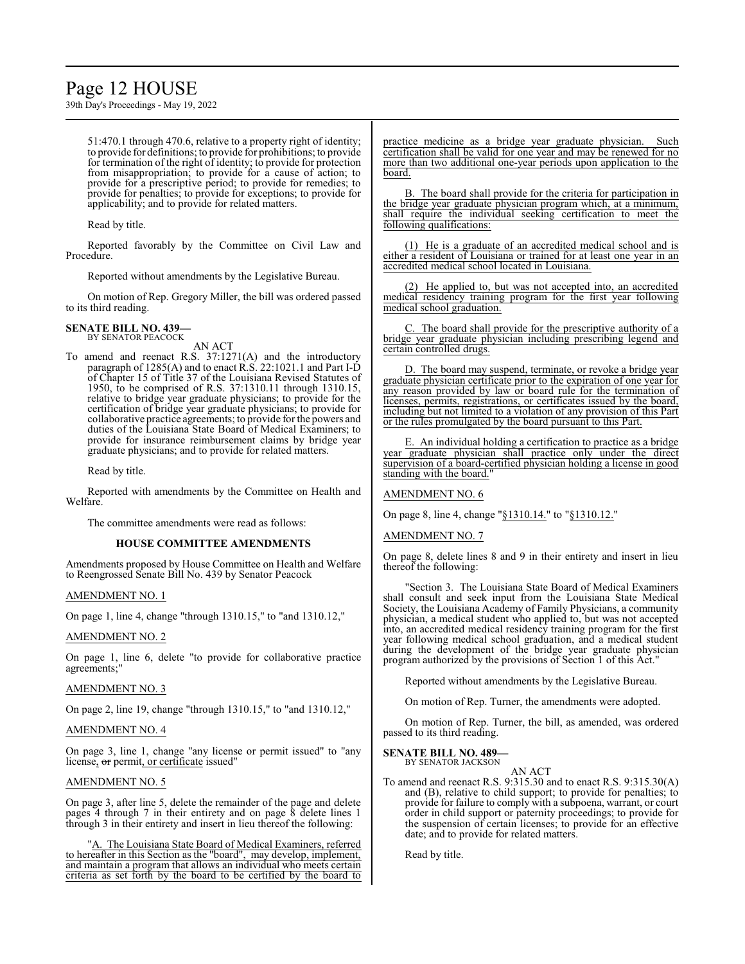## Page 12 HOUSE

39th Day's Proceedings - May 19, 2022

51:470.1 through 470.6, relative to a property right of identity; to provide for definitions; to provide for prohibitions; to provide for termination of the right of identity; to provide for protection from misappropriation; to provide for a cause of action; to provide for a prescriptive period; to provide for remedies; to provide for penalties; to provide for exceptions; to provide for applicability; and to provide for related matters.

Read by title.

Reported favorably by the Committee on Civil Law and Procedure.

Reported without amendments by the Legislative Bureau.

On motion of Rep. Gregory Miller, the bill was ordered passed to its third reading.

## **SENATE BILL NO. 439—** BY SENATOR PEACOCK

AN ACT

To amend and reenact R.S. 37:1271(A) and the introductory paragraph of 1285(A) and to enact R.S. 22:1021.1 and Part I-D of Chapter 15 of Title 37 of the Louisiana Revised Statutes of 1950, to be comprised of R.S. 37:1310.11 through 1310.15, relative to bridge year graduate physicians; to provide for the certification of bridge year graduate physicians; to provide for collaborative practice agreements; to provide for the powers and duties of the Louisiana State Board of Medical Examiners; to provide for insurance reimbursement claims by bridge year graduate physicians; and to provide for related matters.

Read by title.

Reported with amendments by the Committee on Health and Welfare.

The committee amendments were read as follows:

#### **HOUSE COMMITTEE AMENDMENTS**

Amendments proposed by House Committee on Health and Welfare to Reengrossed Senate Bill No. 439 by Senator Peacock

#### AMENDMENT NO. 1

On page 1, line 4, change "through 1310.15," to "and 1310.12,"

#### AMENDMENT NO. 2

On page 1, line 6, delete "to provide for collaborative practice agreements;"

#### AMENDMENT NO. 3

On page 2, line 19, change "through 1310.15," to "and 1310.12,"

#### AMENDMENT NO. 4

On page 3, line 1, change "any license or permit issued" to "any license, or permit, or certificate issued"

#### AMENDMENT NO. 5

On page 3, after line 5, delete the remainder of the page and delete pages 4 through 7 in their entirety and on page 8 delete lines 1 through 3 in their entirety and insert in lieu thereof the following:

"A. The Louisiana State Board of Medical Examiners, referred to hereafter in this Section as the "board", may develop, implement, and maintain a program that allows an individual who meets certain criteria as set forth by the board to be certified by the board to practice medicine as a bridge year graduate physician. Such certification shall be valid for one year and may be renewed for no more than two additional one-year periods upon application to the board.

B. The board shall provide for the criteria for participation in the bridge year graduate physician program which, at a minimum, shall require the individual seeking certification to meet the following qualifications:

(1) He is a graduate of an accredited medical school and is either a resident of Louisiana or trained for at least one year in an accredited medical school located in Louisiana.

(2) He applied to, but was not accepted into, an accredited medical residency training program for the first year following medical school graduation.

C. The board shall provide for the prescriptive authority of a bridge year graduate physician including prescribing legend and certain controlled drugs.

D. The board may suspend, terminate, or revoke a bridge year graduate physician certificate prior to the expiration of one year for any reason provided by law or board rule for the termination of licenses, permits, registrations, or certificates issued by the board, including but not limited to a violation of any provision of this Part or the rules promulgated by the board pursuant to this Part.

E. An individual holding a certification to practice as a bridge year graduate physician shall practice only under the direct supervision of a board-certified physician holding a license in good standing with the board.

#### AMENDMENT NO. 6

On page 8, line 4, change "§1310.14." to "§1310.12."

#### AMENDMENT NO. 7

On page 8, delete lines 8 and 9 in their entirety and insert in lieu thereof the following:

"Section 3. The Louisiana State Board of Medical Examiners shall consult and seek input from the Louisiana State Medical Society, the Louisiana Academy of Family Physicians, a community physician, a medical student who applied to, but was not accepted into, an accredited medical residency training program for the first year following medical school graduation, and a medical student during the development of the bridge year graduate physician program authorized by the provisions of Section 1 of this Act."

Reported without amendments by the Legislative Bureau.

On motion of Rep. Turner, the amendments were adopted.

On motion of Rep. Turner, the bill, as amended, was ordered passed to its third reading.

## **SENATE BILL NO. 489—** BY SENATOR JACKSON

AN ACT

To amend and reenact R.S. 9:315.30 and to enact R.S. 9:315.30(A) and (B), relative to child support; to provide for penalties; to provide for failure to comply with a subpoena, warrant, or court order in child support or paternity proceedings; to provide for the suspension of certain licenses; to provide for an effective date; and to provide for related matters.

Read by title.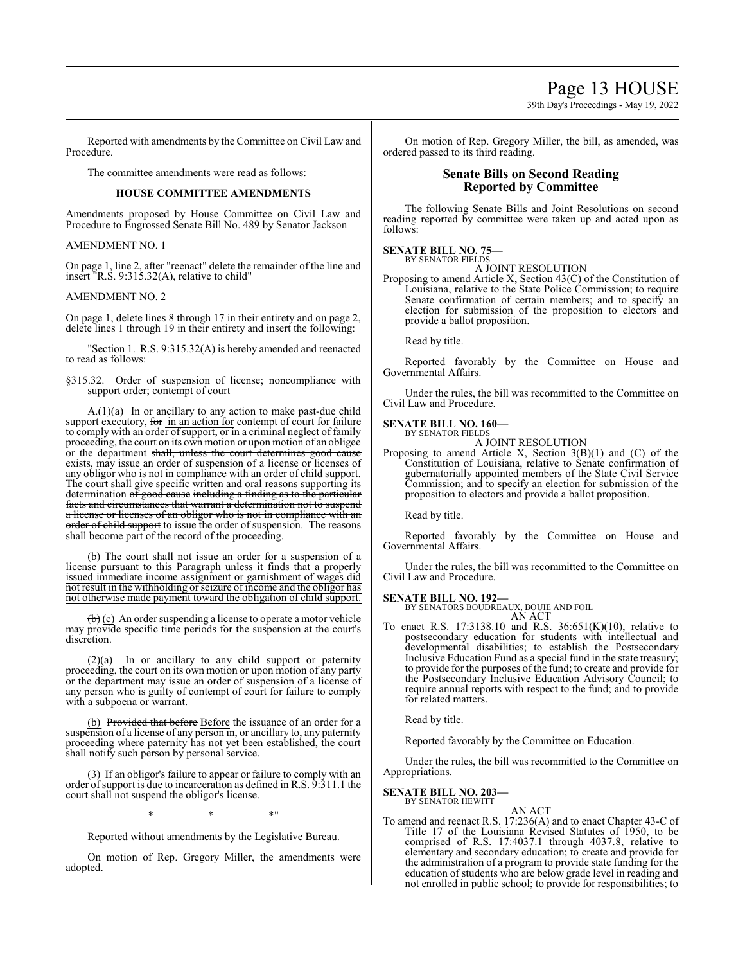39th Day's Proceedings - May 19, 2022

Reported with amendments by the Committee on Civil Law and Procedure.

The committee amendments were read as follows:

### **HOUSE COMMITTEE AMENDMENTS**

Amendments proposed by House Committee on Civil Law and Procedure to Engrossed Senate Bill No. 489 by Senator Jackson

### AMENDMENT NO. 1

On page 1, line 2, after "reenact" delete the remainder of the line and insert "R.S. 9:315.32(A), relative to child"

### AMENDMENT NO. 2

On page 1, delete lines 8 through 17 in their entirety and on page 2, delete lines 1 through 19 in their entirety and insert the following:

"Section 1. R.S. 9:315.32(A) is hereby amended and reenacted to read as follows:

§315.32. Order of suspension of license; noncompliance with support order; contempt of court

A.(1)(a) In or ancillary to any action to make past-due child support executory, for in an action for contempt of court for failure to comply with an order of support, or in a criminal neglect of family proceeding, the court on its own motion or upon motion of an obligee or the department shall, unless the court determines good cause exists, may issue an order of suspension of a license or licenses of any obligor who is not in compliance with an order of child support. The court shall give specific written and oral reasons supporting its determination  $\sigma f$  good cause including a finding as to the particular facts and circumstances that warrant a determination not to suspend a license or licenses of an obligor who is not in compliance with an order of child support to issue the order of suspension. The reasons shall become part of the record of the proceeding.

(b) The court shall not issue an order for a suspension of a license pursuant to this Paragraph unless it finds that a properly issued immediate income assignment or garnishment of wages did not result in the withholding or seizure of income and the obligor has not otherwise made payment toward the obligation of child support.

 $\left(\frac{b}{c}\right)$  An order suspending a license to operate a motor vehicle may provide specific time periods for the suspension at the court's discretion.

(2)(a) In or ancillary to any child support or paternity proceeding, the court on its own motion or upon motion of any party or the department may issue an order of suspension of a license of any person who is guilty of contempt of court for failure to comply with a subpoena or warrant.

(b) Provided that before Before the issuance of an order for a suspension of a license of any person in, or ancillary to, any paternity proceeding where paternity has not yet been established, the court shall notify such person by personal service.

(3) If an obligor's failure to appear or failure to comply with an order ofsupport is due to incarceration as defined in R.S. 9:311.1 the court shall not suspend the obligor's license.

 $*$  \*  $*$  \*

Reported without amendments by the Legislative Bureau.

On motion of Rep. Gregory Miller, the amendments were adopted.

On motion of Rep. Gregory Miller, the bill, as amended, was ordered passed to its third reading.

### **Senate Bills on Second Reading Reported by Committee**

The following Senate Bills and Joint Resolutions on second reading reported by committee were taken up and acted upon as follows:

#### **SENATE BILL NO. 75—** BY SENATOR FIELDS

A JOINT RESOLUTION

Proposing to amend Article X, Section 43(C) of the Constitution of Louisiana, relative to the State Police Commission; to require Senate confirmation of certain members; and to specify an election for submission of the proposition to electors and provide a ballot proposition.

Read by title.

Reported favorably by the Committee on House and Governmental Affairs.

Under the rules, the bill was recommitted to the Committee on Civil Law and Procedure.

### **SENATE BILL NO. 160—**

BY SENATOR FIELDS A JOINT RESOLUTION

Proposing to amend Article X, Section  $3(B)(1)$  and  $(C)$  of the Constitution of Louisiana, relative to Senate confirmation of gubernatorially appointed members of the State Civil Service Commission; and to specify an election for submission of the proposition to electors and provide a ballot proposition.

Read by title.

Reported favorably by the Committee on House and Governmental Affairs.

Under the rules, the bill was recommitted to the Committee on Civil Law and Procedure.

### **SENATE BILL NO. 192—**

BY SENATORS BOUDREAUX, BOUIE AND FOIL AN ACT

To enact R.S. 17:3138.10 and R.S. 36:651(K)(10), relative to postsecondary education for students with intellectual and developmental disabilities; to establish the Postsecondary Inclusive Education Fund as a special fund in the state treasury; to provide for the purposes of the fund; to create and provide for the Postsecondary Inclusive Education Advisory Council; to require annual reports with respect to the fund; and to provide for related matters.

Read by title.

Reported favorably by the Committee on Education.

Under the rules, the bill was recommitted to the Committee on Appropriations.

#### **SENATE BILL NO. 203—** BY SENATOR HEWITT

AN ACT

To amend and reenact R.S. 17:236(A) and to enact Chapter 43-C of Title 17 of the Louisiana Revised Statutes of 1950, to be comprised of R.S. 17:4037.1 through 4037.8, relative to elementary and secondary education; to create and provide for the administration of a program to provide state funding for the education of students who are below grade level in reading and not enrolled in public school; to provide for responsibilities; to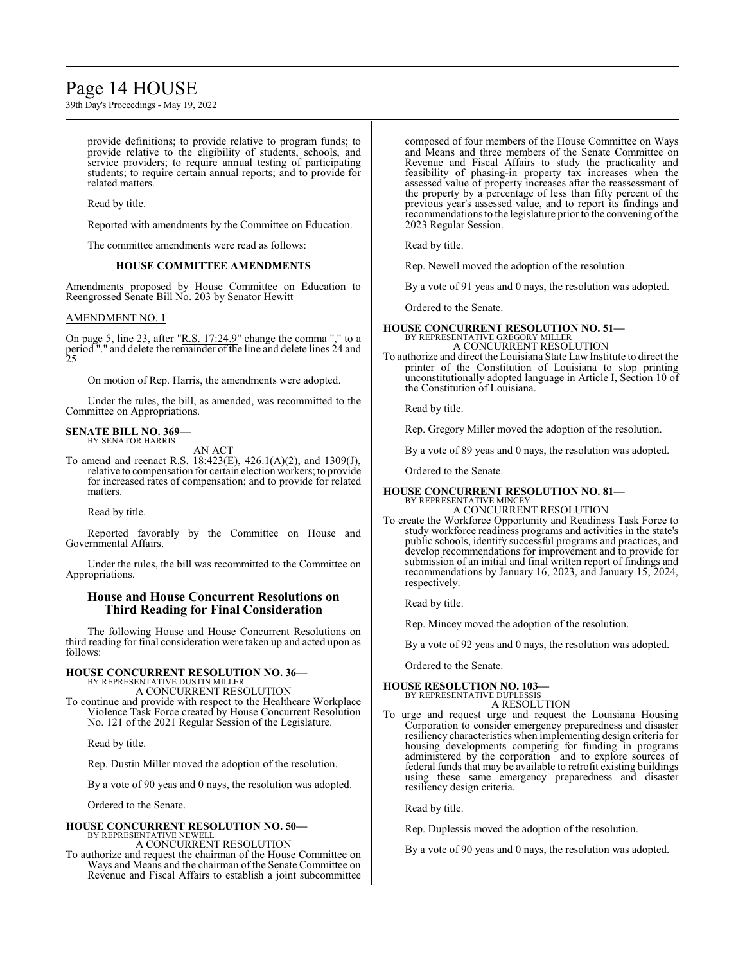## Page 14 HOUSE

39th Day's Proceedings - May 19, 2022

provide definitions; to provide relative to program funds; to provide relative to the eligibility of students, schools, and service providers; to require annual testing of participating students; to require certain annual reports; and to provide for related matters.

Read by title.

Reported with amendments by the Committee on Education.

The committee amendments were read as follows:

#### **HOUSE COMMITTEE AMENDMENTS**

Amendments proposed by House Committee on Education to Reengrossed Senate Bill No. 203 by Senator Hewitt

#### AMENDMENT NO. 1

On page 5, line 23, after " $R.S. 17:24.9$ " change the comma "," to a period "." and delete the remainder of the line and delete lines 24 and 25

On motion of Rep. Harris, the amendments were adopted.

Under the rules, the bill, as amended, was recommitted to the Committee on Appropriations.

## **SENATE BILL NO. 369—** BY SENATOR HARRIS

AN ACT

To amend and reenact R.S. 18:423(E), 426.1(A)(2), and 1309(J), relative to compensation for certain election workers; to provide for increased rates of compensation; and to provide for related matters.

Read by title.

Reported favorably by the Committee on House and Governmental Affairs.

Under the rules, the bill was recommitted to the Committee on Appropriations.

### **House and House Concurrent Resolutions on Third Reading for Final Consideration**

The following House and House Concurrent Resolutions on third reading for final consideration were taken up and acted upon as follows:

## **HOUSE CONCURRENT RESOLUTION NO. 36—** BY REPRESENTATIVE DUSTIN MILLER

A CONCURRENT RESOLUTION

To continue and provide with respect to the Healthcare Workplace Violence Task Force created by House Concurrent Resolution No. 121 of the 2021 Regular Session of the Legislature.

Read by title.

Rep. Dustin Miller moved the adoption of the resolution.

By a vote of 90 yeas and 0 nays, the resolution was adopted.

Ordered to the Senate.

#### **HOUSE CONCURRENT RESOLUTION NO. 50—** BY REPRESENTATIVE NEWELL

A CONCURRENT RESOLUTION

To authorize and request the chairman of the House Committee on Ways and Means and the chairman of the Senate Committee on Revenue and Fiscal Affairs to establish a joint subcommittee composed of four members of the House Committee on Ways and Means and three members of the Senate Committee on Revenue and Fiscal Affairs to study the practicality and feasibility of phasing-in property tax increases when the assessed value of property increases after the reassessment of the property by a percentage of less than fifty percent of the previous year's assessed value, and to report its findings and recommendations to the legislature prior to the convening of the 2023 Regular Session.

Read by title.

Rep. Newell moved the adoption of the resolution.

By a vote of 91 yeas and 0 nays, the resolution was adopted.

Ordered to the Senate.

#### **HOUSE CONCURRENT RESOLUTION NO. 51—** BY REPRESENTATIVE GREGORY MILLER A CONCURRENT RESOLUTION

To authorize and direct the Louisiana State Law Institute to direct the printer of the Constitution of Louisiana to stop printing unconstitutionally adopted language in Article I, Section 10 of the Constitution of Louisiana.

Read by title.

Rep. Gregory Miller moved the adoption of the resolution.

By a vote of 89 yeas and 0 nays, the resolution was adopted.

Ordered to the Senate.

#### **HOUSE CONCURRENT RESOLUTION NO. 81—** BY REPRESENTATIVE MINCEY

A CONCURRENT RESOLUTION

To create the Workforce Opportunity and Readiness Task Force to study workforce readiness programs and activities in the state's public schools, identify successful programs and practices, and develop recommendations for improvement and to provide for submission of an initial and final written report of findings and recommendations by January 16, 2023, and January 15, 2024, respectively.

Read by title.

Rep. Mincey moved the adoption of the resolution.

By a vote of 92 yeas and 0 nays, the resolution was adopted.

Ordered to the Senate.

## **HOUSE RESOLUTION NO. 103—**

BY REPRESENTATIVE DUPLESSIS

A RESOLUTION To urge and request urge and request the Louisiana Housing Corporation to consider emergency preparedness and disaster resiliency characteristics when implementing design criteria for housing developments competing for funding in programs administered by the corporation and to explore sources of federal funds that may be available to retrofit existing buildings

using these same emergency preparedness and disaster

Read by title.

resiliency design criteria.

Rep. Duplessis moved the adoption of the resolution.

By a vote of 90 yeas and 0 nays, the resolution was adopted.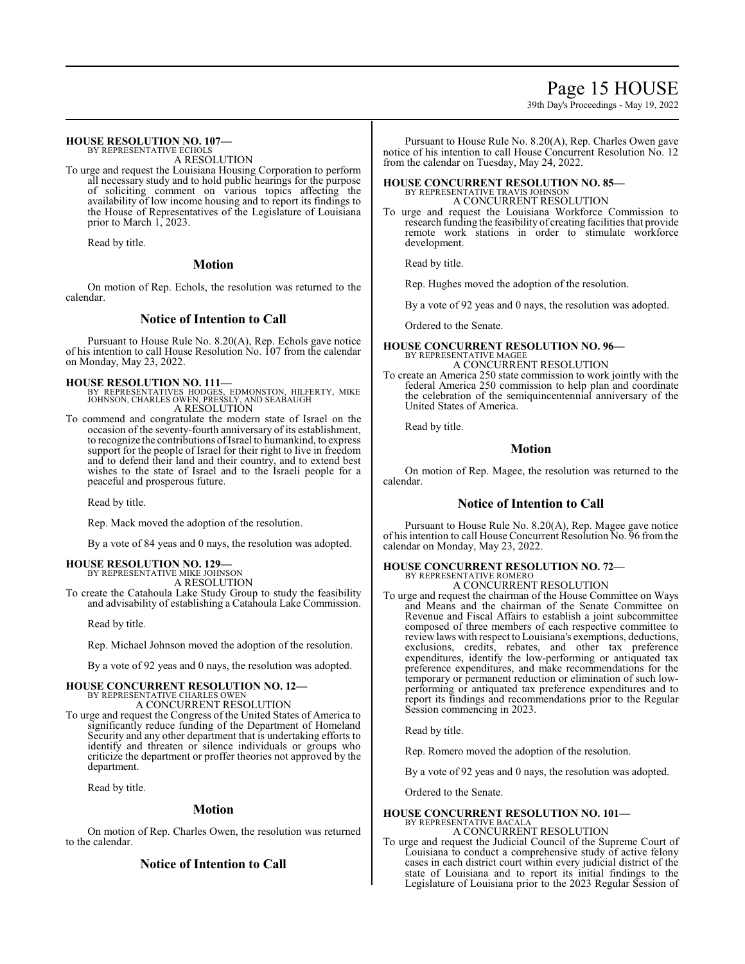## Page 15 HOUSE

39th Day's Proceedings - May 19, 2022

#### **HOUSE RESOLUTION NO. 107—** BY REPRESENTATIVE ECHOLS

A RESOLUTION

To urge and request the Louisiana Housing Corporation to perform all necessary study and to hold public hearings for the purpose of soliciting comment on various topics affecting the availability of low income housing and to report its findings to the House of Representatives of the Legislature of Louisiana prior to March 1, 2023.

Read by title.

#### **Motion**

On motion of Rep. Echols, the resolution was returned to the calendar.

### **Notice of Intention to Call**

Pursuant to House Rule No. 8.20(A), Rep. Echols gave notice of his intention to call House Resolution No. 107 from the calendar on Monday, May 23, 2022.

**HOUSE RESOLUTION NO. 111—**<br>BY REPRESENTATIVES HODGES, EDMONSTON, HILFERTY, MIKE<br>JOHNSON, CHARLES OWEN, PRESSLY, AND SEABAUGH<br>A RESOLUTION

To commend and congratulate the modern state of Israel on the occasion of the seventy-fourth anniversary of its establishment, to recognize the contributions ofIsrael to humankind, to express support for the people of Israel for their right to live in freedom and to defend their land and their country, and to extend best wishes to the state of Israel and to the Israeli people for a peaceful and prosperous future.

Read by title.

Rep. Mack moved the adoption of the resolution.

By a vote of 84 yeas and 0 nays, the resolution was adopted.

# **HOUSE RESOLUTION NO. 129—** BY REPRESENTATIVE MIKE JOHNSON

A RESOLUTION To create the Catahoula Lake Study Group to study the feasibility and advisability of establishing a Catahoula Lake Commission.

Read by title.

Rep. Michael Johnson moved the adoption of the resolution.

By a vote of 92 yeas and 0 nays, the resolution was adopted.

### **HOUSE CONCURRENT RESOLUTION NO. 12—**

BY REPRESENTATIVE CHARLES OWEN A CONCURRENT RESOLUTION

To urge and request the Congress of the United States of America to significantly reduce funding of the Department of Homeland Security and any other department that is undertaking efforts to identify and threaten or silence individuals or groups who criticize the department or proffer theories not approved by the department.

Read by title.

### **Motion**

On motion of Rep. Charles Owen, the resolution was returned to the calendar.

### **Notice of Intention to Call**

Pursuant to House Rule No. 8.20(A), Rep. Charles Owen gave notice of his intention to call House Concurrent Resolution No. 12 from the calendar on Tuesday, May 24, 2022.

#### **HOUSE CONCURRENT RESOLUTION NO. 85—** BY REPRESENTATIVE TRAVIS JOHNSON A CONCURRENT RESOLUTION

To urge and request the Louisiana Workforce Commission to research funding the feasibility of creating facilities that provide remote work stations in order to stimulate workforce development.

Read by title.

Rep. Hughes moved the adoption of the resolution.

By a vote of 92 yeas and 0 nays, the resolution was adopted.

Ordered to the Senate.

#### **HOUSE CONCURRENT RESOLUTION NO. 96—** BY REPRESENTATIVE MAGEE A CONCURRENT RESOLUTION

To create an America 250 state commission to work jointly with the federal America 250 commission to help plan and coordinate the celebration of the semiquincentennial anniversary of the United States of America.

Read by title.

### **Motion**

On motion of Rep. Magee, the resolution was returned to the calendar.

### **Notice of Intention to Call**

Pursuant to House Rule No. 8.20(A), Rep. Magee gave notice of his intention to call House Concurrent Resolution No. 96 from the calendar on Monday, May 23, 2022.

## **HOUSE CONCURRENT RESOLUTION NO. 72—** BY REPRESENTATIVE ROMERO

A CONCURRENT RESOLUTION

To urge and request the chairman of the House Committee on Ways and Means and the chairman of the Senate Committee on Revenue and Fiscal Affairs to establish a joint subcommittee composed of three members of each respective committee to reviewlaws with respect to Louisiana's exemptions, deductions, exclusions, credits, rebates, and other tax preference expenditures, identify the low-performing or antiquated tax preference expenditures, and make recommendations for the temporary or permanent reduction or elimination of such lowperforming or antiquated tax preference expenditures and to report its findings and recommendations prior to the Regular Session commencing in 2023.

Read by title.

Rep. Romero moved the adoption of the resolution.

By a vote of 92 yeas and 0 nays, the resolution was adopted.

Ordered to the Senate.

#### **HOUSE CONCURRENT RESOLUTION NO. 101—** BY REPRESENTATIVE BACALA

A CONCURRENT RESOLUTION

To urge and request the Judicial Council of the Supreme Court of Louisiana to conduct a comprehensive study of active felony cases in each district court within every judicial district of the state of Louisiana and to report its initial findings to the Legislature of Louisiana prior to the 2023 Regular Session of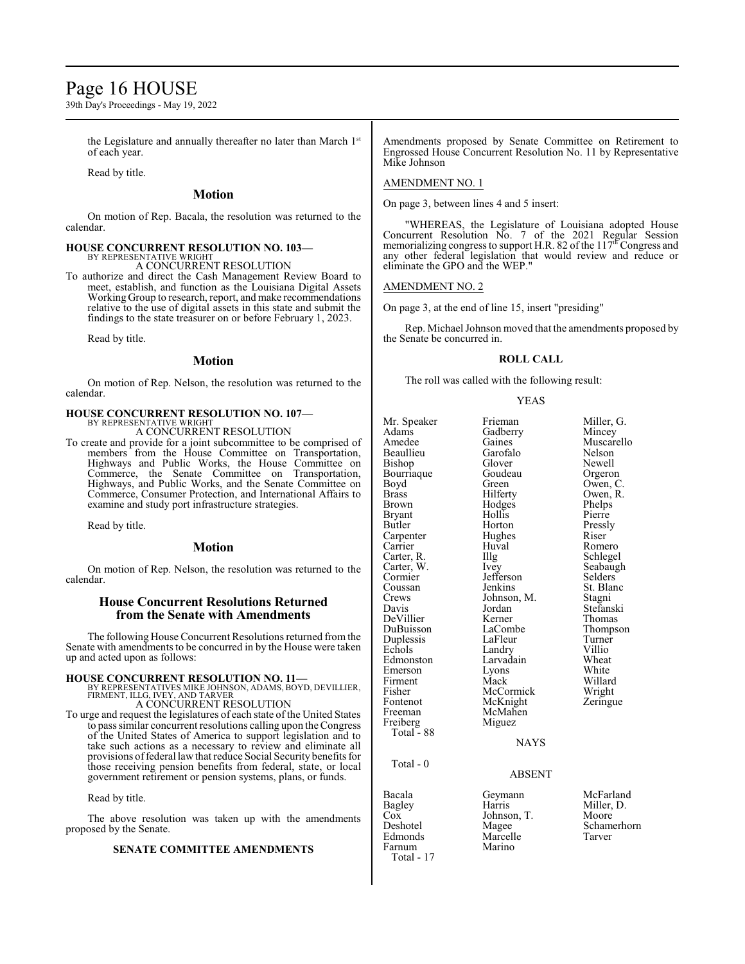## Page 16 HOUSE

39th Day's Proceedings - May 19, 2022

the Legislature and annually thereafter no later than March 1st of each year.

Read by title.

### **Motion**

On motion of Rep. Bacala, the resolution was returned to the calendar.

## **HOUSE CONCURRENT RESOLUTION NO. 103—** BY REPRESENTATIVE WRIGHT

A CONCURRENT RESOLUTION

To authorize and direct the Cash Management Review Board to meet, establish, and function as the Louisiana Digital Assets Working Group to research, report, and make recommendations relative to the use of digital assets in this state and submit the findings to the state treasurer on or before February 1, 2023.

Read by title.

#### **Motion**

On motion of Rep. Nelson, the resolution was returned to the calendar.

#### **HOUSE CONCURRENT RESOLUTION NO. 107—** BY REPRESENTATIVE WRIGHT

A CONCURRENT RESOLUTION

To create and provide for a joint subcommittee to be comprised of members from the House Committee on Transportation, Highways and Public Works, the House Committee on Commerce, the Senate Committee on Transportation, Highways, and Public Works, and the Senate Committee on Commerce, Consumer Protection, and International Affairs to examine and study port infrastructure strategies.

Read by title.

### **Motion**

On motion of Rep. Nelson, the resolution was returned to the calendar.

### **House Concurrent Resolutions Returned from the Senate with Amendments**

The following House Concurrent Resolutions returned fromthe Senate with amendments to be concurred in by the House were taken up and acted upon as follows:

#### **HOUSE CONCURRENT RESOLUTION NO. 11—**

BY REPRESENTATIVES MIKE JOHNSON, ADAMS, BOYD, DEVILLIER, FIRMENT, ILLG, IVEY, AND TARVER A CONCURRENT RESOLUTION

To urge and request the legislatures of each state of the United States to pass similar concurrent resolutions calling upon the Congress of the United States of America to support legislation and to take such actions as a necessary to review and eliminate all provisions offederal lawthat reduce Social Security benefits for those receiving pension benefits from federal, state, or local government retirement or pension systems, plans, or funds.

#### Read by title.

The above resolution was taken up with the amendments proposed by the Senate.

### **SENATE COMMITTEE AMENDMENTS**

Amendments proposed by Senate Committee on Retirement to Engrossed House Concurrent Resolution No. 11 by Representative Mike Johnson

#### AMENDMENT NO. 1

On page 3, between lines 4 and 5 insert:

"WHEREAS, the Legislature of Louisiana adopted House Concurrent Resolution No. 7 of the 2021 Regular Session memorializing congress to support H.R. 82 of the 117<sup>th</sup> Congress and any other federal legislation that would review and reduce or eliminate the GPO and the WEP."

AMENDMENT NO. 2

On page 3, at the end of line 15, insert "presiding"

Rep. Michael Johnson moved that the amendments proposed by the Senate be concurred in.

#### **ROLL CALL**

The roll was called with the following result:

YEAS

Mr. Speaker Frieman Miller, G.<br>Adams Gadberry Mincey Adams Gadberry<br>Amedee Gaines Beaullieu Garofalo Nelson Bishop Glover Newell<br>Bourriaque Goudeau Orgeron Bourriaque Goude<br>Boyd Green Boyd Green Owen, C.<br>Brass Hilferty Owen, R. Brass Hilferty Owen, R. **Bryant** Butler Horton Pressly Carpenter Hughes Riser<br>Carrier Huval Rome Carter, R. Illg Schlegel<br>Carter, W. Ivey Seabaugh Carter, W. Ivey Seabaught Seabaught Seabaught Seabaught Seabaught Seabaught Seabaught Seabaught Seabaught Seabaught Seabaught Seabaught Seabaught Seabaught Seabaught Seabaught Seabaught Seabaught Seabaught Seabaught Seabau Cormier Jefferson<br>Coussan Jenkins Coussan Jenkins St. Blanc<br>Crews Johnson, M. Stagni Crews Johnson, M.<br>Davis Jordan DeVillier Kerner<br>DuBuisson LaCombe Duplessis LaFleur Turner<br>
Echols Landry Villio Echols Landry Villio<br>Edmonston Larvadain Wheat Emerson Lyons White<br>
Firment Mack Willard Firment Mack Willard<br>Fisher McCormick Wright Fisher McCormick Wright<br>Fontenot McKnight Zeringue Fontenot McKnight<br>Freeman McMahen Freiberg Total - 88 Total - 0 Bacala Geymann McFarland Bagley Harris Miller, D.<br>Cox Johnson. T. Moore Cox Johnson, T.<br>Deshotel Magee Deshotel Magee Schamerhorn

Farnum Total - 17

Gaines Muscarello<br>Garofalo Nelson Hodges Phelps<br>Hollis Pierre Huval Romero<br>Illg Schlegel Jordan Stefanski<br>Kerner Thomas LaCombe Thompson<br>LaFleur Turner Larvadain Wheat<br>
Lyons White

**NAYS** 

McMahen<br>Miguez

Marcelle<br>Marino

#### ABSENT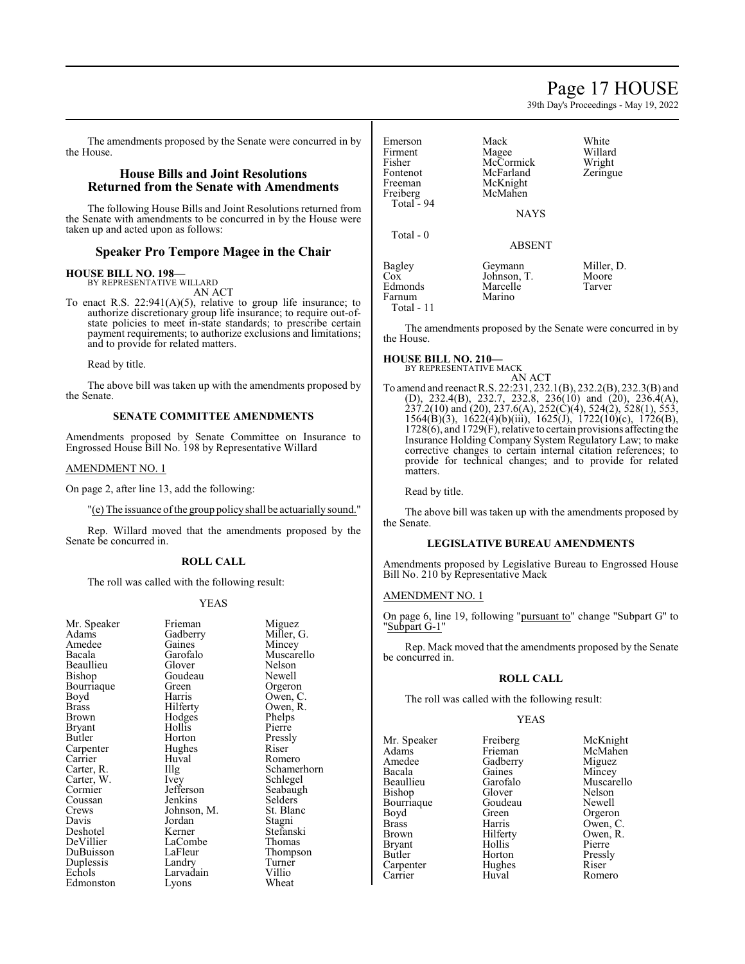39th Day's Proceedings - May 19, 2022

The amendments proposed by the Senate were concurred in by the House.

## **House Bills and Joint Resolutions Returned from the Senate with Amendments**

The following House Bills and Joint Resolutions returned from the Senate with amendments to be concurred in by the House were taken up and acted upon as follows:

## **Speaker Pro Tempore Magee in the Chair**

### **HOUSE BILL NO. 198—**

BY REPRESENTATIVE WILLARD AN ACT

To enact R.S. 22:941(A)(5), relative to group life insurance; to authorize discretionary group life insurance; to require out-ofstate policies to meet in-state standards; to prescribe certain payment requirements; to authorize exclusions and limitations; and to provide for related matters.

Read by title.

The above bill was taken up with the amendments proposed by the Senate.

### **SENATE COMMITTEE AMENDMENTS**

Amendments proposed by Senate Committee on Insurance to Engrossed House Bill No. 198 by Representative Willard

### AMENDMENT NO. 1

On page 2, after line 13, add the following:

"(e) The issuance ofthe group policy shall be actuarially sound."

Rep. Willard moved that the amendments proposed by the Senate be concurred in.

### **ROLL CALL**

The roll was called with the following result:

### YEAS

| Mr. Speaker | Frieman     | Miguez   |
|-------------|-------------|----------|
| Adams       | Gadberry    | Miller,  |
| Amedee      | Gaines      | Mincey   |
| Bacala      | Garofalo    | Muscai   |
| Beaullieu   | Glover      | Nelson   |
| Bishop      | Goudeau     | Newell   |
| Bourriaque  | Green       | Orgero   |
| Boyd        | Harris      | Owen,    |
| Brass       | Hilferty    | Owen,    |
| Brown       | Hodges      | Phelps   |
| Bryant      | Hollis      | Pierre   |
| Butler      | Horton      | Pressly  |
| Carpenter   | Hughes      | Riser    |
| Carrier     | Huval       | Romer    |
| Carter, R.  | Illg        | Scham    |
| Carter, W.  | Ivey        | Schlege  |
| Cormier     | Jefferson   | Seabau   |
| Coussan     | Jenkins     | Selders  |
| Crews       | Johnson, M. | St. Blai |
| Davis       | Jordan      | Stagni   |
| Deshotel    | Kerner      | Stefans  |
| DeVillier   | LaCombe     | Thoma    |
| DuBuisson   | LaFleur     | Thomp    |
| Duplessis   | Landry      | Turner   |
| Echols      | Larvadain   | Villio   |
| Edmonston   | Lyons       | Wheat    |
|             |             |          |

Miguez Miller, G. Mincey Muscarello Nelson<br>Newell Orgeron Owen, C. Owen, R. Phelps Pierre Pressly<br>Riser Romero Schamerhorn Schlegel Seabaugh Selders<br>M. St. Blan St. Blanc<br>Stagni Stefanski Thomas Thompson Turner<br>Villio Wheat

| Emerson<br>Firment<br>Fisher<br>Fontenot<br>Freeman<br>Freiberg<br>Total $-94$ | Mack<br>Magee<br>McCormick<br>McFarland<br>McKnight<br>McMahen<br><b>NAYS</b> | White<br>Willard<br>Wright<br>Zeringue |
|--------------------------------------------------------------------------------|-------------------------------------------------------------------------------|----------------------------------------|
| Total - 0                                                                      | <b>ABSENT</b>                                                                 |                                        |
| Bagley<br>Cox<br>Edmonds<br>Farnum<br>Total - 11                               | Geymann<br>Johnson, T.<br>Marcelle<br>Marino                                  | Miller, D.<br>Moore<br>Tarver          |

The amendments proposed by the Senate were concurred in by the House.

#### **HOUSE BILL NO. 210—** BY REPRESENTATIVE MACK

AN ACT

To amend and reenact R.S. 22:231, 232.1(B), 232.2(B), 232.3(B) and (D), 232.4(B), 232.7, 232.8, 236(10) and (20), 236.4(A), 237.2(10) and (20), 237.6(A), 252(C)(4), 524(2), 528(1), 553, 1564(B)(3), 1622(4)(b)(iii), 1625(J), 1722(10)(c), 1726(B), 1728(6), and 1729(F), relative to certain provisions affecting the Insurance Holding Company System Regulatory Law; to make corrective changes to certain internal citation references; to provide for technical changes; and to provide for related matters.

Read by title.

The above bill was taken up with the amendments proposed by the Senate.

### **LEGISLATIVE BUREAU AMENDMENTS**

Amendments proposed by Legislative Bureau to Engrossed House Bill No. 210 by Representative Mack

### AMENDMENT NO. 1

On page 6, line 19, following "pursuant to" change "Subpart G" to "Subpart G-1"

Rep. Mack moved that the amendments proposed by the Senate be concurred in.

### **ROLL CALL**

The roll was called with the following result:

### YEAS

Mr. Speaker Freiberg McKnight<br>
Adams Frieman McMahen Adams Frieman McMahen<br>Amedee Gadberry Miguez Amedee Gadberry Miguez<br>
Bacala Gaines Mincey Bacala Gaines<br>Beaullieu Garofalo Bishop Glover Nelson<br>Bourriaque Goudeau Newell Bourriaque Goude<br>Boyd Green Brass Harris Owen, C. Bryant Hollis Pierre<br>Butler Horton Pressly Carpenter Hughe<br>Carrier Huval

Garofalo Muscarello<br>Glover Nelson Green Orgeron<br>Harris Owen, C Hilferty Owen,<br>Hollis Pierre Horton Pressl<br>Hughes Riser Romero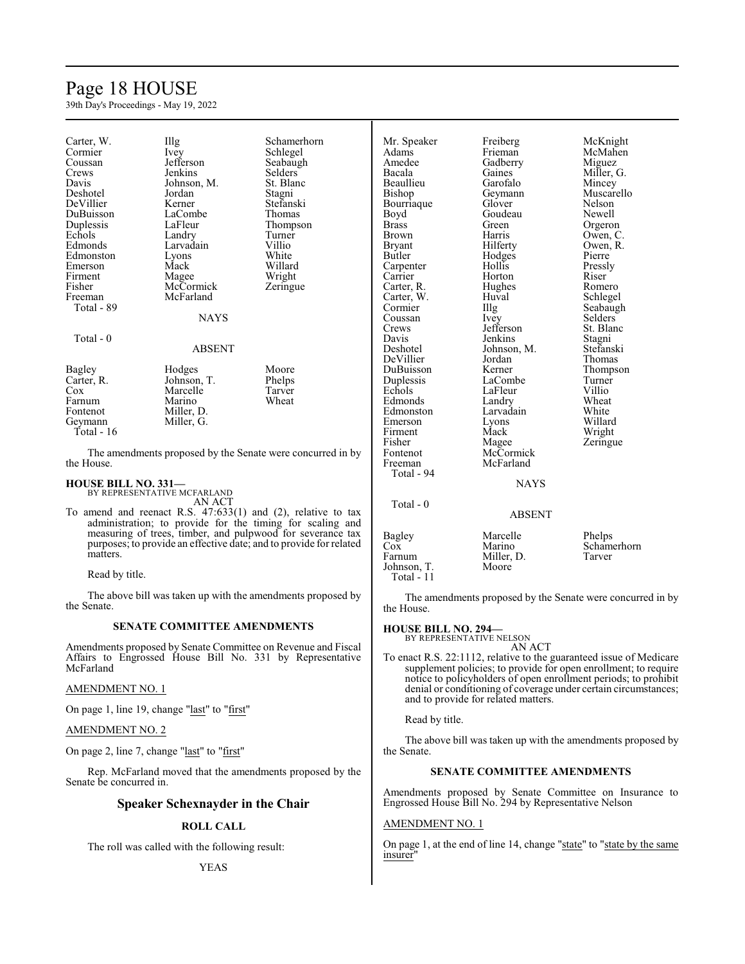## Page 18 HOUSE

39th Day's Proceedings - May 19, 2022

| Carter, W.<br>Cormier<br>Coussan<br>Crews<br>Davis<br>Deshotel<br>DeVillier<br>DuBuisson<br>Duplessis<br>Echols<br>Edmonds<br>Edmonston<br>Emerson<br>Firment<br>Fisher<br>Freeman | $\prod_{i=1}^{n}$<br><i>lvey</i><br>Jefferson<br>Jenkins<br>Johnson, M.<br>Jordan<br>Kerner<br>LaCombe<br>LaFleur<br>Landry<br>Larvadain<br>Lyons<br>Mack<br>Magee<br>McCormick<br>McFarland | Schamerhorn<br>Schlegel<br>Seabaugh<br><b>Selders</b><br>St. Blanc<br>Stagni<br>Stefanski<br>Thomas<br>Thompson<br>Turner<br>Villio<br>White<br>Willard<br>Wright<br>Zeringue | Mr. Speaker<br>Adams<br>Amedee<br>Bacala<br>Beaullieu<br>Bishop<br>Bourriaque<br>Boyd<br><b>Brass</b><br><b>Brown</b><br><b>Bryant</b><br><b>Butler</b><br>Carpenter<br>Carrier<br>Carter, R.<br>Carter, W.<br>Cormier | Freiberg<br>Frieman<br>Gadberry<br>Gaines<br>Garofalo<br>Gevmann<br>Glover<br>Goudeau<br>Green<br>Harris<br>Hilferty<br>Hodges<br>Hollis<br>Horton<br>Hughes<br>Huval | McKnight<br>McMahen<br>Miguez<br>Miller, G.<br>Mincey<br>Muscarello<br>Nelson<br>Newell<br>Orgeron<br>Owen, C.<br>Owen, R.<br>Pierre<br>Pressly<br>Riser<br>Romero<br>Schlegel |
|------------------------------------------------------------------------------------------------------------------------------------------------------------------------------------|----------------------------------------------------------------------------------------------------------------------------------------------------------------------------------------------|-------------------------------------------------------------------------------------------------------------------------------------------------------------------------------|------------------------------------------------------------------------------------------------------------------------------------------------------------------------------------------------------------------------|-----------------------------------------------------------------------------------------------------------------------------------------------------------------------|--------------------------------------------------------------------------------------------------------------------------------------------------------------------------------|
| Total - 89                                                                                                                                                                         | <b>NAYS</b>                                                                                                                                                                                  |                                                                                                                                                                               | Coussan<br>Crews                                                                                                                                                                                                       | Illg<br><i>lvey</i><br>Jefferson                                                                                                                                      | Seabaugh<br>Selders <sup>7</sup><br>St. Blanc                                                                                                                                  |
| Total - 0                                                                                                                                                                          | <b>ABSENT</b>                                                                                                                                                                                |                                                                                                                                                                               | Davis<br>Deshotel<br>DeVillier                                                                                                                                                                                         | Jenkins<br>Johnson, M.<br>Jordan                                                                                                                                      | Stagni<br>Stefanski<br>Thomas                                                                                                                                                  |
| Bagley<br>Carter, R.<br>$\cos$<br>Farnum<br>Fontenot<br>Geymann<br>Total - 16                                                                                                      | Hodges<br>Johnson, T.<br>Marcelle<br>Marino<br>Miller, D.<br>Miller, G.                                                                                                                      | Moore<br>Phelps<br>Tarver<br>Wheat                                                                                                                                            | DuBuisson<br>Duplessis<br>Echols<br>Edmonds<br>Edmonston<br>Emerson<br>Firment<br>Fisher                                                                                                                               | Kerner<br>LaCombe<br>LaFleur<br>Landry<br>Larvadain<br>Lyons<br>Mack<br>Magee                                                                                         | Thompson<br>Turner<br>Villio<br>Wheat<br>White<br>Willard<br>Wright<br>Zeringue                                                                                                |
| the House.                                                                                                                                                                         |                                                                                                                                                                                              | The amendments proposed by the Senate were concurred in by                                                                                                                    | Fontenot<br>Freeman                                                                                                                                                                                                    | McCormick<br>McFarland                                                                                                                                                |                                                                                                                                                                                |

The amendments proposed by the Senate were concurred in by the House.

### **HOUSE BILL NO. 331—**

BY REPRESENTATIVE MCFARLAND AN ACT

To amend and reenact R.S. 47:633(1) and (2), relative to tax administration; to provide for the timing for scaling and measuring of trees, timber, and pulpwood for severance tax purposes; to provide an effective date; and to provide for related matters.

Read by title.

The above bill was taken up with the amendments proposed by the Senate.

#### **SENATE COMMITTEE AMENDMENTS**

Amendments proposed by Senate Committee on Revenue and Fiscal Affairs to Engrossed House Bill No. 331 by Representative McFarland

#### AMENDMENT NO. 1

On page 1, line 19, change "last" to "first"

#### AMENDMENT NO. 2

On page 2, line 7, change "last" to "first"

Rep. McFarland moved that the amendments proposed by the Senate be concurred in.

### **Speaker Schexnayder in the Chair**

### **ROLL CALL**

The roll was called with the following result:

Total - 94

Total - 0

| 10au                                                 | <b>ABSENT</b>                             |                                 |
|------------------------------------------------------|-------------------------------------------|---------------------------------|
| Bagley<br>Cox<br>Farnum<br>Johnson, T.<br>Total - 11 | Marcelle<br>Marino<br>Miller, D.<br>Moore | Phelps<br>Schamerhorn<br>Tarver |

NAYS

The amendments proposed by the Senate were concurred in by the House.

### **HOUSE BILL NO. 294—**

BY REPRESENTATIVE NELSON AN ACT

To enact R.S. 22:1112, relative to the guaranteed issue of Medicare supplement policies; to provide for open enrollment; to require notice to policyholders of open enrollment periods; to prohibit denial or conditioning of coverage under certain circumstances; and to provide for related matters.

Read by title.

The above bill was taken up with the amendments proposed by the Senate.

### **SENATE COMMITTEE AMENDMENTS**

Amendments proposed by Senate Committee on Insurance to Engrossed House Bill No. 294 by Representative Nelson

### AMENDMENT NO. 1

On page 1, at the end of line 14, change "state" to "state by the same insurer"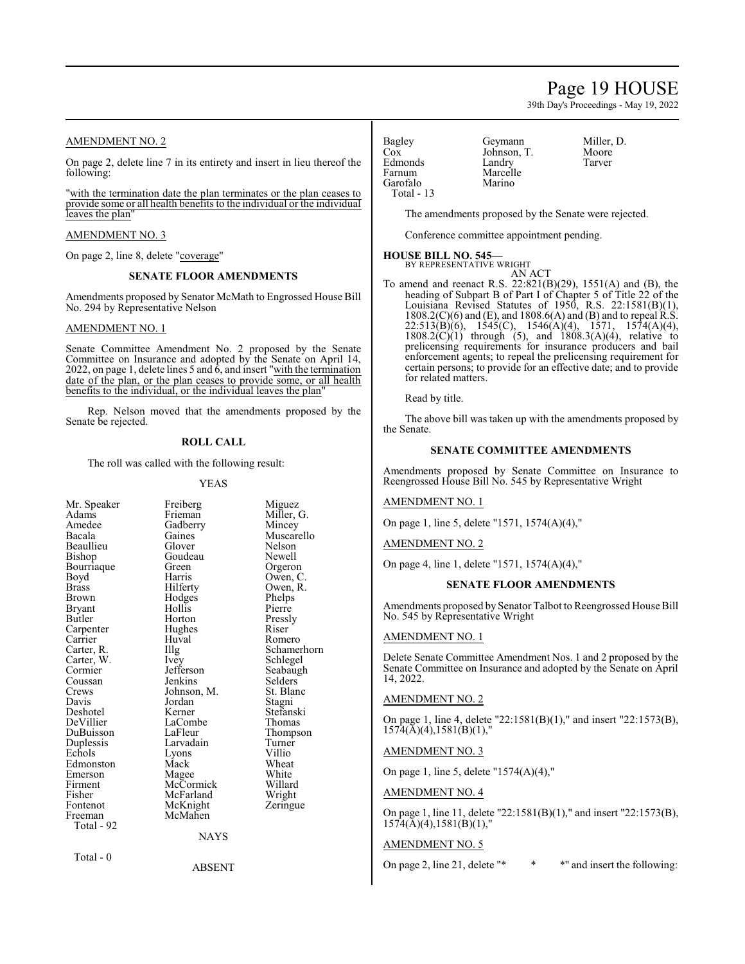## Page 19 HOUSE

39th Day's Proceedings - May 19, 2022

### AMENDMENT NO. 2

On page 2, delete line 7 in its entirety and insert in lieu thereof the following:

"with the termination date the plan terminates or the plan ceases to provide some or all health benefits to the individual or the individual leaves the plan'

#### AMENDMENT NO. 3

On page 2, line 8, delete "coverage"

#### **SENATE FLOOR AMENDMENTS**

Amendments proposed by Senator McMath to Engrossed House Bill No. 294 by Representative Nelson

#### AMENDMENT NO. 1

Senate Committee Amendment No. 2 proposed by the Senate Committee on Insurance and adopted by the Senate on April 14, 2022, on page 1, delete lines 5 and  $\dot{6}$ , and insert "with the termination" date of the plan, or the plan ceases to provide some, or all health benefits to the individual, or the individual leaves the plan"

Rep. Nelson moved that the amendments proposed by the Senate be rejected.

#### **ROLL CALL**

The roll was called with the following result:

#### YEAS

| Mr. Speaker   | Freiberg         | Miguez           |
|---------------|------------------|------------------|
| Adams         | Frieman          | Miller, G.       |
| Amedee        | Gadberry         | Mincey           |
| Bacala        | Gaines           | Muscarello       |
| Beaullieu     | Glover           | Nelson           |
| Bishop        | Goudeau          | Newell           |
| Bourriaque    | Green            |                  |
|               | Harris           | Orgeron          |
| Boyd<br>Brass | Hilferty         | Owen, C.         |
|               |                  | Owen, R.         |
| Brown         | Hodges<br>Hollis | Phelps<br>Pierre |
| Bryant        |                  |                  |
| Butler        | Horton           | Pressly          |
| Carpenter     | Hughes           | Riser            |
| Carrier       | Huval            | Romero           |
| Carter, R.    | Illg             | Schamerhorn      |
| Carter, W.    | <i>lvey</i>      | Schlegel         |
| Cormier       | Jefferson        | Seabaugh         |
| Coussan       | Jenkins          | Selders          |
| Crews         | Johnson, M.      | St. Blanc        |
| Davis         | Jordan           | Stagni           |
| Deshotel      | Kerner           | Stefanski        |
| DeVillier     | LaCombe          | Thomas           |
| DuBuisson     | LaFleur          | Thompson         |
| Duplessis     | Larvadain        | Turner           |
| Echols        | Lyons            | Villio           |
| Edmonston     | Mack             | Wheat            |
| Emerson       | Magee            | White            |
| Firment       | McCormick        | Willard          |
| Fisher        | McFarland        | Wright           |
| Fontenot      | McKnight         | Zeringue         |
| Freeman       | McMahen          |                  |
| Total - 92    |                  |                  |
|               | <b>NAYS</b>      |                  |
| Total - 0     |                  |                  |

ABSENT

Bagley Geymann Miller, D.<br>Cox Iohnson T Moore Edmonds<br>Farnum Garofalo Total - 13

Johnson, T. Moore<br>Landry Tarver Marcelle<br>Marino

The amendments proposed by the Senate were rejected.

Conference committee appointment pending.

#### **HOUSE BILL NO. 545—** BY REPRESENTATIVE WRIGHT

AN ACT To amend and reenact R.S. 22:821(B)(29), 1551(A) and (B), the heading of Subpart B of Part I of Chapter 5 of Title 22 of the Louisiana Revised Statutes of 1950, R.S. 22:1581(B)(1),  $1808.2(C)(6)$  and (E), and  $1808.6(A)$  and (B) and to repeal R.S. 22:513(B)(6), 1545(C), 1546(A)(4), 1571, 1574(A)(4), 22:513(B)(6), 1545(C), 1546(A)(4), 1571, 1574(A)(4), 1808.2(C)(1) through (5), and 1808.3(A)(4), relative to prelicensing requirements for insurance producers and bail enforcement agents; to repeal the prelicensing requirement for certain persons; to provide for an effective date; and to provide for related matters.

Read by title.

The above bill was taken up with the amendments proposed by the Senate.

### **SENATE COMMITTEE AMENDMENTS**

Amendments proposed by Senate Committee on Insurance to Reengrossed House Bill No. 545 by Representative Wright

AMENDMENT NO. 1

On page 1, line 5, delete "1571, 1574(A)(4),"

AMENDMENT NO. 2

On page 4, line 1, delete "1571, 1574(A)(4),"

#### **SENATE FLOOR AMENDMENTS**

Amendments proposed by Senator Talbot to Reengrossed House Bill No. 545 by Representative Wright

### AMENDMENT NO. 1

Delete Senate Committee Amendment Nos. 1 and 2 proposed by the Senate Committee on Insurance and adopted by the Senate on April 14, 2022.

#### AMENDMENT NO. 2

On page 1, line 4, delete "22:1581(B)(1)," and insert "22:1573(B),  $1574(\text{\AA})(4), 1581(\text{\AA})(1),$ "

AMENDMENT NO. 3

On page 1, line 5, delete "1574(A)(4),"

AMENDMENT NO. 4

On page 1, line 11, delete "22:1581(B)(1)," and insert "22:1573(B),  $1574(\text{\AA})(4)$ ,  $1581(\text{\AA})(1)$ ,"

#### AMENDMENT NO. 5

On page 2, line 21, delete "\* \* \* " and insert the following: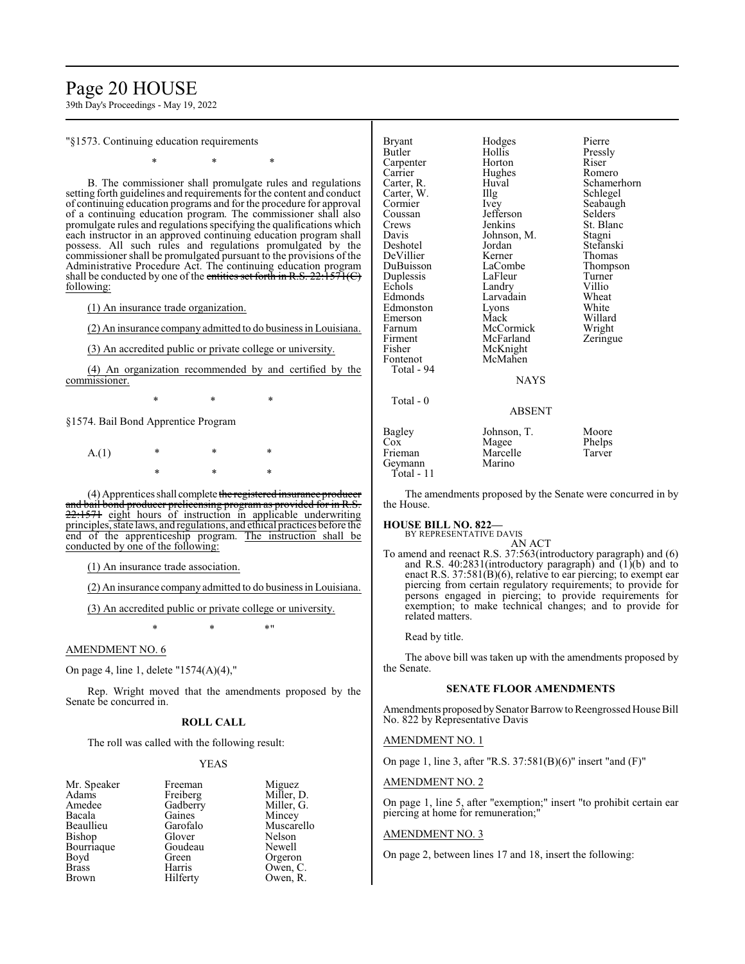## Page 20 HOUSE

39th Day's Proceedings - May 19, 2022

"§1573. Continuing education requirements

\* \* \*

B. The commissioner shall promulgate rules and regulations setting forth guidelines and requirements for the content and conduct of continuing education programs and for the procedure for approval of a continuing education program. The commissioner shall also promulgate rules and regulations specifying the qualifications which each instructor in an approved continuing education program shall possess. All such rules and regulations promulgated by the commissioner shall be promulgated pursuant to the provisions of the Administrative Procedure Act. The continuing education program shall be conducted by one of the entities set forth in R.S.  $22:1571(C)$ following:

(1) An insurance trade organization.

(2) An insurance company admitted to do business in Louisiana.

(3) An accredited public or private college or university.

(4) An organization recommended by and certified by the commissioner.

\* \* \*

§1574. Bail Bond Apprentice Program

 $A(1)$ \* \* \*

(4) Apprentices shall complete the registered insurance producer and bail bond producer prelicensing program as provided for in R.S. 22:1571 eight hours of instruction in applicable underwriting principles, state laws, and regulations, and ethical practices before the end of the apprenticeship program. The instruction shall be conducted by one of the following:

(1) An insurance trade association.

(2) An insurance company admitted to do business in Louisiana.

(3) An accredited public or private college or university.

\* \* \*"

### AMENDMENT NO. 6

On page 4, line 1, delete "1574(A)(4),"

Rep. Wright moved that the amendments proposed by the Senate be concurred in.

#### **ROLL CALL**

The roll was called with the following result:

Goudeau<br>Green

#### YEAS

| Mr. Speaker |
|-------------|
| Adams       |
| Amedee      |
| Bacala      |
| Beaullieu   |
| Bishop      |
| Bourriaque  |
| Boyd        |
| Brass       |
| Brown       |

Freeman Miguez<br>Freiberg Miller, 1 Freiberg Miller, D.<br>Gadberry Miller, G. Gadberry Miller, G.<br>
Gaines Mincey Gaines Mincey<br>Garofalo Muscar Garofalo Muscarello<br>Glover Nelson Nelson<br>Newell Green Orgeron<br>Harris Owen, C Harris Owen, C.<br>Hilferty Owen, R. Owen, R.

| Bryant<br>Butler<br>Carpenter<br>Carrier<br>Carter, R.<br>Carter, W.<br>Cormier<br>Coussan<br>Crews<br>Davis<br>Deshotel<br>DeVillier<br>DuBuisson<br>Duplessis<br>Echols<br>Edmonds<br>Edmonston<br>Emerson<br>Farnum<br>Firment<br>Fisher<br>Fontenot<br>Total - 94 | Hodges<br>Hollis<br>Horton<br>Hughes<br>Huval<br>Illg<br>Ivey<br>Jefferson<br>Jenkins<br>Johnson, M.<br>Jordan<br>Kerner<br>LaCombe<br>LaFleur<br>Landry<br>Larvadain<br>Lyons<br>Mack<br>McCormick<br>McFarland<br>McKnight<br>McMahen<br><b>NAYS</b> | Pierre<br>Pressly<br>Riser<br>Romero<br>Schamerhorn<br>Schlegel<br>Seabaugh<br>Selders<br>St. Blanc<br><b>Stagni</b><br>Stefanski<br>Thomas<br>Thompson<br>Turner<br>Villio<br>Wheat<br>White<br>Willard<br>Wright<br>Zeringue |
|-----------------------------------------------------------------------------------------------------------------------------------------------------------------------------------------------------------------------------------------------------------------------|--------------------------------------------------------------------------------------------------------------------------------------------------------------------------------------------------------------------------------------------------------|--------------------------------------------------------------------------------------------------------------------------------------------------------------------------------------------------------------------------------|
| Total - 0                                                                                                                                                                                                                                                             | <b>ABSENT</b>                                                                                                                                                                                                                                          |                                                                                                                                                                                                                                |
| Bagley<br>Cox<br>Frieman<br>Geymann<br>Total - 11                                                                                                                                                                                                                     | Johnson, T.<br>Magee<br>Marcelle<br>Marino                                                                                                                                                                                                             | Moore<br>Phelps<br>Tarver                                                                                                                                                                                                      |

The amendments proposed by the Senate were concurred in by the House.

#### **HOUSE BILL NO. 822—**

BY REPRESENTATIVE DAVIS AN ACT

To amend and reenact R.S. 37:563(introductory paragraph) and (6) and R.S. 40:2831(introductory paragraph) and (1)(b) and to enact R.S. 37:581(B)(6), relative to ear piercing; to exempt ear piercing from certain regulatory requirements; to provide for persons engaged in piercing; to provide requirements for exemption; to make technical changes; and to provide for related matters.

Read by title.

The above bill was taken up with the amendments proposed by the Senate.

#### **SENATE FLOOR AMENDMENTS**

Amendments proposed by Senator Barrow to Reengrossed House Bill No. 822 by Representative Davis

#### AMENDMENT NO. 1

On page 1, line 3, after "R.S. 37:581(B)(6)" insert "and (F)"

AMENDMENT NO. 2

On page 1, line 5, after "exemption;" insert "to prohibit certain ear piercing at home for remuneration;"

#### AMENDMENT NO. 3

On page 2, between lines 17 and 18, insert the following: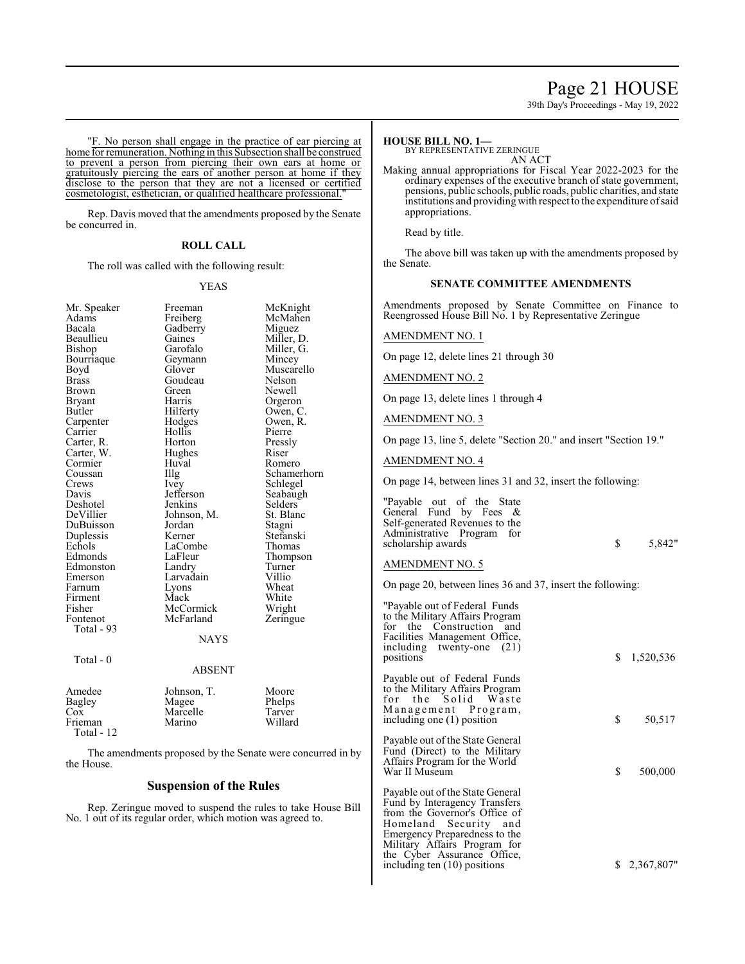## Page 21 HOUSE

39th Day's Proceedings - May 19, 2022

"F. No person shall engage in the practice of ear piercing at home for remuneration. Nothing in this Subsection shall be construed to prevent a person from piercing their own ears at home or gratuitously piercing the ears of another person at home if they disclose to the person that they are not a licensed or certified cosmetologist, esthetician, or qualified healthcare professional."

Rep. Davis moved that the amendments proposed by the Senate be concurred in.

#### **ROLL CALL**

The roll was called with the following result:

#### YEAS

| Mr. Speaker           | Freeman                                                | McKnight    |
|-----------------------|--------------------------------------------------------|-------------|
| Adams                 | Freiberg                                               | McMahen     |
| Bacala                | Gadberry                                               | Miguez      |
| Beaullieu             | Gaines                                                 | Miller, D.  |
| Bishop                | Garofalo                                               | Miller, G.  |
| Bourriaque            | Geymann                                                | Mincey      |
| Boyd                  | Glover                                                 | Muscarello  |
| Brass                 | Goudeau                                                | Nelson      |
| <b>Brown</b>          | Green                                                  | Newell      |
| <b>Bryant</b>         | Harris                                                 | Orgeron     |
| Butler                | Hilferty                                               | Owen, C.    |
| Carpenter             | Hodges                                                 | Owen, R.    |
| Carrier               | Hollis                                                 | Pierre      |
| Carter, R.            | Horton                                                 | Pressly     |
|                       |                                                        |             |
| Carter, W.<br>Cormier | Hughes<br>Huval                                        | Riser       |
|                       |                                                        | Romero      |
| Coussan               | Illg                                                   | Schamerhorn |
| Crews                 | Ivey                                                   | Schlegel    |
| Davis                 | Jefferson                                              | Seabaugh    |
| Deshotel              | Jenkins                                                | Selders     |
| DeVillier             | Johnson, M.                                            | St. Blanc   |
| DuBuisson             | Jordan                                                 | Stagni      |
| Duplessis             | Kerner                                                 | Stefanski   |
| Echols                | LaCombe                                                | Thomas      |
| Edmonds               | LaFleur                                                | Thompson    |
| Edmonston             | Landry                                                 | Turner      |
| Emerson               | Larvadain                                              | Villio      |
| Farnum                | Lyons                                                  | Wheat       |
| Firment               | Mack                                                   | White       |
| Fisher                | McCormick                                              | Wright      |
| Fontenot              | McFarland                                              | Zeringue    |
| Total - 93            |                                                        |             |
|                       | <b>NAYS</b>                                            |             |
| Total - 0             |                                                        |             |
|                       | <b>ABSENT</b>                                          |             |
| Amedee                | Johnson, T.                                            | Moore       |
| <b>Bagley</b>         | Magee                                                  | Phelps      |
| $\cos$                | Marcelle                                               | Tarver      |
| Frieman               | Marino                                                 | Willard     |
| Total - 12            |                                                        |             |
|                       |                                                        |             |
|                       | The amendments proposed by the Senate were concurred i |             |

The amendments proposed by the Senate were concurred in by the House.

### **Suspension of the Rules**

Rep. Zeringue moved to suspend the rules to take House Bill No. 1 out of its regular order, which motion was agreed to.

#### **HOUSE BILL NO. 1—**

**BY REPRESENTATIVE ZERINGUE** AN ACT

Making annual appropriations for Fiscal Year 2022-2023 for the ordinary expenses of the executive branch of state government, pensions, public schools, public roads, public charities, and state institutions and providing with respect to the expenditure of said appropriations.

Read by title.

The above bill was taken up with the amendments proposed by the Senate.

#### **SENATE COMMITTEE AMENDMENTS**

Amendments proposed by Senate Committee on Finance to Reengrossed House Bill No. 1 by Representative Zeringue

#### AMENDMENT NO. 1

On page 12, delete lines 21 through 30

AMENDMENT NO. 2

On page 13, delete lines 1 through 4

#### AMENDMENT NO. 3

On page 13, line 5, delete "Section 20." and insert "Section 19."

### AMENDMENT NO. 4

On page 14, between lines 31 and 32, insert the following:

| \$                                                         | 5,842"       |
|------------------------------------------------------------|--------------|
|                                                            |              |
| On page 20, between lines 36 and 37, insert the following: |              |
| \$                                                         | 1,520,536    |
| \$                                                         | 50,517       |
| \$                                                         | 500,000      |
|                                                            | \$2,367,807" |
|                                                            |              |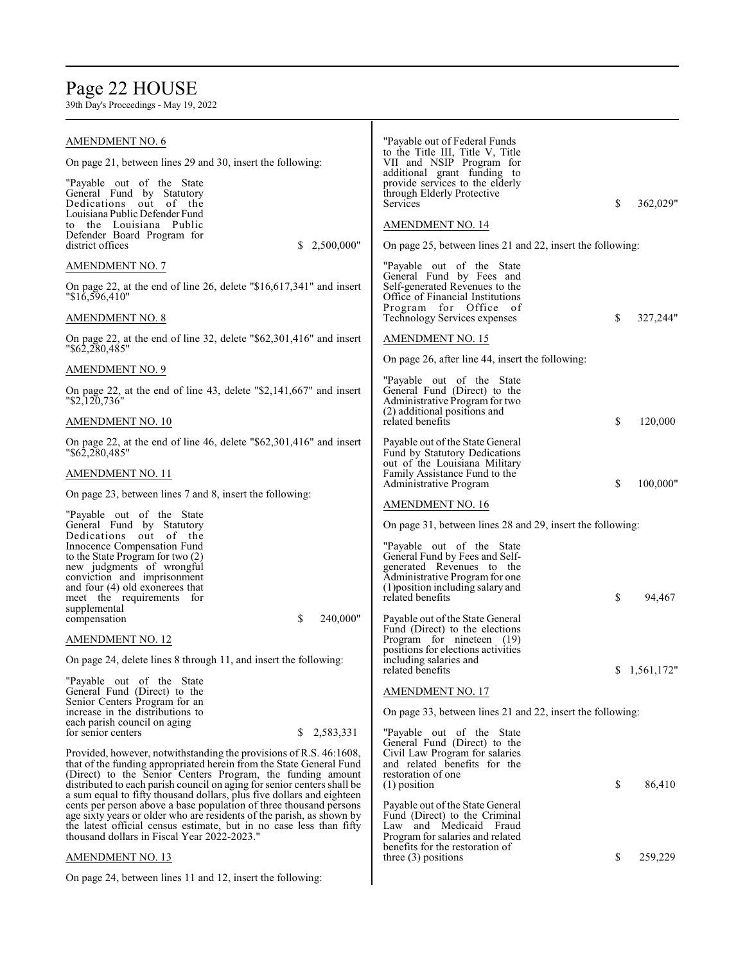## Page 22 HOUSE

| AMENDMENT NO. 6                                                                                                                             | "Payable out of Federal Funds"<br>to the Title III, Title V, Title                             |                |
|---------------------------------------------------------------------------------------------------------------------------------------------|------------------------------------------------------------------------------------------------|----------------|
| On page 21, between lines 29 and 30, insert the following:                                                                                  | VII and NSIP Program for<br>additional grant funding to                                        |                |
| "Payable out of the State"<br>General Fund by Statutory<br>Dedications out of the<br>Louisiana Public Defender Fund                         | provide services to the elderly<br>through Elderly Protective<br>Services                      | \$<br>362,029" |
| to the Louisiana Public                                                                                                                     | <b>AMENDMENT NO. 14</b>                                                                        |                |
| Defender Board Program for<br>district offices<br>2,500,000"<br>S                                                                           | On page 25, between lines 21 and 22, insert the following:                                     |                |
| <b>AMENDMENT NO. 7</b>                                                                                                                      | "Payable out of the State                                                                      |                |
| On page 22, at the end of line 26, delete " $$16,617,341$ " and insert<br>"\$16,596,410"                                                    | General Fund by Fees and<br>Self-generated Revenues to the<br>Office of Financial Institutions |                |
| <b>AMENDMENT NO. 8</b>                                                                                                                      | Program for Office of<br>Technology Services expenses                                          | \$<br>327,244" |
| On page 22, at the end of line 32, delete "\$62,301,416" and insert<br>"\$62,280,485"                                                       | AMENDMENT NO. 15                                                                               |                |
| <b>AMENDMENT NO. 9</b>                                                                                                                      | On page 26, after line 44, insert the following:                                               |                |
| On page 22, at the end of line 43, delete "\$2,141,667" and insert<br>"\$2,120,736"                                                         | "Payable out of the State<br>General Fund (Direct) to the<br>Administrative Program for two    |                |
| <b>AMENDMENT NO. 10</b>                                                                                                                     | (2) additional positions and<br>related benefits                                               | \$<br>120,000  |
| On page 22, at the end of line 46, delete "\$62,301,416" and insert<br>"\$62,280,485"                                                       | Payable out of the State General<br>Fund by Statutory Dedications                              |                |
| <b>AMENDMENT NO. 11</b>                                                                                                                     | out of the Louisiana Military<br>Family Assistance Fund to the                                 | \$             |
| On page 23, between lines 7 and 8, insert the following:                                                                                    | Administrative Program<br><b>AMENDMENT NO. 16</b>                                              | 100,000"       |
| "Payable out of the State"                                                                                                                  |                                                                                                |                |
| General Fund by Statutory<br>Dedications out of the                                                                                         | On page 31, between lines 28 and 29, insert the following:                                     |                |
| Innocence Compensation Fund<br>to the State Program for two (2)                                                                             | "Payable out of the State<br>General Fund by Fees and Self-                                    |                |
| new judgments of wrongful                                                                                                                   | generated Revenues to the                                                                      |                |
| conviction and imprisonment                                                                                                                 | Administrative Program for one                                                                 |                |
| and four $(4)$ old exonerees that<br>meet the requirements for                                                                              | (1) position including salary and<br>related benefits                                          | \$<br>94,467   |
| supplemental<br>\$<br>240,000"<br>compensation                                                                                              | Payable out of the State General                                                               |                |
|                                                                                                                                             | Fund (Direct) to the elections                                                                 |                |
| <b>AMENDMENT NO. 12</b>                                                                                                                     | Program for nineteen (19)                                                                      |                |
| On page 24, delete lines 8 through 11, and insert the following:                                                                            | positions for elections activities<br>including salaries and<br>related benefits               | \$1,561,172"   |
| "Payable out of the State                                                                                                                   |                                                                                                |                |
| General Fund (Direct) to the                                                                                                                | <b>AMENDMENT NO. 17</b>                                                                        |                |
| Senior Centers Program for an<br>increase in the distributions to<br>each parish council on aging                                           | On page 33, between lines 21 and 22, insert the following:                                     |                |
| 2,583,331<br>for senior centers<br>S.                                                                                                       | "Payable out of the State"                                                                     |                |
| Provided, however, notwithstanding the provisions of R.S. 46:1608,                                                                          | General Fund (Direct) to the<br>Civil Law Program for salaries                                 |                |
| that of the funding appropriated herein from the State General Fund                                                                         | and related benefits for the                                                                   |                |
| (Direct) to the Senior Centers Program, the funding amount<br>distributed to each parish council on aging for senior centers shall be       | restoration of one<br>$(1)$ position                                                           | \$<br>86,410   |
| a sum equal to fifty thousand dollars, plus five dollars and eighteen<br>cents per person above a base population of three thousand persons | Payable out of the State General                                                               |                |
| age sixty years or older who are residents of the parish, as shown by                                                                       | Fund (Direct) to the Criminal                                                                  |                |
| the latest official census estimate, but in no case less than fifty<br>thousand dollars in Fiscal Year 2022-2023."                          | Law and Medicaid Fraud<br>Program for salaries and related                                     |                |
|                                                                                                                                             | benefits for the restoration of                                                                |                |
| <b>AMENDMENT NO. 13</b>                                                                                                                     | three $(3)$ positions                                                                          | \$<br>259,229  |
| On page 24, between lines 11 and 12, insert the following:                                                                                  |                                                                                                |                |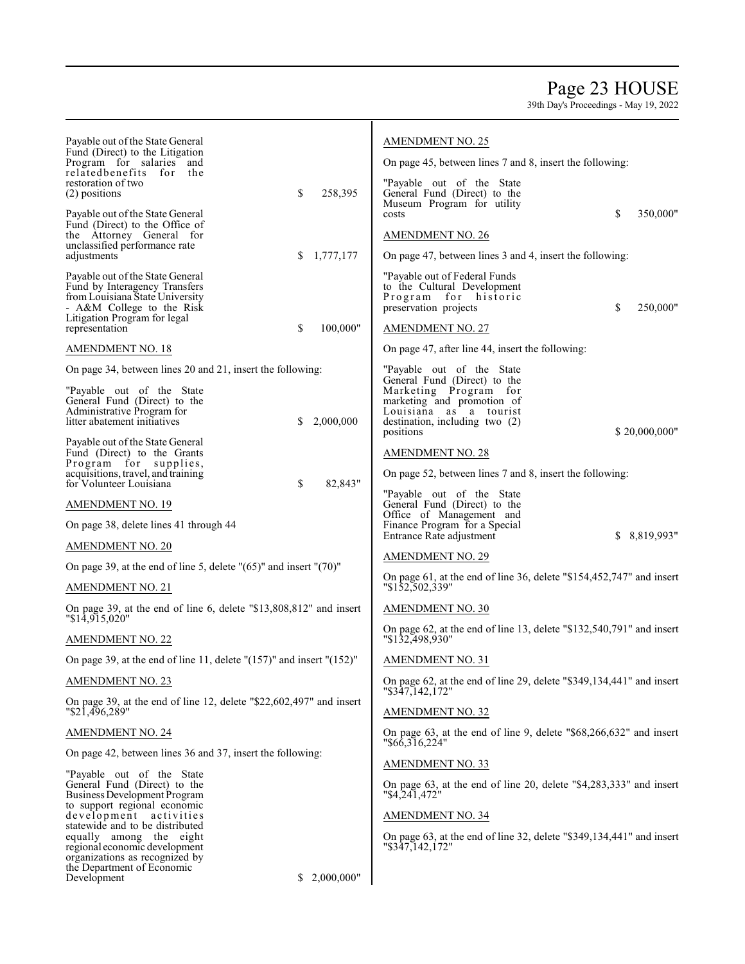## Page 23 HOUSE

| Payable out of the State General<br>Fund (Direct) to the Litigation                   | <b>AMENDMENT NO. 25</b>                                                                 |
|---------------------------------------------------------------------------------------|-----------------------------------------------------------------------------------------|
| Program for salaries and<br>relatedbenefits for<br>the                                | On page 45, between lines 7 and 8, insert the following:                                |
| restoration of two                                                                    | "Payable out of the State                                                               |
| \$<br>258,395<br>(2) positions                                                        | General Fund (Direct) to the<br>Museum Program for utility                              |
| Payable out of the State General<br>Fund (Direct) to the Office of                    | \$<br>350,000"<br>costs                                                                 |
| the Attorney General for<br>unclassified performance rate                             | <b>AMENDMENT NO. 26</b>                                                                 |
| \$<br>1,777,177<br>adjustments                                                        | On page 47, between lines 3 and 4, insert the following:                                |
| Payable out of the State General<br>Fund by Interagency Transfers                     | "Payable out of Federal Funds"<br>to the Cultural Development                           |
| from Louisiana State University<br>- A&M College to the Risk                          | Program for historic<br>\$<br>250,000"<br>preservation projects                         |
| Litigation Program for legal<br>\$<br>100,000"<br>representation                      | <b>AMENDMENT NO. 27</b>                                                                 |
| <b>AMENDMENT NO. 18</b>                                                               | On page 47, after line 44, insert the following:                                        |
| On page 34, between lines 20 and 21, insert the following:                            | "Payable out of the State"                                                              |
|                                                                                       | General Fund (Direct) to the                                                            |
| "Payable out of the State<br>General Fund (Direct) to the                             | Marketing Program for<br>marketing and promotion of                                     |
| Administrative Program for<br>2,000,000<br>litter abatement initiatives<br>\$         | Louisiana as a tourist<br>destination, including two (2)                                |
| Payable out of the State General                                                      | \$20,000,000"<br>positions                                                              |
| Fund (Direct) to the Grants<br>Program for supplies,                                  | <b>AMENDMENT NO. 28</b>                                                                 |
| acquisitions, travel, and training<br>\$<br>for Volunteer Louisiana<br>82,843"        | On page 52, between lines 7 and 8, insert the following:                                |
| <b>AMENDMENT NO. 19</b>                                                               | "Payable out of the State"<br>General Fund (Direct) to the                              |
| On page 38, delete lines 41 through 44                                                | Office of Management and<br>Finance Program for a Special                               |
| <b>AMENDMENT NO. 20</b>                                                               | \$8,819,993"<br>Entrance Rate adjustment                                                |
| On page 39, at the end of line 5, delete $(65)$ " and insert " $(70)$ "               | <b>AMENDMENT NO. 29</b>                                                                 |
| <b>AMENDMENT NO. 21</b>                                                               | On page 61, at the end of line 36, delete "\$154,452,747" and insert<br>"\$152,502,339" |
| On page 39, at the end of line 6, delete "\$13,808,812" and insert                    | <b>AMENDMENT NO. 30</b>                                                                 |
| "\$14,915,020"                                                                        | On page 62, at the end of line 13, delete "\$132,540,791" and insert                    |
| <b>AMENDMENT NO. 22</b>                                                               | "\$132,498,930"                                                                         |
| On page 39, at the end of line 11, delete " $(157)$ " and insert " $(152)$ "          | <b>AMENDMENT NO. 31</b>                                                                 |
| <b>AMENDMENT NO. 23</b>                                                               | On page 62, at the end of line 29, delete "\$349,134,441" and insert<br>"\$347,142,172" |
| On page 39, at the end of line 12, delete "\$22,602,497" and insert<br>"\$21,496,289" | <b>AMENDMENT NO. 32</b>                                                                 |
| <b>AMENDMENT NO. 24</b>                                                               | On page 63, at the end of line 9, delete "\$68,266,632" and insert<br>" \$66,316,224"   |
| On page 42, between lines 36 and 37, insert the following:                            | <b>AMENDMENT NO. 33</b>                                                                 |
| "Payable out of the State<br>General Fund (Direct) to the                             | On page 63, at the end of line 20, delete "\$4,283,333" and insert                      |
| Business Development Program                                                          | "\$4,241,472"                                                                           |
| to support regional economic<br>development activities                                | <b>AMENDMENT NO. 34</b>                                                                 |
| statewide and to be distributed<br>equally among the eight                            | On page 63, at the end of line 32, delete "\$349,134,441" and insert                    |
| regional economic development<br>organizations as recognized by                       | "\$347,142,172"                                                                         |
| the Department of Economic<br>Development<br>2,000,000"<br>S.                         |                                                                                         |
|                                                                                       |                                                                                         |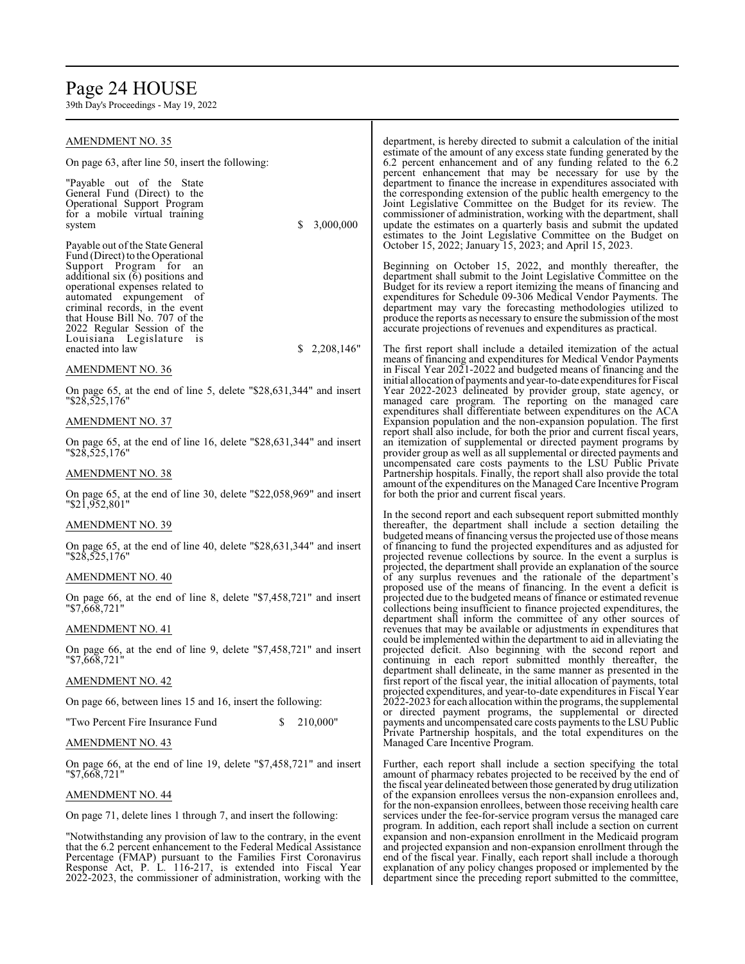## Page 24 HOUSE

| AMENDMENT NO. 35                                                                                                                          | department, is hereby directed to submit a calculation of the initial                                                                                                                            |
|-------------------------------------------------------------------------------------------------------------------------------------------|--------------------------------------------------------------------------------------------------------------------------------------------------------------------------------------------------|
| On page 63, after line 50, insert the following:                                                                                          | estimate of the amount of any excess state funding generated by the<br>6.2 percent enhancement and of any funding related to the 6.2<br>percent enhancement that may be necessary for use by the |
| "Payable out of the State"<br>General Fund (Direct) to the                                                                                | department to finance the increase in expenditures associated with<br>the corresponding extension of the public health emergency to the                                                          |
| Operational Support Program                                                                                                               | Joint Legislative Committee on the Budget for its review. The                                                                                                                                    |
| for a mobile virtual training                                                                                                             | commissioner of administration, working with the department, shall                                                                                                                               |
| 3,000,000<br>S<br>system                                                                                                                  | update the estimates on a quarterly basis and submit the updated                                                                                                                                 |
| Payable out of the State General                                                                                                          | estimates to the Joint Legislative Committee on the Budget on<br>October 15, 2022; January 15, 2023; and April 15, 2023.                                                                         |
| Fund (Direct) to the Operational<br>Support Program for an                                                                                | Beginning on October 15, 2022, and monthly thereafter, the                                                                                                                                       |
| additional six $(6)$ positions and                                                                                                        | department shall submit to the Joint Legislative Committee on the                                                                                                                                |
| operational expenses related to                                                                                                           | Budget for its review a report itemizing the means of financing and                                                                                                                              |
| automated expungement of                                                                                                                  | expenditures for Schedule 09-306 Medical Vendor Payments. The                                                                                                                                    |
| criminal records, in the event                                                                                                            | department may vary the forecasting methodologies utilized to                                                                                                                                    |
| that House Bill No. 707 of the                                                                                                            | produce the reports as necessary to ensure the submission of the most                                                                                                                            |
| 2022 Regular Session of the                                                                                                               | accurate projections of revenues and expenditures as practical.                                                                                                                                  |
| Louisiana Legislature is                                                                                                                  |                                                                                                                                                                                                  |
| \$<br>2,208,146"<br>enacted into law                                                                                                      | The first report shall include a detailed itemization of the actual                                                                                                                              |
| AMENDMENT NO. 36                                                                                                                          | means of financing and expenditures for Medical Vendor Payments<br>in Fiscal Year 2021-2022 and budgeted means of financing and the                                                              |
|                                                                                                                                           | initial allocation of payments and year-to-date expenditures for Fiscal                                                                                                                          |
| On page 65, at the end of line 5, delete "\$28,631,344" and insert                                                                        | Year 2022-2023 delineated by provider group, state agency, or                                                                                                                                    |
| "\$28,525,176"                                                                                                                            | managed care program. The reporting on the managed care                                                                                                                                          |
|                                                                                                                                           | expenditures shall differentiate between expenditures on the ACA                                                                                                                                 |
| AMENDMENT NO. 37                                                                                                                          | Expansion population and the non-expansion population. The first                                                                                                                                 |
|                                                                                                                                           | report shall also include, for both the prior and current fiscal years,                                                                                                                          |
| On page 65, at the end of line 16, delete "\$28,631,344" and insert                                                                       | an itemization of supplemental or directed payment programs by                                                                                                                                   |
| "\$28,525,176"                                                                                                                            | provider group as well as all supplemental or directed payments and<br>uncompensated care costs payments to the LSU Public Private                                                               |
| AMENDMENT NO. 38                                                                                                                          | Partnership hospitals. Finally, the report shall also provide the total                                                                                                                          |
|                                                                                                                                           | amount of the expenditures on the Managed Care Incentive Program                                                                                                                                 |
| On page 65, at the end of line 30, delete "\$22,058,969" and insert                                                                       | for both the prior and current fiscal years.                                                                                                                                                     |
| "\$21,952,801"                                                                                                                            |                                                                                                                                                                                                  |
|                                                                                                                                           | In the second report and each subsequent report submitted monthly                                                                                                                                |
| AMENDMENT NO. 39                                                                                                                          | thereafter, the department shall include a section detailing the                                                                                                                                 |
| On page 65, at the end of line 40, delete "\$28,631,344" and insert                                                                       | budgeted means of financing versus the projected use of those means<br>of financing to fund the projected expenditures and as adjusted for                                                       |
| "\$28,525,176"                                                                                                                            | projected revenue collections by source. In the event a surplus is                                                                                                                               |
|                                                                                                                                           | projected, the department shall provide an explanation of the source                                                                                                                             |
| AMENDMENT NO. 40                                                                                                                          | of any surplus revenues and the rationale of the department's                                                                                                                                    |
|                                                                                                                                           | proposed use of the means of financing. In the event a deficit is                                                                                                                                |
| On page 66, at the end of line 8, delete "\$7,458,721" and insert                                                                         | projected due to the budgeted means of finance or estimated revenue                                                                                                                              |
| "\$7,668,721"                                                                                                                             | collections being insufficient to finance projected expenditures, the                                                                                                                            |
| <b>AMENDMENT NO. 41</b>                                                                                                                   | department shall inform the committee of any other sources of<br>revenues that may be available or adjustments in expenditures that                                                              |
|                                                                                                                                           | could be implemented within the department to aid in alleviating the                                                                                                                             |
| On page 66, at the end of line 9, delete "\$7,458,721" and insert                                                                         | projected deficit. Also beginning with the second report and                                                                                                                                     |
| "\$7,668,721"                                                                                                                             | continuing in each report submitted monthly thereafter, the                                                                                                                                      |
|                                                                                                                                           | department shall delineate, in the same manner as presented in the                                                                                                                               |
| AMENDMENT NO. 42                                                                                                                          | first report of the fiscal year, the initial allocation of payments, total                                                                                                                       |
| On page 66, between lines 15 and 16, insert the following:                                                                                | projected expenditures, and year-to-date expenditures in Fiscal Year<br>2022-2023 for each allocation within the programs, the supplemental                                                      |
|                                                                                                                                           | or directed payment programs, the supplemental or directed                                                                                                                                       |
| 210,000"<br>"Two Percent Fire Insurance Fund<br>\$                                                                                        | payments and uncompensated care costs payments to the LSU Public                                                                                                                                 |
|                                                                                                                                           | Private Partnership hospitals, and the total expenditures on the                                                                                                                                 |
| AMENDMENT NO. 43                                                                                                                          | Managed Care Incentive Program.                                                                                                                                                                  |
| On page 66, at the end of line 19, delete "\$7,458,721" and insert                                                                        | Further, each report shall include a section specifying the total                                                                                                                                |
| "\$7,668,721"                                                                                                                             | amount of pharmacy rebates projected to be received by the end of                                                                                                                                |
|                                                                                                                                           | the fiscal year delineated between those generated by drug utilization                                                                                                                           |
| <b>AMENDMENT NO. 44</b>                                                                                                                   | of the expansion enrollees versus the non-expansion enrollees and,                                                                                                                               |
|                                                                                                                                           | for the non-expansion enrollees, between those receiving health care                                                                                                                             |
| On page 71, delete lines 1 through 7, and insert the following:                                                                           | services under the fee-for-service program versus the managed care                                                                                                                               |
|                                                                                                                                           | program. In addition, each report shall include a section on current                                                                                                                             |
| "Notwithstanding any provision of law to the contrary, in the event<br>that the 6.2 percent enhancement to the Federal Medical Assistance | expansion and non-expansion enrollment in the Medicaid program<br>and projected expansion and non-expansion enrollment through the                                                               |
| Percentage (FMAP) pursuant to the Families First Coronavirus                                                                              | end of the fiscal year. Finally, each report shall include a thorough                                                                                                                            |
| Response Act, P. L. 116-217, is extended into Fiscal Year                                                                                 | explanation of any policy changes proposed or implemented by the                                                                                                                                 |
| 2022-2023, the commissioner of administration, working with the                                                                           | department since the preceding report submitted to the committee,                                                                                                                                |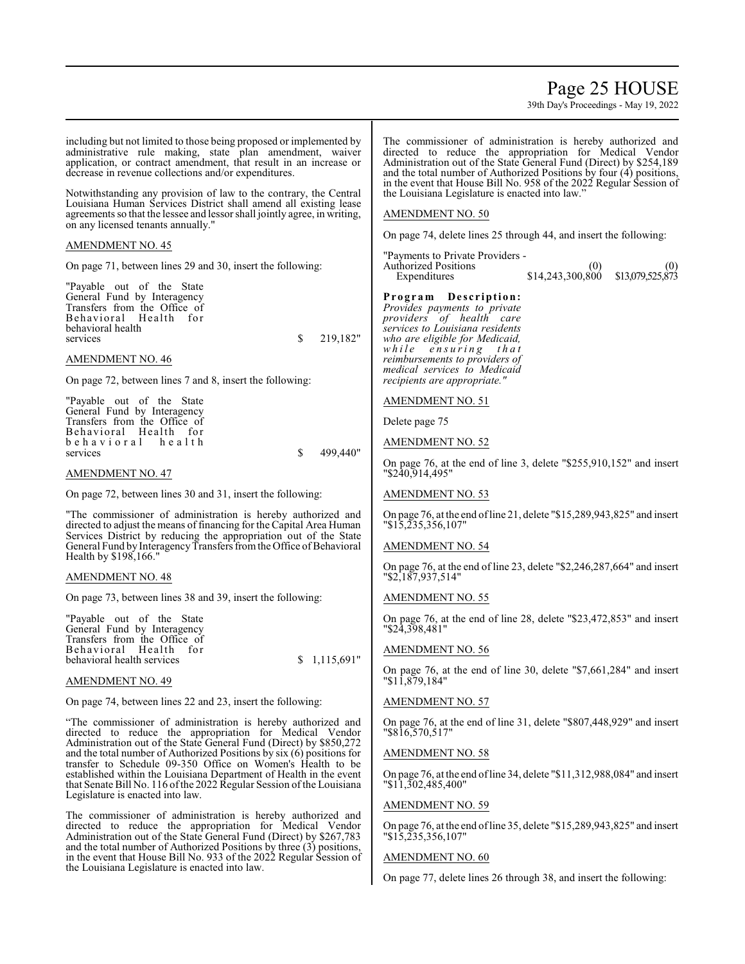## Page 25 HOUSE

39th Day's Proceedings - May 19, 2022



On page 77, delete lines 26 through 38, and insert the following: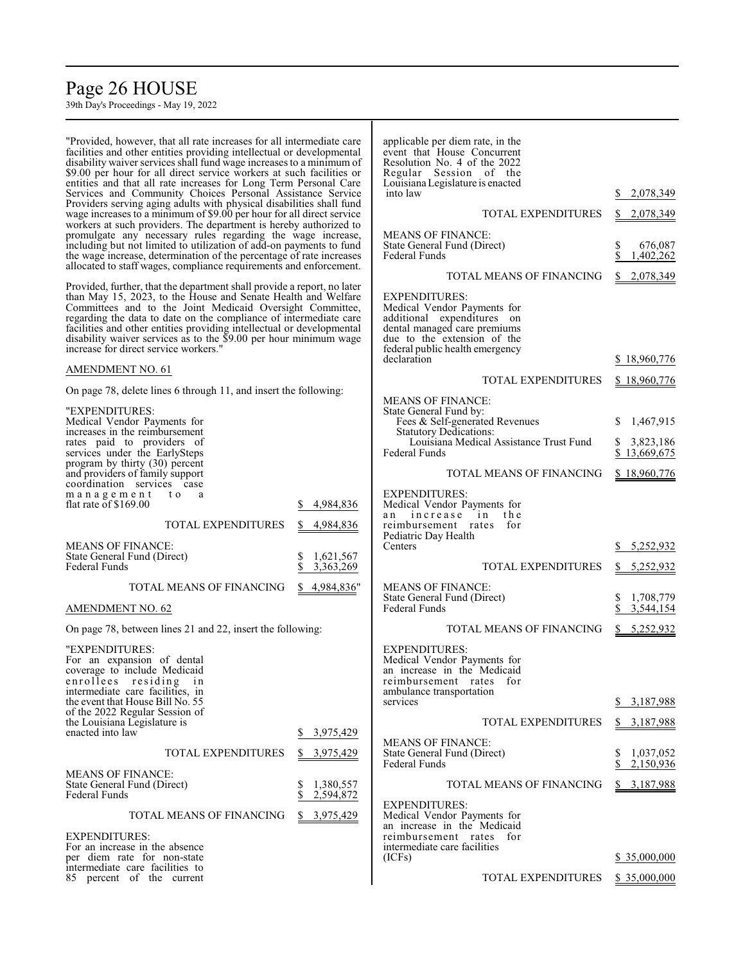## Page 26 HOUSE

39th Day's Proceedings - May 19, 2022

"Provided, however, that all rate increases for all intermediate care facilities and other entities providing intellectual or developmental disability waiver services shall fund wage increases to a minimum of \$9.00 per hour for all direct service workers at such facilities or entities and that all rate increases for Long Term Personal Care Services and Community Choices Personal Assistance Service Providers serving aging adults with physical disabilities shall fund wage increases to a minimum of \$9.00 per hour for all direct service workers at such providers. The department is hereby authorized to promulgate any necessary rules regarding the wage increase, including but not limited to utilization of add-on payments to fund the wage increase, determination of the percentage of rate increases allocated to staff wages, compliance requirements and enforcement. Provided, further, that the department shall provide a report, no later than May 15, 2023, to the House and Senate Health and Welfare Committees and to the Joint Medicaid Oversight Committee, regarding the data to date on the compliance of intermediate care facilities and other entities providing intellectual or developmental disability waiver services as to the \$9.00 per hour minimum wage increase for direct service workers." AMENDMENT NO. 61 On page 78, delete lines 6 through 11, and insert the following: "EXPENDITURES: Medical Vendor Payments for increases in the reimbursement rates paid to providers of services under the EarlySteps program by thirty (30) percent and providers of family support coordination services case<br>m a n a g e m e n t t o a  $m a n a g e m e n t$ flat rate of \$169.00 \$ 4,984,836 TOTAL EXPENDITURES \$ 4,984,836 MEANS OF FINANCE: State General Fund (Direct) \$ 1,621,567<br>Federal Funds \$ 3,363,269 Federal Funds TOTAL MEANS OF FINANCING \$ 4,984,836" AMENDMENT NO. 62 On page 78, between lines 21 and 22, insert the following: "EXPENDITURES: For an expansion of dental coverage to include Medicaid enrollees residing in intermediate care facilities, in the event that House Bill No. 55 of the 2022 Regular Session of the Louisiana Legislature is enacted into law  $\frac{1}{2}$  \$ 3,975,429 TOTAL EXPENDITURES \$ 3,975,429 MEANS OF FINANCE: State General Fund (Direct)<br>
Federal Funds<br>  $\begin{array}{r} 8 & 1,380,557 \\ 8 & 2,594,872 \end{array}$ 2,594,872 TOTAL MEANS OF FINANCING \$ 3,975,429 EXPENDITURES: For an increase in the absence per diem rate for non-state intermediate care facilities to applicable per diem rate, in the event that House Concurrent Resolution No. 4 of the 2022 Regular Session of the Louisiana Legislature is enacted into law \$ 2,078,349 TOTAL EXPENDITURES \$ 2,078,349 MEANS OF FINANCE: State General Fund (Direct)  $\$$  676,087<br>Federal Funds  $\$$  1,402,262 Federal Funds TOTAL MEANS OF FINANCING \$ 2,078,349 EXPENDITURES: Medical Vendor Payments for additional expenditures on dental managed care premiums due to the extension of the federal public health emergency declaration \$ 18,960,776 TOTAL EXPENDITURES \$18,960,776 MEANS OF FINANCE: State General Fund by: Fees & Self-generated Revenues \$ 1,467,915 Statutory Dedications: Louisiana Medical Assistance Trust Fund \$ 3,823,186<br>Federal Funds \$ 13,669,675  $$13,669,675$ TOTAL MEANS OF FINANCING \$18,960,776 EXPENDITURES: Medical Vendor Payments for an increase in the reimbursement rates for Pediatric Day Health  $$ 5,252,932$ TOTAL EXPENDITURES \$ 5,252,932 MEANS OF FINANCE: State General Fund (Direct)<br>
Federal Funds<br>
\$ 3,544,154<br>
\$ 3,544,154 Federal Funds TOTAL MEANS OF FINANCING \$ 5,252,932 EXPENDITURES: Medical Vendor Payments for an increase in the Medicaid reimbursement rates for ambulance transportation services \$ 3,187,988 TOTAL EXPENDITURES \$ 3,187,988 MEANS OF FINANCE: State General Fund (Direct) \$ 1,037,052<br>Federal Funds \$ 2,150,936 Federal Funds TOTAL MEANS OF FINANCING \$ 3,187,988 EXPENDITURES: Medical Vendor Payments for an increase in the Medicaid reimbursement rates for intermediate care facilities \$ 35,000,000

TOTAL EXPENDITURES \$35,000,000

85 percent of the current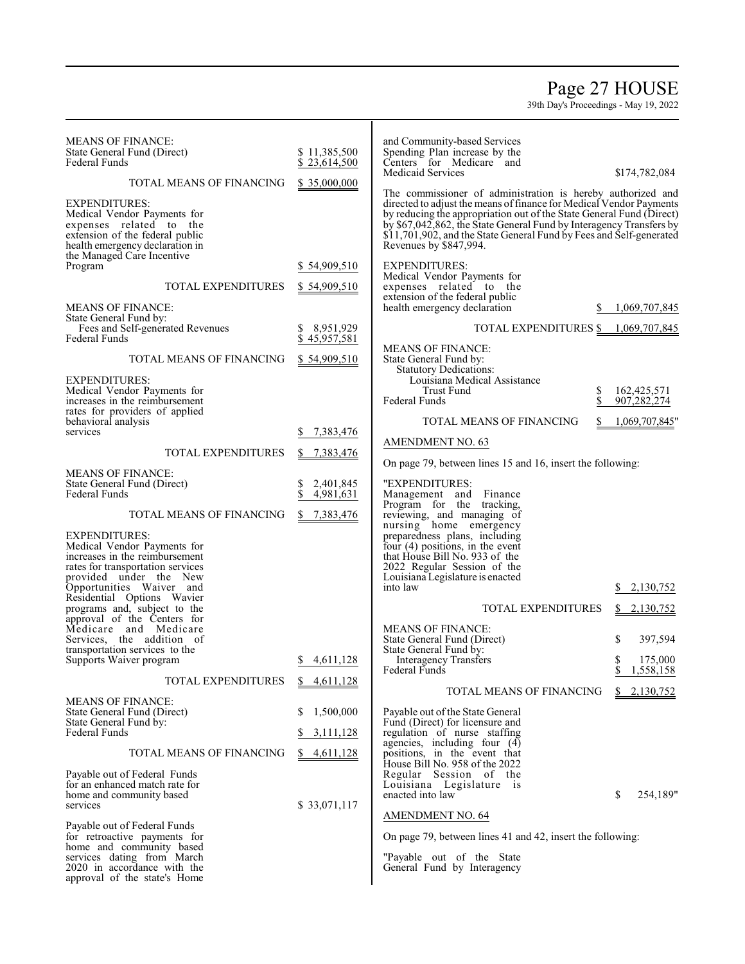## Page 27 HOUSE

| <b>MEANS OF FINANCE:</b>                                           |                      | and Community-based Services                                                                  |                       |
|--------------------------------------------------------------------|----------------------|-----------------------------------------------------------------------------------------------|-----------------------|
| State General Fund (Direct)                                        | \$11,385,500         | Spending Plan increase by the                                                                 |                       |
| <b>Federal Funds</b>                                               | \$23,614,500         | Centers for Medicare and<br>Medicaid Services                                                 |                       |
| TOTAL MEANS OF FINANCING                                           | \$35,000,000         | The commissioner of administration is hereby authorized and                                   | \$174,782,084         |
| <b>EXPENDITURES:</b>                                               |                      | directed to adjust the means of finance for Medical Vendor Payments                           |                       |
| Medical Vendor Payments for                                        |                      | by reducing the appropriation out of the State General Fund (Direct)                          |                       |
| expenses related to the                                            |                      | by \$67,042,862, the State General Fund by Interagency Transfers by                           |                       |
| extension of the federal public<br>health emergency declaration in |                      | \$11,701,902, and the State General Fund by Fees and Self-generated<br>Revenues by \$847,994. |                       |
| the Managed Care Incentive                                         |                      |                                                                                               |                       |
| Program                                                            | \$54,909,510         | <b>EXPENDITURES:</b>                                                                          |                       |
| <b>TOTAL EXPENDITURES</b>                                          | \$54,909,510         | Medical Vendor Payments for<br>expenses related to the                                        |                       |
| <b>MEANS OF FINANCE:</b>                                           |                      | extension of the federal public<br>health emergency declaration                               | 1,069,707,845         |
| State General Fund by:                                             |                      |                                                                                               |                       |
| Fees and Self-generated Revenues                                   | 8,951,929<br>S.      | TOTAL EXPENDITURES \$                                                                         | 1,069,707,845         |
| Federal Funds                                                      | \$45,957,581         |                                                                                               |                       |
|                                                                    |                      | <b>MEANS OF FINANCE:</b>                                                                      |                       |
| TOTAL MEANS OF FINANCING                                           | \$54,909,510         | State General Fund by:<br><b>Statutory Dedications:</b>                                       |                       |
| <b>EXPENDITURES:</b>                                               |                      | Louisiana Medical Assistance                                                                  |                       |
| Medical Vendor Payments for                                        |                      | Trust Fund<br>\$                                                                              | 162,425,571           |
| increases in the reimbursement                                     |                      | \$<br><b>Federal Funds</b>                                                                    | 907,282,274           |
| rates for providers of applied                                     |                      |                                                                                               |                       |
| behavioral analysis<br>services                                    | 7,383,476            | TOTAL MEANS OF FINANCING                                                                      | 1,069,707,845"        |
|                                                                    |                      | <b>AMENDMENT NO. 63</b>                                                                       |                       |
| <b>TOTAL EXPENDITURES</b>                                          | 7,383,476<br>S.      |                                                                                               |                       |
|                                                                    |                      | On page 79, between lines 15 and 16, insert the following:                                    |                       |
| <b>MEANS OF FINANCE:</b><br>State General Fund (Direct)            | 2,401,845            | "EXPENDITURES:                                                                                |                       |
| <b>Federal Funds</b>                                               | s<br>\$<br>4,981,631 | Management and Finance                                                                        |                       |
|                                                                    |                      | Program for the tracking,                                                                     |                       |
| TOTAL MEANS OF FINANCING                                           | 7,383,476<br>S.      | reviewing, and managing of<br>nursing home emergency                                          |                       |
| <b>EXPENDITURES:</b>                                               |                      |                                                                                               |                       |
| Medical Vendor Payments for                                        |                      | preparedness plans, including<br>four $(4)$ positions, in the event                           |                       |
| increases in the reimbursement                                     |                      | that House Bill No. 933 of the                                                                |                       |
| rates for transportation services                                  |                      | 2022 Regular Session of the                                                                   |                       |
| provided under the New                                             |                      | Louisiana Legislature is enacted                                                              |                       |
| Opportunities Waiver and<br>Residential Options Wavier             |                      | into law                                                                                      | 2,130,752             |
| programs and, subject to the                                       |                      | TOTAL EXPENDITURES                                                                            | \$2,130,752           |
| approval of the Centers for                                        |                      |                                                                                               |                       |
| Medicare and Medicare                                              |                      | <b>MEANS OF FINANCE:</b>                                                                      |                       |
| Services, the addition of<br>transportation services to the        |                      | State General Fund (Direct)                                                                   | \$<br>397,594         |
| Supports Waiver program                                            | 4,611,128<br>S.      | State General Fund by:<br><b>Interagency Transfers</b>                                        | \$<br>175,000         |
|                                                                    |                      | Federal Funds                                                                                 | 1,558,158<br>S        |
| TOTAL EXPENDITURES                                                 | 4,611,128            | TOTAL MEANS OF FINANCING                                                                      | $\frac{$2,130,752}{}$ |
| <b>MEANS OF FINANCE:</b>                                           |                      |                                                                                               |                       |
| State General Fund (Direct)<br>State General Fund by:              | 1,500,000<br>S       | Payable out of the State General                                                              |                       |
| <b>Federal Funds</b>                                               | 3,111,128            | Fund (Direct) for licensure and<br>regulation of nurse staffing                               |                       |
|                                                                    |                      | agencies, including four $(4)$                                                                |                       |
| TOTAL MEANS OF FINANCING                                           | 4,611,128            | positions, in the event that<br>House Bill No. 958 of the 2022                                |                       |
| Payable out of Federal Funds                                       |                      | Regular Session of the                                                                        |                       |
| for an enhanced match rate for                                     |                      | Louisiana Legislature is                                                                      |                       |
| home and community based                                           |                      | enacted into law                                                                              | \$<br>254,189"        |
| services                                                           | \$ 33,071,117        | <b>AMENDMENT NO. 64</b>                                                                       |                       |
| Payable out of Federal Funds                                       |                      |                                                                                               |                       |
| for retroactive payments for                                       |                      | On page 79, between lines 41 and 42, insert the following:                                    |                       |
| home and community based                                           |                      |                                                                                               |                       |
| services dating from March<br>2020 in accordance with the          |                      | "Payable out of the State<br>General Fund by Interagency                                      |                       |
| approval of the state's Home                                       |                      |                                                                                               |                       |
|                                                                    |                      |                                                                                               |                       |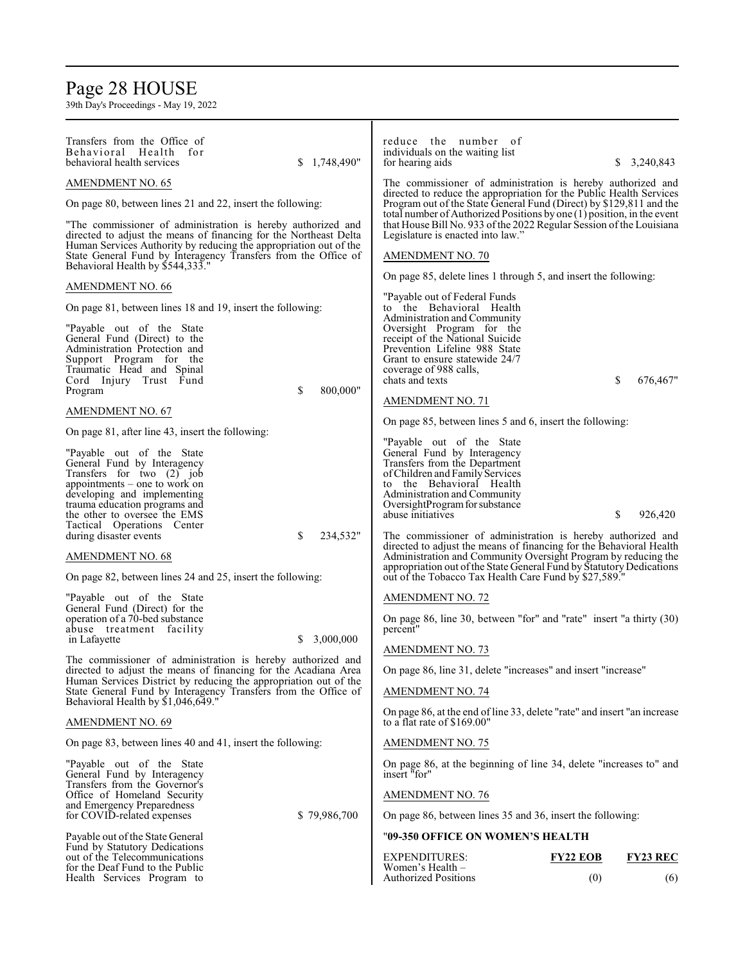## Page 28 HOUSE

| Transfers from the Office of<br>Behavioral Health<br>for<br>behavioral health services<br>\$1,748,490"                                                                                                 | reduce the number of<br>individuals on the waiting list<br>\$3,240,843<br>for hearing aids                                                                                                                           |
|--------------------------------------------------------------------------------------------------------------------------------------------------------------------------------------------------------|----------------------------------------------------------------------------------------------------------------------------------------------------------------------------------------------------------------------|
| AMENDMENT NO. 65                                                                                                                                                                                       | The commissioner of administration is hereby authorized and                                                                                                                                                          |
| On page 80, between lines 21 and 22, insert the following:                                                                                                                                             | directed to reduce the appropriation for the Public Health Services<br>Program out of the State General Fund (Direct) by \$129,811 and the<br>total number of Authorized Positions by one (1) position, in the event |
| "The commissioner of administration is hereby authorized and<br>directed to adjust the means of financing for the Northeast Delta<br>Human Services Authority by reducing the appropriation out of the | that House Bill No. 933 of the 2022 Regular Session of the Louisiana<br>Legislature is enacted into law."                                                                                                            |
| State General Fund by Interagency Transfers from the Office of<br>Behavioral Health by \$544,333."                                                                                                     | <b>AMENDMENT NO. 70</b>                                                                                                                                                                                              |
| AMENDMENT NO. 66                                                                                                                                                                                       | On page 85, delete lines 1 through 5, and insert the following:                                                                                                                                                      |
| On page 81, between lines 18 and 19, insert the following:                                                                                                                                             | "Payable out of Federal Funds<br>to the Behavioral Health                                                                                                                                                            |
|                                                                                                                                                                                                        | Administration and Community                                                                                                                                                                                         |
| "Payable out of the State<br>General Fund (Direct) to the                                                                                                                                              | Oversight Program for the<br>receipt of the National Suicide                                                                                                                                                         |
| Administration Protection and<br>Support Program for the                                                                                                                                               | Prevention Lifeline 988 State<br>Grant to ensure statewide 24/7                                                                                                                                                      |
| Traumatic Head and Spinal                                                                                                                                                                              | coverage of 988 calls,                                                                                                                                                                                               |
| Cord Injury Trust Fund<br>\$<br>800,000"<br>Program                                                                                                                                                    | chats and texts<br>676,467"<br>S                                                                                                                                                                                     |
| AMENDMENT NO. 67                                                                                                                                                                                       | AMENDMENT NO. 71                                                                                                                                                                                                     |
| On page 81, after line 43, insert the following:                                                                                                                                                       | On page 85, between lines 5 and 6, insert the following:                                                                                                                                                             |
| "Payable out of the State"<br>General Fund by Interagency                                                                                                                                              | "Payable out of the State"<br>General Fund by Interagency<br>Transfers from the Department                                                                                                                           |
| Transfers for two (2) job                                                                                                                                                                              | of Children and Family Services                                                                                                                                                                                      |
| appointments – one to work on<br>developing and implementing                                                                                                                                           | to the Behavioral Health<br>Administration and Community                                                                                                                                                             |
| trauma education programs and                                                                                                                                                                          | OversightProgram for substance                                                                                                                                                                                       |
| the other to oversee the EMS<br>Tactical Operations Center                                                                                                                                             | abuse initiatives<br>\$<br>926,420                                                                                                                                                                                   |
| \$<br>234,532"<br>during disaster events                                                                                                                                                               | The commissioner of administration is hereby authorized and<br>directed to adjust the means of financing for the Behavioral Health                                                                                   |
| AMENDMENT NO. 68                                                                                                                                                                                       | Administration and Community Oversight Program by reducing the<br>appropriation out of the State General Fund by Statutory Dedications                                                                               |
| On page 82, between lines 24 and 25, insert the following:                                                                                                                                             | out of the Tobacco Tax Health Care Fund by \$27,589."                                                                                                                                                                |
| "Payable out of the State<br>General Fund (Direct) for the                                                                                                                                             | AMENDMENT NO. 72                                                                                                                                                                                                     |
| operation of a 70-bed substance                                                                                                                                                                        | On page 86, line 30, between "for" and "rate" insert "a thirty (30)                                                                                                                                                  |
| abuse treatment facility<br>3,000,000<br>in Lafayette<br>S.                                                                                                                                            | percent"                                                                                                                                                                                                             |
| The commissioner of administration is hereby authorized and                                                                                                                                            | <b>AMENDMENT NO. 73</b>                                                                                                                                                                                              |
| directed to adjust the means of financing for the Acadiana Area<br>Human Services District by reducing the appropriation out of the                                                                    | On page 86, line 31, delete "increases" and insert "increase"                                                                                                                                                        |
| State General Fund by Interagency Transfers from the Office of<br>Behavioral Health by \$1,046,649."                                                                                                   | <b>AMENDMENT NO. 74</b>                                                                                                                                                                                              |
| AMENDMENT NO. 69                                                                                                                                                                                       | On page 86, at the end of line 33, delete "rate" and insert "an increase<br>to a flat rate of \$169.00"                                                                                                              |
| On page 83, between lines 40 and 41, insert the following:                                                                                                                                             | <b>AMENDMENT NO. 75</b>                                                                                                                                                                                              |
| "Payable out of the State<br>General Fund by Interagency<br>Transfers from the Governor's                                                                                                              | On page 86, at the beginning of line 34, delete "increases to" and<br>insert "for"                                                                                                                                   |
| Office of Homeland Security                                                                                                                                                                            | AMENDMENT NO. 76                                                                                                                                                                                                     |
| and Emergency Preparedness<br>for COVID-related expenses<br>\$79,986,700                                                                                                                               | On page 86, between lines 35 and 36, insert the following:                                                                                                                                                           |
| Payable out of the State General<br>Fund by Statutory Dedications                                                                                                                                      | "09-350 OFFICE ON WOMEN'S HEALTH                                                                                                                                                                                     |
| out of the Telecommunications                                                                                                                                                                          | <b>EXPENDITURES:</b><br><b>FY23 REC</b><br><b>FY22 EOB</b>                                                                                                                                                           |
| for the Deaf Fund to the Public<br>Health Services Program to                                                                                                                                          | Women's Health –<br><b>Authorized Positions</b><br>(0)<br>(6)                                                                                                                                                        |
|                                                                                                                                                                                                        |                                                                                                                                                                                                                      |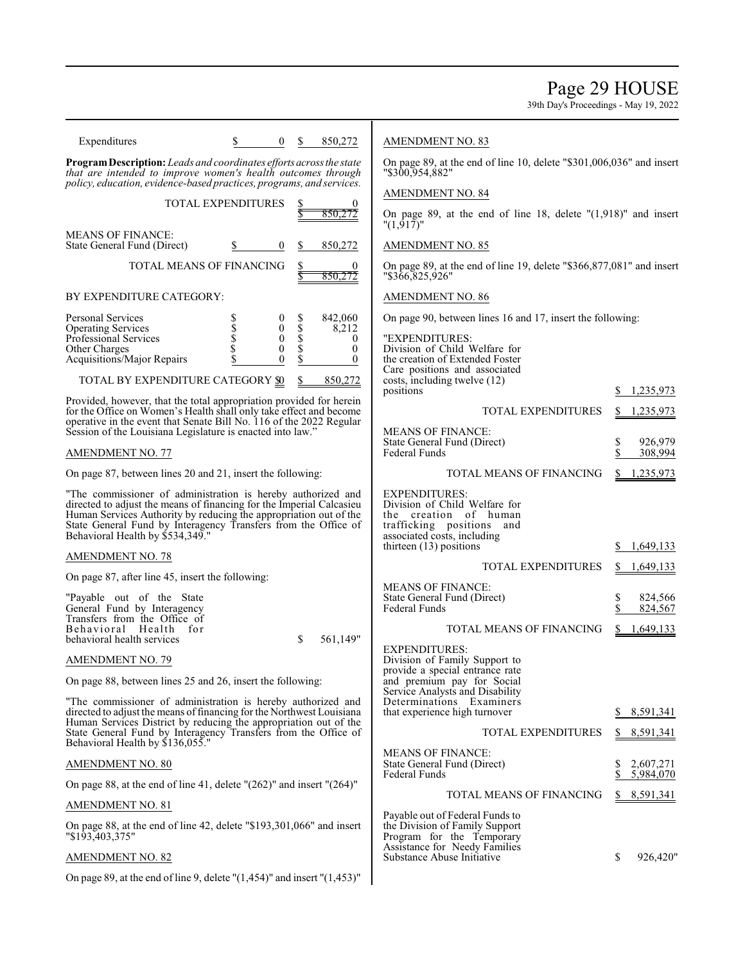Page 29 HOUSE

| Expenditures                                                                                                                                                                                                                                                                                                 | $\bf{0}$                                                             |                                                                                         | 850,272                                                            | <b>AMENDMENT NO. 83</b>                                                                                                                                                    |                                             |
|--------------------------------------------------------------------------------------------------------------------------------------------------------------------------------------------------------------------------------------------------------------------------------------------------------------|----------------------------------------------------------------------|-----------------------------------------------------------------------------------------|--------------------------------------------------------------------|----------------------------------------------------------------------------------------------------------------------------------------------------------------------------|---------------------------------------------|
| Program Description: Leads and coordinates efforts across the state<br>that are intended to improve women's health outcomes through<br>policy, education, evidence-based practices, programs, and services.                                                                                                  |                                                                      | On page 89, at the end of line 10, delete "\$301,006,036" and insert<br>"\$300,954,882" |                                                                    |                                                                                                                                                                            |                                             |
| TOTAL EXPENDITURES                                                                                                                                                                                                                                                                                           |                                                                      |                                                                                         |                                                                    | AMENDMENT NO. 84                                                                                                                                                           |                                             |
|                                                                                                                                                                                                                                                                                                              |                                                                      |                                                                                         | 850.272                                                            | On page 89, at the end of line 18, delete $"(1,918)"$ and insert<br>"(1,917)"                                                                                              |                                             |
| <b>MEANS OF FINANCE:</b><br>State General Fund (Direct)                                                                                                                                                                                                                                                      | $\boldsymbol{0}$                                                     | S                                                                                       | 850,272                                                            | <b>AMENDMENT NO. 85</b>                                                                                                                                                    |                                             |
| TOTAL MEANS OF FINANCING                                                                                                                                                                                                                                                                                     |                                                                      |                                                                                         | 0<br>850,272                                                       | On page 89, at the end of line 19, delete "\$366,877,081" and insert<br>"\$366,825,926"                                                                                    |                                             |
| BY EXPENDITURE CATEGORY:                                                                                                                                                                                                                                                                                     |                                                                      |                                                                                         |                                                                    | <b>AMENDMENT NO. 86</b>                                                                                                                                                    |                                             |
| <b>Personal Services</b><br><b>Operating Services</b><br>Professional Services<br>Other Charges<br>Acquisitions/Major Repairs                                                                                                                                                                                | \$<br>$\bf{0}$<br>\$<br>\$<br>0<br>$\boldsymbol{0}$<br>0<br>$\theta$ | \$<br>$\dot{\mathbb{S}}$<br>$\tilde{\S}$<br>\$                                          | 842,060<br>8,212<br>$\overline{0}$<br>$\mathbf{0}$<br>$\mathbf{0}$ | On page 90, between lines 16 and 17, insert the following:<br>"EXPENDITURES:<br>Division of Child Welfare for<br>the creation of Extended Foster                           |                                             |
| TOTAL BY EXPENDITURE CATEGORY <b>SO</b>                                                                                                                                                                                                                                                                      |                                                                      | \$                                                                                      | 850,272                                                            | Care positions and associated<br>costs, including twelve (12)                                                                                                              |                                             |
| Provided, however, that the total appropriation provided for herein                                                                                                                                                                                                                                          |                                                                      |                                                                                         |                                                                    | positions                                                                                                                                                                  | 1,235,973                                   |
| for the Office on Women's Health shall only take effect and become<br>operative in the event that Senate Bill No. 116 of the 2022 Regular                                                                                                                                                                    |                                                                      |                                                                                         |                                                                    | TOTAL EXPENDITURES                                                                                                                                                         | 1,235,973                                   |
| Session of the Louisiana Legislature is enacted into law."<br>AMENDMENT NO. 77                                                                                                                                                                                                                               |                                                                      |                                                                                         |                                                                    | <b>MEANS OF FINANCE:</b><br>State General Fund (Direct)<br><b>Federal Funds</b>                                                                                            | \$<br>926,979<br>\$<br>308,994              |
| On page 87, between lines 20 and 21, insert the following:                                                                                                                                                                                                                                                   |                                                                      |                                                                                         |                                                                    | TOTAL MEANS OF FINANCING                                                                                                                                                   | 1,235,973<br>S.                             |
| "The commissioner of administration is hereby authorized and<br>directed to adjust the means of financing for the Imperial Calcasieu<br>Human Services Authority by reducing the appropriation out of the<br>State General Fund by Interagency Transfers from the Office of Behavioral Health by \$534,349." |                                                                      |                                                                                         |                                                                    | <b>EXPENDITURES:</b><br>Division of Child Welfare for<br>the creation of human<br>trafficking positions<br>and<br>associated costs, including<br>thirteen $(13)$ positions | S.<br>1,649,133                             |
| <b>AMENDMENT NO. 78</b>                                                                                                                                                                                                                                                                                      |                                                                      |                                                                                         |                                                                    | TOTAL EXPENDITURES                                                                                                                                                         | S.<br>1,649,133                             |
| On page 87, after line 45, insert the following:                                                                                                                                                                                                                                                             |                                                                      |                                                                                         |                                                                    | <b>MEANS OF FINANCE:</b>                                                                                                                                                   |                                             |
| "Payable out of the State<br>General Fund by Interagency<br>Transfers from the Office of<br>Behavioral Health for                                                                                                                                                                                            |                                                                      |                                                                                         |                                                                    | State General Fund (Direct)<br>Federal Funds<br>TOTAL MEANS OF FINANCING                                                                                                   | \$<br>824,566<br>824,567<br>S.<br>1,649,133 |
| behavioral health services                                                                                                                                                                                                                                                                                   |                                                                      | \$                                                                                      | 561,149"                                                           | <b>EXPENDITURES:</b>                                                                                                                                                       |                                             |
| <b>AMENDMENT NO. 79</b>                                                                                                                                                                                                                                                                                      |                                                                      |                                                                                         |                                                                    | Division of Family Support to<br>provide a special entrance rate                                                                                                           |                                             |
| On page 88, between lines 25 and 26, insert the following:                                                                                                                                                                                                                                                   |                                                                      |                                                                                         |                                                                    | and premium pay for Social<br>Service Analysts and Disability                                                                                                              |                                             |
| "The commissioner of administration is hereby authorized and<br>directed to adjust the means of financing for the Northwest Louisiana<br>Human Services District by reducing the appropriation out of the                                                                                                    |                                                                      |                                                                                         |                                                                    | Determinations Examiners<br>that experience high turnover                                                                                                                  | 8,591,341<br>S.                             |
| State General Fund by Interagency Transfers from the Office of<br>Behavioral Health by \$136,055."                                                                                                                                                                                                           |                                                                      |                                                                                         |                                                                    | <b>TOTAL EXPENDITURES</b>                                                                                                                                                  | 8,591,341<br>S.                             |
| <b>AMENDMENT NO. 80</b>                                                                                                                                                                                                                                                                                      |                                                                      |                                                                                         |                                                                    | <b>MEANS OF FINANCE:</b><br>State General Fund (Direct)<br>Federal Funds                                                                                                   | 2,607,271<br>\$<br>\$<br>5,984,070          |
| On page 88, at the end of line 41, delete $''(262)''$ and insert $''(264)''$                                                                                                                                                                                                                                 |                                                                      |                                                                                         |                                                                    | TOTAL MEANS OF FINANCING                                                                                                                                                   | 8,591,341<br>S.                             |
| <b>AMENDMENT NO. 81</b>                                                                                                                                                                                                                                                                                      |                                                                      |                                                                                         |                                                                    | Payable out of Federal Funds to                                                                                                                                            |                                             |
| On page 88, at the end of line 42, delete "\$193,301,066" and insert<br>"\$193,403,375"                                                                                                                                                                                                                      |                                                                      |                                                                                         |                                                                    | the Division of Family Support<br>Program for the Temporary<br>Assistance for Needy Families                                                                               |                                             |
| <b>AMENDMENT NO. 82</b>                                                                                                                                                                                                                                                                                      |                                                                      |                                                                                         |                                                                    | Substance Abuse Initiative                                                                                                                                                 | S<br>926,420"                               |
| On page 89, at the end of line 9, delete " $(1,454)$ " and insert " $(1,453)$ "                                                                                                                                                                                                                              |                                                                      |                                                                                         |                                                                    |                                                                                                                                                                            |                                             |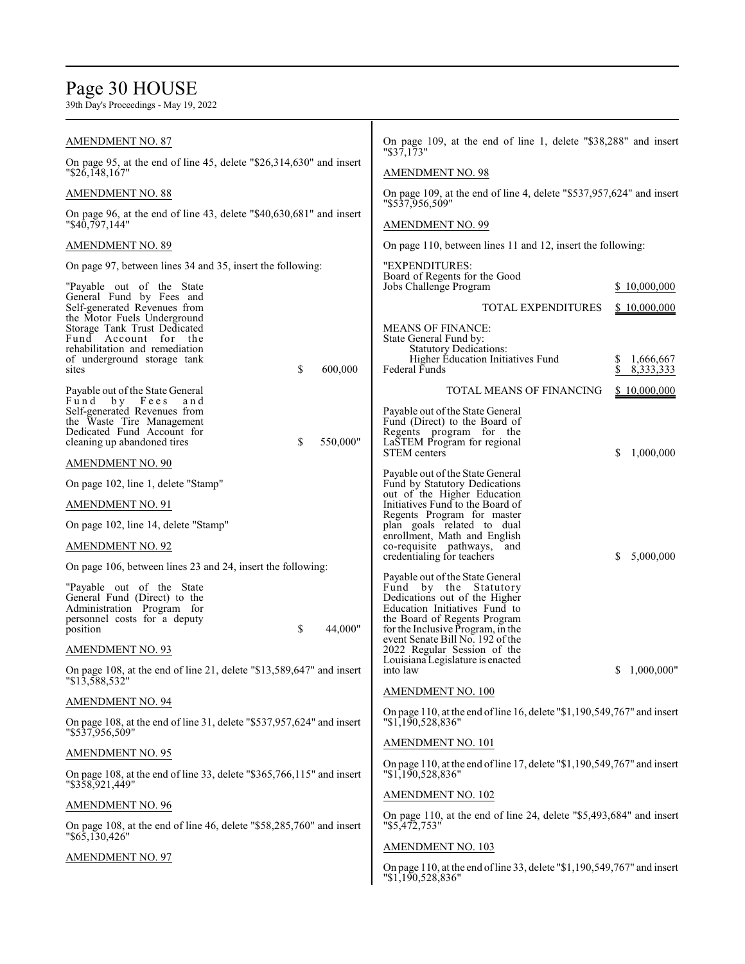# Page 30 HOUSE

| <b>AMENDMENT NO. 87</b>                                                                                                                               | On page 109, at the end of line 1, delete "\$38,288" and insert<br>$"\$37,173"$                                                                                                                  |                   |  |  |
|-------------------------------------------------------------------------------------------------------------------------------------------------------|--------------------------------------------------------------------------------------------------------------------------------------------------------------------------------------------------|-------------------|--|--|
| On page 95, at the end of line 45, delete "\$26,314,630" and insert<br>$"\$26,148,167"$                                                               | <b>AMENDMENT NO. 98</b>                                                                                                                                                                          |                   |  |  |
| AMENDMENT NO. 88                                                                                                                                      | On page 109, at the end of line 4, delete "\$537,957,624" and insert<br>"\$537,956,509"                                                                                                          |                   |  |  |
| On page 96, at the end of line 43, delete " $$40,630,681"$ and insert<br>"\$40,797,144"                                                               | <b>AMENDMENT NO. 99</b>                                                                                                                                                                          |                   |  |  |
| <b>AMENDMENT NO. 89</b>                                                                                                                               | On page 110, between lines 11 and 12, insert the following:                                                                                                                                      |                   |  |  |
| On page 97, between lines 34 and 35, insert the following:                                                                                            | "EXPENDITURES:                                                                                                                                                                                   |                   |  |  |
| "Payable out of the State"<br>General Fund by Fees and                                                                                                | Board of Regents for the Good<br>Jobs Challenge Program                                                                                                                                          | \$10,000,000      |  |  |
| Self-generated Revenues from<br>the Motor Fuels Underground                                                                                           | TOTAL EXPENDITURES                                                                                                                                                                               | \$10,000,000      |  |  |
| Storage Tank Trust Dedicated<br>Fund Account for the                                                                                                  | <b>MEANS OF FINANCE:</b><br>State General Fund by:                                                                                                                                               |                   |  |  |
| rehabilitation and remediation<br>of underground storage tank                                                                                         | <b>Statutory Dedications:</b><br>Higher Education Initiatives Fund                                                                                                                               | 1,666,667<br>S.   |  |  |
| sites<br>\$<br>600,000                                                                                                                                | Federal Funds                                                                                                                                                                                    | \$<br>8, 333, 333 |  |  |
| Payable out of the State General<br>Fund by Fees<br>and                                                                                               | TOTAL MEANS OF FINANCING                                                                                                                                                                         | \$10,000,000      |  |  |
| Self-generated Revenues from<br>the Waste Tire Management<br>Dedicated Fund Account for<br>550,000"<br>cleaning up abandoned tires<br>\$              | Payable out of the State General<br>Fund (Direct) to the Board of<br>Regents program for the<br>LaSTEM Program for regional                                                                      |                   |  |  |
| <b>AMENDMENT NO. 90</b>                                                                                                                               | <b>STEM</b> centers                                                                                                                                                                              | \$<br>1,000,000   |  |  |
| On page 102, line 1, delete "Stamp"                                                                                                                   | Payable out of the State General<br>Fund by Statutory Dedications                                                                                                                                |                   |  |  |
| <b>AMENDMENT NO. 91</b>                                                                                                                               | out of the Higher Education<br>Initiatives Fund to the Board of                                                                                                                                  |                   |  |  |
| On page 102, line 14, delete "Stamp"                                                                                                                  | Regents Program for master<br>plan goals related to dual                                                                                                                                         |                   |  |  |
| <b>AMENDMENT NO. 92</b>                                                                                                                               | enrollment, Math and English<br>co-requisite pathways, and                                                                                                                                       |                   |  |  |
| On page 106, between lines 23 and 24, insert the following:                                                                                           | credentialing for teachers                                                                                                                                                                       | 5,000,000<br>S    |  |  |
| "Payable out of the State"<br>General Fund (Direct) to the<br>Administration Program for<br>personnel costs for a deputy<br>\$<br>44,000"<br>position | Payable out of the State General<br>Fund by the Statutory<br>Dedications out of the Higher<br>Education Initiatives Fund to<br>the Board of Regents Program<br>for the Inclusive Program, in the |                   |  |  |
| <b>AMENDMENT NO. 93</b>                                                                                                                               | event Senate Bill No. 192 of the<br>2022 Regular Session of the                                                                                                                                  |                   |  |  |
| On page 108, at the end of line 21, delete "\$13,589,647" and insert<br>"\$13,588,532"                                                                | Louisiana Legislature is enacted<br>into law                                                                                                                                                     | \$1,000,000"      |  |  |
| <b>AMENDMENT NO. 94</b>                                                                                                                               | AMENDMENT NO. 100                                                                                                                                                                                |                   |  |  |
| On page 108, at the end of line 31, delete "\$537,957,624" and insert<br>"\$537,956,509"                                                              | On page 110, at the end of line 16, delete "\$1,190,549,767" and insert<br>"1,190,528,836"                                                                                                       |                   |  |  |
| <b>AMENDMENT NO. 95</b>                                                                                                                               | AMENDMENT NO. 101                                                                                                                                                                                |                   |  |  |
| On page 108, at the end of line 33, delete "\$365,766,115" and insert<br>"\$358,921,449"                                                              | On page 110, at the end of line 17, delete "\$1,190,549,767" and insert<br>"\$1,190,528,836"                                                                                                     |                   |  |  |
| <b>AMENDMENT NO. 96</b>                                                                                                                               | AMENDMENT NO. 102                                                                                                                                                                                |                   |  |  |
| On page 108, at the end of line 46, delete "\$58,285,760" and insert<br>$" $6\overline{5}, \overline{130}, 426"$                                      | On page 110, at the end of line 24, delete "\$5,493,684" and insert<br>"\$5,472,753"                                                                                                             |                   |  |  |
| <b>AMENDMENT NO. 97</b>                                                                                                                               | AMENDMENT NO. 103                                                                                                                                                                                |                   |  |  |
|                                                                                                                                                       | On page 110, at the end of line 33, delete "\$1,190,549,767" and insert<br>"\$1,190,528,836"                                                                                                     |                   |  |  |
|                                                                                                                                                       |                                                                                                                                                                                                  |                   |  |  |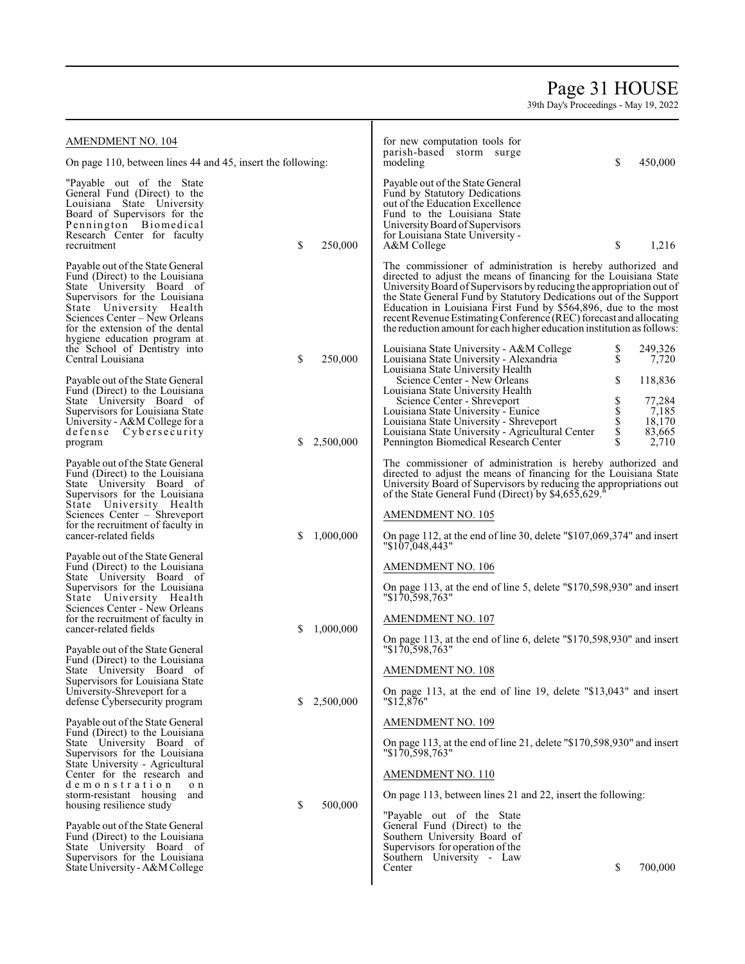## Page 31 HOUSE

| AMENDMENT NO. 104                                                                                                                                                                                                                                                                     |    |                                      | for new computation tools for                                                                                                                                                                                                                                                                                                                                                                                                                                                                     |                                |                                              |
|---------------------------------------------------------------------------------------------------------------------------------------------------------------------------------------------------------------------------------------------------------------------------------------|----|--------------------------------------|---------------------------------------------------------------------------------------------------------------------------------------------------------------------------------------------------------------------------------------------------------------------------------------------------------------------------------------------------------------------------------------------------------------------------------------------------------------------------------------------------|--------------------------------|----------------------------------------------|
| On page 110, between lines 44 and 45, insert the following:                                                                                                                                                                                                                           |    | parish-based storm surge<br>modeling | \$                                                                                                                                                                                                                                                                                                                                                                                                                                                                                                | 450,000                        |                                              |
| "Payable out of the State"<br>General Fund (Direct) to the<br>Louisiana State University<br>Board of Supervisors for the<br>Pennington Biomedical<br>Research Center for faculty<br>recruitment                                                                                       | \$ | 250,000                              | Payable out of the State General<br>Fund by Statutory Dedications<br>out of the Education Excellence<br>Fund to the Louisiana State<br>University Board of Supervisors<br>for Louisiana State University -<br>A&M College                                                                                                                                                                                                                                                                         | \$                             | 1,216                                        |
| Payable out of the State General<br>Fund (Direct) to the Louisiana<br>State University Board of<br>Supervisors for the Louisiana<br>State University Health<br>Sciences Center – New Orleans<br>for the extension of the dental<br>hygiene education program at                       |    |                                      | The commissioner of administration is hereby authorized and<br>directed to adjust the means of financing for the Louisiana State<br>University Board of Supervisors by reducing the appropriation out of<br>the State General Fund by Statutory Dedications out of the Support<br>Education in Louisiana First Fund by \$564,896, due to the most<br>recent Revenue Estimating Conference (REC) forecast and allocating<br>the reduction amount for each higher education institution as follows: |                                |                                              |
| the School of Dentistry into<br>Central Louisiana                                                                                                                                                                                                                                     | \$ | 250,000                              | Louisiana State University - A&M College<br>Louisiana State University - Alexandria<br>Louisiana State University Health                                                                                                                                                                                                                                                                                                                                                                          | \$<br>$\dot{\mathbb{S}}$       | 249,326<br>7,720                             |
| Payable out of the State General<br>Fund (Direct) to the Louisiana                                                                                                                                                                                                                    |    |                                      | Science Center - New Orleans<br>Louisiana State University Health                                                                                                                                                                                                                                                                                                                                                                                                                                 | \$                             | 118,836                                      |
| State University Board of<br>Supervisors for Louisiana State<br>University - A&M College for a<br>defense Cybersecurity<br>program                                                                                                                                                    | \$ | 2,500,000                            | Science Center - Shreveport<br>Louisiana State University - Eunice<br>Louisiana State University - Shreveport<br>Louisiana State University - Agricultural Center<br>Pennington Biomedical Research Center                                                                                                                                                                                                                                                                                        | \$<br><b>S</b><br>S<br>S<br>\$ | 77,284<br>7,185<br>18,170<br>83,665<br>2,710 |
| Payable out of the State General<br>Fund (Direct) to the Louisiana<br>State University Board of<br>Supervisors for the Louisiana<br>State University Health<br>Sciences Center - Shreveport<br>for the recruitment of faculty in<br>cancer-related fields                             | S  | 1,000,000                            | The commissioner of administration is hereby authorized and<br>directed to adjust the means of financing for the Louisiana State<br>University Board of Supervisors by reducing the appropriations out<br>of the State General Fund (Direct) by \$4,655,629.<br><b>AMENDMENT NO. 105</b><br>On page 112, at the end of line 30, delete " $$107,069,374"$ and insert                                                                                                                               |                                |                                              |
| Payable out of the State General<br>Fund (Direct) to the Louisiana<br>State University Board of<br>Supervisors for the Louisiana<br>State University Health<br>Sciences Center - New Orleans<br>for the recruitment of faculty in<br>cancer-related fields                            | S  | 1,000,000                            | "\$107,048,443"<br><b>AMENDMENT NO. 106</b><br>On page 113, at the end of line 5, delete "\$170,598,930" and insert<br>"\$170,598,763"<br><b>AMENDMENT NO. 107</b>                                                                                                                                                                                                                                                                                                                                |                                |                                              |
| Payable out of the State General<br>Fund (Direct) to the Louisiana<br>State University Board of<br>Supervisors for Louisiana State                                                                                                                                                    |    |                                      | On page 113, at the end of line 6, delete "\$170,598,930" and insert<br>"\$170,598,763"<br>AMENDMENT NO. 108                                                                                                                                                                                                                                                                                                                                                                                      |                                |                                              |
| University-Shreveport for a<br>defense Cybersecurity program                                                                                                                                                                                                                          | S. | 2,500,000                            | On page 113, at the end of line 19, delete "\$13,043" and insert<br>$"\$12,876"$                                                                                                                                                                                                                                                                                                                                                                                                                  |                                |                                              |
| Payable out of the State General<br>Fund (Direct) to the Louisiana<br>State University Board of<br>Supervisors for the Louisiana<br>State University - Agricultural<br>Center for the research and<br>demonstration<br>o n<br>storm-resistant housing and<br>housing resilience study | \$ | 500,000                              | <b>AMENDMENT NO. 109</b><br>On page 113, at the end of line 21, delete "\$170,598,930" and insert<br>"\$170,598,763"<br><b>AMENDMENT NO. 110</b><br>On page 113, between lines 21 and 22, insert the following:<br>"Payable out of the State"                                                                                                                                                                                                                                                     |                                |                                              |
| Payable out of the State General<br>Fund (Direct) to the Louisiana<br>State University Board of<br>Supervisors for the Louisiana<br>State University - A&M College                                                                                                                    |    |                                      | General Fund (Direct) to the<br>Southern University Board of<br>Supervisors for operation of the<br>Southern University - Law<br>Center                                                                                                                                                                                                                                                                                                                                                           | \$                             | 700,000                                      |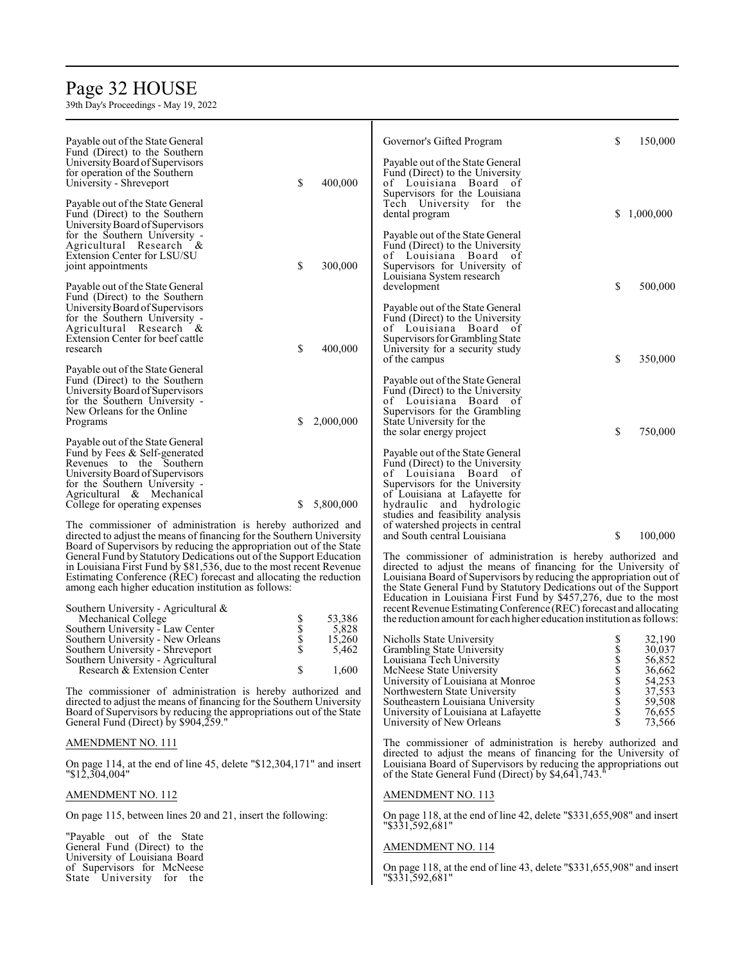# Page 32 HOUSE

39th Day's Proceedings - May 19, 2022

| Payable out of the State General                                                                                                         | \$<br>Governor's Gifted Program<br>150,000                                                                                     |
|------------------------------------------------------------------------------------------------------------------------------------------|--------------------------------------------------------------------------------------------------------------------------------|
| Fund (Direct) to the Southern                                                                                                            |                                                                                                                                |
| University Board of Supervisors                                                                                                          | Payable out of the State General                                                                                               |
| for operation of the Southern                                                                                                            | Fund (Direct) to the University                                                                                                |
| \$<br>400,000<br>University - Shreveport                                                                                                 | of Louisiana Board of                                                                                                          |
| Payable out of the State General                                                                                                         | Supervisors for the Louisiana<br>Tech University for the                                                                       |
| Fund (Direct) to the Southern                                                                                                            | \$<br>1,000,000<br>dental program                                                                                              |
| University Board of Supervisors                                                                                                          |                                                                                                                                |
| for the Southern University -                                                                                                            | Payable out of the State General                                                                                               |
| Agricultural Research &                                                                                                                  | Fund (Direct) to the University                                                                                                |
| Extension Center for LSU/SU                                                                                                              | of Louisiana Board of                                                                                                          |
| \$<br>300,000<br>joint appointments                                                                                                      | Supervisors for University of                                                                                                  |
|                                                                                                                                          | Louisiana System research                                                                                                      |
| Payable out of the State General                                                                                                         | \$<br>500,000<br>development                                                                                                   |
| Fund (Direct) to the Southern                                                                                                            |                                                                                                                                |
| University Board of Supervisors                                                                                                          | Payable out of the State General                                                                                               |
| for the Southern University -<br>Agricultural Research &                                                                                 | Fund (Direct) to the University<br>of Louisiana Board of                                                                       |
| Extension Center for beef cattle                                                                                                         | Supervisors for Grambling State                                                                                                |
| \$<br>400,000<br>research                                                                                                                | University for a security study                                                                                                |
|                                                                                                                                          | \$<br>350,000<br>of the campus                                                                                                 |
| Payable out of the State General                                                                                                         |                                                                                                                                |
| Fund (Direct) to the Southern                                                                                                            | Payable out of the State General                                                                                               |
| University Board of Supervisors                                                                                                          | Fund (Direct) to the University                                                                                                |
| for the Southern University -                                                                                                            | of Louisiana Board of                                                                                                          |
| New Orleans for the Online                                                                                                               | Supervisors for the Grambling                                                                                                  |
| 2,000,000<br>Programs<br>\$                                                                                                              | State University for the                                                                                                       |
| Payable out of the State General                                                                                                         | \$<br>750,000<br>the solar energy project                                                                                      |
|                                                                                                                                          | Payable out of the State General                                                                                               |
| Fund by Fees & Self-generated<br>Revenues to the Southern                                                                                | Fund (Direct) to the University                                                                                                |
| University Board of Supervisors                                                                                                          | of Louisiana Board of                                                                                                          |
| for the Southern University -                                                                                                            | Supervisors for the University                                                                                                 |
| Agricultural & Mechanical                                                                                                                | of Louisiana at Lafayette for                                                                                                  |
| 5,800,000<br>\$<br>College for operating expenses                                                                                        | hydraulic and hydrologic                                                                                                       |
|                                                                                                                                          | studies and feasibility analysis                                                                                               |
| The commissioner of administration is hereby authorized and                                                                              | of watershed projects in central                                                                                               |
| directed to adjust the means of financing for the Southern University                                                                    | \$<br>100,000<br>and South central Louisiana                                                                                   |
| Board of Supervisors by reducing the appropriation out of the State                                                                      |                                                                                                                                |
| General Fund by Statutory Dedications out of the Support Education                                                                       | The commissioner of administration is hereby authorized and<br>directed to adjust the means of financing for the University of |
| in Louisiana First Fund by \$81,536, due to the most recent Revenue<br>Estimating Conference (REC) forecast and allocating the reduction | Louisiana Board of Supervisors by reducing the appropriation out of                                                            |
| among each higher education institution as follows:                                                                                      | the State General Fund by Statutory Dedications out of the Support                                                             |
|                                                                                                                                          | Education in Louisiana First Fund by \$457,276, due to the most                                                                |
| Southern University - Agricultural $\&$                                                                                                  | recent Revenue Estimating Conference (REC) forecast and allocating                                                             |
| 53,386<br>Mechanical College                                                                                                             | the reduction amount for each higher education institution as follows:                                                         |
| 5,828<br>Southern University - Law Center                                                                                                |                                                                                                                                |
| <b>Տ</b><br>Տ<br>Տ<br>15,260<br>Southern University - New Orleans                                                                        | 32,190<br>Nicholls State University<br>\$<br>\$                                                                                |
| Southern University - Shreveport<br>5,462                                                                                                | Grambling State University<br>30,037                                                                                           |
| Southern University - Agricultural                                                                                                       | \$<br>56,852<br>Louisiana Tech University                                                                                      |
| Research & Extension Center<br>\$<br>1,600                                                                                               | McNeese State University<br>\$<br>36,662<br>54,253                                                                             |
| The commissioner of administration is hereby authorized and                                                                              | S<br>S<br>S<br>University of Louisiana at Monroe<br>37,553<br>Northwestern State University                                    |
| directed to adjust the means of financing for the Southern University                                                                    | 59,508<br>Southeastern Louisiana University                                                                                    |
| Board of Supervisors by reducing the appropriations out of the State                                                                     | \$<br>76,655<br>University of Louisiana at Lafayette                                                                           |
| General Fund (Direct) by \$904,259."                                                                                                     | \$<br>University of New Orleans<br>73,566                                                                                      |
|                                                                                                                                          |                                                                                                                                |
| AMENDMENT NO. 111                                                                                                                        | The commissioner of administration is hereby authorized and<br>directed to adjust the means of financing for the University of |
| On page 114, at the end of line 45, delete "\$12,304,171" and insert                                                                     | Louisiana Board of Supervisors by reducing the appropriations out                                                              |
| $"\$1\overline{2}, \overline{3}04, 004"$                                                                                                 | of the State General Fund (Direct) by \$4,641,743.                                                                             |
|                                                                                                                                          |                                                                                                                                |

### AMENDMENT NO. 112

On page 115, between lines 20 and 21, insert the following:

"Payable out of the State General Fund (Direct) to the University of Louisiana Board of Supervisors for McNeese State University for the

#### AMENDMENT NO. 114

"\$331,592,681"

AMENDMENT NO. 113

On page 118, at the end of line 43, delete "\$331,655,908" and insert "\$331,592,681"

On page 118, at the end of line 42, delete "\$331,655,908" and insert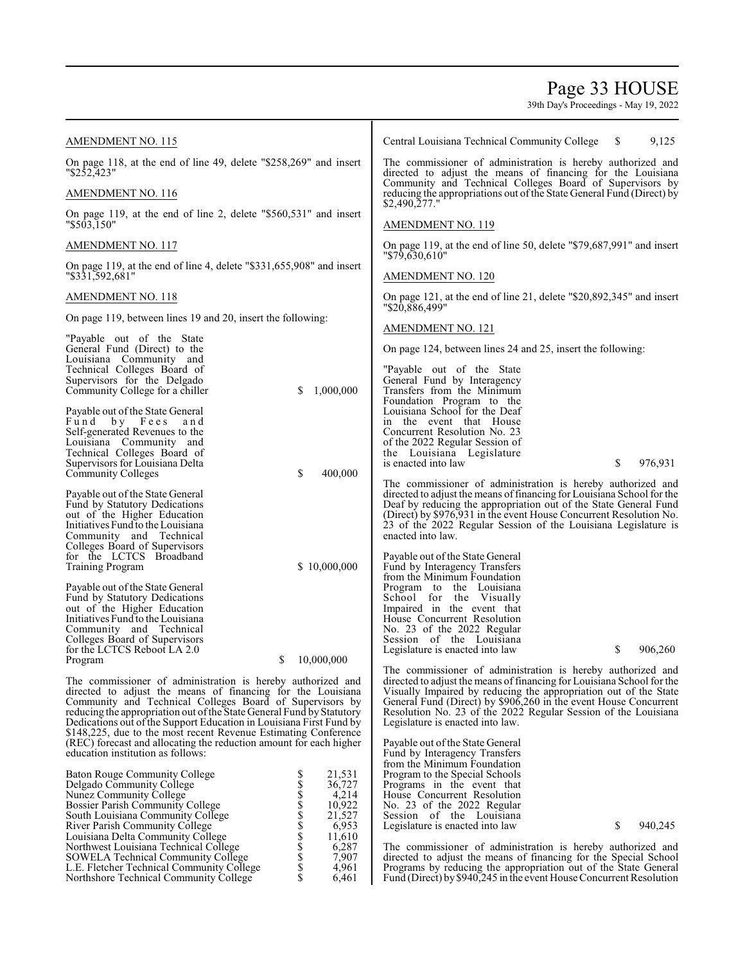## Page 33 HOUSE

39th Day's Proceedings - May 19, 2022

Fund (Direct) by\$940,245 in the event House Concurrent Resolution

| AMENDMENT NO. 115                                                                                                                     | Central Louisiana Technical Community College<br>9,125<br>S.                                                                                                                           |
|---------------------------------------------------------------------------------------------------------------------------------------|----------------------------------------------------------------------------------------------------------------------------------------------------------------------------------------|
| On page 118, at the end of line 49, delete "\$258,269" and insert<br>"\$252,423"                                                      | The commissioner of administration is hereby authorized and<br>directed to adjust the means of financing for the Louisiana<br>Community and Technical Colleges Board of Supervisors by |
| <u>AMENDMENT NO. 116</u>                                                                                                              | reducing the appropriations out of the State General Fund (Direct) by<br>\$2,490,277."                                                                                                 |
| On page 119, at the end of line 2, delete "\$560,531" and insert<br>"\$503,150"                                                       | <b>AMENDMENT NO. 119</b>                                                                                                                                                               |
| AMENDMENT NO. 117                                                                                                                     | On page 119, at the end of line 50, delete "\$79,687,991" and insert<br>$"$ \$79,630,610"                                                                                              |
| On page 119, at the end of line 4, delete "\$331,655,908" and insert<br>"\$331,592,681"                                               | AMENDMENT NO. 120                                                                                                                                                                      |
| AMENDMENT NO. 118                                                                                                                     | On page 121, at the end of line 21, delete "\$20,892,345" and insert                                                                                                                   |
| On page 119, between lines 19 and 20, insert the following:                                                                           | "\$20,886,499"<br>AMENDMENT NO. 121                                                                                                                                                    |
| "Payable out of the State<br>General Fund (Direct) to the                                                                             | On page 124, between lines 24 and 25, insert the following:                                                                                                                            |
| Louisiana Community and<br>Technical Colleges Board of                                                                                | "Payable out of the State"                                                                                                                                                             |
| Supervisors for the Delgado<br>1,000,000<br>Community College for a chiller<br>S                                                      | General Fund by Interagency<br>Transfers from the Minimum                                                                                                                              |
| Payable out of the State General<br>Fund by Fees                                                                                      | Foundation Program to the<br>Louisiana School for the Deaf                                                                                                                             |
| and<br>Self-generated Revenues to the                                                                                                 | in the event that House<br>Concurrent Resolution No. 23                                                                                                                                |
| Louisiana Community and                                                                                                               | of the 2022 Regular Session of                                                                                                                                                         |
| Technical Colleges Board of<br>Supervisors for Louisiana Delta                                                                        | the Louisiana Legislature<br>\$<br>is enacted into law<br>976,931                                                                                                                      |
| \$<br>400,000<br><b>Community Colleges</b>                                                                                            |                                                                                                                                                                                        |
|                                                                                                                                       | The commissioner of administration is hereby authorized and                                                                                                                            |
| Payable out of the State General<br>Fund by Statutory Dedications                                                                     | directed to adjust the means of financing for Louisiana School for the<br>Deaf by reducing the appropriation out of the State General Fund                                             |
| out of the Higher Education                                                                                                           | (Direct) by \$976,931 in the event House Concurrent Resolution No.                                                                                                                     |
| Initiatives Fund to the Louisiana                                                                                                     | 23 of the 2022 Regular Session of the Louisiana Legislature is                                                                                                                         |
| Community and Technical<br>Colleges Board of Supervisors                                                                              | enacted into law.                                                                                                                                                                      |
| for the LCTCS Broadband                                                                                                               | Payable out of the State General                                                                                                                                                       |
| \$10,000,000<br>Training Program                                                                                                      | Fund by Interagency Transfers                                                                                                                                                          |
|                                                                                                                                       | from the Minimum Foundation                                                                                                                                                            |
| Payable out of the State General<br>Fund by Statutory Dedications                                                                     | Program to the Louisiana<br>School for the Visually                                                                                                                                    |
| out of the Higher Education                                                                                                           | Impaired in the event that                                                                                                                                                             |
| Initiatives Fund to the Louisiana                                                                                                     | House Concurrent Resolution                                                                                                                                                            |
| Community and Technical                                                                                                               | No. 23 of the 2022 Regular<br>Session of the Louisiana                                                                                                                                 |
| Colleges Board of Supervisors<br>for the LCTCS Reboot LA 2.0                                                                          | 906,260<br>Legislature is enacted into law<br>S                                                                                                                                        |
| 10,000,000<br>Program<br>S                                                                                                            |                                                                                                                                                                                        |
|                                                                                                                                       | The commissioner of administration is hereby authorized and                                                                                                                            |
| The commissioner of administration is hereby authorized and<br>directed to adjust the means of financing for the Louisiana            | directed to adjust the means of financing for Louisiana School for the<br>Visually Impaired by reducing the appropriation out of the State                                             |
| Community and Technical Colleges Board of Supervisors by                                                                              | General Fund (Direct) by \$906,260 in the event House Concurrent                                                                                                                       |
| reducing the appropriation out of the State General Fund by Statutory                                                                 | Resolution No. 23 of the 2022 Regular Session of the Louisiana                                                                                                                         |
| Dedications out of the Support Education in Louisiana First Fund by                                                                   | Legislature is enacted into law.                                                                                                                                                       |
| \$148,225, due to the most recent Revenue Estimating Conference<br>(REC) forecast and allocating the reduction amount for each higher | Payable out of the State General                                                                                                                                                       |
| education institution as follows:                                                                                                     | Fund by Interagency Transfers                                                                                                                                                          |
|                                                                                                                                       | from the Minimum Foundation                                                                                                                                                            |
| <b>Baton Rouge Community College</b><br>21,531<br>\$\$\$\$\$\$\$\$\$\$\$\$<br>36,727<br>Delgado Community College                     | Program to the Special Schools<br>Programs in the event that                                                                                                                           |
| 4,214<br><b>Nunez Community College</b>                                                                                               | House Concurrent Resolution                                                                                                                                                            |
| 10,922<br><b>Bossier Parish Community College</b>                                                                                     | No. 23 of the 2022 Regular                                                                                                                                                             |
| 21,527<br>South Louisiana Community College<br>6,953<br>River Parish Community College                                                | Session of the Louisiana<br>\$<br>940,245                                                                                                                                              |
| Louisiana Delta Community College<br>11,610                                                                                           | Legislature is enacted into law                                                                                                                                                        |
| Northwest Louisiana Technical College<br>6,287                                                                                        | The commissioner of administration is hereby authorized and                                                                                                                            |
| SOWELA Technical Community College<br>7,907                                                                                           | directed to adjust the means of financing for the Special School                                                                                                                       |
| 4,961<br>L.E. Fletcher Technical Community College                                                                                    | Programs by reducing the appropriation out of the State General                                                                                                                        |

Northshore Technical Community College \$ 6,461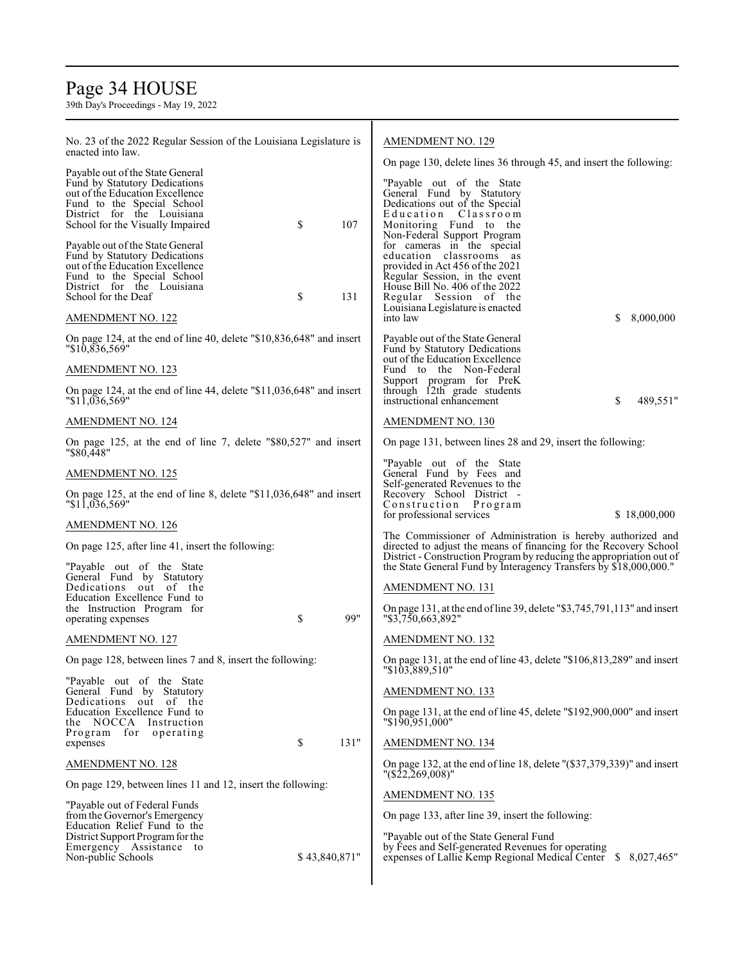## Page 34 HOUSE

| No. 23 of the 2022 Regular Session of the Louisiana Legislature is<br>enacted into law.                                                                                                              |               |      | <b>AMENDMENT NO. 129</b>                                                                                                                                                                                                                                                      |  |
|------------------------------------------------------------------------------------------------------------------------------------------------------------------------------------------------------|---------------|------|-------------------------------------------------------------------------------------------------------------------------------------------------------------------------------------------------------------------------------------------------------------------------------|--|
| Payable out of the State General<br>Fund by Statutory Dedications<br>out of the Education Excellence<br>Fund to the Special School<br>District for the Louisiana<br>School for the Visually Impaired | \$            | 107  | On page 130, delete lines 36 through 45, and insert the following:<br>"Payable out of the State<br>General Fund by Statutory<br>Dedications out of the Special<br>Education Classroom<br>Monitoring Fund to the                                                               |  |
| Payable out of the State General<br>Fund by Statutory Dedications<br>out of the Education Excellence<br>Fund to the Special School<br>District for the Louisiana<br>School for the Deaf              | \$            | 131  | Non-Federal Support Program<br>for cameras in the special<br>education classrooms as<br>provided in Act 456 of the 2021<br>Regular Session, in the event<br>House Bill No. 406 of the 2022<br>Regular Session of the<br>Louisiana Legislature is enacted                      |  |
| AMENDMENT NO. 122                                                                                                                                                                                    |               |      | \$<br>8,000,000<br>into law                                                                                                                                                                                                                                                   |  |
| On page 124, at the end of line 40, delete "\$10,836,648" and insert<br>"\$10,836,569"                                                                                                               |               |      | Payable out of the State General<br>Fund by Statutory Dedications                                                                                                                                                                                                             |  |
| <b>AMENDMENT NO. 123</b>                                                                                                                                                                             |               |      | out of the Education Excellence<br>Fund to the Non-Federal                                                                                                                                                                                                                    |  |
| On page 124, at the end of line 44, delete "\$11,036,648" and insert<br>"11,036,569"                                                                                                                 |               |      | Support program for PreK<br>through 12th grade students<br>instructional enhancement<br>\$<br>489,551"                                                                                                                                                                        |  |
| <b>AMENDMENT NO. 124</b>                                                                                                                                                                             |               |      | <b>AMENDMENT NO. 130</b>                                                                                                                                                                                                                                                      |  |
| On page 125, at the end of line 7, delete "\$80,527" and insert<br>"\$80,448"                                                                                                                        |               |      | On page 131, between lines 28 and 29, insert the following:                                                                                                                                                                                                                   |  |
| <b>AMENDMENT NO. 125</b>                                                                                                                                                                             |               |      | "Payable out of the State"<br>General Fund by Fees and                                                                                                                                                                                                                        |  |
| On page 125, at the end of line 8, delete "\$11,036,648" and insert<br>"\$11,036,569"                                                                                                                |               |      | Self-generated Revenues to the<br>Recovery School District -<br>Construction Program<br>\$18,000,000<br>for professional services                                                                                                                                             |  |
| AMENDMENT NO. 126                                                                                                                                                                                    |               |      |                                                                                                                                                                                                                                                                               |  |
| On page 125, after line 41, insert the following:<br>"Payable out of the State"                                                                                                                      |               |      | The Commissioner of Administration is hereby authorized and<br>directed to adjust the means of financing for the Recovery School<br>District - Construction Program by reducing the appropriation out of<br>the State General Fund by Interagency Transfers by \$18,000,000." |  |
| General Fund by Statutory<br>Dedications out of the<br>Education Excellence Fund to                                                                                                                  |               |      | <b>AMENDMENT NO. 131</b>                                                                                                                                                                                                                                                      |  |
| the Instruction Program for<br>operating expenses                                                                                                                                                    | \$            | 99"  | On page 131, at the end of line 39, delete "\$3,745,791,113" and insert<br>"\$3,750,663,892"                                                                                                                                                                                  |  |
| <b>AMENDMENT NO. 127</b>                                                                                                                                                                             |               |      | AMENDMENT NO. 132                                                                                                                                                                                                                                                             |  |
| On page 128, between lines 7 and 8, insert the following:                                                                                                                                            |               |      | On page 131, at the end of line 43, delete "\$106,813,289" and insert<br>"\$103,889,510"                                                                                                                                                                                      |  |
| "Payable out of the State<br>General Fund by Statutory<br>Dedications out of the                                                                                                                     |               |      | <b>AMENDMENT NO. 133</b>                                                                                                                                                                                                                                                      |  |
| Education Excellence Fund to<br>NOCCA Instruction<br>the                                                                                                                                             |               |      | On page 131, at the end of line 45, delete " $$192,900,000$ " and insert<br>"\$190,951,000"                                                                                                                                                                                   |  |
| Program for operating<br>expenses                                                                                                                                                                    | \$            | 131" | <b>AMENDMENT NO. 134</b>                                                                                                                                                                                                                                                      |  |
| <b>AMENDMENT NO. 128</b>                                                                                                                                                                             |               |      | On page 132, at the end of line 18, delete $\frac{1}{5}$ (\$37,379,339)" and insert<br>"(\$22,269,008)"                                                                                                                                                                       |  |
| On page 129, between lines 11 and 12, insert the following:                                                                                                                                          |               |      | <b>AMENDMENT NO. 135</b>                                                                                                                                                                                                                                                      |  |
| "Payable out of Federal Funds<br>from the Governor's Emergency<br>Education Relief Fund to the                                                                                                       |               |      | On page 133, after line 39, insert the following:                                                                                                                                                                                                                             |  |
| District Support Program for the<br>Emergency Assistance to<br>Non-public Schools                                                                                                                    | \$43,840,871" |      | "Payable out of the State General Fund<br>by Fees and Self-generated Revenues for operating<br>expenses of Lallie Kemp Regional Medical Center \$ 8,027,465"                                                                                                                  |  |
|                                                                                                                                                                                                      |               |      |                                                                                                                                                                                                                                                                               |  |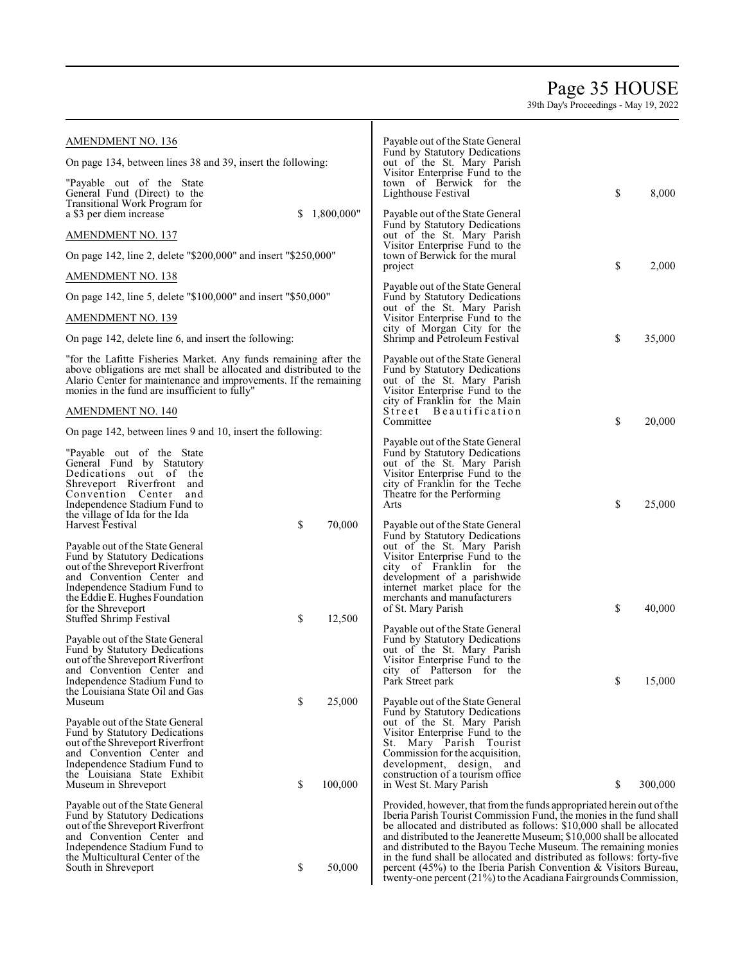## Page 35 HOUSE

| <b>AMENDMENT NO. 136</b>                                                                                                                                                                                                                                     |          |                   | Payable out of the State General<br>Fund by Statutory Dedications                                                                                                                                                                                                                                                                                                                                                                                                                                                                                                                      |               |
|--------------------------------------------------------------------------------------------------------------------------------------------------------------------------------------------------------------------------------------------------------------|----------|-------------------|----------------------------------------------------------------------------------------------------------------------------------------------------------------------------------------------------------------------------------------------------------------------------------------------------------------------------------------------------------------------------------------------------------------------------------------------------------------------------------------------------------------------------------------------------------------------------------------|---------------|
| On page 134, between lines 38 and 39, insert the following:                                                                                                                                                                                                  |          |                   | out of the St. Mary Parish<br>Visitor Enterprise Fund to the                                                                                                                                                                                                                                                                                                                                                                                                                                                                                                                           |               |
| "Payable out of the State"<br>General Fund (Direct) to the<br>Transitional Work Program for<br>a \$3 per diem increase                                                                                                                                       | S.       | 1,800,000"        | town of Berwick for the<br>Lighthouse Festival<br>Payable out of the State General                                                                                                                                                                                                                                                                                                                                                                                                                                                                                                     | \$<br>8,000   |
| <b>AMENDMENT NO. 137</b>                                                                                                                                                                                                                                     |          |                   | Fund by Statutory Dedications<br>out of the St. Mary Parish                                                                                                                                                                                                                                                                                                                                                                                                                                                                                                                            |               |
| On page 142, line 2, delete "\$200,000" and insert "\$250,000"                                                                                                                                                                                               |          |                   | Visitor Enterprise Fund to the<br>town of Berwick for the mural                                                                                                                                                                                                                                                                                                                                                                                                                                                                                                                        |               |
| AMENDMENT NO. 138                                                                                                                                                                                                                                            |          |                   | project                                                                                                                                                                                                                                                                                                                                                                                                                                                                                                                                                                                | \$<br>2,000   |
| On page 142, line 5, delete "\$100,000" and insert "\$50,000"                                                                                                                                                                                                |          |                   | Payable out of the State General<br>Fund by Statutory Dedications                                                                                                                                                                                                                                                                                                                                                                                                                                                                                                                      |               |
| <b>AMENDMENT NO. 139</b>                                                                                                                                                                                                                                     |          |                   | out of the St. Mary Parish<br>Visitor Enterprise Fund to the                                                                                                                                                                                                                                                                                                                                                                                                                                                                                                                           |               |
| On page 142, delete line 6, and insert the following:                                                                                                                                                                                                        |          |                   | city of Morgan City for the<br>Shrimp and Petroleum Festival                                                                                                                                                                                                                                                                                                                                                                                                                                                                                                                           | \$<br>35,000  |
| "for the Lafitte Fisheries Market. Any funds remaining after the<br>above obligations are met shall be allocated and distributed to the<br>Alario Center for maintenance and improvements. If the remaining<br>monies in the fund are insufficient to fully" |          |                   | Payable out of the State General<br>Fund by Statutory Dedications<br>out of the St. Mary Parish<br>Visitor Enterprise Fund to the<br>city of Franklin for the Main<br>Street Beautification                                                                                                                                                                                                                                                                                                                                                                                            |               |
| <b>AMENDMENT NO. 140</b><br>On page 142, between lines 9 and 10, insert the following:                                                                                                                                                                       |          |                   | Committee                                                                                                                                                                                                                                                                                                                                                                                                                                                                                                                                                                              | \$<br>20,000  |
| "Payable out of the State"<br>General Fund by Statutory<br>Dedications out of the<br>Shreveport Riverfront and<br>Convention Center and<br>Independence Stadium Fund to                                                                                      |          |                   | Payable out of the State General<br>Fund by Statutory Dedications<br>out of the St. Mary Parish<br>Visitor Enterprise Fund to the<br>city of Franklin for the Teche<br>Theatre for the Performing<br>Arts                                                                                                                                                                                                                                                                                                                                                                              | \$<br>25,000  |
| the village of Ida for the Ida<br>Harvest Festival                                                                                                                                                                                                           | \$       | 70,000            | Payable out of the State General                                                                                                                                                                                                                                                                                                                                                                                                                                                                                                                                                       |               |
| Payable out of the State General<br>Fund by Statutory Dedications<br>out of the Shreveport Riverfront<br>and Convention Center and<br>Independence Stadium Fund to<br>the Eddie E. Hughes Foundation<br>for the Shreveport                                   |          |                   | Fund by Statutory Dedications<br>out of the St. Mary Parish<br>Visitor Enterprise Fund to the<br>city of Franklin for the<br>development of a parishwide<br>internet market place for the<br>merchants and manufacturers<br>of St. Mary Parish                                                                                                                                                                                                                                                                                                                                         | \$<br>40,000  |
| Stuffed Shrimp Festival                                                                                                                                                                                                                                      | \$       | 12,500            | Payable out of the State General                                                                                                                                                                                                                                                                                                                                                                                                                                                                                                                                                       |               |
| Payable out of the State General<br>Fund by Statutory Dedications<br>out of the Shreveport Riverfront<br>and Convention Center and                                                                                                                           |          |                   | Fund by Statutory Dedications<br>out of the St. Mary Parish<br>Visitor Enterprise Fund to the<br>city of Patterson for the                                                                                                                                                                                                                                                                                                                                                                                                                                                             |               |
| Independence Stadium Fund to<br>the Louisiana State Oil and Gas                                                                                                                                                                                              |          |                   | Park Street park                                                                                                                                                                                                                                                                                                                                                                                                                                                                                                                                                                       | \$<br>15,000  |
| Museum<br>Payable out of the State General<br>Fund by Statutory Dedications<br>out of the Shreveport Riverfront<br>and Convention Center and<br>Independence Stadium Fund to<br>the Louisiana State Exhibit<br>Museum in Shreveport                          | \$<br>\$ | 25,000<br>100,000 | Payable out of the State General<br>Fund by Statutory Dedications<br>out of the St. Mary Parish<br>Visitor Enterprise Fund to the<br>Mary Parish Tourist<br>St.<br>Commission for the acquisition,<br>development, design, and<br>construction of a tourism office<br>in West St. Mary Parish                                                                                                                                                                                                                                                                                          | \$<br>300,000 |
| Payable out of the State General<br>Fund by Statutory Dedications<br>out of the Shreveport Riverfront<br>and Convention Center and<br>Independence Stadium Fund to<br>the Multicultural Center of the<br>South in Shreveport                                 | \$       | 50,000            | Provided, however, that from the funds appropriated herein out of the<br>Iberia Parish Tourist Commission Fund, the monies in the fund shall<br>be allocated and distributed as follows: \$10,000 shall be allocated<br>and distributed to the Jeanerette Museum; \$10,000 shall be allocated<br>and distributed to the Bayou Teche Museum. The remaining monies<br>in the fund shall be allocated and distributed as follows: forty-five<br>percent $(45%)$ to the Iberia Parish Convention & Visitors Bureau,<br>twenty-one percent $(21\%)$ to the Acadiana Fairgrounds Commission, |               |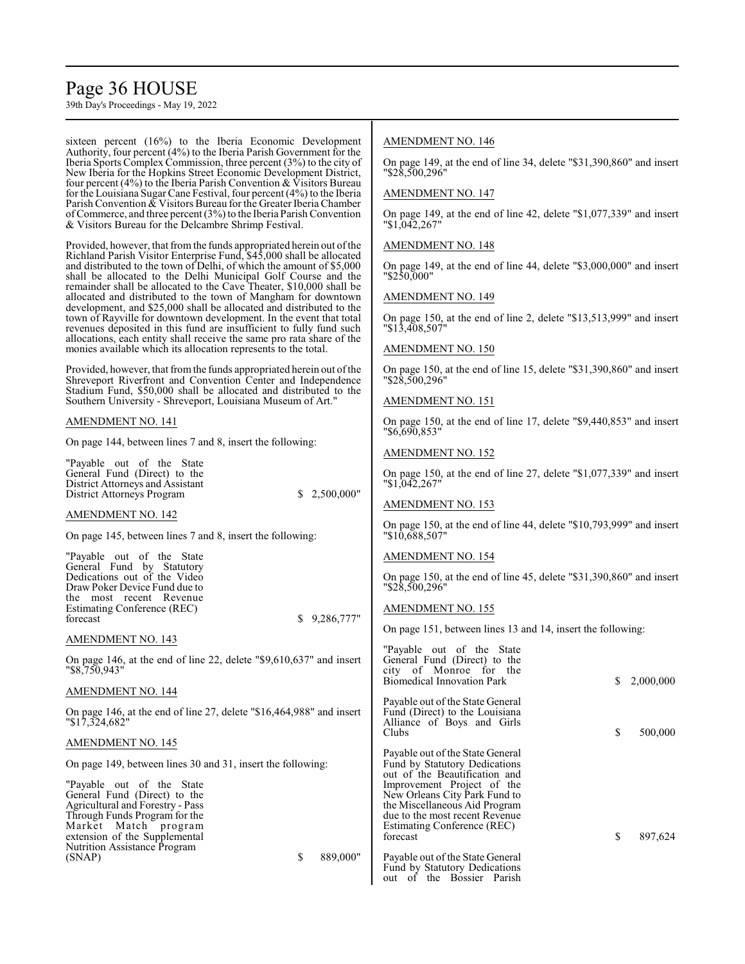## Page 36 HOUSE

39th Day's Proceedings - May 19, 2022

sixteen percent (16%) to the Iberia Economic Development Authority, four percent (4%) to the Iberia Parish Government for the Iberia Sports Complex Commission, three percent (3%) to the city of New Iberia for the Hopkins Street Economic Development District, four percent (4%) to the Iberia Parish Convention & Visitors Bureau for the Louisiana Sugar Cane Festival, four percent (4%) to the Iberia Parish Convention & Visitors Bureau for the Greater Iberia Chamber ofCommerce, and three percent (3%) to the Iberia ParishConvention & Visitors Bureau for the Delcambre Shrimp Festival.

Provided, however, that from the funds appropriated herein out of the Richland Parish Visitor Enterprise Fund, \$45,000 shall be allocated and distributed to the town of Delhi, of which the amount of \$5,000 shall be allocated to the Delhi Municipal Golf Course and the remainder shall be allocated to the Cave Theater, \$10,000 shall be allocated and distributed to the town of Mangham for downtown development, and \$25,000 shall be allocated and distributed to the town of Rayville for downtown development. In the event that total revenues deposited in this fund are insufficient to fully fund such allocations, each entity shall receive the same pro rata share of the monies available which its allocation represents to the total.

Provided, however, that from the funds appropriated herein out of the Shreveport Riverfront and Convention Center and Independence Stadium Fund, \$50,000 shall be allocated and distributed to the Southern University - Shreveport, Louisiana Museum of Art."

#### AMENDMENT NO. 141

On page 144, between lines 7 and 8, insert the following:

"Payable out of the State General Fund (Direct) to the District Attorneys and Assistant District Attorneys Program  $$ 2,500,000"$ 

AMENDMENT NO. 142

On page 145, between lines 7 and 8, insert the following:

"Payable out of the State General Fund by Statutory Dedications out of the Video Draw Poker Device Fund due to the most recent Revenue Estimating Conference (REC) forecast \$ 9,286,777

AMENDMENT NO. 143

On page 146, at the end of line 22, delete "\$9,610,637" and inser "\$8,750,943"

#### AMENDMENT NO. 144

On page 146, at the end of line 27, delete "\$16,464,988" and inser "\$17,324,682"

#### AMENDMENT NO. 145

On page 149, between lines 30 and 31, insert the following:

"Payable out of the State General Fund (Direct) to the Agricultural and Forestry - Pass Through Funds Program for the Market Match program extension of the Supplemental Nutrition Assistance Program (SNAP) \$ 889,000"

#### AMENDMENT NO. 146

On page 149, at the end of line 34, delete "\$31,390,860" and insert "\$28,500,296"

#### AMENDMENT NO. 147

On page 149, at the end of line 42, delete "\$1,077,339" and insert "\$1,042,267"

#### AMENDMENT NO. 148

On page 149, at the end of line 44, delete "\$3,000,000" and insert "\$250,000"

### AMENDMENT NO. 149

On page 150, at the end of line 2, delete "\$13,513,999" and insert "\$13,408,507"

#### AMENDMENT NO. 150

On page 150, at the end of line 15, delete "\$31,390,860" and insert "\$28,500,296"

#### AMENDMENT NO. 151

On page 150, at the end of line 17, delete "\$9,440,853" and insert "\$6,690,853"

#### AMENDMENT NO. 152

On page 150, at the end of line 27, delete "\$1,077,339" and insert "\$1,042,267"

#### AMENDMENT NO. 153

On page 150, at the end of line 44, delete "\$10,793,999" and insert "\$10,688,507"

#### AMENDMENT NO. 154

On page 150, at the end of line 45, delete "\$31,390,860" and insert "\$28,500,296"

#### AMENDMENT NO. 155

On page 151, between lines 13 and 14, insert the following:

| rt | "Payable out of the State"<br>General Fund (Direct) to the<br>city of Monroe for the<br><b>Biomedical Innovation Park</b>                                                                                                                                                              | S  | 2,000,000 |
|----|----------------------------------------------------------------------------------------------------------------------------------------------------------------------------------------------------------------------------------------------------------------------------------------|----|-----------|
| rt | Payable out of the State General<br>Fund (Direct) to the Louisiana<br>Alliance of Boys and Girls<br>Clubs                                                                                                                                                                              | \$ | 500,000   |
|    | Payable out of the State General<br>Fund by Statutory Dedications<br>out of the Beautification and<br>Improvement Project of the<br>New Orleans City Park Fund to<br>the Miscellaneous Aid Program<br>due to the most recent Revenue<br><b>Estimating Conference (REC)</b><br>forecast | \$ | 897,624   |
| Ħ  | Payable out of the State General<br>Fund by Statutory Dedications<br>of the Bossier Parish<br>out                                                                                                                                                                                      |    |           |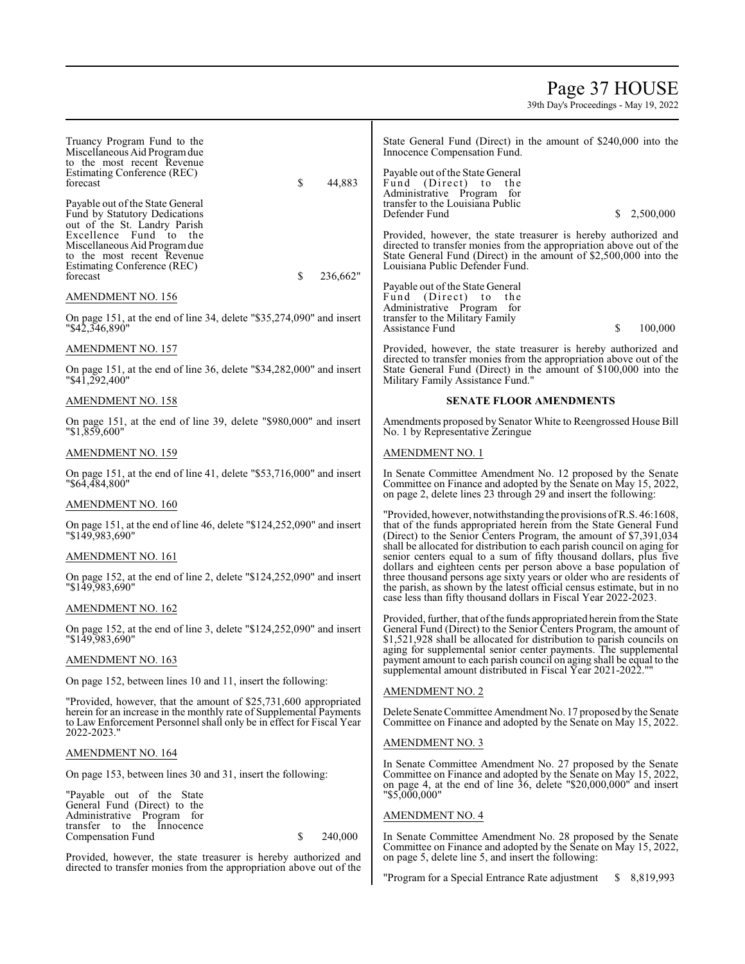## Page 37 HOUSE

| Truancy Program Fund to the<br>Miscellaneous Aid Program due<br>to the most recent Revenue<br>Estimating Conference (REC)<br>\$<br>44,883<br>forecast                                                                          | State General Fund (Direct) in the amount of \$240,000 into the<br>Innocence Compensation Fund.<br>Payable out of the State General<br>Fund (Direct) to the                                                                                                                               |
|--------------------------------------------------------------------------------------------------------------------------------------------------------------------------------------------------------------------------------|-------------------------------------------------------------------------------------------------------------------------------------------------------------------------------------------------------------------------------------------------------------------------------------------|
| Payable out of the State General<br>Fund by Statutory Dedications<br>out of the St. Landry Parish                                                                                                                              | Administrative Program for<br>transfer to the Louisiana Public<br>Defender Fund<br>S<br>2,500,000                                                                                                                                                                                         |
| Excellence Fund to the<br>Miscellaneous Aid Program due<br>to the most recent Revenue<br>Estimating Conference (REC)<br>\$<br>forecast<br>236,662"                                                                             | Provided, however, the state treasurer is hereby authorized and<br>directed to transfer monies from the appropriation above out of the<br>State General Fund (Direct) in the amount of \$2,500,000 into the<br>Louisiana Public Defender Fund.                                            |
| AMENDMENT NO. 156                                                                                                                                                                                                              | Payable out of the State General<br>Fund (Direct) to the                                                                                                                                                                                                                                  |
| On page 151, at the end of line 34, delete "\$35,274,090" and insert<br>"\$42,346,890"                                                                                                                                         | Administrative Program for<br>transfer to the Military Family<br>100,000<br>Assistance Fund<br>\$                                                                                                                                                                                         |
| AMENDMENT NO. 157                                                                                                                                                                                                              | Provided, however, the state treasurer is hereby authorized and                                                                                                                                                                                                                           |
| On page 151, at the end of line 36, delete "\$34,282,000" and insert<br>"\$41,292,400"                                                                                                                                         | directed to transfer monies from the appropriation above out of the<br>State General Fund (Direct) in the amount of \$100,000 into the<br>Military Family Assistance Fund."                                                                                                               |
| <b>AMENDMENT NO. 158</b>                                                                                                                                                                                                       | <b>SENATE FLOOR AMENDMENTS</b>                                                                                                                                                                                                                                                            |
| On page 151, at the end of line 39, delete "\$980,000" and insert<br>"\$1,859,600"                                                                                                                                             | Amendments proposed by Senator White to Reengrossed House Bill<br>No. 1 by Representative Zeringue                                                                                                                                                                                        |
| AMENDMENT NO. 159                                                                                                                                                                                                              | <b>AMENDMENT NO. 1</b>                                                                                                                                                                                                                                                                    |
| On page 151, at the end of line 41, delete "\$53,716,000" and insert<br>"\$64,484,800"                                                                                                                                         | In Senate Committee Amendment No. 12 proposed by the Senate<br>Committee on Finance and adopted by the Senate on May 15, 2022,<br>on page 2, delete lines 23 through 29 and insert the following:                                                                                         |
| AMENDMENT NO. 160                                                                                                                                                                                                              |                                                                                                                                                                                                                                                                                           |
| On page 151, at the end of line 46, delete "\$124,252,090" and insert<br>"\$149,983,690"                                                                                                                                       | "Provided, however, notwithstanding the provisions of R.S. 46:1608,<br>that of the funds appropriated herein from the State General Fund<br>(Direct) to the Senior Centers Program, the amount of \$7,391,034<br>shall be allocated for distribution to each parish council on aging for  |
| AMENDMENT NO. 161                                                                                                                                                                                                              | senior centers equal to a sum of fifty thousand dollars, plus five                                                                                                                                                                                                                        |
| On page 152, at the end of line 2, delete "\$124,252,090" and insert<br>"\$149,983,690"                                                                                                                                        | dollars and eighteen cents per person above a base population of<br>three thousand persons age sixty years or older who are residents of<br>the parish, as shown by the latest official census estimate, but in no<br>case less than fifty thousand dollars in Fiscal Year 2022-2023.     |
| <b>AMENDMENT NO. 162</b>                                                                                                                                                                                                       |                                                                                                                                                                                                                                                                                           |
| On page 152, at the end of line 3, delete "\$124,252,090" and insert<br>"\$149,983,690"                                                                                                                                        | Provided, further, that of the funds appropriated herein from the State<br>General Fund (Direct) to the Senior Centers Program, the amount of<br>\$1,521,928 shall be allocated for distribution to parish councils on<br>aging for supplemental senior center payments. The supplemental |
| <b>AMENDMENT NO. 163</b>                                                                                                                                                                                                       | payment amount to each parish council on aging shall be equal to the<br>supplemental amount distributed in Fiscal Year 2021-2022.""                                                                                                                                                       |
| On page 152, between lines 10 and 11, insert the following:                                                                                                                                                                    |                                                                                                                                                                                                                                                                                           |
| "Provided, however, that the amount of \$25,731,600 appropriated<br>herein for an increase in the monthly rate of Supplemental Payments<br>to Law Enforcement Personnel shall only be in effect for Fiscal Year<br>2022-2023." | <b>AMENDMENT NO. 2</b><br>Delete Senate Committee Amendment No. 17 proposed by the Senate<br>Committee on Finance and adopted by the Senate on May 15, 2022.                                                                                                                              |
| <b>AMENDMENT NO. 164</b>                                                                                                                                                                                                       | <b>AMENDMENT NO. 3</b>                                                                                                                                                                                                                                                                    |
| On page 153, between lines 30 and 31, insert the following:<br>"Payable out of the State                                                                                                                                       | In Senate Committee Amendment No. 27 proposed by the Senate<br>Committee on Finance and adopted by the Senate on May 15, 2022,<br>on page 4, at the end of line $36$ , delete "\$20,000,000" and insert<br>$"$ \$5,000,000"                                                               |
| General Fund (Direct) to the                                                                                                                                                                                                   |                                                                                                                                                                                                                                                                                           |
| Administrative Program for<br>transfer to the Innocence                                                                                                                                                                        | <b>AMENDMENT NO. 4</b>                                                                                                                                                                                                                                                                    |
| \$<br>Compensation Fund<br>240,000<br>Provided, however, the state treasurer is hereby authorized and<br>directed to transfer monies from the appropriation above out of the                                                   | In Senate Committee Amendment No. 28 proposed by the Senate<br>Committee on Finance and adopted by the Senate on May 15, 2022,<br>on page 5, delete line 5, and insert the following:                                                                                                     |
|                                                                                                                                                                                                                                | "Program for a Special Entrance Rate adjustment<br>8,819,993<br>S.                                                                                                                                                                                                                        |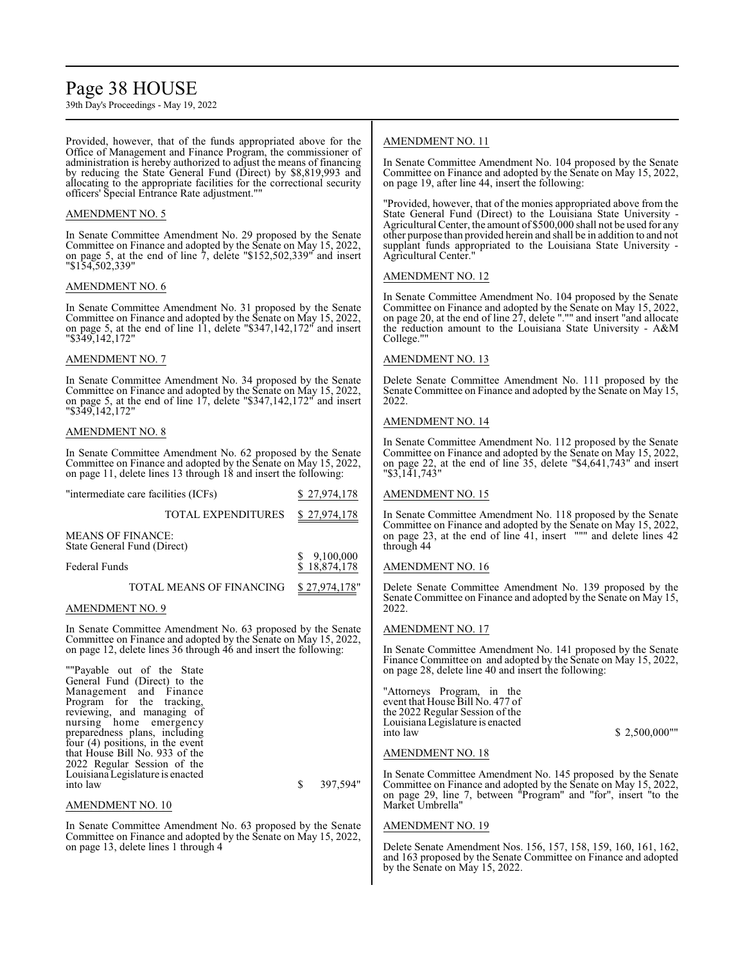## Page 38 HOUSE

39th Day's Proceedings - May 19, 2022

Provided, however, that of the funds appropriated above for the Office of Management and Finance Program, the commissioner of administration is hereby authorized to adjust the means of financing by reducing the State General Fund (Direct) by \$8,819,993 and allocating to the appropriate facilities for the correctional security officers' Special Entrance Rate adjustment.""

## AMENDMENT NO. 5

In Senate Committee Amendment No. 29 proposed by the Senate Committee on Finance and adopted by the Senate on May 15, 2022, on page 5, at the end of line 7, delete "\$152,502,339" and insert "\$154,502,339"

## AMENDMENT NO. 6

In Senate Committee Amendment No. 31 proposed by the Senate Committee on Finance and adopted by the Senate on May 15, 2022, on page 5, at the end of line 11, delete "\$347,142,172" and insert "\$349,142,172"

## AMENDMENT NO. 7

In Senate Committee Amendment No. 34 proposed by the Senate Committee on Finance and adopted by the Senate on May 15, 2022, on page 5, at the end of line 17, delete "\$347,142,172" and insert "\$349,142,172"

## AMENDMENT NO. 8

In Senate Committee Amendment No. 62 proposed by the Senate Committee on Finance and adopted by the Senate on May 15, 2022, on page 11, delete lines 13 through 18 and insert the following:

| "intermediate care facilities (ICFs)                              |                                                                                                                                | \$27,974,178                |
|-------------------------------------------------------------------|--------------------------------------------------------------------------------------------------------------------------------|-----------------------------|
|                                                                   | <b>TOTAL EXPENDITURES</b>                                                                                                      | \$27,974,178                |
| MEANS OF FINANCE:<br>State General Fund (Direct)<br>Federal Funds |                                                                                                                                | \$9,100,000<br>\$18,874,178 |
|                                                                   | TOTAL MEANS OF FINANCING                                                                                                       | \$27,974,178"               |
| AMENDMENT NO. 9                                                   |                                                                                                                                |                             |
|                                                                   | In Senate Committee Amendment No. 63 proposed by the Senate<br>Committee on Finance and adopted by the Senate on May 15, 2022, |                             |

on page 12, delete lines 36 through 46 and insert the following: ""Payable out of the State

| General Fund (Direct) to the     |          |
|----------------------------------|----------|
| Management and Finance           |          |
| Program for the tracking.        |          |
| reviewing, and managing of       |          |
| nursing home emergency           |          |
| preparedness plans, including    |          |
| four (4) positions, in the event |          |
| that House Bill No. 933 of the   |          |
| 2022 Regular Session of the      |          |
| Louisiana Legislature is enacted |          |
| into law                         | 397,594" |
|                                  |          |

### AMENDMENT NO. 10

In Senate Committee Amendment No. 63 proposed by the Senate Committee on Finance and adopted by the Senate on May 15, 2022, on page 13, delete lines 1 through 4

## AMENDMENT NO. 11

In Senate Committee Amendment No. 104 proposed by the Senate Committee on Finance and adopted by the Senate on May 15, 2022, on page 19, after line 44, insert the following:

"Provided, however, that of the monies appropriated above from the State General Fund (Direct) to the Louisiana State University - Agricultural Center, the amount of \$500,000 shall not be used for any other purpose than provided herein and shall be in addition to and not supplant funds appropriated to the Louisiana State University - Agricultural Center.

## AMENDMENT NO. 12

In Senate Committee Amendment No. 104 proposed by the Senate Committee on Finance and adopted by the Senate on May 15, 2022, on page 20, at the end of line 27, delete "."" and insert "and allocate the reduction amount to the Louisiana State University - A&M College."

### AMENDMENT NO. 13

Delete Senate Committee Amendment No. 111 proposed by the Senate Committee on Finance and adopted by the Senate on May 15, 2022.

### AMENDMENT NO. 14

In Senate Committee Amendment No. 112 proposed by the Senate Committee on Finance and adopted by the Senate on May 15, 2022, on page 22, at the end of line 35, delete "\$4,641,743" and insert "\$3,141,743"

## AMENDMENT NO. 15

In Senate Committee Amendment No. 118 proposed by the Senate Committee on Finance and adopted by the Senate on May 15, 2022, on page 23, at the end of line 41, insert """ and delete lines 42 through 44

## AMENDMENT NO. 16

Delete Senate Committee Amendment No. 139 proposed by the Senate Committee on Finance and adopted by the Senate on May 15, 2022.

## AMENDMENT NO. 17

In Senate Committee Amendment No. 141 proposed by the Senate Finance Committee on and adopted by the Senate on May 15, 2022, on page 28, delete line 40 and insert the following:

"Attorneys Program, in the event that House Bill No. 477 of the 2022 Regular Session of the Louisiana Legislature is enacted

 $$ 2,500,000$ ""

#### AMENDMENT NO. 18

In Senate Committee Amendment No. 145 proposed by the Senate Committee on Finance and adopted by the Senate on May 15, 2022, on page 29, line 7, between "Program" and "for", insert "to the Market Umbrella"

## AMENDMENT NO. 19

Delete Senate Amendment Nos. 156, 157, 158, 159, 160, 161, 162, and 163 proposed by the Senate Committee on Finance and adopted by the Senate on May 15, 2022.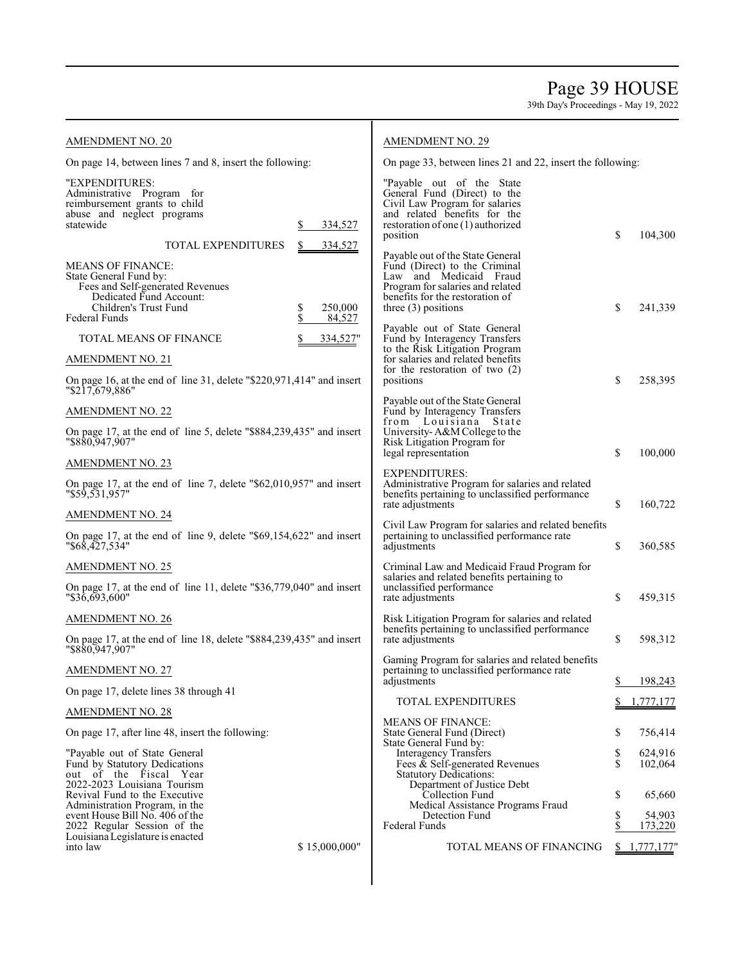Page 39 HOUSE

| <b>AMENDMENT NO. 20</b>                                                                                                                                     |          | <b>AMENDMENT NO. 29</b> |                                                                                                                                                                                             |          |                    |  |
|-------------------------------------------------------------------------------------------------------------------------------------------------------------|----------|-------------------------|---------------------------------------------------------------------------------------------------------------------------------------------------------------------------------------------|----------|--------------------|--|
| On page 14, between lines 7 and 8, insert the following:                                                                                                    |          |                         | On page 33, between lines 21 and 22, insert the following:                                                                                                                                  |          |                    |  |
| "EXPENDITURES:<br>Administrative Program for<br>reimbursement grants to child<br>abuse and neglect programs<br>statewide                                    | S        | 334,527                 | "Payable out of the State"<br>General Fund (Direct) to the<br>Civil Law Program for salaries<br>and related benefits for the<br>restoration of one (1) authorized                           |          |                    |  |
| <b>TOTAL EXPENDITURES</b>                                                                                                                                   | S        | 334,527                 | position                                                                                                                                                                                    | \$       | 104,300            |  |
| <b>MEANS OF FINANCE:</b><br>State General Fund by:<br>Fees and Self-generated Revenues<br>Dedicated Fund Account:<br>Children's Trust Fund<br>Federal Funds | \$<br>\$ | 250,000<br>84,527       | Payable out of the State General<br>Fund (Direct) to the Criminal<br>Law and Medicaid Fraud<br>Program for salaries and related<br>benefits for the restoration of<br>three $(3)$ positions | \$       | 241,339            |  |
| <b>TOTAL MEANS OF FINANCE</b>                                                                                                                               |          | 334,527"                | Payable out of State General<br>Fund by Interagency Transfers                                                                                                                               |          |                    |  |
| <b>AMENDMENT NO. 21</b>                                                                                                                                     |          |                         | to the Risk Litigation Program<br>for salaries and related benefits                                                                                                                         |          |                    |  |
| On page 16, at the end of line 31, delete $\frac{1}{220,971,414}$ and insert<br>"\$217,679,886"                                                             |          |                         | for the restoration of two $(2)$<br>positions                                                                                                                                               | \$       | 258,395            |  |
| <b>AMENDMENT NO. 22</b>                                                                                                                                     |          |                         | Payable out of the State General<br>Fund by Interagency Transfers                                                                                                                           |          |                    |  |
| On page 17, at the end of line 5, delete "\$884,239,435" and insert<br>"\$880,947,907"                                                                      |          |                         | from Louisiana State<br>University-A&M College to the<br>Risk Litigation Program for                                                                                                        |          |                    |  |
| <b>AMENDMENT NO. 23</b>                                                                                                                                     |          |                         | legal representation                                                                                                                                                                        | \$       | 100,000            |  |
| On page 17, at the end of line 7, delete $\degree$ \$62,010,957" and insert<br>"\$59,531,957"                                                               |          |                         | EXPENDITURES:<br>Administrative Program for salaries and related<br>benefits pertaining to unclassified performance                                                                         | \$       |                    |  |
| <b>AMENDMENT NO. 24</b>                                                                                                                                     |          |                         | rate adjustments                                                                                                                                                                            |          | 160,722            |  |
| On page 17, at the end of line 9, delete "\$69,154,622" and insert<br>"\$68,427,534"                                                                        |          |                         | Civil Law Program for salaries and related benefits<br>pertaining to unclassified performance rate<br>adjustments                                                                           | \$       | 360,585            |  |
| <b>AMENDMENT NO. 25</b>                                                                                                                                     |          |                         | Criminal Law and Medicaid Fraud Program for                                                                                                                                                 |          |                    |  |
| On page 17, at the end of line 11, delete "\$36,779,040" and insert<br>"\$36,693,600"                                                                       |          |                         | salaries and related benefits pertaining to<br>unclassified performance<br>rate adjustments                                                                                                 | \$       | 459,315            |  |
| <b>AMENDMENT NO. 26</b>                                                                                                                                     |          |                         | Risk Litigation Program for salaries and related                                                                                                                                            |          |                    |  |
| On page 17, at the end of line 18, delete "\$884,239,435" and insert<br>"\$880,947,907"                                                                     |          |                         | benefits pertaining to unclassified performance<br>rate adjustments                                                                                                                         | \$       | 598,312            |  |
| <b>AMENDMENT NO. 27</b>                                                                                                                                     |          |                         | Gaming Program for salaries and related benefits<br>pertaining to unclassified performance rate<br>adjustments                                                                              | \$       | 198,243            |  |
| On page 17, delete lines 38 through 41                                                                                                                      |          |                         | <b>TOTAL EXPENDITURES</b>                                                                                                                                                                   |          | 1,777,177          |  |
| <b>AMENDMENT NO. 28</b>                                                                                                                                     |          |                         | <b>MEANS OF FINANCE:</b>                                                                                                                                                                    |          |                    |  |
| On page 17, after line 48, insert the following:                                                                                                            |          |                         | State General Fund (Direct)<br>State General Fund by:                                                                                                                                       | \$       | 756,414            |  |
| "Payable out of State General<br>Fund by Statutory Dedications                                                                                              |          |                         | <b>Interagency Transfers</b><br>Fees $\&$ Self-generated Revenues                                                                                                                           | \$<br>\$ | 624,916<br>102,064 |  |
| out of the Fiscal Year<br>2022-2023 Louisiana Tourism<br>Revival Fund to the Executive                                                                      |          |                         | <b>Statutory Dedications:</b><br>Department of Justice Debt<br>Collection Fund                                                                                                              | \$       | 65,660             |  |
| Administration Program, in the<br>event House Bill No. 406 of the                                                                                           |          |                         | Medical Assistance Programs Fraud<br>Detection Fund                                                                                                                                         | \$       | 54,903             |  |
| 2022 Regular Session of the<br>Louisiana Legislature is enacted                                                                                             |          |                         | Federal Funds                                                                                                                                                                               | S        | 173,220            |  |
| into law                                                                                                                                                    |          | \$15,000,000"           | TOTAL MEANS OF FINANCING                                                                                                                                                                    | S.       | 1,777,177'         |  |
|                                                                                                                                                             |          |                         |                                                                                                                                                                                             |          |                    |  |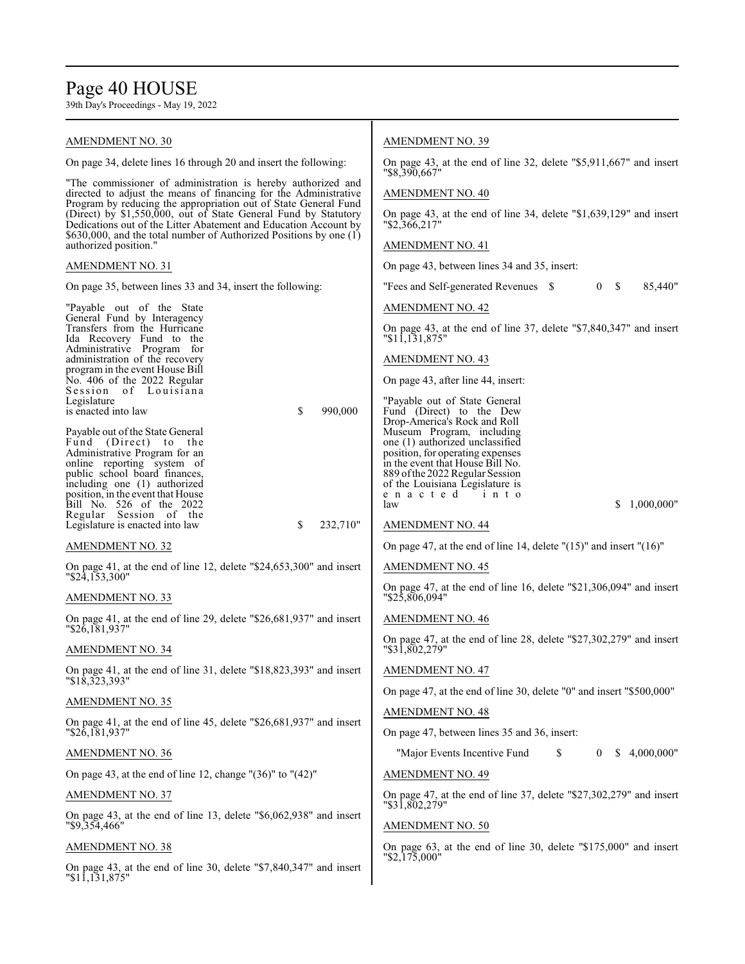# Page 40 HOUSE

| AMENDMENT NO. 30                                                                                                                    | <b>AMENDMENT NO. 39</b>                                                                 |
|-------------------------------------------------------------------------------------------------------------------------------------|-----------------------------------------------------------------------------------------|
| On page 34, delete lines 16 through 20 and insert the following:                                                                    | On page 43, at the end of line 32, delete " $$5,911,667"$ and insert                    |
| "The commissioner of administration is hereby authorized and                                                                        | "\$8,390,667"                                                                           |
| directed to adjust the means of financing for the Administrative<br>Program by reducing the appropriation out of State General Fund | <b>AMENDMENT NO. 40</b>                                                                 |
| (Direct) by \$1,550,000, out of State General Fund by Statutory<br>Dedications out of the Litter Abatement and Education Account by | On page 43, at the end of line 34, delete "\$1,639,129" and insert<br>"\$2,366,217"     |
| \$630,000, and the total number of Authorized Positions by one (1)<br>authorized position."                                         | <b>AMENDMENT NO. 41</b>                                                                 |
| <b>AMENDMENT NO. 31</b>                                                                                                             | On page 43, between lines 34 and 35, insert:                                            |
| On page 35, between lines 33 and 34, insert the following:                                                                          | "Fees and Self-generated Revenues \$<br>0 S<br>85,440"                                  |
| "Payable out of the State"<br>General Fund by Interagency                                                                           | <b>AMENDMENT NO. 42</b>                                                                 |
| Transfers from the Hurricane<br>Ida Recovery Fund to the                                                                            | On page 43, at the end of line 37, delete "\$7,840,347" and insert<br>"11,131,875"      |
| Administrative Program for<br>administration of the recovery                                                                        | <b>AMENDMENT NO. 43</b>                                                                 |
| program in the event House Bill<br>No. 406 of the 2022 Regular<br>Session of Louisiana                                              | On page 43, after line 44, insert:                                                      |
| Legislature<br>\$<br>is enacted into law<br>990,000                                                                                 | "Payable out of State General                                                           |
|                                                                                                                                     | Fund (Direct) to the Dew<br>Drop-America's Rock and Roll                                |
| Payable out of the State General<br>Fund (Direct) to the                                                                            | Museum Program, including<br>one (1) authorized unclassified                            |
| Administrative Program for an<br>online reporting system of                                                                         | position, for operating expenses<br>in the event that House Bill No.                    |
| public school board finances,<br>including one (1) authorized                                                                       | 889 of the 2022 Regular Session<br>of the Louisiana Legislature is                      |
| position, in the event that House                                                                                                   | enacted<br>into                                                                         |
| Bill No. 526 of the 2022<br>Regular Session of the                                                                                  | S.<br>1,000,000"<br>law                                                                 |
| \$<br>Legislature is enacted into law<br>232,710"                                                                                   | <b>AMENDMENT NO. 44</b>                                                                 |
| AMENDMENT NO. 32                                                                                                                    | On page 47, at the end of line 14, delete " $(15)$ " and insert " $(16)$ "              |
| On page 41, at the end of line 12, delete "\$24,653,300" and insert<br>"\$24,153,300"                                               | <b>AMENDMENT NO. 45</b>                                                                 |
| AMENDMENT NO. 33                                                                                                                    | On page 47, at the end of line 16, delete "\$21,306,094" and insert<br>"\$25,806,094"   |
| On page 41, at the end of line 29, delete "\$26,681,937" and insert<br>"\$26,181,937"                                               | <b>AMENDMENT NO. 46</b>                                                                 |
| AMENDMENT NO. 34                                                                                                                    | On page 47, at the end of line 28, delete "\$27,302,279" and insert<br>$"\$31,802,279"$ |
| On page 41, at the end of line 31, delete " $$18,823,393$ " and insert<br>"\$18,323,393"                                            | <b>AMENDMENT NO. 47</b>                                                                 |
| <b>AMENDMENT NO. 35</b>                                                                                                             | On page 47, at the end of line 30, delete "0" and insert "\$500,000"                    |
| On page 41, at the end of line 45, delete "\$26,681,937" and insert                                                                 | <b>AMENDMENT NO. 48</b>                                                                 |
| "\$26,181,937"                                                                                                                      | On page 47, between lines 35 and 36, insert:                                            |
| <b>AMENDMENT NO. 36</b>                                                                                                             | \$4,000,000"<br>"Major Events Incentive Fund<br>S<br>$\bf{0}$                           |
| On page 43, at the end of line 12, change " $(36)$ " to " $(42)$ "                                                                  | <b>AMENDMENT NO. 49</b>                                                                 |
| <u>AMENDMENT NO. 37</u>                                                                                                             | On page 47, at the end of line 37, delete "\$27,302,279" and insert<br>"\$31,802,279"   |
| On page 43, at the end of line 13, delete "\$6,062,938" and insert<br>"\$9,354,466"                                                 | <b>AMENDMENT NO. 50</b>                                                                 |
| <u>AMENDMENT NO. 38</u>                                                                                                             | On page 63, at the end of line 30, delete "\$175,000" and insert<br>$"$ \$2,175,000"    |
| On page 43, at the end of line 30, delete "\$7,840,347" and insert<br>$"\$1\overline{1}, \overline{131}, \overline{875"$            |                                                                                         |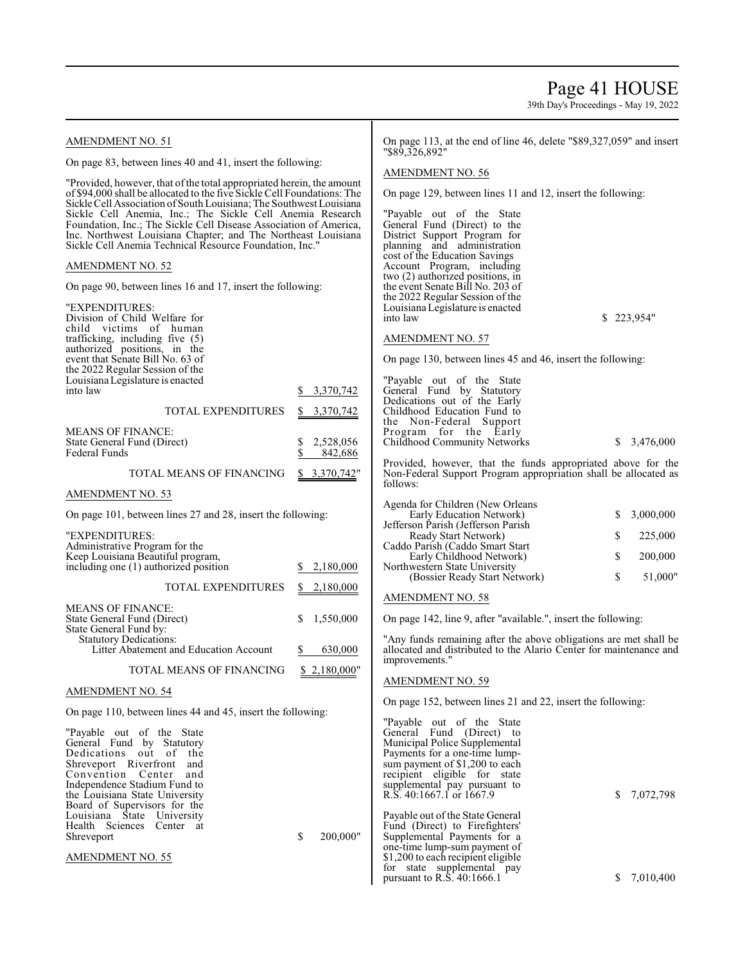## Page 41 HOUSE

| <b>AMENDMENT NO. 51</b>                                                                                                                          |                 | On page 113, at the end of line 46, delete "\$89,327,059" and insert<br>"\$89,326,892" |    |             |  |  |
|--------------------------------------------------------------------------------------------------------------------------------------------------|-----------------|----------------------------------------------------------------------------------------|----|-------------|--|--|
| On page 83, between lines 40 and 41, insert the following:                                                                                       |                 |                                                                                        |    |             |  |  |
| "Provided, however, that of the total appropriated herein, the amount<br>of \$94,000 shall be allocated to the five Sickle Cell Foundations: The |                 | <b>AMENDMENT NO. 56</b>                                                                |    |             |  |  |
| Sickle Cell Association of South Louisiana; The Southwest Louisiana                                                                              |                 | On page 129, between lines 11 and 12, insert the following:                            |    |             |  |  |
| Sickle Cell Anemia, Inc.; The Sickle Cell Anemia Research<br>Foundation, Inc.; The Sickle Cell Disease Association of America,                   |                 | "Payable out of the State<br>General Fund (Direct) to the                              |    |             |  |  |
| Inc. Northwest Louisiana Chapter; and The Northeast Louisiana<br>Sickle Cell Anemia Technical Resource Foundation, Inc."                         |                 | District Support Program for<br>planning and administration                            |    |             |  |  |
| <b>AMENDMENT NO. 52</b>                                                                                                                          |                 | cost of the Education Savings<br>Account Program, including                            |    |             |  |  |
| On page 90, between lines 16 and 17, insert the following:                                                                                       |                 | two (2) authorized positions, in<br>the event Senate Bill No. 203 of                   |    |             |  |  |
| "EXPENDITURES:                                                                                                                                   |                 | the 2022 Regular Session of the<br>Louisiana Legislature is enacted                    |    |             |  |  |
| Division of Child Welfare for<br>child victims of human                                                                                          |                 | into law                                                                               |    | \$223,954"  |  |  |
| trafficking, including five (5)<br>authorized positions, in the                                                                                  |                 | <b>AMENDMENT NO. 57</b>                                                                |    |             |  |  |
| event that Senate Bill No. 63 of<br>the 2022 Regular Session of the                                                                              |                 | On page 130, between lines 45 and 46, insert the following:                            |    |             |  |  |
| Louisiana Legislature is enacted<br>into law                                                                                                     | 3,370,742<br>S. | "Payable out of the State<br>General Fund by Statutory                                 |    |             |  |  |
| <b>TOTAL EXPENDITURES</b>                                                                                                                        | \$3,370,742     | Dedications out of the Early<br>Childhood Education Fund to                            |    |             |  |  |
|                                                                                                                                                  |                 | the Non-Federal Support                                                                |    |             |  |  |
| <b>MEANS OF FINANCE:</b><br>State General Fund (Direct)                                                                                          | \$<br>2,528,056 | Program for the Early<br>Childhood Community Networks                                  |    | \$3,476,000 |  |  |
| <b>Federal Funds</b>                                                                                                                             | \$<br>842,686   | Provided, however, that the funds appropriated above for the                           |    |             |  |  |
| TOTAL MEANS OF FINANCING                                                                                                                         | \$3,370,742"    | Non-Federal Support Program appropriation shall be allocated as<br>follows:            |    |             |  |  |
| AMENDMENT NO. 53                                                                                                                                 |                 | Agenda for Children (New Orleans                                                       |    |             |  |  |
| On page 101, between lines 27 and 28, insert the following:                                                                                      |                 | Early Education Network)<br>Jefferson Parish (Jefferson Parish                         | \$ | 3,000,000   |  |  |
| "EXPENDITURES:<br>Administrative Program for the                                                                                                 |                 | Ready Start Network)<br>Caddo Parish (Caddo Smart Start                                | \$ | 225,000     |  |  |
| Keep Louisiana Beautiful program,                                                                                                                |                 | Early Childhood Network)                                                               | \$ | 200,000     |  |  |
| including one (1) authorized position                                                                                                            | 2,180,000       | Northwestern State University<br>(Bossier Ready Start Network)                         | \$ | 51,000"     |  |  |
| <b>TOTAL EXPENDITURES</b>                                                                                                                        | \$2,180,000     | <b>AMENDMENT NO. 58</b>                                                                |    |             |  |  |
| <b>MEANS OF FINANCE:</b><br>State General Fund (Direct)                                                                                          | 1,550,000       | On page 142, line 9, after "available.", insert the following:                         |    |             |  |  |
| State General Fund by:<br><b>Statutory Dedications:</b>                                                                                          |                 | "Any funds remaining after the above obligations are met shall be                      |    |             |  |  |
| Litter Abatement and Education Account                                                                                                           | 630,000<br>\$   | allocated and distributed to the Alario Center for maintenance and<br>improvements."   |    |             |  |  |
| TOTAL MEANS OF FINANCING                                                                                                                         | \$2,180,000"    | <b>AMENDMENT NO. 59</b>                                                                |    |             |  |  |
| <b>AMENDMENT NO. 54</b>                                                                                                                          |                 | On page 152, between lines 21 and 22, insert the following:                            |    |             |  |  |
| On page 110, between lines 44 and 45, insert the following:                                                                                      |                 | "Payable out of the State                                                              |    |             |  |  |
| "Payable out of the State"<br>General Fund by Statutory                                                                                          |                 | General Fund (Direct) to<br>Municipal Police Supplemental                              |    |             |  |  |
| Dedications out of the                                                                                                                           |                 | Payments for a one-time lump-                                                          |    |             |  |  |
| Shreveport Riverfront and<br>Convention Center<br>and                                                                                            |                 | sum payment of \$1,200 to each<br>recipient eligible for state                         |    |             |  |  |
| Independence Stadium Fund to                                                                                                                     |                 | supplemental pay pursuant to                                                           |    |             |  |  |
| the Louisiana State University<br>Board of Supervisors for the                                                                                   |                 | R.S. 40:1667.1 or 1667.9                                                               | S. | 7,072,798   |  |  |
| Louisiana State University                                                                                                                       |                 | Payable out of the State General                                                       |    |             |  |  |
| Health Sciences Center at<br>Shreveport                                                                                                          | \$<br>200,000"  | Fund (Direct) to Firefighters'<br>Supplemental Payments for a                          |    |             |  |  |
|                                                                                                                                                  |                 | one-time lump-sum payment of                                                           |    |             |  |  |
| <b>AMENDMENT NO. 55</b>                                                                                                                          |                 | \$1,200 to each recipient eligible<br>for state supplemental pay                       |    |             |  |  |
|                                                                                                                                                  |                 | pursuant to R.S. $40:1666.1$                                                           | S. | 7,010,400   |  |  |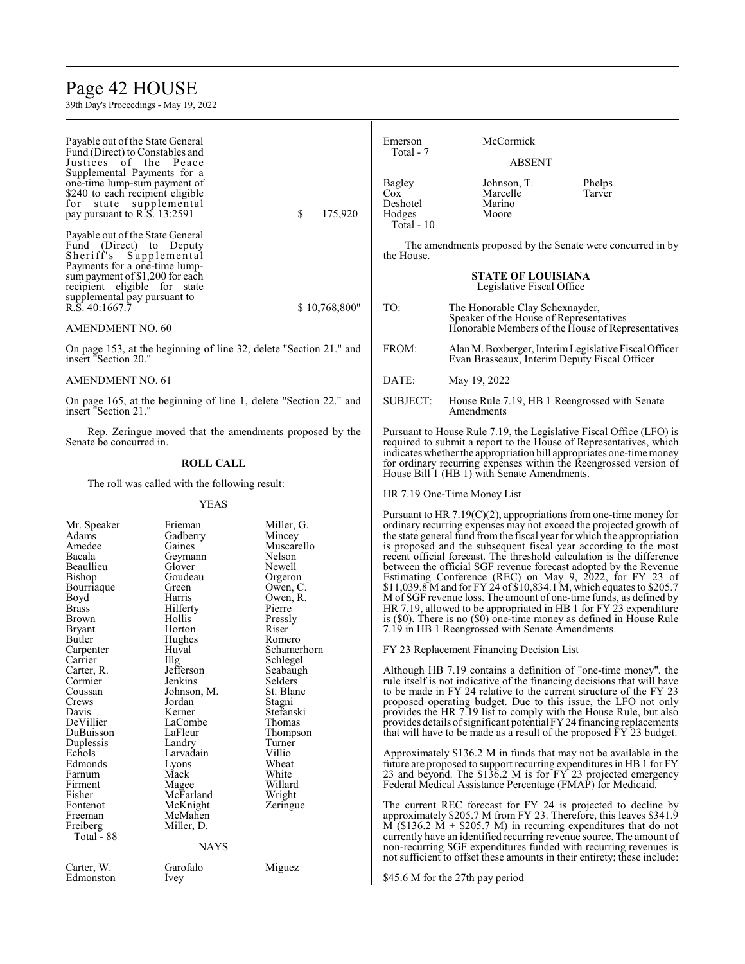## Page 42 HOUSE

| Payable out of the State General<br>Fund (Direct) to Constables and<br>Justices of the Peace<br>Supplemental Payments for a      |                                                                                                                                           |                                                                                                                                   | Emerson<br>Total - 7                              | McCormick<br><b>ABSENT</b>                                                                                                                                                                                                                                                                                                                                                                                                                                                                                                                                                                                                                                                                                                                                                                                                                            |                                                       |
|----------------------------------------------------------------------------------------------------------------------------------|-------------------------------------------------------------------------------------------------------------------------------------------|-----------------------------------------------------------------------------------------------------------------------------------|---------------------------------------------------|-------------------------------------------------------------------------------------------------------------------------------------------------------------------------------------------------------------------------------------------------------------------------------------------------------------------------------------------------------------------------------------------------------------------------------------------------------------------------------------------------------------------------------------------------------------------------------------------------------------------------------------------------------------------------------------------------------------------------------------------------------------------------------------------------------------------------------------------------------|-------------------------------------------------------|
| one-time lump-sum payment of<br>\$240 to each recipient eligible<br>for state supplemental<br>pay pursuant to R.S. 13:2591       |                                                                                                                                           | \$<br>175,920                                                                                                                     | Bagley<br>Cox<br>Deshotel<br>Hodges<br>Total - 10 | Johnson, T.<br>Marcelle<br>Marino<br>Moore                                                                                                                                                                                                                                                                                                                                                                                                                                                                                                                                                                                                                                                                                                                                                                                                            | Phelps<br>Tarver                                      |
| Payable out of the State General<br>Fund (Direct) to Deputy<br>Sheriff's Supplemental                                            |                                                                                                                                           |                                                                                                                                   | the House.                                        | The amendments proposed by the Senate were concurred in by                                                                                                                                                                                                                                                                                                                                                                                                                                                                                                                                                                                                                                                                                                                                                                                            |                                                       |
| Payments for a one-time lump-<br>sum payment of \$1,200 for each<br>recipient eligible for state<br>supplemental pay pursuant to |                                                                                                                                           |                                                                                                                                   |                                                   | <b>STATE OF LOUISIANA</b><br>Legislative Fiscal Office                                                                                                                                                                                                                                                                                                                                                                                                                                                                                                                                                                                                                                                                                                                                                                                                |                                                       |
| R.S. 40:1667.7<br>AMENDMENT NO. 60                                                                                               |                                                                                                                                           | \$10,768,800"                                                                                                                     | TO:                                               | The Honorable Clay Schexnayder,<br>Speaker of the House of Representatives                                                                                                                                                                                                                                                                                                                                                                                                                                                                                                                                                                                                                                                                                                                                                                            | Honorable Members of the House of Representatives     |
| insert "Section 20."                                                                                                             |                                                                                                                                           | On page 153, at the beginning of line 32, delete "Section 21." and                                                                | FROM:                                             | Evan Brasseaux, Interim Deputy Fiscal Officer                                                                                                                                                                                                                                                                                                                                                                                                                                                                                                                                                                                                                                                                                                                                                                                                         | Alan M. Boxberger, Interim Legislative Fiscal Officer |
| AMENDMENT NO. 61                                                                                                                 |                                                                                                                                           |                                                                                                                                   | DATE:                                             | May 19, 2022                                                                                                                                                                                                                                                                                                                                                                                                                                                                                                                                                                                                                                                                                                                                                                                                                                          |                                                       |
| insert "Section 21."                                                                                                             |                                                                                                                                           | On page 165, at the beginning of line 1, delete "Section 22." and                                                                 | <b>SUBJECT:</b>                                   | House Rule 7.19, HB 1 Reengrossed with Senate<br>Amendments                                                                                                                                                                                                                                                                                                                                                                                                                                                                                                                                                                                                                                                                                                                                                                                           |                                                       |
| Senate be concurred in.                                                                                                          |                                                                                                                                           | Rep. Zeringue moved that the amendments proposed by the                                                                           |                                                   | Pursuant to House Rule 7.19, the Legislative Fiscal Office (LFO) is<br>required to submit a report to the House of Representatives, which<br>indicates whether the appropriation bill appropriates one-time money                                                                                                                                                                                                                                                                                                                                                                                                                                                                                                                                                                                                                                     |                                                       |
|                                                                                                                                  | <b>ROLL CALL</b>                                                                                                                          |                                                                                                                                   |                                                   | for ordinary recurring expenses within the Reengrossed version of<br>House Bill 1 (HB 1) with Senate Amendments.                                                                                                                                                                                                                                                                                                                                                                                                                                                                                                                                                                                                                                                                                                                                      |                                                       |
|                                                                                                                                  | The roll was called with the following result:                                                                                            |                                                                                                                                   |                                                   | HR 7.19 One-Time Money List                                                                                                                                                                                                                                                                                                                                                                                                                                                                                                                                                                                                                                                                                                                                                                                                                           |                                                       |
| Mr. Speaker<br>Adams<br>Amedee<br>Bacala<br>Beaullieu<br>Bishop<br>Bourriaque<br>Boyd<br>Brass<br>Brown<br>Bryant<br>Butler      | <b>YEAS</b><br>Frieman<br>Gadberry<br>Gaines<br>Geymann<br>Glover<br>Goudeau<br>Green<br>Harris<br>Hilferty<br>Hollis<br>Horton<br>Hughes | Miller, G.<br>Mincey<br>Muscarello<br>Nelson<br>Newell<br>Orgeron<br>Owen, C.<br>Owen, R.<br>Pierre<br>Pressly<br>Riser<br>Romero |                                                   | Pursuant to HR $7.19(C)(2)$ , appropriations from one-time money for<br>ordinary recurring expenses may not exceed the projected growth of<br>the state general fund from the fiscal year for which the appropriation<br>is proposed and the subsequent fiscal year according to the most<br>recent official forecast. The threshold calculation is the difference<br>between the official SGF revenue forecast adopted by the Revenue<br>Estimating Conference (REC) on May 9, 2022, for FY 23 of<br>\$11,039.8 M and for FY 24 of \$10,834.1 M, which equates to \$205.7<br>M of SGF revenue loss. The amount of one-time funds, as defined by<br>HR 7.19, allowed to be appropriated in HB 1 for FY 23 expenditure<br>is $(\$0)$ . There is no $(\$0)$ one-time money as defined in House Rule<br>7.19 in HB 1 Reengrossed with Senate Amendments. |                                                       |
| Carpenter<br>Carrier                                                                                                             | Huval                                                                                                                                     | Schamerhorn<br>Schlegel                                                                                                           |                                                   | FY 23 Replacement Financing Decision List                                                                                                                                                                                                                                                                                                                                                                                                                                                                                                                                                                                                                                                                                                                                                                                                             |                                                       |
| Carter, R.<br>Cormier<br>Coussan<br>Crews<br>Davis<br>DeVillier<br>DuBuisson                                                     | Illg<br>Jefferson<br>Jenkins<br>Johnson, M.<br>Jordan<br>Kerner<br>LaCombe<br>LaFleur                                                     | Seabaugh<br>Selders<br>St. Blanc<br>Stagni<br>Stefanski<br>Thomas<br>Thompson<br>Turner                                           |                                                   | Although HB 7.19 contains a definition of "one-time money", the<br>rule itself is not indicative of the financing decisions that will have<br>to be made in FY 24 relative to the current structure of the FY 23<br>proposed operating budget. Due to this issue, the LFO not only<br>provides the HR 7.19 list to comply with the House Rule, but also<br>provides details of significant potential FY 24 financing replacements<br>that will have to be made as a result of the proposed FY 23 budget.                                                                                                                                                                                                                                                                                                                                              |                                                       |
| Duplessis<br>Echols<br>Edmonds<br>Farnum<br>Firment                                                                              | Landry<br>Larvadain<br>Lyons<br>Mack<br>Magee                                                                                             | Villio<br>Wheat<br>White<br>Willard                                                                                               |                                                   | Approximately \$136.2 M in funds that may not be available in the<br>future are proposed to support recurring expenditures in HB 1 for FY<br>23 and beyond. The \$136.2 M is for FY 23 projected emergency<br>Federal Medical Assistance Percentage (FMAP) for Medicaid.                                                                                                                                                                                                                                                                                                                                                                                                                                                                                                                                                                              |                                                       |
| Fisher<br>Fontenot<br>Freeman<br>Freiberg<br>Total - 88                                                                          | McFarland<br>McKnight<br>McMahen<br>Miller, D.<br><b>NAYS</b>                                                                             | Wright<br>Zeringue                                                                                                                |                                                   | The current REC forecast for FY 24 is projected to decline by<br>approximately \$205.7 M from FY 23. Therefore, this leaves \$341.9<br>$\overline{M}$ (\$136.2 M + \$205.7 M) in recurring expenditures that do not<br>currently have an identified recurring revenue source. The amount of<br>non-recurring SGF expenditures funded with recurring revenues is                                                                                                                                                                                                                                                                                                                                                                                                                                                                                       |                                                       |
| Carter, W.<br>Edmonston                                                                                                          | Garofalo<br>Ivey                                                                                                                          | Miguez                                                                                                                            |                                                   | not sufficient to offset these amounts in their entirety; these include:<br>\$45.6 M for the 27th pay period                                                                                                                                                                                                                                                                                                                                                                                                                                                                                                                                                                                                                                                                                                                                          |                                                       |
|                                                                                                                                  |                                                                                                                                           |                                                                                                                                   |                                                   |                                                                                                                                                                                                                                                                                                                                                                                                                                                                                                                                                                                                                                                                                                                                                                                                                                                       |                                                       |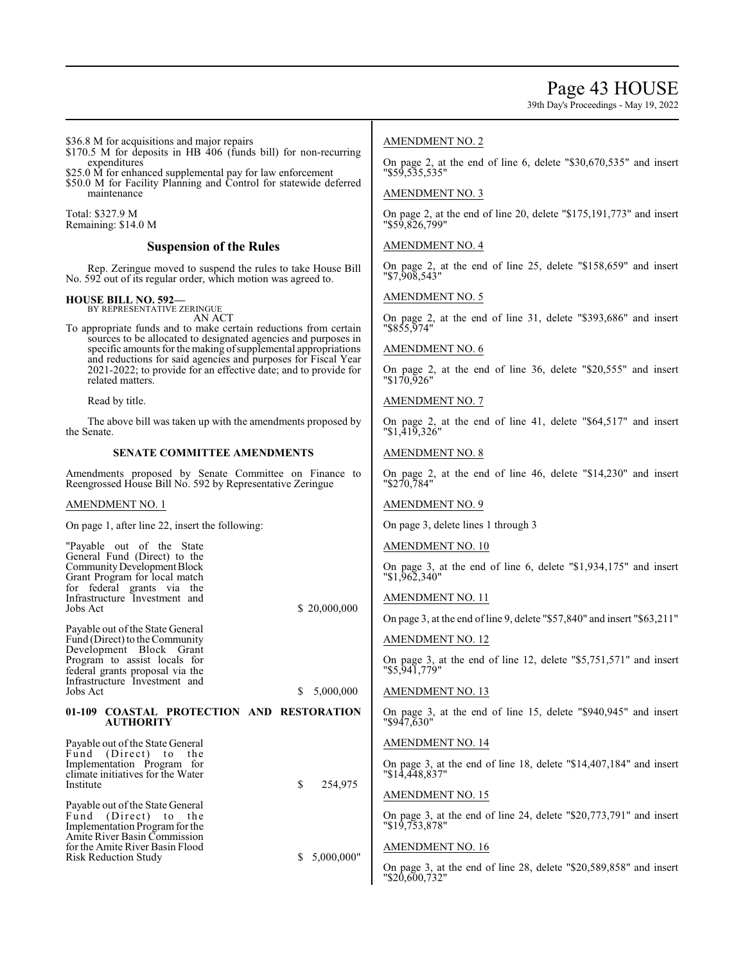39th Day's Proceedings - May 19, 2022

\$36.8 M for acquisitions and major repairs

- \$170.5 M for deposits in HB 406 (funds bill) for non-recurring expenditures
- \$25.0  $\dot{M}$  for enhanced supplemental pay for law enforcement
- \$50.0 M for Facility Planning and Control for statewide deferred maintenance

Total: \$327.9 M Remaining: \$14.0 M

## **Suspension of the Rules**

Rep. Zeringue moved to suspend the rules to take House Bill No. 592 out of its regular order, which motion was agreed to.

## **HOUSE BILL NO. 592—**

BY REPRESENTATIVE ZERINGUE AN ACT

To appropriate funds and to make certain reductions from certain sources to be allocated to designated agencies and purposes in specific amounts for the making of supplemental appropriations and reductions for said agencies and purposes for Fiscal Year 2021-2022; to provide for an effective date; and to provide for related matters.

Read by title.

The above bill was taken up with the amendments proposed by the Senate.

## **SENATE COMMITTEE AMENDMENTS**

Amendments proposed by Senate Committee on Finance to Reengrossed House Bill No. 592 by Representative Zeringue

#### AMENDMENT NO. 1

On page 1, after line 22, insert the following:

| "Payable out of the State<br>General Fund (Direct) to the<br>Community Development Block<br>Grant Program for local match<br>for federal grants via the<br>Infrastructure Investment and<br>Jobs Act          | \$20,000,000    |
|---------------------------------------------------------------------------------------------------------------------------------------------------------------------------------------------------------------|-----------------|
| Payable out of the State General<br>Fund (Direct) to the Community<br>Development Block Grant<br>Program to assist locals for<br>federal grants proposal via the<br>Infrastructure Investment and<br>Jobs Act | \$<br>5,000,000 |
|                                                                                                                                                                                                               |                 |
| 01-109 COASTAL PROTECTION AND RESTORATION<br><b>AUTHORITY</b>                                                                                                                                                 |                 |
| Payable out of the State General<br>Fund (Direct) to the<br>Implementation Program for<br>climate initiatives for the Water<br>Institute                                                                      | \$<br>254,975   |
| Payable out of the State General<br>Fund (Direct) to<br>the<br>Implementation Program for the<br>Amite River Basin Commission                                                                                 |                 |

## AMENDMENT NO. 2

On page 2, at the end of line 6, delete "\$30,670,535" and insert "\$59,535,535"

## AMENDMENT NO. 3

On page 2, at the end of line 20, delete "\$175,191,773" and insert "\$59,826,799"

## AMENDMENT NO. 4

On page 2, at the end of line 25, delete "\$158,659" and insert "\$7,908,543"

AMENDMENT NO. 5

On page 2, at the end of line 31, delete "\$393,686" and insert "\$855,974"

## AMENDMENT NO. 6

On page 2, at the end of line 36, delete "\$20,555" and insert "\$170,926"

## AMENDMENT NO. 7

On page 2, at the end of line 41, delete "\$64,517" and insert "\$1,419,326"

## AMENDMENT NO. 8

On page 2, at the end of line 46, delete "\$14,230" and insert "\$270,784"

## AMENDMENT NO. 9

On page 3, delete lines 1 through 3

## AMENDMENT NO. 10

On page 3, at the end of line 6, delete "\$1,934,175" and insert "\$1,962,340"

## AMENDMENT NO. 11

On page 3, at the end of line 9, delete "\$57,840" and insert "\$63,211"

## AMENDMENT NO. 12

On page 3, at the end of line 12, delete "\$5,751,571" and insert "\$5,941,779"

## AMENDMENT NO. 13

On page 3, at the end of line 15, delete "\$940,945" and insert "\$947,630"

## AMENDMENT NO. 14

On page 3, at the end of line 18, delete "\$14,407,184" and insert "\$14,448,837"

## AMENDMENT NO. 15

On page 3, at the end of line 24, delete "\$20,773,791" and insert "\$19,753,878"

## AMENDMENT NO. 16

On page 3, at the end of line 28, delete "\$20,589,858" and insert "\$20,600,732"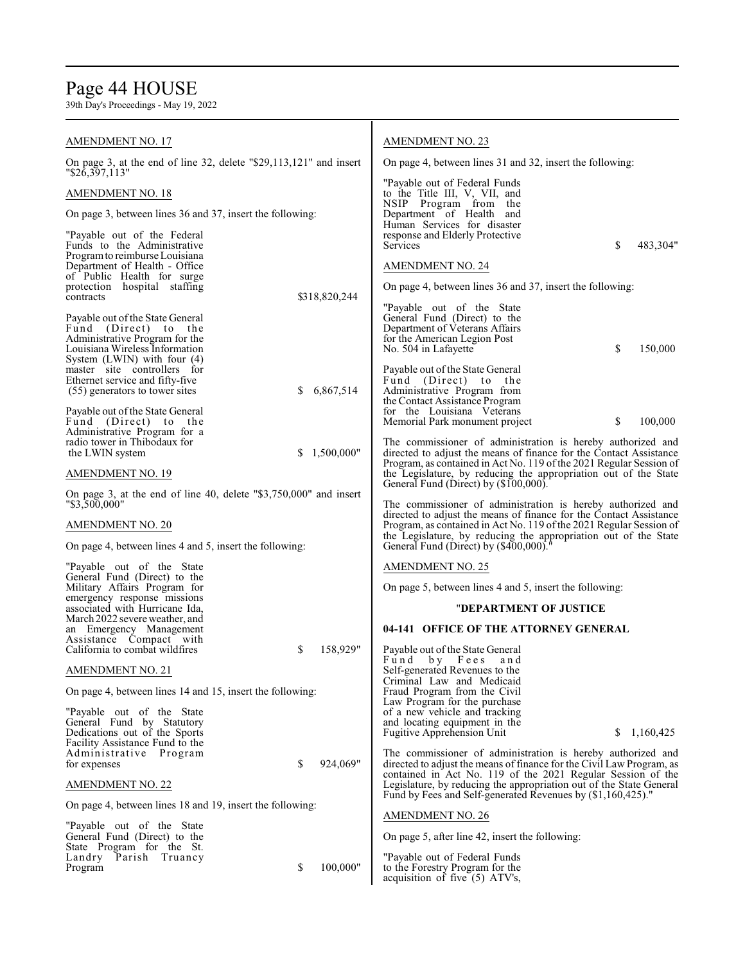## Page 44 HOUSE

| <b>AMENDMENT NO. 17</b>                                                                                                                                         |                  | AMENDMENT NO. 23                                                                                                                                                                                                                                       |
|-----------------------------------------------------------------------------------------------------------------------------------------------------------------|------------------|--------------------------------------------------------------------------------------------------------------------------------------------------------------------------------------------------------------------------------------------------------|
| On page 3, at the end of line 32, delete "\$29,113,121" and insert                                                                                              |                  | On page 4, between lines 31 and 32, insert the following:                                                                                                                                                                                              |
| "\$26,397,113"                                                                                                                                                  |                  | "Payable out of Federal Funds"                                                                                                                                                                                                                         |
| AMENDMENT NO. 18<br>On page 3, between lines 36 and 37, insert the following:                                                                                   |                  | to the Title III, V, VII, and<br>NSIP Program from the<br>Department of Health and                                                                                                                                                                     |
| "Payable out of the Federal<br>Funds to the Administrative                                                                                                      |                  | Human Services for disaster<br>response and Elderly Protective<br>Services<br>S<br>483,304"                                                                                                                                                            |
| Program to reimburse Louisiana<br>Department of Health - Office                                                                                                 |                  | <b>AMENDMENT NO. 24</b>                                                                                                                                                                                                                                |
| of Public Health for surge<br>protection hospital staffing<br>contracts                                                                                         |                  | On page 4, between lines 36 and 37, insert the following:                                                                                                                                                                                              |
|                                                                                                                                                                 | \$318,820,244    | "Payable out of the State"                                                                                                                                                                                                                             |
| Payable out of the State General<br>Fund (Direct) to the<br>Administrative Program for the<br>Louisiana Wireless Information<br>System $(LWIN)$ with four $(4)$ |                  | General Fund (Direct) to the<br>Department of Veterans Affairs<br>for the American Legion Post<br>\$<br>150,000<br>No. 504 in Lafayette                                                                                                                |
| master site controllers for<br>Ethernet service and fifty-five<br>(55) generators to tower sites                                                                | 6,867,514<br>S   | Payable out of the State General<br>Fund (Direct) to the<br>Administrative Program from<br>the Contact Assistance Program                                                                                                                              |
| Payable out of the State General<br>Fund (Direct) to the<br>Administrative Program for a                                                                        |                  | for the Louisiana Veterans<br>Memorial Park monument project<br>100,000<br>S                                                                                                                                                                           |
| radio tower in Thibodaux for<br>the LWIN system                                                                                                                 | 1,500,000"<br>\$ | The commissioner of administration is hereby authorized and<br>directed to adjust the means of finance for the Contact Assistance                                                                                                                      |
| AMENDMENT NO. 19                                                                                                                                                |                  | Program, as contained in Act No. 119 of the 2021 Regular Session of<br>the Legislature, by reducing the appropriation out of the State<br>General Fund (Direct) by (\$100,000).                                                                        |
| On page 3, at the end of line 40, delete $\text{\degree$3,750,000\degree$}$ and insert<br>"\$3,500,000"                                                         |                  | The commissioner of administration is hereby authorized and                                                                                                                                                                                            |
| AMENDMENT NO. 20<br>On page 4, between lines 4 and 5, insert the following:                                                                                     |                  | directed to adjust the means of finance for the Contact Assistance<br>Program, as contained in Act No. 119 of the 2021 Regular Session of<br>the Legislature, by reducing the appropriation out of the State<br>General Fund (Direct) by (\$400,000)." |
| "Payable out of the State"                                                                                                                                      |                  | <b>AMENDMENT NO. 25</b>                                                                                                                                                                                                                                |
| General Fund (Direct) to the<br>Military Affairs Program for                                                                                                    |                  | On page 5, between lines 4 and 5, insert the following:                                                                                                                                                                                                |
| emergency response missions<br>associated with Hurricane Ida,                                                                                                   |                  | "DEPARTMENT OF JUSTICE                                                                                                                                                                                                                                 |
| March 2022 severe weather, and<br>an Emergency Management                                                                                                       |                  | 04-141 OFFICE OF THE ATTORNEY GENERAL                                                                                                                                                                                                                  |
| Assistance Compact with<br>California to combat wildfires                                                                                                       | \$<br>158,929"   | Payable out of the State General<br>Fund by Fees<br>and                                                                                                                                                                                                |
| <b>AMENDMENT NO. 21</b>                                                                                                                                         |                  | Self-generated Revenues to the<br>Criminal Law and Medicaid                                                                                                                                                                                            |
| On page 4, between lines 14 and 15, insert the following:                                                                                                       |                  | Fraud Program from the Civil<br>Law Program for the purchase                                                                                                                                                                                           |
| "Payable out of the State<br>General Fund by Statutory<br>Dedications out of the Sports                                                                         |                  | of a new vehicle and tracking<br>and locating equipment in the<br><b>Fugitive Apprehension Unit</b><br>S.<br>1,160,425                                                                                                                                 |
| Facility Assistance Fund to the<br>Administrative Program<br>for expenses                                                                                       | 924,069"<br>\$   | The commissioner of administration is hereby authorized and<br>directed to adjust the means of finance for the Civil Law Program, as                                                                                                                   |
| <u>AMENDMENT NO. 22</u>                                                                                                                                         |                  | contained in Act No. 119 of the 2021 Regular Session of the<br>Legislature, by reducing the appropriation out of the State General<br>Fund by Fees and Self-generated Revenues by (\$1,160,425)."                                                      |
| On page 4, between lines 18 and 19, insert the following:                                                                                                       |                  | <b>AMENDMENT NO. 26</b>                                                                                                                                                                                                                                |
| "Payable out of the State"<br>General Fund (Direct) to the                                                                                                      |                  | On page 5, after line 42, insert the following:                                                                                                                                                                                                        |
| State Program for the St.<br>Landry Parish Truancy<br>Program                                                                                                   | \$<br>100,000"   | "Payable out of Federal Funds<br>to the Forestry Program for the<br>acquisition of five (5) ATV's,                                                                                                                                                     |
|                                                                                                                                                                 |                  |                                                                                                                                                                                                                                                        |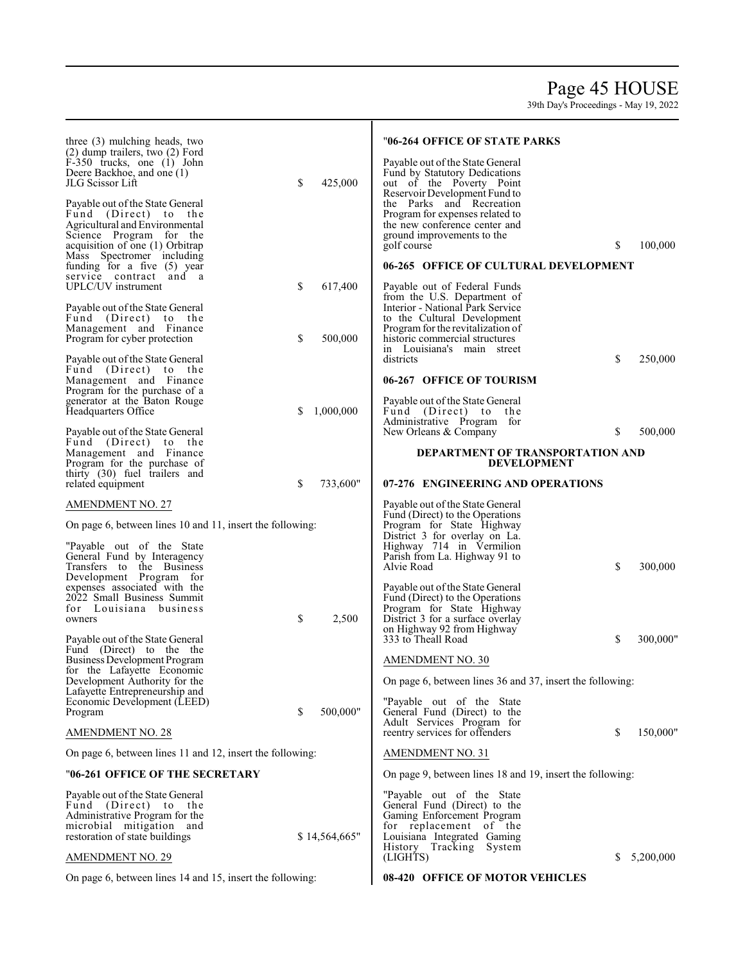## Page 45 HOUSE

| three (3) mulching heads, two<br>$(2)$ dump trailers, two $(2)$ Ford<br>F-350 trucks, one (1) John<br>Deere Backhoe, and one (1)                                             |    |               | "06-264 OFFICE OF STATE PARKS<br>Payable out of the State General<br>Fund by Statutory Dedications                                                                                                     |    |           |
|------------------------------------------------------------------------------------------------------------------------------------------------------------------------------|----|---------------|--------------------------------------------------------------------------------------------------------------------------------------------------------------------------------------------------------|----|-----------|
| JLG Scissor Lift<br>Payable out of the State General<br>Fund (Direct) to the<br>Agricultural and Environmental<br>Science Program for the<br>acquisition of one (1) Orbitrap | \$ | 425,000       | out of the Poverty Point<br>Reservoir Development Fund to<br>the Parks and Recreation<br>Program for expenses related to<br>the new conference center and<br>ground improvements to the<br>golf course | \$ | 100,000   |
| Mass Spectromer including                                                                                                                                                    |    |               |                                                                                                                                                                                                        |    |           |
| funding for a five (5) year<br>service contract and a<br><b>UPLC/UV</b> instrument                                                                                           | \$ | 617,400       | 06-265 OFFICE OF CULTURAL DEVELOPMENT<br>Payable out of Federal Funds<br>from the U.S. Department of                                                                                                   |    |           |
| Payable out of the State General<br>Fund (Direct) to the<br>Management and Finance<br>Program for cyber protection                                                           | \$ | 500,000       | Interior - National Park Service<br>to the Cultural Development<br>Program for the revitalization of<br>historic commercial structures<br>in Louisiana's main street                                   |    |           |
| Payable out of the State General<br>Fund (Direct) to the<br>Management and Finance                                                                                           |    |               | districts<br>06-267 OFFICE OF TOURISM                                                                                                                                                                  | \$ | 250,000   |
| Program for the purchase of a<br>generator at the Baton Rouge<br>Headquarters Office                                                                                         | S  | 1,000,000     | Payable out of the State General<br>Fund (Direct) to<br>the<br>Administrative Program for                                                                                                              |    |           |
| Payable out of the State General<br>Fund (Direct) to the<br>Management and Finance<br>Program for the purchase of                                                            |    |               | New Orleans & Company<br>DEPARTMENT OF TRANSPORTATION AND<br><b>DEVELOPMENT</b>                                                                                                                        | \$ | 500,000   |
| thirty (30) fuel trailers and<br>related equipment                                                                                                                           | \$ | 733,600"      | 07-276 ENGINEERING AND OPERATIONS                                                                                                                                                                      |    |           |
| <b>AMENDMENT NO. 27</b>                                                                                                                                                      |    |               | Payable out of the State General                                                                                                                                                                       |    |           |
| On page 6, between lines 10 and 11, insert the following:                                                                                                                    |    |               | Fund (Direct) to the Operations<br>Program for State Highway<br>District 3 for overlay on La.                                                                                                          |    |           |
| "Payable out of the State<br>General Fund by Interagency<br>Transfers to the Business<br>Development Program for                                                             |    |               | Highway 714 in Vermilion<br>Parish from La. Highway 91 to<br>Alvie Road                                                                                                                                | \$ | 300,000   |
| expenses associated with the<br>2022 Small Business Summit<br>for Louisiana business<br>owners                                                                               | \$ | 2,500         | Payable out of the State General<br>Fund (Direct) to the Operations<br>Program for State Highway<br>District 3 for a surface overlay                                                                   |    |           |
| Payable out of the State General                                                                                                                                             |    |               | on Highway 92 from Highway<br>333 to Theall Road                                                                                                                                                       | \$ | 300,000"  |
| Fund (Direct) to the the<br><b>Business Development Program</b>                                                                                                              |    |               |                                                                                                                                                                                                        |    |           |
| for the Lafayette Economic                                                                                                                                                   |    |               | <b>AMENDMENT NO. 30</b>                                                                                                                                                                                |    |           |
| Development Authority for the                                                                                                                                                |    |               | On page 6, between lines 36 and 37, insert the following:                                                                                                                                              |    |           |
| Lafayette Entrepreneurship and<br>Economic Development (LEED)<br>Program                                                                                                     | \$ | 500,000"      | "Payable out of the State<br>General Fund (Direct) to the                                                                                                                                              |    |           |
| <b>AMENDMENT NO. 28</b>                                                                                                                                                      |    |               | Adult Services Program for<br>reentry services for offenders                                                                                                                                           | \$ | 150,000"  |
| On page 6, between lines 11 and 12, insert the following:                                                                                                                    |    |               | <b>AMENDMENT NO. 31</b>                                                                                                                                                                                |    |           |
| "06-261 OFFICE OF THE SECRETARY                                                                                                                                              |    |               | On page 9, between lines 18 and 19, insert the following:                                                                                                                                              |    |           |
| Payable out of the State General<br>Fund (Direct) to the<br>Administrative Program for the<br>microbial mitigation and<br>restoration of state buildings                     |    | \$14,564,665" | "Payable out of the State"<br>General Fund (Direct) to the<br>Gaming Enforcement Program<br>for replacement of the<br>Louisiana Integrated Gaming                                                      |    |           |
| <b>AMENDMENT NO. 29</b>                                                                                                                                                      |    |               | History Tracking System<br>(LIGHTS)                                                                                                                                                                    | S  | 5,200,000 |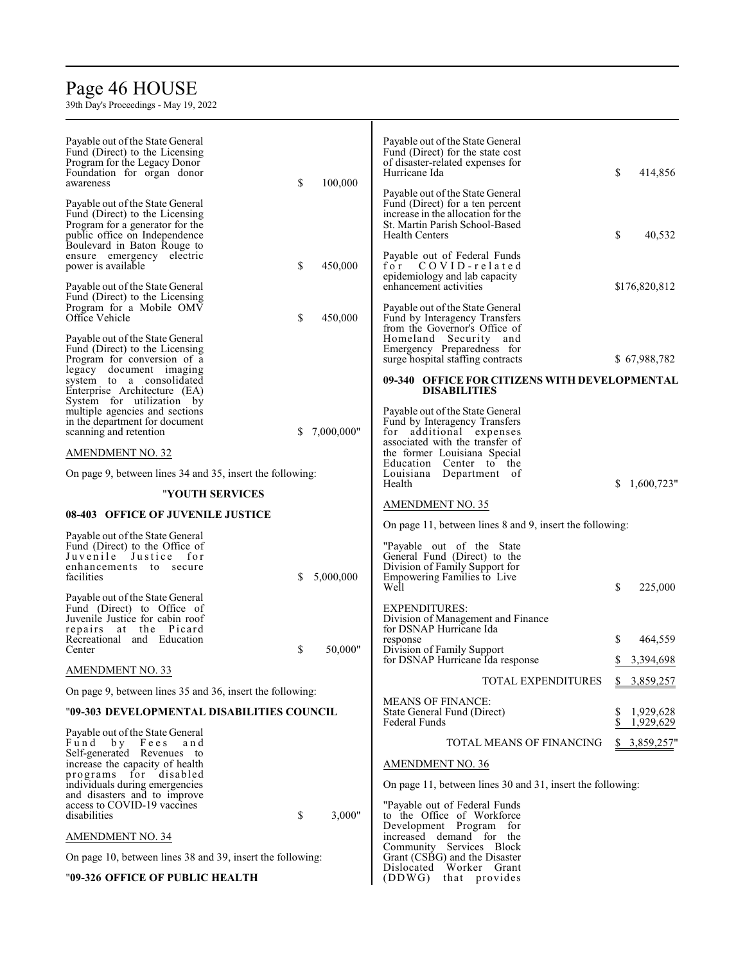# Page 46 HOUSE

| Payable out of the State General<br>Fund (Direct) to the Licensing<br>Program for the Legacy Donor<br>Foundation for organ donor<br>awareness                                                      | \$ | 100,000    | Payable out of the State General<br>Fund (Direct) for the state cost<br>of disaster-related expenses for<br>Hurricane Ida                                                                            | \$ | 414,856                |
|----------------------------------------------------------------------------------------------------------------------------------------------------------------------------------------------------|----|------------|------------------------------------------------------------------------------------------------------------------------------------------------------------------------------------------------------|----|------------------------|
| Payable out of the State General<br>Fund (Direct) to the Licensing<br>Program for a generator for the<br>public office on Independence<br>Boulevard in Baton Rouge to<br>ensure emergency electric |    |            | Payable out of the State General<br>Fund (Direct) for a ten percent<br>increase in the allocation for the<br>St. Martin Parish School-Based<br><b>Health Centers</b><br>Payable out of Federal Funds | \$ | 40,532                 |
| power is available<br>Payable out of the State General                                                                                                                                             | \$ | 450,000    | COVID-related<br>for<br>epidemiology and lab capacity<br>enhancement activities                                                                                                                      |    | \$176,820,812          |
| Fund (Direct) to the Licensing<br>Program for a Mobile OMV<br>Office Vehicle                                                                                                                       | \$ | 450,000    | Payable out of the State General<br>Fund by Interagency Transfers<br>from the Governor's Office of                                                                                                   |    |                        |
| Payable out of the State General<br>Fund (Direct) to the Licensing<br>Program for conversion of a                                                                                                  |    |            | Homeland Security and<br>Emergency Preparedness for<br>surge hospital staffing contracts                                                                                                             |    | \$67,988,782           |
| legacy document imaging<br>system to a consolidated<br>Enterprise Architecture (EA)<br>System for utilization by                                                                                   |    |            | 09-340 OFFICE FOR CITIZENS WITH DEVELOPMENTAL<br><b>DISABILITIES</b>                                                                                                                                 |    |                        |
| multiple agencies and sections<br>in the department for document<br>scanning and retention                                                                                                         | S  | 7,000,000" | Payable out of the State General<br>Fund by Interagency Transfers<br>additional expenses<br>for<br>associated with the transfer of                                                                   |    |                        |
| <b>AMENDMENT NO. 32</b>                                                                                                                                                                            |    |            | the former Louisiana Special                                                                                                                                                                         |    |                        |
| On page 9, between lines 34 and 35, insert the following:                                                                                                                                          |    |            | Education Center to the<br>Louisiana Department of                                                                                                                                                   |    |                        |
| "YOUTH SERVICES                                                                                                                                                                                    |    |            | Health                                                                                                                                                                                               | S. | 1,600,723"             |
|                                                                                                                                                                                                    |    |            |                                                                                                                                                                                                      |    |                        |
| 08-403 OFFICE OF JUVENILE JUSTICE                                                                                                                                                                  |    |            | <b>AMENDMENT NO. 35</b>                                                                                                                                                                              |    |                        |
|                                                                                                                                                                                                    |    |            | On page 11, between lines 8 and 9, insert the following:                                                                                                                                             |    |                        |
| Payable out of the State General<br>Fund (Direct) to the Office of<br>Juvenile<br>Justice for<br>enhancements to secure<br>facilities                                                              | S  | 5,000,000  | "Payable out of the State"<br>General Fund (Direct) to the<br>Division of Family Support for<br>Empowering Families to Live<br>Well                                                                  | \$ | 225,000                |
| Payable out of the State General<br>Fund (Direct) to Office of<br>Juvenile Justice for cabin roof<br>repairs at the Picard<br>Recreational and Education                                           |    |            | <b>EXPENDITURES:</b><br>Division of Management and Finance<br>for DSNAP Hurricane Ida<br>response                                                                                                    | S  | 464,559                |
| Center                                                                                                                                                                                             | \$ | 50,000"    | Division of Family Support<br>for DSNAP Hurricane Ida response                                                                                                                                       |    | 3,394,698              |
| <b>AMENDMENT NO. 33</b>                                                                                                                                                                            |    |            | TOTAL EXPENDITURES                                                                                                                                                                                   |    |                        |
| On page 9, between lines 35 and 36, insert the following:                                                                                                                                          |    |            |                                                                                                                                                                                                      |    | \$3,859,257            |
| "09-303 DEVELOPMENTAL DISABILITIES COUNCIL                                                                                                                                                         |    |            | <b>MEANS OF FINANCE:</b><br>State General Fund (Direct)<br>Federal Funds                                                                                                                             |    | 1,929,628<br>1,929,629 |
| Payable out of the State General<br>Fund<br>by Fees<br>and<br>Self-generated Revenues to                                                                                                           |    |            | TOTAL MEANS OF FINANCING                                                                                                                                                                             |    | \$3,859,257"           |
| increase the capacity of health<br>programs for disabled                                                                                                                                           |    |            | <b>AMENDMENT NO. 36</b>                                                                                                                                                                              |    |                        |
| individuals during emergencies<br>and disasters and to improve                                                                                                                                     |    |            | On page 11, between lines 30 and 31, insert the following:                                                                                                                                           |    |                        |
| access to COVID-19 vaccines<br>disabilities                                                                                                                                                        | \$ | 3,000"     | "Payable out of Federal Funds<br>to the Office of Workforce                                                                                                                                          |    |                        |
| <b>AMENDMENT NO. 34</b>                                                                                                                                                                            |    |            | Development Program for<br>increased demand for the                                                                                                                                                  |    |                        |
| On page 10, between lines 38 and 39, insert the following:                                                                                                                                         |    |            | Community Services Block<br>Grant (CSBG) and the Disaster<br>Dislocated Worker Grant                                                                                                                 |    |                        |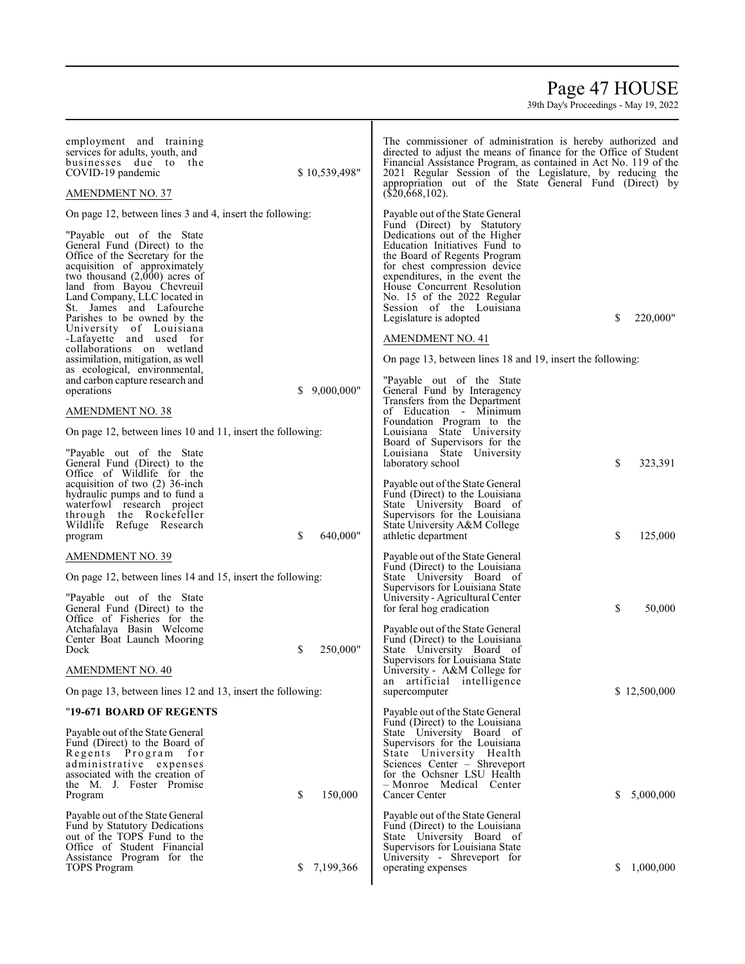## Page 47 HOUSE

| employment and training<br>services for adults, youth, and<br>businesses due to the<br>COVID-19 pandemic<br><b>AMENDMENT NO. 37</b>                                                                                                                                                                                | \$10,539,498"   | The commissioner of administration is hereby authorized and<br>directed to adjust the means of finance for the Office of Student<br>Financial Assistance Program, as contained in Act No. 119 of the<br>2021 Regular Session of the Legislature, by reducing the<br>appropriation out of the State General Fund (Direct) by<br>$(\$20,668,102).$ |                 |
|--------------------------------------------------------------------------------------------------------------------------------------------------------------------------------------------------------------------------------------------------------------------------------------------------------------------|-----------------|--------------------------------------------------------------------------------------------------------------------------------------------------------------------------------------------------------------------------------------------------------------------------------------------------------------------------------------------------|-----------------|
| On page 12, between lines 3 and 4, insert the following:                                                                                                                                                                                                                                                           |                 | Payable out of the State General                                                                                                                                                                                                                                                                                                                 |                 |
| "Payable out of the State"<br>General Fund (Direct) to the<br>Office of the Secretary for the<br>acquisition of approximately<br>two thousand $(2,000)$ acres of<br>land from Bayou Chevreuil<br>Land Company, LLC located in<br>St. James and Lafourche<br>Parishes to be owned by the<br>University of Louisiana |                 | Fund (Direct) by Statutory<br>Dedications out of the Higher<br>Education Initiatives Fund to<br>the Board of Regents Program<br>for chest compression device<br>expenditures, in the event the<br>House Concurrent Resolution<br>No. 15 of the 2022 Regular<br>Session of the Louisiana<br>Legislature is adopted                                | \$<br>220,000"  |
| -Lafayette and used for                                                                                                                                                                                                                                                                                            |                 | <b>AMENDMENT NO. 41</b>                                                                                                                                                                                                                                                                                                                          |                 |
| collaborations on wetland<br>assimilation, mitigation, as well                                                                                                                                                                                                                                                     |                 | On page 13, between lines 18 and 19, insert the following:                                                                                                                                                                                                                                                                                       |                 |
| as ecological, environmental,<br>and carbon capture research and<br>operations                                                                                                                                                                                                                                     | 9,000,000"<br>S | "Payable out of the State"<br>General Fund by Interagency<br>Transfers from the Department                                                                                                                                                                                                                                                       |                 |
| <b>AMENDMENT NO. 38</b>                                                                                                                                                                                                                                                                                            |                 | of Education - Minimum<br>Foundation Program to the                                                                                                                                                                                                                                                                                              |                 |
| On page 12, between lines 10 and 11, insert the following:                                                                                                                                                                                                                                                         |                 | Louisiana State University<br>Board of Supervisors for the                                                                                                                                                                                                                                                                                       |                 |
| "Payable out of the State"<br>General Fund (Direct) to the<br>Office of Wildlife for the                                                                                                                                                                                                                           |                 | Louisiana State University<br>laboratory school                                                                                                                                                                                                                                                                                                  | \$<br>323,391   |
| acquisition of two $(2)$ 36-inch<br>hydraulic pumps and to fund a<br>waterfowl research project<br>through the Rockefeller<br>Wildlife<br>Refuge Research<br>program                                                                                                                                               | 640,000"<br>\$  | Payable out of the State General<br>Fund (Direct) to the Louisiana<br>State University Board of<br>Supervisors for the Louisiana<br>State University A&M College<br>athletic department                                                                                                                                                          | \$<br>125,000   |
| <b>AMENDMENT NO. 39</b>                                                                                                                                                                                                                                                                                            |                 | Payable out of the State General                                                                                                                                                                                                                                                                                                                 |                 |
| On page 12, between lines 14 and 15, insert the following:                                                                                                                                                                                                                                                         |                 | Fund (Direct) to the Louisiana<br>State University Board of                                                                                                                                                                                                                                                                                      |                 |
| "Payable out of the State"<br>General Fund (Direct) to the<br>Office of Fisheries for the                                                                                                                                                                                                                          |                 | Supervisors for Louisiana State<br>University - Agricultural Center<br>for feral hog eradication                                                                                                                                                                                                                                                 | \$<br>50,000    |
| Atchafalaya Basin Welcome<br>Center Boat Launch Mooring<br>Dock                                                                                                                                                                                                                                                    | 250,000"<br>\$  | Payable out of the State General<br>Fund (Direct) to the Louisiana<br>State University Board of<br>Supervisors for Louisiana State                                                                                                                                                                                                               |                 |
| <b>AMENDMENT NO. 40</b>                                                                                                                                                                                                                                                                                            |                 | University - A&M College for<br>an artificial intelligence                                                                                                                                                                                                                                                                                       |                 |
| On page 13, between lines 12 and 13, insert the following:                                                                                                                                                                                                                                                         |                 | supercomputer                                                                                                                                                                                                                                                                                                                                    | \$12,500,000    |
| "19-671 BOARD OF REGENTS                                                                                                                                                                                                                                                                                           |                 | Payable out of the State General                                                                                                                                                                                                                                                                                                                 |                 |
| Payable out of the State General<br>Fund (Direct) to the Board of<br>Regents Program for<br>administrative expenses<br>associated with the creation of<br>the M. J. Foster Promise<br>Program                                                                                                                      | \$<br>150,000   | Fund (Direct) to the Louisiana<br>State University Board of<br>Supervisors for the Louisiana<br>State University Health<br>Sciences Center - Shreveport<br>for the Ochsner LSU Health<br>- Monroe Medical Center<br>Cancer Center                                                                                                                | S.<br>5,000,000 |
| Payable out of the State General<br>Fund by Statutory Dedications<br>out of the TOPS Fund to the<br>Office of Student Financial<br>Assistance Program for the<br><b>TOPS</b> Program                                                                                                                               | 7,199,366<br>S  | Payable out of the State General<br>Fund (Direct) to the Louisiana<br>State University Board of<br>Supervisors for Louisiana State<br>University - Shreveport for<br>operating expenses                                                                                                                                                          | 1,000,000<br>S. |
|                                                                                                                                                                                                                                                                                                                    |                 |                                                                                                                                                                                                                                                                                                                                                  |                 |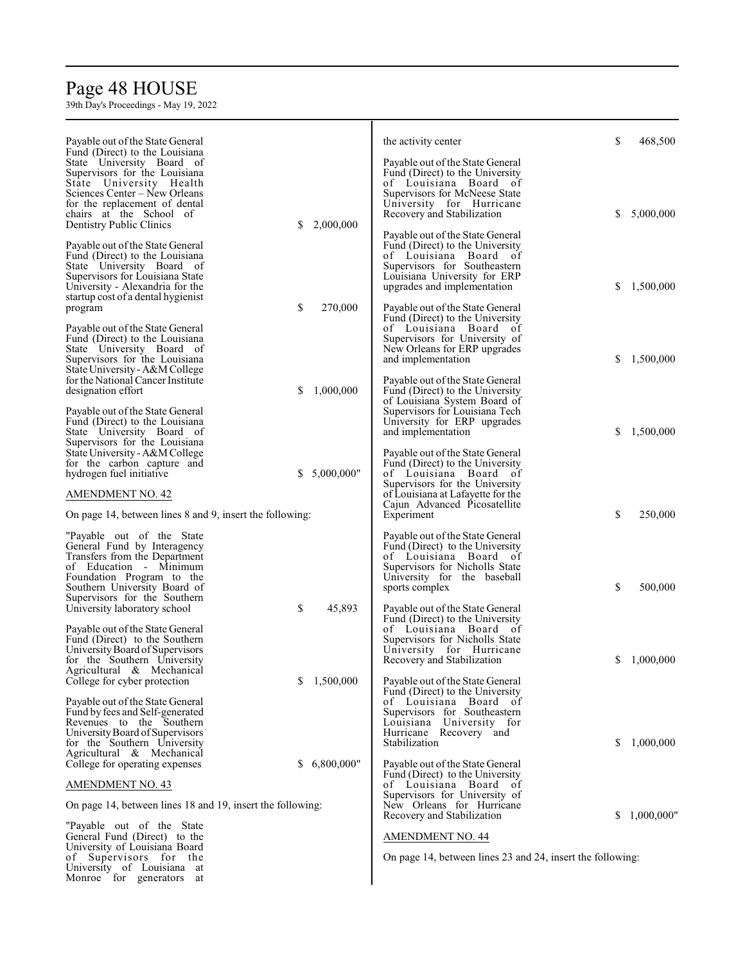# Page 48 HOUSE

| Payable out of the State General                                   |                  | the activity center                                                 | \$ | 468,500    |
|--------------------------------------------------------------------|------------------|---------------------------------------------------------------------|----|------------|
| Fund (Direct) to the Louisiana<br>State University Board of        |                  | Payable out of the State General                                    |    |            |
| Supervisors for the Louisiana                                      |                  | Fund (Direct) to the University                                     |    |            |
| State University Health                                            |                  | of Louisiana Board of                                               |    |            |
| Sciences Center – New Orleans<br>for the replacement of dental     |                  | Supervisors for McNeese State<br>University for Hurricane           |    |            |
| chairs at the School of                                            |                  | Recovery and Stabilization                                          | \$ | 5,000,000  |
| Dentistry Public Clinics                                           | 2,000,000<br>S   |                                                                     |    |            |
| Payable out of the State General                                   |                  | Payable out of the State General<br>Fund (Direct) to the University |    |            |
| Fund (Direct) to the Louisiana                                     |                  | of Louisiana Board of                                               |    |            |
| State University Board of                                          |                  | Supervisors for Southeastern                                        |    |            |
| Supervisors for Louisiana State<br>University - Alexandria for the |                  | Louisiana University for ERP<br>upgrades and implementation         | \$ | 1,500,000  |
| startup cost of a dental hygienist                                 |                  |                                                                     |    |            |
| program                                                            | \$<br>270,000    | Payable out of the State General                                    |    |            |
| Payable out of the State General                                   |                  | Fund (Direct) to the University<br>of Louisiana Board of            |    |            |
| Fund (Direct) to the Louisiana                                     |                  | Supervisors for University of                                       |    |            |
| State University Board of                                          |                  | New Orleans for ERP upgrades                                        |    |            |
| Supervisors for the Louisiana<br>State University - A&M College    |                  | and implementation                                                  | \$ | 1,500,000  |
| for the National Cancer Institute                                  |                  | Payable out of the State General                                    |    |            |
| designation effort                                                 | 1,000,000<br>S   | Fund (Direct) to the University                                     |    |            |
| Payable out of the State General                                   |                  | of Louisiana System Board of<br>Supervisors for Louisiana Tech      |    |            |
| Fund (Direct) to the Louisiana                                     |                  | University for ERP upgrades                                         |    |            |
| State University Board of                                          |                  | and implementation                                                  | \$ | 1,500,000  |
| Supervisors for the Louisiana<br>State University - A&M College    |                  | Payable out of the State General                                    |    |            |
| for the carbon capture and                                         |                  | Fund (Direct) to the University                                     |    |            |
| hydrogen fuel initiative                                           | 5,000,000"<br>S. | of Louisiana Board of                                               |    |            |
| <b>AMENDMENT NO. 42</b>                                            |                  | Supervisors for the University<br>of Louisiana at Lafayette for the |    |            |
| On page 14, between lines 8 and 9, insert the following:           |                  | Cajun Advanced Picosatellite                                        | \$ | 250,000    |
|                                                                    |                  | Experiment                                                          |    |            |
| "Payable out of the State"                                         |                  | Payable out of the State General                                    |    |            |
| General Fund by Interagency<br>Transfers from the Department       |                  | Fund (Direct) to the University<br>of Louisiana Board of            |    |            |
| of Education - Minimum                                             |                  | Supervisors for Nicholls State                                      |    |            |
| Foundation Program to the                                          |                  | University for the baseball                                         |    |            |
| Southern University Board of<br>Supervisors for the Southern       |                  | sports complex                                                      | \$ | 500,000    |
| University laboratory school                                       | 45,893<br>\$     | Payable out of the State General                                    |    |            |
|                                                                    |                  | Fund (Direct) to the University                                     |    |            |
| Payable out of the State General<br>Fund (Direct) to the Southern  |                  | of Louisiana Board of<br>Supervisors for Nicholls State             |    |            |
| University Board of Supervisors                                    |                  | University for Hurricane                                            |    |            |
| for the Southern University                                        |                  | Recovery and Stabilization                                          | S. | 1,000,000  |
| Agricultural & Mechanical<br>College for cyber protection          | 1,500,000<br>\$  | Payable out of the State General                                    |    |            |
|                                                                    |                  | Fund (Direct) to the University                                     |    |            |
| Payable out of the State General                                   |                  | of Louisiana Board of                                               |    |            |
| Fund by fees and Self-generated<br>Revenues to the Southern        |                  | Supervisors for Southeastern<br>Louisiana University for            |    |            |
| University Board of Supervisors                                    |                  | Hurricane Recovery and                                              |    |            |
| for the Southern University<br>Agricultural & Mechanical           |                  | Stabilization                                                       | S. | 1,000,000  |
| College for operating expenses                                     | 6,800,000"<br>S. | Payable out of the State General                                    |    |            |
|                                                                    |                  | Fund (Direct) to the University                                     |    |            |
| <b>AMENDMENT NO. 43</b>                                            |                  | of Louisiana Board of<br>Supervisors for University of              |    |            |
| On page 14, between lines 18 and 19, insert the following:         |                  | New Orleans for Hurricane                                           |    |            |
|                                                                    |                  | Recovery and Stabilization                                          | S. | 1,000,000" |
| "Payable out of the State"<br>General Fund (Direct) to the         |                  | <b>AMENDMENT NO. 44</b>                                             |    |            |
| University of Louisiana Board                                      |                  |                                                                     |    |            |
| of Supervisors for the                                             |                  | On page 14, between lines 23 and 24, insert the following:          |    |            |
| University of Louisiana at<br>Monroe for generators<br>at          |                  |                                                                     |    |            |
|                                                                    |                  |                                                                     |    |            |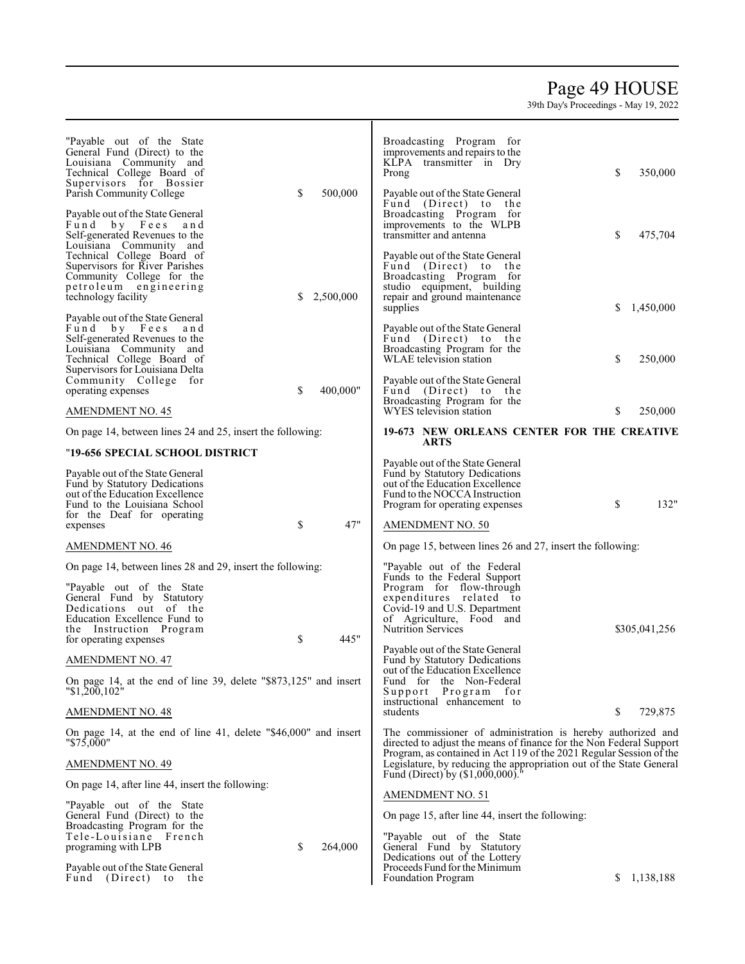# Page 49 HOUSE

| "Payable out of the State"<br>General Fund (Direct) to the<br>Louisiana Community and<br>Technical College Board of<br>Supervisors for Bossier<br>Parish Community College<br>S<br>500,000                 | Broadcasting Program for<br>improvements and repairs to the<br>KLPA transmitter in Dry<br>\$<br>350,000<br>Prong<br>Payable out of the State General<br>Fund (Direct) to the                                                 |
|------------------------------------------------------------------------------------------------------------------------------------------------------------------------------------------------------------|------------------------------------------------------------------------------------------------------------------------------------------------------------------------------------------------------------------------------|
| Payable out of the State General<br>by Fees<br>Fund<br>and<br>Self-generated Revenues to the<br>Louisiana Community and                                                                                    | Broadcasting Program for<br>improvements to the WLPB<br>transmitter and antenna<br>\$<br>475,704                                                                                                                             |
| Technical College Board of<br>Supervisors for River Parishes<br>Community College for the<br>petroleum engineering<br>technology facility<br>2,500,000<br>S                                                | Payable out of the State General<br>Fund (Direct) to<br>the<br>Broadcasting Program for<br>studio equipment, building<br>repair and ground maintenance<br>S<br>1,450,000<br>supplies                                         |
| Payable out of the State General<br>Fund by Fees<br>and<br>Self-generated Revenues to the<br>Louisiana Community and<br>Technical College Board of<br>Supervisors for Louisiana Delta                      | Payable out of the State General<br>Fund (Direct) to the<br>Broadcasting Program for the<br>\$<br>WLAE television station<br>250,000                                                                                         |
| Community College for<br>\$<br>400,000"<br>operating expenses<br><b>AMENDMENT NO. 45</b>                                                                                                                   | Payable out of the State General<br>Fund (Direct) to the<br>Broadcasting Program for the<br>WYES television station<br>250,000<br>\$                                                                                         |
| On page 14, between lines 24 and 25, insert the following:                                                                                                                                                 | 19-673 NEW ORLEANS CENTER FOR THE CREATIVE                                                                                                                                                                                   |
| "19-656 SPECIAL SCHOOL DISTRICT                                                                                                                                                                            | <b>ARTS</b>                                                                                                                                                                                                                  |
| Payable out of the State General<br>Fund by Statutory Dedications<br>out of the Education Excellence<br>Fund to the Louisiana School<br>for the Deaf for operating                                         | Payable out of the State General<br>Fund by Statutory Dedications<br>out of the Education Excellence<br>Fund to the NOCCA Instruction<br>\$<br>132"<br>Program for operating expenses                                        |
| 47"<br>\$<br>expenses                                                                                                                                                                                      | <b>AMENDMENT NO. 50</b>                                                                                                                                                                                                      |
| <b>AMENDMENT NO. 46</b>                                                                                                                                                                                    | On page 15, between lines 26 and 27, insert the following:                                                                                                                                                                   |
| On page 14, between lines 28 and 29, insert the following:<br>"Payable out of the State"<br>General Fund by Statutory<br>Dedications out of the<br>Education Excellence Fund to<br>the Instruction Program | "Payable out of the Federal<br>Funds to the Federal Support<br>Program for flow-through<br>expenditures related to<br>Covid-19 and U.S. Department<br>of Agriculture, Food and<br><b>Nutrition Services</b><br>\$305,041,256 |
| 445"<br>\$<br>for operating expenses                                                                                                                                                                       | Payable out of the State General                                                                                                                                                                                             |
| <b>AMENDMENT NO. 47</b><br>On page 14, at the end of line 39, delete "\$873,125" and insert<br>"\$1,200,102"                                                                                               | Fund by Statutory Dedications<br>out of the Education Excellence<br>Fund for the Non-Federal<br>Program<br>Support<br>for                                                                                                    |
| <b>AMENDMENT NO. 48</b>                                                                                                                                                                                    | instructional enhancement to<br>\$<br>729,875<br>students                                                                                                                                                                    |
| On page 14, at the end of line 41, delete "\$46,000" and insert<br>"\$75,000"                                                                                                                              | The commissioner of administration is hereby authorized and<br>directed to adjust the means of finance for the Non Federal Support                                                                                           |
| <b>AMENDMENT NO. 49</b>                                                                                                                                                                                    | Program, as contained in Act 119 of the 2021 Regular Session of the<br>Legislature, by reducing the appropriation out of the State General<br>Fund (Direct) by (\$1,000,000).                                                |
| On page 14, after line 44, insert the following:                                                                                                                                                           | <b>AMENDMENT NO. 51</b>                                                                                                                                                                                                      |
| "Payable out of the State"<br>General Fund (Direct) to the<br>Broadcasting Program for the<br>Tele-Louisiane French<br>\$<br>264,000<br>programing with LPB                                                | On page 15, after line 44, insert the following:<br>"Payable out of the State"<br>General Fund by Statutory                                                                                                                  |
| Payable out of the State General<br>Fund (Direct) to the                                                                                                                                                   | Dedications out of the Lottery<br>Proceeds Fund for the Minimum<br>1,138,188<br><b>Foundation Program</b><br>S.                                                                                                              |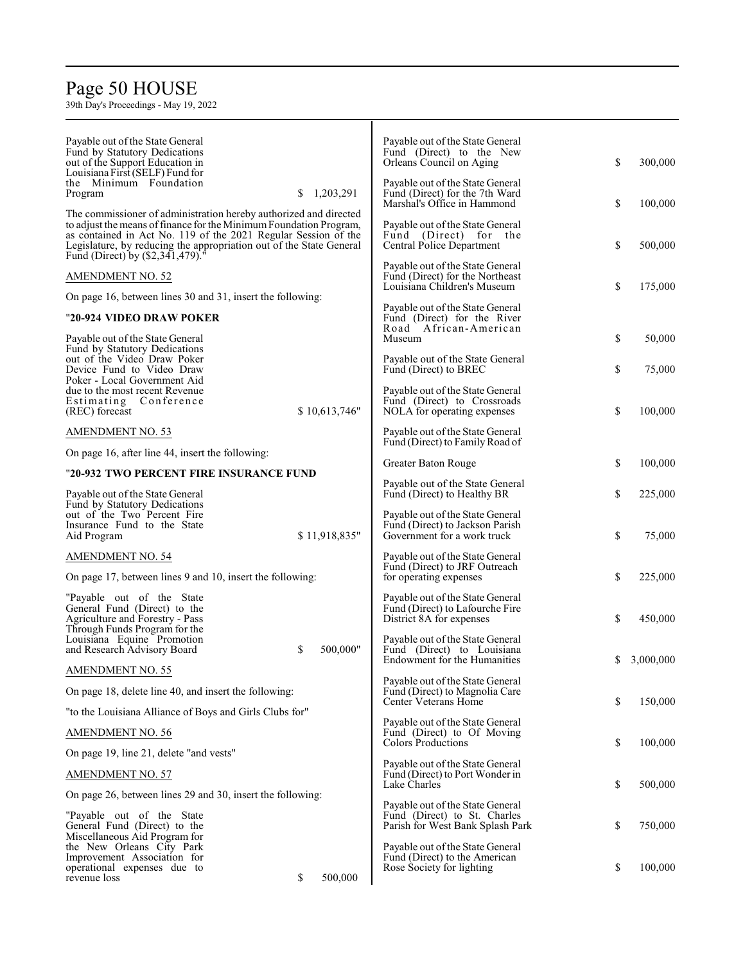## Page 5 0 HOUSE

| Payable out of the State General<br>Fund by Statutory Dedications<br>out of the Support Education in<br>Louisiana First (SELF) Fund for<br>the Minimum Foundation                                                                                                                                                   | Payable out of the State General<br>Fund (Direct) to the New<br>Orleans Council on Aging<br>Payable out of the State General | \$<br>300,000  |
|---------------------------------------------------------------------------------------------------------------------------------------------------------------------------------------------------------------------------------------------------------------------------------------------------------------------|------------------------------------------------------------------------------------------------------------------------------|----------------|
| 1,203,291<br>Program<br>\$                                                                                                                                                                                                                                                                                          | Fund (Direct) for the 7th Ward<br>Marshal's Office in Hammond                                                                | \$<br>100,000  |
| The commissioner of administration hereby authorized and directed<br>to adjust the means of finance for the Minimum Foundation Program,<br>as contained in Act No. 119 of the 2021 Regular Session of the<br>Legislature, by reducing the appropriation out of the State General<br>Fund (Direct) by (\$2,341,479). | Payable out of the State General<br>Fund (Direct) for the<br>Central Police Department                                       | \$<br>500,000  |
| AMENDMENT NO. 52                                                                                                                                                                                                                                                                                                    | Payable out of the State General<br>Fund (Direct) for the Northeast                                                          |                |
| On page 16, between lines 30 and 31, insert the following:                                                                                                                                                                                                                                                          | Louisiana Children's Museum                                                                                                  | \$<br>175,000  |
| "20-924 VIDEO DRAW POKER                                                                                                                                                                                                                                                                                            | Payable out of the State General<br>Fund (Direct) for the River                                                              |                |
| Payable out of the State General                                                                                                                                                                                                                                                                                    | Road African-American<br>Museum                                                                                              | \$<br>50,000   |
| Fund by Statutory Dedications<br>out of the Video Draw Poker<br>Device Fund to Video Draw<br>Poker - Local Government Aid                                                                                                                                                                                           | Payable out of the State General<br>Fund (Direct) to BREC                                                                    | \$<br>75,000   |
| due to the most recent Revenue<br>Estimating Conference<br>\$10,613,746"<br>(REC) forecast                                                                                                                                                                                                                          | Payable out of the State General<br>Fund (Direct) to Crossroads<br>NOLA for operating expenses                               | \$<br>100,000  |
| AMENDMENT NO. 53                                                                                                                                                                                                                                                                                                    | Payable out of the State General<br>Fund (Direct) to Family Road of                                                          |                |
| On page 16, after line 44, insert the following:                                                                                                                                                                                                                                                                    | Greater Baton Rouge                                                                                                          | \$<br>100,000  |
| "20-932 TWO PERCENT FIRE INSURANCE FUND                                                                                                                                                                                                                                                                             |                                                                                                                              |                |
| Payable out of the State General<br>Fund by Statutory Dedications                                                                                                                                                                                                                                                   | Payable out of the State General<br>Fund (Direct) to Healthy BR                                                              | \$<br>225,000  |
| out of the Two Percent Fire<br>Insurance Fund to the State<br>\$11,918,835"<br>Aid Program                                                                                                                                                                                                                          | Payable out of the State General<br>Fund (Direct) to Jackson Parish<br>Government for a work truck                           | \$<br>75,000   |
| AMENDMENT NO. 54                                                                                                                                                                                                                                                                                                    | Payable out of the State General                                                                                             |                |
| On page 17, between lines 9 and 10, insert the following:                                                                                                                                                                                                                                                           | Fund (Direct) to JRF Outreach<br>for operating expenses                                                                      | \$<br>225,000  |
| "Payable out of the State"<br>General Fund (Direct) to the<br>Agriculture and Forestry - Pass<br>Through Funds Program for the                                                                                                                                                                                      | Payable out of the State General<br>Fund (Direct) to Lafourche Fire<br>District 8A for expenses                              | \$<br>450,000  |
| Louisiana Equine Promotion<br>and Research Advisory Board<br>S<br>500,000"                                                                                                                                                                                                                                          | Payable out of the State General<br>Fund (Direct) to Louisiana<br>Endowment for the Humanities                               | 3,000,000<br>S |
| AMENDMENT NO. 55                                                                                                                                                                                                                                                                                                    | Payable out of the State General                                                                                             |                |
| On page 18, delete line 40, and insert the following:                                                                                                                                                                                                                                                               | Fund (Direct) to Magnolia Care<br>Center Veterans Home                                                                       | \$<br>150,000  |
| "to the Louisiana Alliance of Boys and Girls Clubs for"                                                                                                                                                                                                                                                             | Payable out of the State General                                                                                             |                |
| AMENDMENT NO. 56                                                                                                                                                                                                                                                                                                    | Fund (Direct) to Of Moving<br><b>Colors Productions</b>                                                                      | \$<br>100,000  |
| On page 19, line 21, delete "and vests"                                                                                                                                                                                                                                                                             | Payable out of the State General                                                                                             |                |
| <b>AMENDMENT NO. 57</b>                                                                                                                                                                                                                                                                                             | Fund (Direct) to Port Wonder in<br>Lake Charles                                                                              | \$<br>500,000  |
| On page 26, between lines 29 and 30, insert the following:                                                                                                                                                                                                                                                          | Payable out of the State General                                                                                             |                |
| "Payable out of the State"<br>General Fund (Direct) to the<br>Miscellaneous Aid Program for                                                                                                                                                                                                                         | Fund (Direct) to St. Charles<br>Parish for West Bank Splash Park                                                             | \$<br>750,000  |
| the New Orleans City Park<br>Improvement Association for<br>operational expenses due to<br>revenue loss<br>\$<br>500,000                                                                                                                                                                                            | Payable out of the State General<br>Fund (Direct) to the American<br>Rose Society for lighting                               | \$<br>100,000  |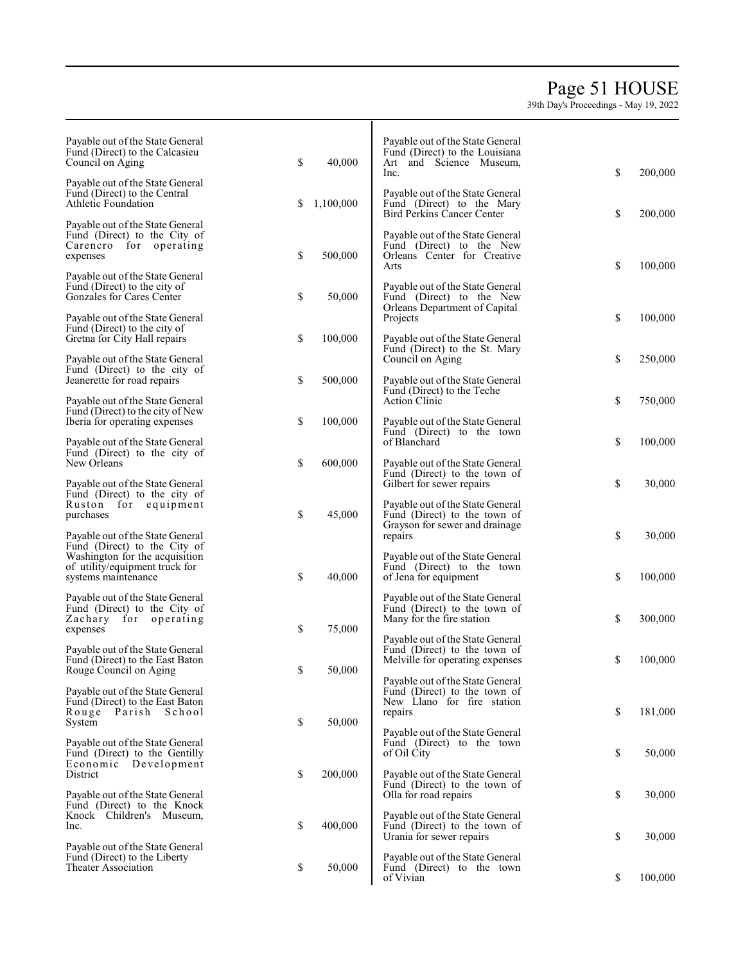# Page 5 1 HOUSE

39th Da y's Pro c e edings - Ma y 19, 2022

| Payable out of the State General<br>Fund (Direct) to the Calcasieu<br>Council on Aging                 | \$<br>40,000    | Payable out of the State General<br>Fund (Direct) to the Louisiana<br>Art and Science Museum,       | \$<br>200,000 |
|--------------------------------------------------------------------------------------------------------|-----------------|-----------------------------------------------------------------------------------------------------|---------------|
| Payable out of the State General<br>Fund (Direct) to the Central<br>Athletic Foundation                | \$<br>1,100,000 | lnc.<br>Payable out of the State General<br>Fund (Direct) to the Mary<br>Bird Perkins Cancer Center | \$<br>200,000 |
| Payable out of the State General<br>Fund (Direct) to the City of<br>Carencro for operating<br>expenses | \$<br>500,000   | Payable out of the State General<br>Fund (Direct) to the New<br>Orleans Center for Creative         |               |
| Payable out of the State General<br>Fund (Direct) to the city of<br>Gonzales for Cares Center          | \$<br>50,000    | Arts<br>Payable out of the State General<br>Fund (Direct) to the New                                | \$<br>100,000 |
| Payable out of the State General<br>Fund (Direct) to the city of<br>Gretna for City Hall repairs       | \$<br>100,000   | Orleans Department of Capital<br>Projects<br>Payable out of the State General                       | \$<br>100,000 |
| Payable out of the State General<br>Fund (Direct) to the city of                                       |                 | Fund (Direct) to the St. Mary<br>Council on Aging                                                   | \$<br>250,000 |
| Jeanerette for road repairs<br>Payable out of the State General                                        | \$<br>500,000   | Payable out of the State General<br>Fund (Direct) to the Teche<br><b>Action Clinic</b>              | \$<br>750,000 |
| Fund (Direct) to the city of New<br>Iberia for operating expenses<br>Payable out of the State General  | \$<br>100,000   | Payable out of the State General<br>Fund (Direct) to the town<br>of Blanchard                       | \$<br>100,000 |
| Fund (Direct) to the city of<br>New Orleans                                                            | \$<br>600,000   | Payable out of the State General<br>Fund (Direct) to the town of                                    |               |
| Payable out of the State General<br>Fund (Direct) to the city of<br>Ruston for equipment               |                 | Gilbert for sewer repairs<br>Payable out of the State General                                       | \$<br>30,000  |
| purchases<br>Payable out of the State General<br>Fund (Direct) to the City of                          | \$<br>45,000    | Fund (Direct) to the town of<br>Grayson for sewer and drainage<br>repairs                           | \$<br>30,000  |
| Washington for the acquisition<br>of utility/equipment truck for<br>systems maintenance                | \$<br>40,000    | Payable out of the State General<br>Fund (Direct) to the town<br>of Jena for equipment              | \$<br>100,000 |
| Payable out of the State General<br>Fund (Direct) to the City of<br>Zachary for operating<br>expenses  | \$<br>75,000    | Payable out of the State General<br>Fund (Direct) to the town of<br>Many for the fire station       | \$<br>300,000 |
| Payable out of the State General<br>Fund (Direct) to the East Baton<br>Rouge Council on Aging          | \$<br>50,000    | Payable out of the State General<br>Fund (Direct) to the town of<br>Melville for operating expenses | \$<br>100,000 |
| Payable out of the State General<br>Fund (Direct) to the East Baton                                    |                 | Payable out of the State General<br>Fund (Direct) to the town of<br>New Llano for fire station      |               |
| Rouge Parish School<br>System<br>Payable out of the State General                                      | \$<br>50,000    | repairs<br>Payable out of the State General<br>Fund (Direct) to the town                            | \$<br>181,000 |
| Fund (Direct) to the Gentilly<br>Economic Development<br>District                                      | \$<br>200,000   | of Oil City<br>Payable out of the State General                                                     | \$<br>50,000  |
| Payable out of the State General<br>Fund (Direct) to the Knock                                         |                 | Fund (Direct) to the town of<br>Olla for road repairs                                               | \$<br>30,000  |
| Knock Children's Museum,<br>Inc.<br>Payable out of the State General                                   | \$<br>400,000   | Payable out of the State General<br>Fund (Direct) to the town of<br>Urania for sewer repairs        | \$<br>30,000  |
| Fund (Direct) to the Liberty<br>Theater Association                                                    | \$<br>50,000    | Payable out of the State General<br>Fund (Direct) to the town<br>of Vivian                          | \$<br>100,000 |

Т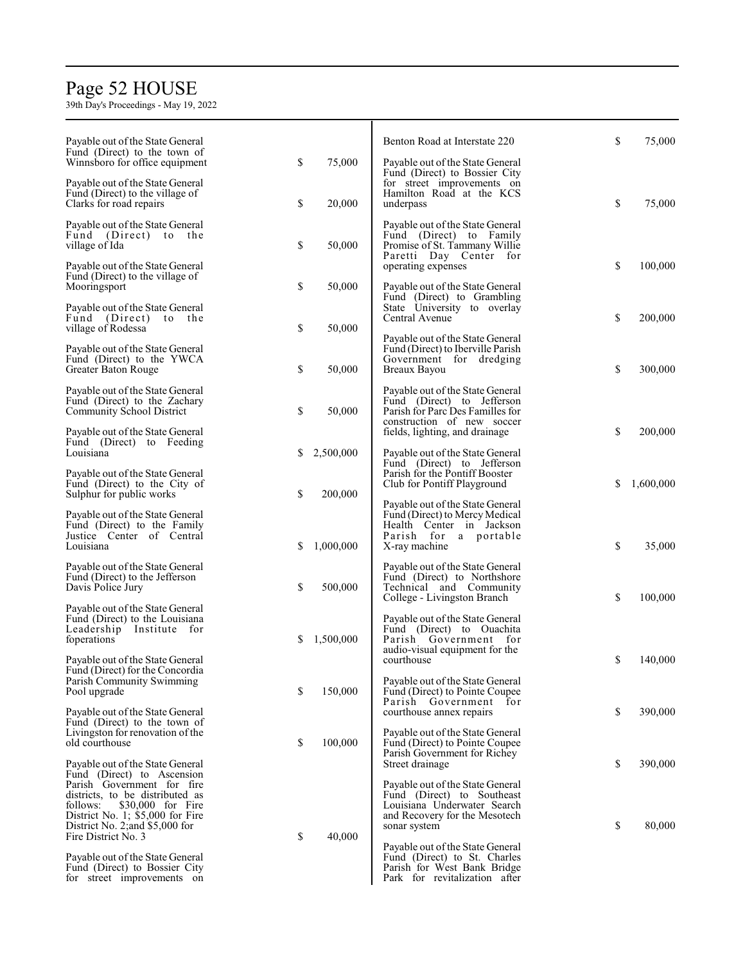# Page 5 2 HOUSE

| Payable out of the State General<br>Fund (Direct) to the town of                                                                                                                                      |    |           | Benton Road at Interstate 220                                                                                                                  | \$ | 75,000    |
|-------------------------------------------------------------------------------------------------------------------------------------------------------------------------------------------------------|----|-----------|------------------------------------------------------------------------------------------------------------------------------------------------|----|-----------|
| Winnsboro for office equipment<br>Payable out of the State General                                                                                                                                    | \$ | 75,000    | Payable out of the State General<br>Fund (Direct) to Bossier City<br>for street improvements on                                                |    |           |
| Fund (Direct) to the village of<br>Clarks for road repairs                                                                                                                                            | \$ | 20,000    | Hamilton Road at the KCS<br>underpass                                                                                                          | \$ | 75,000    |
| Payable out of the State General<br>Fund (Direct) to the<br>village of Ida                                                                                                                            | \$ | 50,000    | Payable out of the State General<br>Fund (Direct) to Family<br>Promise of St. Tammany Willie<br>Paretti Day Center for                         |    |           |
| Payable out of the State General<br>Fund (Direct) to the village of<br>Mooringsport                                                                                                                   | \$ | 50,000    | operating expenses<br>Payable out of the State General                                                                                         | \$ | 100,000   |
| Payable out of the State General<br>Fund (Direct) to the<br>village of Rodessa                                                                                                                        | \$ | 50,000    | Fund (Direct) to Grambling<br>State University to overlay<br>Central Avenue                                                                    | \$ | 200,000   |
| Payable out of the State General<br>Fund (Direct) to the YWCA<br>Greater Baton Rouge                                                                                                                  | \$ | 50,000    | Payable out of the State General<br>Fund (Direct) to Iberville Parish<br>Government for dredging<br>Breaux Bayou                               | \$ | 300,000   |
| Payable out of the State General<br>Fund (Direct) to the Zachary<br><b>Community School District</b>                                                                                                  | \$ | 50,000    | Payable out of the State General<br>Fund (Direct) to Jefferson<br>Parish for Parc Des Familles for<br>construction of new soccer               |    |           |
| Payable out of the State General<br>Fund (Direct) to Feeding<br>Louisiana                                                                                                                             | S  | 2,500,000 | fields, lighting, and drainage                                                                                                                 | \$ | 200,000   |
| Payable out of the State General<br>Fund (Direct) to the City of                                                                                                                                      |    |           | Payable out of the State General<br>Fund (Direct) to Jefferson<br>Parish for the Pontiff Booster<br>Club for Pontiff Playground                | S  | 1,600,000 |
| Sulphur for public works<br>Payable out of the State General                                                                                                                                          | \$ | 200,000   | Payable out of the State General<br>Fund (Direct) to Mercy Medical                                                                             |    |           |
| Fund (Direct) to the Family<br>Justice Center of Central<br>Louisiana                                                                                                                                 | S  | 1,000,000 | Health Center in Jackson<br>Parish for a portable<br>X-ray machine                                                                             | \$ | 35,000    |
| Payable out of the State General<br>Fund (Direct) to the Jefferson<br>Davis Police Jury                                                                                                               | \$ | 500,000   | Payable out of the State General<br>Fund (Direct) to Northshore<br>Technical and Community<br>College - Livingston Branch                      | \$ | 100,000   |
| Payable out of the State General<br>Fund (Direct) to the Louisiana<br>Leadership<br>Institute for<br>foperations                                                                                      | S  | 1,500,000 | Payable out of the State General<br>Fund (Direct) to Ouachita<br>Parish Government for                                                         |    |           |
| Payable out of the State General<br>Fund (Direct) for the Concordia                                                                                                                                   |    |           | audio-visual equipment for the<br>courthouse                                                                                                   | S  | 140,000   |
| Parish Community Swimming<br>Pool upgrade                                                                                                                                                             | \$ | 150,000   | Payable out of the State General<br>Fund (Direct) to Pointe Coupee<br>Parish Government<br>for                                                 |    |           |
| Payable out of the State General<br>Fund (Direct) to the town of<br>Livingston for renovation of the<br>old courthouse                                                                                | \$ | 100,000   | courthouse annex repairs<br>Payable out of the State General<br>Fund (Direct) to Pointe Coupee                                                 | \$ | 390,000   |
| Payable out of the State General                                                                                                                                                                      |    |           | Parish Government for Richey<br>Street drainage                                                                                                | \$ | 390,000   |
| Fund (Direct) to Ascension<br>Parish Government for fire<br>districts, to be distributed as<br>\$30,000 for Fire<br>follows:<br>District No. 1; $$5,000$ for Fire<br>District No. 2; and $$5,000$ for |    |           | Payable out of the State General<br>Fund (Direct) to Southeast<br>Louisiana Underwater Search<br>and Recovery for the Mesotech<br>sonar system | \$ | 80,000    |
| Fire District No. 3<br>Payable out of the State General                                                                                                                                               | \$ | 40,000    | Payable out of the State General<br>Fund (Direct) to St. Charles                                                                               |    |           |
| Fund (Direct) to Bossier City<br>for street improvements on                                                                                                                                           |    |           | Parish for West Bank Bridge<br>Park for revitalization after                                                                                   |    |           |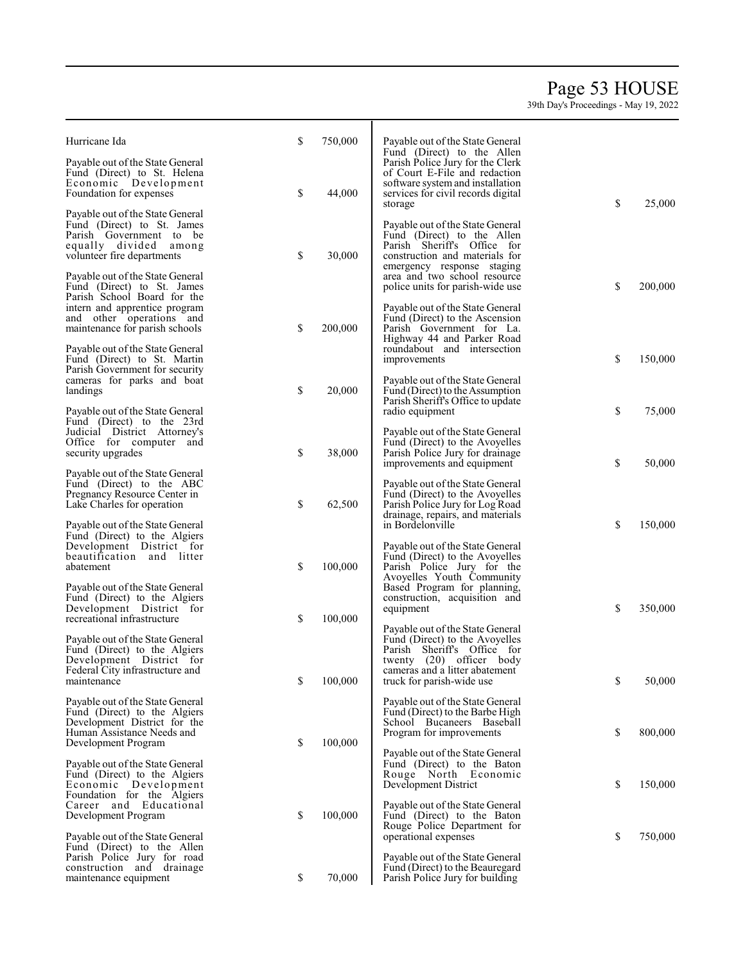## Page 5 3 HOUSE

| Hurricane Ida                                                                                                                                              | \$<br>750,000 | Payable out of the State General<br>Fund (Direct) to the Allen                                                                                                |               |
|------------------------------------------------------------------------------------------------------------------------------------------------------------|---------------|---------------------------------------------------------------------------------------------------------------------------------------------------------------|---------------|
| Payable out of the State General<br>Fund (Direct) to St. Helena<br>Economic Development<br>Foundation for expenses                                         | \$<br>44,000  | Parish Police Jury for the Clerk<br>of Court E-File and redaction<br>software system and installation<br>services for civil records digital<br>storage        | \$<br>25,000  |
| Payable out of the State General<br>Fund (Direct) to St. James<br>Parish Government to be<br>equally divided among<br>volunteer fire departments           | \$<br>30,000  | Payable out of the State General<br>Fund (Direct) to the Allen<br>Parish Sheriff's Office for<br>construction and materials for<br>emergency response staging |               |
| Payable out of the State General<br>Fund (Direct) to St. James<br>Parish School Board for the<br>intern and apprentice program<br>and other operations and |               | area and two school resource<br>police units for parish-wide use<br>Payable out of the State General<br>Fund (Direct) to the Ascension                        | \$<br>200,000 |
| maintenance for parish schools<br>Payable out of the State General                                                                                         | \$<br>200,000 | Parish Government for La.<br>Highway 44 and Parker Road<br>roundabout and intersection                                                                        |               |
| Fund (Direct) to St. Martin<br>Parish Government for security<br>cameras for parks and boat<br>landings                                                    | \$<br>20,000  | improvements<br>Payable out of the State General<br>Fund (Direct) to the Assumption                                                                           | \$<br>150,000 |
| Payable out of the State General<br>Fund (Direct) to the 23rd<br>Judicial District Attorney's                                                              |               | Parish Sheriff's Office to update<br>radio equipment<br>Payable out of the State General                                                                      | \$<br>75,000  |
| Office for computer and<br>security upgrades                                                                                                               | \$<br>38,000  | Fund (Direct) to the Avoyelles<br>Parish Police Jury for drainage<br>improvements and equipment                                                               | \$<br>50,000  |
| Payable out of the State General<br>Fund (Direct) to the ABC<br>Pregnancy Resource Center in<br>Lake Charles for operation                                 | \$<br>62,500  | Payable out of the State General<br>Fund (Direct) to the Avoyelles<br>Parish Police Jury for Log Road<br>drainage, repairs, and materials                     |               |
| Payable out of the State General<br>Fund (Direct) to the Algiers<br>Development District for                                                               |               | in Bordelonville<br>Payable out of the State General                                                                                                          | \$<br>150,000 |
| beautification and litter<br>abatement                                                                                                                     | \$<br>100,000 | Fund (Direct) to the Avoyelles<br>Parish Police Jury for the<br>Avoyelles Youth Community                                                                     |               |
| Payable out of the State General<br>Fund (Direct) to the Algiers<br>Development District for<br>recreational infrastructure                                | \$<br>100,000 | Based Program for planning,<br>construction, acquisition and<br>equipment                                                                                     | \$<br>350,000 |
| Payable out of the State General<br>Fund (Direct) to the Algiers<br>Development District for                                                               |               | Payable out of the State General<br>Fund (Direct) to the Avoyelles<br>Parish Sheriff's Office for<br>twenty (20) officer body                                 |               |
| Federal City infrastructure and<br>maintenance                                                                                                             | \$<br>100,000 | cameras and a litter abatement<br>truck for parish-wide use                                                                                                   | \$<br>50,000  |
| Payable out of the State General<br>Fund (Direct) to the Algiers<br>Development District for the<br>Human Assistance Needs and<br>Development Program      | \$<br>100,000 | Payable out of the State General<br>Fund (Direct) to the Barbe High<br>School Bucaneers Baseball<br>Program for improvements                                  | \$<br>800,000 |
| Payable out of the State General<br>Fund (Direct) to the Algiers<br>Economic Development                                                                   |               | Payable out of the State General<br>Fund (Direct) to the Baton<br>Rouge North Economic<br>Development District                                                | \$<br>150,000 |
| Foundation for the Algiers<br>Career and Educational<br>Development Program                                                                                | \$<br>100,000 | Payable out of the State General<br>Fund (Direct) to the Baton<br>Rouge Police Department for                                                                 |               |
| Payable out of the State General<br>Fund (Direct) to the Allen<br>Parish Police Jury for road<br>construction and drainage                                 |               | operational expenses<br>Payable out of the State General<br>Fund (Direct) to the Beauregard                                                                   | \$<br>750,000 |
| maintenance equipment                                                                                                                                      | \$<br>70,000  | Parish Police Jury for building                                                                                                                               |               |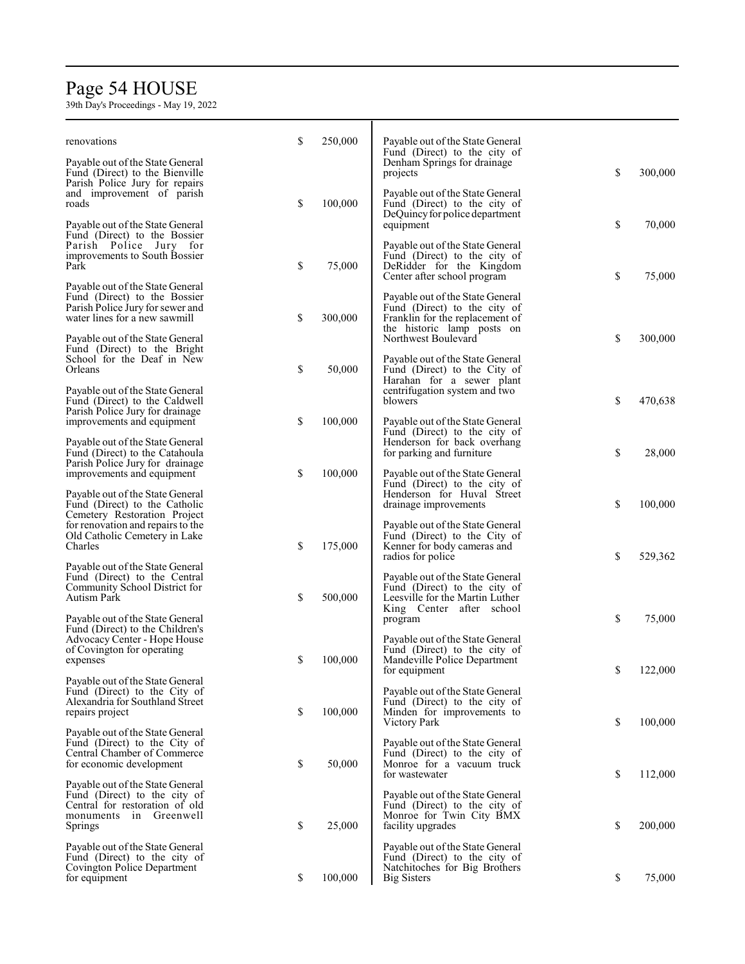# Page 5 4 HOUSE

| renovations                                                                                                                 | \$<br>250,000 | Payable out of the State General                                                                                                  |               |
|-----------------------------------------------------------------------------------------------------------------------------|---------------|-----------------------------------------------------------------------------------------------------------------------------------|---------------|
| Payable out of the State General<br>Fund (Direct) to the Bienville<br>Parish Police Jury for repairs                        |               | Fund (Direct) to the city of<br>Denham Springs for drainage<br>projects                                                           | \$<br>300,000 |
| and improvement of parish<br>roads<br>Payable out of the State General                                                      | \$<br>100,000 | Payable out of the State General<br>Fund (Direct) to the city of<br>DeQuincy for police department                                | \$<br>70,000  |
| Fund (Direct) to the Bossier<br>Parish Police Jury for<br>improvements to South Bossier<br>Park                             | \$<br>75,000  | equipment<br>Payable out of the State General<br>Fund (Direct) to the city of<br>DeRidder for the Kingdom                         |               |
| Payable out of the State General                                                                                            |               | Center after school program                                                                                                       | \$<br>75,000  |
| Fund (Direct) to the Bossier<br>Parish Police Jury for sewer and<br>water lines for a new sawmill                           | \$<br>300,000 | Payable out of the State General<br>Fund (Direct) to the city of<br>Franklin for the replacement of<br>the historic lamp posts on |               |
| Payable out of the State General<br>Fund (Direct) to the Bright<br>School for the Deaf in New<br>Orleans                    | \$<br>50,000  | Northwest Boulevard<br>Payable out of the State General<br>Fund (Direct) to the City of                                           | \$<br>300,000 |
| Payable out of the State General<br>Fund (Direct) to the Caldwell<br>Parish Police Jury for drainage                        |               | Harahan for a sewer plant<br>centrifugation system and two<br>blowers                                                             | \$<br>470,638 |
| improvements and equipment<br>Payable out of the State General                                                              | \$<br>100,000 | Payable out of the State General<br>Fund (Direct) to the city of<br>Henderson for back overhang                                   |               |
| Fund (Direct) to the Catahoula<br>Parish Police Jury for drainage<br>improvements and equipment                             | \$<br>100,000 | for parking and furniture<br>Payable out of the State General                                                                     | \$<br>28,000  |
| Payable out of the State General<br>Fund (Direct) to the Catholic<br>Cemetery Restoration Project                           |               | Fund (Direct) to the city of<br>Henderson for Huval Street<br>drainage improvements                                               | \$<br>100,000 |
| for renovation and repairs to the<br>Old Catholic Cemetery in Lake<br>Charles                                               | \$<br>175,000 | Payable out of the State General<br>Fund (Direct) to the City of<br>Kenner for body cameras and<br>radios for police              | \$<br>529,362 |
| Payable out of the State General<br>Fund (Direct) to the Central<br>Community School District for<br>Autism Park            | \$<br>500,000 | Payable out of the State General<br>Fund (Direct) to the city of<br>Leesville for the Martin Luther                               |               |
| Payable out of the State General<br>Fund (Direct) to the Children's                                                         |               | King Center after school<br>program                                                                                               | \$<br>75,000  |
| Advocacy Center - Hope House<br>of Covington for operating<br>expenses                                                      | \$<br>100,000 | Payable out of the State General<br>Fund (Direct) to the city of<br>Mandeville Police Department<br>for equipment                 | \$<br>122,000 |
| Payable out of the State General<br>Fund (Direct) to the City of<br>Alexandria for Southland Street<br>repairs project      | \$<br>100,000 | Payable out of the State General<br>Fund (Direct) to the city of<br>Minden for improvements to                                    |               |
| Payable out of the State General<br>Fund (Direct) to the City of<br>Central Chamber of Commerce<br>for economic development | \$<br>50,000  | Victory Park<br>Payable out of the State General<br>Fund (Direct) to the city of<br>Monroe for a vacuum truck                     | \$<br>100,000 |
| Payable out of the State General<br>Fund (Direct) to the city of<br>Central for restoration of old                          |               | for wastewater<br>Payable out of the State General<br>Fund (Direct) to the city of                                                | \$<br>112,000 |
| monuments in Greenwell<br>Springs                                                                                           | \$<br>25,000  | Monroe for Twin City BMX<br>facility upgrades                                                                                     | \$<br>200,000 |
| Payable out of the State General<br>Fund (Direct) to the city of<br>Covington Police Department<br>for equipment            | \$<br>100,000 | Payable out of the State General<br>Fund (Direct) to the city of<br>Natchitoches for Big Brothers<br>Big Sisters                  | \$<br>75,000  |
|                                                                                                                             |               |                                                                                                                                   |               |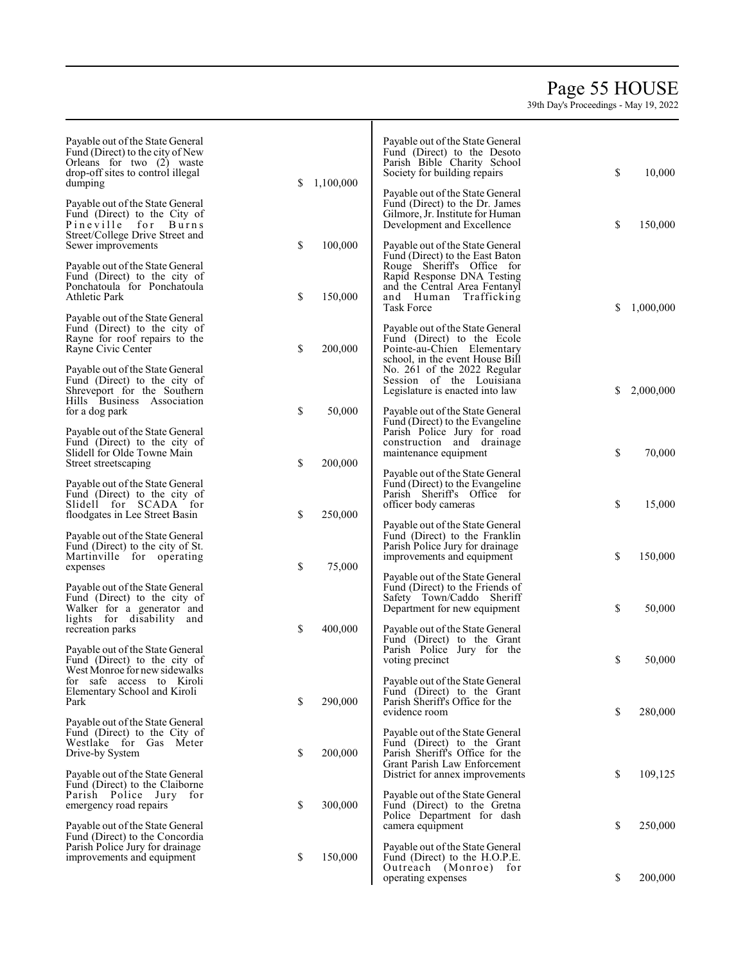# Page 5 5 HOUSE

39th Da y's Pro c e edings - Ma y 19, 2022

| Payable out of the State General<br>Fund (Direct) to the city of New<br>Orleans for two (2) waste<br>drop-off sites to control illegal<br>dumping | \$<br>1,100,000 | Payable out of the State General<br>Fund (Direct) to the Desoto<br>Parish Bible Charity School<br>Society for building repairs<br>Payable out of the State General<br>Fund (Direct) to the Dr. James | \$ | 10,000    |
|---------------------------------------------------------------------------------------------------------------------------------------------------|-----------------|------------------------------------------------------------------------------------------------------------------------------------------------------------------------------------------------------|----|-----------|
| Payable out of the State General<br>Fund (Direct) to the City of<br>Pineville for Burns<br>Street/College Drive Street and<br>Sewer improvements  | \$<br>100,000   | Gilmore, Jr. Institute for Human<br>Development and Excellence<br>Payable out of the State General                                                                                                   | \$ | 150,000   |
| Payable out of the State General<br>Fund (Direct) to the city of<br>Ponchatoula for Ponchatoula<br><b>Athletic Park</b>                           | \$<br>150,000   | Fund (Direct) to the East Baton<br>Rouge Sheriff's Office for<br>Rapid Response DNA Testing<br>and the Central Area Fentanyl<br>and Human<br>Trafficking<br>Task Force                               | \$ | 1,000,000 |
| Payable out of the State General<br>Fund (Direct) to the city of<br>Rayne for roof repairs to the<br>Rayne Civic Center                           | \$<br>200,000   | Payable out of the State General<br>Fund (Direct) to the Ecole<br>Pointe-au-Chien Elementary<br>school, in the event House Bill                                                                      |    |           |
| Payable out of the State General<br>Fund (Direct) to the city of<br>Shreveport for the Southern<br>Hills Business Association                     |                 | No. 261 of the 2022 Regular<br>Session of the Louisiana<br>Legislature is enacted into law                                                                                                           | S  | 2,000,000 |
| for a dog park<br>Payable out of the State General<br>Fund (Direct) to the city of                                                                | \$<br>50,000    | Payable out of the State General<br>Fund (Direct) to the Evangeline<br>Parish Police Jury for road<br>construction and drainage                                                                      |    |           |
| Slidell for Olde Towne Main<br>Street streetscaping                                                                                               | \$<br>200,000   | maintenance equipment<br>Payable out of the State General                                                                                                                                            | \$ | 70,000    |
| Payable out of the State General<br>Fund (Direct) to the city of<br>Slidell for SCADA for<br>floodgates in Lee Street Basin                       | \$<br>250,000   | Fund (Direct) to the Evangeline<br>Parish Sheriff's Office for<br>officer body cameras                                                                                                               | \$ | 15,000    |
| Payable out of the State General<br>Fund (Direct) to the city of St.<br>Martinville for operating<br>expenses                                     | \$<br>75,000    | Payable out of the State General<br>Fund (Direct) to the Franklin<br>Parish Police Jury for drainage<br>improvements and equipment                                                                   | \$ | 150,000   |
| Payable out of the State General<br>Fund (Direct) to the city of<br>Walker for a generator and<br>lights for disability and                       |                 | Payable out of the State General<br>Fund (Direct) to the Friends of<br>Safety Town/Caddo Sheriff<br>Department for new equipment                                                                     | \$ | 50,000    |
| recreation parks<br>Payable out of the State General<br>Fund (Direct) to the city of<br>West Monroe for new sidewalks                             | \$<br>400,000   | Payable out of the State General<br>Fund (Direct) to the Grant<br>Parish Police Jury for the<br>voting precinct                                                                                      | \$ | 50,000    |
| for safe access to Kiroli<br>Elementary School and Kiroli<br>Park                                                                                 | \$<br>290,000   | Payable out of the State General<br>Fund (Direct) to the Grant<br>Parish Sheriff's Office for the<br>evidence room                                                                                   | \$ | 280,000   |
| Payable out of the State General<br>Fund (Direct) to the City of<br>Westlake for Gas Meter<br>Drive-by System                                     | \$<br>200,000   | Payable out of the State General<br>Fund (Direct) to the Grant<br>Parish Sheriff's Office for the<br>Grant Parish Law Enforcement                                                                    |    |           |
| Payable out of the State General<br>Fund (Direct) to the Claiborne<br>Parish Police Jury for<br>emergency road repairs                            | \$<br>300,000   | District for annex improvements<br>Payable out of the State General<br>Fund (Direct) to the Gretna<br>Police Department for dash                                                                     | \$ | 109,125   |
| Payable out of the State General<br>Fund (Direct) to the Concordia<br>Parish Police Jury for drainage                                             |                 | camera equipment<br>Payable out of the State General                                                                                                                                                 | \$ | 250,000   |
| improvements and equipment                                                                                                                        | \$<br>150,000   | Fund (Direct) to the H.O.P.E.<br>Outreach (Monroe) for<br>operating expenses                                                                                                                         | \$ | 200,000   |

Т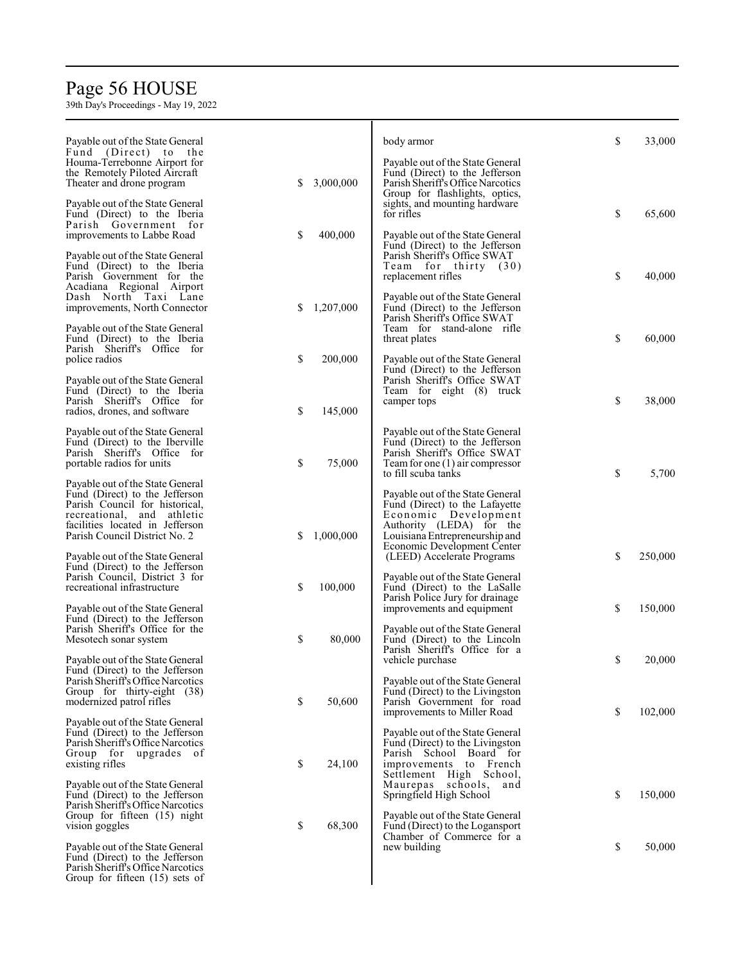# Page 5 6 HOUSE

| Payable out of the State General<br>Fund (Direct) to the<br>Houma-Terrebonne Airport for<br>the Remotely Piloted Aircraft                                                                              |    |           | body armor<br>Payable out of the State General<br>Fund (Direct) to the Jefferson                                                                                                        | \$<br>33,000  |
|--------------------------------------------------------------------------------------------------------------------------------------------------------------------------------------------------------|----|-----------|-----------------------------------------------------------------------------------------------------------------------------------------------------------------------------------------|---------------|
| Theater and drone program<br>Payable out of the State General<br>Fund (Direct) to the Iberia<br>Parish Government for                                                                                  | \$ | 3,000,000 | Parish Sheriff's Office Narcotics<br>Group for flashlights, optics,<br>sights, and mounting hardware<br>for rifles                                                                      | \$<br>65,600  |
| improvements to Labbe Road<br>Payable out of the State General<br>Fund (Direct) to the Iberia<br>Parish Government for the                                                                             | \$ | 400,000   | Payable out of the State General<br>Fund (Direct) to the Jefferson<br>Parish Sheriff's Office SWAT<br>Team for thirty (30)<br>replacement rifles                                        | \$<br>40,000  |
| Acadiana Regional Airport<br>Dash North Taxi Lane<br>improvements, North Connector<br>Payable out of the State General                                                                                 | S  | 1,207,000 | Payable out of the State General<br>Fund (Direct) to the Jefferson<br>Parish Sheriff's Office SWAT<br>Team for stand-alone rifle                                                        |               |
| Fund (Direct) to the Iberia<br>Parish Sheriff's Office for<br>police radios                                                                                                                            | \$ | 200,000   | threat plates<br>Payable out of the State General<br>Fund (Direct) to the Jefferson                                                                                                     | \$<br>60,000  |
| Payable out of the State General<br>Fund (Direct) to the Iberia<br>Parish Sheriff's Office for<br>radios, drones, and software                                                                         | \$ | 145,000   | Parish Sheriff's Office SWAT<br>Team for eight (8) truck<br>camper tops                                                                                                                 | \$<br>38,000  |
| Payable out of the State General<br>Fund (Direct) to the Iberville<br>Parish Sheriff's Office for<br>portable radios for units                                                                         | \$ | 75,000    | Payable out of the State General<br>Fund (Direct) to the Jefferson<br>Parish Sheriff's Office SWAT<br>Team for one $(1)$ air compressor<br>to fill scuba tanks                          | \$<br>5,700   |
| Payable out of the State General<br>Fund (Direct) to the Jefferson<br>Parish Council for historical,<br>recreational, and athletic<br>facilities located in Jefferson<br>Parish Council District No. 2 | \$ | 1,000,000 | Payable out of the State General<br>Fund (Direct) to the Lafayette<br>Economic Development<br>Authority (LEDA) for the<br>Louisiana Entrepreneurship and<br>Economic Development Center |               |
| Payable out of the State General<br>Fund (Direct) to the Jefferson<br>Parish Council, District 3 for<br>recreational infrastructure                                                                    | \$ | 100,000   | (LEED) Accelerate Programs<br>Payable out of the State General<br>Fund (Direct) to the LaSalle<br>Parish Police Jury for drainage                                                       | \$<br>250,000 |
| Payable out of the State General<br>Fund (Direct) to the Jefferson<br>Parish Sheriff's Office for the<br>Mesotech sonar system                                                                         | \$ | 80,000    | improvements and equipment<br>Payable out of the State General<br>Fund (Direct) to the Lincoln                                                                                          | \$<br>150,000 |
| Payable out of the State General<br>Fund (Direct) to the Jefferson<br>Parish Sheriff's Office Narcotics<br>Group for thirty-eight (38)                                                                 |    |           | Parish Sheriff's Office for a<br>vehicle purchase<br>Payable out of the State General<br>Fund (Direct) to the Livingston                                                                | \$<br>20,000  |
| modernized patrol rifles<br>Payable out of the State General<br>Fund (Direct) to the Jefferson                                                                                                         | \$ | 50,600    | Parish Government for road<br>improvements to Miller Road<br>Payable out of the State General                                                                                           | \$<br>102,000 |
| Parish Sheriff's Office Narcotics<br>Group for upgrades of<br>existing rifles                                                                                                                          | \$ | 24,100    | Fund (Direct) to the Livingston<br>Parish School Board for<br>improvements to French<br>Settlement High School,                                                                         |               |
| Payable out of the State General<br>Fund (Direct) to the Jefferson<br>Parish Sheriff's Office Narcotics<br>Group for fifteen (15) night<br>vision goggles                                              | \$ | 68,300    | Maurepas schools,<br>and<br>Springfield High School<br>Payable out of the State General<br>Fund (Direct) to the Logansport                                                              | \$<br>150,000 |
| Payable out of the State General<br>Fund (Direct) to the Jefferson<br>Parish Sheriff's Office Narcotics<br>Group for fifteen $(15)$ sets of                                                            |    |           | Chamber of Commerce for a<br>new building                                                                                                                                               | \$<br>50,000  |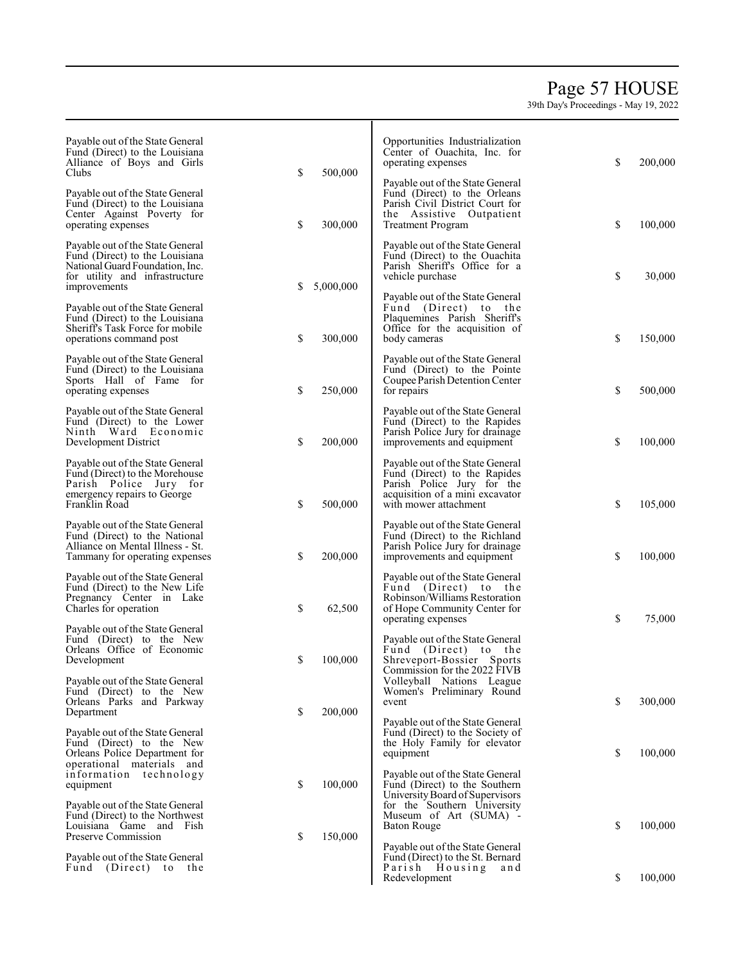## Page 5 7 HOUSE

| Payable out of the State General<br>Fund (Direct) to the Louisiana<br>Alliance of Boys and Girls<br>Clubs                                               | \$<br>500,000   | Opportunities Industrialization<br>Center of Ouachita, Inc. for<br>operating expenses                                                                      | \$<br>200,000 |
|---------------------------------------------------------------------------------------------------------------------------------------------------------|-----------------|------------------------------------------------------------------------------------------------------------------------------------------------------------|---------------|
| Payable out of the State General<br>Fund (Direct) to the Louisiana<br>Center Against Poverty for<br>operating expenses                                  | \$<br>300,000   | Payable out of the State General<br>Fund (Direct) to the Orleans<br>Parish Civil District Court for<br>the Assistive Outpatient<br>Treatment Program       | \$<br>100,000 |
| Payable out of the State General<br>Fund (Direct) to the Louisiana<br>National Guard Foundation, Inc.<br>for utility and infrastructure<br>improvements | \$<br>5,000,000 | Payable out of the State General<br>Fund (Direct) to the Ouachita<br>Parish Sheriff's Office for a<br>vehicle purchase                                     | \$<br>30,000  |
| Payable out of the State General<br>Fund (Direct) to the Louisiana<br>Sheriff's Task Force for mobile<br>operations command post                        | \$<br>300,000   | Payable out of the State General<br>Fund (Direct) to the<br>Plaquemines Parish Sheriff's<br>Office for the acquisition of<br>body cameras                  | \$<br>150,000 |
| Payable out of the State General<br>Fund (Direct) to the Louisiana<br>Sports Hall of Fame for<br>operating expenses                                     | \$<br>250,000   | Payable out of the State General<br>Fund (Direct) to the Pointe<br>Coupee Parish Detention Center<br>for repairs                                           | \$<br>500,000 |
| Payable out of the State General<br>Fund (Direct) to the Lower<br>Ninth Ward Economic<br>Development District                                           | \$<br>200,000   | Payable out of the State General<br>Fund (Direct) to the Rapides<br>Parish Police Jury for drainage<br>improvements and equipment                          | \$<br>100,000 |
| Payable out of the State General<br>Fund (Direct) to the Morehouse<br>Parish Police Jury for<br>emergency repairs to George<br>Franklin Road            | \$<br>500,000   | Payable out of the State General<br>Fund (Direct) to the Rapides<br>Parish Police Jury for the<br>acquisition of a mini excavator<br>with mower attachment | \$<br>105,000 |
| Payable out of the State General<br>Fund (Direct) to the National<br>Alliance on Mental Illness - St.<br>Tammany for operating expenses                 | \$<br>200,000   | Payable out of the State General<br>Fund (Direct) to the Richland<br>Parish Police Jury for drainage<br>improvements and equipment                         | \$<br>100,000 |
| Payable out of the State General<br>Fund (Direct) to the New Life<br>Pregnancy Center in Lake<br>Charles for operation                                  | \$<br>62,500    | Payable out of the State General<br>Fund (Direct) to the<br>Robinson/Williams Restoration<br>of Hope Community Center for<br>operating expenses            | \$<br>75,000  |
| Payable out of the State General<br>Fund (Direct) to the New<br>Orleans Office of Economic<br>Development                                               | \$<br>100,000   | Payable out of the State General<br>Fund (Direct) to the<br>Shreveport-Bossier Sports<br>Commission for the 2022 FIVB                                      |               |
| Payable out of the State General<br>Fund (Direct) to the New<br>Orleans Parks and Parkway<br>Department                                                 | \$<br>200,000   | Volleyball Nations League<br>Women's Preliminary Round<br>event<br>Payable out of the State General                                                        | \$<br>300,000 |
| Payable out of the State General<br>Fund (Direct) to the New<br>Orleans Police Department for<br>operational materials and                              |                 | Fund (Direct) to the Society of<br>the Holy Family for elevator<br>equipment                                                                               | \$<br>100,000 |
| information technology<br>equipment<br>Payable out of the State General                                                                                 | \$<br>100,000   | Payable out of the State General<br>Fund (Direct) to the Southern<br>University Board of Supervisors<br>for the Southern University                        |               |
| Fund (Direct) to the Northwest<br>Louisiana Game and Fish<br>Preserve Commission                                                                        | \$<br>150,000   | Museum of Art (SUMA) -<br><b>Baton Rouge</b><br>Payable out of the State General                                                                           | \$<br>100,000 |
| Payable out of the State General<br>Fund (Direct) to<br>the                                                                                             |                 | Fund (Direct) to the St. Bernard<br>Parish Housing<br>and<br>Redevelopment                                                                                 | \$<br>100,000 |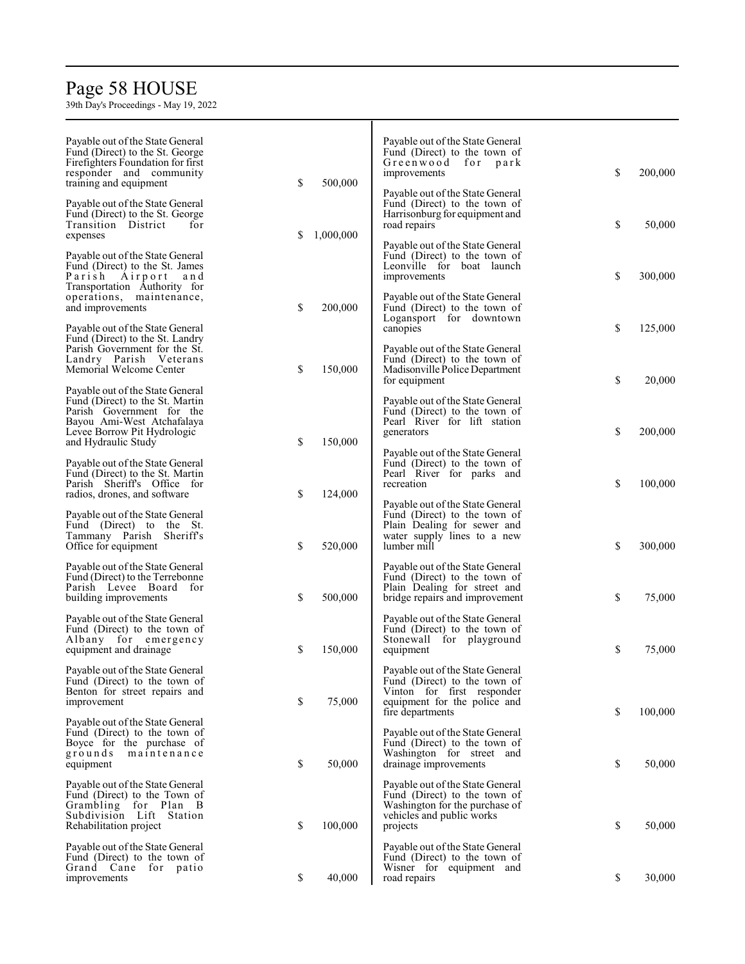# Page 5 8 HOUSE

| Payable out of the State General<br>Fund (Direct) to the St. George<br>Firefighters Foundation for first<br>responder and community<br>training and equipment | \$  | 500,000   | Payable out of the State General<br>Fund (Direct) to the town of<br>Greenwood for park<br>improvements<br>Payable out of the State General         | \$<br>200,000 |
|---------------------------------------------------------------------------------------------------------------------------------------------------------------|-----|-----------|----------------------------------------------------------------------------------------------------------------------------------------------------|---------------|
| Payable out of the State General<br>Fund (Direct) to the St. George<br>Transition District<br>for<br>expenses                                                 | \$. | 1,000,000 | Fund (Direct) to the town of<br>Harrisonburg for equipment and<br>road repairs<br>Payable out of the State General                                 | \$<br>50,000  |
| Payable out of the State General<br>Fund (Direct) to the St. James<br>Parish Airport<br>and<br>Transportation Authority for<br>operations, maintenance,       |     |           | Fund (Direct) to the town of<br>Leonville for boat launch<br>improvements<br>Payable out of the State General                                      | \$<br>300,000 |
| and improvements<br>Payable out of the State General<br>Fund (Direct) to the St. Landry                                                                       | \$  | 200,000   | Fund (Direct) to the town of<br>Logansport for downtown<br>canopies                                                                                | \$<br>125,000 |
| Parish Government for the St.<br>Landry Parish Veterans<br>Memorial Welcome Center<br>Payable out of the State General                                        | \$  | 150,000   | Payable out of the State General<br>Fund (Direct) to the town of<br>Madisonville Police Department<br>for equipment                                | \$<br>20,000  |
| Fund (Direct) to the St. Martin<br>Parish Government for the<br>Bayou Ami-West Atchafalaya<br>Levee Borrow Pit Hydrologic<br>and Hydraulic Study              | \$  | 150,000   | Payable out of the State General<br>Fund (Direct) to the town of<br>Pearl River for lift station<br>generators                                     | \$<br>200,000 |
| Payable out of the State General<br>Fund (Direct) to the St. Martin<br>Parish Sheriff's Office for<br>radios, drones, and software                            | \$  | 124,000   | Payable out of the State General<br>Fund (Direct) to the town of<br>Pearl River for parks and<br>recreation<br>Payable out of the State General    | \$<br>100,000 |
| Payable out of the State General<br>Fund (Direct) to the St.<br>Tammany Parish Sheriff's<br>Office for equipment                                              | \$  | 520,000   | Fund (Direct) to the town of<br>Plain Dealing for sewer and<br>water supply lines to a new<br>lumber mill                                          | \$<br>300,000 |
| Payable out of the State General<br>Fund (Direct) to the Terrebonne<br>Parish Levee Board for<br>building improvements                                        | \$  | 500,000   | Payable out of the State General<br>Fund (Direct) to the town of<br>Plain Dealing for street and<br>bridge repairs and improvement                 | \$<br>75,000  |
| Payable out of the State General<br>Fund (Direct) to the town of<br>Albany for emergency<br>equipment and drainage                                            | \$  | 150,000   | Payable out of the State General<br>Fund (Direct) to the town of<br>Stonewall for playground<br>equipment                                          | \$<br>75,000  |
| Payable out of the State General<br>Fund (Direct) to the town of<br>Benton for street repairs and<br>improvement                                              | \$  | 75,000    | Payable out of the State General<br>Fund (Direct) to the town of<br>Vinton for first responder<br>equipment for the police and<br>fire departments | \$<br>100,000 |
| Payable out of the State General<br>Fund (Direct) to the town of<br>Boyce for the purchase of<br>grounds<br>maintenance<br>equipment                          | \$  | 50,000    | Payable out of the State General<br>Fund (Direct) to the town of<br>Washington for street and<br>drainage improvements                             | \$<br>50,000  |
| Payable out of the State General<br>Fund (Direct) to the Town of<br>Grambling for Plan B<br>Subdivision Lift Station<br>Rehabilitation project                | \$  | 100,000   | Payable out of the State General<br>Fund (Direct) to the town of<br>Washington for the purchase of<br>vehicles and public works<br>projects        | \$<br>50,000  |
| Payable out of the State General<br>Fund (Direct) to the town of<br>Grand Cane for patio<br>improvements                                                      | \$  | 40,000    | Payable out of the State General<br>Fund (Direct) to the town of<br>Wisner for equipment and<br>road repairs                                       | \$<br>30,000  |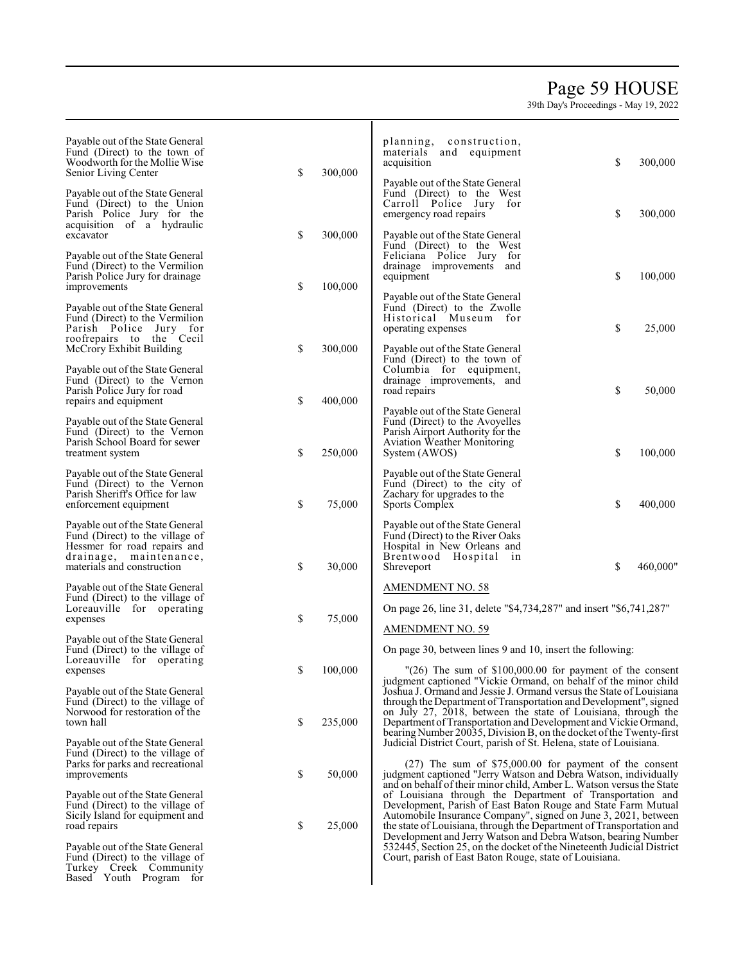## Page 5 9 HOUSE

| Payable out of the State General<br>Fund (Direct) to the town of<br>Woodworth for the Mollie Wise<br>Senior Living Center                                   | \$<br>300,000 | planning, construction,<br>materials and equipment<br>acquisition                                                                                                                                                                                                                                                                               | \$<br>300,000  |
|-------------------------------------------------------------------------------------------------------------------------------------------------------------|---------------|-------------------------------------------------------------------------------------------------------------------------------------------------------------------------------------------------------------------------------------------------------------------------------------------------------------------------------------------------|----------------|
| Payable out of the State General<br>Fund (Direct) to the Union<br>Parish Police Jury for the<br>acquisition of a hydraulic                                  |               | Payable out of the State General<br>Fund (Direct) to the West<br>Carroll Police Jury for<br>emergency road repairs                                                                                                                                                                                                                              | \$<br>300,000  |
| excavator                                                                                                                                                   | \$<br>300,000 | Payable out of the State General<br>Fund (Direct) to the West                                                                                                                                                                                                                                                                                   |                |
| Payable out of the State General<br>Fund (Direct) to the Vermilion<br>Parish Police Jury for drainage<br>improvements                                       | \$<br>100,000 | Feliciana Police Jury for<br>drainage improvements and<br>equipment                                                                                                                                                                                                                                                                             | \$<br>100,000  |
| Payable out of the State General<br>Fund (Direct) to the Vermilion<br>Parish Police Jury for<br>roofrepairs to the Cecil                                    |               | Payable out of the State General<br>Fund (Direct) to the Zwolle<br>Historical Museum for<br>operating expenses                                                                                                                                                                                                                                  | \$<br>25,000   |
| McCrory Exhibit Building                                                                                                                                    | \$<br>300,000 | Payable out of the State General<br>Fund (Direct) to the town of                                                                                                                                                                                                                                                                                |                |
| Payable out of the State General<br>Fund (Direct) to the Vernon<br>Parish Police Jury for road<br>repairs and equipment                                     | \$<br>400,000 | Columbia for equipment,<br>drainage improvements, and<br>road repairs                                                                                                                                                                                                                                                                           | \$<br>50,000   |
| Payable out of the State General<br>Fund (Direct) to the Vernon<br>Parish School Board for sewer<br>treatment system                                        | \$<br>250,000 | Payable out of the State General<br>Fund (Direct) to the Avoyelles<br>Parish Airport Authority for the<br><b>Aviation Weather Monitoring</b><br>System (AWOS)                                                                                                                                                                                   | \$<br>100,000  |
| Payable out of the State General<br>Fund (Direct) to the Vernon<br>Parish Sheriff's Office for law<br>enforcement equipment                                 | \$<br>75,000  | Payable out of the State General<br>Fund (Direct) to the city of<br>Zachary for upgrades to the<br>Sports Complex                                                                                                                                                                                                                               | \$<br>400,000  |
| Payable out of the State General<br>Fund (Direct) to the village of<br>Hessmer for road repairs and<br>drainage, maintenance,<br>materials and construction | \$<br>30,000  | Payable out of the State General<br>Fund (Direct) to the River Oaks<br>Hospital in New Orleans and<br>Brentwood Hospital<br>1n<br>Shreveport                                                                                                                                                                                                    | \$<br>460,000" |
| Payable out of the State General<br>Fund (Direct) to the village of                                                                                         |               | <b>AMENDMENT NO. 58</b>                                                                                                                                                                                                                                                                                                                         |                |
| Loreauville for operating<br>expenses                                                                                                                       | \$<br>75,000  | On page 26, line 31, delete "\$4,734,287" and insert "\$6,741,287"                                                                                                                                                                                                                                                                              |                |
| Payable out of the State General<br>Fund (Direct) to the village of                                                                                         |               | AMENDMENT NO. 59<br>On page 30, between lines 9 and 10, insert the following:                                                                                                                                                                                                                                                                   |                |
| Loreauville for operating<br>expenses                                                                                                                       | \$<br>100,000 | $"(26)$ The sum of \$100,000.00 for payment of the consent                                                                                                                                                                                                                                                                                      |                |
| Payable out of the State General<br>Fund (Direct) to the village of<br>Norwood for restoration of the<br>town hall                                          | \$<br>235,000 | judgment captioned "Vickie Ormand, on behalf of the minor child<br>Joshua J. Ormand and Jessie J. Ormand versus the State of Louisiana<br>through the Department of Transportation and Development", signed<br>on July 27, 2018, between the state of Louisiana, through the<br>Department of Transportation and Development and Vickie Ormand, |                |
| Payable out of the State General<br>Fund (Direct) to the village of<br>Parks for parks and recreational<br>improvements                                     | \$<br>50,000  | bearing Number 20035, Division B, on the docket of the Twenty-first<br>Judicial District Court, parish of St. Helena, state of Louisiana.<br>$(27)$ The sum of \$75,000.00 for payment of the consent<br>judgment captioned "Jerry Watson and Debra Watson, individually                                                                        |                |
| Payable out of the State General<br>Fund (Direct) to the village of<br>Sicily Island for equipment and<br>road repairs                                      | \$<br>25,000  | and on behalf of their minor child, Amber L. Watson versus the State<br>of Louisiana through the Department of Transportation and<br>Development, Parish of East Baton Rouge and State Farm Mutual<br>Automobile Insurance Company", signed on June 3, 2021, between<br>the state of Louisiana, through the Department of Transportation and    |                |
| Payable out of the State General<br>Fund (Direct) to the village of<br>Turkey Creek Community<br>Based Youth Program for                                    |               | Development and Jerry Watson and Debra Watson, bearing Number<br>532445, Section 25, on the docket of the Nineteenth Judicial District<br>Court, parish of East Baton Rouge, state of Louisiana.                                                                                                                                                |                |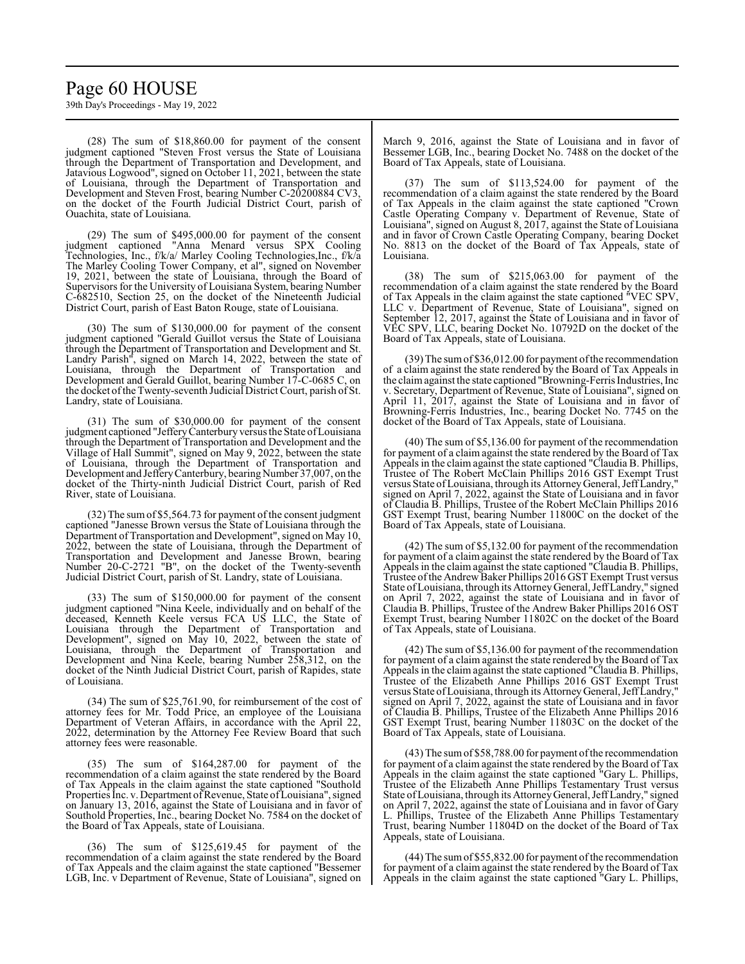## Page 60 HOUSE

39th Day's Proceedings - May 19, 2022

(28) The sum of \$18,860.00 for payment of the consent judgment captioned "Steven Frost versus the State of Louisiana through the Department of Transportation and Development, and Jatavious Logwood", signed on October 11, 2021, between the state of Louisiana, through the Department of Transportation and Development and Steven Frost, bearing Number C-20200884 CV3, on the docket of the Fourth Judicial District Court, parish of Ouachita, state of Louisiana.

(29) The sum of \$495,000.00 for payment of the consent judgment captioned "Anna Menard versus SPX Cooling Technologies, Inc., f/k/a/ Marley Cooling Technologies,Inc., f/k/a The Marley Cooling Tower Company, et al", signed on November 19, 2021, between the state of Louisiana, through the Board of Supervisors for the University of Louisiana System, bearing Number C-682510, Section 25, on the docket of the Nineteenth Judicial District Court, parish of East Baton Rouge, state of Louisiana.

(30) The sum of \$130,000.00 for payment of the consent judgment captioned "Gerald Guillot versus the State of Louisiana through the Department of Transportation and Development and St. Landry Parish", signed on March 14, 2022, between the state of Louisiana, through the Department of Transportation and Development and Gerald Guillot, bearing Number 17-C-0685 C, on the docket ofthe Twenty-seventh Judicial District Court, parish of St. Landry, state of Louisiana.

(31) The sum of \$30,000.00 for payment of the consent judgment captioned "JefferyCanterbury versus the State ofLouisiana through the Department of Transportation and Development and the Village of Hall Summit", signed on May 9, 2022, between the state of Louisiana, through the Department of Transportation and Development and Jeffery Canterbury, bearing Number 37,007, on the docket of the Thirty-ninth Judicial District Court, parish of Red River, state of Louisiana.

(32) The sumof \$5,564.73 for payment of the consent judgment captioned "Janesse Brown versus the State of Louisiana through the Department of Transportation and Development", signed on May 10, 2022, between the state of Louisiana, through the Department of Transportation and Development and Janesse Brown, bearing Number 20-C-2721 "B", on the docket of the Twenty-seventh Judicial District Court, parish of St. Landry, state of Louisiana.

(33) The sum of \$150,000.00 for payment of the consent judgment captioned "Nina Keele, individually and on behalf of the deceased, Kenneth Keele versus FCA US LLC, the State of Louisiana through the Department of Transportation and Development", signed on May 10, 2022, between the state of Louisiana, through the Department of Transportation and Development and Nina Keele, bearing Number 258,312, on the docket of the Ninth Judicial District Court, parish of Rapides, state of Louisiana.

(34) The sum of \$25,761.90, for reimbursement of the cost of attorney fees for Mr. Todd Price, an employee of the Louisiana Department of Veteran Affairs, in accordance with the April 22, 2022, determination by the Attorney Fee Review Board that such attorney fees were reasonable.

(35) The sum of \$164,287.00 for payment of the recommendation of a claim against the state rendered by the Board of Tax Appeals in the claim against the state captioned "Southold Properties Inc. v. Department of Revenue, State of Louisiana", signed on January 13, 2016, against the State of Louisiana and in favor of Southold Properties, Inc., bearing Docket No. 7584 on the docket of the Board of Tax Appeals, state of Louisiana.

(36) The sum of \$125,619.45 for payment of the recommendation of a claim against the state rendered by the Board of Tax Appeals and the claim against the state captioned "Bessemer LGB, Inc. v Department of Revenue, State of Louisiana", signed on March 9, 2016, against the State of Louisiana and in favor of Bessemer LGB, Inc., bearing Docket No. 7488 on the docket of the Board of Tax Appeals, state of Louisiana.

(37) The sum of \$113,524.00 for payment of the recommendation of a claim against the state rendered by the Board of Tax Appeals in the claim against the state captioned "Crown Castle Operating Company v. Department of Revenue, State of Louisiana", signed on August 8, 2017, against the State of Louisiana and in favor of Crown Castle Operating Company, bearing Docket No. 8813 on the docket of the Board of Tax Appeals, state of Louisiana.

(38) The sum of \$215,063.00 for payment of the recommendation of a claim against the state rendered by the Board of Tax Appeals in the claim against the state captioned "VEC SPV, LLC v. Department of Revenue, State of Louisiana", signed on September 12, 2017, against the State of Louisiana and in favor of VEC SPV, LLC, bearing Docket No. 10792D on the docket of the Board of Tax Appeals, state of Louisiana.

(39) The sumof \$36,012.00 for payment ofthe recommendation of a claim against the state rendered by the Board of Tax Appeals in the claimagainst the state captioned "Browning-Ferris Industries, Inc v. Secretary, Department of Revenue, State of Louisiana", signed on April 11, 2017, against the State of Louisiana and in favor of Browning-Ferris Industries, Inc., bearing Docket No. 7745 on the docket of the Board of Tax Appeals, state of Louisiana.

(40) The sum of \$5,136.00 for payment of the recommendation for payment of a claim against the state rendered by the Board of Tax Appeals in the claim against the state captioned "Claudia B. Phillips, Trustee of The Robert McClain Phillips 2016 GST Exempt Trust versus State ofLouisiana, through its AttorneyGeneral, JeffLandry," signed on April 7, 2022, against the State of Louisiana and in favor of Claudia B. Phillips, Trustee of the Robert McClain Phillips 2016 GST Exempt Trust, bearing Number 11800C on the docket of the Board of Tax Appeals, state of Louisiana.

(42) The sum of \$5,132.00 for payment of the recommendation for payment of a claim against the state rendered by the Board of Tax Appeals in the claim against the state captioned "Claudia B. Phillips, Trustee of the Andrew Baker Phillips 2016 GST Exempt Trust versus State ofLouisiana, through its AttorneyGeneral, JeffLandry," signed on April 7, 2022, against the state of Louisiana and in favor of Claudia B. Phillips, Trustee of the Andrew Baker Phillips 2016 OST Exempt Trust, bearing Number 11802C on the docket of the Board of Tax Appeals, state of Louisiana.

(42) The sum of \$5,136.00 for payment of the recommendation for payment of a claim against the state rendered by the Board of Tax Appeals in the claim against the state captioned "Claudia B. Phillips, Trustee of the Elizabeth Anne Phillips 2016 GST Exempt Trust versus State of Louisiana, through its Attorney General, Jeff Landry," signed on April 7, 2022, against the state of Louisiana and in favor of Claudia B. Phillips, Trustee of the Elizabeth Anne Phillips 2016 GST Exempt Trust, bearing Number 11803C on the docket of the Board of Tax Appeals, state of Louisiana.

(43) The sumof \$58,788.00 for payment ofthe recommendation for payment of a claim against the state rendered by the Board of Tax Appeals in the claim against the state captioned "Gary L. Phillips, Trustee of the Elizabeth Anne Phillips Testamentary Trust versus State ofLouisiana, through its AttorneyGeneral, JeffLandry," signed on April 7, 2022, against the state of Louisiana and in favor of Gary L. Phillips, Trustee of the Elizabeth Anne Phillips Testamentary Trust, bearing Number 11804D on the docket of the Board of Tax Appeals, state of Louisiana.

(44) The sumof \$55,832.00 for payment ofthe recommendation for payment of a claim against the state rendered by the Board of Tax Appeals in the claim against the state captioned "Gary L. Phillips,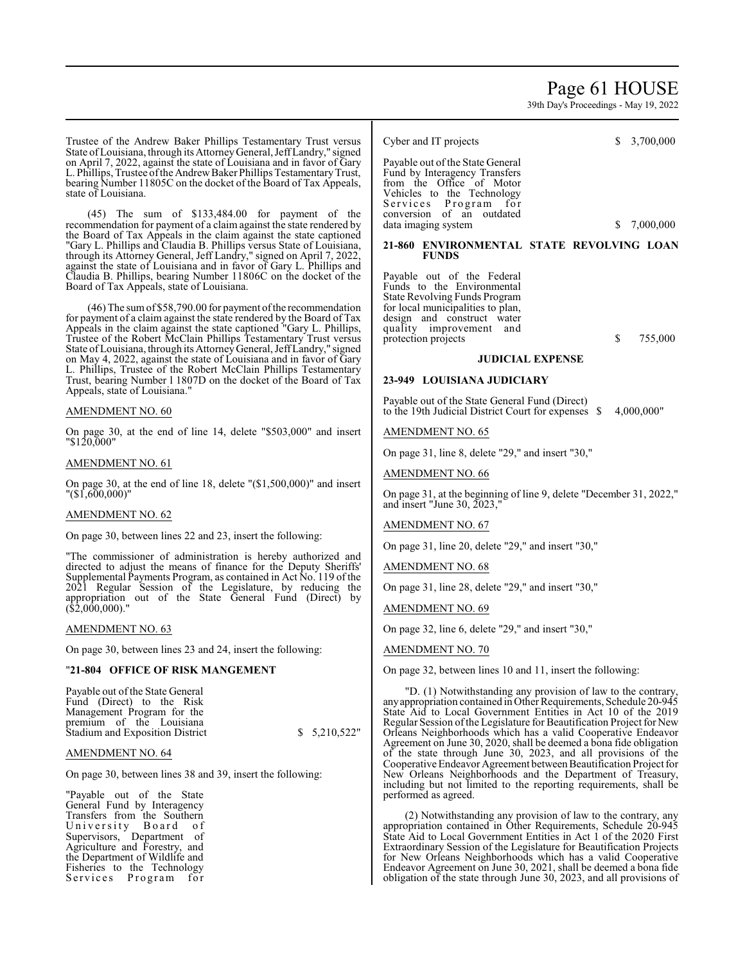## Page 61 HOUSE

39th Day's Proceedings - May 19, 2022

Trustee of the Andrew Baker Phillips Testamentary Trust versus State of Louisiana, through its Attorney General, Jeff Landry," signed on April 7, 2022, against the state of Louisiana and in favor of Gary L. Phillips, Trustee of the Andrew Baker Phillips Testamentary Trust, bearing Number 11805C on the docket of the Board of Tax Appeals, state of Louisiana. (45) The sum of \$133,484.00 for payment of the recommendation for payment of a claim against the state rendered by the Board of Tax Appeals in the claim against the state captioned "Gary L. Phillips and Claudia B. Phillips versus State of Louisiana, through its Attorney General, Jeff Landry," signed on April 7, 2022, against the state of Louisiana and in favor of Gary L. Phillips and Claudia B. Phillips, bearing Number 11806C on the docket of the Board of Tax Appeals, state of Louisiana. (46) The sumof \$58,790.00 for payment ofthe recommendation for payment of a claim against the state rendered by the Board of Tax Appeals in the claim against the state captioned "Gary L. Phillips, Trustee of the Robert McClain Phillips Testamentary Trust versus State ofLouisiana, through its AttorneyGeneral, JeffLandry," signed on May 4, 2022, against the state of Louisiana and in favor of Gary L. Phillips, Trustee of the Robert McClain Phillips Testamentary Trust, bearing Number l 1807D on the docket of the Board of Tax Appeals, state of Louisiana." AMENDMENT NO. 60 On page 30, at the end of line 14, delete "\$503,000" and insert "\$120,000" AMENDMENT NO. 61 On page 30, at the end of line 18, delete "(\$1,500,000)" and insert "(\$1,600,000)" AMENDMENT NO. 62 On page 30, between lines 22 and 23, insert the following: "The commissioner of administration is hereby authorized and directed to adjust the means of finance for the Deputy Sheriffs' Supplemental Payments Program, as contained in Act No. 119 of the 2021 Regular Session of the Legislature, by reducing the appropriation out of the State General Fund (Direct) by (\$2,000,000)." AMENDMENT NO. 63 On page 30, between lines 23 and 24, insert the following: "**21-804 OFFICE OF RISK MANGEMENT** Payable out of the State General Fund (Direct) to the Risk Management Program for the premium of the Louisiana Stadium and Exposition District  $$5,210,522"$ AMENDMENT NO. 64 On page 30, between lines 38 and 39, insert the following: "Payable out of the State Cyber and IT projects \$ 3,700,000 Payable out of the State General Fund by Interagency Transfers from the Office of Motor Vehicles to the Technology Services Program for conversion of an outdated data imaging system  $$ 7,000,000$ **21-860 ENVIRONMENTAL STATE REVOLVING LOAN FUNDS** Payable out of the Federal Funds to the Environmental State Revolving Funds Program for local municipalities to plan, design and construct water quality improvement and protection projects  $$755,000$ **JUDICIAL EXPENSE 23-949 LOUISIANA JUDICIARY** Payable out of the State General Fund (Direct) to the 19th Judicial District Court for expenses  $$ 4,000,000"$ AMENDMENT NO. 65 On page 31, line 8, delete "29," and insert "30," AMENDMENT NO. 66 On page 31, at the beginning of line 9, delete "December 31, 2022," and insert "June 30, 2023," AMENDMENT NO. 67 On page 31, line 20, delete "29," and insert "30," AMENDMENT NO. 68 On page 31, line 28, delete "29," and insert "30," AMENDMENT NO. 69 On page 32, line 6, delete "29," and insert "30," AMENDMENT NO. 70 On page 32, between lines 10 and 11, insert the following: "D. (1) Notwithstanding any provision of law to the contrary, anyappropriation contained in Other Requirements, Schedule 20-945 State Aid to Local Government Entities in Act 10 of the 2019 Regular Session ofthe Legislature for Beautification Project for New Orleans Neighborhoods which has a valid Cooperative Endeavor Agreement on June 30, 2020, shall be deemed a bona fide obligation of the state through June 30, 2023, and all provisions of the Cooperative Endeavor Agreement between Beautification Project for New Orleans Neighborhoods and the Department of Treasury, including but not limited to the reporting requirements, shall be performed as agreed.

General Fund by Interagency Transfers from the Southern University Board of Supervisors, Department of Agriculture and Forestry, and the Department of Wildlife and Fisheries to the Technology Services Program for

(2) Notwithstanding any provision of law to the contrary, any appropriation contained in Other Requirements, Schedule 20-945 State Aid to Local Government Entities in Act 1 of the 2020 First Extraordinary Session of the Legislature for Beautification Projects for New Orleans Neighborhoods which has a valid Cooperative Endeavor Agreement on June 30, 2021, shall be deemed a bona fide obligation of the state through June 30, 2023, and all provisions of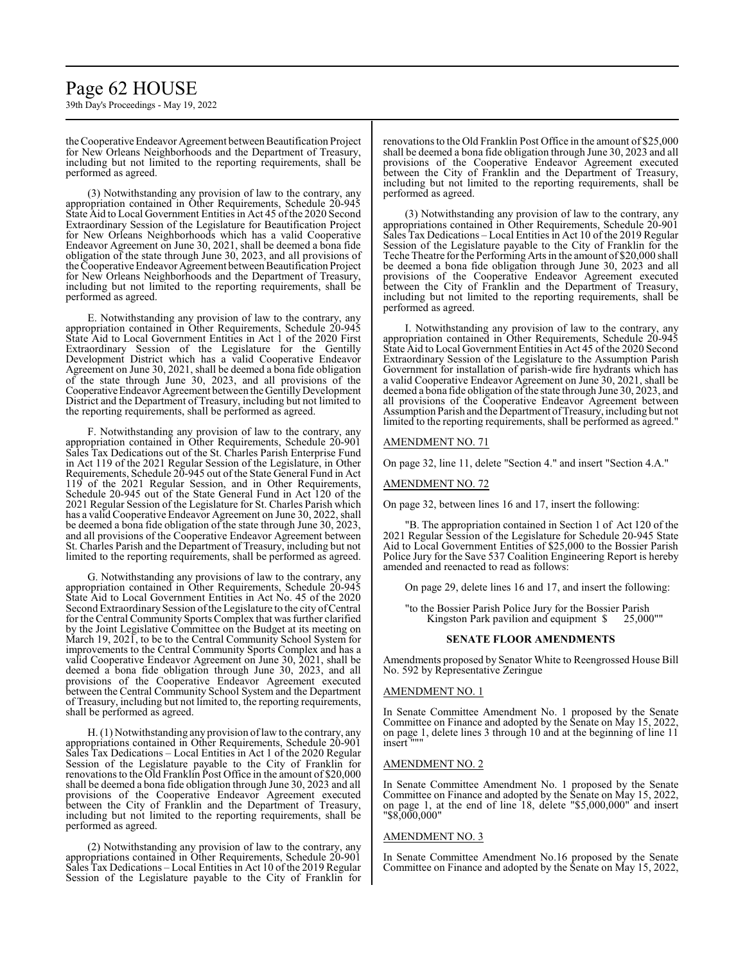## Page 62 HOUSE

39th Day's Proceedings - May 19, 2022

the Cooperative Endeavor Agreement between Beautification Project for New Orleans Neighborhoods and the Department of Treasury, including but not limited to the reporting requirements, shall be performed as agreed.

(3) Notwithstanding any provision of law to the contrary, any appropriation contained in Other Requirements, Schedule 20-945 State Aid to Local Government Entities in Act 45 ofthe 2020 Second Extraordinary Session of the Legislature for Beautification Project for New Orleans Neighborhoods which has a valid Cooperative Endeavor Agreement on June 30, 2021, shall be deemed a bona fide obligation of the state through June 30, 2023, and all provisions of the Cooperative Endeavor Agreement between Beautification Project for New Orleans Neighborhoods and the Department of Treasury, including but not limited to the reporting requirements, shall be performed as agreed.

E. Notwithstanding any provision of law to the contrary, any appropriation contained in Other Requirements, Schedule 20-945 State Aid to Local Government Entities in Act 1 of the 2020 First Extraordinary Session of the Legislature for the Gentilly Development District which has a valid Cooperative Endeavor Agreement on June 30, 2021, shall be deemed a bona fide obligation of the state through June 30, 2023, and all provisions of the Cooperative Endeavor Agreement between the Gentilly Development District and the Department of Treasury, including but not limited to the reporting requirements, shall be performed as agreed.

F. Notwithstanding any provision of law to the contrary, any appropriation contained in Other Requirements, Schedule 20-901 Sales Tax Dedications out of the St. Charles Parish Enterprise Fund in Act 119 of the 2021 Regular Session of the Legislature, in Other Requirements, Schedule 20-945 out of the State General Fund in Act 119 of the 2021 Regular Session, and in Other Requirements, Schedule 20-945 out of the State General Fund in Act 120 of the 2021 Regular Session of the Legislature for St. Charles Parish which has a valid Cooperative Endeavor Agreement on June 30, 2022, shall be deemed a bona fide obligation of the state through June 30, 2023, and all provisions of the Cooperative Endeavor Agreement between St. Charles Parish and the Department of Treasury, including but not limited to the reporting requirements, shall be performed as agreed.

G. Notwithstanding any provisions of law to the contrary, any appropriation contained in Other Requirements, Schedule 20-945 State Aid to Local Government Entities in Act No. 45 of the 2020 Second Extraordinary Session of the Legislature to the city of Central for the Central Community Sports Complex that was further clarified by the Joint Legislative Committee on the Budget at its meeting on March 19, 2021, to be to the Central Community School System for improvements to the Central Community Sports Complex and has a valid Cooperative Endeavor Agreement on June 30, 2021, shall be deemed a bona fide obligation through June 30, 2023, and all provisions of the Cooperative Endeavor Agreement executed between the Central Community School System and the Department of Treasury, including but not limited to, the reporting requirements, shall be performed as agreed.

H. (1) Notwithstanding any provision oflaw to the contrary, any appropriations contained in Other Requirements, Schedule 20-901 Sales Tax Dedications – Local Entities in Act 1 of the 2020 Regular Session of the Legislature payable to the City of Franklin for renovations to the Old Franklin Post Office in the amount of \$20,000 shall be deemed a bona fide obligation through June 30, 2023 and all provisions of the Cooperative Endeavor Agreement executed between the City of Franklin and the Department of Treasury, including but not limited to the reporting requirements, shall be performed as agreed.

(2) Notwithstanding any provision of law to the contrary, any appropriations contained in Other Requirements, Schedule 20-901 Sales Tax Dedications – Local Entities in Act 10 of the 2019 Regular Session of the Legislature payable to the City of Franklin for renovations to the Old Franklin Post Office in the amount of \$25,000 shall be deemed a bona fide obligation through June 30, 2023 and all provisions of the Cooperative Endeavor Agreement executed between the City of Franklin and the Department of Treasury, including but not limited to the reporting requirements, shall be performed as agreed.

(3) Notwithstanding any provision of law to the contrary, any appropriations contained in Other Requirements, Schedule 20-901 Sales Tax Dedications – Local Entities in Act 10 of the 2019 Regular Session of the Legislature payable to the City of Franklin for the Teche Theatre for the Performing Arts in the amount of \$20,000 shall be deemed a bona fide obligation through June 30, 2023 and all provisions of the Cooperative Endeavor Agreement executed between the City of Franklin and the Department of Treasury, including but not limited to the reporting requirements, shall be performed as agreed.

I. Notwithstanding any provision of law to the contrary, any appropriation contained in Other Requirements, Schedule 20-945 State Aid to Local Government Entities in Act 45 of the 2020 Second Extraordinary Session of the Legislature to the Assumption Parish Government for installation of parish-wide fire hydrants which has a valid Cooperative Endeavor Agreement on June 30, 2021, shall be deemed a bona fide obligation of the state through June 30, 2023, and all provisions of the Cooperative Endeavor Agreement between Assumption Parish and the Department of Treasury, including but not limited to the reporting requirements, shall be performed as agreed."

#### AMENDMENT NO. 71

On page 32, line 11, delete "Section 4." and insert "Section 4.A."

AMENDMENT NO. 72

On page 32, between lines 16 and 17, insert the following:

"B. The appropriation contained in Section 1 of Act 120 of the 2021 Regular Session of the Legislature for Schedule 20-945 State Aid to Local Government Entities of \$25,000 to the Bossier Parish Police Jury for the Save 537 Coalition Engineering Report is hereby amended and reenacted to read as follows:

On page 29, delete lines 16 and 17, and insert the following:

"to the Bossier Parish Police Jury for the Bossier Parish Kingston Park pavilion and equipment  $\$ 

#### **SENATE FLOOR AMENDMENTS**

Amendments proposed by Senator White to Reengrossed House Bill No. 592 by Representative Zeringue

#### AMENDMENT NO. 1

In Senate Committee Amendment No. 1 proposed by the Senate Committee on Finance and adopted by the Senate on May 15, 2022, on page 1, delete lines 3 through 10 and at the beginning of line 11 insert """

#### AMENDMENT NO. 2

In Senate Committee Amendment No. 1 proposed by the Senate Committee on Finance and adopted by the Senate on May 15, 2022, on page 1, at the end of line 18, delete "\$5,000,000" and insert "\$8,000,000"

#### AMENDMENT NO. 3

In Senate Committee Amendment No.16 proposed by the Senate Committee on Finance and adopted by the Senate on May 15, 2022,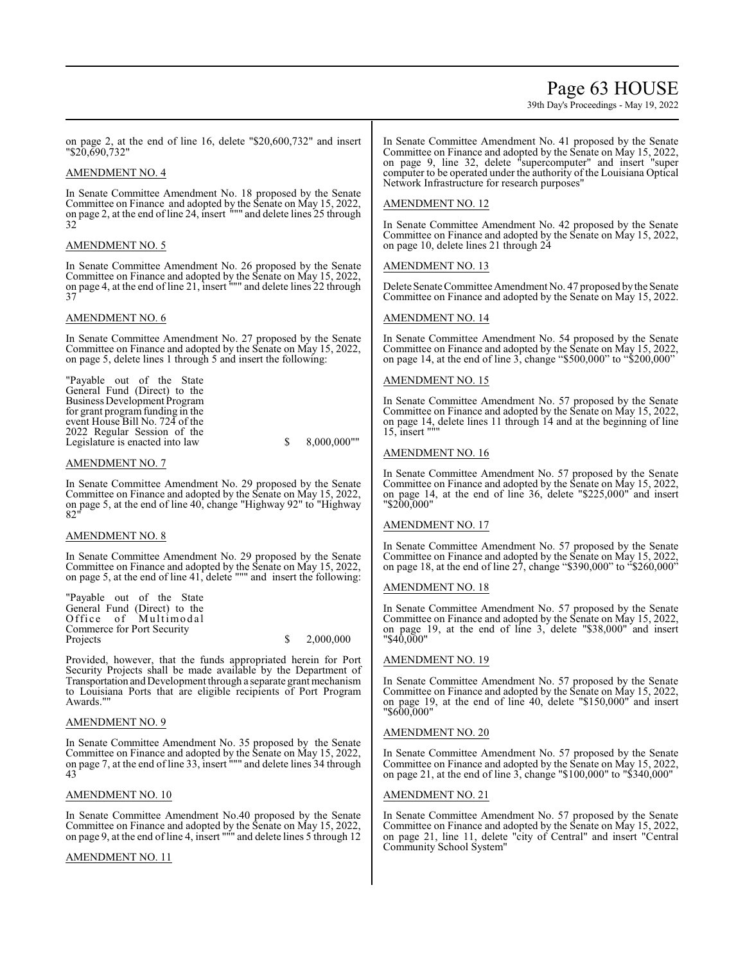## Page 63 HOUSE

39th Day's Proceedings - May 19, 2022

on page 2, at the end of line 16, delete "\$20,600,732" and insert "\$20,690,732"

### AMENDMENT NO. 4

In Senate Committee Amendment No. 18 proposed by the Senate Committee on Finance and adopted by the Senate on May 15, 2022, on page 2, at the end of line 24, insert """ and delete lines 25 through 32

## AMENDMENT NO. 5

In Senate Committee Amendment No. 26 proposed by the Senate Committee on Finance and adopted by the Senate on May 15, 2022, on page 4, at the end of line 21, insert """ and delete lines 22 through 37

### AMENDMENT NO. 6

In Senate Committee Amendment No. 27 proposed by the Senate Committee on Finance and adopted by the Senate on May 15, 2022, on page 5, delete lines 1 through 5 and insert the following:

"Payable out of the State General Fund (Direct) to the Business Development Program for grant program funding in the event House Bill No. 724 of the 2022 Regular Session of the Legislature is enacted into law \$ 8,000,000"

#### AMENDMENT NO. 7

In Senate Committee Amendment No. 29 proposed by the Senate Committee on Finance and adopted by the Senate on May 15, 2022, on page 5, at the end of line 40, change "Highway 92" to "Highway  $82$ 

#### AMENDMENT NO. 8

In Senate Committee Amendment No. 29 proposed by the Senate Committee on Finance and adopted by the Senate on May 15, 2022, on page 5, at the end of line 41, delete """ and insert the following:

| "Payable out of the State"   |                        |
|------------------------------|------------------------|
| General Fund (Direct) to the |                        |
| Office of Multimodal         |                        |
| Commerce for Port Security   |                        |
| Projects                     | $\frac{\$}{2.000,000}$ |

Provided, however, that the funds appropriated herein for Port Security Projects shall be made available by the Department of Transportation and Development through a separate grant mechanism to Louisiana Ports that are eligible recipients of Port Program Awards."

#### AMENDMENT NO. 9

In Senate Committee Amendment No. 35 proposed by the Senate Committee on Finance and adopted by the Senate on May 15, 2022, on page 7, at the end of line 33, insert """ and delete lines 34 through 43

#### AMENDMENT NO. 10

In Senate Committee Amendment No.40 proposed by the Senate Committee on Finance and adopted by the Senate on May 15, 2022, on page 9, at the end of line 4, insert """ and delete lines 5 through 12

## AMENDMENT NO. 11

In Senate Committee Amendment No. 41 proposed by the Senate Committee on Finance and adopted by the Senate on May 15, 2022, on page 9, line 32, delete "supercomputer" and insert "super computer to be operated under the authority of the Louisiana Optical Network Infrastructure for research purposes"

### AMENDMENT NO. 12

In Senate Committee Amendment No. 42 proposed by the Senate Committee on Finance and adopted by the Senate on May 15, 2022, on page 10, delete lines 21 through 24

### AMENDMENT NO. 13

Delete Senate Committee Amendment No. 47 proposed bythe Senate Committee on Finance and adopted by the Senate on May 15, 2022.

### AMENDMENT NO. 14

In Senate Committee Amendment No. 54 proposed by the Senate Committee on Finance and adopted by the Senate on May 15, 2022, on page 14, at the end of line 3, change "\$500,000" to "\$200,000"

## AMENDMENT NO. 15

In Senate Committee Amendment No. 57 proposed by the Senate Committee on Finance and adopted by the Senate on May 15, 2022, Committee on Finance and adopted by the Senate on May 15, 2022, on page 14, delete lines 11 through 14 and at the beginning of line 15, insert """

### AMENDMENT NO. 16

In Senate Committee Amendment No. 57 proposed by the Senate Committee on Finance and adopted by the Senate on May 15, 2022, on page 14, at the end of line 36, delete "\$225,000" and insert "\$200,000"

## AMENDMENT NO. 17

In Senate Committee Amendment No. 57 proposed by the Senate Committee on Finance and adopted by the Senate on May 15, 2022, on page 18, at the end of line  $27$ , change "\$390,000" to "\$260,000"

#### AMENDMENT NO. 18

In Senate Committee Amendment No. 57 proposed by the Senate Committee on Finance and adopted by the Senate on May 15, 2022, on page 19, at the end of line 3, delete "\$38,000" and insert "\$40,000"

## AMENDMENT NO. 19

In Senate Committee Amendment No. 57 proposed by the Senate Committee on Finance and adopted by the Senate on May 15, 2022, on page 19, at the end of line 40, delete "\$150,000" and insert "\$600,000"

## AMENDMENT NO. 20

In Senate Committee Amendment No. 57 proposed by the Senate Committee on Finance and adopted by the Senate on May 15, 2022, on page 21, at the end of line 3, change "\$100,000" to "\$340,000"

#### AMENDMENT NO. 21

In Senate Committee Amendment No. 57 proposed by the Senate Committee on Finance and adopted by the Senate on May 15, 2022, on page 21, line 11, delete "city of Central" and insert "Central Community School System"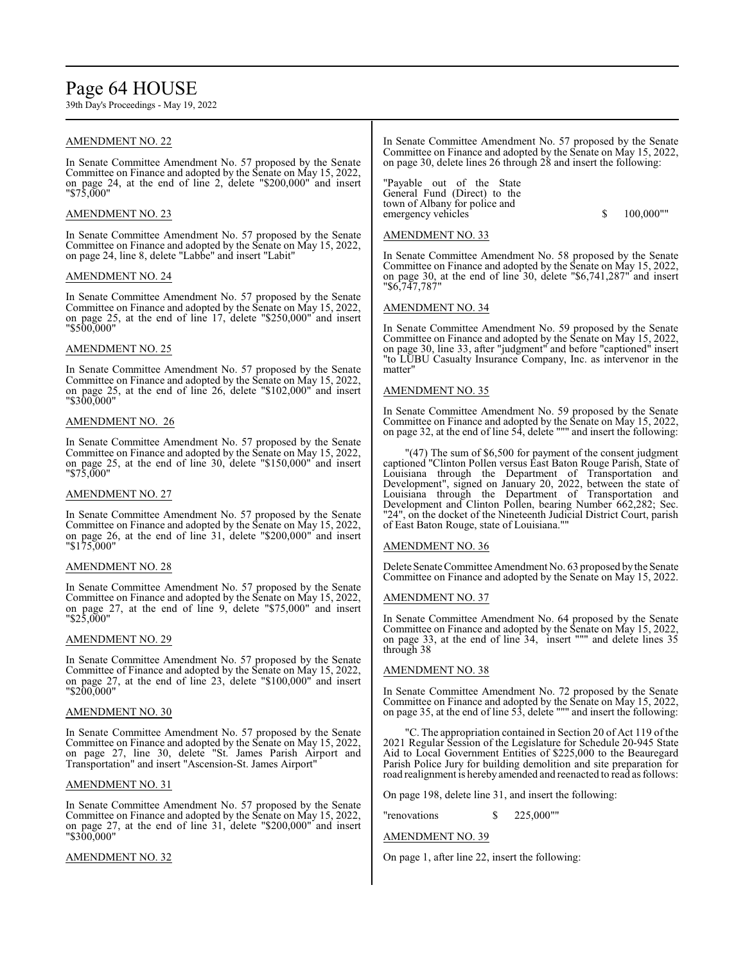## Page 64 HOUSE

39th Day's Proceedings - May 19, 2022

### AMENDMENT NO. 22

In Senate Committee Amendment No. 57 proposed by the Senate Committee on Finance and adopted by the Senate on May 15, 2022, on page 24, at the end of line 2, delete "\$200,000" and insert "\$75,000"

### AMENDMENT NO. 23

In Senate Committee Amendment No. 57 proposed by the Senate Committee on Finance and adopted by the Senate on May 15, 2022, on page 24, line 8, delete "Labbe" and insert "Labit"

### AMENDMENT NO. 24

In Senate Committee Amendment No. 57 proposed by the Senate Committee on Finance and adopted by the Senate on May 15, 2022, on page 25, at the end of line 17, delete "\$250,000" and insert "\$500,000"

### AMENDMENT NO. 25

In Senate Committee Amendment No. 57 proposed by the Senate Committee on Finance and adopted by the Senate on May 15, 2022, on page 25, at the end of line 26, delete "\$102,000" and insert "\$300,000"

#### AMENDMENT NO. 26

In Senate Committee Amendment No. 57 proposed by the Senate Committee on Finance and adopted by the Senate on May 15, 2022, on page 25, at the end of line 30, delete "\$150,000" and insert "\$75,000"

#### AMENDMENT NO. 27

In Senate Committee Amendment No. 57 proposed by the Senate Committee on Finance and adopted by the Senate on May 15, 2022, on page 26, at the end of line 31, delete "\$200,000" and insert "\$175,000"

#### AMENDMENT NO. 28

In Senate Committee Amendment No. 57 proposed by the Senate Committee on Finance and adopted by the Senate on May 15, 2022, on page 27, at the end of line 9, delete "\$75,000" and insert "\$25,000"

## AMENDMENT NO. 29

In Senate Committee Amendment No. 57 proposed by the Senate Committee of Finance and adopted by the Senate on May 15, 2022, on page 27, at the end of line 23, delete "\$100,000" and insert "\$200,000"

#### AMENDMENT NO. 30

In Senate Committee Amendment No. 57 proposed by the Senate Committee on Finance and adopted by the Senate on May 15, 2022, on page 27, line 30, delete "St. James Parish Airport and Transportation" and insert "Ascension-St. James Airport"

#### AMENDMENT NO. 31

In Senate Committee Amendment No. 57 proposed by the Senate Committee on Finance and adopted by the Senate on May 15, 2022, on page 27, at the end of line 31, delete "\$200,000" and insert "\$300,000"

## AMENDMENT NO. 32

In Senate Committee Amendment No. 57 proposed by the Senate Committee on Finance and adopted by the Senate on May 15, 2022, on page 30, delete lines 26 through 28 and insert the following:

"Payable out of the State General Fund (Direct) to the town of Albany for police and emergency vehicles  $$ 100,000$ ""

In Senate Committee Amendment No. 58 proposed by the Senate Committee on Finance and adopted by the Senate on May 15, 2022, on page 30, at the end of line 30, delete "\$6,741,287" and insert "\$6,747,787"

### AMENDMENT NO. 34

AMENDMENT NO. 33

In Senate Committee Amendment No. 59 proposed by the Senate Committee on Finance and adopted by the Senate on May 15, 2022, on page 30, line 33, after "judgment" and before "captioned" insert "to LUBU Casualty Insurance Company, Inc. as intervenor in the matter"

### AMENDMENT NO. 35

In Senate Committee Amendment No. 59 proposed by the Senate Committee on Finance and adopted by the Senate on May 15, 2022, on page 32, at the end of line 54, delete """ and insert the following:

"(47) The sum of \$6,500 for payment of the consent judgment captioned "Clinton Pollen versus East Baton Rouge Parish, State of Louisiana through the Department of Transportation and Development", signed on January 20, 2022, between the state of Louisiana through the Department of Transportation and Development and Clinton Pollen, bearing Number 662,282; Sec. "24", on the docket of the Nineteenth Judicial District Court, parish of East Baton Rouge, state of Louisiana.""

#### AMENDMENT NO. 36

Delete Senate Committee Amendment No. 63 proposed bythe Senate Committee on Finance and adopted by the Senate on May 15, 2022.

#### AMENDMENT NO. 37

In Senate Committee Amendment No. 64 proposed by the Senate Committee on Finance and adopted by the Senate on May 15, 2022, on page 33, at the end of line 34, insert """ and delete lines 35 through 38

#### AMENDMENT NO. 38

In Senate Committee Amendment No. 72 proposed by the Senate Committee on Finance and adopted by the Senate on May 15, 2022, on page 35, at the end of line 53, delete """ and insert the following:

"C. The appropriation contained in Section 20 of Act 119 of the 2021 Regular Session of the Legislature for Schedule 20-945 State Aid to Local Government Entities of \$225,000 to the Beauregard Parish Police Jury for building demolition and site preparation for road realignment is hereby amended and reenacted to read as follows:

On page 198, delete line 31, and insert the following:

"renovations \$ 225,000""

## AMENDMENT NO. 39

On page 1, after line 22, insert the following: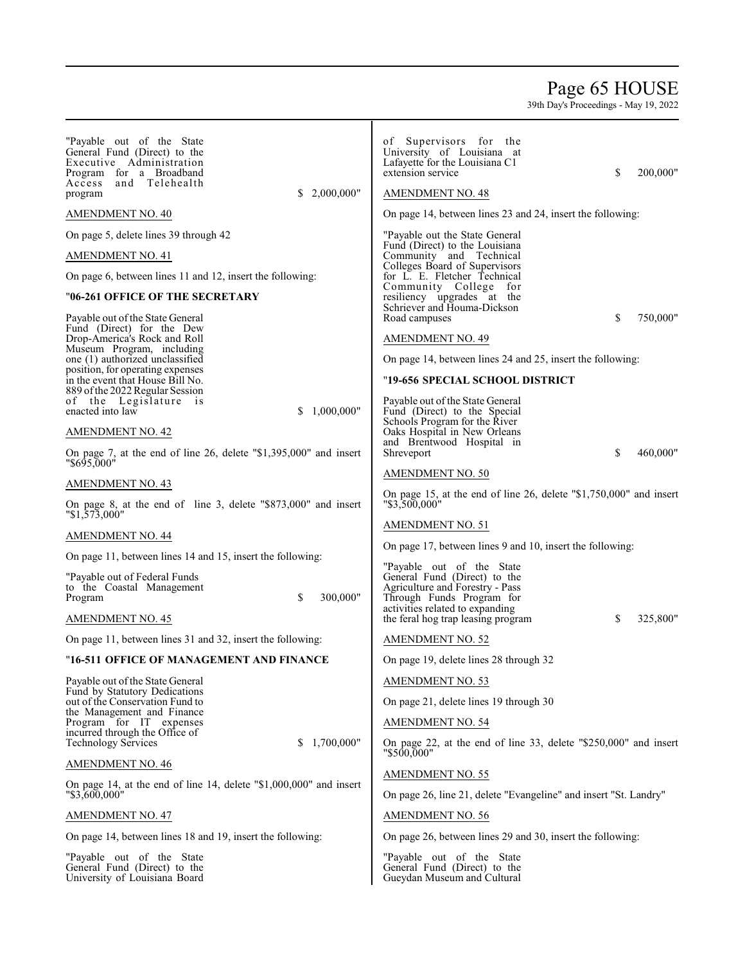# Page 65 HOUSE

| "Payable out of the State<br>General Fund (Direct) to the<br>Executive Administration<br>Program for a Broadband<br>and Telehealth<br>Access<br>\$2,000,000"<br>program | of Supervisors for the<br>University of Louisiana at<br>Lafayette for the Louisiana C1<br>200,000"<br>extension service<br>S<br><b>AMENDMENT NO. 48</b>       |
|-------------------------------------------------------------------------------------------------------------------------------------------------------------------------|---------------------------------------------------------------------------------------------------------------------------------------------------------------|
| AMENDMENT NO. 40                                                                                                                                                        | On page 14, between lines 23 and 24, insert the following:                                                                                                    |
| On page 5, delete lines 39 through 42<br><b>AMENDMENT NO. 41</b><br>On page 6, between lines 11 and 12, insert the following:                                           | "Payable out the State General"<br>Fund (Direct) to the Louisiana<br>Community and Technical<br>Colleges Board of Supervisors<br>for L. E. Fletcher Technical |
| "06-261 OFFICE OF THE SECRETARY                                                                                                                                         | Community College for<br>resiliency upgrades at the                                                                                                           |
| Payable out of the State General                                                                                                                                        | Schriever and Houma-Dickson<br>\$<br>750,000"<br>Road campuses                                                                                                |
| Fund (Direct) for the Dew<br>Drop-America's Rock and Roll                                                                                                               | <b>AMENDMENT NO. 49</b>                                                                                                                                       |
| Museum Program, including<br>one (1) authorized unclassified                                                                                                            | On page 14, between lines 24 and 25, insert the following:                                                                                                    |
| position, for operating expenses<br>in the event that House Bill No.<br>889 of the 2022 Regular Session                                                                 | "19-656 SPECIAL SCHOOL DISTRICT                                                                                                                               |
| of the Legislature is<br>\$1,000,000"<br>enacted into law                                                                                                               | Payable out of the State General<br>Fund (Direct) to the Special<br>Schools Program for the River                                                             |
| <b>AMENDMENT NO. 42</b>                                                                                                                                                 | Oaks Hospital in New Orleans<br>and Brentwood Hospital in                                                                                                     |
| On page 7, at the end of line 26, delete "\$1,395,000" and insert<br>"\$695,000"                                                                                        | \$<br>460,000"<br>Shreveport                                                                                                                                  |
| AMENDMENT NO. 43                                                                                                                                                        | <b>AMENDMENT NO. 50</b>                                                                                                                                       |
| On page 8, at the end of line 3, delete "\$873,000" and insert<br>$"\$1, \frac{5}{7} \overline{3},000"$                                                                 | On page 15, at the end of line 26, delete "\$1,750,000" and insert<br>"\$3,500,000"                                                                           |
| AMENDMENT NO. 44                                                                                                                                                        | <b>AMENDMENT NO. 51</b>                                                                                                                                       |
| On page 11, between lines 14 and 15, insert the following:                                                                                                              | On page 17, between lines 9 and 10, insert the following:                                                                                                     |
| "Payable out of Federal Funds<br>to the Coastal Management<br>\$<br>300,000"<br>Program                                                                                 | "Payable out of the State"<br>General Fund (Direct) to the<br>Agriculture and Forestry - Pass<br>Through Funds Program for<br>activities related to expanding |
| AMENDMENT NO. 45                                                                                                                                                        | 325,800"<br>the feral hog trap leasing program<br>S                                                                                                           |
| On page 11, between lines 31 and 32, insert the following:                                                                                                              | <b>AMENDMENT NO. 52</b>                                                                                                                                       |
| "16-511 OFFICE OF MANAGEMENT AND FINANCE                                                                                                                                | On page 19, delete lines 28 through 32                                                                                                                        |
| Payable out of the State General<br>Fund by Statutory Dedications                                                                                                       | <b>AMENDMENT NO. 53</b>                                                                                                                                       |
| out of the Conservation Fund to<br>the Management and Finance                                                                                                           | On page 21, delete lines 19 through 30                                                                                                                        |
| Program for IT expenses<br>incurred through the Office of                                                                                                               | <b>AMENDMENT NO. 54</b>                                                                                                                                       |
| 1,700,000"<br><b>Technology Services</b><br>S.<br>AMENDMENT NO. 46                                                                                                      | On page 22, at the end of line 33, delete "\$250,000" and insert<br>"\$500,000"                                                                               |
| On page 14, at the end of line 14, delete "\$1,000,000" and insert                                                                                                      | <b>AMENDMENT NO. 55</b>                                                                                                                                       |
| "\$3,600,000"                                                                                                                                                           | On page 26, line 21, delete "Evangeline" and insert "St. Landry"                                                                                              |
| AMENDMENT NO. 47                                                                                                                                                        | <b>AMENDMENT NO. 56</b>                                                                                                                                       |
| On page 14, between lines 18 and 19, insert the following:                                                                                                              | On page 26, between lines 29 and 30, insert the following:                                                                                                    |
| "Payable out of the State"<br>General Fund (Direct) to the<br>University of Louisiana Board                                                                             | "Payable out of the State"<br>General Fund (Direct) to the<br>Gueydan Museum and Cultural                                                                     |
|                                                                                                                                                                         |                                                                                                                                                               |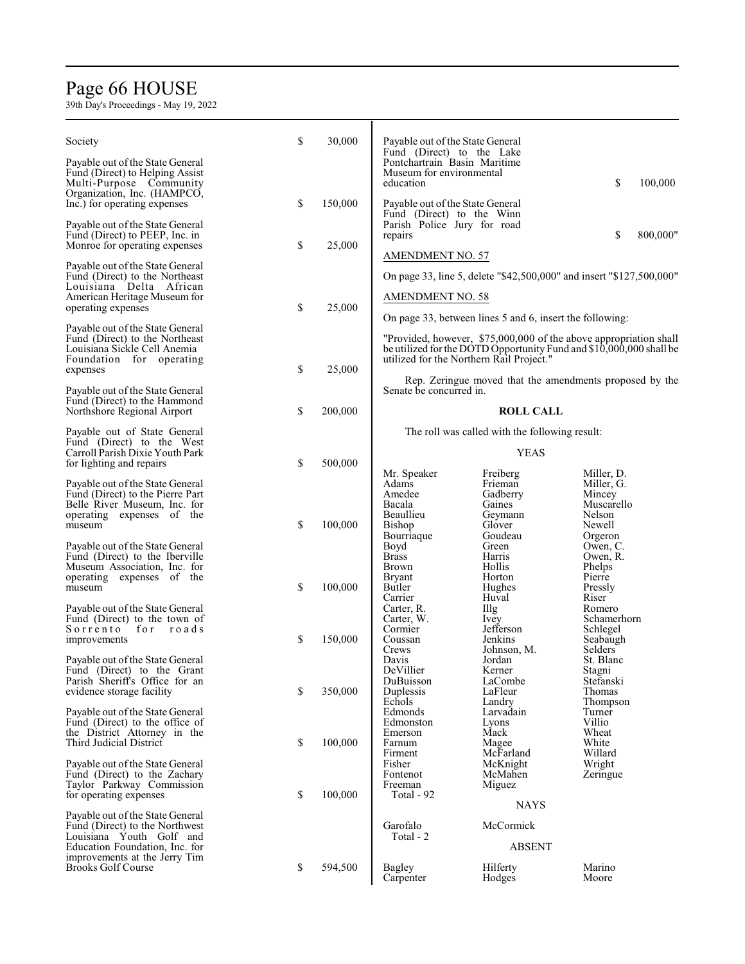# Page 6 6 HOUSE

| Society                                                             | \$ | 30,000  | Payable out of the State General                              |                                                          |                                                                                                                                          |
|---------------------------------------------------------------------|----|---------|---------------------------------------------------------------|----------------------------------------------------------|------------------------------------------------------------------------------------------------------------------------------------------|
|                                                                     |    |         | Fund (Direct) to the Lake<br>Pontchartrain Basin Maritime     |                                                          |                                                                                                                                          |
| Payable out of the State General<br>Fund (Direct) to Helping Assist |    |         | Museum for environmental                                      |                                                          |                                                                                                                                          |
| Multi-Purpose Community                                             |    |         | education                                                     |                                                          | \$<br>100,000                                                                                                                            |
| Organization, Inc. (HAMPCO,                                         |    |         |                                                               |                                                          |                                                                                                                                          |
| Inc.) for operating expenses                                        | \$ | 150,000 | Payable out of the State General<br>Fund (Direct) to the Winn |                                                          |                                                                                                                                          |
| Payable out of the State General                                    |    |         | Parish Police Jury for road                                   |                                                          |                                                                                                                                          |
| Fund (Direct) to PEEP, Inc. in                                      |    |         | repairs                                                       |                                                          | \$<br>800,000"                                                                                                                           |
| Monroe for operating expenses                                       | \$ | 25,000  | <b>AMENDMENT NO. 57</b>                                       |                                                          |                                                                                                                                          |
| Payable out of the State General                                    |    |         |                                                               |                                                          |                                                                                                                                          |
| Fund (Direct) to the Northeast                                      |    |         |                                                               |                                                          | On page 33, line 5, delete "\$42,500,000" and insert "\$127,500,000"                                                                     |
| Louisiana Delta African<br>American Heritage Museum for             |    |         | <b>AMENDMENT NO. 58</b>                                       |                                                          |                                                                                                                                          |
| operating expenses                                                  | \$ | 25,000  |                                                               |                                                          |                                                                                                                                          |
|                                                                     |    |         |                                                               | On page 33, between lines 5 and 6, insert the following: |                                                                                                                                          |
| Payable out of the State General                                    |    |         |                                                               |                                                          |                                                                                                                                          |
| Fund (Direct) to the Northeast<br>Louisiana Sickle Cell Anemia      |    |         |                                                               |                                                          | "Provided, however, \$75,000,000 of the above appropriation shall<br>be utilized for the DOTD Opportunity Fund and \$10,000,000 shall be |
| Foundation for operating                                            |    |         | utilized for the Northern Rail Project."                      |                                                          |                                                                                                                                          |
| expenses                                                            | \$ | 25,000  |                                                               |                                                          |                                                                                                                                          |
| Payable out of the State General                                    |    |         | Senate be concurred in.                                       |                                                          | Rep. Zeringue moved that the amendments proposed by the                                                                                  |
| Fund (Direct) to the Hammond                                        |    |         |                                                               |                                                          |                                                                                                                                          |
| Northshore Regional Airport                                         | \$ | 200,000 |                                                               | <b>ROLL CALL</b>                                         |                                                                                                                                          |
| Payable out of State General                                        |    |         |                                                               | The roll was called with the following result:           |                                                                                                                                          |
| Fund (Direct) to the West                                           |    |         |                                                               |                                                          |                                                                                                                                          |
| Carroll Parish Dixie Youth Park                                     |    |         |                                                               | <b>YEAS</b>                                              |                                                                                                                                          |
| for lighting and repairs                                            | \$ | 500,000 |                                                               |                                                          |                                                                                                                                          |
| Payable out of the State General                                    |    |         | Mr. Speaker<br>Adams                                          | Freiberg<br>Frieman                                      | Miller, D.<br>Miller, G.                                                                                                                 |
| Fund (Direct) to the Pierre Part                                    |    |         | Amedee                                                        | Gadberry                                                 | Mincey                                                                                                                                   |
| Belle River Museum, Inc. for                                        |    |         | Bacala                                                        | Gaines                                                   | Muscarello                                                                                                                               |
| operating expenses of the<br>museum                                 | \$ | 100,000 | Beaullieu<br>Bishop                                           | Geymann<br>Glover                                        | Nelson<br>Newell                                                                                                                         |
|                                                                     |    |         | Bourriaque                                                    | Goudeau                                                  | Orgeron                                                                                                                                  |
| Payable out of the State General                                    |    |         | Boyd                                                          | Green                                                    | Owen, C.                                                                                                                                 |
| Fund (Direct) to the Iberville                                      |    |         | <b>Brass</b>                                                  | Harris                                                   | Owen, R.                                                                                                                                 |
| Museum Association, Inc. for<br>operating expenses of the           |    |         | <b>Brown</b><br><b>Bryant</b>                                 | Hollis<br>Horton                                         | Phelps<br>Pierre                                                                                                                         |
| museum                                                              | \$ | 100,000 | Butler                                                        | Hughes                                                   | Pressly                                                                                                                                  |
|                                                                     |    |         | Carrier                                                       | Huval                                                    | Riser                                                                                                                                    |
| Payable out of the State General                                    |    |         | Carter, R.                                                    | Illg                                                     | Romero                                                                                                                                   |
| Fund (Direct) to the town of<br>Sorrento<br>for<br>roads            |    |         | Carter, W.<br>Cormier                                         | <i>lvey</i><br>Jefferson                                 | Schamerhorn<br>Schlegel                                                                                                                  |
| improvements                                                        | \$ | 150,000 | Coussan                                                       | Jenkins                                                  | Seabaugh                                                                                                                                 |
|                                                                     |    |         | Crews                                                         | Johnson, M.                                              | Selders <sup>7</sup>                                                                                                                     |
| Payable out of the State General                                    |    |         | Davis<br>DeVillier                                            | Jordan                                                   | St. Blanc                                                                                                                                |
| Fund (Direct) to the Grant<br>Parish Sheriff's Office for an        |    |         | DuBuisson                                                     | Kerner<br>LaCombe                                        | Stagni<br>Stefanski                                                                                                                      |
| evidence storage facility                                           | \$ | 350,000 | Duplessis                                                     | LaFleur                                                  | Thomas                                                                                                                                   |
|                                                                     |    |         | Echols                                                        | Landry                                                   | Thompson                                                                                                                                 |
| Payable out of the State General<br>Fund (Direct) to the office of  |    |         | Edmonds<br>Edmonston                                          | Larvadain<br>Lyons                                       | Turner<br>Villio                                                                                                                         |
| the District Attorney in the                                        |    |         | Emerson                                                       | Mack                                                     | Wheat                                                                                                                                    |
| Third Judicial District                                             | \$ | 100,000 | Farnum                                                        | Magee                                                    | White                                                                                                                                    |
| Payable out of the State General                                    |    |         | Firment<br>Fisher                                             | McFarland<br>McKnight                                    | Willard<br>Wright                                                                                                                        |
| Fund (Direct) to the Zachary                                        |    |         | Fontenot                                                      | McMahen                                                  | Zeringue                                                                                                                                 |
| Taylor Parkway Commission                                           |    |         | Freeman                                                       | Miguez                                                   |                                                                                                                                          |
| for operating expenses                                              | S  | 100,000 | Total - 92                                                    |                                                          |                                                                                                                                          |
| Payable out of the State General                                    |    |         |                                                               | NAYS                                                     |                                                                                                                                          |
| Fund (Direct) to the Northwest                                      |    |         | Garofalo                                                      | McCormick                                                |                                                                                                                                          |
| Louisiana Youth Golf and                                            |    |         | Total - 2                                                     |                                                          |                                                                                                                                          |
| Education Foundation, Inc. for<br>improvements at the Jerry Tim     |    |         |                                                               | <b>ABSENT</b>                                            |                                                                                                                                          |
| <b>Brooks Golf Course</b>                                           | \$ | 594,500 | <b>Bagley</b>                                                 | Hilferty                                                 | Marino                                                                                                                                   |
|                                                                     |    |         | Carpenter                                                     | Hodges                                                   | Moore                                                                                                                                    |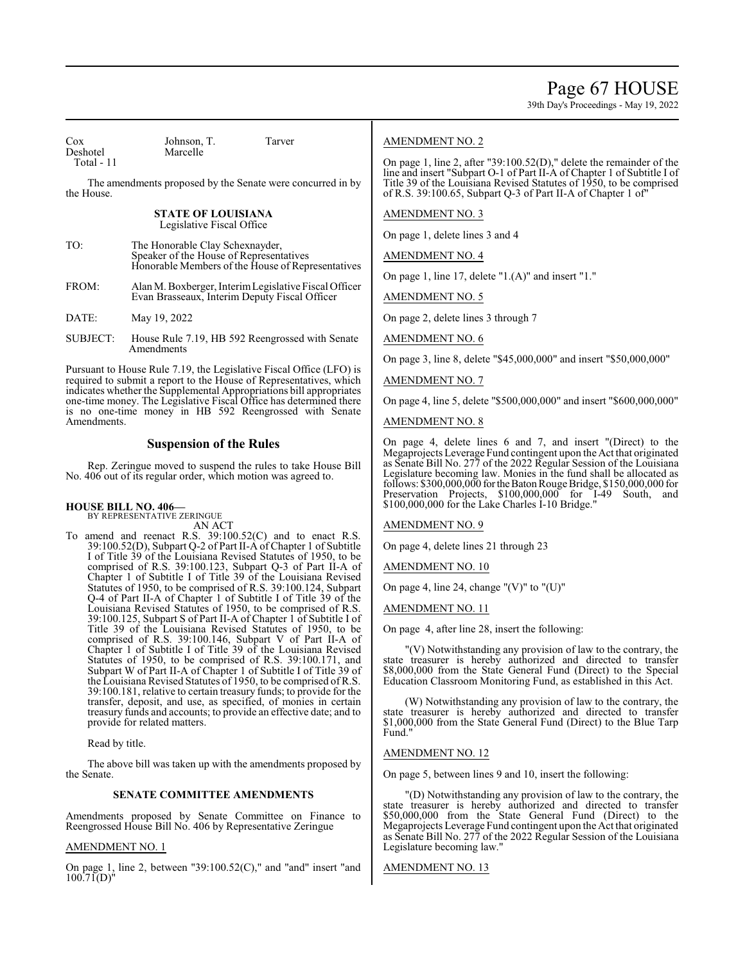Page 67 HOUSE

39th Day's Proceedings - May 19, 2022

| Cox<br>Deshotel<br>Total - 11                                                                                                                                                                                                                                                                                                                                   | Johnson, T.<br>Tarver<br>Marcelle                                                                                               | <b>AMENDMENT NO. 2</b><br>On page 1, line 2, after "39:100.52(D)," delete the remainder of the                                                                                                                                                                                                                                                                                                                         |  |
|-----------------------------------------------------------------------------------------------------------------------------------------------------------------------------------------------------------------------------------------------------------------------------------------------------------------------------------------------------------------|---------------------------------------------------------------------------------------------------------------------------------|------------------------------------------------------------------------------------------------------------------------------------------------------------------------------------------------------------------------------------------------------------------------------------------------------------------------------------------------------------------------------------------------------------------------|--|
| the House.                                                                                                                                                                                                                                                                                                                                                      | The amendments proposed by the Senate were concurred in by                                                                      | line and insert "Subpart O-1 of Part II-A of Chapter 1 of Subtitle I of<br>Title 39 of the Louisiana Revised Statutes of 1950, to be comprised<br>of R.S. 39:100.65, Subpart O-3 of Part II-A of Chapter 1 of"                                                                                                                                                                                                         |  |
|                                                                                                                                                                                                                                                                                                                                                                 | <b>STATE OF LOUISIANA</b><br>Legislative Fiscal Office                                                                          | <b>AMENDMENT NO. 3</b>                                                                                                                                                                                                                                                                                                                                                                                                 |  |
| TO:                                                                                                                                                                                                                                                                                                                                                             | The Honorable Clay Schexnayder,<br>Speaker of the House of Representatives<br>Honorable Members of the House of Representatives | On page 1, delete lines 3 and 4<br><b>AMENDMENT NO. 4</b>                                                                                                                                                                                                                                                                                                                                                              |  |
| FROM:                                                                                                                                                                                                                                                                                                                                                           | Alan M. Boxberger, Interim Legislative Fiscal Officer<br>Evan Brasseaux, Interim Deputy Fiscal Officer                          | On page 1, line 17, delete $"1.(A)"$ and insert $"1."$<br><b>AMENDMENT NO. 5</b>                                                                                                                                                                                                                                                                                                                                       |  |
| DATE:                                                                                                                                                                                                                                                                                                                                                           | May 19, 2022                                                                                                                    | On page 2, delete lines 3 through 7                                                                                                                                                                                                                                                                                                                                                                                    |  |
| <b>SUBJECT:</b>                                                                                                                                                                                                                                                                                                                                                 | House Rule 7.19, HB 592 Reengrossed with Senate<br><b>A</b> mendments                                                           | <b>AMENDMENT NO. 6</b>                                                                                                                                                                                                                                                                                                                                                                                                 |  |
| Pursuant to House Rule 7.19, the Legislative Fiscal Office (LFO) is<br>required to submit a report to the House of Representatives, which<br>indicates whether the Supplemental Appropriations bill appropriates<br>one-time money. The Legislative Fiscal Office has determined there<br>is no one-time money in HB 592 Reengrossed with Senate<br>Amendments. |                                                                                                                                 | On page 3, line 8, delete "\$45,000,000" and insert "\$50,000,000"<br><b>AMENDMENT NO. 7</b><br>On page 4, line 5, delete "\$500,000,000" and insert "\$600,000,000"<br><b>AMENDMENT NO. 8</b>                                                                                                                                                                                                                         |  |
| <b>Suspension of the Rules</b><br>Rep. Zeringue moved to suspend the rules to take House Bill<br>No. 406 out of its regular order, which motion was agreed to.                                                                                                                                                                                                  |                                                                                                                                 | On page 4, delete lines 6 and 7, and insert "(Direct) to the<br>Megaprojects Leverage Fund contingent upon the Act that originated<br>as Senate Bill No. 277 of the 2022 Regular Session of the Louisiana<br>Legislature becoming law. Monies in the fund shall be allocated as<br>follows: \$300,000,000 for the Baton Rouge Bridge, \$150,000,000 for<br>Preservation Projects, \$100,000,000 for I-49 South,<br>and |  |
|                                                                                                                                                                                                                                                                                                                                                                 | <b>HOUSE BILL NO. 406-</b><br>BY REPRESENTATIVE ZERINGUE                                                                        | \$100,000,000 for the Lake Charles I-10 Bridge."                                                                                                                                                                                                                                                                                                                                                                       |  |

AN ACT

To amend and reenact R.S. 39:100.52(C) and to enact R.S. 39:100.52(D), Subpart Q-2 of Part II-A of Chapter 1 of Subtitle I of Title 39 of the Louisiana Revised Statutes of 1950, to be comprised of R.S. 39:100.123, Subpart Q-3 of Part II-A of Chapter 1 of Subtitle I of Title 39 of the Louisiana Revised Statutes of 1950, to be comprised of R.S. 39:100.124, Subpart Q-4 of Part II-A of Chapter 1 of Subtitle I of Title 39 of the Louisiana Revised Statutes of 1950, to be comprised of R.S. 39:100.125, Subpart S of Part II-A of Chapter 1 of Subtitle I of Title 39 of the Louisiana Revised Statutes of 1950, to be comprised of R.S. 39:100.146, Subpart V of Part II-A of Chapter 1 of Subtitle I of Title 39 of the Louisiana Revised Statutes of 1950, to be comprised of R.S. 39:100.171, and Subpart W of Part II-A of Chapter 1 of Subtitle I of Title 39 of the Louisiana Revised Statutes of 1950, to be comprised of R.S. 39:100.181, relative to certain treasury funds; to provide for the transfer, deposit, and use, as specified, of monies in certain treasury funds and accounts; to provide an effective date; and to provide for related matters.

Read by title.

The above bill was taken up with the amendments proposed by the Senate.

## **SENATE COMMITTEE AMENDMENTS**

Amendments proposed by Senate Committee on Finance to Reengrossed House Bill No. 406 by Representative Zeringue

## AMENDMENT NO. 1

On page 1, line 2, between "39:100.52(C)," and "and" insert "and  $100.71(D)^{11}$ 

AMENDMENT NO. 9

On page 4, delete lines 21 through 23

AMENDMENT NO. 10

On page 4, line 24, change " $(V)$ " to " $(U)$ "

AMENDMENT NO. 11

On page 4, after line 28, insert the following:

"(V) Notwithstanding any provision of law to the contrary, the state treasurer is hereby authorized and directed to transfer \$8,000,000 from the State General Fund (Direct) to the Special Education Classroom Monitoring Fund, as established in this Act.

(W) Notwithstanding any provision of law to the contrary, the state treasurer is hereby authorized and directed to transfer \$1,000,000 from the State General Fund (Direct) to the Blue Tarp Fund."

## AMENDMENT NO. 12

On page 5, between lines 9 and 10, insert the following:

"(D) Notwithstanding any provision of law to the contrary, the state treasurer is hereby authorized and directed to transfer \$50,000,000 from the State General Fund (Direct) to the Megaprojects Leverage Fund contingent upon the Act that originated as Senate Bill No. 277 of the 2022 Regular Session of the Louisiana Legislature becoming law."

AMENDMENT NO. 13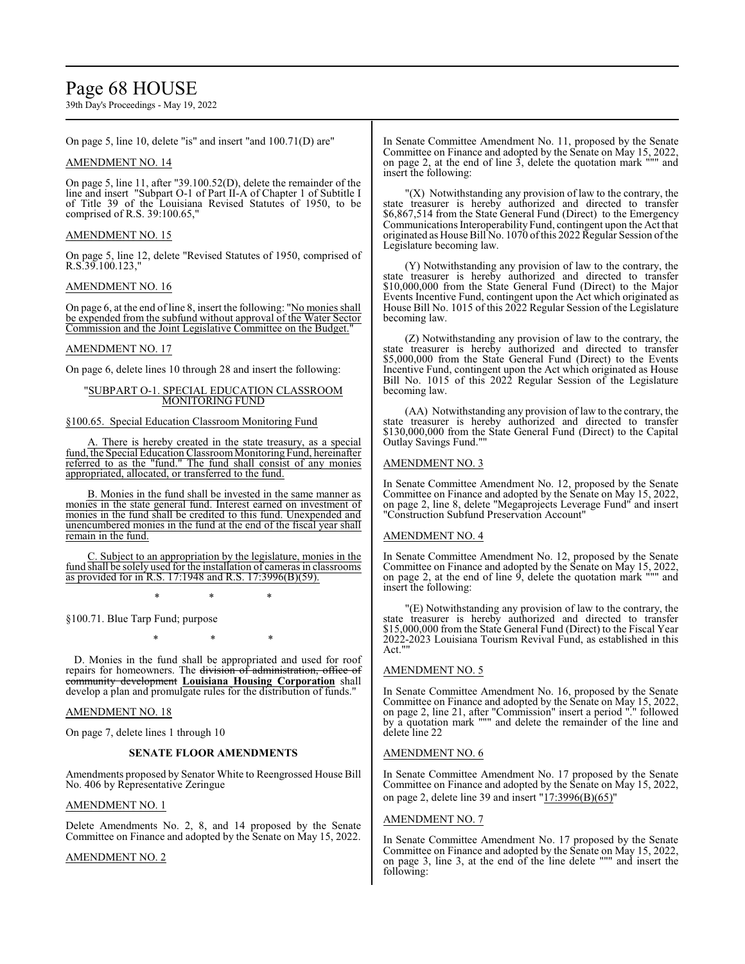## Page 68 HOUSE

39th Day's Proceedings - May 19, 2022

On page 5, line 10, delete "is" and insert "and 100.71(D) are"

### AMENDMENT NO. 14

On page 5, line 11, after "39.100.52(D), delete the remainder of the line and insert "Subpart O-1 of Part II-A of Chapter 1 of Subtitle I of Title 39 of the Louisiana Revised Statutes of 1950, to be comprised of R.S. 39:100.65,"

### AMENDMENT NO. 15

On page 5, line 12, delete "Revised Statutes of 1950, comprised of R.S.39.100.123,"

## AMENDMENT NO. 16

On page 6, at the end of line 8, insert the following: "No monies shall be expended from the subfund without approval of the Water Sector Commission and the Joint Legislative Committee on the Budget."

### AMENDMENT NO. 17

On page 6, delete lines 10 through 28 and insert the following:

#### "SUBPART O-1. SPECIAL EDUCATION CLASSROOM MONITORING FUND

#### §100.65. Special Education Classroom Monitoring Fund

There is hereby created in the state treasury, as a special fund, the Special Education Classroom Monitoring Fund, hereinafter referred to as the "fund." The fund shall consist of any monies appropriated, allocated, or transferred to the fund.

B. Monies in the fund shall be invested in the same manner as monies in the state general fund. Interest earned on investment of monies in the fund shall be credited to this fund. Unexpended and unencumbered monies in the fund at the end of the fiscal year shall remain in the fund.

٦ C. Subject to an appropriation by the legislature, monies in the fund shall be solely used for the installation of cameras in classrooms as provided for in R.S. 17:1948 and R.S. 17:3996(B)(59).

\* \* \*

§100.71. Blue Tarp Fund; purpose

\* \* \*

D. Monies in the fund shall be appropriated and used for roof repairs for homeowners. The division of administration, office community development **Louisiana Housing Corporation** shall develop a plan and promulgate rules for the distribution of funds."

#### AMENDMENT NO. 18

On page 7, delete lines 1 through 10

### **SENATE FLOOR AMENDMENTS**

Amendments proposed by Senator White to Reengrossed House Bill No. 406 by Representative Zeringue

#### AMENDMENT NO. 1

Delete Amendments No. 2, 8, and 14 proposed by the Senate Committee on Finance and adopted by the Senate on May 15, 2022.

#### AMENDMENT NO. 2

In Senate Committee Amendment No. 11, proposed by the Senate Committee on Finance and adopted by the Senate on May 15, 2022, on page  $2$ , at the end of line  $3$ , delete the quotation mark """ and insert the following:

"(X) Notwithstanding any provision of law to the contrary, the state treasurer is hereby authorized and directed to transfer \$6,867,514 from the State General Fund (Direct) to the Emergency Communications Interoperability Fund, contingent upon the Act that originated as House Bill No. 1070 ofthis 2022 Regular Session ofthe Legislature becoming law.

(Y) Notwithstanding any provision of law to the contrary, the state treasurer is hereby authorized and directed to transfer \$10,000,000 from the State General Fund (Direct) to the Major Events Incentive Fund, contingent upon the Act which originated as House Bill No. 1015 of this 2022 Regular Session of the Legislature becoming law.

(Z) Notwithstanding any provision of law to the contrary, the state treasurer is hereby authorized and directed to transfer \$5,000,000 from the State General Fund (Direct) to the Events Incentive Fund, contingent upon the Act which originated as House Bill No. 1015 of this 2022 Regular Session of the Legislature becoming law.

(AA) Notwithstanding any provision of law to the contrary, the state treasurer is hereby authorized and directed to transfer \$130,000,000 from the State General Fund (Direct) to the Capital Outlay Savings Fund.""

#### AMENDMENT NO. 3

In Senate Committee Amendment No. 12, proposed by the Senate Committee on Finance and adopted by the Senate on May 15, 2022, on page 2, line 8, delete "Megaprojects Leverage Fund" and insert "Construction Subfund Preservation Account"

#### AMENDMENT NO. 4

In Senate Committee Amendment No. 12, proposed by the Senate Committee on Finance and adopted by the Senate on May 15, 2022, on page 2, at the end of line 9, delete the quotation mark """ and insert the following:

"(E) Notwithstanding any provision of law to the contrary, the state treasurer is hereby authorized and directed to transfer \$15,000,000 from the State General Fund (Direct) to the Fiscal Year 2022-2023 Louisiana Tourism Revival Fund, as established in this Act.""

### AMENDMENT NO. 5

In Senate Committee Amendment No. 16, proposed by the Senate Committee on Finance and adopted by the Senate on May 15, 2022, on page 2, line 21, after "Commission" insert a period "." followed by a quotation mark """ and delete the remainder of the line and delete line 22

## AMENDMENT NO. 6

In Senate Committee Amendment No. 17 proposed by the Senate Committee on Finance and adopted by the Senate on May 15, 2022, on page 2, delete line 39 and insert "17:3996(B)(65)"

#### AMENDMENT NO. 7

In Senate Committee Amendment No. 17 proposed by the Senate Committee on Finance and adopted by the Senate on May 15, 2022, on page 3, line 3, at the end of the line delete """ and insert the following: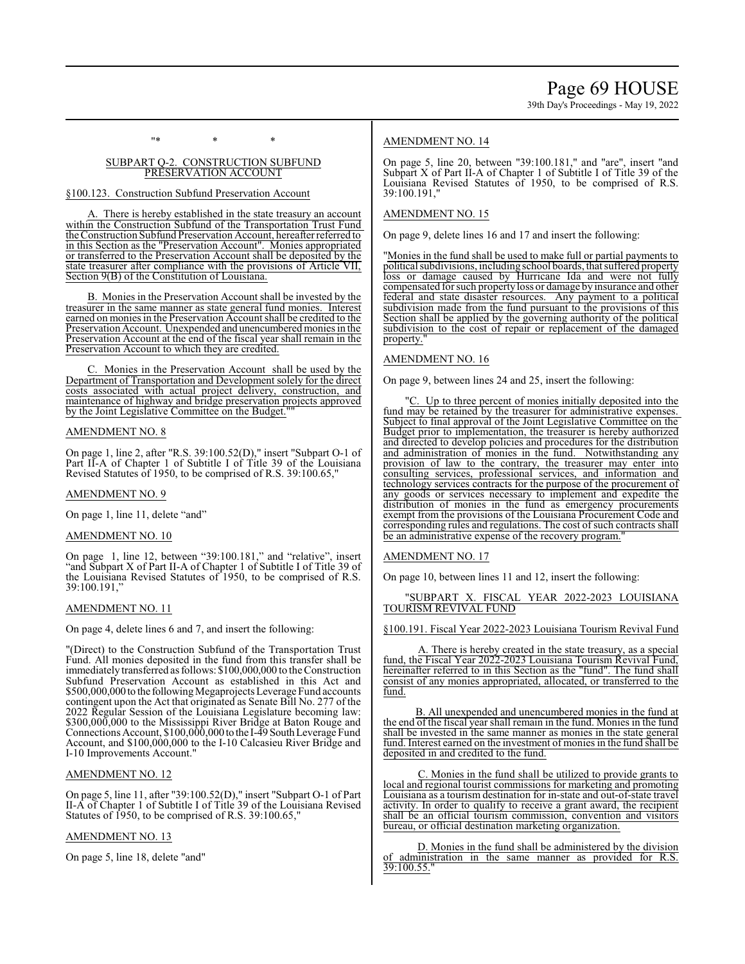"\* \* \*

### SUBPART Q-2. CONSTRUCTION SUBFUND PRESERVATION ACCOUNT

#### §100.123. Construction Subfund Preservation Account

A. There is hereby established in the state treasury an account within the Construction Subfund of the Transportation Trust Fund the Construction Subfund Preservation Account, hereafter referred to in this Section as the "Preservation Account". Monies appropriated or transferred to the Preservation Account shall be deposited by the state treasurer after compliance with the provisions of Article VII, Section 9(B) of the Constitution of Louisiana.

B. Monies in the Preservation Account shall be invested by the treasurer in the same manner as state general fund monies. Interest earned on monies in the Preservation Account shall be credited to the Preservation Account. Unexpended and unencumbered monies in the Preservation Account at the end of the fiscal year shall remain in the Preservation Account to which they are credited.

Monies in the Preservation Account shall be used by the Department of Transportation and Development solely for the direct costs associated with actual project delivery, construction, and maintenance of highway and bridge preservation projects approved by the Joint Legislative Committee on the Budget.

### AMENDMENT NO. 8

On page 1, line 2, after "R.S. 39:100.52(D)," insert "Subpart O-1 of Part II-A of Chapter 1 of Subtitle I of Title 39 of the Louisiana Revised Statutes of 1950, to be comprised of R.S. 39:100.65,"

#### AMENDMENT NO. 9

On page 1, line 11, delete "and"

#### AMENDMENT NO. 10

On page 1, line 12, between "39:100.181," and "relative", insert "and Subpart X of Part II-A of Chapter 1 of Subtitle I of Title 39 of the Louisiana Revised Statutes of 1950, to be comprised of R.S. 39:100.191,"

### AMENDMENT NO. 11

On page 4, delete lines 6 and 7, and insert the following:

"(Direct) to the Construction Subfund of the Transportation Trust Fund. All monies deposited in the fund from this transfer shall be immediatelytransferred as follows: \$100,000,000 to the Construction Subfund Preservation Account as established in this Act and \$500,000,000 to the following Megaprojects Leverage Fund accounts contingent upon the Act that originated as Senate Bill No. 277 of the 2022 Regular Session of the Louisiana Legislature becoming law: \$300,000,000 to the Mississippi River Bridge at Baton Rouge and Connections Account, \$100,000,000 to the I-49 South Leverage Fund Account, and \$100,000,000 to the I-10 Calcasieu River Bridge and I-10 Improvements Account."

## AMENDMENT NO. 12

On page 5, line 11, after "39:100.52(D)," insert "Subpart O-1 of Part II-A of Chapter 1 of Subtitle I of Title 39 of the Louisiana Revised Statutes of 1950, to be comprised of R.S. 39:100.65,

## AMENDMENT NO. 13

On page 5, line 18, delete "and"

## AMENDMENT NO. 14

On page 5, line 20, between "39:100.181," and "are", insert "and Subpart X of Part II-A of Chapter 1 of Subtitle I of Title 39 of the Louisiana Revised Statutes of 1950, to be comprised of R.S. 39:100.191,"

### AMENDMENT NO. 15

On page 9, delete lines 16 and 17 and insert the following:

'Monies in the fund shall be used to make full or partial payments to political subdivisions, including school boards, that suffered property loss or damage caused by Hurricane Ida and were not fully compensated for such propertyloss or damage by insurance and other federal and state disaster resources. Any payment to a political subdivision made from the fund pursuant to the provisions of this Section shall be applied by the governing authority of the political subdivision to the cost of repair or replacement of the damaged property.

## AMENDMENT NO. 16

On page 9, between lines 24 and 25, insert the following:

"C. Up to three percent of monies initially deposited into the fund may be retained by the treasurer for administrative expenses. Subject to final approval of the Joint Legislative Committee on the Budget prior to implementation, the treasurer is hereby authorized and directed to develop policies and procedures for the distribution and administration of monies in the fund. Notwithstanding any provision of law to the contrary, the treasurer may enter into consulting services, professional services, and information and technology services contracts for the purpose of the procurement of any goods or services necessary to implement and expedite the distribution of monies in the fund as emergency procurements exempt from the provisions of the Louisiana Procurement Code and corresponding rules and regulations. The cost of such contracts shall be an administrative expense of the recovery program.

## AMENDMENT NO. 17

On page 10, between lines 11 and 12, insert the following:

"SUBPART X. FISCAL YEAR 2022-2023 LOUISIANA TOURISM REVIVAL FUND

#### §100.191. Fiscal Year 2022-2023 Louisiana Tourism Revival Fund

A. There is hereby created in the state treasury, as a special fund, the Fiscal Year 2022-2023 Louisiana Tourism Revival Fund, hereinafter referred to in this Section as the "fund". The fund shall consist of any monies appropriated, allocated, or transferred to the fund.

 B. All unexpended and unencumbered monies in the fund at the end of the fiscal year shall remain in the fund. Monies in the fund shall be invested in the same manner as monies in the state general fund. Interest earned on the investment of monies in the fund shall be deposited in and credited to the fund.

C. Monies in the fund shall be utilized to provide grants to local and regional tourist commissions for marketing and promoting Louisiana as a tourism destination for in-state and out-of-state travel activity. In order to qualify to receive a grant award, the recipient shall be an official tourism commission, convention and visitors bureau, or official destination marketing organization.

 D. Monies in the fund shall be administered by the division of administration in the same manner as provided for R.S. 39:100.55."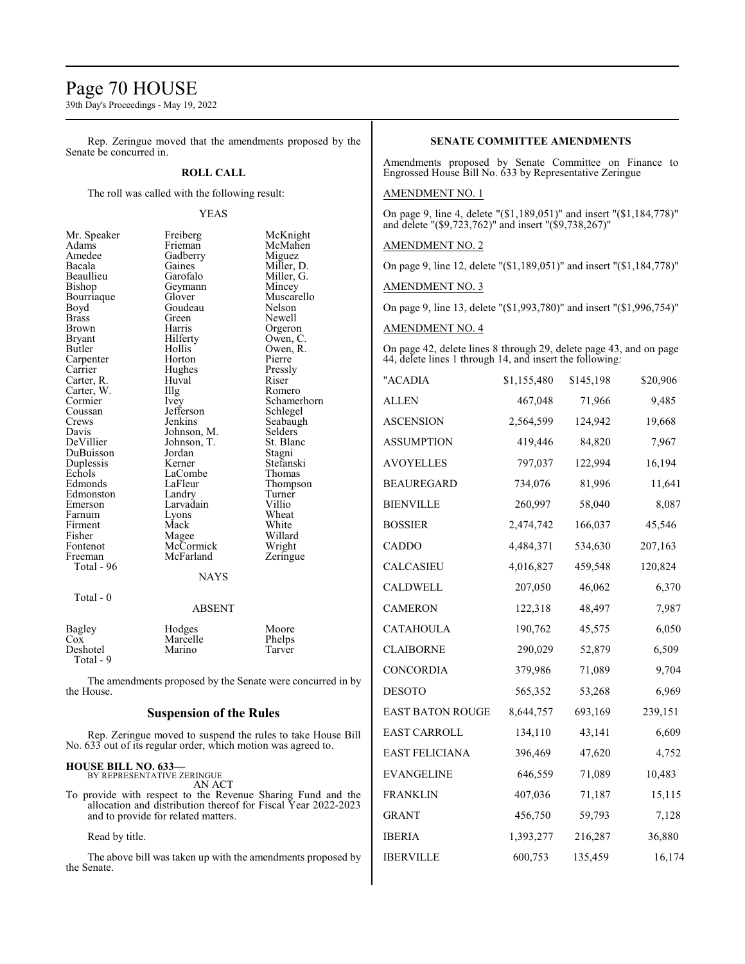## Page 70 HOUSE

39th Day's Proceedings - May 19, 2022

Rep. Zeringue moved that the amendments proposed by the Senate be concurred in.

## **ROLL CALL**

The roll was called with the following result:

#### YEAS

| Mr. Speaker   | Freiberg                                                   | McKnight    |
|---------------|------------------------------------------------------------|-------------|
| Adams         | Frieman                                                    | McMahen     |
| Amedee        | Gadberry                                                   | Miguez      |
| Bacala        | Gaines                                                     | Miller, D.  |
| Beaullieu     | Garofalo                                                   | Miller, G.  |
| Bishop        | Geymann                                                    | Mincey      |
| Bourriaque    | Glover                                                     | Muscarello  |
| Boyd          | Goudeau                                                    | Nelson      |
| <b>Brass</b>  | Green                                                      | Newell      |
| Brown         | Harris                                                     | Orgeron     |
| <b>Bryant</b> | Hilferty                                                   | Owen, C.    |
| Butler        | Hollis                                                     | Owen, R.    |
| Carpenter     | Horton                                                     | Pierre      |
| Carrier       | Hughes                                                     | Pressly     |
| Carter, R.    | Huval                                                      | Riser       |
| Carter, W.    | Illg                                                       | Romero      |
| Cormier       | Ivey                                                       | Schamerhorn |
| Coussan       | Jefferson                                                  | Schlegel    |
| Crews         | Jenkins                                                    | Seabaugh    |
| Davis         | Johnson, M.                                                | Selders     |
| DeVillier     | Johnson, T.                                                | St. Blanc   |
| DuBuisson     | Jordan                                                     | Stagni      |
| Duplessis     | Kerner                                                     | Stefanski   |
| Echols        | LaCombe                                                    | Thomas      |
| Edmonds       | LaFleur                                                    | Thompson    |
| Edmonston     | Landry                                                     | Turner      |
| Emerson       | Larvadain                                                  | Villio      |
| Farnum        | Lyons                                                      | Wheat       |
| Firment       | Mack                                                       | White       |
| Fisher        | Magee                                                      | Willard     |
| Fontenot      | McCormick                                                  | Wright      |
| Freeman       | McFarland                                                  | Zeringue    |
| Total - 96    |                                                            |             |
|               | <b>NAYS</b>                                                |             |
| Total - 0     |                                                            |             |
|               | <b>ABSENT</b>                                              |             |
| Bagley        | Hodges                                                     | Moore       |
| Cox           | Marcelle                                                   | Phelps      |
| Deshotel      | Marino                                                     | Tarver      |
| Total - 9     |                                                            |             |
|               |                                                            |             |
| the House.    | The amendments proposed by the Senate were concurred in by |             |
|               |                                                            |             |

## **Suspension of the Rules**

Rep. Zeringue moved to suspend the rules to take House Bill No. 633 out of its regular order, which motion was agreed to.

## **HOUSE BILL NO. 633—** BY REPRESENTATIVE ZERINGUE

AN ACT

To provide with respect to the Revenue Sharing Fund and the allocation and distribution thereof for Fiscal Year 2022-2023 and to provide for related matters.

### Read by title.

The above bill was taken up with the amendments proposed by the Senate.

## **SENATE COMMITTEE AMENDMENTS**

Amendments proposed by Senate Committee on Finance to Engrossed House Bill No. 633 by Representative Zeringue

## AMENDMENT NO. 1

On page 9, line 4, delete "(\$1,189,051)" and insert "(\$1,184,778)" and delete "(\$9,723,762)" and insert "(\$9,738,267)"

### AMENDMENT NO. 2

On page 9, line 12, delete "(\$1,189,051)" and insert "(\$1,184,778)"

AMENDMENT NO. 3

On page 9, line 13, delete "(\$1,993,780)" and insert "(\$1,996,754)"

## AMENDMENT NO. 4

On page 42, delete lines 8 through 29, delete page 43, and on page 44, delete lines 1 through 14, and insert the following:

|           |             | \$20,906  |
|-----------|-------------|-----------|
| 467,048   | 71,966      | 9,485     |
| 2,564,599 | 124,942     | 19,668    |
| 419,446   | 84,820      | 7,967     |
| 797,037   | 122,994     | 16,194    |
| 734,076   | 81,996      | 11,641    |
| 260,997   | 58,040      | 8,087     |
| 2,474,742 | 166,037     | 45,546    |
| 4,484,371 | 534,630     | 207,163   |
| 4,016,827 | 459,548     | 120,824   |
| 207,050   | 46,062      | 6,370     |
| 122,318   | 48,497      | 7,987     |
| 190,762   | 45,575      | 6,050     |
| 290,029   | 52,879      | 6,509     |
| 379,986   | 71,089      | 9,704     |
| 565,352   | 53,268      | 6,969     |
| 8,644,757 | 693,169     | 239,151   |
| 134,110   | 43,141      | 6,609     |
| 396,469   | 47,620      | 4,752     |
| 646,559   | 71,089      | 10,483    |
| 407,036   | 71,187      | 15,115    |
| 456,750   | 59,793      | 7,128     |
| 1,393,277 | 216,287     | 36,880    |
| 600,753   | 135,459     | 16,174    |
|           | \$1,155,480 | \$145,198 |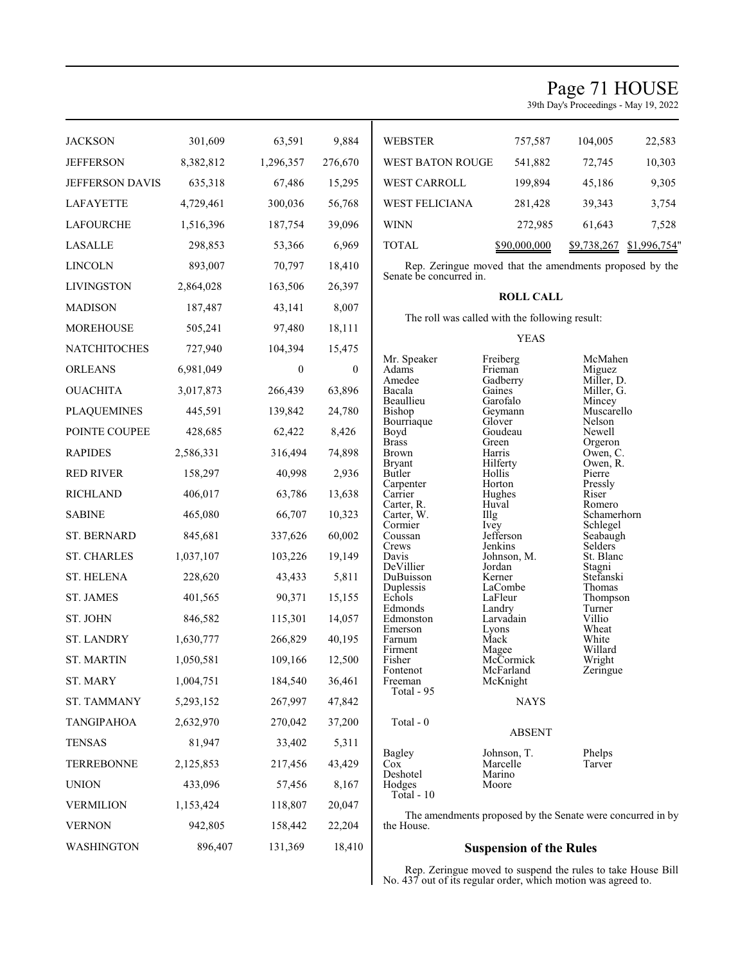## Page 71 HOUSE

39th Day's Proceedings - May 19, 2022

| <b>JACKSON</b>         | 301,609   | 63,591       | 9,884        | <b>WEBSTER</b>               | 757,587                                                    | 104,005                     | 22,583       |
|------------------------|-----------|--------------|--------------|------------------------------|------------------------------------------------------------|-----------------------------|--------------|
| <b>JEFFERSON</b>       | 8,382,812 | 1,296,357    | 276,670      | WEST BATON ROUGE             | 541,882                                                    | 72,745                      | 10,303       |
| <b>JEFFERSON DAVIS</b> | 635,318   | 67,486       | 15,295       | WEST CARROLL                 | 199,894                                                    | 45,186                      | 9,305        |
| <b>LAFAYETTE</b>       | 4,729,461 | 300,036      | 56,768       | WEST FELICIANA               | 281,428                                                    | 39,343                      | 3,754        |
| <b>LAFOURCHE</b>       | 1,516,396 | 187,754      | 39,096       | <b>WINN</b>                  | 272,985                                                    | 61,643                      | 7,528        |
| <b>LASALLE</b>         | 298,853   | 53,366       | 6,969        | <b>TOTAL</b>                 | \$90,000,000                                               | \$9,738,267                 | \$1,996,754" |
| <b>LINCOLN</b>         | 893,007   | 70,797       | 18,410       |                              | Rep. Zeringue moved that the amendments proposed by the    |                             |              |
| <b>LIVINGSTON</b>      | 2,864,028 | 163,506      | 26,397       | Senate be concurred in.      |                                                            |                             |              |
| <b>MADISON</b>         | 187,487   | 43,141       | 8,007        |                              | <b>ROLL CALL</b>                                           |                             |              |
| <b>MOREHOUSE</b>       | 505,241   | 97,480       | 18,111       |                              | The roll was called with the following result:             |                             |              |
| NATCHITOCHES           | 727,940   | 104,394      | 15,475       |                              | <b>YEAS</b>                                                |                             |              |
| <b>ORLEANS</b>         | 6,981,049 | $\mathbf{0}$ | $\mathbf{0}$ | Mr. Speaker<br>Adams         | Freiberg<br>Frieman                                        | McMahen<br>Miguez           |              |
| <b>OUACHITA</b>        | 3,017,873 | 266,439      | 63,896       | Amedee<br>Bacala             | Gadberry<br>Gaines                                         | Miller, D.<br>Miller, G.    |              |
| <b>PLAQUEMINES</b>     | 445,591   | 139,842      | 24,780       | Beaullieu<br>Bishop          | Garofalo<br>Geymann                                        | Mincey<br>Muscarello        |              |
| POINTE COUPEE          | 428,685   | 62,422       | 8,426        | Bourriaque<br>Boyd           | Glover<br>Goudeau                                          | Nelson<br>Newell            |              |
| <b>RAPIDES</b>         | 2,586,331 | 316,494      | 74,898       | <b>Brass</b><br><b>Brown</b> | Green<br>Harris                                            | Orgeron<br>Owen, C.         |              |
| <b>RED RIVER</b>       | 158,297   | 40,998       | 2,936        | <b>Bryant</b><br>Butler      | Hilferty<br>Hollis                                         | Owen, R.<br>Pierre          |              |
| <b>RICHLAND</b>        | 406,017   | 63,786       | 13,638       | Carpenter<br>Carrier         | Horton<br>Hughes                                           | Pressly<br>Riser            |              |
| <b>SABINE</b>          | 465,080   | 66,707       | 10,323       | Carter, R.<br>Carter, W.     | Huval<br>Illg                                              | Romero<br>Schamerhorn       |              |
| <b>ST. BERNARD</b>     | 845,681   | 337,626      | 60,002       | Cormier<br>Coussan           | Ivey<br>Jefferson                                          | Schlegel<br>Seabaugh        |              |
| <b>ST. CHARLES</b>     | 1,037,107 | 103,226      | 19,149       | Crews<br>Davis               | Jenkins<br>Johnson, M.                                     | <b>Selders</b><br>St. Blanc |              |
| <b>ST. HELENA</b>      | 228,620   | 43,433       | 5,811        | DeVillier<br>DuBuisson       | Jordan<br>Kerner                                           | Stagni<br>Stefanski         |              |
| <b>ST. JAMES</b>       | 401,565   | 90,371       | 15,155       | Duplessis<br>Echols          | LaCombe<br>LaFleur                                         | Thomas<br>Thompson          |              |
| ST. JOHN               | 846,582   | 115,301      | 14,057       | Edmonds<br>Edmonston         | Landry<br>Larvadain                                        | Turner<br>Villio            |              |
| <b>ST. LANDRY</b>      | 1,630,777 | 266,829      | 40,195       | Emerson<br>Farnum            | Lyons<br>Mack                                              | Wheat<br>White              |              |
| <b>ST. MARTIN</b>      | 1,050,581 | 109,166      | 12,500       | Firment<br>Fisher            | Magee<br>McCormick                                         | Willard<br>Wright           |              |
| ST. MARY               | 1,004,751 | 184,540      | 36,461       | Fontenot<br>Freeman          | McFarland<br>McKnight                                      | Zeringue                    |              |
| ST. TAMMANY            | 5,293,152 | 267,997      | 47,842       | Total - 95                   | <b>NAYS</b>                                                |                             |              |
| <b>TANGIPAHOA</b>      | 2,632,970 | 270,042      | 37,200       | Total - 0                    |                                                            |                             |              |
| <b>TENSAS</b>          | 81,947    | 33,402       | 5,311        |                              | <b>ABSENT</b>                                              |                             |              |
| <b>TERREBONNE</b>      | 2,125,853 | 217,456      | 43,429       | Bagley<br>Cox                | Johnson, T.<br>Marcelle                                    | Phelps<br>Tarver            |              |
| <b>UNION</b>           | 433,096   | 57,456       | 8,167        | Deshotel<br>Hodges           | Marino<br>Moore                                            |                             |              |
| <b>VERMILION</b>       | 1,153,424 | 118,807      | 20,047       | Total - $10$                 |                                                            |                             |              |
| <b>VERNON</b>          | 942,805   | 158,442      | 22,204       | the House.                   | The amendments proposed by the Senate were concurred in by |                             |              |
| WASHINGTON             | 896,407   | 131,369      | 18,410       |                              | <b>Suspension of the Rules</b>                             |                             |              |

 $\mathbf I$ 

**Suspension of the Rules**

Rep. Zeringue moved to suspend the rules to take House Bill No. 437 out of its regular order, which motion was agreed to.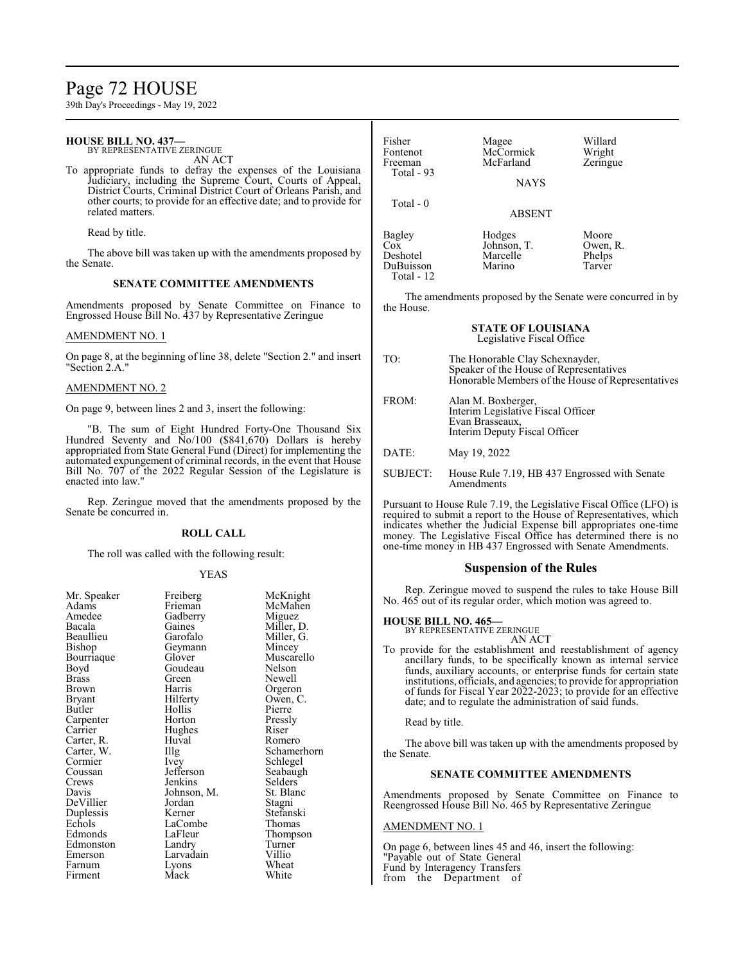## Page 72 HOUSE

39th Day's Proceedings - May 19, 2022

## **HOUSE BILL NO. 437—**

BY REPRESENTATIVE ZERINGUE AN ACT

To appropriate funds to defray the expenses of the Louisiana Judiciary, including the Supreme Court, Courts of Appeal, District Courts, Criminal District Court of Orleans Parish, and other courts; to provide for an effective date; and to provide for related matters.

Read by title.

The above bill was taken up with the amendments proposed by the Senate.

#### **SENATE COMMITTEE AMENDMENTS**

Amendments proposed by Senate Committee on Finance to Engrossed House Bill No. 437 by Representative Zeringue

#### AMENDMENT NO. 1

On page 8, at the beginning of line 38, delete "Section 2." and insert "Section 2.A."

#### AMENDMENT NO. 2

On page 9, between lines 2 and 3, insert the following:

"B. The sum of Eight Hundred Forty-One Thousand Six Hundred Seventy and  $\overline{N}o/100$  (\$841,670) Dollars is hereby appropriated from State General Fund (Direct) for implementing the automated expungement of criminal records, in the event that House Bill No. 707 of the 2022 Regular Session of the Legislature is enacted into law."

Rep. Zeringue moved that the amendments proposed by the Senate be concurred in.

#### **ROLL CALL**

The roll was called with the following result:

#### YEAS

| Mr. Speaker | Freiberg    | McKn    |
|-------------|-------------|---------|
| Adams       | Frieman     | McMa    |
| Amedee      | Gadberry    | Migue   |
| Bacala      | Gaines      | Miller, |
| Beaullieu   | Garofalo    | Miller  |
| Bishop      | Geymann     | Mince   |
| Bourriaque  | Glover      | Musca   |
| Boyd        | Goudeau     | Nelson  |
| Brass       | Green       | Newel   |
| Brown       | Harris      | Orgero  |
| Bryant      | Hilferty    | Owen,   |
| Butler      | Hollis      | Pierre  |
| Carpenter   | Horton      | Pressly |
| Carrier     | Hughes      | Riser   |
| Carter, R.  | Huval       | Romer   |
| Carter, W.  | Illg        | Scham   |
| Cormier     | Ivey        | Schleg  |
| Coussan     | Jefferson   | Seabai  |
| Crews       | Jenkins     | Selder  |
| Davis       | Johnson, M. | St. Bla |
| DeVillier   | Jordan      | Stagni  |
| Duplessis   | Kerner      | Stefan  |
| Echols      | LaCombe     | Thoma   |
| Edmonds     | LaFleur     | Thomp   |
| Edmonston   | Landry      | Turnei  |
| Emerson     | Larvadain   | Villio  |
| Farnum      | Lyons       | Wheat   |
| Firment     | Mack        | White   |
|             |             |         |

erg McKnight<br>an McMahen an McMahen<br>1981 - Miguez Miguez s<br>alo Miller, D.<br>Miller, G. alo Miller, G.<br>ann Mincev Mincey exter Muscarello<br>Bourney Muscarello<br>Nelson Nelson Newell brown Harris Orgeron<br>Brown Harris Owen, C Owen, C. Pierre n Pressly<br>es Riser Romero Schamerhorn Schlegel<br>Seabaugh Seabaugh Crews Jenkins Selders St. Blanc Stagni Duplessis Kerner Stefanski mbe Thomas<br>
ur Thomas Thompson y Turner<br>
lain Villio

| Fisher<br>Fontenot<br>Freeman<br>Total $-93$ | Magee<br>McCormick<br>McFarland<br><b>NAYS</b> | Willard<br>Wright<br>Zeringue         |
|----------------------------------------------|------------------------------------------------|---------------------------------------|
| Total $-0$                                   | <b>ABSENT</b>                                  |                                       |
| Bagley<br>$\cos$<br>Deshotel<br>DuBuisson    | Hodges<br>Johnson, T.<br>Marcelle<br>Marino    | Moore<br>Owen, R.<br>Phelps<br>Tarver |

The amendments proposed by the Senate were concurred in by the House.

#### **STATE OF LOUISIANA** Legislative Fiscal Office

TO: The Honorable Clay Schexnayder, Speaker of the House of Representatives Honorable Members of the House of Representatives

| FROM: | Alan M. Boxberger,                 |
|-------|------------------------------------|
|       | Interim Legislative Fiscal Officer |
|       | Evan Brasseaux,                    |
|       | Interim Deputy Fiscal Officer      |
|       |                                    |

DATE: May 19, 2022

Total - 12

SUBJECT: House Rule 7.19, HB 437 Engrossed with Senate Amendments

Pursuant to House Rule 7.19, the Legislative Fiscal Office (LFO) is required to submit a report to the House of Representatives, which indicates whether the Judicial Expense bill appropriates one-time money. The Legislative Fiscal Office has determined there is no one-time money in HB 437 Engrossed with Senate Amendments.

## **Suspension of the Rules**

Rep. Zeringue moved to suspend the rules to take House Bill No. 465 out of its regular order, which motion was agreed to.

#### **HOUSE BILL NO. 465—**

BY REPRESENTATIVE ZERINGUE AN ACT

To provide for the establishment and reestablishment of agency ancillary funds, to be specifically known as internal service funds, auxiliary accounts, or enterprise funds for certain state institutions, officials, and agencies; to provide for appropriation of funds for Fiscal Year 2022-2023; to provide for an effective date; and to regulate the administration of said funds.

Read by title.

The above bill was taken up with the amendments proposed by the Senate.

## **SENATE COMMITTEE AMENDMENTS**

Amendments proposed by Senate Committee on Finance to Reengrossed House Bill No. 465 by Representative Zeringue

#### AMENDMENT NO. 1

On page 6, between lines 45 and 46, insert the following: "Payable out of State General Fund by Interagency Transfers from the Department of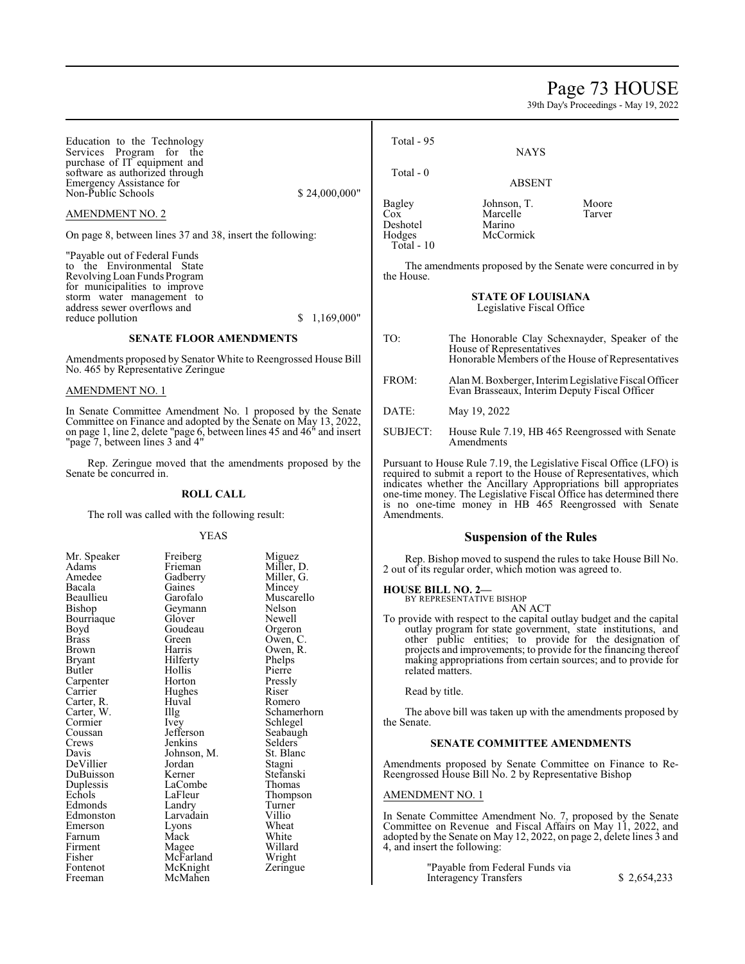# Page 73 HOUSE

| Education to the Technology                                                                                                                                                                                                                  |                                                                                                                                                                                                                    |                                                                                                                                                                                                                                    | Total - 95                                                                                                                   |                                                                                                                                                                                                                                                                                                                                                                                                                                                                                                                                                                                                       |                 |
|----------------------------------------------------------------------------------------------------------------------------------------------------------------------------------------------------------------------------------------------|--------------------------------------------------------------------------------------------------------------------------------------------------------------------------------------------------------------------|------------------------------------------------------------------------------------------------------------------------------------------------------------------------------------------------------------------------------------|------------------------------------------------------------------------------------------------------------------------------|-------------------------------------------------------------------------------------------------------------------------------------------------------------------------------------------------------------------------------------------------------------------------------------------------------------------------------------------------------------------------------------------------------------------------------------------------------------------------------------------------------------------------------------------------------------------------------------------------------|-----------------|
| Services Program for the<br>purchase of IT equipment and<br>software as authorized through                                                                                                                                                   |                                                                                                                                                                                                                    |                                                                                                                                                                                                                                    | Total - 0                                                                                                                    | <b>NAYS</b>                                                                                                                                                                                                                                                                                                                                                                                                                                                                                                                                                                                           |                 |
| Emergency Assistance for<br>Non-Public Schools                                                                                                                                                                                               |                                                                                                                                                                                                                    | \$24,000,000"                                                                                                                                                                                                                      |                                                                                                                              | <b>ABSENT</b>                                                                                                                                                                                                                                                                                                                                                                                                                                                                                                                                                                                         |                 |
| AMENDMENT NO. 2                                                                                                                                                                                                                              |                                                                                                                                                                                                                    |                                                                                                                                                                                                                                    | Bagley<br><b>Cox</b>                                                                                                         | Johnson, T.<br>Marcelle                                                                                                                                                                                                                                                                                                                                                                                                                                                                                                                                                                               | Moore<br>Tarver |
|                                                                                                                                                                                                                                              | On page 8, between lines 37 and 38, insert the following:                                                                                                                                                          |                                                                                                                                                                                                                                    | Deshotel<br>Hodges<br>Total - 10                                                                                             | Marino<br>McCormick                                                                                                                                                                                                                                                                                                                                                                                                                                                                                                                                                                                   |                 |
| "Payable out of Federal Funds<br>to the Environmental State<br>Revolving Loan Funds Program<br>for municipalities to improve<br>storm water management to<br>address sewer overflows and                                                     |                                                                                                                                                                                                                    | The amendments proposed by the Senate were concurred in by<br>the House.<br><b>STATE OF LOUISIANA</b><br>Legislative Fiscal Office                                                                                                 |                                                                                                                              |                                                                                                                                                                                                                                                                                                                                                                                                                                                                                                                                                                                                       |                 |
| reduce pollution                                                                                                                                                                                                                             |                                                                                                                                                                                                                    | \$1,169,000"                                                                                                                                                                                                                       |                                                                                                                              |                                                                                                                                                                                                                                                                                                                                                                                                                                                                                                                                                                                                       |                 |
|                                                                                                                                                                                                                                              | <b>SENATE FLOOR AMENDMENTS</b>                                                                                                                                                                                     | Amendments proposed by Senator White to Reengrossed House Bill                                                                                                                                                                     | TO:                                                                                                                          | The Honorable Clay Schexnayder, Speaker of the<br>House of Representatives<br>Honorable Members of the House of Representatives                                                                                                                                                                                                                                                                                                                                                                                                                                                                       |                 |
| No. 465 by Representative Zeringue<br>AMENDMENT NO. 1                                                                                                                                                                                        |                                                                                                                                                                                                                    |                                                                                                                                                                                                                                    | FROM:                                                                                                                        | Alan M. Boxberger, Interim Legislative Fiscal Officer<br>Evan Brasseaux, Interim Deputy Fiscal Officer                                                                                                                                                                                                                                                                                                                                                                                                                                                                                                |                 |
|                                                                                                                                                                                                                                              |                                                                                                                                                                                                                    | In Senate Committee Amendment No. 1 proposed by the Senate                                                                                                                                                                         | DATE:                                                                                                                        | May 19, 2022                                                                                                                                                                                                                                                                                                                                                                                                                                                                                                                                                                                          |                 |
|                                                                                                                                                                                                                                              |                                                                                                                                                                                                                    | Committee on Finance and adopted by the Senate on May 13, 2022,<br>on page 1, line 2, delete "page 6, between lines 45 and 46" and insert                                                                                          | SUBJECT:                                                                                                                     | House Rule 7.19, HB 465 Reengrossed with Senate                                                                                                                                                                                                                                                                                                                                                                                                                                                                                                                                                       |                 |
| "page 7, between lines 3 and 4"                                                                                                                                                                                                              |                                                                                                                                                                                                                    |                                                                                                                                                                                                                                    |                                                                                                                              | Amendments                                                                                                                                                                                                                                                                                                                                                                                                                                                                                                                                                                                            |                 |
| Rep. Zeringue moved that the amendments proposed by the<br>Senate be concurred in.                                                                                                                                                           |                                                                                                                                                                                                                    | Pursuant to House Rule 7.19, the Legislative Fiscal Office (LFO) is<br>required to submit a report to the House of Representatives, which<br>indicates whether the Ancillary Appropriations bill appropriates                      |                                                                                                                              |                                                                                                                                                                                                                                                                                                                                                                                                                                                                                                                                                                                                       |                 |
| <b>ROLL CALL</b>                                                                                                                                                                                                                             |                                                                                                                                                                                                                    |                                                                                                                                                                                                                                    | one-time money. The Legislative Fiscal Office has determined there<br>is no one-time money in HB 465 Reengrossed with Senate |                                                                                                                                                                                                                                                                                                                                                                                                                                                                                                                                                                                                       |                 |
| The roll was called with the following result:                                                                                                                                                                                               |                                                                                                                                                                                                                    | Amendments.                                                                                                                                                                                                                        |                                                                                                                              |                                                                                                                                                                                                                                                                                                                                                                                                                                                                                                                                                                                                       |                 |
|                                                                                                                                                                                                                                              | <b>YEAS</b>                                                                                                                                                                                                        |                                                                                                                                                                                                                                    |                                                                                                                              | <b>Suspension of the Rules</b>                                                                                                                                                                                                                                                                                                                                                                                                                                                                                                                                                                        |                 |
| Mr. Speaker<br>Adams<br>Amedee<br>Bacala<br>Beaullieu<br>Bishop<br>Bourriaque<br>Boyd<br><b>Brass</b><br><b>Brown</b><br><b>Bryant</b><br>Butler<br>Carpenter<br>Carrier<br>Carter, R.<br>Carter, W.<br>Cormier<br>Coussan<br>Crews<br>Davis | Freiberg<br>Frieman<br>Gadberry<br>Gaines<br>Garofalo<br>Geymann<br>Glover<br>Goudeau<br>Green<br>Harris<br>Hilferty<br>Hollis<br>Horton<br>Hughes<br>Huval<br>Illg<br>Ivey<br>Jefferson<br>Jenkins<br>Johnson, M. | Miguez<br>Miller, D.<br>Miller, G.<br>Mincey<br>Muscarello<br>Nelson<br>Newell<br>Orgeron<br>Owen, C.<br>Owen, R.<br>Phelps<br>Pierre<br>Pressly<br>Riser<br>Romero<br>Schamerhorn<br>Schlegel<br>Seabaugh<br>Selders<br>St. Blanc | <b>HOUSE BILL NO. 2-</b><br>related matters.<br>Read by title.<br>the Senate.                                                | Rep. Bishop moved to suspend the rules to take House Bill No.<br>2 out of its regular order, which motion was agreed to.<br>BY REPRESENTATIVE BISHOP<br>AN ACT<br>To provide with respect to the capital outlay budget and the capital<br>outlay program for state government, state institutions, and<br>other public entities; to provide for the designation of<br>projects and improvements; to provide for the financing thereof<br>making appropriations from certain sources; and to provide for<br>The above bill was taken up with the amendments proposed by<br>SENATE COMMITTEE AMENDMENTS |                 |
| DeVillier<br>DuBuisson<br>Duplessis<br>Echols                                                                                                                                                                                                | Jordan<br>Kerner<br>LaCombe<br>LaFleur                                                                                                                                                                             | Stagni<br>Stefanski<br>Thomas<br>Thompson                                                                                                                                                                                          | <b>AMENDMENT NO. 1</b>                                                                                                       | Amendments proposed by Senate Committee on Finance to Re-<br>Reengrossed House Bill No. 2 by Representative Bishop                                                                                                                                                                                                                                                                                                                                                                                                                                                                                    |                 |
| Edmonds                                                                                                                                                                                                                                      | Landry                                                                                                                                                                                                             | Turner                                                                                                                                                                                                                             |                                                                                                                              |                                                                                                                                                                                                                                                                                                                                                                                                                                                                                                                                                                                                       |                 |
| Edmonston<br>Emerson                                                                                                                                                                                                                         | Larvadain<br>Lyons                                                                                                                                                                                                 | Villio<br>Wheat                                                                                                                                                                                                                    |                                                                                                                              | In Senate Committee Amendment No. 7, proposed by the Senate<br>Committee on Revenue and Fiscal Affairs on May 11, 2022, and                                                                                                                                                                                                                                                                                                                                                                                                                                                                           |                 |
| Farnum                                                                                                                                                                                                                                       | Mack                                                                                                                                                                                                               | White                                                                                                                                                                                                                              |                                                                                                                              | adopted by the Senate on May 12, 2022, on page 2, delete lines 3 and                                                                                                                                                                                                                                                                                                                                                                                                                                                                                                                                  |                 |
| Firment<br>Fisher                                                                                                                                                                                                                            | Magee<br>McFarland                                                                                                                                                                                                 | Willard<br>Wright                                                                                                                                                                                                                  |                                                                                                                              | 4, and insert the following:                                                                                                                                                                                                                                                                                                                                                                                                                                                                                                                                                                          |                 |
| Fontenot<br>Freeman                                                                                                                                                                                                                          | McKnight<br>McMahen                                                                                                                                                                                                | Zeringue                                                                                                                                                                                                                           |                                                                                                                              | "Payable from Federal Funds via<br><b>Interagency Transfers</b>                                                                                                                                                                                                                                                                                                                                                                                                                                                                                                                                       | \$2,654,233     |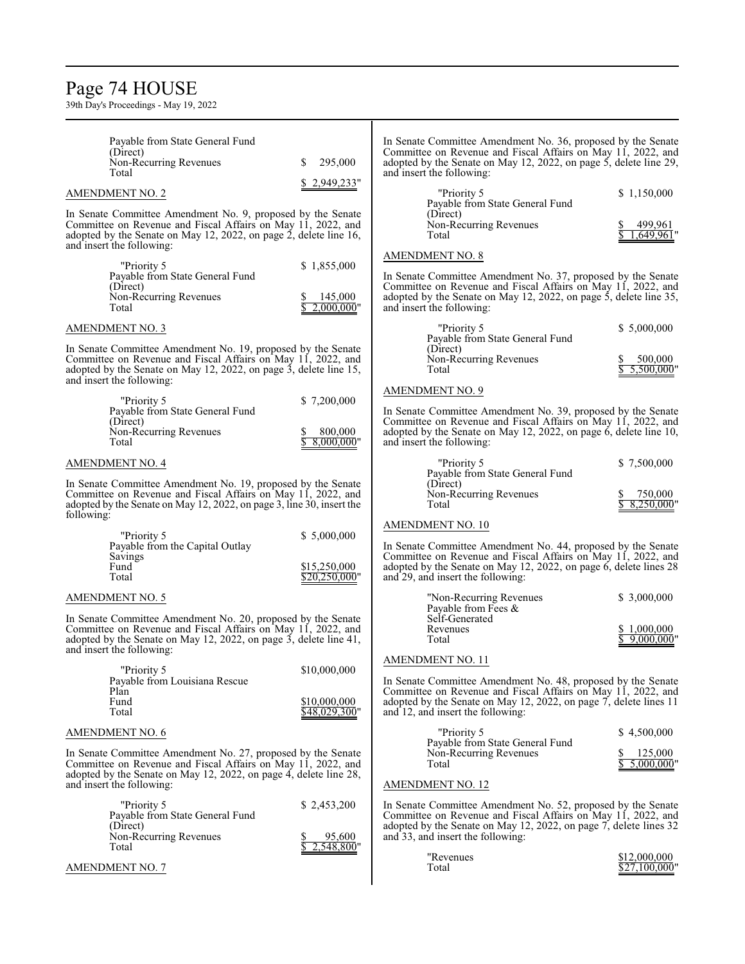### Page 74 HOUSE

| Payable from State General Fund<br>(Direct)<br>Non-Recurring Revenues<br>Total                                                                                                                                                 | 295,000<br>S.                        | In Senate Committee Amendment No. 36, proposed by the Senate<br>Committee on Revenue and Fiscal Affairs on May 11, 2022, and<br>adopted by the Senate on May 12, 2022, on page 5, delete line 29,<br>and insert the following:                           |                              |
|--------------------------------------------------------------------------------------------------------------------------------------------------------------------------------------------------------------------------------|--------------------------------------|----------------------------------------------------------------------------------------------------------------------------------------------------------------------------------------------------------------------------------------------------------|------------------------------|
| <b>AMENDMENT NO. 2</b>                                                                                                                                                                                                         | \$2,949,233"                         | "Priority 5<br>Payable from State General Fund                                                                                                                                                                                                           | \$1,150,000                  |
| In Senate Committee Amendment No. 9, proposed by the Senate<br>Committee on Revenue and Fiscal Affairs on May 11, 2022, and<br>adopted by the Senate on May 12, 2022, on page 2, delete line 16,<br>and insert the following:  |                                      | (Direct)<br>Non-Recurring Revenues<br>Total                                                                                                                                                                                                              | 499,961<br>.649,961'         |
| "Priority 5<br>Payable from State General Fund<br>(Direct)<br>Non-Recurring Revenues<br>Total                                                                                                                                  | \$1,855,000<br>145,000<br>2,000,000" | <b>AMENDMENT NO. 8</b><br>In Senate Committee Amendment No. 37, proposed by the Senate<br>Committee on Revenue and Fiscal Affairs on May 11, 2022, and<br>adopted by the Senate on May 12, 2022, on page 5, delete line 35,<br>and insert the following: |                              |
| <b>AMENDMENT NO. 3</b>                                                                                                                                                                                                         |                                      | "Priority 5                                                                                                                                                                                                                                              | \$5,000,000                  |
| In Senate Committee Amendment No. 19, proposed by the Senate<br>Committee on Revenue and Fiscal Affairs on May 11, 2022, and<br>adopted by the Senate on May 12, 2022, on page 3, delete line 15,<br>and insert the following: |                                      | Payable from State General Fund<br>(Direct)<br>Non-Recurring Revenues<br>Total                                                                                                                                                                           | 500,000<br>$5,500,000$ "     |
| "Priority 5                                                                                                                                                                                                                    | \$7,200,000                          | <b>AMENDMENT NO. 9</b>                                                                                                                                                                                                                                   |                              |
| Payable from State General Fund<br>(Direct)<br>Non-Recurring Revenues<br>Total                                                                                                                                                 | 800,000<br>$8,000,000$ "             | In Senate Committee Amendment No. 39, proposed by the Senate<br>Committee on Revenue and Fiscal Affairs on May 11, 2022, and<br>adopted by the Senate on May 12, 2022, on page 6, delete line 10,<br>and insert the following:                           |                              |
| <b>AMENDMENT NO. 4</b>                                                                                                                                                                                                         |                                      | "Priority 5<br>Payable from State General Fund                                                                                                                                                                                                           | \$7,500,000                  |
| In Senate Committee Amendment No. 19, proposed by the Senate<br>Committee on Revenue and Fiscal Affairs on May 11, 2022, and<br>adopted by the Senate on May 12, 2022, on page 3, line 30, insert the<br>following:            |                                      | (Direct)<br>Non-Recurring Revenues<br>Total                                                                                                                                                                                                              | 750,000<br>8,250,000"        |
| "Priority 5                                                                                                                                                                                                                    | \$5,000,000                          | <b>AMENDMENT NO. 10</b>                                                                                                                                                                                                                                  |                              |
| Payable from the Capital Outlay<br>Savings<br>Fund<br>Total                                                                                                                                                                    | \$15,250,000<br>\$20,250,000"        | In Senate Committee Amendment No. 44, proposed by the Senate<br>Committee on Revenue and Fiscal Affairs on May 11, 2022, and<br>adopted by the Senate on May 12, 2022, on page 6, delete lines 28<br>and 29, and insert the following:                   |                              |
| <b>AMENDMENT NO. 5</b>                                                                                                                                                                                                         |                                      | "Non-Recurring Revenues<br>Payable from Fees &                                                                                                                                                                                                           | \$ 3,000,000                 |
| In Senate Committee Amendment No. 20, proposed by the Senate<br>Committee on Revenue and Fiscal Affairs on May 11, 2022, and<br>adopted by the Senate on May 12, 2022, on page 3, delete line 41,<br>and insert the following: |                                      | Self-Generated<br>Revenues<br>Total                                                                                                                                                                                                                      | \$1,000,000<br>$9,000,000$ " |
| "Priority 5<br>Payable from Louisiana Rescue<br>Plan<br>Fund                                                                                                                                                                   | \$10,000,000<br>\$10,000,000         | AMENDMENT NO. 11<br>In Senate Committee Amendment No. 48, proposed by the Senate<br>Committee on Revenue and Fiscal Affairs on May 11, 2022, and<br>adopted by the Senate on May 12, 2022, on page 7, delete lines 11                                    |                              |
| Total                                                                                                                                                                                                                          | \$48,029,300"                        | and 12, and insert the following:                                                                                                                                                                                                                        |                              |
| <b>AMENDMENT NO. 6</b>                                                                                                                                                                                                         |                                      | "Priority 5<br>Payable from State General Fund                                                                                                                                                                                                           | \$4,500,000                  |
| In Senate Committee Amendment No. 27, proposed by the Senate<br>Committee on Revenue and Fiscal Affairs on May 11, 2022, and<br>adopted by the Senate on May 12, 2022, on page 4, delete line 28,<br>and insert the following: |                                      | Non-Recurring Revenues<br>Total<br><b>AMENDMENT NO. 12</b>                                                                                                                                                                                               | 125,000<br>5,000,000"        |
| "Priority 5<br>Payable from State General Fund<br>(Direct)<br>Non-Recurring Revenues<br>Total                                                                                                                                  | \$2,453,200<br>95,600<br>548,800"    | In Senate Committee Amendment No. 52, proposed by the Senate<br>Committee on Revenue and Fiscal Affairs on May 11, 2022, and<br>adopted by the Senate on May 12, 2022, on page 7, delete lines 32<br>and 33, and insert the following:<br>"Revenues      | \$12,000,000                 |
| <b>AMENDMENT NO. 7</b>                                                                                                                                                                                                         |                                      | Total                                                                                                                                                                                                                                                    | \$27,100,000"                |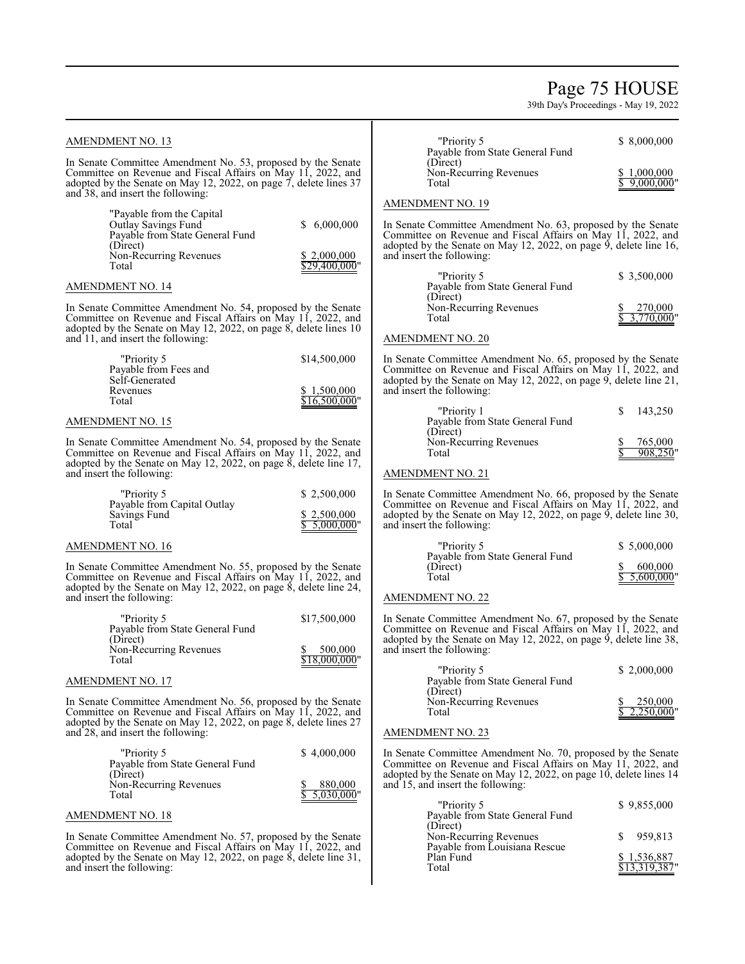### Page 75 HOUSE

39th Day's Proceedings - May 19, 2022

#### AMENDMENT NO. 13 In Senate Committee Amendment No. 53, proposed by the Senate Committee on Revenue and Fiscal Affairs on May 11, 2022, and adopted by the Senate on May 12, 2022, on page 7, delete lines 37 and 38, and insert the following: "Payable from the Capital Outlay Savings Fund \$ 6,000,000 Payable from State General Fund (Direct) Non-Recurring Revenues  $\frac{$2,000,000}{29,400,000}$  $$29,400,000$ " AMENDMENT NO. 14 In Senate Committee Amendment No. 54, proposed by the Senate Committee on Revenue and Fiscal Affairs on May 11, 2022, and adopted by the Senate on May 12, 2022, on page 8, delete lines 10 and 11, and insert the following: "Priority 5 \$14,500,000 Payable from Fees and Self-Generated Revenues  $\frac{$1,500,000}{$1,6500,000}$  $$16,500,000$ " AMENDMENT NO. 15 In Senate Committee Amendment No. 54, proposed by the Senate Committee on Revenue and Fiscal Affairs on May 11, 2022, and adopted by the Senate on May 12, 2022, on page 8, delete line 17, and insert the following: "Priority 5 \$ 2,500,000 Payable from Capital Outlay Savings Fund  $\frac{$2,500,000}{2}$  $\frac{6}{3}$   $\frac{2,500,000}{3}$  Total AMENDMENT NO. 16 In Senate Committee Amendment No. 55, proposed by the Senate Committee on Revenue and Fiscal Affairs on May 11, 2022, and adopted by the Senate on May 12, 2022, on page 8, delete line 24, and insert the following: "Priority 5 \$17,500,000 Payable from State General Fund (Direct) Non-Recurring Revenues  $\frac{$8,500,000}{$18,000,000}$  $$18,000,000$ " AMENDMENT NO. 17 I In Senate Committee Amendment No. 56, proposed by the Senate Committee on Revenue and Fiscal Affairs on May 11, 2022, and adopted by the Senate on May 12, 2022, on page 8, delete lines 27 and 28, and insert the following: "Priority 5 \$4,000,000 Payable from State General Fund (Direct) Non-Recurring Revenues  $\frac{$80,000}{$5.030,000}$  $5,030,000$ " AMENDMENT NO. 18 In Senate Committee Amendment No. 57, proposed by the Senate Committee on Revenue and Fiscal Affairs on May 11, 2022, and adopted by the Senate on May 12, 2022, on page 8, delete line 31, and insert the following: "Priority 5 \$ 8,000,000 Payable from State General Fund (Direct) Non-Recurring Revenues  $\frac{$1,000,000}{\$ 9,000,000}$  $$9,000,000"$ AMENDMENT NO. 19 ٦ In Senate Committee Amendment No. 63, proposed by the Senate Committee on Revenue and Fiscal Affairs on May 11, 2022, and adopted by the Senate on May 12, 2022, on page 9, delete line 16, and insert the following: "Priority 5 \$ 3,500,000 Payable from State General Fund (Direct) Non-Recurring Revenues  $\begin{array}{r} \n\text{8} \quad 270,000 \\
\text{Total} \quad \text{9} \quad \text{10000} \\
\end{array}$  $3,770,000$ " AMENDMENT NO. 20 In Senate Committee Amendment No. 65, proposed by the Senate Committee on Revenue and Fiscal Affairs on May 11, 2022, and adopted by the Senate on May 12, 2022, on page 9, delete line 21, and insert the following:  $"Priority 1$   $$ 143,250$ Payable from State General Fund (Direct) Non-Recurring Revenues  $\frac{$8,765,000}{$908,250}$  $908,250"$ AMENDMENT NO. 21 In Senate Committee Amendment No. 66, proposed by the Senate Committee on Revenue and Fiscal Affairs on May 11, 2022, and adopted by the Senate on May 12, 2022, on page  $\dot{9}$ , delete line 30, and insert the following: "Priority 5 \$ 5,000,000 Payable from State General Fund (Direct)  $\frac{$600,000}{$5,600,000}$  $$5,600,000$ " AMENDMENT NO. 22 In Senate Committee Amendment No. 67, proposed by the Senate Committee on Revenue and Fiscal Affairs on May 11, 2022, and adopted by the Senate on May 12, 2022, on page 9, delete line 38, and insert the following: "Priority 5 \$ 2,000,000 Payable from State General Fund (Direct) Non-Recurring Revenues  $\frac{\$}{\$}$  250,000<br>Total  $\frac{\$}{\$}$  2.250,000  $2,250,000$ " AMENDMENT NO. 23 ٦ In Senate Committee Amendment No. 70, proposed by the Senate Committee on Revenue and Fiscal Affairs on May 11, 2022, and adopted by the Senate on May 12, 2022, on page 10, delete lines 14 and 15, and insert the following:  $\gamma$  Priority 5  $\frac{1}{2}$  9,855,000 Payable from State General Fund (Direct) Non-Recurring Revenues \$ 959,813 Payable from Louisiana Rescue Plan Fund \$ 1,536,887 \$13,319,387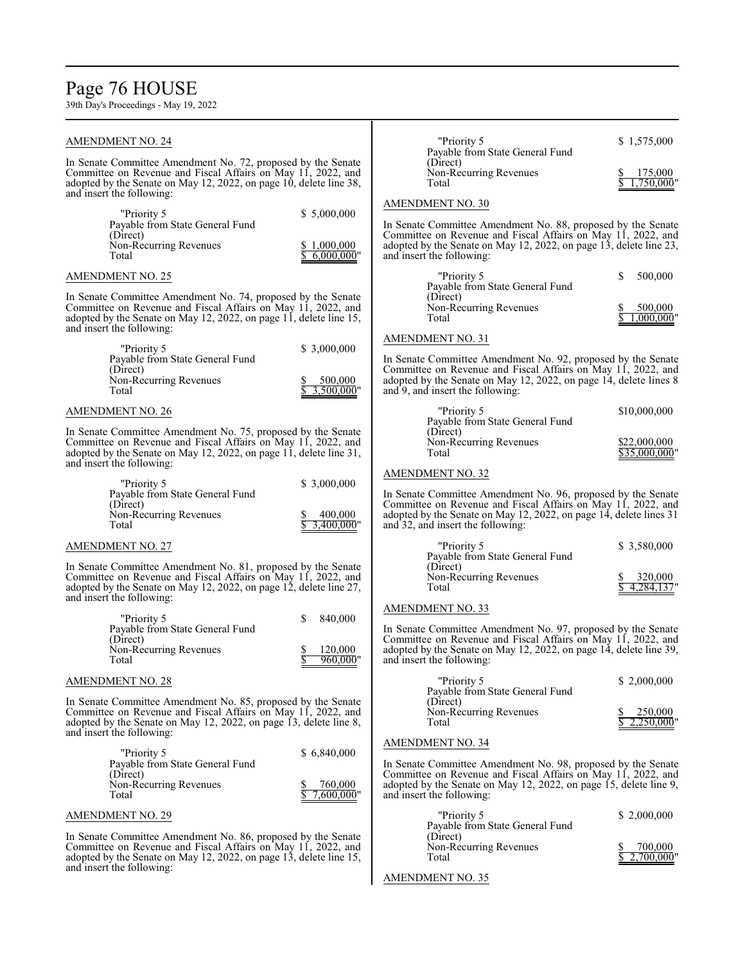### Page 76 HOUSE

| <b>AMENDMENT NO. 24</b>                                                                                                                                                                                                         |                                            | "Priority 5<br>Payable from State General Fund                                                                                                                                                                                          | \$1,575,000                   |
|---------------------------------------------------------------------------------------------------------------------------------------------------------------------------------------------------------------------------------|--------------------------------------------|-----------------------------------------------------------------------------------------------------------------------------------------------------------------------------------------------------------------------------------------|-------------------------------|
| In Senate Committee Amendment No. 72, proposed by the Senate<br>Committee on Revenue and Fiscal Affairs on May 11, 2022, and<br>adopted by the Senate on May 12, 2022, on page 10, delete line 38,<br>and insert the following: |                                            | (Direct)<br>Non-Recurring Revenues<br>Total                                                                                                                                                                                             | 175,000<br>1,750,000"         |
|                                                                                                                                                                                                                                 |                                            | <b>AMENDMENT NO. 30</b>                                                                                                                                                                                                                 |                               |
| "Priority 5<br>Payable from State General Fund<br>(Direct)<br>Non-Recurring Revenues<br>Total                                                                                                                                   | \$5,000,000<br>\$1,000,000<br>\$6,000,000" | In Senate Committee Amendment No. 88, proposed by the Senate<br>Committee on Revenue and Fiscal Affairs on May 11, 2022, and<br>adopted by the Senate on May 12, 2022, on page 13, delete line 23,<br>and insert the following:         |                               |
| <b>AMENDMENT NO. 25</b>                                                                                                                                                                                                         |                                            | "Priority 5                                                                                                                                                                                                                             | \$<br>500,000                 |
| In Senate Committee Amendment No. 74, proposed by the Senate<br>Committee on Revenue and Fiscal Affairs on May 11, 2022, and<br>adopted by the Senate on May 12, 2022, on page 11, delete line 15,<br>and insert the following: |                                            | Payable from State General Fund<br>(Direct)<br>Non-Recurring Revenues<br>Total                                                                                                                                                          | 500,000<br>1,000,000"         |
| "Priority 5                                                                                                                                                                                                                     | \$3,000,000                                | <b>AMENDMENT NO. 31</b>                                                                                                                                                                                                                 |                               |
| Payable from State General Fund<br>(Direct)<br>Non-Recurring Revenues<br>Total                                                                                                                                                  | 500,000<br>3,500,000"                      | In Senate Committee Amendment No. 92, proposed by the Senate<br>Committee on Revenue and Fiscal Affairs on May 11, 2022, and<br>adopted by the Senate on May 12, 2022, on page 14, delete lines 8<br>and 9, and insert the following:   |                               |
| <b>AMENDMENT NO. 26</b>                                                                                                                                                                                                         |                                            | "Priority 5                                                                                                                                                                                                                             | \$10,000,000                  |
| In Senate Committee Amendment No. 75, proposed by the Senate<br>Committee on Revenue and Fiscal Affairs on May 11, 2022, and<br>adopted by the Senate on May 12, 2022, on page 11, delete line 31,                              |                                            | Payable from State General Fund<br>(Direct)<br>Non-Recurring Revenues<br>Total                                                                                                                                                          | \$22,000,000<br>\$35,000,000" |
| and insert the following:                                                                                                                                                                                                       |                                            | <b>AMENDMENT NO. 32</b>                                                                                                                                                                                                                 |                               |
| "Priority 5<br>Payable from State General Fund<br>(Direct)<br>Non-Recurring Revenues<br>Total                                                                                                                                   | \$ 3,000,000<br>400,000<br>3,400,000"      | In Senate Committee Amendment No. 96, proposed by the Senate<br>Committee on Revenue and Fiscal Affairs on May 11, 2022, and<br>adopted by the Senate on May 12, 2022, on page 14, delete lines 31<br>and 32, and insert the following: |                               |
| <b>AMENDMENT NO. 27</b>                                                                                                                                                                                                         |                                            | "Priority 5                                                                                                                                                                                                                             | \$ 3,580,000                  |
| In Senate Committee Amendment No. 81, proposed by the Senate<br>Committee on Revenue and Fiscal Affairs on May 11, 2022, and<br>adopted by the Senate on May 12, 2022, on page 12, delete line 27,<br>and insert the following: |                                            | Payable from State General Fund<br>(Direct)<br>Non-Recurring Revenues<br>Total                                                                                                                                                          | 320,000<br>4,284,137          |
| \$<br>"Priority 5                                                                                                                                                                                                               | 840,000                                    | <b>AMENDMENT NO. 33</b>                                                                                                                                                                                                                 |                               |
| Payable from State General Fund<br>(Direct)<br>Non-Recurring Revenues<br>Total                                                                                                                                                  | 120,000<br>960,000"                        | In Senate Committee Amendment No. 97, proposed by the Senate<br>Committee on Revenue and Fiscal Affairs on May 11, 2022, and<br>adopted by the Senate on May 12, 2022, on page 14, delete line 39,<br>and insert the following:         |                               |
| <b>AMENDMENT NO. 28</b>                                                                                                                                                                                                         |                                            | "Priority 5                                                                                                                                                                                                                             | \$2,000,000                   |
| In Senate Committee Amendment No. 85, proposed by the Senate<br>Committee on Revenue and Fiscal Affairs on May 11, 2022, and<br>adopted by the Senate on May 12, 2022, on page 13, delete line 8,                               |                                            | Payable from State General Fund<br>(Direct)<br>Non-Recurring Revenues<br>Total                                                                                                                                                          | 250,000<br>2,250,000          |
| and insert the following:                                                                                                                                                                                                       |                                            | <b>AMENDMENT NO. 34</b>                                                                                                                                                                                                                 |                               |
| "Priority 5<br>Payable from State General Fund<br>(Direct)<br>Non-Recurring Revenues                                                                                                                                            | \$6,840,000<br>760,000                     | In Senate Committee Amendment No. 98, proposed by the Senate<br>Committee on Revenue and Fiscal Affairs on May 11, 2022, and<br>adopted by the Senate on May 12, 2022, on page 15, delete line 9,                                       |                               |
| Total                                                                                                                                                                                                                           | 7,600,000"                                 | and insert the following:                                                                                                                                                                                                               |                               |
| <b>AMENDMENT NO. 29</b>                                                                                                                                                                                                         |                                            | "Priority 5<br>Payable from State General Fund                                                                                                                                                                                          | \$2,000,000                   |
| In Senate Committee Amendment No. 86, proposed by the Senate<br>Committee on Revenue and Fiscal Affairs on May 11, 2022, and<br>adopted by the Senate on May 12, 2022, on page 13, delete line 15,<br>and insert the following: |                                            | (Direct)<br>Non-Recurring Revenues<br>Total                                                                                                                                                                                             | 700,000<br>2.700.000'         |
|                                                                                                                                                                                                                                 |                                            | <b>AMENDMENT NO. 35</b>                                                                                                                                                                                                                 |                               |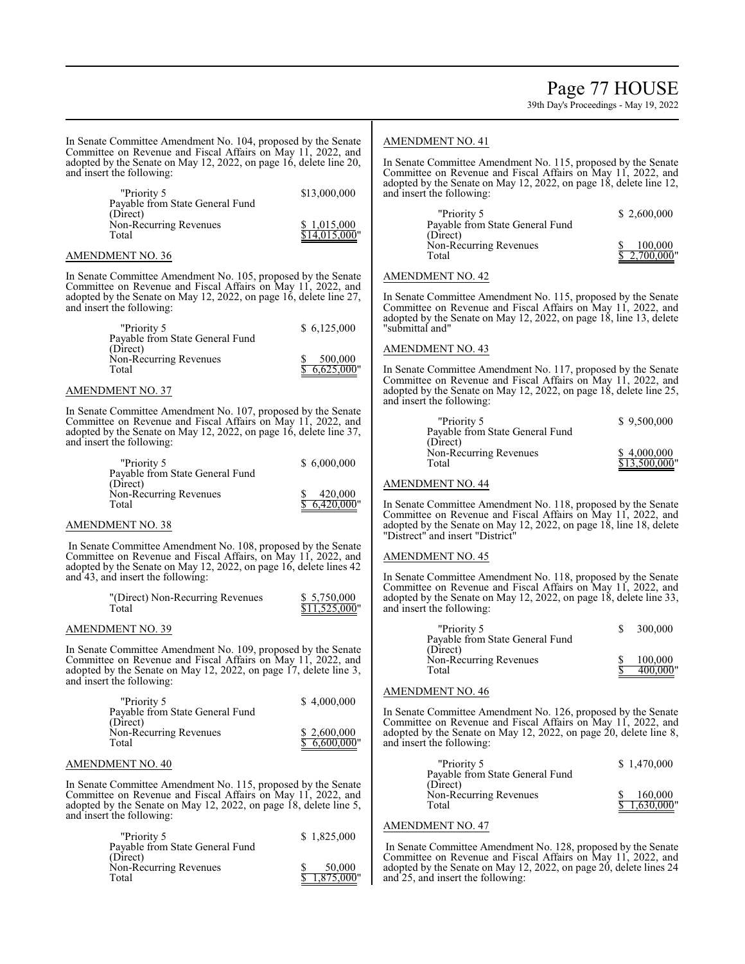Page 77 HOUSE

39th Day's Proceedings - May 19, 2022

In Senate Committee Amendment No. 104, proposed by the Senate Committee on Revenue and Fiscal Affairs on May 11, 2022, and adopted by the Senate on May 12, 2022, on page 16, delete line 20, and insert the following:

| "Priority 5<br>Payable from State General Fund | \$13,000,000                 |
|------------------------------------------------|------------------------------|
| (Direct)<br>Non-Recurring Revenues<br>Total    | \$1,015,000<br>\$14,015,000" |

#### AMENDMENT NO. 36

In Senate Committee Amendment No. 105, proposed by the Senate Committee on Revenue and Fiscal Affairs on May 11, 2022, and adopted by the Senate on May 12, 2022, on page 16, delete line 27, and insert the following:

| "Priority 5                     | \$6.125.000  |
|---------------------------------|--------------|
| Payable from State General Fund |              |
| (Direct)                        |              |
| Non-Recurring Revenues          | 500,000      |
| Total                           | \$6,625,000" |
|                                 |              |

#### AMENDMENT NO. 37

٦ In Senate Committee Amendment No. 107, proposed by the Senate Committee on Revenue and Fiscal Affairs on May 11, 2022, and adopted by the Senate on May 12, 2022, on page 16, delete line 37, and insert the following:

| "Priority 5<br>Payable from State General Fund | \$6,000,000             |
|------------------------------------------------|-------------------------|
| (Direct)                                       |                         |
| Non-Recurring Revenues<br>Total                | 420,000<br>\$6,420,000" |

#### AMENDMENT NO. 38

In Senate Committee Amendment No. 108, proposed by the Senate Committee on Revenue and Fiscal Affairs, on May 11, 2022, and adopted by the Senate on May 12, 2022, on page 16, delete lines 42 and 43, and insert the following:

| "(Direct) Non-Recurring Revenues | \$ 5,750,000  |
|----------------------------------|---------------|
| Total                            | \$11,525,000" |

#### AMENDMENT NO. 39

In Senate Committee Amendment No. 109, proposed by the Senate Committee on Revenue and Fiscal Affairs on May 11, 2022, and adopted by the Senate on May 12, 2022, on page 17, delete line 3, and insert the following:

| "Priority 5<br>Payable from State General Fund | \$4.000.000                 |
|------------------------------------------------|-----------------------------|
| (Direct)<br>Non-Recurring Revenues<br>Total    | \$2,600,000<br>\$6,600,000" |

#### AMENDMENT NO. 40

In Senate Committee Amendment No. 115, proposed by the Senate Committee on Revenue and Fiscal Affairs on May 11, 2022, and adopted by the Senate on May 12, 2022, on page 18, delete line 5, and insert the following:

| "Priority 5<br>Payable from State General Fund | \$1,825,000            |
|------------------------------------------------|------------------------|
| (Direct)<br>Non-Recurring Revenues<br>Total    | 50,000<br>\$1,875,000" |

#### AMENDMENT NO. 41

In Senate Committee Amendment No. 115, proposed by the Senate Committee on Revenue and Fiscal Affairs on May 11, 2022, and adopted by the Senate on May 12, 2022, on page 18, delete line 12, and insert the following:

| "Priority 5                     | \$2,600,000  |
|---------------------------------|--------------|
| Payable from State General Fund |              |
| (Direct)                        |              |
| Non-Recurring Revenues          | 100,000      |
| Total                           | \$2,700,000" |
|                                 |              |

AMENDMENT NO. 42

٦ In Senate Committee Amendment No. 115, proposed by the Senate Committee on Revenue and Fiscal Affairs on May 11, 2022, and adopted by the Senate on May 12, 2022, on page 18, line 13, delete "submittal and"

#### AMENDMENT NO. 43

In Senate Committee Amendment No. 117, proposed by the Senate Committee on Revenue and Fiscal Affairs on May 11, 2022, and adopted by the Senate on May 12, 2022, on page 18, delete line 25, and insert the following:

| "Priority 5                     | \$9,500,000   |
|---------------------------------|---------------|
| Payable from State General Fund |               |
| (Direct)                        |               |
| Non-Recurring Revenues          | \$4,000,000   |
| Total                           | \$13,500,000" |
|                                 |               |

#### AMENDMENT NO. 44

In Senate Committee Amendment No. 118, proposed by the Senate Committee on Revenue and Fiscal Affairs on May 11, 2022, and adopted by the Senate on May 12, 2022, on page 18, line 18, delete "Distrect" and insert "District"

#### AMENDMENT NO. 45

In Senate Committee Amendment No. 118, proposed by the Senate Committee on Revenue and Fiscal Affairs on May 11, 2022, and adopted by the Senate on May 12, 2022, on page 18, delete line 33, and insert the following:

| "Priority 5<br>Payable from State General Fund | 300,000             |
|------------------------------------------------|---------------------|
| (Direct)<br>Non-Recurring Revenues<br>Total    | 100,000<br>400,000" |

#### AMENDMENT NO. 46

In Senate Committee Amendment No. 126, proposed by the Senate Committee on Revenue and Fiscal Affairs on May 11, 2022, and adopted by the Senate on May 12, 2022, on page 20, delete line 8, and insert the following:

| "Priority 5<br>Payable from State General Fund | \$1,470,000             |
|------------------------------------------------|-------------------------|
| (Direct)<br>Non-Recurring Revenues<br>Total    | 160,000<br>\$1,630,000" |

#### AMENDMENT NO. 47

In Senate Committee Amendment No. 128, proposed by the Senate Committee on Revenue and Fiscal Affairs on May 11, 2022, and adopted by the Senate on May 12, 2022, on page 20, delete lines 24 and 25, and insert the following: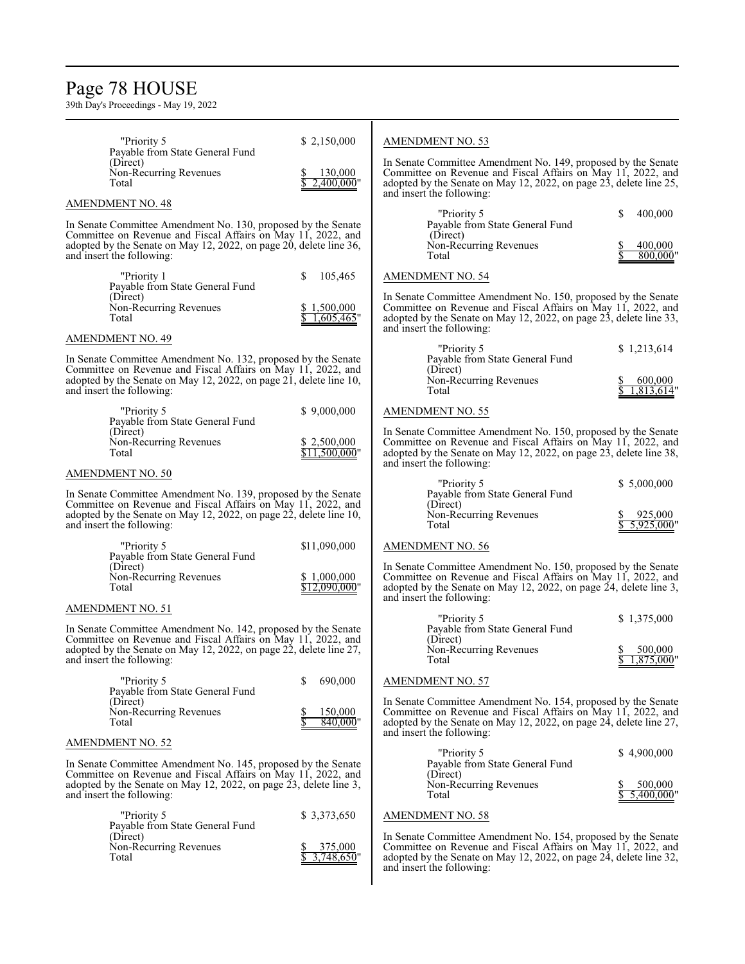### Page 78 HOUSE

| "Priority 5                                                                                                                                                                                                                                                 | \$2,150,000                                  | AMENDMENT NO. 53                                                                                                                                                                                                                 |                                      |
|-------------------------------------------------------------------------------------------------------------------------------------------------------------------------------------------------------------------------------------------------------------|----------------------------------------------|----------------------------------------------------------------------------------------------------------------------------------------------------------------------------------------------------------------------------------|--------------------------------------|
| Payable from State General Fund<br>(Direct)<br>Non-Recurring Revenues<br>Total                                                                                                                                                                              | 130,000<br>$2,400,000$ "                     | In Senate Committee Amendment No. 149, proposed by the Senate<br>Committee on Revenue and Fiscal Affairs on May 11, 2022, and<br>adopted by the Senate on May 12, 2022, on page 23, delete line 25,<br>and insert the following: |                                      |
| <b>AMENDMENT NO. 48</b>                                                                                                                                                                                                                                     |                                              |                                                                                                                                                                                                                                  |                                      |
| In Senate Committee Amendment No. 130, proposed by the Senate<br>Committee on Revenue and Fiscal Affairs on May 11, 2022, and<br>adopted by the Senate on May 12, 2022, on page 20, delete line 36,<br>and insert the following:                            |                                              | "Priority 5<br>Payable from State General Fund<br>(Direct)<br>Non-Recurring Revenues<br>Total                                                                                                                                    | \$<br>400,000<br>400,000<br>800,000" |
| "Priority 1<br>Payable from State General Fund<br>(Direct)<br>Non-Recurring Revenues                                                                                                                                                                        | 105,465<br>S.<br>\$1,500,000                 | AMENDMENT NO. 54<br>In Senate Committee Amendment No. 150, proposed by the Senate<br>Committee on Revenue and Fiscal Affairs on May 11, 2022, and                                                                                |                                      |
| Total                                                                                                                                                                                                                                                       | $1,605,465$ "                                | adopted by the Senate on May 12, 2022, on page 23, delete line 33,<br>and insert the following:                                                                                                                                  |                                      |
| <b>AMENDMENT NO. 49</b><br>In Senate Committee Amendment No. 132, proposed by the Senate<br>Committee on Revenue and Fiscal Affairs on May 11, 2022, and<br>adopted by the Senate on May 12, 2022, on page 21, delete line 10,<br>and insert the following: |                                              | "Priority 5<br>Payable from State General Fund<br>(Direct)<br>Non-Recurring Revenues<br>Total                                                                                                                                    | \$1,213,614<br>600,000<br>1,813,614" |
| "Priority 5                                                                                                                                                                                                                                                 | \$9,000,000                                  | AMENDMENT NO. 55                                                                                                                                                                                                                 |                                      |
| Payable from State General Fund<br>(Direct)<br>Non-Recurring Revenues<br>Total                                                                                                                                                                              | \$2,500,000<br>\$11,500,000"                 | In Senate Committee Amendment No. 150, proposed by the Senate<br>Committee on Revenue and Fiscal Affairs on May 11, 2022, and<br>adopted by the Senate on May 12, 2022, on page 23, delete line 38,<br>and insert the following: |                                      |
| <b>AMENDMENT NO. 50</b>                                                                                                                                                                                                                                     |                                              |                                                                                                                                                                                                                                  |                                      |
| In Senate Committee Amendment No. 139, proposed by the Senate<br>Committee on Revenue and Fiscal Affairs on May 11, 2022, and<br>adopted by the Senate on May 12, 2022, on page 22, delete line 10,<br>and insert the following:                            |                                              | "Priority 5<br>Payable from State General Fund<br>(Direct)<br>Non-Recurring Revenues<br>Total                                                                                                                                    | \$5,000,000<br>925,000<br>5.925.000  |
| "Priority 5<br>Payable from State General Fund<br>(Direct)<br>Non-Recurring Revenues<br>Total                                                                                                                                                               | \$11,090,000<br>\$1,000,000<br>\$12,090,000" | AMENDMENT NO. 56<br>In Senate Committee Amendment No. 150, proposed by the Senate<br>Committee on Revenue and Fiscal Affairs on May 11, 2022, and<br>adopted by the Senate on May 12, 2022, on page 24, delete line 3,           |                                      |
| <b>AMENDMENT NO. 51</b>                                                                                                                                                                                                                                     |                                              | and insert the following:                                                                                                                                                                                                        |                                      |
| In Senate Committee Amendment No. 142, proposed by the Senate<br>Committee on Revenue and Fiscal Affairs on May 11, 2022, and<br>adopted by the Senate on May 12, 2022, on page 22, delete line 27,<br>and insert the following:                            |                                              | "Priority 5<br>Payable from State General Fund<br>(Direct)<br>Non-Recurring Revenues<br>Total                                                                                                                                    | \$1,375,000<br>500,000<br>1,875,000  |
| "Priority 5<br>Payable from State General Fund                                                                                                                                                                                                              | 690,000<br>S.                                | <b>AMENDMENT NO. 57</b>                                                                                                                                                                                                          |                                      |
| (Direct)<br>Non-Recurring Revenues<br>Total                                                                                                                                                                                                                 | 150,000<br>\$<br>840,000"                    | In Senate Committee Amendment No. 154, proposed by the Senate<br>Committee on Revenue and Fiscal Affairs on May 11, 2022, and<br>adopted by the Senate on May 12, 2022, on page 24, delete line 27,<br>and insert the following: |                                      |
| <b>AMENDMENT NO. 52</b>                                                                                                                                                                                                                                     |                                              | "Priority 5                                                                                                                                                                                                                      | \$4,900,000                          |
| In Senate Committee Amendment No. 145, proposed by the Senate<br>Committee on Revenue and Fiscal Affairs on May 11, 2022, and<br>adopted by the Senate on May 12, 2022, on page 23, delete line 3,<br>and insert the following:                             |                                              | Payable from State General Fund<br>(Direct)<br>Non-Recurring Revenues<br>Total                                                                                                                                                   | 500,000<br>5,400,000"                |
| "Priority 5<br>Payable from State General Fund                                                                                                                                                                                                              | \$3,373,650                                  | <b>AMENDMENT NO. 58</b>                                                                                                                                                                                                          |                                      |
| (Direct)<br>Non-Recurring Revenues<br>Total                                                                                                                                                                                                                 | 375,000<br>3,748,650"                        | In Senate Committee Amendment No. 154, proposed by the Senate<br>Committee on Revenue and Fiscal Affairs on May 11, 2022, and<br>adopted by the Senate on May 12, 2022, on page 24, delete line 32,<br>and insert the following: |                                      |
|                                                                                                                                                                                                                                                             |                                              |                                                                                                                                                                                                                                  |                                      |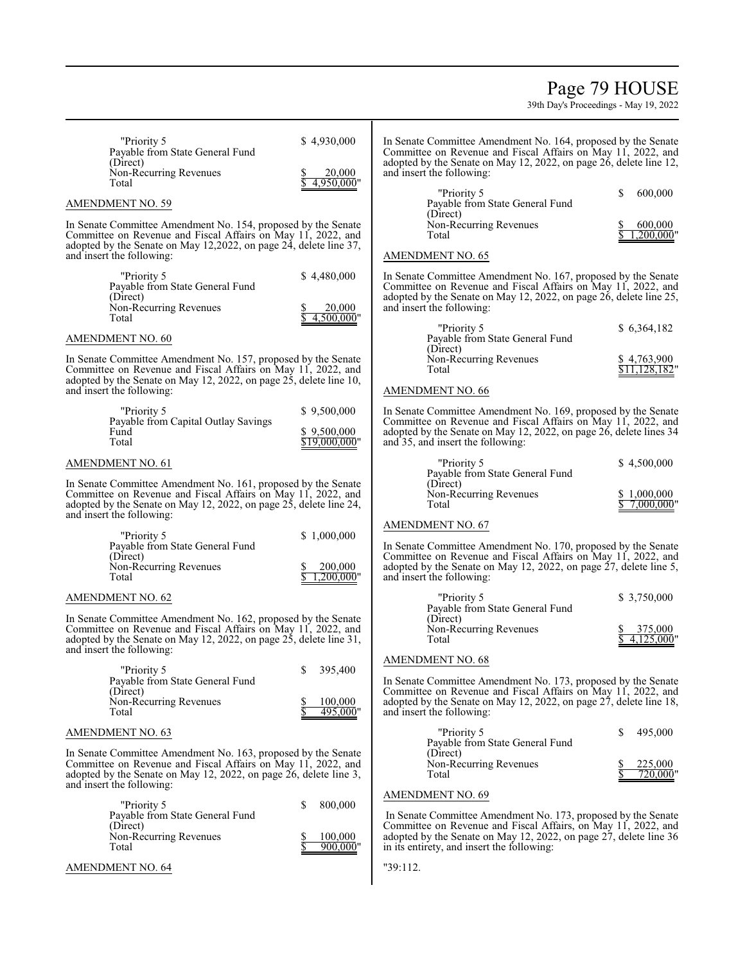### Page 79 HOUSE

| "Priority 5<br>Payable from State General Fund<br>(Direct)<br>Non-Recurring Revenues<br>Total                                                                                                                                                  | \$4,930,000<br>20,000<br>4,950,000"           | In Senate Committee Amendment No. 164, proposed by the Senate<br>Committee on Revenue and Fiscal Affairs on May 11, 2022, and<br>adopted by the Senate on May 12, 2022, on page 26, delete line 12,<br>and insert the following:                                             |                             |
|------------------------------------------------------------------------------------------------------------------------------------------------------------------------------------------------------------------------------------------------|-----------------------------------------------|------------------------------------------------------------------------------------------------------------------------------------------------------------------------------------------------------------------------------------------------------------------------------|-----------------------------|
| <b>AMENDMENT NO. 59</b>                                                                                                                                                                                                                        |                                               | "Priority 5<br>Payable from State General Fund                                                                                                                                                                                                                               | \$<br>600,000               |
| In Senate Committee Amendment No. 154, proposed by the Senate<br>Committee on Revenue and Fiscal Affairs on May 11, 2022, and<br>adopted by the Senate on May 12,2022, on page 24, delete line 37,<br>and insert the following:                |                                               | (Direct)<br>Non-Recurring Revenues<br>Total<br><b>AMENDMENT NO. 65</b>                                                                                                                                                                                                       | 600,000<br>.200,000"        |
| "Priority 5<br>Payable from State General Fund<br>(Direct)<br>Non-Recurring Revenues<br>Total                                                                                                                                                  | \$4,480,000<br>20,000<br>4.500.000"           | In Senate Committee Amendment No. 167, proposed by the Senate<br>Committee on Revenue and Fiscal Affairs on May 11, 2022, and<br>adopted by the Senate on May 12, 2022, on page 26, delete line 25,<br>and insert the following:                                             |                             |
| <b>AMENDMENT NO. 60</b>                                                                                                                                                                                                                        |                                               | "Priority 5<br>Payable from State General Fund                                                                                                                                                                                                                               | \$6,364,182                 |
| In Senate Committee Amendment No. 157, proposed by the Senate<br>Committee on Revenue and Fiscal Affairs on May 11, 2022, and<br>adopted by the Senate on May 12, 2022, on page 25, delete line 10,<br>and insert the following:               |                                               | (Direct)<br>Non-Recurring Revenues<br>Total<br>AMENDMENT NO. 66                                                                                                                                                                                                              | \$4,763,900<br>\$11,128,182 |
| "Priority 5<br>Payable from Capital Outlay Savings<br>Fund<br>Total                                                                                                                                                                            | \$9,500,000<br>\$9,500,000<br>$$19,000,000$ " | In Senate Committee Amendment No. 169, proposed by the Senate<br>Committee on Revenue and Fiscal Affairs on May 11, 2022, and<br>adopted by the Senate on May 12, 2022, on page 26, delete lines 34<br>and 35, and insert the following:                                     |                             |
| <b>AMENDMENT NO. 61</b>                                                                                                                                                                                                                        |                                               | "Priority 5<br>Payable from State General Fund                                                                                                                                                                                                                               | \$4,500,000                 |
| In Senate Committee Amendment No. 161, proposed by the Senate<br>Committee on Revenue and Fiscal Affairs on May 11, 2022, and<br>adopted by the Senate on May 12, 2022, on page 25, delete line 24,<br>and insert the following:               |                                               | (Direct)<br>Non-Recurring Revenues<br>Total                                                                                                                                                                                                                                  | \$1,000,000<br>7,000,000    |
| "Priority 5<br>Payable from State General Fund<br>(Direct)<br>Non-Recurring Revenues<br>Total                                                                                                                                                  | \$1,000,000<br>200,000<br>.200.000"           | <b>AMENDMENT NO. 67</b><br>In Senate Committee Amendment No. 170, proposed by the Senate<br>Committee on Revenue and Fiscal Affairs on May 11, 2022, and<br>adopted by the Senate on May 12, 2022, on page 27, delete line 5,<br>and insert the following:                   |                             |
| <b>AMENDMENT NO. 62</b>                                                                                                                                                                                                                        |                                               | "Priority 5<br>Payable from State General Fund                                                                                                                                                                                                                               | \$3,750,000                 |
| In Senate Committee Amendment No. 162, proposed by the Senate<br>Committee on Revenue and Fiscal Affairs on May 11, 2022, and<br>adopted by the Senate on May 12, 2022, on page $2\overline{5}$ , delete line 31,<br>and insert the following: |                                               | (Direct)<br>Non-Recurring Revenues<br>Total                                                                                                                                                                                                                                  | 375,000<br>4.125.000'       |
| "Priority 5<br>Payable from State General Fund<br>(Direct)<br>Non-Recurring Revenues<br>Total                                                                                                                                                  | \$<br>395,400<br>100,000<br>495,000"          | <b>AMENDMENT NO. 68</b><br>In Senate Committee Amendment No. 173, proposed by the Senate<br>Committee on Revenue and Fiscal Affairs on May 11, 2022, and<br>adopted by the Senate on May 12, 2022, on page 27, delete line 18,<br>and insert the following:                  |                             |
| <b>AMENDMENT NO. 63</b>                                                                                                                                                                                                                        |                                               | "Priority 5<br>Payable from State General Fund                                                                                                                                                                                                                               | \$<br>495,000               |
| In Senate Committee Amendment No. 163, proposed by the Senate<br>Committee on Revenue and Fiscal Affairs on May 11, 2022, and<br>adopted by the Senate on May 12, 2022, on page 26, delete line 3,<br>and insert the following:                |                                               | (Direct)<br>Non-Recurring Revenues<br>Total                                                                                                                                                                                                                                  | 225,000<br>720,000"         |
| "Priority 5<br>Payable from State General Fund<br>(Direct)<br>Non-Recurring Revenues<br>Total                                                                                                                                                  | 800,000<br>S<br>100,000<br>$900,000$ "        | <b>AMENDMENT NO. 69</b><br>In Senate Committee Amendment No. 173, proposed by the Senate<br>Committee on Revenue and Fiscal Affairs, on May 11, 2022, and<br>adopted by the Senate on May 12, 2022, on page 27, delete line 36<br>in its entirety, and insert the following: |                             |
| <b>AMENDMENT NO. 64</b>                                                                                                                                                                                                                        |                                               | "39:112.                                                                                                                                                                                                                                                                     |                             |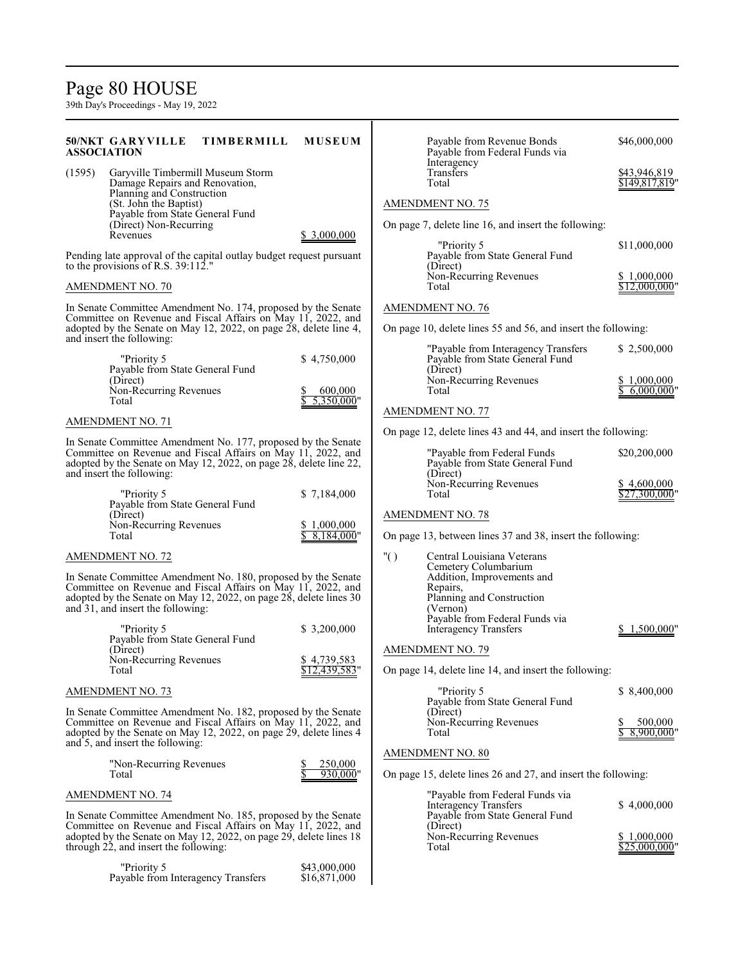### Page 80 HOUSE

39th Day's Proceedings - May 19, 2022

#### **50/NKT GARYVILLE TIMBERMILL MUSEUM ASSOCIATION** (1595) Garyville Timbermill Museum Storm Damage Repairs and Renovation, Planning and Construction (St. John the Baptist) Payable from State General Fund (Direct) Non-Recurring Revenues \$ 3,000,000 Pending late approval of the capital outlay budget request pursuant to the provisions of R.S. 39:112." AMENDMENT NO. 70 In Senate Committee Amendment No. 174, proposed by the Senate Committee on Revenue and Fiscal Affairs on May 11, 2022, and adopted by the Senate on May 12, 2022, on page 28, delete line 4, and insert the following: "Priority 5 \$4,750,000 Payable from State General Fund (Direct) Non-Recurring Revenues  $\begin{array}{r} 8600,000 \\ \text{Total} \end{array}$ 5,350,000" AMENDMENT NO. 71 In Senate Committee Amendment No. 177, proposed by the Senate Committee on Revenue and Fiscal Affairs on May 11, 2022, and adopted by the Senate on May 12, 2022, on page 28, delete line 22, and insert the following: "Priority 5 \$ 7,184,000 Payable from State General Fund (Direct) Non-Recurring Revenues  $\frac{$1,000,000}{\$8,184,000}$ <br>Total  $8,184,000$ " AMENDMENT NO. 72 In Senate Committee Amendment No. 180, proposed by the Senate Committee on Revenue and Fiscal Affairs on May 11, 2022, and adopted by the Senate on May 12, 2022, on page 28, delete lines 30 and 31, and insert the following: "Priority 5 \$ 3,200,000 Payable from State General Fund (Direct) Non-Recurring Revenues  $\frac{$4,739,583}{12,439,583}$  $$12,439,583$ " AMENDMENT NO. 73 In Senate Committee Amendment No. 182, proposed by the Senate Committee on Revenue and Fiscal Affairs on May 11, 2022, and adopted by the Senate on May 12, 2022, on page 29, delete lines 4 and 5, and insert the following: "Non-Recurring Revenues  $\frac{\$}{\$}$  250,000<br>Total  $\frac{\$}{\$}$  930,000  $930,000$ " AMENDMENT NO. 74 In Senate Committee Amendment No. 185, proposed by the Senate Committee on Revenue and Fiscal Affairs on May 11, 2022, and adopted by the Senate on May 12, 2022, on page 29, delete lines 18 through 22, and insert the following: Payable from Revenue Bonds \$46,000,000 Payable from Federal Funds via Interagency<br>Transfers Transfers 543,946,819<br>Total 5149.817.819  $$149,817,819"$ AMENDMENT NO. 75 On page 7, delete line 16, and insert the following: "Priority 5 \$11,000,000 Payable from State General Fund (Direct) Non-Recurring Revenues  $\frac{\$ 1,000,000}{\$ 12,000,000}$  $$12,000,000$ " AMENDMENT NO. 76 On page 10, delete lines 55 and 56, and insert the following: "Payable from Interagency Transfers \$ 2,500,000 Payable from State General Fund (Direct) Non-Recurring Revenues  $\frac{$1,000,000}{\$6,000,000}$  $$6,000,000"$ AMENDMENT NO. 77 On page 12, delete lines 43 and 44, and insert the following: "Payable from Federal Funds \$20,200,000 Payable from State General Fund (Direct) Non-Recurring Revenues  $\frac{$4,600,000}{\$27,300,000}$  $$27,300,000$ " AMENDMENT NO. 78 On page 13, between lines 37 and 38, insert the following: "( ) Central Louisiana Veterans Cemetery Columbarium Addition, Improvements and Repairs, Planning and Construction (Vernon) Payable from Federal Funds via Interagency Transfers \$ 1,500,000" AMENDMENT NO. 79 On page 14, delete line 14, and insert the following: "Priority 5 \$ 8,400,000 Payable from State General Fund (Direct) Non-Recurring Revenues  $\frac{$8,00,000}{$8,000,000}$  $8,900,000$ " AMENDMENT NO. 80 On page 15, delete lines 26 and 27, and insert the following: "Payable from Federal Funds via Interagency Transfers \$ 4,000,000 Payable from State General Fund (Direct) Non-Recurring Revenues  $\frac{$1,000,000}{\$25,000,000}$  $$25,000,000"$

Priority 5 <br>yable from Interagency Transfers \$16,871,000

Payable from Interagency Transfers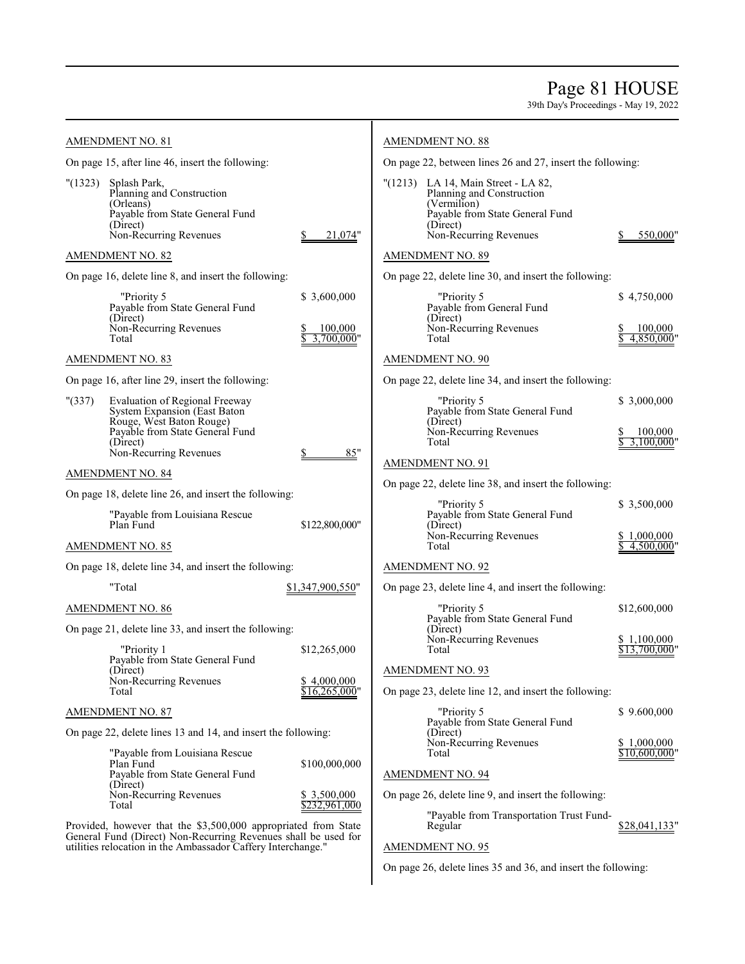### Page 81 HOUSE

39th Day's Proceedings - May 19, 2022

| <b>AMENDMENT NO. 81</b>                                                                                                                                                                          |                                      | <b>AMENDMENT NO. 88</b>                                                                                                                                  |                                         |
|--------------------------------------------------------------------------------------------------------------------------------------------------------------------------------------------------|--------------------------------------|----------------------------------------------------------------------------------------------------------------------------------------------------------|-----------------------------------------|
| On page 15, after line 46, insert the following:                                                                                                                                                 |                                      | On page 22, between lines 26 and 27, insert the following:                                                                                               |                                         |
| "(1323)<br>Splash Park,<br>Planning and Construction<br>(Orleans)<br>Payable from State General Fund<br>(Direct)<br>Non-Recurring Revenues                                                       | 21,074"                              | "(1213) LA 14, Main Street - LA 82,<br>Planning and Construction<br>(Vermilion)<br>Payable from State General Fund<br>(Direct)<br>Non-Recurring Revenues | 550,000                                 |
| <b>AMENDMENT NO. 82</b>                                                                                                                                                                          |                                      | <b>AMENDMENT NO. 89</b>                                                                                                                                  |                                         |
| On page 16, delete line 8, and insert the following:                                                                                                                                             |                                      | On page 22, delete line 30, and insert the following:                                                                                                    |                                         |
| "Priority 5<br>Payable from State General Fund<br>(Direct)<br>Non-Recurring Revenues<br>Total                                                                                                    | \$3,600,000<br>100,000<br>3.700.000" | "Priority 5<br>Payable from General Fund<br>(Direct)<br>Non-Recurring Revenues<br>Total                                                                  | \$4,750,000<br>100,000<br>4.850.000     |
| <b>AMENDMENT NO. 83</b>                                                                                                                                                                          |                                      | <b>AMENDMENT NO. 90</b>                                                                                                                                  |                                         |
| On page 16, after line 29, insert the following:                                                                                                                                                 |                                      | On page 22, delete line 34, and insert the following:                                                                                                    |                                         |
| " (337)<br><b>Evaluation of Regional Freeway</b><br>System Expansion (East Baton)<br>Rouge, West Baton Rouge)<br>Payable from State General Fund                                                 |                                      | "Priority 5<br>Payable from State General Fund<br>(Direct)<br>Non-Recurring Revenues                                                                     | \$3,000,000<br>100,000                  |
| (Direct)<br>Non-Recurring Revenues                                                                                                                                                               | 85"                                  | Total                                                                                                                                                    | 3,100,000                               |
| AMENDMENT NO. 84                                                                                                                                                                                 |                                      | <b>AMENDMENT NO. 91</b>                                                                                                                                  |                                         |
| On page 18, delete line 26, and insert the following:                                                                                                                                            |                                      | On page 22, delete line 38, and insert the following:                                                                                                    |                                         |
| "Payable from Louisiana Rescue<br>Plan Fund<br><b>AMENDMENT NO. 85</b>                                                                                                                           | \$122,800,000"                       | "Priority 5<br>Payable from State General Fund<br>(Direct)<br>Non-Recurring Revenues<br>Total                                                            | \$3,500,000<br>\$1,000,000<br>4,500,000 |
| On page 18, delete line 34, and insert the following:                                                                                                                                            |                                      | <b>AMENDMENT NO. 92</b>                                                                                                                                  |                                         |
| "Total                                                                                                                                                                                           | \$1,347,900,550"                     | On page 23, delete line 4, and insert the following:                                                                                                     |                                         |
|                                                                                                                                                                                                  |                                      | "Priority 5                                                                                                                                              | \$12,600,000                            |
| AMENDMENT NO. 86<br>On page 21, delete line 33, and insert the following:                                                                                                                        |                                      | Payable from State General Fund<br>(Direct)<br>Non-Recurring Revenues                                                                                    | \$1,100,000                             |
| "Priority 1<br>Payable from State General Fund<br>(Direct)                                                                                                                                       | \$12,265,000                         | Total<br><b>AMENDMENT NO. 93</b>                                                                                                                         | \$13,700,000'                           |
| Non-Recurring Revenues<br>Total                                                                                                                                                                  | \$4,000,000<br>\$16,265,000"         | On page 23, delete line 12, and insert the following:                                                                                                    |                                         |
| <b>AMENDMENT NO. 87</b>                                                                                                                                                                          |                                      | "Priority 5                                                                                                                                              | \$9.600,000                             |
| On page 22, delete lines 13 and 14, and insert the following:                                                                                                                                    |                                      | Payable from State General Fund<br>(Direct)<br>Non-Recurring Revenues                                                                                    | \$1,000,000                             |
| "Payable from Louisiana Rescue<br>Plan Fund                                                                                                                                                      | \$100,000,000                        | Total                                                                                                                                                    | \$10.600.000"                           |
| Payable from State General Fund<br>(Direct)                                                                                                                                                      |                                      | <b>AMENDMENT NO. 94</b>                                                                                                                                  |                                         |
| Non-Recurring Revenues<br>Total                                                                                                                                                                  | \$ 3,500,000<br>\$232,961,000        | On page 26, delete line 9, and insert the following:                                                                                                     |                                         |
| Provided, however that the \$3,500,000 appropriated from State<br>General Fund (Direct) Non-Recurring Revenues shall be used for<br>utilities relocation in the Ambassador Caffery Interchange." |                                      | "Payable from Transportation Trust Fund-<br>Regular<br><b>AMENDMENT NO. 95</b>                                                                           | \$28,041,133"                           |

On page 26, delete lines 35 and 36, and insert the following: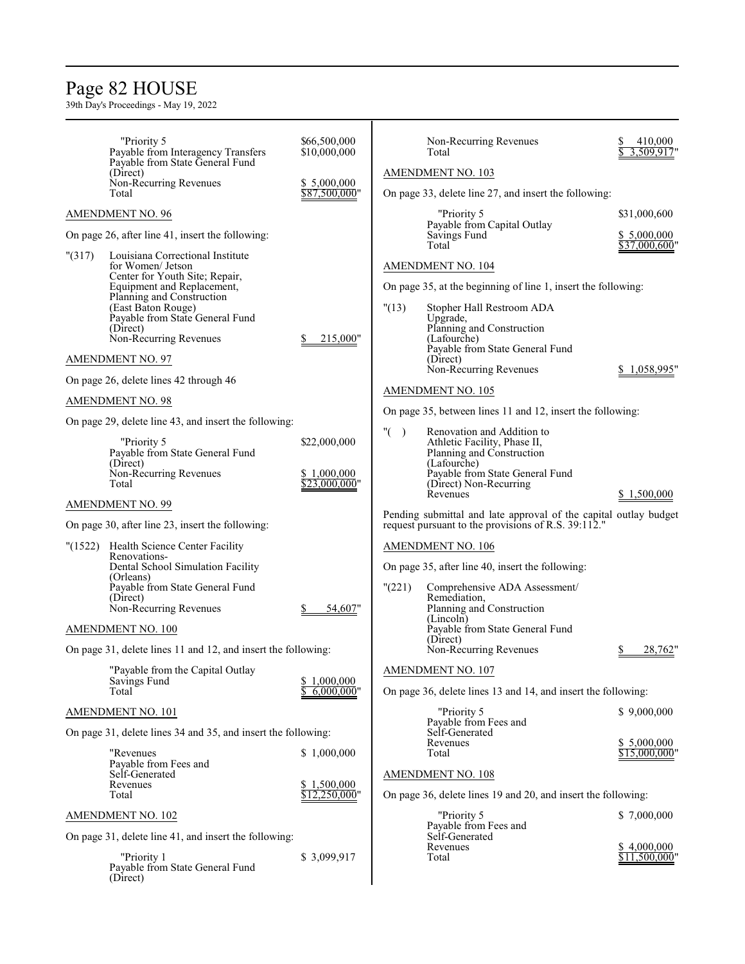### Page 82 HOUSE

|        | "Priority 5<br>Payable from Interagency Transfers<br>Payable from State General Fund | \$66,500,000<br>\$10,000,000 |         | Non-Recurring Revenues<br>Total                                       | 410,000<br>3,509,917"         |
|--------|--------------------------------------------------------------------------------------|------------------------------|---------|-----------------------------------------------------------------------|-------------------------------|
|        | (Direct)                                                                             |                              |         | <b>AMENDMENT NO. 103</b>                                              |                               |
|        | Non-Recurring Revenues<br>Total                                                      | \$5,000,000<br>\$87,500,000" |         | On page 33, delete line 27, and insert the following:                 |                               |
|        | <b>AMENDMENT NO. 96</b>                                                              |                              |         | "Priority 5                                                           | \$31,000,600                  |
|        | On page 26, after line 41, insert the following:                                     |                              |         | Payable from Capital Outlay<br>Savings Fund<br>Total                  | \$ 5,000,000<br>\$37,000,600" |
| "(317) | Louisiana Correctional Institute<br>for Women/ Jetson                                |                              |         | AMENDMENT NO. 104                                                     |                               |
|        | Center for Youth Site; Repair,<br>Equipment and Replacement,                         |                              |         | On page 35, at the beginning of line 1, insert the following:         |                               |
|        | Planning and Construction                                                            |                              |         |                                                                       |                               |
|        | (East Baton Rouge)<br>Payable from State General Fund                                |                              | "(13)   | Stopher Hall Restroom ADA<br>Upgrade,                                 |                               |
|        | (Direct)<br>Non-Recurring Revenues                                                   | 215,000"                     |         | Planning and Construction<br>(Lafourche)                              |                               |
|        | <b>AMENDMENT NO. 97</b>                                                              |                              |         | Payable from State General Fund<br>(Direct)                           |                               |
|        | On page 26, delete lines 42 through 46                                               |                              |         | Non-Recurring Revenues                                                | \$1,058,995"                  |
|        | <b>AMENDMENT NO. 98</b>                                                              |                              |         | AMENDMENT NO. 105                                                     |                               |
|        | On page 29, delete line 43, and insert the following:                                |                              |         | On page 35, between lines 11 and 12, insert the following:            |                               |
|        | "Priority 5                                                                          | \$22,000,000                 | " $($ ) | Renovation and Addition to<br>Athletic Facility, Phase II,            |                               |
|        | Payable from State General Fund<br>(Direct)                                          |                              |         | Planning and Construction<br>(Lafourche)                              |                               |
|        | Non-Recurring Revenues<br>Total                                                      | \$1,000,000<br>\$23,000,000" |         | Payable from State General Fund<br>(Direct) Non-Recurring<br>Revenues | \$1,500,000                   |
|        | <b>AMENDMENT NO. 99</b>                                                              |                              |         | Pending submittal and late approval of the capital outlay budget      |                               |
|        | On page 30, after line 23, insert the following:                                     |                              |         | request pursuant to the provisions of R.S. 39:112."                   |                               |
|        | "(1522) Health Science Center Facility                                               |                              |         | AMENDMENT NO. 106                                                     |                               |
|        | Renovations-<br>Dental School Simulation Facility<br>(Orleans)                       |                              |         | On page 35, after line 40, insert the following:                      |                               |
|        | Payable from State General Fund<br>(Direct)                                          |                              | "(221)  | Comprehensive ADA Assessment/<br>Remediation,                         |                               |
|        | Non-Recurring Revenues                                                               | 54,607"                      |         | Planning and Construction                                             |                               |
|        | <b>AMENDMENT NO. 100</b>                                                             |                              |         | (Lincoln)<br>Payable from State General Fund                          |                               |
|        | On page 31, delete lines 11 and 12, and insert the following:                        |                              |         | (Direct)<br>Non-Recurring Revenues                                    | 28,762                        |
|        | "Payable from the Capital Outlay                                                     |                              |         | <b>AMENDMENT NO. 107</b>                                              |                               |
|        | Savings Fund<br>Total                                                                | \$1,000,000<br>6,000,000"    |         | On page 36, delete lines 13 and 14, and insert the following:         |                               |
|        | AMENDMENT NO. 101                                                                    |                              |         | "Priority 5                                                           | \$9,000,000                   |
|        | On page 31, delete lines 34 and 35, and insert the following:                        |                              |         | Payable from Fees and<br>Self-Generated                               |                               |
|        | "Revenues                                                                            | \$1,000,000                  |         | Revenues<br>Total                                                     | \$5,000,000<br>\$15,000,000"  |
|        | Payable from Fees and<br>Self-Generated                                              |                              |         | <b>AMENDMENT NO. 108</b>                                              |                               |
|        | Revenues                                                                             | \$1,500,000                  |         |                                                                       |                               |
|        | Total                                                                                | \$12,250,000"                |         | On page 36, delete lines 19 and 20, and insert the following:         |                               |
|        | <b>AMENDMENT NO. 102</b>                                                             |                              |         | "Priority 5<br>Payable from Fees and                                  | \$7,000,000                   |
|        | On page 31, delete line 41, and insert the following:                                |                              |         | Self-Generated<br>Revenues                                            | \$4,000,000                   |
|        | "Priority 1<br>Payable from State General Fund<br>(Direct)                           | \$3,099,917                  |         | Total                                                                 | $$11,500,000$ "               |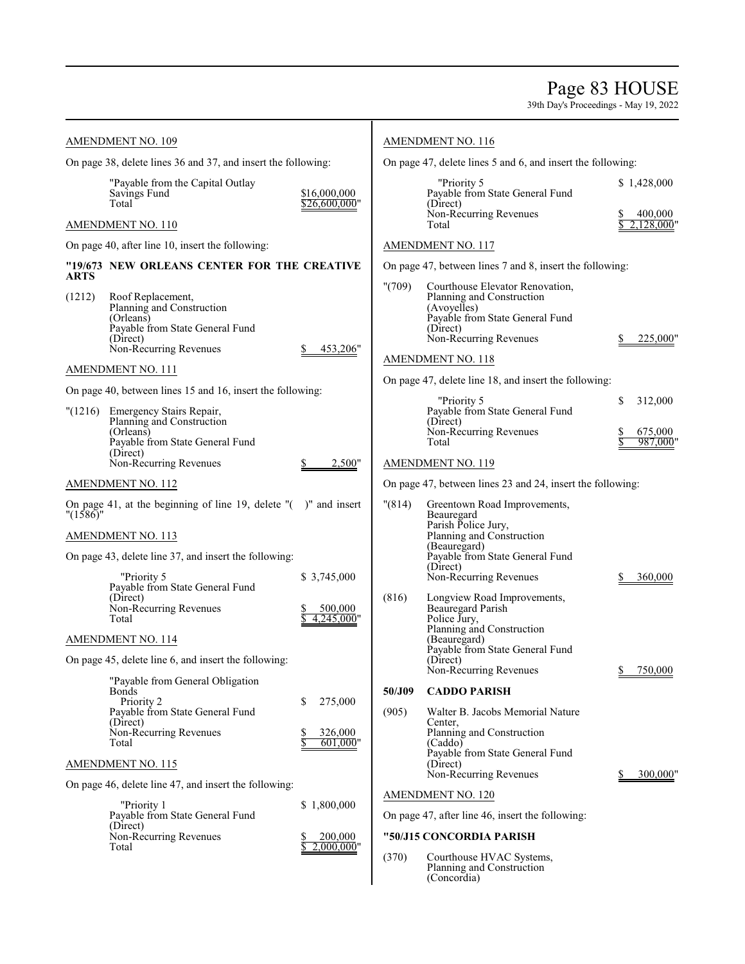### Page 83 HOUSE

|                         | <b>AMENDMENT NO. 109</b>                                                                                                                  |                                         |                 | <b>AMENDMENT NO. 116</b>                                                                                                                                   |                          |
|-------------------------|-------------------------------------------------------------------------------------------------------------------------------------------|-----------------------------------------|-----------------|------------------------------------------------------------------------------------------------------------------------------------------------------------|--------------------------|
|                         | On page 38, delete lines 36 and 37, and insert the following:                                                                             |                                         |                 | On page 47, delete lines 5 and 6, and insert the following:                                                                                                |                          |
|                         | "Payable from the Capital Outlay<br>Savings Fund<br>Total                                                                                 | \$16,000,000<br>\$26,600,000"           |                 | "Priority 5<br>Payable from State General Fund<br>(Direct)                                                                                                 | \$1,428,000              |
|                         | AMENDMENT NO. 110                                                                                                                         |                                         |                 | Non-Recurring Revenues<br>Total                                                                                                                            | 400,000<br>2,128,000     |
|                         | On page 40, after line 10, insert the following:                                                                                          |                                         |                 | <b>AMENDMENT NO. 117</b>                                                                                                                                   |                          |
|                         | "19/673 NEW ORLEANS CENTER FOR THE CREATIVE                                                                                               |                                         |                 | On page 47, between lines 7 and 8, insert the following:                                                                                                   |                          |
| ARTS<br>(1212)          | Roof Replacement,<br>Planning and Construction<br>(Orleans)<br>Payable from State General Fund<br>(Direct)<br>Non-Recurring Revenues      | 453,206"                                | "(709)          | Courthouse Elevator Renovation,<br>Planning and Construction<br>(Avoyelles)<br>Payable from State General Fund<br>(Direct)<br>Non-Recurring Revenues       | 225,000"                 |
|                         | AMENDMENT NO. 111                                                                                                                         |                                         |                 | AMENDMENT NO. 118                                                                                                                                          |                          |
|                         | On page 40, between lines 15 and 16, insert the following:                                                                                |                                         |                 | On page 47, delete line 18, and insert the following:                                                                                                      |                          |
| "(1216)                 | Emergency Stairs Repair,<br>Planning and Construction<br>(Orleans)                                                                        |                                         |                 | "Priority 5<br>Payable from State General Fund<br>(Direct)<br>Non-Recurring Revenues                                                                       | \$<br>312,000<br>675,000 |
|                         | Payable from State General Fund<br>(Direct)                                                                                               |                                         |                 | Total                                                                                                                                                      | 987,000                  |
|                         | Non-Recurring Revenues                                                                                                                    | 2,500"                                  |                 | AMENDMENT NO. 119                                                                                                                                          |                          |
|                         | AMENDMENT NO. 112                                                                                                                         |                                         |                 | On page 47, between lines 23 and 24, insert the following:                                                                                                 |                          |
| $"$ (1586) <sup>"</sup> | On page 41, at the beginning of line 19, delete $"$ ( $"$ )" and insert                                                                   |                                         | "(814)          | Greentown Road Improvements,<br>Beauregard<br>Parish Police Jury,                                                                                          |                          |
|                         | AMENDMENT NO. 113                                                                                                                         |                                         |                 | Planning and Construction<br>(Beauregard)                                                                                                                  |                          |
|                         | On page 43, delete line 37, and insert the following:                                                                                     |                                         |                 | Payable from State General Fund<br>(Direct)                                                                                                                |                          |
|                         | "Priority 5<br>Payable from State General Fund<br>(Direct)<br>Non-Recurring Revenues                                                      | \$ 3,745,000<br>500,000                 | (816)           | Non-Recurring Revenues<br>Longview Road Improvements,<br>Beauregard Parish                                                                                 | 360,000                  |
|                         | Total<br>AMENDMENT NO. 114                                                                                                                | 4,245,000"                              |                 | Police Jury,<br>Planning and Construction<br>(Beauregard)                                                                                                  |                          |
|                         | On page 45, delete line 6, and insert the following:                                                                                      |                                         |                 | Payable from State General Fund<br>(Direct)<br>Non-Recurring Revenues                                                                                      | 750,000                  |
|                         | "Payable from General Obligation<br>Bonds<br>Priority 2<br>Payable from State General Fund<br>(Direct)<br>Non-Recurring Revenues<br>Total | \$<br>275,000<br>326,000<br>$601,000$ " | 50/J09<br>(905) | <b>CADDO PARISH</b><br>Walter B. Jacobs Memorial Nature<br>Center.<br>Planning and Construction<br>(Caddo)<br>Payable from State General Fund              | $\overline{p}$           |
|                         | AMENDMENT NO. 115                                                                                                                         |                                         |                 | (Direct)                                                                                                                                                   |                          |
|                         | On page 46, delete line 47, and insert the following:                                                                                     |                                         |                 | Non-Recurring Revenues                                                                                                                                     | 300,000"                 |
|                         | "Priority 1<br>Payable from State General Fund<br>(Direct)<br>Non-Recurring Revenues<br>Total                                             | \$1,800,000<br>200,000<br>2.000.000"    | (370)           | AMENDMENT NO. 120<br>On page 47, after line 46, insert the following:<br>"50/J15 CONCORDIA PARISH<br>Courthouse HVAC Systems,<br>Planning and Construction |                          |
|                         |                                                                                                                                           |                                         |                 | (Concordia)                                                                                                                                                |                          |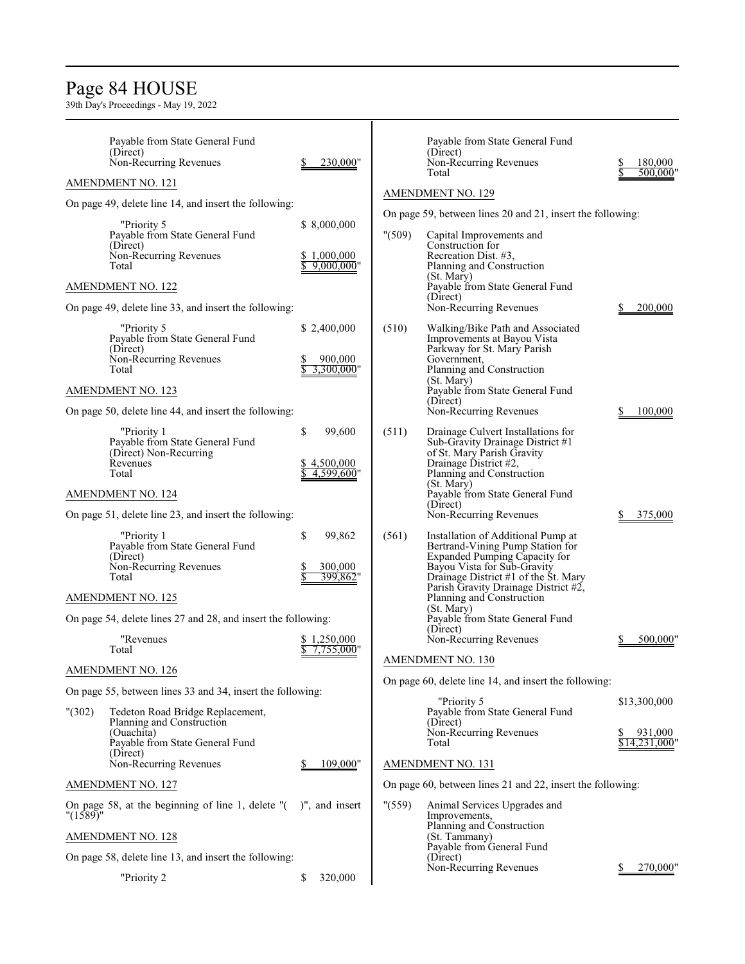### Page 84 HOUSE

|          | Payable from State General Fund<br>(Direct)<br>Non-Recurring Revenues                                                      | 230,000"                                    |         | Payable from State General Fund<br>(Direct)<br>Non-Recurring Revenues                                                                                                                                                                               | 180,000                                  |
|----------|----------------------------------------------------------------------------------------------------------------------------|---------------------------------------------|---------|-----------------------------------------------------------------------------------------------------------------------------------------------------------------------------------------------------------------------------------------------------|------------------------------------------|
|          | AMENDMENT NO. 121                                                                                                          |                                             |         | Total                                                                                                                                                                                                                                               | 500,000'                                 |
|          | On page 49, delete line 14, and insert the following:                                                                      |                                             |         | <b>AMENDMENT NO. 129</b>                                                                                                                                                                                                                            |                                          |
|          | "Priority 5<br>Payable from State General Fund<br>(Direct)<br>Non-Recurring Revenues<br>Total                              | \$8,000,000<br>\$1,000,000<br>$9,000,000$ " | " (509) | On page 59, between lines 20 and 21, insert the following:<br>Capital Improvements and<br>Construction for<br>Recreation Dist. #3,<br>Planning and Construction<br>(St. Mary)                                                                       |                                          |
|          | <b>AMENDMENT NO. 122</b>                                                                                                   |                                             |         | Payable from State General Fund<br>(Direct)                                                                                                                                                                                                         |                                          |
|          | On page 49, delete line 33, and insert the following:                                                                      |                                             |         | Non-Recurring Revenues                                                                                                                                                                                                                              | 200,000                                  |
|          | "Priority 5<br>Payable from State General Fund<br>(Direct)<br>Non-Recurring Revenues<br>Total<br><b>AMENDMENT NO. 123</b>  | \$2,400,000<br>900,000<br>3,300,000"        | (510)   | Walking/Bike Path and Associated<br>Improvements at Bayou Vista<br>Parkway for St. Mary Parish<br>Government,<br>Planning and Construction<br>(St. Mary)<br>Payable from State General Fund<br>(Direct)                                             |                                          |
|          | On page 50, delete line 44, and insert the following:                                                                      |                                             |         | Non-Recurring Revenues                                                                                                                                                                                                                              | 100,000                                  |
|          | "Priority 1<br>Payable from State General Fund<br>(Direct) Non-Recurring<br>Revenues<br>Total                              | \$<br>99,600<br>\$4,500,000<br>4,599,600"   | (511)   | Drainage Culvert Installations for<br>Sub-Gravity Drainage District #1<br>of St. Mary Parish Gravity<br>Drainage District #2,<br>Planning and Construction<br>(St. Mary)                                                                            |                                          |
|          | <b>AMENDMENT NO. 124</b>                                                                                                   |                                             |         | Payable from State General Fund                                                                                                                                                                                                                     |                                          |
|          | On page 51, delete line 23, and insert the following:                                                                      |                                             |         | (Direct)<br>Non-Recurring Revenues                                                                                                                                                                                                                  | 375,000                                  |
|          | "Priority 1<br>Payable from State General Fund<br>(Direct)<br>Non-Recurring Revenues<br>Total<br><b>AMENDMENT NO. 125</b>  | \$<br>99,862<br>300,000<br>399,862"         | (561)   | Installation of Additional Pump at<br>Bertrand-Vining Pump Station for<br>Expanded Pumping Capacity for<br>Bayou Vista for Sub-Gravity<br>Drainage District #1 of the St. Mary<br>Parish Gravity Drainage District #2,<br>Planning and Construction |                                          |
|          | On page 54, delete lines 27 and 28, and insert the following:                                                              |                                             |         | (St. Mary)<br>Payable from State General Fund                                                                                                                                                                                                       |                                          |
|          | "Revenues<br>Total                                                                                                         | \$1,250,000<br>7,755,000"                   |         | (Direct)<br>Non-Recurring Revenues                                                                                                                                                                                                                  | 500,000"                                 |
|          | <b>AMENDMENT NO. 126</b>                                                                                                   |                                             |         | AMENDMENT NO. 130                                                                                                                                                                                                                                   |                                          |
|          | On page 55, between lines 33 and 34, insert the following:                                                                 |                                             |         | On page 60, delete line 14, and insert the following:                                                                                                                                                                                               |                                          |
| " (302)  | Tedeton Road Bridge Replacement,<br>Planning and Construction<br>(Ouachita)<br>Payable from State General Fund<br>(Direct) | 109,000"                                    |         | "Priority 5<br>Payable from State General Fund<br>(Direct)<br>Non-Recurring Revenues<br>Total                                                                                                                                                       | \$13,300,000<br>931,000<br>\$14,231,000" |
|          | Non-Recurring Revenues                                                                                                     |                                             |         | <b>AMENDMENT NO. 131</b>                                                                                                                                                                                                                            |                                          |
|          | <b>AMENDMENT NO. 127</b>                                                                                                   |                                             |         | On page 60, between lines 21 and 22, insert the following:                                                                                                                                                                                          |                                          |
| "(1589)" | On page 58, at the beginning of line 1, delete $"$ ( $"$ )", and insert                                                    |                                             | " (559) | Animal Services Upgrades and<br>Improvements,                                                                                                                                                                                                       |                                          |
|          | <b>AMENDMENT NO. 128</b>                                                                                                   |                                             |         | Planning and Construction<br>(St. Tammany)                                                                                                                                                                                                          |                                          |
|          | On page 58, delete line 13, and insert the following:                                                                      |                                             |         | Payable from General Fund<br>(Direct)                                                                                                                                                                                                               |                                          |
|          | "Priority 2                                                                                                                | \$<br>320,000                               |         | Non-Recurring Revenues                                                                                                                                                                                                                              | 270,000"                                 |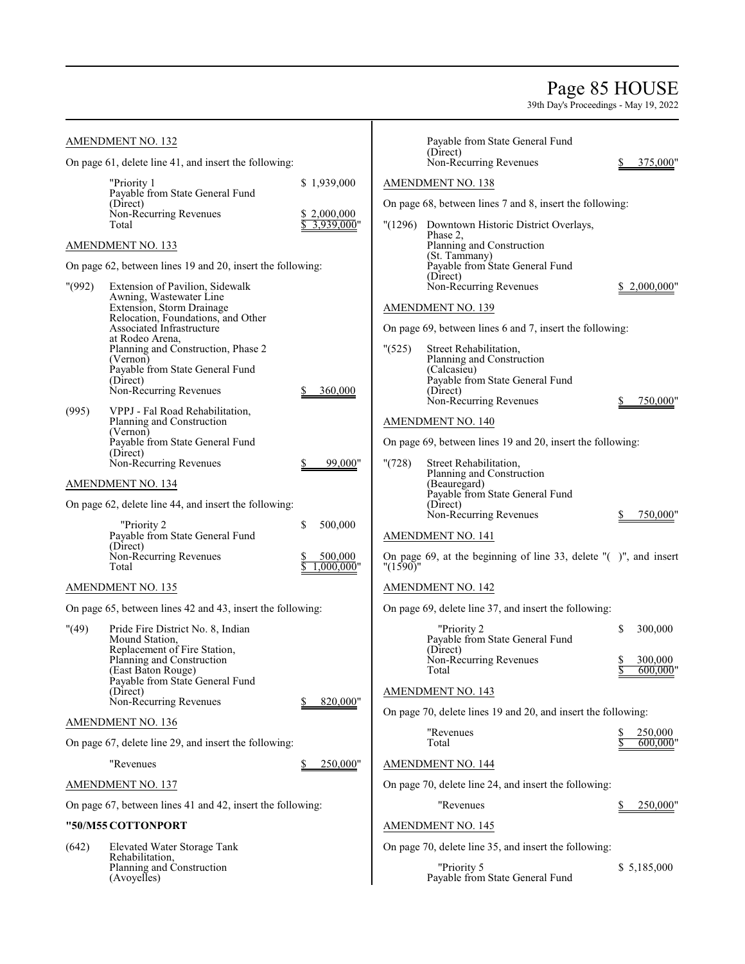### Page 85 HOUSE

|         | <b>AMENDMENT NO. 132</b>                                                                                         |                                          |          | Payable from State General Fund                                                                                               |                |                    |
|---------|------------------------------------------------------------------------------------------------------------------|------------------------------------------|----------|-------------------------------------------------------------------------------------------------------------------------------|----------------|--------------------|
|         | On page 61, delete line 41, and insert the following:                                                            |                                          |          | (Direct)<br>Non-Recurring Revenues                                                                                            |                | 375,000"           |
|         | "Priority 1<br>Payable from State General Fund<br>(Direct)<br>Non-Recurring Revenues<br>Total                    | \$1,939,000<br>\$2,000,000<br>3,939,000" |          | AMENDMENT NO. 138<br>On page 68, between lines 7 and 8, insert the following:<br>"(1296) Downtown Historic District Overlays, |                |                    |
|         | AMENDMENT NO. 133                                                                                                |                                          |          | Phase 2,<br>Planning and Construction                                                                                         |                |                    |
|         | On page 62, between lines 19 and 20, insert the following:                                                       |                                          |          | (St. Tammany)<br>Payable from State General Fund<br>(Direct)                                                                  |                |                    |
| " (992) | Extension of Pavilion, Sidewalk<br>Awning, Wastewater Line                                                       |                                          |          | Non-Recurring Revenues                                                                                                        |                | 2,000,000"         |
|         | Extension, Storm Drainage<br>Relocation, Foundations, and Other                                                  |                                          |          | <b>AMENDMENT NO. 139</b>                                                                                                      |                |                    |
|         | Associated Infrastructure                                                                                        |                                          |          | On page 69, between lines 6 and 7, insert the following:                                                                      |                |                    |
|         | at Rodeo Arena,<br>Planning and Construction, Phase 2<br>(Vernon)<br>Payable from State General Fund<br>(Direct) |                                          | " (525)  | Street Rehabilitation,<br>Planning and Construction<br>(Calcasieu)<br>Payable from State General Fund                         |                |                    |
|         | Non-Recurring Revenues                                                                                           | 360,000                                  |          | (Direct)<br>Non-Recurring Revenues                                                                                            |                | 750,000"           |
| (995)   | VPPJ - Fal Road Rehabilitation,<br>Planning and Construction<br>(Vernon)                                         |                                          |          | AMENDMENT NO. 140                                                                                                             |                |                    |
|         | Payable from State General Fund                                                                                  |                                          |          | On page 69, between lines 19 and 20, insert the following:                                                                    |                |                    |
|         | (Direct)<br>Non-Recurring Revenues                                                                               | 99,000"                                  | "(728)   | Street Rehabilitation,                                                                                                        |                |                    |
|         | <b>AMENDMENT NO. 134</b>                                                                                         |                                          |          | Planning and Construction<br>(Beauregard)                                                                                     |                |                    |
|         | On page 62, delete line 44, and insert the following:                                                            |                                          |          | Payable from State General Fund<br>(Direct)                                                                                   |                |                    |
|         | "Priority 2<br>Payable from State General Fund                                                                   | \$<br>500,000                            |          | Non-Recurring Revenues                                                                                                        |                | 750,000"           |
|         | (Direct)<br>Non-Recurring Revenues                                                                               |                                          |          | AMENDMENT NO. 141                                                                                                             |                |                    |
|         | Total                                                                                                            | 500,000<br>.000.000"                     | "(1590)" | On page 69, at the beginning of line 33, delete $"$ ( $"$ )", and insert                                                      |                |                    |
|         | <b>AMENDMENT NO. 135</b>                                                                                         |                                          |          | <b>AMENDMENT NO. 142</b>                                                                                                      |                |                    |
|         | On page 65, between lines 42 and 43, insert the following:                                                       |                                          |          | On page 69, delete line 37, and insert the following:                                                                         |                |                    |
| " (49)  | Pride Fire District No. 8, Indian<br>Mound Station,                                                              |                                          |          | "Priority 2<br>Payable from State General Fund                                                                                | \$             | 300,000            |
|         | Replacement of Fire Station,<br>Planning and Construction<br>(East Baton Rouge)                                  |                                          |          | (Direct)<br>Non-Recurring Revenues<br>1 otal                                                                                  | \$<br><u>ъ</u> | 300,000<br>600,000 |
|         | Payable from State General Fund<br>(Direct)                                                                      |                                          |          | <b>AMENDMENT NO. 143</b>                                                                                                      |                |                    |
|         | Non-Recurring Revenues                                                                                           | 820,000"                                 |          | On page 70, delete lines 19 and 20, and insert the following:                                                                 |                |                    |
|         | AMENDMENT NO. 136                                                                                                |                                          |          | "Revenues                                                                                                                     | \$             | 250,000            |
|         | On page 67, delete line 29, and insert the following:                                                            |                                          |          | Total                                                                                                                         |                | 600,000"           |
|         | "Revenues                                                                                                        | 250,000"                                 |          | AMENDMENT NO. 144                                                                                                             |                |                    |
|         | <b>AMENDMENT NO. 137</b>                                                                                         |                                          |          | On page 70, delete line 24, and insert the following:                                                                         |                |                    |
|         | On page 67, between lines 41 and 42, insert the following:                                                       |                                          |          | "Revenues"                                                                                                                    |                | 250,000"           |
|         | "50/M55 COTTONPORT                                                                                               |                                          |          | <b>AMENDMENT NO. 145</b>                                                                                                      |                |                    |
| (642)   | Elevated Water Storage Tank<br>Rehabilitation,                                                                   |                                          |          | On page 70, delete line 35, and insert the following:                                                                         |                |                    |
|         | Planning and Construction<br>(Avoyelles)                                                                         |                                          |          | "Priority 5<br>Payable from State General Fund                                                                                |                | \$5,185,000        |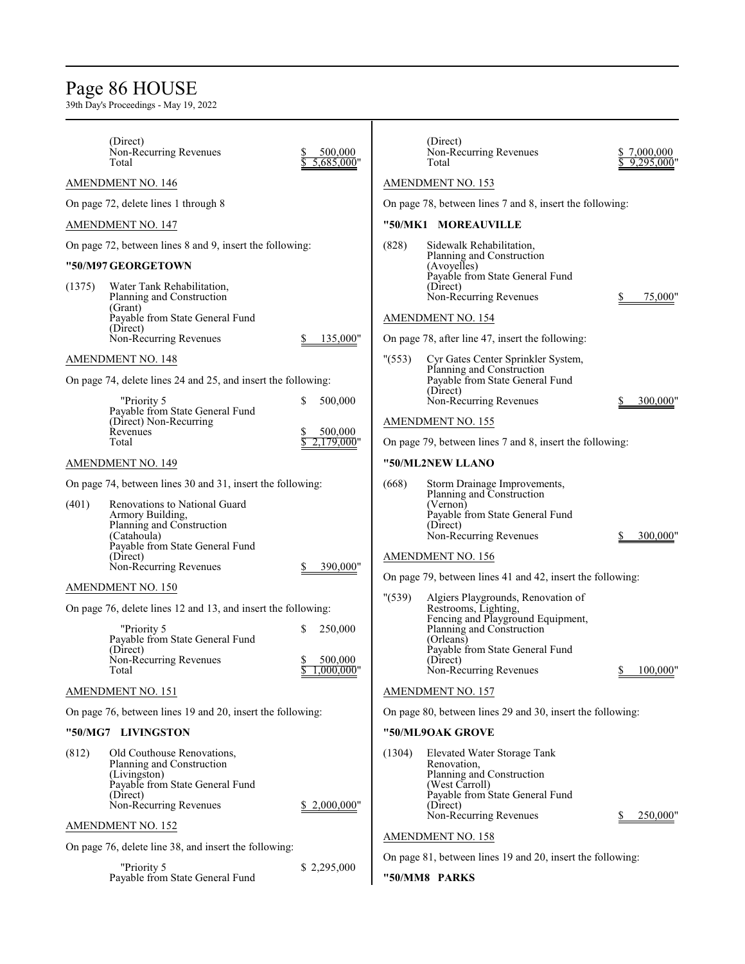# Page 86 HOUSE

39th Day's Proceedings - May 19, 2022

|        | (Direct)<br>Non-Recurring Revenues<br>Total                   | 500,000<br>5,685,000"    |         | (Direct)<br>Non-Recurring Revenues<br>Total                     | \$7,000,000<br>9.295.000' |  |
|--------|---------------------------------------------------------------|--------------------------|---------|-----------------------------------------------------------------|---------------------------|--|
|        | <b>AMENDMENT NO. 146</b>                                      |                          |         | <b>AMENDMENT NO. 153</b>                                        |                           |  |
|        | On page 72, delete lines 1 through 8                          |                          |         | On page 78, between lines 7 and 8, insert the following:        |                           |  |
|        | AMENDMENT NO. 147                                             |                          |         | "50/MK1 MOREAUVILLE                                             |                           |  |
|        | On page 72, between lines 8 and 9, insert the following:      |                          | (828)   | Sidewalk Rehabilitation,                                        |                           |  |
|        | "50/M97 GEORGETOWN                                            |                          |         | Planning and Construction<br>(Avoyelles)                        |                           |  |
| (1375) | Water Tank Rehabilitation,                                    |                          |         | Payable from State General Fund<br>(Direct)                     |                           |  |
|        | Planning and Construction<br>(Grant)                          |                          |         | Non-Recurring Revenues                                          | 75,000"                   |  |
|        | Payable from State General Fund<br>(Direct)                   |                          |         | <b>AMENDMENT NO. 154</b>                                        |                           |  |
|        | Non-Recurring Revenues                                        | 135,000"                 |         | On page 78, after line 47, insert the following:                |                           |  |
|        | AMENDMENT NO. 148                                             |                          | " (553) | Cyr Gates Center Sprinkler System,<br>Planning and Construction |                           |  |
|        | On page 74, delete lines 24 and 25, and insert the following: |                          |         | Payable from State General Fund<br>(Direct)                     |                           |  |
|        | "Priority 5                                                   | 500,000<br>\$            |         | Non-Recurring Revenues                                          | 300,000                   |  |
|        | Payable from State General Fund<br>(Direct) Non-Recurring     |                          |         | <b>AMENDMENT NO. 155</b>                                        |                           |  |
|        | Revenues<br>Total                                             | 500,000<br>$2,179,000$ " |         | On page 79, between lines 7 and 8, insert the following:        |                           |  |
|        | <b>AMENDMENT NO. 149</b>                                      |                          |         | "50/ML2NEW LLANO                                                |                           |  |
|        | On page 74, between lines 30 and 31, insert the following:    |                          | (668)   | Storm Drainage Improvements,                                    |                           |  |
| (401)  | Renovations to National Guard                                 |                          |         | Planning and Construction<br>(Vernon)                           |                           |  |
|        | Armory Building,<br>Planning and Construction                 |                          |         | Payable from State General Fund<br>(Direct)                     |                           |  |
|        | (Catahoula)<br>Payable from State General Fund                |                          |         | Non-Recurring Revenues                                          | 300,000"                  |  |
|        | (Direct)<br>Non-Recurring Revenues                            | 390,000"                 |         | <b>AMENDMENT NO. 156</b>                                        |                           |  |
|        | AMENDMENT NO. 150                                             |                          |         | On page 79, between lines 41 and 42, insert the following:      |                           |  |
|        | On page 76, delete lines 12 and 13, and insert the following: |                          | " (539) | Algiers Playgrounds, Renovation of<br>Restrooms, Lighting,      |                           |  |
|        | "Priority 5                                                   | 250,000<br>S             |         | Fencing and Playground Equipment,<br>Planning and Construction  |                           |  |
|        | Payable from State General Fund<br>(Direct)                   |                          |         | (Orleans)<br>Payable from State General Fund                    |                           |  |
|        | Non-Recurring Revenues<br>Total                               | 500,000                  |         | (Direct)                                                        |                           |  |
|        |                                                               | $1,000,000$ "            |         | Non-Recurring Revenues                                          | 100,000"                  |  |
|        | AMENDMENT NO. 151                                             |                          |         | <b>AMENDMENT NO. 157</b>                                        |                           |  |
|        | On page 76, between lines 19 and 20, insert the following:    |                          |         | On page 80, between lines 29 and 30, insert the following:      |                           |  |
|        | "50/MG7 LIVINGSTON                                            |                          |         | "50/ML9OAK GROVE                                                |                           |  |
| (812)  | Old Couthouse Renovations,<br>Planning and Construction       |                          | (1304)  | Elevated Water Storage Tank<br>Renovation,                      |                           |  |
|        | (Livingston)<br>Payable from State General Fund               |                          |         | Planning and Construction<br>(West Carroll)                     |                           |  |
|        | (Direct)<br>Non-Recurring Revenues                            | \$2,000,000"             |         | Payable from State General Fund<br>(Direct)                     |                           |  |
|        | <b>AMENDMENT NO. 152</b>                                      |                          |         | Non-Recurring Revenues                                          | 250,000"                  |  |
|        | On page 76, delete line 38, and insert the following:         |                          |         | <b>AMENDMENT NO. 158</b>                                        |                           |  |
|        | "Priority 5                                                   | \$2,295,000              |         | On page 81, between lines 19 and 20, insert the following:      |                           |  |
|        | Payable from State General Fund                               |                          |         | "50/MM8 PARKS                                                   |                           |  |
|        |                                                               |                          |         |                                                                 |                           |  |

Т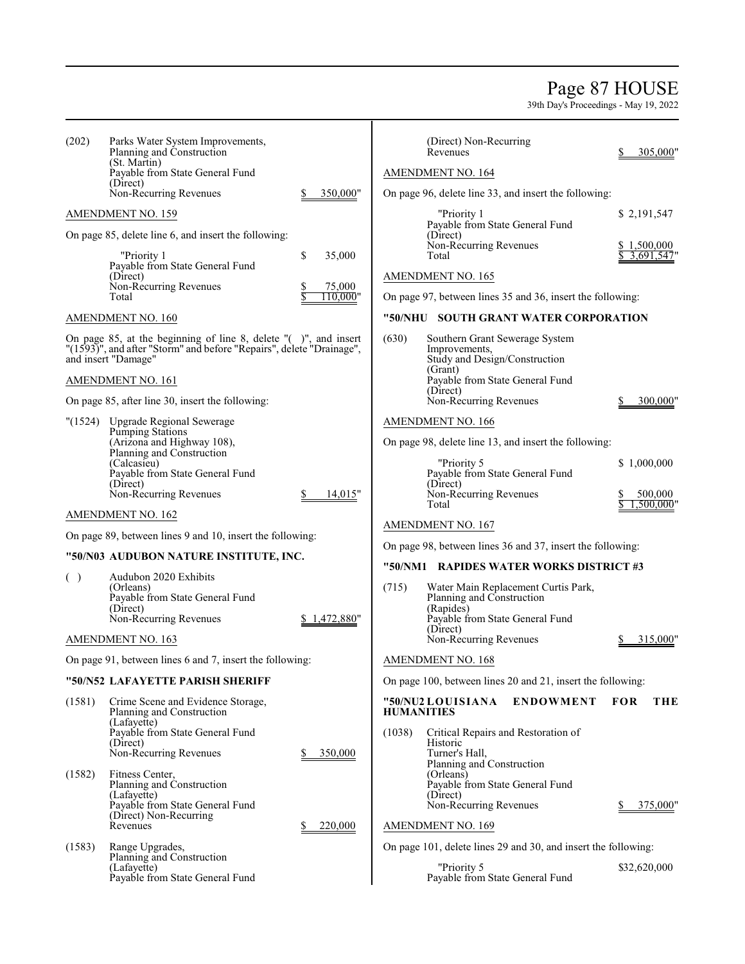### Page 87 HOUSE

| (202)   | Parks Water System Improvements,<br>Planning and Construction                                                                                                  |                    |        | (Direct) Non-Recurring<br>Revenues                                               |                                                                | 305,000"                 |  |
|---------|----------------------------------------------------------------------------------------------------------------------------------------------------------------|--------------------|--------|----------------------------------------------------------------------------------|----------------------------------------------------------------|--------------------------|--|
|         | (St. Martin)<br>Payable from State General Fund                                                                                                                |                    |        | AMENDMENT NO. 164                                                                |                                                                |                          |  |
|         | (Direct)<br>Non-Recurring Revenues                                                                                                                             | 350,000"           |        |                                                                                  | On page 96, delete line 33, and insert the following:          |                          |  |
|         | AMENDMENT NO. 159                                                                                                                                              |                    |        | "Priority 1                                                                      |                                                                | \$ 2,191,547             |  |
|         | On page 85, delete line 6, and insert the following:                                                                                                           |                    |        | Payable from State General Fund<br>(Direct)                                      |                                                                |                          |  |
|         | "Priority 1                                                                                                                                                    | \$<br>35,000       |        | Non-Recurring Revenues<br>Total                                                  |                                                                | \$1,500,000<br>3,691,547 |  |
|         | Payable from State General Fund<br>(Direct)                                                                                                                    |                    |        | <b>AMENDMENT NO. 165</b>                                                         |                                                                |                          |  |
|         | Non-Recurring Revenues<br>Total                                                                                                                                | 75,000<br>110.000" |        |                                                                                  | On page 97, between lines 35 and 36, insert the following:     |                          |  |
|         | AMENDMENT NO. 160                                                                                                                                              |                    |        |                                                                                  | "50/NHU SOUTH GRANT WATER CORPORATION                          |                          |  |
|         | On page 85, at the beginning of line 8, delete "()", and insert<br>"(1593)", and after "Storm" and before "Repairs", delete "Drainage",<br>and insert "Damage" |                    | (630)  | Southern Grant Sewerage System<br>Improvements,<br>Study and Design/Construction |                                                                |                          |  |
|         | AMENDMENT NO. 161                                                                                                                                              |                    |        | (Grant)<br>Payable from State General Fund                                       |                                                                |                          |  |
|         | On page 85, after line 30, insert the following:                                                                                                               |                    |        | (Direct)<br>Non-Recurring Revenues                                               |                                                                | 300,000"                 |  |
| "(1524) | <b>Upgrade Regional Sewerage</b>                                                                                                                               |                    |        | <b>AMENDMENT NO. 166</b>                                                         |                                                                |                          |  |
|         | <b>Pumping Stations</b><br>(Arizona and Highway 108),                                                                                                          |                    |        |                                                                                  | On page 98, delete line 13, and insert the following:          |                          |  |
|         | Planning and Construction<br>(Calcasieu)<br>Payable from State General Fund                                                                                    |                    |        | "Priority 5<br>Payable from State General Fund                                   |                                                                | \$1,000,000              |  |
|         | (Direct)<br>Non-Recurring Revenues                                                                                                                             | 14,015"            |        | (Direct)<br>Non-Recurring Revenues<br>Total                                      |                                                                | 500,000<br>1.500.000'    |  |
|         | <b>AMENDMENT NO. 162</b>                                                                                                                                       |                    |        | <b>AMENDMENT NO. 167</b>                                                         |                                                                |                          |  |
|         | On page 89, between lines 9 and 10, insert the following:                                                                                                      |                    |        |                                                                                  | On page 98, between lines 36 and 37, insert the following:     |                          |  |
|         | "50/N03 AUDUBON NATURE INSTITUTE, INC.                                                                                                                         |                    |        |                                                                                  | "50/NM1 RAPIDES WATER WORKS DISTRICT #3                        |                          |  |
| ( )     | Audubon 2020 Exhibits<br>(Orleans)<br>Payable from State General Fund<br>(Direct)                                                                              |                    | (715)  | Planning and Construction<br>(Rapides)                                           | Water Main Replacement Curtis Park,                            |                          |  |
|         | Non-Recurring Revenues                                                                                                                                         | \$1,472,880"       |        | Payable from State General Fund<br>(Direct)                                      |                                                                |                          |  |
|         | AMENDMENT NO. 163                                                                                                                                              |                    |        | Non-Recurring Revenues                                                           |                                                                | 315,000                  |  |
|         | On page 91, between lines 6 and 7, insert the following:                                                                                                       |                    |        | AMENDMENT NO. 168                                                                |                                                                |                          |  |
|         | "50/N52 LAFAYETTE PARISH SHERIFF                                                                                                                               |                    |        |                                                                                  | On page 100, between lines 20 and 21, insert the following:    |                          |  |
| (1581)  | Crime Scene and Evidence Storage,<br>Planning and Construction<br>(Lafayette)                                                                                  |                    |        | "50/NU2 LOUISIANA<br><b>HUMANITIES</b>                                           | <b>ENDOWMENT</b>                                               | <b>FOR</b><br>THE        |  |
|         | Payable from State General Fund<br>(Direct)<br>Non-Recurring Revenues                                                                                          | 350,000            | (1038) | Historic<br>Turner's Hall,                                                       | Critical Repairs and Restoration of                            |                          |  |
| (1582)  | Fitness Center,                                                                                                                                                |                    |        | Planning and Construction<br>(Orleans)                                           |                                                                |                          |  |
|         | Planning and Construction<br>(Lafayette)<br>Payable from State General Fund                                                                                    |                    |        | Payable from State General Fund<br>(Direct)<br>Non-Recurring Revenues            |                                                                | 375,000"                 |  |
|         | (Direct) Non-Recurring<br>Revenues                                                                                                                             | 220,000            |        |                                                                                  |                                                                |                          |  |
| (1583)  | Range Upgrades,                                                                                                                                                |                    |        | <b>AMENDMENT NO. 169</b>                                                         |                                                                |                          |  |
|         | Planning and Construction                                                                                                                                      |                    |        |                                                                                  | On page 101, delete lines 29 and 30, and insert the following: |                          |  |
|         | (Lafayette)<br>Payable from State General Fund                                                                                                                 |                    |        | "Priority 5<br>Payable from State General Fund                                   |                                                                | \$32,620,000             |  |
|         |                                                                                                                                                                |                    |        |                                                                                  |                                                                |                          |  |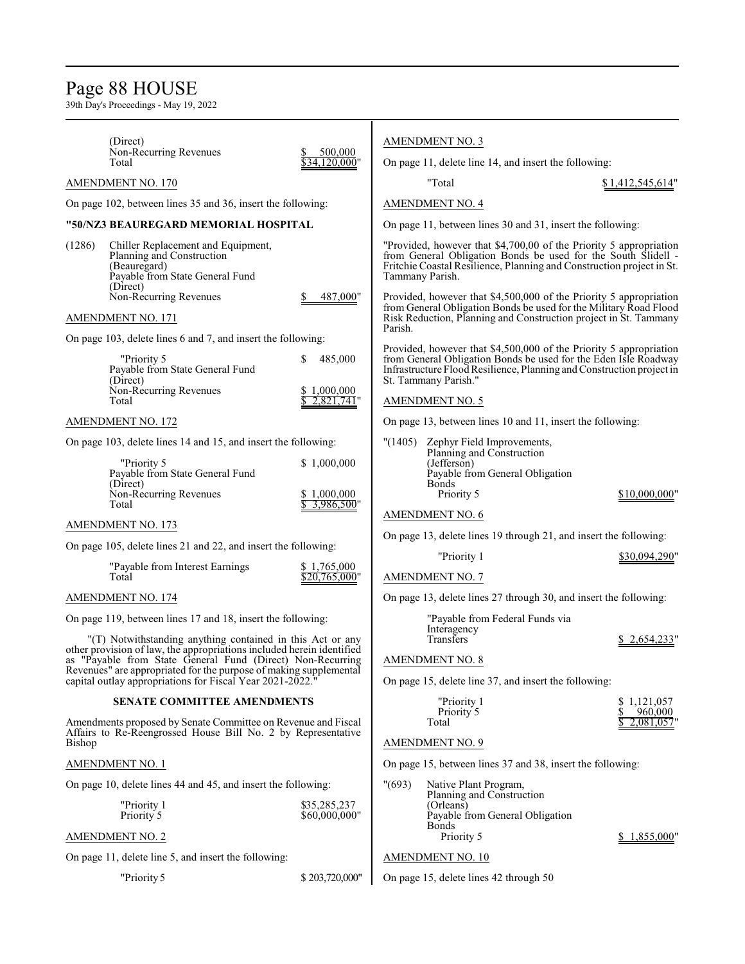### Page 88 HOUSE

39th Day's Proceedings - May 19, 2022

|                                                                                                                                                                                                                                                                                                                                                                                                   | (Direct)                                                                                                                                                        |                                               |         | <b>AMENDMENT NO. 3</b>                                                                                                                         |                                                                                                                                                                                                                |
|---------------------------------------------------------------------------------------------------------------------------------------------------------------------------------------------------------------------------------------------------------------------------------------------------------------------------------------------------------------------------------------------------|-----------------------------------------------------------------------------------------------------------------------------------------------------------------|-----------------------------------------------|---------|------------------------------------------------------------------------------------------------------------------------------------------------|----------------------------------------------------------------------------------------------------------------------------------------------------------------------------------------------------------------|
|                                                                                                                                                                                                                                                                                                                                                                                                   | Non-Recurring Revenues<br>Total                                                                                                                                 | 500,000<br>\$34.120.000"                      |         | On page 11, delete line 14, and insert the following:                                                                                          |                                                                                                                                                                                                                |
|                                                                                                                                                                                                                                                                                                                                                                                                   | AMENDMENT NO. 170                                                                                                                                               |                                               |         | "Total                                                                                                                                         | \$1,412,545,614"                                                                                                                                                                                               |
|                                                                                                                                                                                                                                                                                                                                                                                                   | On page 102, between lines 35 and 36, insert the following:                                                                                                     |                                               |         | <b>AMENDMENT NO. 4</b>                                                                                                                         |                                                                                                                                                                                                                |
|                                                                                                                                                                                                                                                                                                                                                                                                   | "50/NZ3 BEAUREGARD MEMORIAL HOSPITAL                                                                                                                            |                                               |         | On page 11, between lines 30 and 31, insert the following:                                                                                     |                                                                                                                                                                                                                |
| (1286)                                                                                                                                                                                                                                                                                                                                                                                            | Chiller Replacement and Equipment,<br>Planning and Construction<br>(Beauregard)<br>Payable from State General Fund<br>(Direct)                                  |                                               |         | Tammany Parish.                                                                                                                                | "Provided, however that \$4,700,00 of the Priority 5 appropriation<br>from General Obligation Bonds be used for the South Slidell -<br>Fritchie Coastal Resilience, Planning and Construction project in St.   |
|                                                                                                                                                                                                                                                                                                                                                                                                   | Non-Recurring Revenues<br>AMENDMENT NO. 171                                                                                                                     | 487,000"                                      | Parish. |                                                                                                                                                | Provided, however that \$4,500,000 of the Priority 5 appropriation<br>from General Obligation Bonds be used for the Military Road Flood<br>Risk Reduction, Planning and Construction project in St. Tammany    |
|                                                                                                                                                                                                                                                                                                                                                                                                   | On page 103, delete lines 6 and 7, and insert the following:<br>"Priority 5<br>Payable from State General Fund<br>(Direct)<br>Non-Recurring Revenues<br>Total   | S.<br>485,000<br>\$1,000,000<br>$2,821,741$ " |         | St. Tammany Parish."<br><b>AMENDMENT NO. 5</b>                                                                                                 | Provided, however that \$4,500,000 of the Priority 5 appropriation<br>from General Obligation Bonds be used for the Eden Isle Roadway<br>Infrastructure Flood Resilience, Planning and Construction project in |
|                                                                                                                                                                                                                                                                                                                                                                                                   | AMENDMENT NO. 172                                                                                                                                               |                                               |         | On page 13, between lines 10 and 11, insert the following:                                                                                     |                                                                                                                                                                                                                |
|                                                                                                                                                                                                                                                                                                                                                                                                   | On page 103, delete lines 14 and 15, and insert the following:<br>"Priority 5<br>Payable from State General Fund<br>(Direct)<br>Non-Recurring Revenues<br>Total | \$1,000,000<br>\$1,000,000<br>3,986,500"      | "(1405) | Zephyr Field Improvements,<br>Planning and Construction<br>(Jefferson)<br>Payable from General Obligation<br><b>Bonds</b><br>Priority 5        | \$10,000,000"                                                                                                                                                                                                  |
|                                                                                                                                                                                                                                                                                                                                                                                                   | <b>AMENDMENT NO. 173</b>                                                                                                                                        |                                               |         | <b>AMENDMENT NO. 6</b>                                                                                                                         |                                                                                                                                                                                                                |
|                                                                                                                                                                                                                                                                                                                                                                                                   | On page 105, delete lines 21 and 22, and insert the following:                                                                                                  |                                               |         |                                                                                                                                                | On page 13, delete lines 19 through 21, and insert the following:                                                                                                                                              |
|                                                                                                                                                                                                                                                                                                                                                                                                   | "Payable from Interest Earnings<br>Total                                                                                                                        | \$1,765,000<br>\$20,765,000"                  |         | "Priority 1<br><b>AMENDMENT NO. 7</b>                                                                                                          | \$30,094,290"                                                                                                                                                                                                  |
|                                                                                                                                                                                                                                                                                                                                                                                                   | AMENDMENT NO. 174                                                                                                                                               |                                               |         |                                                                                                                                                | On page 13, delete lines 27 through 30, and insert the following:                                                                                                                                              |
| On page 119, between lines 17 and 18, insert the following:<br>"(T) Notwithstanding anything contained in this Act or any<br>other provision of law, the appropriations included herein identified<br>as "Payable from State General Fund (Direct) Non-Recurring<br>Revenues" are appropriated for the purpose of making supplemental<br>capital outlay appropriations for Fiscal Year 2021-2022. |                                                                                                                                                                 |                                               |         | "Payable from Federal Funds via<br>Interagency<br>Transfers<br><b>AMENDMENT NO. 8</b><br>On page 15, delete line 37, and insert the following: | 2,654,233'                                                                                                                                                                                                     |
|                                                                                                                                                                                                                                                                                                                                                                                                   | SENATE COMMITTEE AMENDMENTS                                                                                                                                     |                                               |         | "Priority 1                                                                                                                                    | 1,121,057<br>S                                                                                                                                                                                                 |
| Bishop                                                                                                                                                                                                                                                                                                                                                                                            | Amendments proposed by Senate Committee on Revenue and Fiscal<br>Affairs to Re-Reengrossed House Bill No. 2 by Representative                                   |                                               |         | Priority 5<br>Total<br><b>AMENDMENT NO. 9</b>                                                                                                  | 960,000<br>2,081,057"                                                                                                                                                                                          |
|                                                                                                                                                                                                                                                                                                                                                                                                   | <b>AMENDMENT NO. 1</b>                                                                                                                                          |                                               |         | On page 15, between lines 37 and 38, insert the following:                                                                                     |                                                                                                                                                                                                                |
|                                                                                                                                                                                                                                                                                                                                                                                                   | On page 10, delete lines 44 and 45, and insert the following:<br>"Priority 1<br>Priority 5                                                                      | \$35,285,237<br>\$60,000,000"                 | " (693) | Native Plant Program,<br>Planning and Construction<br>(Orleans)<br>Payable from General Obligation                                             |                                                                                                                                                                                                                |
|                                                                                                                                                                                                                                                                                                                                                                                                   | <b>AMENDMENT NO. 2</b>                                                                                                                                          |                                               |         | <b>Bonds</b><br>Priority 5                                                                                                                     | \$1,855,000"                                                                                                                                                                                                   |

### AMENDMENT NO. 2

On page 11, delete line 5, and insert the following:

"Priority 5  $\text{S}$  203,720,000" On page 15, delete lines 42 through 50

AMENDMENT NO. 10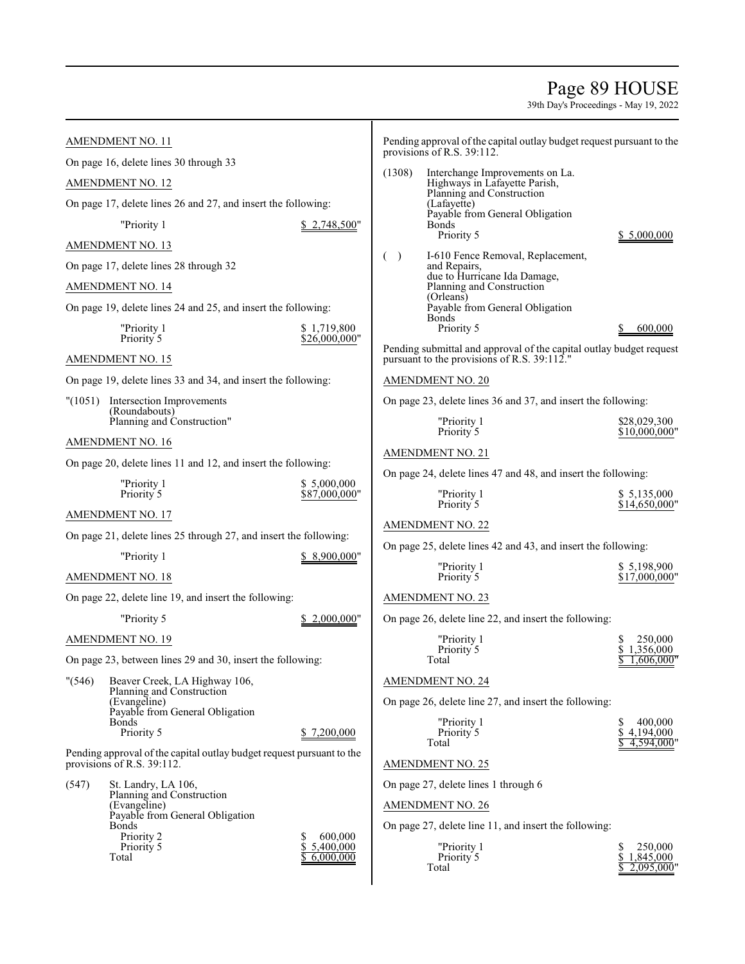### Page 89 HOUSE

|         | AMENDMENT NO. 11                                                      |                               |        | Pending approval of the capital outlay budget request pursuant to the<br>provisions of R.S. 39:112.                |                                 |
|---------|-----------------------------------------------------------------------|-------------------------------|--------|--------------------------------------------------------------------------------------------------------------------|---------------------------------|
|         | On page 16, delete lines 30 through 33                                |                               | (1308) | Interchange Improvements on La.                                                                                    |                                 |
|         | <b>AMENDMENT NO. 12</b>                                               |                               |        | Highways in Lafayette Parish,<br>Planning and Construction                                                         |                                 |
|         | On page 17, delete lines 26 and 27, and insert the following:         |                               |        | (Lafayette)<br>Payable from General Obligation                                                                     |                                 |
|         | "Priority 1                                                           | \$2,748,500"                  |        | <b>Bonds</b><br>Priority 5                                                                                         | \$ 5,000,000                    |
|         | AMENDMENT NO. 13                                                      |                               | $($ )  | I-610 Fence Removal, Replacement,                                                                                  |                                 |
|         | On page 17, delete lines 28 through 32                                |                               |        | and Repairs,<br>due to Hurricane Ida Damage,                                                                       |                                 |
|         | AMENDMENT NO. 14                                                      |                               |        | Planning and Construction<br>(Orleans)                                                                             |                                 |
|         | On page 19, delete lines 24 and 25, and insert the following:         |                               |        | Payable from General Obligation<br><b>Bonds</b>                                                                    |                                 |
|         | "Priority 1<br>Priority 5                                             | \$1,719,800<br>\$26,000,000"  |        | Priority 5                                                                                                         | 600,000                         |
|         | <b>AMENDMENT NO. 15</b>                                               |                               |        | Pending submittal and approval of the capital outlay budget request<br>pursuant to the provisions of R.S. 39:112." |                                 |
|         | On page 19, delete lines 33 and 34, and insert the following:         |                               |        | <b>AMENDMENT NO. 20</b>                                                                                            |                                 |
|         | "(1051) Intersection Improvements<br>(Roundabouts)                    |                               |        | On page 23, delete lines 36 and 37, and insert the following:                                                      |                                 |
|         | Planning and Construction"                                            |                               |        | "Priority 1<br>Priority 5                                                                                          | \$28,029,300<br>\$10,000,000"   |
|         | AMENDMENT NO. 16                                                      |                               |        | <b>AMENDMENT NO. 21</b>                                                                                            |                                 |
|         | On page 20, delete lines 11 and 12, and insert the following:         |                               |        | On page 24, delete lines 47 and 48, and insert the following:                                                      |                                 |
|         | "Priority 1<br>Priority 5                                             | \$ 5,000,000<br>\$87,000,000" |        | "Priority 1                                                                                                        | \$ 5,135,000                    |
|         | <b>AMENDMENT NO. 17</b>                                               |                               |        | Priority 5                                                                                                         | \$14,650,000"                   |
|         | On page 21, delete lines 25 through 27, and insert the following:     |                               |        | <b>AMENDMENT NO. 22</b>                                                                                            |                                 |
|         | "Priority 1                                                           | \$8,900,000"                  |        | On page 25, delete lines 42 and 43, and insert the following:                                                      |                                 |
|         | AMENDMENT NO. 18                                                      |                               |        | "Priority 1<br>Priority 5                                                                                          | \$5,198,900<br>\$17,000,000"    |
|         | On page 22, delete line 19, and insert the following:                 |                               |        | <b>AMENDMENT NO. 23</b>                                                                                            |                                 |
|         | "Priority 5                                                           | 2,000,000"                    |        | On page 26, delete line 22, and insert the following:                                                              |                                 |
|         | AMENDMENT NO. 19                                                      |                               |        | "Priority 1<br>Priority 5                                                                                          | 250,000<br>\$1,356,000          |
|         | On page 23, between lines 29 and 30, insert the following:            |                               |        | Total                                                                                                              | 1,606,000'                      |
| " (546) | Beaver Creek, LA Highway 106,<br>Planning and Construction            |                               |        | <b>AMENDMENT NO. 24</b>                                                                                            |                                 |
|         | (Evangeline)<br>Payable from General Obligation                       |                               |        | On page 26, delete line 27, and insert the following:                                                              |                                 |
|         | <b>Bonds</b><br>Priority 5                                            | \$7,200,000                   |        | "Priority 1<br>Priority 5                                                                                          | 400,000<br>S<br>\$<br>4,194,000 |
|         | Pending approval of the capital outlay budget request pursuant to the |                               |        | Total                                                                                                              | 4.594.000                       |
|         | provisions of R.S. 39:112.                                            |                               |        | <b>AMENDMENT NO. 25</b>                                                                                            |                                 |
| (547)   | St. Landry, LA 106,<br>Planning and Construction                      |                               |        | On page 27, delete lines 1 through 6                                                                               |                                 |
|         | (Evangeline)<br>Payable from General Obligation                       |                               |        | <b>AMENDMENT NO. 26</b>                                                                                            |                                 |
|         | <b>Bonds</b><br>Priority 2                                            | 600,000                       |        | On page 27, delete line 11, and insert the following:                                                              |                                 |
|         | Priority 5                                                            | \$<br>5,400,000               |        | "Priority 1                                                                                                        | 250,000<br>S                    |
|         | Total                                                                 | 6,000,000                     |        | Priority 5<br>Total                                                                                                | \$<br>1,845,000<br>2,095,000    |
|         |                                                                       |                               |        |                                                                                                                    |                                 |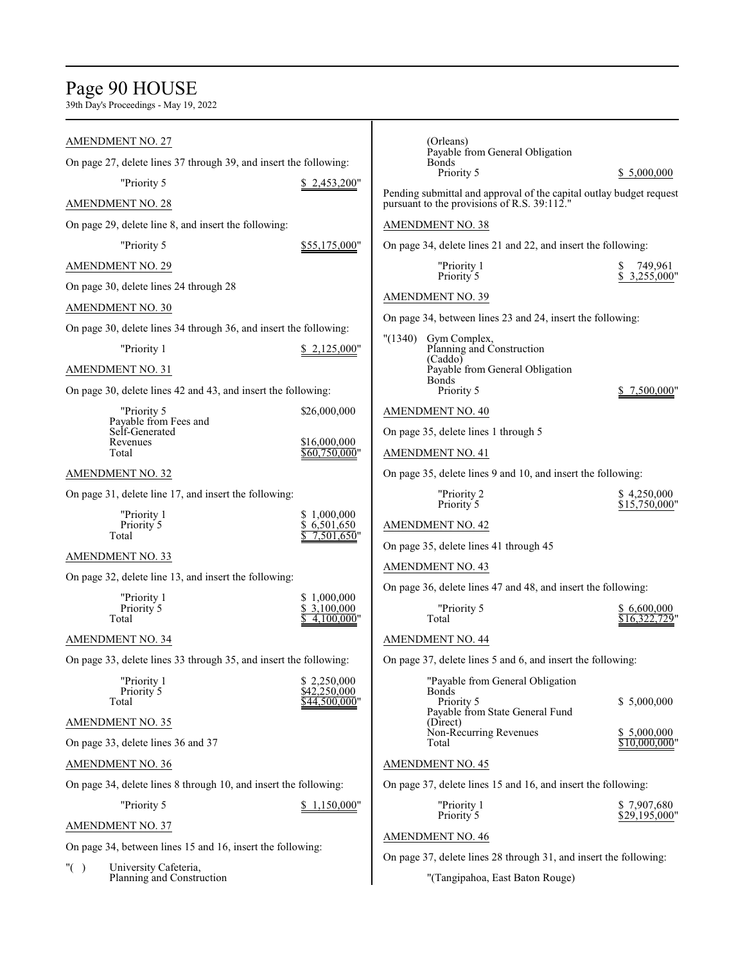### Page 90 HOUSE

| <b>AMENDMENT NO. 27</b>                                           |                                 | (Orleans)                                                                                                          |                               |
|-------------------------------------------------------------------|---------------------------------|--------------------------------------------------------------------------------------------------------------------|-------------------------------|
| On page 27, delete lines 37 through 39, and insert the following: |                                 | Payable from General Obligation<br>Bonds                                                                           |                               |
| "Priority 5                                                       | \$2,453,200"                    | Priority 5                                                                                                         | \$5,000,000                   |
| <b>AMENDMENT NO. 28</b>                                           |                                 | Pending submittal and approval of the capital outlay budget request<br>pursuant to the provisions of R.S. 39:112." |                               |
| On page 29, delete line 8, and insert the following:              |                                 | <b>AMENDMENT NO. 38</b>                                                                                            |                               |
| "Priority 5                                                       | \$55,175,000"                   | On page 34, delete lines 21 and 22, and insert the following:                                                      |                               |
| <b>AMENDMENT NO. 29</b>                                           |                                 | "Priority 1                                                                                                        | 749,961                       |
| On page 30, delete lines 24 through 28                            |                                 | Priority 5                                                                                                         | 3,255,000"                    |
| AMENDMENT NO. 30                                                  |                                 | <b>AMENDMENT NO. 39</b>                                                                                            |                               |
| On page 30, delete lines 34 through 36, and insert the following: |                                 | On page 34, between lines 23 and 24, insert the following:                                                         |                               |
| "Priority 1                                                       | \$2,125,000"                    | "(1340)<br>Gym Complex,<br>Planning and Construction                                                               |                               |
| <b>AMENDMENT NO. 31</b>                                           |                                 | (Caddo)<br>Payable from General Obligation                                                                         |                               |
| On page 30, delete lines 42 and 43, and insert the following:     |                                 | Bonds<br>Priority 5                                                                                                | \$7,500,000"                  |
| "Priority 5                                                       | \$26,000,000                    | <b>AMENDMENT NO. 40</b>                                                                                            |                               |
| Payable from Fees and<br>Self-Generated                           |                                 | On page 35, delete lines 1 through 5                                                                               |                               |
| Revenues<br>Total                                                 | \$16,000,000<br>$$60,750,000$ " | <b>AMENDMENT NO. 41</b>                                                                                            |                               |
| <b>AMENDMENT NO. 32</b>                                           |                                 | On page 35, delete lines 9 and 10, and insert the following:                                                       |                               |
| On page 31, delete line 17, and insert the following:             |                                 | "Priority 2                                                                                                        | \$4,250,000<br>\$15,750,000"  |
| "Priority 1                                                       | \$1,000,000                     | Priority 5                                                                                                         |                               |
| Priority 5<br>Total                                               | \$6,501,650<br>7,501,650"       | <b>AMENDMENT NO. 42</b>                                                                                            |                               |
| AMENDMENT NO. 33                                                  |                                 | On page 35, delete lines 41 through 45                                                                             |                               |
| On page 32, delete line 13, and insert the following:             |                                 | <b>AMENDMENT NO. 43</b>                                                                                            |                               |
| "Priority 1                                                       | \$1,000,000                     | On page 36, delete lines 47 and 48, and insert the following:                                                      |                               |
| Priority 5<br>Total                                               | \$3,100,000<br>4.100.000"       | "Priority 5<br>Total                                                                                               | \$6,600,000<br>\$16,322,729"  |
| <b>AMENDMENT NO. 34</b>                                           |                                 | <b>AMENDMENT NO. 44</b>                                                                                            |                               |
| On page 33, delete lines 33 through 35, and insert the following: |                                 | On page 37, delete lines 5 and 6, and insert the following:                                                        |                               |
| "Priority 1<br>Priority 5                                         | \$2,250,000                     | "Payable from General Obligation<br>Bonds                                                                          |                               |
| Total                                                             | \$42,250,000<br>\$44,500,000"   | Priority 5                                                                                                         | \$5,000,000                   |
| <b>AMENDMENT NO. 35</b>                                           |                                 | Payable from State General Fund<br>(Direct)                                                                        |                               |
| On page 33, delete lines 36 and 37                                |                                 | Non-Recurring Revenues<br>Total                                                                                    | \$ 5,000,000<br>\$10,000,000" |
| AMENDMENT NO. 36                                                  |                                 | AMENDMENT NO. 45                                                                                                   |                               |
| On page 34, delete lines 8 through 10, and insert the following:  |                                 | On page 37, delete lines 15 and 16, and insert the following:                                                      |                               |
| "Priority 5                                                       | \$1,150,000"                    | "Priority 1<br>Priority 5                                                                                          | \$7,907,680                   |
| <b>AMENDMENT NO. 37</b>                                           |                                 |                                                                                                                    | \$29,195,000"                 |
| On page 34, between lines 15 and 16, insert the following:        |                                 | <b>AMENDMENT NO. 46</b>                                                                                            |                               |
| University Cafeteria,<br>" $( )$                                  |                                 | On page 37, delete lines 28 through 31, and insert the following:                                                  |                               |
| Planning and Construction                                         |                                 | "(Tangipahoa, East Baton Rouge)                                                                                    |                               |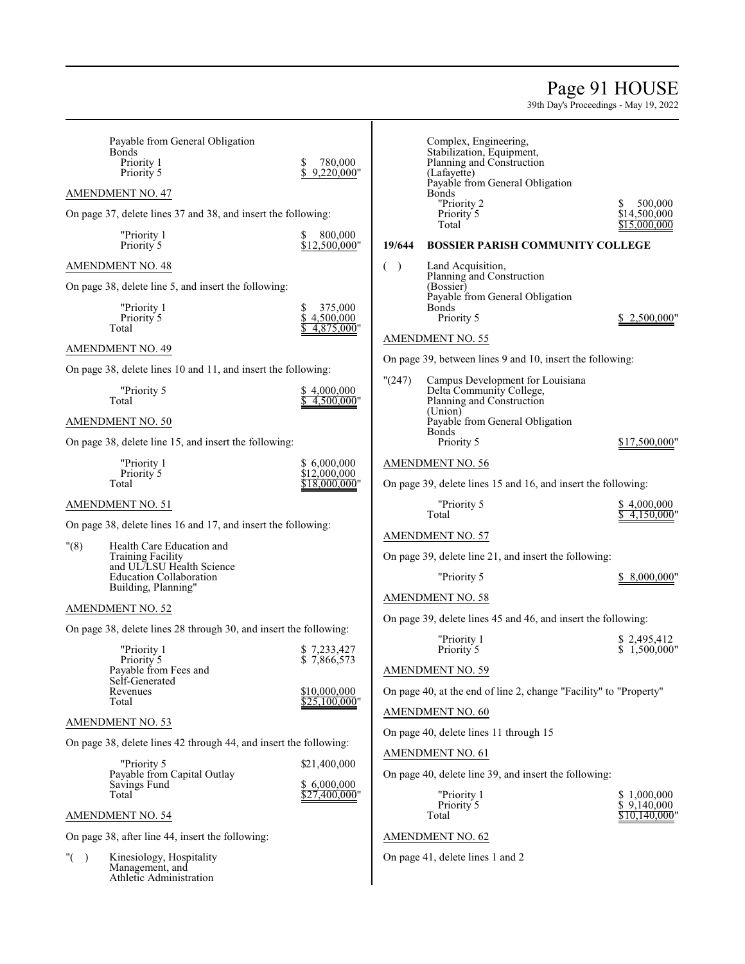### Page 91 HOUSE

39th Day's Proceedings - May 19, 2022

| Payable from General Obligation<br><b>Bonds</b><br>Priority 1<br>Priority 5        | \$<br>780,000<br>9,220,000"        | Complex, Engineering,<br>Stabilization, Equipment,<br>Planning and Construction<br>(Lafayette)      |                                              |
|------------------------------------------------------------------------------------|------------------------------------|-----------------------------------------------------------------------------------------------------|----------------------------------------------|
| <b>AMENDMENT NO. 47</b>                                                            |                                    | Payable from General Obligation<br><b>Bonds</b>                                                     |                                              |
| On page 37, delete lines 37 and 38, and insert the following:                      |                                    | "Priority 2<br>Priority 5<br>Total                                                                  | 500,000<br>S<br>\$14,500,000<br>\$15,000,000 |
| "Priority 1<br>Priority 5                                                          | 800,000<br>\$12,500,000"           | 19/644<br><b>BOSSIER PARISH COMMUNITY COLLEGE</b>                                                   |                                              |
| <b>AMENDMENT NO. 48</b>                                                            |                                    | Land Acquisition,<br>$\rightarrow$<br>$\left($                                                      |                                              |
| On page 38, delete line 5, and insert the following:                               |                                    | Planning and Construction<br>(Bossier)                                                              |                                              |
| "Priority 1<br>Priority 5<br>Total                                                 | 375,000<br>4,500,000<br>4,875,000" | Payable from General Obligation<br><b>Bonds</b><br>Priority 5                                       | \$2,500,000"                                 |
| <b>AMENDMENT NO. 49</b>                                                            |                                    | <b>AMENDMENT NO. 55</b>                                                                             |                                              |
| On page 38, delete lines 10 and 11, and insert the following:                      |                                    | On page 39, between lines 9 and 10, insert the following:                                           |                                              |
| "Priority 5<br>Total                                                               | \$4.000,000<br>$4,500,000$ "       | "(247)<br>Campus Development for Louisiana<br>Delta Community College,<br>Planning and Construction |                                              |
| AMENDMENT NO. 50                                                                   |                                    | (Union)<br>Payable from General Obligation                                                          |                                              |
| On page 38, delete line 15, and insert the following:                              |                                    | <b>Bonds</b><br>Priority 5                                                                          | \$17,500,000"                                |
| "Priority 1                                                                        | \$6,000,000                        | <b>AMENDMENT NO. 56</b>                                                                             |                                              |
| Priority 5<br>Total                                                                | \$12,000,000<br>\$18,000,000"      | On page 39, delete lines 15 and 16, and insert the following:                                       |                                              |
| <b>AMENDMENT NO. 51</b>                                                            |                                    | "Priority 5<br>Total                                                                                | \$4,000,000<br>$4,150,000$ "                 |
| On page 38, delete lines 16 and 17, and insert the following:                      |                                    | <b>AMENDMENT NO. 57</b>                                                                             |                                              |
| "(8)<br>Health Care Education and<br><b>Training Facility</b>                      |                                    | On page 39, delete line 21, and insert the following:                                               |                                              |
| and UL/LSU Health Science<br><b>Education Collaboration</b><br>Building, Planning" |                                    | "Priority 5                                                                                         | 8,000,000"                                   |
| <b>AMENDMENT NO. 52</b>                                                            |                                    | <b>AMENDMENT NO. 58</b>                                                                             |                                              |
| On page 38, delete lines 28 through 30, and insert the following:                  |                                    | On page 39, delete lines 45 and 46, and insert the following:                                       |                                              |
| "Priority 1                                                                        | \$7,233,427                        | "Priority 1<br>Priority 5                                                                           | \$2,495,412<br>\$1,500,000"                  |
| Priority 5<br>Payable from Fees and                                                | \$7,866,573                        | <b>AMENDMENT NO. 59</b>                                                                             |                                              |
| Self-Generated<br>Revenues                                                         | \$10,000,000                       | On page 40, at the end of line 2, change "Facility" to "Property"                                   |                                              |
| Total                                                                              | \$25,100,000"                      | AMENDMENT NO. 60                                                                                    |                                              |
| <b>AMENDMENT NO. 53</b>                                                            |                                    | On page 40, delete lines 11 through 15                                                              |                                              |
| On page 38, delete lines 42 through 44, and insert the following:<br>"Priority 5   |                                    | AMENDMENT NO. 61                                                                                    |                                              |
| Payable from Capital Outlay                                                        | \$21,400,000                       | On page 40, delete line 39, and insert the following:                                               |                                              |
| Savings Fund<br>Total                                                              | \$6,000,000<br>\$27,400,000"       | "Priority 1                                                                                         | \$1,000,000                                  |
| <b>AMENDMENT NO. 54</b>                                                            |                                    | Priority 5<br>Total                                                                                 | \$9,140,000<br>\$10.140.000'                 |
| On page 38, after line 44, insert the following:                                   |                                    | <b>AMENDMENT NO. 62</b>                                                                             |                                              |
| " $($ )<br>Kinesiology, Hospitality<br>Management, and<br>Athletic Administration  |                                    | On page 41, delete lines 1 and 2                                                                    |                                              |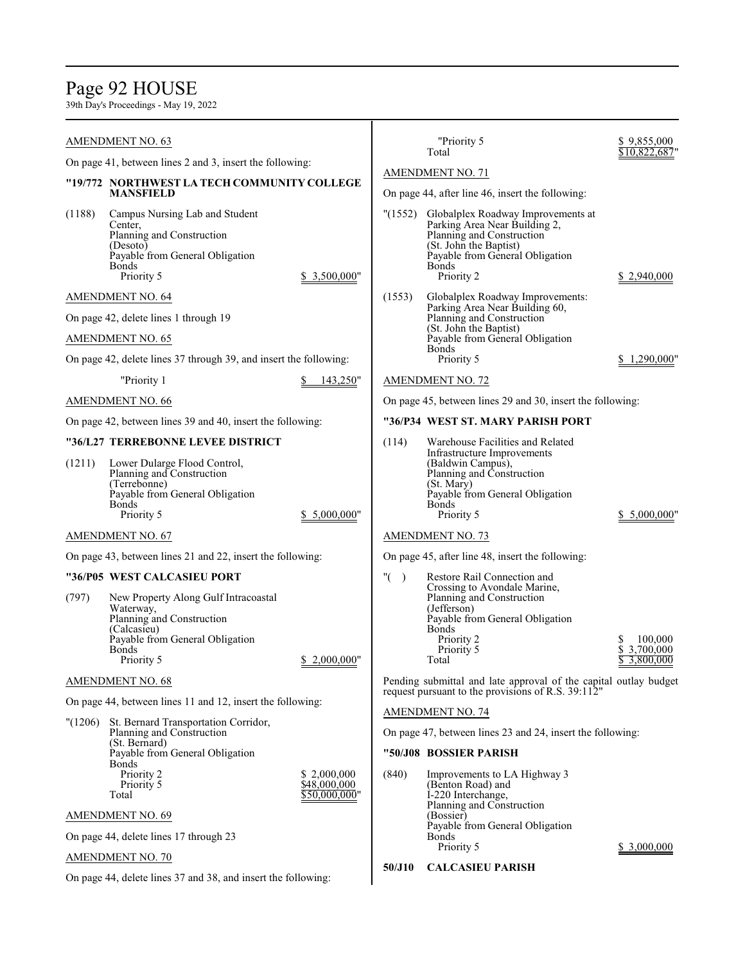### Page 92 HOUSE

39th Day's Proceedings - May 19, 2022

On page 44, delete lines 37 and 38, and insert the following:

|         | <b>AMENDMENT NO. 63</b>                                                                                                                                        |                                              |                                                            | "Priority 5<br>Total                                                                                                                                                                        | \$9,855,000<br>\$10,822,687           |
|---------|----------------------------------------------------------------------------------------------------------------------------------------------------------------|----------------------------------------------|------------------------------------------------------------|---------------------------------------------------------------------------------------------------------------------------------------------------------------------------------------------|---------------------------------------|
|         | On page 41, between lines 2 and 3, insert the following:                                                                                                       |                                              |                                                            |                                                                                                                                                                                             |                                       |
|         | "19/772 NORTHWEST LA TECH COMMUNITY COLLEGE<br><b>MANSFIELD</b>                                                                                                |                                              |                                                            | <b>AMENDMENT NO. 71</b><br>On page 44, after line 46, insert the following:                                                                                                                 |                                       |
| (1188)  | Campus Nursing Lab and Student<br>Center,<br>Planning and Construction<br>(Desoto)<br>Payable from General Obligation<br><b>Bonds</b><br>Priority 5            | \$3,500,000"                                 | "(1552)                                                    | Globalplex Roadway Improvements at<br>Parking Area Near Building 2,<br>Planning and Construction<br>(St. John the Baptist)<br>Payable from General Obligation<br><b>Bonds</b><br>Priority 2 | \$2,940,000                           |
|         | AMENDMENT NO. 64                                                                                                                                               |                                              | (1553)                                                     | Globalplex Roadway Improvements:<br>Parking Area Near Building 60,                                                                                                                          |                                       |
|         | On page 42, delete lines 1 through 19                                                                                                                          |                                              |                                                            |                                                                                                                                                                                             |                                       |
|         | <b>AMENDMENT NO. 65</b>                                                                                                                                        |                                              |                                                            | Payable from General Obligation<br><b>Bonds</b>                                                                                                                                             |                                       |
|         | On page 42, delete lines 37 through 39, and insert the following:                                                                                              |                                              |                                                            | Priority 5                                                                                                                                                                                  | 1,290,000"                            |
|         | "Priority 1                                                                                                                                                    | 143,250"                                     |                                                            | <b>AMENDMENT NO. 72</b>                                                                                                                                                                     |                                       |
|         | AMENDMENT NO. 66                                                                                                                                               |                                              | On page 45, between lines 29 and 30, insert the following: |                                                                                                                                                                                             |                                       |
|         | On page 42, between lines 39 and 40, insert the following:                                                                                                     |                                              |                                                            | "36/P34 WEST ST. MARY PARISH PORT                                                                                                                                                           |                                       |
|         | "36/L27 TERREBONNE LEVEE DISTRICT                                                                                                                              |                                              | (114)                                                      | Warehouse Facilities and Related                                                                                                                                                            |                                       |
| (1211)  | Lower Dularge Flood Control,<br>Planning and Construction<br>(Terrebonne)<br>Payable from General Obligation<br><b>Bonds</b><br>Priority 5                     | \$ 5,000,000"                                |                                                            | Infrastructure Improvements<br>(Baldwin Campus),<br>Planning and Construction<br>(St. Mary)<br>Payable from General Obligation<br><b>Bonds</b><br>Priority 5                                | 5,000,000                             |
|         | <b>AMENDMENT NO. 67</b>                                                                                                                                        |                                              |                                                            | <b>AMENDMENT NO. 73</b>                                                                                                                                                                     |                                       |
|         | On page 43, between lines 21 and 22, insert the following:                                                                                                     |                                              |                                                            | On page 45, after line 48, insert the following:                                                                                                                                            |                                       |
|         | "36/P05 WEST CALCASIEU PORT                                                                                                                                    |                                              | "(<br>$\lambda$                                            | Restore Rail Connection and                                                                                                                                                                 |                                       |
| (797)   | New Property Along Gulf Intracoastal<br>Waterway,<br>Planning and Construction<br>(Calcasieu)<br>Payable from General Obligation<br><b>Bonds</b><br>Priority 5 | \$2,000,000"                                 |                                                            | Crossing to Avondale Marine,<br>Planning and Construction<br>(Jefferson)<br>Payable from General Obligation<br><b>Bonds</b><br>Priority 2<br>Priority 5<br>Total                            | 100,000<br>\$3,700,000<br>\$3,800,000 |
|         | <b>AMENDMENT NO. 68</b>                                                                                                                                        |                                              |                                                            | Pending submittal and late approval of the capital outlay budget                                                                                                                            |                                       |
|         | On page 44, between lines 11 and 12, insert the following:                                                                                                     |                                              |                                                            | request pursuant to the provisions of R.S. 39:112"                                                                                                                                          |                                       |
| "(1206) | St. Bernard Transportation Corridor,<br>Planning and Construction<br>(St. Bernard)<br>Payable from General Obligation                                          |                                              |                                                            | <b>AMENDMENT NO. 74</b><br>On page 47, between lines 23 and 24, insert the following:<br>"50/J08 BOSSIER PARISH                                                                             |                                       |
|         | Bonds<br>Priority 2<br>Priority 5<br>Total                                                                                                                     | \$2,000,000<br>\$48,000,000<br>\$50,000,000" | (840)                                                      | Improvements to LA Highway 3<br>(Benton Road) and<br>I-220 Interchange,<br>Planning and Construction                                                                                        |                                       |
|         | <b>AMENDMENT NO. 69</b>                                                                                                                                        |                                              |                                                            | (Bossier)<br>Payable from General Obligation                                                                                                                                                |                                       |
|         | On page 44, delete lines 17 through 23                                                                                                                         |                                              |                                                            | Bonds<br>Priority 5                                                                                                                                                                         | \$ 3,000,000                          |
|         | <b>AMENDMENT NO. 70</b>                                                                                                                                        |                                              | 50/J10                                                     | <b>CALCASIEU PARISH</b>                                                                                                                                                                     |                                       |

 $\overline{\phantom{a}}$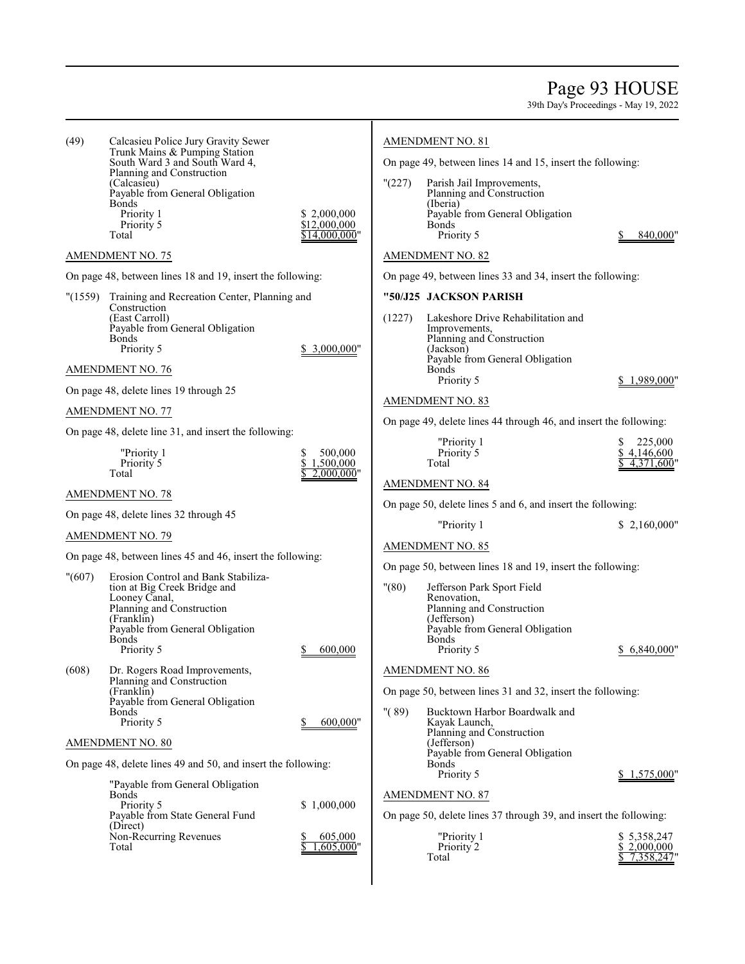### Page 93 HOUSE

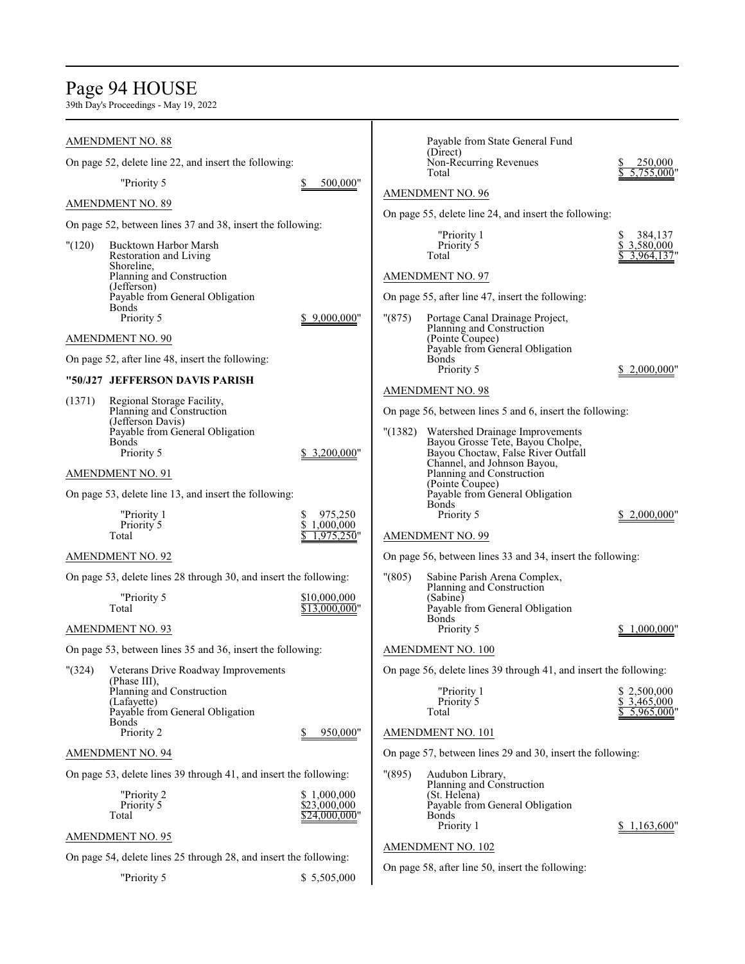# Page 94 HOUSE

|        | <b>AMENDMENT NO. 88</b>                                           |                               |        | Payable from State General Fund                                        |                                      |
|--------|-------------------------------------------------------------------|-------------------------------|--------|------------------------------------------------------------------------|--------------------------------------|
|        | On page 52, delete line 22, and insert the following:             |                               |        | (Direct)<br>Non-Recurring Revenues                                     | 250,000                              |
|        | "Priority 5                                                       | 500,000"                      |        | Total                                                                  | 5,755,000'                           |
|        | <b>AMENDMENT NO. 89</b>                                           |                               |        | <b>AMENDMENT NO. 96</b>                                                |                                      |
|        | On page 52, between lines 37 and 38, insert the following:        |                               |        | On page 55, delete line 24, and insert the following:                  |                                      |
| "(120) | Bucktown Harbor Marsh<br>Restoration and Living                   |                               |        | "Priority 1<br>Priority 5<br>Total                                     | 384,137<br>\$3,580,000<br>3,964,137' |
|        | Shoreline,<br>Planning and Construction                           |                               |        | <b>AMENDMENT NO. 97</b>                                                |                                      |
|        | (Jefferson)<br>Payable from General Obligation                    |                               |        | On page 55, after line 47, insert the following:                       |                                      |
|        | <b>Bonds</b><br>Priority 5                                        | \$9,000,000"                  | "(875) | Portage Canal Drainage Project,                                        |                                      |
|        | <b>AMENDMENT NO. 90</b>                                           |                               |        | Planning and Construction<br>(Pointe Coupee)                           |                                      |
|        | On page 52, after line 48, insert the following:                  |                               |        | Payable from General Obligation<br><b>Bonds</b><br>Priority 5          | \$2,000,000'                         |
|        | "50/J27 JEFFERSON DAVIS PARISH                                    |                               |        | <b>AMENDMENT NO. 98</b>                                                |                                      |
| (1371) | Regional Storage Facility,<br>Planning and Construction           |                               |        | On page 56, between lines 5 and 6, insert the following:               |                                      |
|        | (Jefferson Davis)<br>Payable from General Obligation              |                               | (1382) | Watershed Drainage Improvements                                        |                                      |
|        | <b>Bonds</b><br>Priority 5                                        | \$ 3,200,000"                 |        | Bayou Grosse Tete, Bayou Cholpe,<br>Bayou Choctaw, False River Outfall |                                      |
|        | <b>AMENDMENT NO. 91</b>                                           |                               |        | Channel, and Johnson Bayou,<br>Planning and Construction               |                                      |
|        | On page 53, delete line 13, and insert the following:             |                               |        | (Pointe Coupee)<br>Payable from General Obligation                     |                                      |
|        | "Priority 1                                                       | 975,250<br>\$                 |        | <b>Bonds</b><br>Priority 5                                             | 2,000,000                            |
|        | Priority 5<br>Total                                               | \$1,000,000<br>1,975,250"     |        | <b>AMENDMENT NO. 99</b>                                                |                                      |
|        | <b>AMENDMENT NO. 92</b>                                           |                               |        | On page 56, between lines 33 and 34, insert the following:             |                                      |
|        | On page 53, delete lines 28 through 30, and insert the following: |                               | "(805) | Sabine Parish Arena Complex,                                           |                                      |
|        | "Priority 5                                                       | \$10,000,000                  |        | Planning and Construction<br>(Sabine)                                  |                                      |
|        | Total                                                             | \$13,000,000"                 |        | Payable from General Obligation<br><b>Bonds</b>                        |                                      |
|        | <b>AMENDMENT NO. 93</b>                                           |                               |        | Priority 5                                                             | \$1,000,000"                         |
|        | On page 53, between lines 35 and 36, insert the following:        |                               |        | <b>AMENDMENT NO. 100</b>                                               |                                      |
|        | "(324) Veterans Drive Roadway Improvements<br>(Phase III),        |                               |        | On page 56, delete lines 39 through 41, and insert the following:      |                                      |
|        | Planning and Construction                                         |                               |        | "Priority 1                                                            | \$2,500,000                          |
|        | (Lafayette)<br>Payable from General Obligation                    |                               |        | Priority 5<br>Total                                                    | \$3,465,000<br>5,965,000             |
|        | <b>Bonds</b><br>Priority 2                                        | 950,000"                      |        | AMENDMENT NO. 101                                                      |                                      |
|        | <b>AMENDMENT NO. 94</b>                                           |                               |        | On page 57, between lines 29 and 30, insert the following:             |                                      |
|        | On page 53, delete lines 39 through 41, and insert the following: |                               | "(895) | Audubon Library,                                                       |                                      |
|        | "Priority 2                                                       | \$1,000,000                   |        | Planning and Construction<br>(St. Helena)                              |                                      |
|        | Priority 5<br>Total                                               | \$23,000,000<br>\$24,000,000" |        | Payable from General Obligation<br><b>Bonds</b>                        |                                      |
|        | <b>AMENDMENT NO. 95</b>                                           |                               |        | Priority 1                                                             | \$1,163,600"                         |
|        | On page 54, delete lines 25 through 28, and insert the following: |                               |        | AMENDMENT NO. 102                                                      |                                      |
|        |                                                                   |                               |        | On page 58, after line 50, insert the following:                       |                                      |
|        | "Priority 5                                                       | \$5,505,000                   |        |                                                                        |                                      |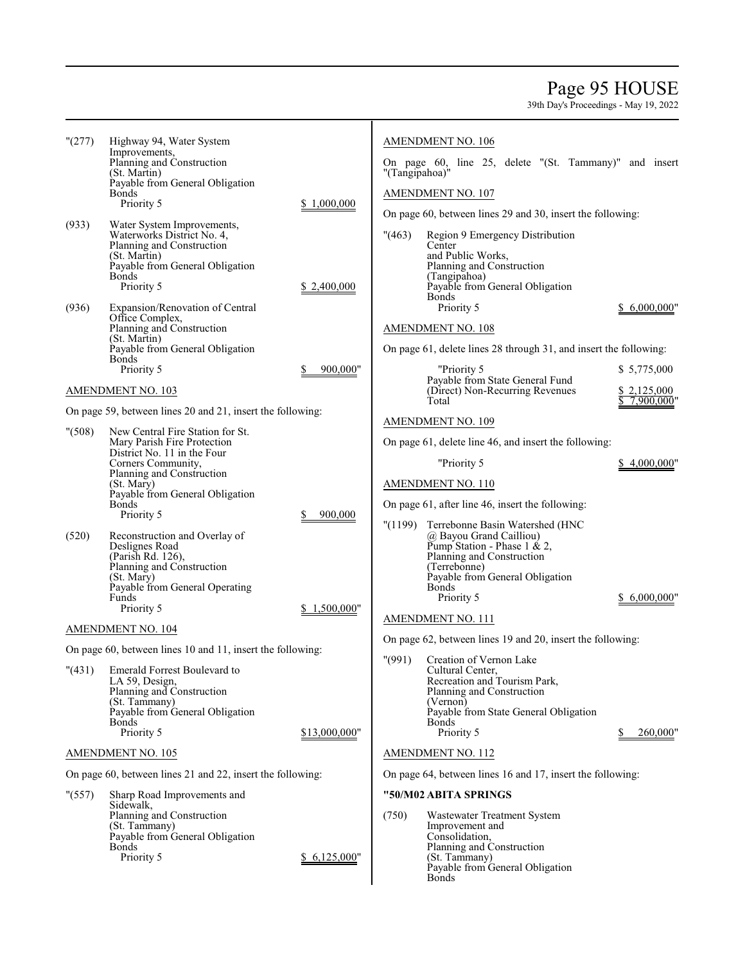### Page 95 HOUSE

| "(277)  | Highway 94, Water System<br>Improvements,                       |               |                | <b>AMENDMENT NO. 106</b>                                          |                           |
|---------|-----------------------------------------------------------------|---------------|----------------|-------------------------------------------------------------------|---------------------------|
|         | Planning and Construction<br>(St. Martin)                       |               | "(Tangipahoa)" | On page 60, line 25, delete "(St. Tammany)" and insert            |                           |
|         | Payable from General Obligation<br><b>Bonds</b>                 |               |                | AMENDMENT NO. 107                                                 |                           |
|         | Priority 5                                                      | \$1,000,000   |                | On page 60, between lines 29 and 30, insert the following:        |                           |
| (933)   | Water System Improvements,                                      |               |                |                                                                   |                           |
|         | Waterworks District No. 4,<br>Planning and Construction         |               | " (463)        | Region 9 Emergency Distribution<br>Center                         |                           |
|         | (St. Martin)<br>Payable from General Obligation                 |               |                | and Public Works,<br>Planning and Construction                    |                           |
|         | <b>Bonds</b><br>Priority 5                                      | \$2,400,000   |                | (Tangipahoa)<br>Payable from General Obligation                   |                           |
| (936)   | Expansion/Renovation of Central                                 |               |                | <b>Bonds</b><br>Priority 5                                        | \$6,000,000"              |
|         | Office Complex,<br>Planning and Construction                    |               |                | AMENDMENT NO. 108                                                 |                           |
|         | (St. Martin)                                                    |               |                |                                                                   |                           |
|         | Payable from General Obligation<br><b>Bonds</b>                 |               |                | On page 61, delete lines 28 through 31, and insert the following: |                           |
|         | Priority 5                                                      | 900,000"      |                | "Priority 5<br>Payable from State General Fund                    | \$ 5,775,000              |
|         | AMENDMENT NO. 103                                               |               |                | (Direct) Non-Recurring Revenues<br>Total                          | \$2,125,000<br>7,900,000" |
|         | On page 59, between lines 20 and 21, insert the following:      |               |                | <b>AMENDMENT NO. 109</b>                                          |                           |
| " (508) | New Central Fire Station for St.<br>Mary Parish Fire Protection |               |                | On page 61, delete line 46, and insert the following:             |                           |
|         | District No. 11 in the Four<br>Corners Community,               |               |                | "Priority 5                                                       | \$4,000,000"              |
|         | Planning and Construction                                       |               |                |                                                                   |                           |
|         | (St. Mary)<br>Payable from General Obligation                   |               |                | <b>AMENDMENT NO. 110</b>                                          |                           |
|         | <b>Bonds</b><br>Priority 5                                      | 900,000       |                | On page 61, after line 46, insert the following:                  |                           |
| (520)   | Reconstruction and Overlay of                                   |               | "(1199)        | Terrebonne Basin Watershed (HNC<br>@ Bayou Grand Cailliou)        |                           |
|         | Deslignes Road<br>(Parish Rd. 126),                             |               |                | Pump Station - Phase 1 & 2,<br>Planning and Construction          |                           |
|         | Planning and Construction<br>(St. Mary)                         |               |                | (Terrebonne)<br>Payable from General Obligation                   |                           |
|         | Payable from General Operating                                  |               |                | Bonds                                                             |                           |
|         | Funds<br>Priority 5                                             | \$1,500,000"  |                | Priority 5                                                        | \$ 6,000,000"             |
|         | AMENDMENT NO. 104                                               |               |                | <b>AMENDMENT NO. 111</b>                                          |                           |
|         | On page 60, between lines 10 and 11, insert the following:      |               |                | On page 62, between lines 19 and 20, insert the following:        |                           |
|         | "(431) Emerald Forrest Boulevard to                             |               | " (991)        | Creation of Vernon Lake<br>Cultural Center,                       |                           |
|         | LA 59, Design,<br>Planning and Construction                     |               |                | Recreation and Tourism Park,<br>Planning and Construction         |                           |
|         | (St. Tammany)                                                   |               |                | (Vernon)                                                          |                           |
|         | Payable from General Obligation<br>Bonds                        |               |                | Payable from State General Obligation<br><b>Bonds</b>             |                           |
|         | Priority 5                                                      | \$13,000,000" |                | Priority 5                                                        | 260,000"                  |
|         | <b>AMENDMENT NO. 105</b>                                        |               |                | AMENDMENT NO. 112                                                 |                           |
|         | On page 60, between lines 21 and 22, insert the following:      |               |                | On page 64, between lines 16 and 17, insert the following:        |                           |
| " (557) | Sharp Road Improvements and<br>Sidewalk,                        |               |                | "50/M02 ABITA SPRINGS                                             |                           |
|         | Planning and Construction                                       |               | (750)          | Wastewater Treatment System                                       |                           |
|         | (St. Tammany)<br>Payable from General Obligation                |               |                | Improvement and<br>Consolidation,                                 |                           |
|         | Bonds<br>Priority 5                                             | \$6,125,000"  |                | Planning and Construction<br>(St. Tammany)                        |                           |
|         |                                                                 |               |                | Payable from General Obligation<br>Bonds                          |                           |
|         |                                                                 |               |                |                                                                   |                           |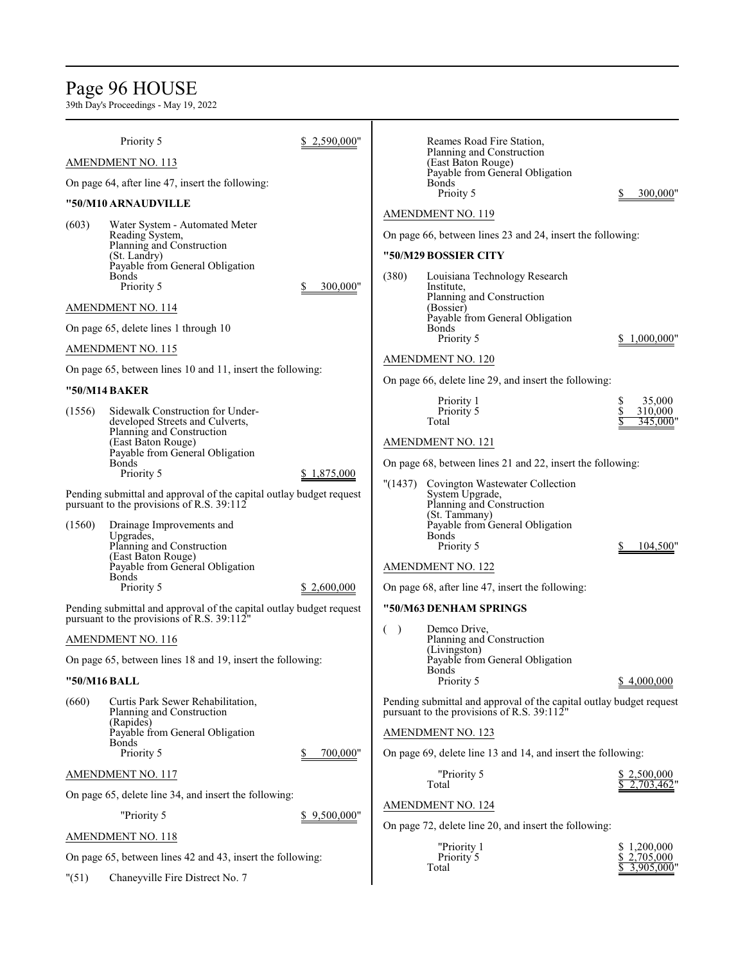# Page 96 HOUSE

|        | Priority 5                                                                                                                                                                                 | 2,590,000"   |           | Reames Road Fire Station,                                                                                                                                                                                                       |                                    |
|--------|--------------------------------------------------------------------------------------------------------------------------------------------------------------------------------------------|--------------|-----------|---------------------------------------------------------------------------------------------------------------------------------------------------------------------------------------------------------------------------------|------------------------------------|
|        | <b>AMENDMENT NO. 113</b>                                                                                                                                                                   |              |           | Planning and Construction<br>(East Baton Rouge)                                                                                                                                                                                 |                                    |
|        | On page 64, after line 47, insert the following:                                                                                                                                           |              |           | Payable from General Obligation<br><b>Bonds</b>                                                                                                                                                                                 |                                    |
|        | "50/M10 ARNAUDVILLE                                                                                                                                                                        |              |           | Prioity 5                                                                                                                                                                                                                       | 300,000                            |
| (603)  | Water System - Automated Meter<br>Reading System,<br>Planning and Construction<br>(St. Landry)<br>Payable from General Obligation<br><b>Bonds</b><br>Priority 5                            | 300.000"     | (380)     | <b>AMENDMENT NO. 119</b><br>On page 66, between lines 23 and 24, insert the following:<br>"50/M29 BOSSIER CITY<br>Louisiana Technology Research<br>Institute,                                                                   |                                    |
|        | AMENDMENT NO. 114                                                                                                                                                                          |              |           | Planning and Construction<br>(Bossier)                                                                                                                                                                                          |                                    |
|        | On page 65, delete lines 1 through 10<br>AMENDMENT NO. 115                                                                                                                                 |              |           | Payable from General Obligation<br><b>Bonds</b><br>Priority 5                                                                                                                                                                   | 1,000,000"                         |
|        |                                                                                                                                                                                            |              |           | <b>AMENDMENT NO. 120</b>                                                                                                                                                                                                        |                                    |
|        | On page 65, between lines 10 and 11, insert the following:<br>"50/M14 BAKER                                                                                                                |              |           | On page 66, delete line 29, and insert the following:                                                                                                                                                                           |                                    |
| (1556) | Sidewalk Construction for Under-<br>developed Streets and Culverts,<br>Planning and Construction<br>(East Baton Rouge)<br>Payable from General Obligation                                  |              |           | Priority 1<br>Priority 5<br>Total<br><b>AMENDMENT NO. 121</b>                                                                                                                                                                   | S<br>35,000<br>310,000<br>345,000' |
| (1560) | <b>Bonds</b><br>Priority 5<br>Pending submittal and approval of the capital outlay budget request<br>pursuant to the provisions of R.S. $39:112$<br>Drainage Improvements and<br>Upgrades, | \$1,875,000  | "(1437)   | On page 68, between lines 21 and 22, insert the following:<br>Covington Wastewater Collection<br>System Upgrade,<br>Planning and Construction<br>(St. Tammany)<br>Payable from General Obligation<br><b>Bonds</b><br>Priority 5 |                                    |
|        | Planning and Construction<br>(East Baton Rouge)<br>Payable from General Obligation<br><b>Bonds</b><br>Priority 5                                                                           | \$2,600,000  |           | <b>AMENDMENT NO. 122</b><br>On page 68, after line 47, insert the following:                                                                                                                                                    | 104,500"                           |
|        | Pending submittal and approval of the capital outlay budget request<br>pursuant to the provisions of R.S. 39:112"                                                                          |              |           | "50/M63 DENHAM SPRINGS                                                                                                                                                                                                          |                                    |
|        | <b>AMENDMENT NO. 116</b><br>On page 65, between lines 18 and 19, insert the following:<br>"50/M16 BALL                                                                                     |              | $\lambda$ | Demco Drive,<br>Planning and Construction<br>(Livingston)<br>Payable from General Obligation<br><b>Bonds</b><br>Priority 5                                                                                                      | \$4,000,000                        |
| (660)  | Curtis Park Sewer Rehabilitation,<br>Planning and Construction<br>(Rapides)<br>Payable from General Obligation<br><b>Bonds</b><br>Priority 5                                               | 700,000"     |           | Pending submittal and approval of the capital outlay budget request<br>pursuant to the provisions of R.S. 39:112"<br><b>AMENDMENT NO. 123</b><br>On page 69, delete line 13 and 14, and insert the following:                   |                                    |
|        | AMENDMENT NO. 117                                                                                                                                                                          |              |           | "Priority 5                                                                                                                                                                                                                     | \$2,500,000                        |
|        | On page 65, delete line 34, and insert the following:                                                                                                                                      |              |           | Total                                                                                                                                                                                                                           | 2,703,462                          |
|        | "Priority 5                                                                                                                                                                                | \$9,500,000" |           | AMENDMENT NO. 124                                                                                                                                                                                                               |                                    |
|        | <b>AMENDMENT NO. 118</b>                                                                                                                                                                   |              |           | On page 72, delete line 20, and insert the following:                                                                                                                                                                           |                                    |
|        | On page 65, between lines 42 and 43, insert the following:                                                                                                                                 |              |           | "Priority 1<br>Priority 5                                                                                                                                                                                                       | \$1,200,000<br>\$2,705,000         |
| "(51)  | Chaneyville Fire Distrect No. 7                                                                                                                                                            |              |           | Total                                                                                                                                                                                                                           | 3,905,000'                         |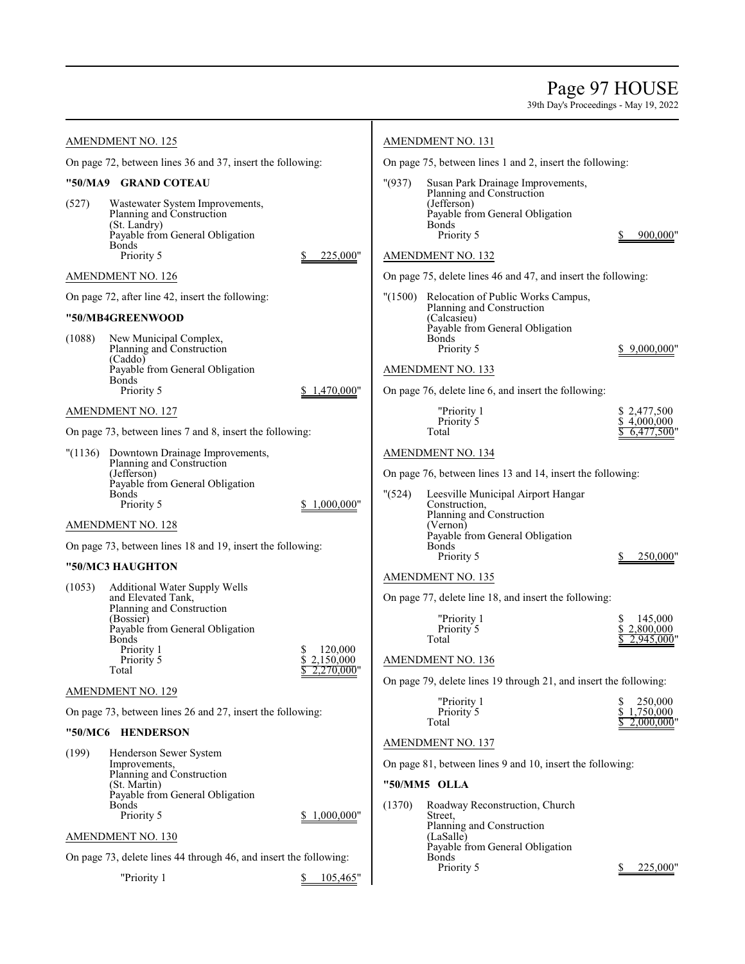### Page 97 HOUSE

39th Day's Proceedings - May 19, 2022

|        | <b>AMENDMENT NO. 125</b>                                                                                                                                                                     |                                    |         | AMENDMENT NO. 131                                                                                                                                                   |                                           |
|--------|----------------------------------------------------------------------------------------------------------------------------------------------------------------------------------------------|------------------------------------|---------|---------------------------------------------------------------------------------------------------------------------------------------------------------------------|-------------------------------------------|
|        | On page 72, between lines 36 and 37, insert the following:                                                                                                                                   |                                    |         | On page 75, between lines 1 and 2, insert the following:                                                                                                            |                                           |
| (527)  | "50/MA9 GRAND COTEAU<br>Wastewater System Improvements,<br>Planning and Construction<br>(St. Landry)<br>Payable from General Obligation<br><b>Bonds</b><br>Priority 5                        | 225,000"                           | "(937)  | Susan Park Drainage Improvements,<br>Planning and Construction<br>(Jefferson)<br>Payable from General Obligation<br><b>Bonds</b><br>Priority 5<br>AMENDMENT NO. 132 | 900,000"                                  |
|        | <b>AMENDMENT NO. 126</b>                                                                                                                                                                     |                                    |         | On page 75, delete lines 46 and 47, and insert the following:                                                                                                       |                                           |
|        | On page 72, after line 42, insert the following:                                                                                                                                             |                                    | "(1500) | Relocation of Public Works Campus,                                                                                                                                  |                                           |
|        | "50/MB4GREENWOOD                                                                                                                                                                             |                                    |         | Planning and Construction<br>(Calcasieu)                                                                                                                            |                                           |
| (1088) | New Municipal Complex,<br>Planning and Construction<br>(Caddo)<br>Payable from General Obligation<br><b>Bonds</b><br>Priority 5                                                              | \$1,470,000"                       |         | Payable from General Obligation<br><b>Bonds</b><br>Priority 5<br>AMENDMENT NO. 133<br>On page 76, delete line 6, and insert the following:                          | 9.000.000"                                |
|        | <b>AMENDMENT NO. 127</b>                                                                                                                                                                     |                                    |         | "Priority 1                                                                                                                                                         | \$2,477,500                               |
|        | On page 73, between lines 7 and 8, insert the following:                                                                                                                                     |                                    |         | Priority 5<br>Total                                                                                                                                                 | \$4,000,000<br>6,477,500"                 |
|        | "(1136) Downtown Drainage Improvements,<br>Planning and Construction<br>(Jefferson)<br>Payable from General Obligation<br><b>Bonds</b><br>Priority 5                                         | 1,000,000"                         | " (524) | <b>AMENDMENT NO. 134</b><br>On page 76, between lines 13 and 14, insert the following:<br>Leesville Municipal Airport Hangar<br>Construction.                       |                                           |
|        | <b>AMENDMENT NO. 128</b>                                                                                                                                                                     |                                    |         | Planning and Construction<br>(Vernon)                                                                                                                               |                                           |
|        | On page 73, between lines 18 and 19, insert the following:                                                                                                                                   |                                    |         | Payable from General Obligation<br><b>Bonds</b><br>Priority 5                                                                                                       | 250,000"                                  |
|        | "50/MC3 HAUGHTON                                                                                                                                                                             |                                    |         |                                                                                                                                                                     |                                           |
| (1053) | <b>Additional Water Supply Wells</b><br>and Elevated Tank,<br>Planning and Construction<br>(Bossier)<br>Payable from General Obligation<br><b>Bonds</b><br>Priority 1<br>Priority 5<br>Total | 120,000<br>2,150,000<br>2,270,000" |         | <b>AMENDMENT NO. 135</b><br>On page 77, delete line 18, and insert the following:<br>"Priority 1<br>Priority 5<br>Total<br><b>AMENDMENT NO. 136</b>                 | S<br>145,000<br>\$2,800,000<br>2.945.000" |
|        | <b>AMENDMENT NO. 129</b>                                                                                                                                                                     |                                    |         | On page 79, delete lines 19 through 21, and insert the following:                                                                                                   |                                           |
|        | On page 73, between lines 26 and 27, insert the following:                                                                                                                                   |                                    |         | "Priority 1<br>Priority 5                                                                                                                                           | 250,000<br>\$<br>1,750,000                |
|        | "50/MC6 HENDERSON                                                                                                                                                                            |                                    |         | Total                                                                                                                                                               | 2,000,000"                                |
| (199)  | Henderson Sewer System<br>Improvements,<br>Planning and Construction<br>(St. Martin)<br>Payable from General Obligation<br><b>Bonds</b><br>Priority 5                                        | 1,000,000"                         | (1370)  | AMENDMENT NO. 137<br>On page 81, between lines 9 and 10, insert the following:<br>"50/MM5 OLLA<br>Roadway Reconstruction, Church<br>Street,                         |                                           |
|        | AMENDMENT NO. 130                                                                                                                                                                            |                                    |         | Planning and Construction<br>(LaSalle)                                                                                                                              |                                           |
|        | On page 73, delete lines 44 through 46, and insert the following:                                                                                                                            |                                    |         | Payable from General Obligation<br><b>Bonds</b><br>Priority 5                                                                                                       | 225,000"                                  |
|        |                                                                                                                                                                                              |                                    |         |                                                                                                                                                                     |                                           |

"Priority 1  $$\underline{\$} 105,465"$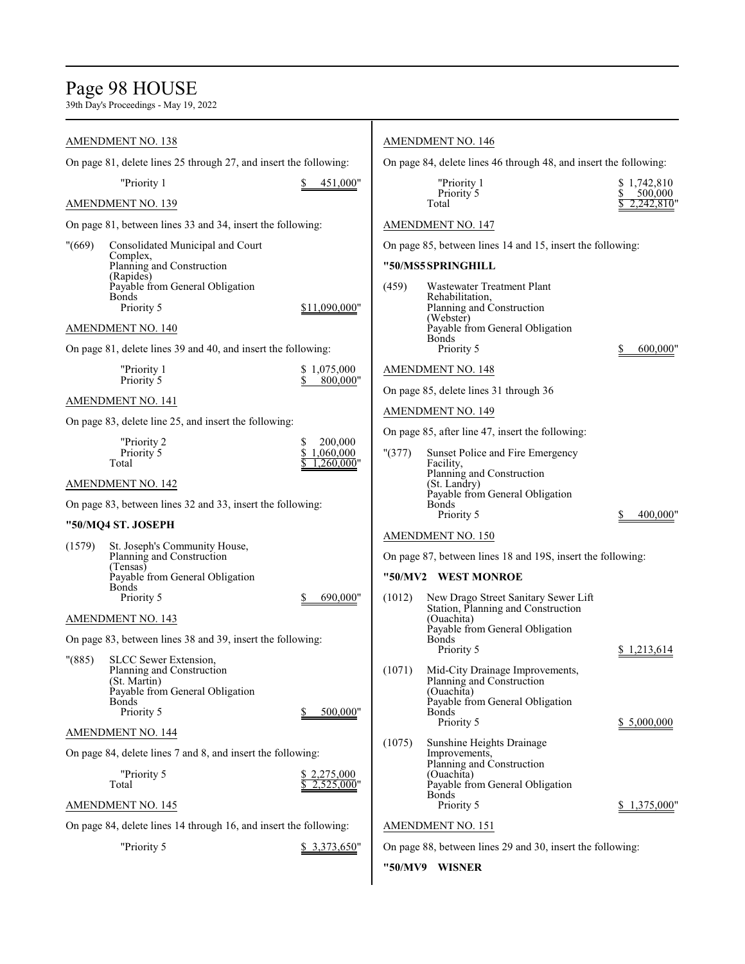# Page 98 HOUSE

|                                                                   | <b>AMENDMENT NO. 138</b>                                                                                                            |                              |                                                                   | <b>AMENDMENT NO. 146</b>                                                                                                                    |                                           |
|-------------------------------------------------------------------|-------------------------------------------------------------------------------------------------------------------------------------|------------------------------|-------------------------------------------------------------------|---------------------------------------------------------------------------------------------------------------------------------------------|-------------------------------------------|
| On page 81, delete lines 25 through 27, and insert the following: |                                                                                                                                     |                              | On page 84, delete lines 46 through 48, and insert the following: |                                                                                                                                             |                                           |
|                                                                   | "Priority 1<br><b>AMENDMENT NO. 139</b>                                                                                             | 451,000"                     |                                                                   | "Priority 1<br>Priority 5<br>Total                                                                                                          | \$1,742,810<br>S<br>500,000<br>2,242,810" |
|                                                                   | On page 81, between lines 33 and 34, insert the following:                                                                          |                              |                                                                   | <b>AMENDMENT NO. 147</b>                                                                                                                    |                                           |
| "(669)                                                            | Consolidated Municipal and Court                                                                                                    |                              |                                                                   | On page 85, between lines 14 and 15, insert the following:                                                                                  |                                           |
|                                                                   | Complex,<br>Planning and Construction                                                                                               |                              |                                                                   | "50/MS5 SPRINGHILL                                                                                                                          |                                           |
|                                                                   | (Rapides)<br>Payable from General Obligation<br>Bonds<br>Priority 5                                                                 | \$11,090,000"                | (459)                                                             | Wastewater Treatment Plant<br>Rehabilitation,<br>Planning and Construction                                                                  |                                           |
|                                                                   | AMENDMENT NO. 140                                                                                                                   |                              |                                                                   | (Webster)<br>Payable from General Obligation                                                                                                |                                           |
|                                                                   | On page 81, delete lines 39 and 40, and insert the following:                                                                       |                              |                                                                   | Bonds<br>Priority 5                                                                                                                         | 600,000"                                  |
|                                                                   | "Priority 1<br>Priority 5                                                                                                           | \$1,075,000<br>800,000"      |                                                                   | <b>AMENDMENT NO. 148</b>                                                                                                                    |                                           |
|                                                                   | <b>AMENDMENT NO. 141</b>                                                                                                            |                              |                                                                   | On page 85, delete lines 31 through 36                                                                                                      |                                           |
|                                                                   | On page 83, delete line 25, and insert the following:                                                                               |                              |                                                                   | <b>AMENDMENT NO. 149</b>                                                                                                                    |                                           |
|                                                                   | "Priority 2                                                                                                                         | 200,000<br>S                 |                                                                   | On page 85, after line 47, insert the following:                                                                                            |                                           |
|                                                                   | Priority 5<br>Total                                                                                                                 | \$<br>1.060.000<br>.260,000" | " (377)                                                           | Sunset Police and Fire Emergency<br>Facility,                                                                                               |                                           |
|                                                                   | <b>AMENDMENT NO. 142</b>                                                                                                            |                              |                                                                   | Planning and Construction<br>(St. Landry)                                                                                                   |                                           |
|                                                                   | On page 83, between lines 32 and 33, insert the following:                                                                          |                              |                                                                   | Payable from General Obligation<br><b>Bonds</b>                                                                                             |                                           |
|                                                                   | "50/MQ4 ST. JOSEPH                                                                                                                  |                              |                                                                   | Priority 5                                                                                                                                  | 400,000"                                  |
| (1579)                                                            | St. Joseph's Community House,                                                                                                       |                              |                                                                   | AMENDMENT NO. 150                                                                                                                           |                                           |
|                                                                   | Planning and Construction<br>(Tensas)                                                                                               |                              |                                                                   | On page 87, between lines 18 and 19S, insert the following:                                                                                 |                                           |
|                                                                   | Payable from General Obligation<br><b>Bonds</b>                                                                                     |                              |                                                                   | "50/MV2 WEST MONROE                                                                                                                         |                                           |
|                                                                   | Priority 5                                                                                                                          | 690,000"                     | (1012)                                                            | New Drago Street Sanitary Sewer Lift<br>Station, Planning and Construction                                                                  |                                           |
|                                                                   | <b>AMENDMENT NO. 143</b>                                                                                                            |                              |                                                                   | (Ouachita)<br>Payable from General Obligation                                                                                               |                                           |
|                                                                   | On page 83, between lines 38 and 39, insert the following:                                                                          |                              |                                                                   | <b>Bonds</b><br>Priority 5                                                                                                                  | \$1,213,614                               |
| $"({885})"$                                                       | SLCC Sewer Extension,<br>Planning and Construction<br>(St. Martin)<br>Payable from General Obligation<br><b>Bonds</b><br>Priority 5 | 500.000"                     | (1071)                                                            | Mid-City Drainage Improvements,<br>Planning and Construction<br>(Ouachita)<br>Payable from General Obligation<br><b>Bonds</b><br>Priority 5 | \$ 5,000,000                              |
|                                                                   | AMENDMENT NO. 144                                                                                                                   |                              |                                                                   |                                                                                                                                             |                                           |
|                                                                   | On page 84, delete lines 7 and 8, and insert the following:                                                                         |                              | (1075)                                                            | Sunshine Heights Drainage<br>Improvements,<br>Planning and Construction                                                                     |                                           |
|                                                                   | "Priority 5<br>Total                                                                                                                | \$2,275,000<br>2.525,000"    |                                                                   | (Ouachita)<br>Payable from General Obligation<br>Bonds                                                                                      |                                           |
|                                                                   | <b>AMENDMENT NO. 145</b>                                                                                                            |                              |                                                                   | Priority 5                                                                                                                                  | \$1,375,000"                              |
|                                                                   | On page 84, delete lines 14 through 16, and insert the following:                                                                   |                              |                                                                   | <b>AMENDMENT NO. 151</b>                                                                                                                    |                                           |
|                                                                   | "Priority 5                                                                                                                         | \$3,373,650"                 |                                                                   | On page 88, between lines 29 and 30, insert the following:                                                                                  |                                           |
|                                                                   |                                                                                                                                     |                              |                                                                   | "50/MV9 WISNER                                                                                                                              |                                           |
|                                                                   |                                                                                                                                     |                              |                                                                   |                                                                                                                                             |                                           |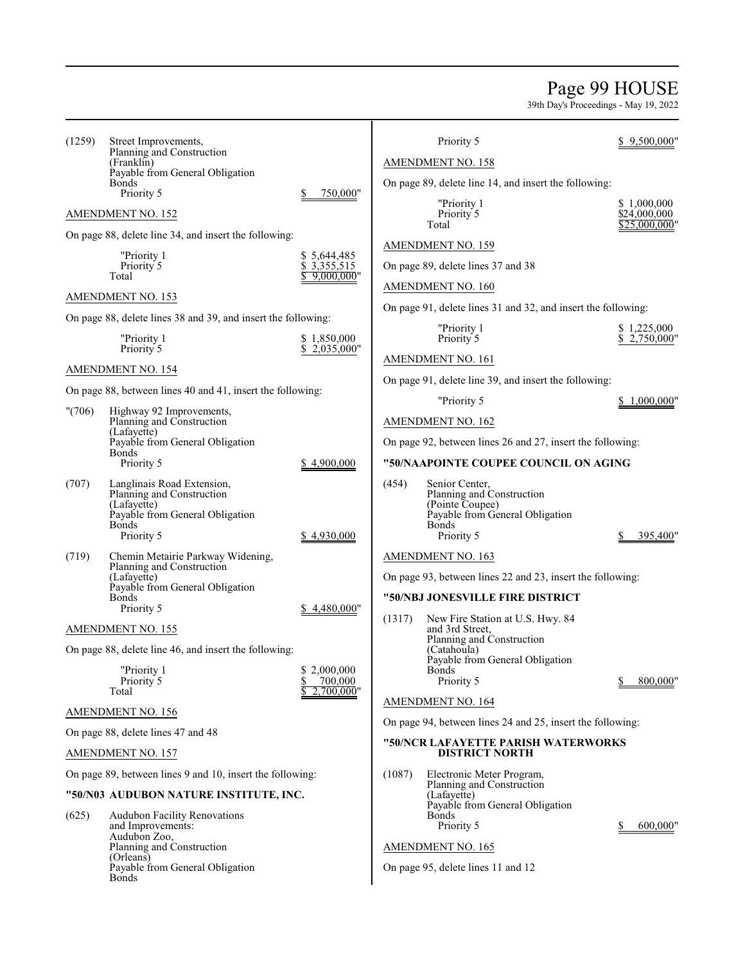### Page 99 HOUSE

| (1259) | Street Improvements,<br>Planning and Construction<br>(Franklin)<br>Payable from General Obligation<br>Bonds                                    |                                                | Priority 5<br>AMENDMENT NO. 158<br>On page 89, delete line 14, and insert the following:                                          | 9,500,000"                                   |
|--------|------------------------------------------------------------------------------------------------------------------------------------------------|------------------------------------------------|-----------------------------------------------------------------------------------------------------------------------------------|----------------------------------------------|
|        | Priority 5<br><b>AMENDMENT NO. 152</b>                                                                                                         | 750,000"                                       | "Priority 1<br>Priority 5<br>Total                                                                                                | \$1,000,000<br>\$24,000,000<br>\$25.000.000' |
|        | On page 88, delete line 34, and insert the following:<br>"Priority 1<br>Priority 5<br>Total                                                    | \$5,644,485<br>\$3,355,515<br>9,000,000"       | <b>AMENDMENT NO. 159</b><br>On page 89, delete lines 37 and 38                                                                    |                                              |
|        | AMENDMENT NO. 153                                                                                                                              |                                                | AMENDMENT NO. 160<br>On page 91, delete lines 31 and 32, and insert the following:                                                |                                              |
|        | On page 88, delete lines 38 and 39, and insert the following:                                                                                  |                                                |                                                                                                                                   |                                              |
|        | "Priority 1<br>Priority 5                                                                                                                      | \$1,850,000<br>\$2,035,000"                    | "Priority 1<br>Priority 5                                                                                                         | \$1,225,000<br>2,750,000"                    |
|        | AMENDMENT NO. 154                                                                                                                              |                                                | AMENDMENT NO. 161                                                                                                                 |                                              |
|        |                                                                                                                                                |                                                | On page 91, delete line 39, and insert the following:                                                                             |                                              |
|        | On page 88, between lines 40 and 41, insert the following:                                                                                     |                                                | "Priority 5                                                                                                                       | 1,000,000"                                   |
| "(706) | Highway 92 Improvements,<br>Planning and Construction<br>(Lafavette)                                                                           |                                                | <b>AMENDMENT NO. 162</b>                                                                                                          |                                              |
|        | Payable from General Obligation                                                                                                                |                                                | On page 92, between lines 26 and 27, insert the following:                                                                        |                                              |
|        | <b>Bonds</b><br>Priority 5                                                                                                                     | \$4,900,000                                    | "50/NAAPOINTE COUPEE COUNCIL ON AGING                                                                                             |                                              |
| (707)  | Langlinais Road Extension,<br>Planning and Construction<br>(Lafayette)<br>Payable from General Obligation<br>Bonds<br>Priority 5               | \$4,930,000                                    | (454)<br>Senior Center,<br>Planning and Construction<br>(Pointe Coupee)<br>Payable from General Obligation<br>Bonds<br>Priority 5 | 395,400"                                     |
| (719)  | Chemin Metairie Parkway Widening,<br>Planning and Construction<br>(Lafayette)<br>Payable from General Obligation<br><b>Bonds</b><br>Priority 5 | \$4,480,000"                                   | <b>AMENDMENT NO. 163</b><br>On page 93, between lines 22 and 23, insert the following:<br>"50/NBJ JONESVILLE FIRE DISTRICT        |                                              |
|        | AMENDMENT NO. 155                                                                                                                              |                                                | New Fire Station at U.S. Hwy. 84<br>(1317)<br>and 3rd Street,                                                                     |                                              |
|        | On page 88, delete line 46, and insert the following:<br>"Priority 1<br>Priority 5<br>Total                                                    | 2,000,000<br>\$<br>700,000<br>\$<br>2,700,000" | Planning and Construction<br>(Catahoula)<br>Payable from General Obligation<br><b>Bonds</b><br>Priority 5                         | 800,000                                      |
|        | <b>AMENDMENT NO. 156</b>                                                                                                                       |                                                | AMENDMENT NO. 164                                                                                                                 |                                              |
|        |                                                                                                                                                |                                                | On page 94, between lines 24 and 25, insert the following:                                                                        |                                              |
|        | On page 88, delete lines 47 and 48<br><b>AMENDMENT NO. 157</b>                                                                                 |                                                | "50/NCR LAFAYETTE PARISH WATERWORKS<br><b>DISTRICT NORTH</b>                                                                      |                                              |
|        | On page 89, between lines 9 and 10, insert the following:                                                                                      |                                                | (1087)<br>Electronic Meter Program,                                                                                               |                                              |
|        | "50/N03 AUDUBON NATURE INSTITUTE, INC.                                                                                                         |                                                | Planning and Construction<br>(Lafayette)<br>Payable from General Obligation                                                       |                                              |
| (625)  | Audubon Facility Renovations<br>and Improvements:<br>Audubon Zoo,<br>Planning and Construction<br>(Orleans)                                    |                                                | <b>Bonds</b><br>Priority 5<br><b>AMENDMENT NO. 165</b>                                                                            | 600,000"                                     |
|        | Payable from General Obligation<br>Bonds                                                                                                       |                                                | On page 95, delete lines 11 and 12                                                                                                |                                              |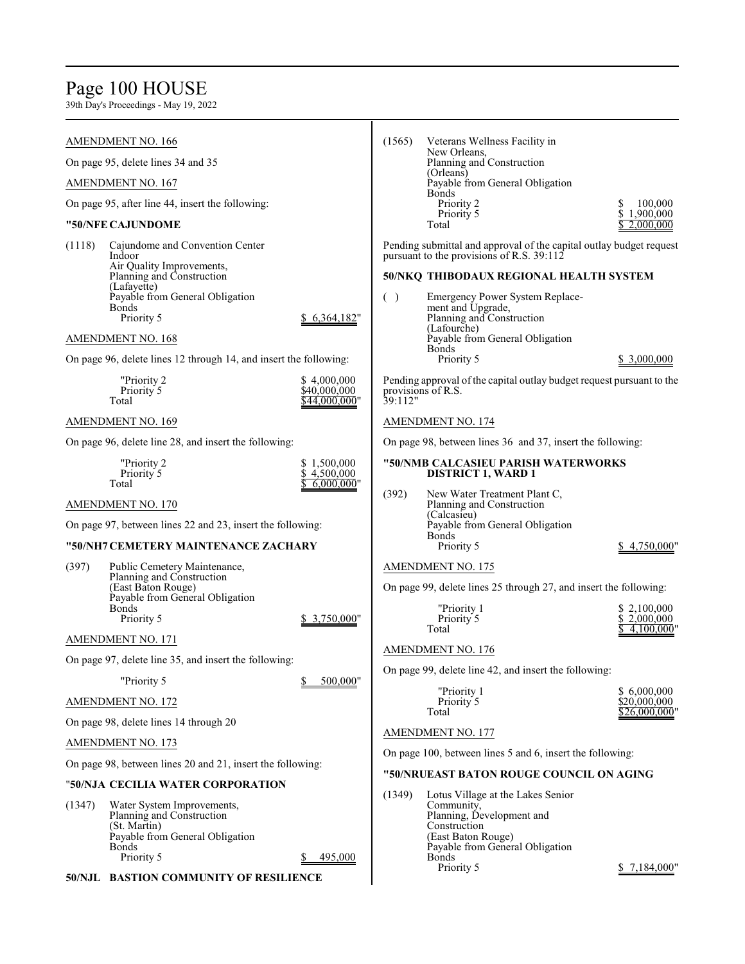### Page 100 HOUSE

39th Day's Proceedings - May 19, 2022

#### AMENDMENT NO. 166

On page 95, delete lines 34 and 35

AMENDMENT NO. 167

On page 95, after line 44, insert the following:

#### **"50/NFE CAJUNDOME**

| (1118) | Cajundome and Convention Center |              |
|--------|---------------------------------|--------------|
|        | Indoor                          |              |
|        | Air Quality Improvements,       |              |
|        | Planning and Construction       |              |
|        | (Lafayette)                     |              |
|        | Payable from General Obligation |              |
|        | Bonds                           |              |
|        | Priority 5                      | \$6,364,182" |

#### AMENDMENT NO. 168

On page 96, delete lines 12 through 14, and insert the following:

| "Priority 2 | \$4,000,000   |
|-------------|---------------|
| Priority 5  | \$40,000,000  |
| Total       | \$44,000,000" |

#### AMENDMENT NO. 169

On page 96, delete line 28, and insert the following:

| "Priority 2 | \$1,500,000  |
|-------------|--------------|
| Priority 5  | \$4.500,000  |
| Total       | \$6,000,000" |

#### AMENDMENT NO. 170

On page 97, between lines 22 and 23, insert the following:

#### **"50/NH7 CEMETERY MAINTENANCE ZACHARY**

| (397) | Public Cemetery Maintenance,    |              |
|-------|---------------------------------|--------------|
|       | Planning and Construction       |              |
|       | (East Baton Rouge)              |              |
|       | Payable from General Obligation |              |
|       | <b>Bonds</b>                    |              |
|       | Priority 5                      | \$3,750,000" |

AMENDMENT NO. 171

On page 97, delete line 35, and insert the following:

"Priority 5 \$ 500,000"

AMENDMENT NO. 172

On page 98, delete lines 14 through 20

AMENDMENT NO. 173

On page 98, between lines 20 and 21, insert the following:

#### "**50/NJA CECILIA WATER CORPORATION**

(1347) Water System Improvements, Planning and Construction (St. Martin) Payable from General Obligation Bonds Priority 5 \$ 495,000

**50/NJL BASTION COMMUNITY OF RESILIENCE**

| (1565) | Veterans Wellness Facility in<br>New Orleans.<br>Planning and Construction<br>(Orleans)<br>Payable from General Obligation<br><b>Bonds</b> |                      |
|--------|--------------------------------------------------------------------------------------------------------------------------------------------|----------------------|
|        | Priority 2<br>Priority 5                                                                                                                   | 100,000<br>1,900,000 |
|        | Total                                                                                                                                      |                      |

Pending submittal and approval of the capital outlay budget request pursuant to the provisions of R.S. 39:112

#### **50/NKQ THIBODAUX REGIONAL HEALTH SYSTEM**

| Emergency Power System Replace- |             |
|---------------------------------|-------------|
| ment and Upgrade,               |             |
| Planning and Construction       |             |
| (Lafourche)                     |             |
| Payable from General Obligation |             |
| <b>Bonds</b>                    |             |
| Priority 5                      | \$3,000,000 |
|                                 |             |

Pending approval of the capital outlay budget request pursuant to the provisions of R.S. 39:112"

#### AMENDMENT NO. 174

On page 98, between lines 36 and 37, insert the following:

#### **"50/NMB CALCASIEU PARISH WATERWORKS DISTRICT 1, WARD 1**

(392) New Water Treatment Plant C, Planning and Construction (Calcasieu) Payable from General Obligation Bonds<br>Priority 5  $$4,750,000"$ 

#### AMENDMENT NO. 175

On page 99, delete lines 25 through 27, and insert the following:

| "Priority 1 | \$2,100,000  |
|-------------|--------------|
| Priority 5  | \$2,000,000  |
| Total       | \$4,100,000" |

#### AMENDMENT NO. 176

On page 99, delete line 42, and insert the following:

| "Priority 1 | \$6,000,000   |
|-------------|---------------|
| Priority 5  | \$20,000,000  |
| Total       | \$26,000,000" |

#### AMENDMENT NO. 177

On page 100, between lines 5 and 6, insert the following:

#### **"50/NRUEAST BATON ROUGE COUNCIL ON AGING**

(1349) Lotus Village at the Lakes Senior Community, Planning, Development and Construction (East Baton Rouge) Payable from General Obligation Bonds<br>Priority 5

 $$7,184,000"$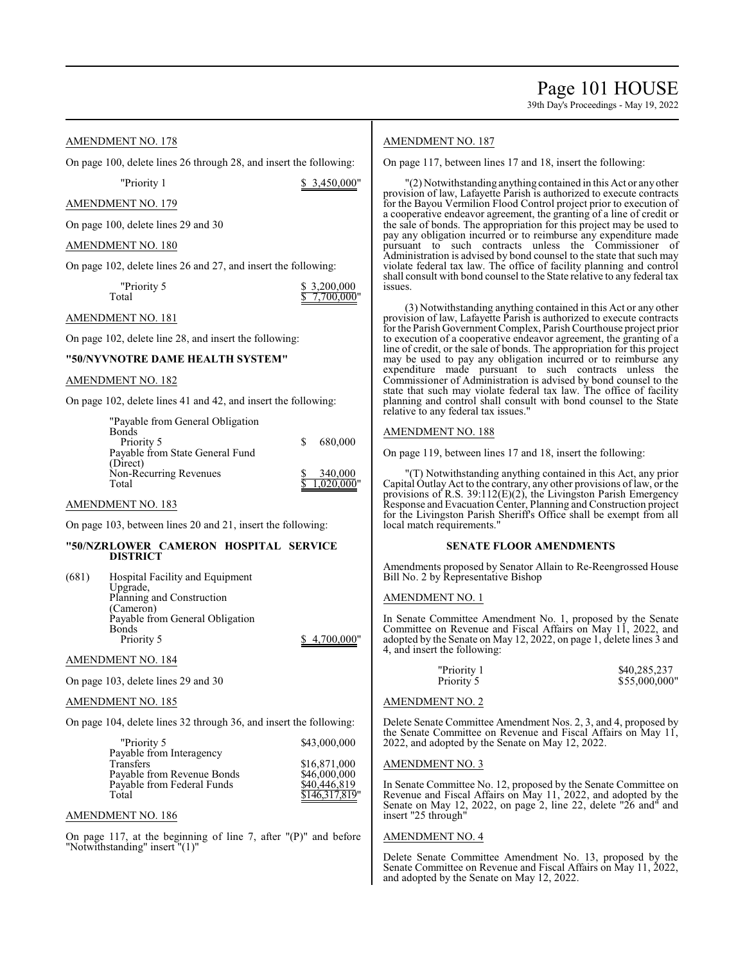#### AMENDMENT NO. 178

On page 100, delete lines 26 through 28, and insert the following:

"Priority 1 \$ 3,450,000"

#### AMENDMENT NO. 179

On page 100, delete lines 29 and 30

#### AMENDMENT NO. 180

On page 102, delete lines 26 and 27, and insert the following:

"Priority 5 <br>
Total <br>
Total <br>
T.700.000  $7,700,000$ 

#### AMENDMENT NO. 181

On page 102, delete line 28, and insert the following:

### **"50/NYVNOTRE DAME HEALTH SYSTEM"**

#### AMENDMENT NO. 182

On page 102, delete lines 41 and 42, and insert the following:

| 680,000    |
|------------|
|            |
|            |
| 340,000    |
| 1.020.000" |
|            |

#### AMENDMENT NO. 183

On page 103, between lines 20 and 21, insert the following:

#### **"50/NZRLOWER CAMERON HOSPITAL SERVICE DISTRICT**

| (681) | Hospital Facility and Equipment |            |
|-------|---------------------------------|------------|
|       | Upgrade,                        |            |
|       | Planning and Construction       |            |
|       | (Cameron)                       |            |
|       | Payable from General Obligation |            |
|       | Bonds                           |            |
|       | Priority 5                      | 4,700,000" |
|       |                                 |            |

#### AMENDMENT NO. 184

On page 103, delete lines 29 and 30

#### AMENDMENT NO. 185

On page 104, delete lines 32 through 36, and insert the following:

| \$43,000,000   |
|----------------|
|                |
| \$16,871,000   |
| \$46,000,000   |
| \$40,446,819   |
| \$146,317,819" |
|                |

#### AMENDMENT NO. 186

On page 117, at the beginning of line 7, after "(P)" and before "Notwithstanding" insert "(1)"

#### AMENDMENT NO. 187

On page 117, between lines 17 and 18, insert the following:

"(2) Notwithstanding anything contained in this Act or any other provision of law, Lafayette Parish is authorized to execute contracts for the Bayou Vermilion Flood Control project prior to execution of a cooperative endeavor agreement, the granting of a line of credit or the sale of bonds. The appropriation for this project may be used to pay any obligation incurred or to reimburse any expenditure made pursuant to such contracts unless the Commissioner of Administration is advised by bond counsel to the state that such may violate federal tax law. The office of facility planning and control shall consult with bond counsel to the State relative to any federal tax issues.

(3) Notwithstanding anything contained in this Act or any other provision of law, Lafayette Parish is authorized to execute contracts for the Parish Government Complex, ParishCourthouse project prior to execution of a cooperative endeavor agreement, the granting of a line of credit, or the sale of bonds. The appropriation for this project may be used to pay any obligation incurred or to reimburse any expenditure made pursuant to such contracts unless the Commissioner of Administration is advised by bond counsel to the state that such may violate federal tax law. The office of facility planning and control shall consult with bond counsel to the State relative to any federal tax issues."

#### AMENDMENT NO. 188

On page 119, between lines 17 and 18, insert the following:

"(T) Notwithstanding anything contained in this Act, any prior Capital Outlay Act to the contrary, any other provisions of law, or the provisions of R.S. 39:112(E)(2), the Livingston Parish Emergency Response and Evacuation Center, Planning and Construction project for the Livingston Parish Sheriff's Office shall be exempt from all local match requirements."

#### **SENATE FLOOR AMENDMENTS**

Amendments proposed by Senator Allain to Re-Reengrossed House Bill No. 2 by Representative Bishop

#### AMENDMENT NO. 1

In Senate Committee Amendment No. 1, proposed by the Senate Committee on Revenue and Fiscal Affairs on May 11, 2022, and adopted by the Senate on May 12, 2022, on page 1, delete lines 3 and 4, and insert the following:

| "Priority 1 | \$40,285,237  |
|-------------|---------------|
| Priority 5  | \$55,000,000" |

#### AMENDMENT NO. 2

Delete Senate Committee Amendment Nos. 2, 3, and 4, proposed by the Senate Committee on Revenue and Fiscal Affairs on May 11, 2022, and adopted by the Senate on May 12, 2022.

#### AMENDMENT NO. 3

In Senate Committee No. 12, proposed by the Senate Committee on Revenue and Fiscal Affairs on May 11, 2022, and adopted by the Senate on May 12, 2022, on page 2, line 22, delete "26 and" and insert "25 through"

#### AMENDMENT NO. 4

٦ Delete Senate Committee Amendment No. 13, proposed by the Senate Committee on Revenue and Fiscal Affairs on May 11, 2022, and adopted by the Senate on May 12, 2022.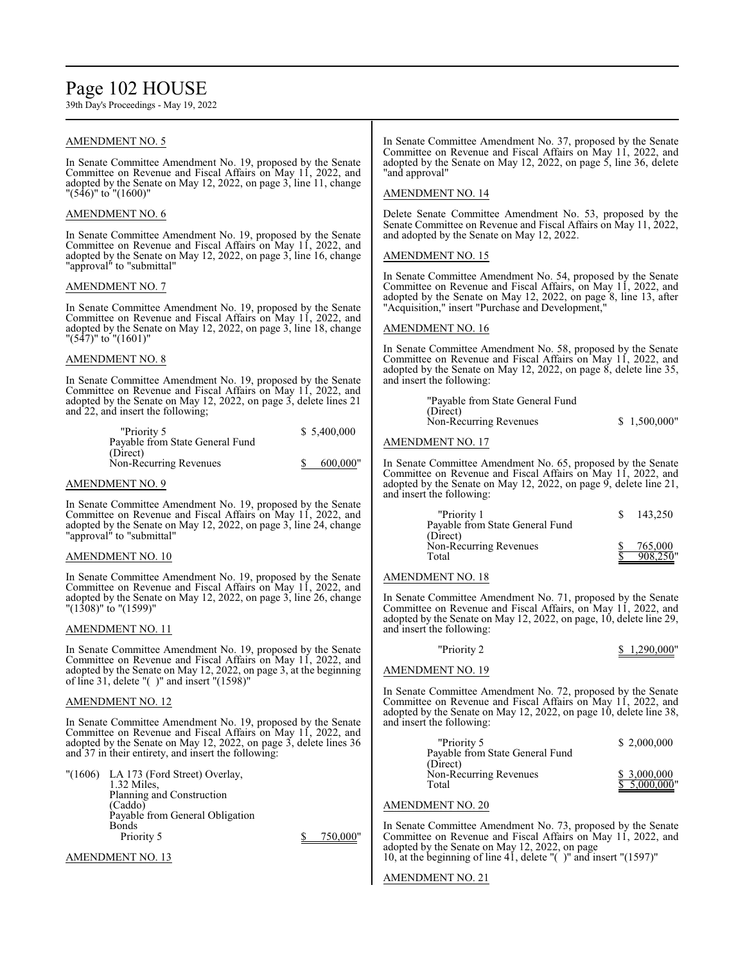### Page 102 HOUSE

39th Day's Proceedings - May 19, 2022

#### AMENDMENT NO. 5 ٦

In Senate Committee Amendment No. 19, proposed by the Senate Committee on Revenue and Fiscal Affairs on May 11, 2022, and adopted by the Senate on May 12, 2022, on page 3, line 11, change "(546)" to "(1600)"

#### AMENDMENT NO. 6

In Senate Committee Amendment No. 19, proposed by the Senate Committee on Revenue and Fiscal Affairs on May 11, 2022, and adopted by the Senate on May 12, 2022, on page 3, line 16, change "approval<sup>"</sup> to "submittal"

#### AMENDMENT NO. 7

٦ In Senate Committee Amendment No. 19, proposed by the Senate Committee on Revenue and Fiscal Affairs on May 11, 2022, and adopted by the Senate on May 12, 2022, on page 3, line 18, change "(547)" to "(1601)"

#### AMENDMENT NO. 8

In Senate Committee Amendment No. 19, proposed by the Senate Committee on Revenue and Fiscal Affairs on May 11, 2022, and adopted by the Senate on May 12, 2022, on page 3, delete lines 21 and 22, and insert the following;

| \$5,400,000 |
|-------------|
|             |
|             |
| 600,000"    |
|             |

#### AMENDMENT NO. 9

In Senate Committee Amendment No. 19, proposed by the Senate Committee on Revenue and Fiscal Affairs on May 11, 2022, and adopted by the Senate on May 12, 2022, on page 3, line 24, change "approval" to "submittal"

#### AMENDMENT NO. 10

In Senate Committee Amendment No. 19, proposed by the Senate Committee on Revenue and Fiscal Affairs on May 11, 2022, and adopted by the Senate on May 12, 2022, on page 3, line 26, change "(1308)" to "(1599)"

#### AMENDMENT NO. 11

٦ In Senate Committee Amendment No. 19, proposed by the Senate Committee on Revenue and Fiscal Affairs on May 11, 2022, and adopted by the Senate on May 12, 2022, on page 3, at the beginning of line 31, delete "( )" and insert "(1598)"

#### AMENDMENT NO. 12

In Senate Committee Amendment No. 19, proposed by the Senate Committee on Revenue and Fiscal Affairs on May 11, 2022, and adopted by the Senate on May 12, 2022, on page 3, delete lines 36 and 37 in their entirety, and insert the following:

|  | "(1606) LA 173 (Ford Street) Overlay, |          |
|--|---------------------------------------|----------|
|  | 1.32 Miles.                           |          |
|  | Planning and Construction             |          |
|  | (Caddo)                               |          |
|  | Payable from General Obligation       |          |
|  | Bonds                                 |          |
|  | Priority 5                            | 750,000" |
|  |                                       |          |

AMENDMENT NO. 13 ٦

In Senate Committee Amendment No. 37, proposed by the Senate Committee on Revenue and Fiscal Affairs on May 11, 2022, and adopted by the Senate on May 12, 2022, on page 5, line 36, delete "and approval"

#### AMENDMENT NO. 14

Delete Senate Committee Amendment No. 53, proposed by the Senate Committee on Revenue and Fiscal Affairs on May 11, 2022, and adopted by the Senate on May 12, 2022.

#### AMENDMENT NO. 15 ٦

In Senate Committee Amendment No. 54, proposed by the Senate Committee on Revenue and Fiscal Affairs, on May 11, 2022, and adopted by the Senate on May 12, 2022, on page 8, line 13, after "Acquisition," insert "Purchase and Development,"

#### AMENDMENT NO. 16

In Senate Committee Amendment No. 58, proposed by the Senate Committee on Revenue and Fiscal Affairs on May 11, 2022, and adopted by the Senate on May 12, 2022, on page 8, delete line 35, and insert the following:

| "Payable from State General Fund |              |
|----------------------------------|--------------|
| (Direct)                         |              |
| Non-Recurring Revenues           | \$1,500,000" |

#### AMENDMENT NO. 17

In Senate Committee Amendment No. 65, proposed by the Senate Committee on Revenue and Fiscal Affairs on May 11, 2022, and adopted by the Senate on May 12, 2022, on page 9, delete line 21, and insert the following:

| "Priority 1<br>Payable from State General Fund | 143.250             |
|------------------------------------------------|---------------------|
| (Direct)<br>Non-Recurring Revenues<br>Total    | 765,000<br>908.250" |

#### AMENDMENT NO. 18

In Senate Committee Amendment No. 71, proposed by the Senate Committee on Revenue and Fiscal Affairs, on May 11, 2022, and adopted by the Senate on May 12, 2022, on page, 10, delete line 29, and insert the following:

### "Priority 2  $\frac{$1,290,000"}{ }$

#### AMENDMENT NO. 19

In Senate Committee Amendment No. 72, proposed by the Senate Committee on Revenue and Fiscal Affairs on May 11, 2022, and adopted by the Senate on May 12, 2022, on page 10, delete line 38, and insert the following:

| "Priority 5                     | \$2,000,000  |
|---------------------------------|--------------|
| Payable from State General Fund |              |
| (Direct)                        |              |
| Non-Recurring Revenues          | \$3,000,000  |
| Total                           | \$5,000,000" |

#### AMENDMENT NO. 20

٦ In Senate Committee Amendment No. 73, proposed by the Senate Committee on Revenue and Fiscal Affairs on May 11, 2022, and adopted by the Senate on May 12, 2022, on page 10, at the beginning of line 41, delete "( )" and insert "(1597)"

#### AMENDMENT NO. 21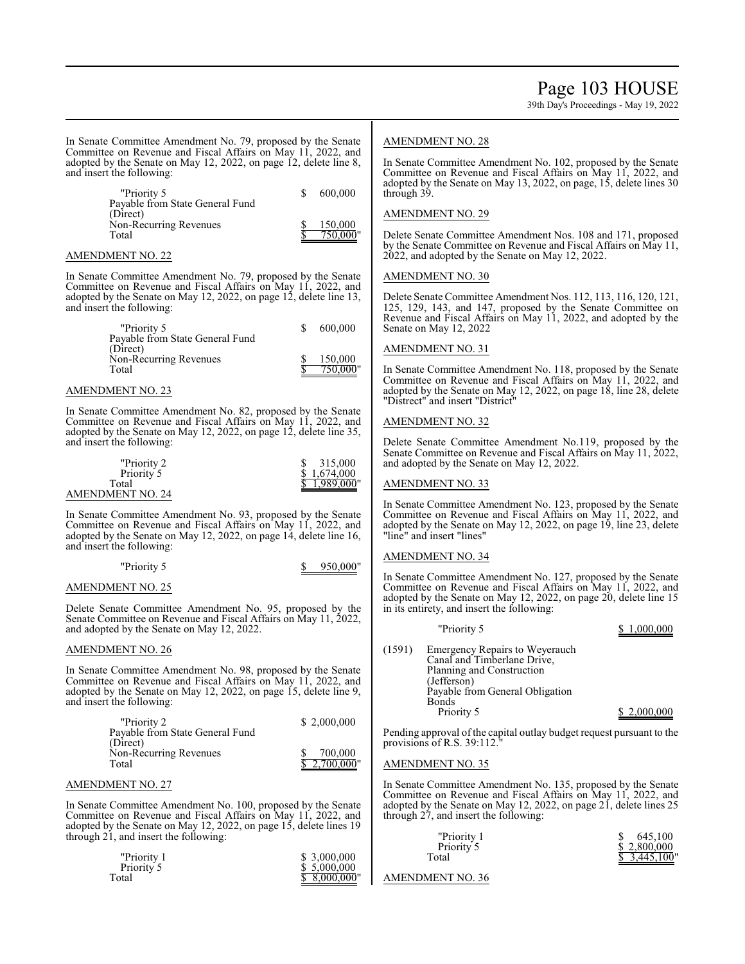In Senate Committee Amendment No. 79, proposed by the Senate AMENDMENT NO. 28

Committee on Revenue and Fiscal Affairs on May 11, 2022, and adopted by the Senate on May 12, 2022, on page 12, delete line 8, and insert the following:

| "Priority 5                     | 600,000  |
|---------------------------------|----------|
| Payable from State General Fund |          |
| (Direct)                        |          |
| Non-Recurring Revenues          | 150,000  |
| Total                           | 750.000" |
|                                 |          |

#### AMENDMENT NO. 22

In Senate Committee Amendment No. 79, proposed by the Senate Committee on Revenue and Fiscal Affairs on May 11, 2022, and adopted by the Senate on May 12, 2022, on page 12, delete line 13, and insert the following:

| "Priority 5                                 | S. | 600,000     |
|---------------------------------------------|----|-------------|
| Payable from State General Fund<br>(Direct) |    |             |
| Non-Recurring Revenues                      |    | 150,000     |
| Total                                       |    | $750,000$ " |

#### AMENDMENT NO. 23

In Senate Committee Amendment No. 82, proposed by the Senate Committee on Revenue and Fiscal Affairs on May 11, 2022, and adopted by the Senate on May 12, 2022, on page 12, delete line 35, and insert the following:

| "Priority 2      | 315,000      |
|------------------|--------------|
| Priority 5       | \$1.674,000  |
| Total            | \$1,989,000" |
| AMENDMENT NO. 24 |              |

In Senate Committee Amendment No. 93, proposed by the Senate Committee on Revenue and Fiscal Affairs on May 11, 2022, and adopted by the Senate on May 12, 2022, on page 14, delete line 16, and insert the following:

#### "Priority 5 \$ 950,000"

#### AMENDMENT NO. 25

Delete Senate Committee Amendment No. 95, proposed by the Senate Committee on Revenue and Fiscal Affairs on May 11, 2022, and adopted by the Senate on May 12, 2022.

#### AMENDMENT NO. 26

In Senate Committee Amendment No. 98, proposed by the Senate Committee on Revenue and Fiscal Affairs on May 11, 2022, and adopted by the Senate on May 12, 2022, on page 15, delete line 9, and insert the following:

| "Priority 2                     | \$2,000,000  |
|---------------------------------|--------------|
| Payable from State General Fund |              |
| (Direct)                        |              |
| Non-Recurring Revenues          | 700,000      |
| Total                           | \$2,700,000" |
|                                 |              |

#### AMENDMENT NO. 27

In Senate Committee Amendment No. 100, proposed by the Senate Committee on Revenue and Fiscal Affairs on May 11, 2022, and adopted by the Senate on May 12, 2022, on page 15, delete lines 19 through 21, and insert the following:

| "Priority 1 | \$ 3,000,000 |
|-------------|--------------|
| Priority 5  | \$ 5,000,000 |
| Total       | \$8,000,000" |

In Senate Committee Amendment No. 102, proposed by the Senate Committee on Revenue and Fiscal Affairs on May 11, 2022, and adopted by the Senate on May 13, 2022, on page, 15, delete lines 30 through 39.

#### AMENDMENT NO. 29

Delete Senate Committee Amendment Nos. 108 and 171, proposed by the Senate Committee on Revenue and Fiscal Affairs on May 11, 2022, and adopted by the Senate on May 12, 2022.

#### AMENDMENT NO. 30

Delete Senate Committee Amendment Nos. 112, 113, 116, 120, 121, 125, 129, 143, and 147, proposed by the Senate Committee on Revenue and Fiscal Affairs on May 11, 2022, and adopted by the Senate on May 12, 2022

#### AMENDMENT NO. 31

In Senate Committee Amendment No. 118, proposed by the Senate Committee on Revenue and Fiscal Affairs on May 11, 2022, and adopted by the Senate on May 12, 2022, on page 18, line 28, delete "Distrect" and insert "District"

#### AMENDMENT NO. 32

Delete Senate Committee Amendment No.119, proposed by the Senate Committee on Revenue and Fiscal Affairs on May 11, 2022, and adopted by the Senate on May 12, 2022.

#### AMENDMENT NO. 33

In Senate Committee Amendment No. 123, proposed by the Senate Committee on Revenue and Fiscal Affairs on May 11, 2022, and adopted by the Senate on May 12, 2022, on page 19, line 23, delete "line" and insert "lines"

#### AMENDMENT NO. 34

In Senate Committee Amendment No. 127, proposed by the Senate Committee on Revenue and Fiscal Affairs on May 11, 2022, and adopted by the Senate on May 12, 2022, on page 20, delete line 15 in its entirety, and insert the following:

|        | "Priority 5                                                                                                                                  | \$1,000,000 |
|--------|----------------------------------------------------------------------------------------------------------------------------------------------|-------------|
| (1591) | Emergency Repairs to Weyerauch<br>Canal and Timberlane Drive,<br>Planning and Construction<br>(Jefferson)<br>Payable from General Obligation |             |
|        | <b>Bonds</b><br>Priority 5                                                                                                                   | \$2,000,000 |

Pending approval of the capital outlay budget request pursuant to the provisions of R.S. 39:112."

#### AMENDMENT NO. 35

In Senate Committee Amendment No. 135, proposed by the Senate Committee on Revenue and Fiscal Affairs on May 11, 2022, and adopted by the Senate on May 12, 2022, on page 21, delete lines 25 through 27, and insert the following:

| "Priority 1 | 645,100      |
|-------------|--------------|
| Priority 5  | \$2,800,000  |
| Total       | \$3,445,100" |
|             |              |

AMENDMENT NO. 36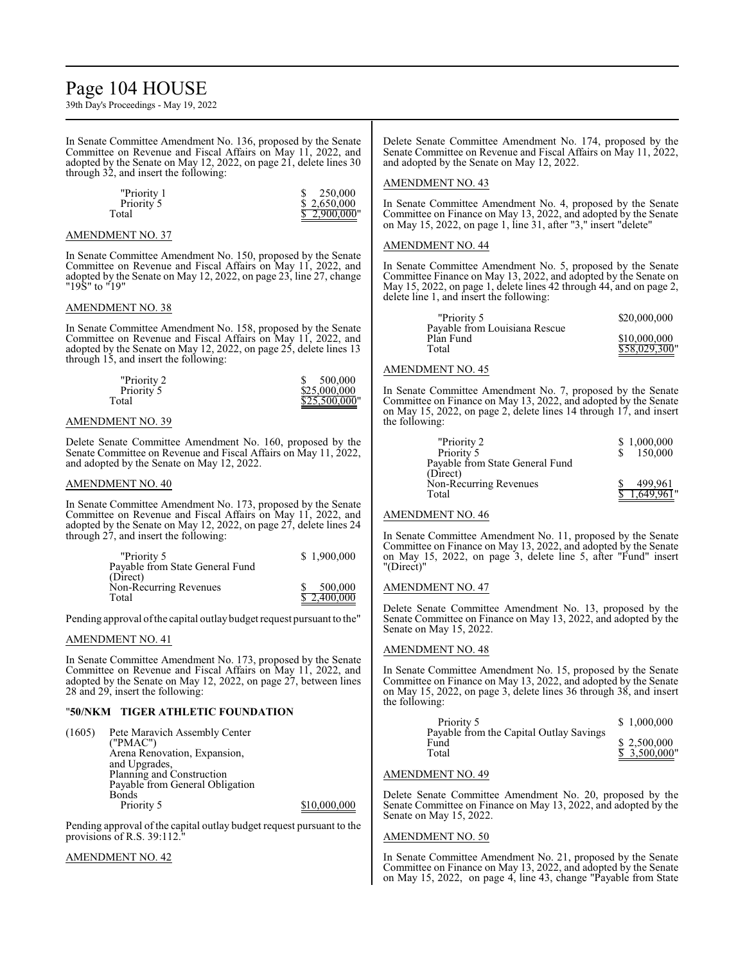### Page 104 HOUSE

39th Day's Proceedings - May 19, 2022

In Senate Committee Amendment No. 136, proposed by the Senate Committee on Revenue and Fiscal Affairs on May 11, 2022, and adopted by the Senate on May 12, 2022, on page 21, delete lines 30 through 32, and insert the following:

| "Priority 1 | 250,000      |
|-------------|--------------|
| Priority 5  | \$2,650,000  |
| Total       | \$2,900,000" |

#### AMENDMENT NO. 37

I In Senate Committee Amendment No. 150, proposed by the Senate Committee on Revenue and Fiscal Affairs on May 11, 2022, and adopted by the Senate on May 12, 2022, on page 23, line 27, change "19S" to "19"

#### AMENDMENT NO. 38

In Senate Committee Amendment No. 158, proposed by the Senate Committee on Revenue and Fiscal Affairs on May 11, 2022, and adopted by the Senate on May 12, 2022, on page 25, delete lines 13 through 15, and insert the following:

| "Priority 2 | 500,000       |
|-------------|---------------|
| Priority 5  | \$25,000,000  |
| Total       | \$25,500,000" |

#### AMENDMENT NO. 39

Delete Senate Committee Amendment No. 160, proposed by the Senate Committee on Revenue and Fiscal Affairs on May 11, 2022, and adopted by the Senate on May 12, 2022.

#### AMENDMENT NO. 40

In Senate Committee Amendment No. 173, proposed by the Senate Committee on Revenue and Fiscal Affairs on May 11, 2022, and adopted by the Senate on May 12, 2022, on page 27, delete lines 24 through 27, and insert the following:

| "Priority 5                     | \$1,900,000 |
|---------------------------------|-------------|
| Payable from State General Fund |             |
| (Direct)                        |             |
| Non-Recurring Revenues          | 500,000     |
| Total                           | \$2,400,000 |

Pending approval of the capital outlay budget request pursuant to the"

#### AMENDMENT NO. 41

In Senate Committee Amendment No. 173, proposed by the Senate Committee on Revenue and Fiscal Affairs on May 11, 2022, and adopted by the Senate on May 12, 2022, on page 27, between lines 28 and 29, insert the following:

#### "**50/NKM TIGER ATHLETIC FOUNDATION**

(1605) Pete Maravich Assembly Center ("PMAC") Arena Renovation, Expansion, and Upgrades, Planning and Construction Payable from General Obligation Bonds<br>Priority 5  $$10,000,000$ 

Pending approval of the capital outlay budget request pursuant to the provisions of R.S. 39:112.

AMENDMENT NO. 42

Delete Senate Committee Amendment No. 174, proposed by the Senate Committee on Revenue and Fiscal Affairs on May 11, 2022, and adopted by the Senate on May 12, 2022.

#### AMENDMENT NO. 43

In Senate Committee Amendment No. 4, proposed by the Senate Committee on Finance on May 13, 2022, and adopted by the Senate on May 15, 2022, on page 1, line 31, after "3," insert "delete"

#### AMENDMENT NO. 44

٦ In Senate Committee Amendment No. 5, proposed by the Senate Committee Finance on May 13, 2022, and adopted by the Senate on May 15, 2022, on page 1, delete lines 42 through 44, and on page 2, delete line 1, and insert the following:

| "Priority 5                                | \$20,000,000  |
|--------------------------------------------|---------------|
| Payable from Louisiana Rescue<br>Plan Fund | \$10,000,000  |
| Total                                      | \$58,029,300" |
|                                            |               |

#### AMENDMENT NO. 45

In Senate Committee Amendment No. 7, proposed by the Senate Committee on Finance on May 13, 2022, and adopted by the Senate on May 15, 2022, on page 2, delete lines 14 through 17, and insert the following:

| "Priority 2                     | \$1,000,000 |
|---------------------------------|-------------|
| Priority 5                      | 150,000     |
| Payable from State General Fund |             |
| (Direct)                        |             |
| Non-Recurring Revenues          | 499.961     |
| Total                           |             |

#### AMENDMENT NO. 46

In Senate Committee Amendment No. 11, proposed by the Senate Committee on Finance on May 13, 2022, and adopted by the Senate on May 15, 2022, on page 3, delete line 5, after "Fund" insert "(Direct)"

#### AMENDMENT NO. 47

Delete Senate Committee Amendment No. 13, proposed by the Senate Committee on Finance on May 13, 2022, and adopted by the Senate on May 15, 2022.

#### AMENDMENT NO. 48

In Senate Committee Amendment No. 15, proposed by the Senate Committee on Finance on May 13, 2022, and adopted by the Senate on May 15, 2022, on page 3, delete lines 36 through 38, and insert the following:

| Priority 5                                               | \$1,000,000                               |
|----------------------------------------------------------|-------------------------------------------|
| Payable from the Capital Outlay Savings<br>Fund<br>Total | \$2,500,000<br>$\overline{\$}$ 3,500,000" |

#### AMENDMENT NO. 49

Delete Senate Committee Amendment No. 20, proposed by the Senate Committee on Finance on May 13, 2022, and adopted by the Senate on May 15, 2022.

#### AMENDMENT NO. 50

In Senate Committee Amendment No. 21, proposed by the Senate Committee on Finance on May 13, 2022, and adopted by the Senate on May 15, 2022, on page 4, line 43, change "Payable from State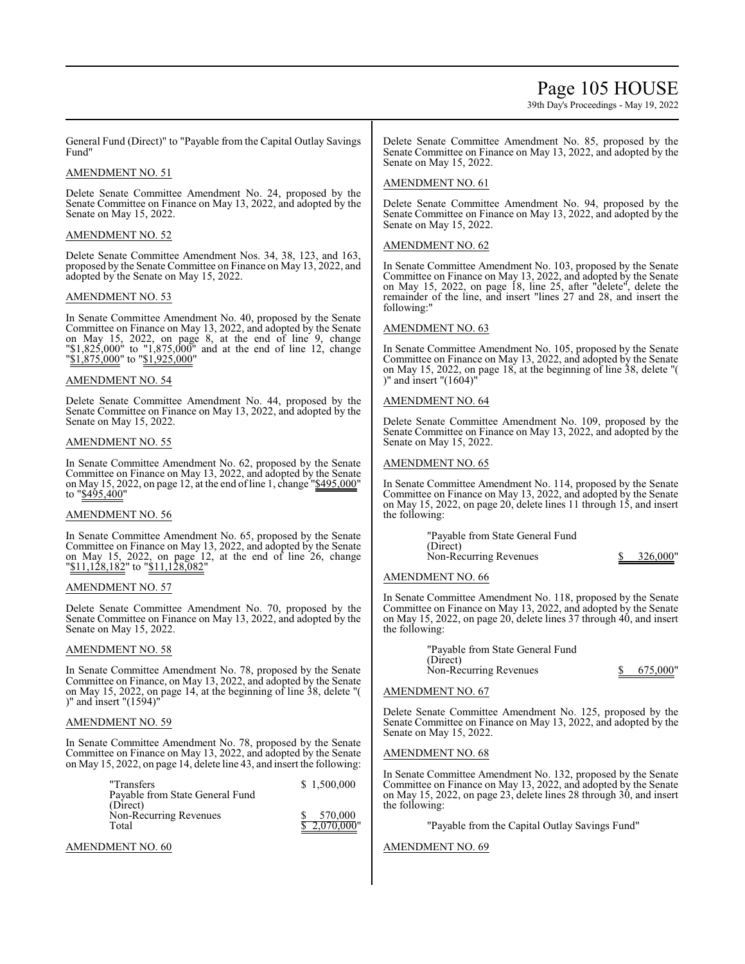### Page 105 HOUSE

39th Day's Proceedings - May 19, 2022

General Fund (Direct)" to "Payable from the Capital Outlay Savings Fund"

#### AMENDMENT NO. 51

Delete Senate Committee Amendment No. 24, proposed by the Senate Committee on Finance on May 13, 2022, and adopted by the Senate on May 15, 2022.

#### AMENDMENT NO. 52

Delete Senate Committee Amendment Nos. 34, 38, 123, and 163, proposed by the Senate Committee on Finance on May 13, 2022, and adopted by the Senate on May 15, 2022.

#### AMENDMENT NO. 53

In Senate Committee Amendment No. 40, proposed by the Senate Committee on Finance on May 13, 2022, and adopted by the Senate on May 15, 2022, on page 8, at the end of line 9, change "\$1,825,000" to "1,875,000" and at the end of line 12, change "\$1,875,000" to "\$1,925,000"

#### AMENDMENT NO. 54

Delete Senate Committee Amendment No. 44, proposed by the Senate Committee on Finance on May 13, 2022, and adopted by the Senate on May 15, 2022.

#### AMENDMENT NO. 55

In Senate Committee Amendment No. 62, proposed by the Senate Committee on Finance on May 13, 2022, and adopted by the Senate on May 15, 2022, on page 12, at the end ofline 1, change "\$495,000" to "\$495,400"

#### AMENDMENT NO. 56

In Senate Committee Amendment No. 65, proposed by the Senate Committee on Finance on May 13, 2022, and adopted by the Senate on May 15, 2022, on page 12, at the end of line 26, change "\\$11,128,182" to "\\$11,128,082"

#### AMENDMENT NO. 57

٦ Delete Senate Committee Amendment No. 70, proposed by the Senate Committee on Finance on May 13, 2022, and adopted by the Senate on May 15, 2022.

#### AMENDMENT NO. 58

In Senate Committee Amendment No. 78, proposed by the Senate Committee on Finance, on May 13, 2022, and adopted by the Senate on May 15, 2022, on page 14, at the beginning of line 38, delete "( )" and insert "(1594)"

#### AMENDMENT NO. 59

In Senate Committee Amendment No. 78, proposed by the Senate Committee on Finance on May 13, 2022, and adopted by the Senate on May 15, 2022, on page 14, delete line 43, and insert the following:

| "Transfers                      | \$1.500,000  |
|---------------------------------|--------------|
| Payable from State General Fund |              |
| (Direct)                        |              |
| Non-Recurring Revenues          | 570,000      |
| Total                           | \$2.070.000" |

AMENDMENT NO. 60

Delete Senate Committee Amendment No. 85, proposed by the Senate Committee on Finance on May 13, 2022, and adopted by the Senate on May 15, 2022.

#### AMENDMENT NO. 61

Delete Senate Committee Amendment No. 94, proposed by the Senate Committee on Finance on May 13, 2022, and adopted by the Senate on May 15, 2022.

#### AMENDMENT NO. 62

In Senate Committee Amendment No. 103, proposed by the Senate Committee on Finance on May 13, 2022, and adopted by the Senate on May 15, 2022, on page 18, line 25, after "delete", delete the remainder of the line, and insert "lines 27 and 28, and insert the following:"

#### AMENDMENT NO. 63

In Senate Committee Amendment No. 105, proposed by the Senate Committee on Finance on May 13, 2022, and adopted by the Senate on May 15, 2022, on page 18, at the beginning of line 38, delete "( )" and insert "(1604)"

#### AMENDMENT NO. 64

Delete Senate Committee Amendment No. 109, proposed by the Senate Committee on Finance on May 13, 2022, and adopted by the Senate on May 15, 2022.

### AMENDMENT NO. 65

٦ In Senate Committee Amendment No. 114, proposed by the Senate Committee on Finance on May 13, 2022, and adopted by the Senate on May 15, 2022, on page 20, delete lines 11 through 15, and insert the following:

| "Payable from State General Fund |          |
|----------------------------------|----------|
| (Direct)                         |          |
| Non-Recurring Revenues           | 326,000" |
|                                  |          |

#### AMENDMENT NO. 66

In Senate Committee Amendment No. 118, proposed by the Senate Committee on Finance on May 13, 2022, and adopted by the Senate on May 15, 2022, on page 20, delete lines 37 through 40, and insert the following:

| "Payable from State General Fund |          |
|----------------------------------|----------|
| (Direct)                         |          |
| Non-Recurring Revenues           | 675,000" |

#### AMENDMENT NO. 67

Delete Senate Committee Amendment No. 125, proposed by the Senate Committee on Finance on May 13, 2022, and adopted by the Senate on May 15, 2022.

#### AMENDMENT NO. 68

In Senate Committee Amendment No. 132, proposed by the Senate Committee on Finance on May 13, 2022, and adopted by the Senate on May 15, 2022, on page 23, delete lines 28 through 30, and insert the following:

"Payable from the Capital Outlay Savings Fund"

#### AMENDMENT NO. 69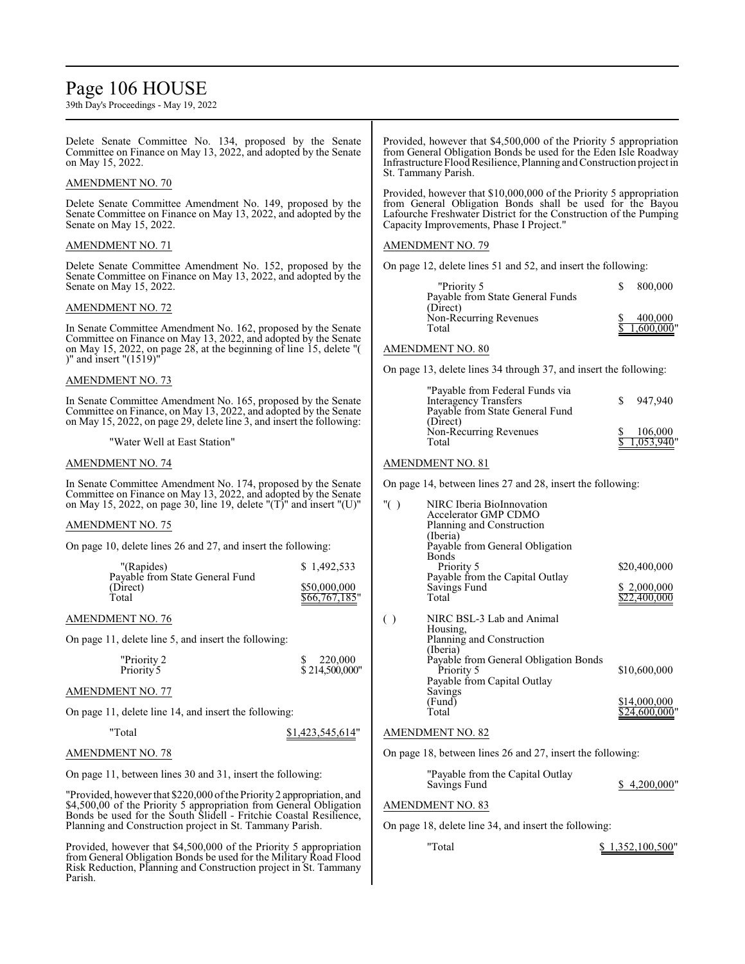### Page 106 HOUSE

| Delete Senate Committee No. 134, proposed by the Senate<br>Committee on Finance on May 13, 2022, and adopted by the Senate<br>on May 15, 2022.                                                                                                                                          |                                                                                                                                                                                                                                                                                                                                              | Provided, however that \$4,500,000 of the Priority 5 appropriation<br>from General Obligation Bonds be used for the Eden Isle Roadway<br>Infrastructure Flood Resilience, Planning and Construction project in                                                                                                                                                                                                                                                                                                                                                                                                                                                                                                                                                                                                                                |  |  |
|-----------------------------------------------------------------------------------------------------------------------------------------------------------------------------------------------------------------------------------------------------------------------------------------|----------------------------------------------------------------------------------------------------------------------------------------------------------------------------------------------------------------------------------------------------------------------------------------------------------------------------------------------|-----------------------------------------------------------------------------------------------------------------------------------------------------------------------------------------------------------------------------------------------------------------------------------------------------------------------------------------------------------------------------------------------------------------------------------------------------------------------------------------------------------------------------------------------------------------------------------------------------------------------------------------------------------------------------------------------------------------------------------------------------------------------------------------------------------------------------------------------|--|--|
|                                                                                                                                                                                                                                                                                         |                                                                                                                                                                                                                                                                                                                                              |                                                                                                                                                                                                                                                                                                                                                                                                                                                                                                                                                                                                                                                                                                                                                                                                                                               |  |  |
| Delete Senate Committee Amendment No. 149, proposed by the<br>Senate Committee on Finance on May 13, 2022, and adopted by the                                                                                                                                                           | Capacity Improvements, Phase I Project."                                                                                                                                                                                                                                                                                                     |                                                                                                                                                                                                                                                                                                                                                                                                                                                                                                                                                                                                                                                                                                                                                                                                                                               |  |  |
|                                                                                                                                                                                                                                                                                         | <b>AMENDMENT NO. 79</b>                                                                                                                                                                                                                                                                                                                      |                                                                                                                                                                                                                                                                                                                                                                                                                                                                                                                                                                                                                                                                                                                                                                                                                                               |  |  |
|                                                                                                                                                                                                                                                                                         |                                                                                                                                                                                                                                                                                                                                              |                                                                                                                                                                                                                                                                                                                                                                                                                                                                                                                                                                                                                                                                                                                                                                                                                                               |  |  |
|                                                                                                                                                                                                                                                                                         | "Priority 5                                                                                                                                                                                                                                                                                                                                  | 800,000                                                                                                                                                                                                                                                                                                                                                                                                                                                                                                                                                                                                                                                                                                                                                                                                                                       |  |  |
|                                                                                                                                                                                                                                                                                         | (Direct)                                                                                                                                                                                                                                                                                                                                     |                                                                                                                                                                                                                                                                                                                                                                                                                                                                                                                                                                                                                                                                                                                                                                                                                                               |  |  |
| In Senate Committee Amendment No. 162, proposed by the Senate<br>Committee on Finance on May 13, 2022, and adopted by the Senate<br>on May 15, 2022, on page 28, at the beginning of line 15, delete "(                                                                                 | Total<br>AMENDMENT NO. 80                                                                                                                                                                                                                                                                                                                    | 400,000<br>.600.000                                                                                                                                                                                                                                                                                                                                                                                                                                                                                                                                                                                                                                                                                                                                                                                                                           |  |  |
|                                                                                                                                                                                                                                                                                         |                                                                                                                                                                                                                                                                                                                                              |                                                                                                                                                                                                                                                                                                                                                                                                                                                                                                                                                                                                                                                                                                                                                                                                                                               |  |  |
| In Senate Committee Amendment No. 165, proposed by the Senate<br>Committee on Finance, on May 13, 2022, and adopted by the Senate<br>on May 15, 2022, on page 29, delete line 3, and insert the following:                                                                              | <b>Interagency Transfers</b><br>Payable from State General Fund<br>(Direct)<br>Non-Recurring Revenues<br>Total                                                                                                                                                                                                                               | S<br>947,940<br>106,000<br>1,053,940                                                                                                                                                                                                                                                                                                                                                                                                                                                                                                                                                                                                                                                                                                                                                                                                          |  |  |
|                                                                                                                                                                                                                                                                                         |                                                                                                                                                                                                                                                                                                                                              |                                                                                                                                                                                                                                                                                                                                                                                                                                                                                                                                                                                                                                                                                                                                                                                                                                               |  |  |
| In Senate Committee Amendment No. 174, proposed by the Senate<br>Committee on Finance on May 13, 2022, and adopted by the Senate<br>on May 15, 2022, on page 30, line 19, delete "(T)" and insert "(U)"<br>On page 10, delete lines 26 and 27, and insert the following:<br>\$1,492,533 | " $( )$<br>NIRC Iberia BioInnovation<br>Accelerator GMP CDMO<br>Planning and Construction<br>(Iberia)<br>Payable from General Obligation<br>Bonds<br>Priority 5                                                                                                                                                                              | \$20,400,000                                                                                                                                                                                                                                                                                                                                                                                                                                                                                                                                                                                                                                                                                                                                                                                                                                  |  |  |
| \$50,000,000<br>\$66,767,185"                                                                                                                                                                                                                                                           | Savings Fund<br>Total                                                                                                                                                                                                                                                                                                                        | \$2,000,000<br>\$22,400,000                                                                                                                                                                                                                                                                                                                                                                                                                                                                                                                                                                                                                                                                                                                                                                                                                   |  |  |
| On page 11, delete line 5, and insert the following:                                                                                                                                                                                                                                    | NIRC BSL-3 Lab and Animal<br>$\left( \ \right)$<br>Housing.<br>Planning and Construction                                                                                                                                                                                                                                                     |                                                                                                                                                                                                                                                                                                                                                                                                                                                                                                                                                                                                                                                                                                                                                                                                                                               |  |  |
| 220,000<br>\$<br>\$214,500,000"                                                                                                                                                                                                                                                         | Priority 5<br>Payable from Capital Outlay                                                                                                                                                                                                                                                                                                    | \$10,600,000                                                                                                                                                                                                                                                                                                                                                                                                                                                                                                                                                                                                                                                                                                                                                                                                                                  |  |  |
|                                                                                                                                                                                                                                                                                         | (Fund)                                                                                                                                                                                                                                                                                                                                       | \$14,000,000                                                                                                                                                                                                                                                                                                                                                                                                                                                                                                                                                                                                                                                                                                                                                                                                                                  |  |  |
|                                                                                                                                                                                                                                                                                         |                                                                                                                                                                                                                                                                                                                                              | \$24,600,000"                                                                                                                                                                                                                                                                                                                                                                                                                                                                                                                                                                                                                                                                                                                                                                                                                                 |  |  |
|                                                                                                                                                                                                                                                                                         |                                                                                                                                                                                                                                                                                                                                              |                                                                                                                                                                                                                                                                                                                                                                                                                                                                                                                                                                                                                                                                                                                                                                                                                                               |  |  |
|                                                                                                                                                                                                                                                                                         |                                                                                                                                                                                                                                                                                                                                              |                                                                                                                                                                                                                                                                                                                                                                                                                                                                                                                                                                                                                                                                                                                                                                                                                                               |  |  |
| On page 11, between lines 30 and 31, insert the following:                                                                                                                                                                                                                              | "Payable from the Capital Outlay                                                                                                                                                                                                                                                                                                             | \$4,200,000"                                                                                                                                                                                                                                                                                                                                                                                                                                                                                                                                                                                                                                                                                                                                                                                                                                  |  |  |
| "Provided, however that \$220,000 of the Priority 2 appropriation, and<br>\$4,500,00 of the Priority 5 appropriation from General Obligation<br>Bonds be used for the South Slidell - Fritchie Coastal Resilience,                                                                      | <b>AMENDMENT NO. 83</b>                                                                                                                                                                                                                                                                                                                      |                                                                                                                                                                                                                                                                                                                                                                                                                                                                                                                                                                                                                                                                                                                                                                                                                                               |  |  |
|                                                                                                                                                                                                                                                                                         |                                                                                                                                                                                                                                                                                                                                              |                                                                                                                                                                                                                                                                                                                                                                                                                                                                                                                                                                                                                                                                                                                                                                                                                                               |  |  |
| from General Obligation Bonds be used for the Military Road Flood<br>Risk Reduction, Planning and Construction project in St. Tammany                                                                                                                                                   |                                                                                                                                                                                                                                                                                                                                              | \$1,352,100,500"                                                                                                                                                                                                                                                                                                                                                                                                                                                                                                                                                                                                                                                                                                                                                                                                                              |  |  |
|                                                                                                                                                                                                                                                                                         | Delete Senate Committee Amendment No. 152, proposed by the<br>Senate Committee on Finance on May 13, 2022, and adopted by the<br>On page 11, delete line 14, and insert the following:<br>\$1,423,545,614"<br>Planning and Construction project in St. Tammany Parish.<br>Provided, however that \$4,500,000 of the Priority 5 appropriation | St. Tammany Parish.<br>Provided, however that \$10,000,000 of the Priority 5 appropriation<br>from General Obligation Bonds shall be used for the Bayou<br>Lafourche Freshwater District for the Construction of the Pumping<br>On page 12, delete lines 51 and 52, and insert the following:<br>Payable from State General Funds<br>Non-Recurring Revenues<br>On page 13, delete lines 34 through 37, and insert the following:<br>"Payable from Federal Funds via<br>AMENDMENT NO. 81<br>On page 14, between lines 27 and 28, insert the following:<br>Payable from the Capital Outlay<br>(Iberia)<br>Payable from General Obligation Bonds<br>Savings<br>Total<br><b>AMENDMENT NO. 82</b><br>On page 18, between lines 26 and 27, insert the following:<br>Savings Fund<br>On page 18, delete line 34, and insert the following:<br>"Total |  |  |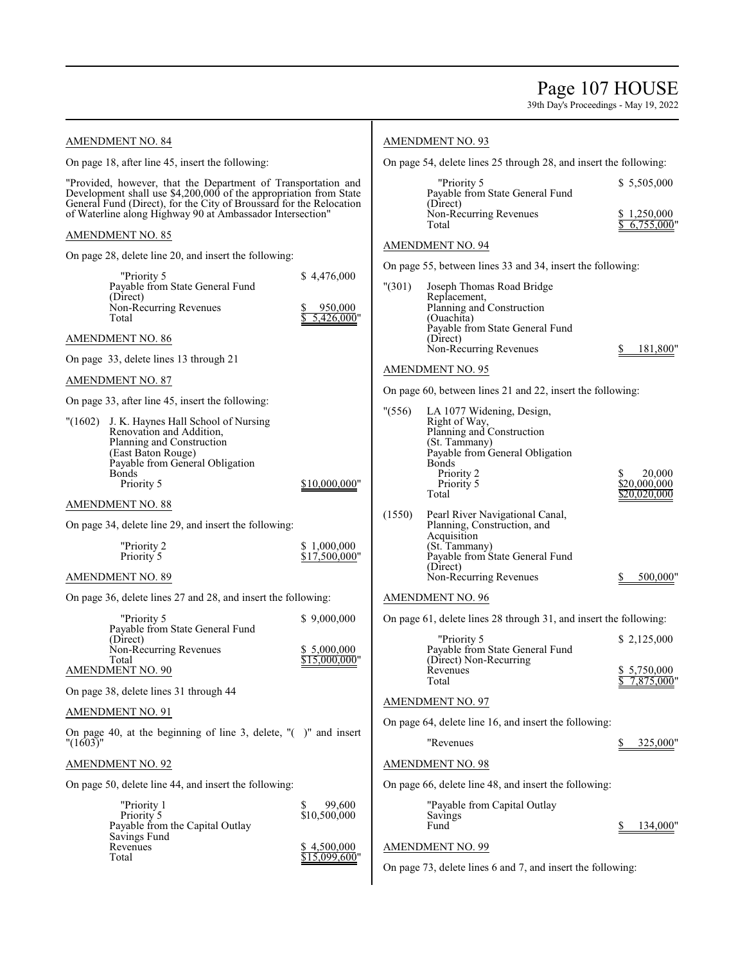39th Day's Proceedings - May 19, 2022

### AMENDMENT NO. 84

On page 18, after line 45, insert the following:

"Provided, however, that the Department of Transportation and Development shall use \$4,200,000 of the appropriation from State General Fund (Direct), for the City of Broussard for the Relocation of Waterline along Highway 90 at Ambassador Intersection"

#### AMENDMENT NO. 85

On page 28, delete line 20, and insert the following:

| "Priority 5                     | \$4,476,000  |
|---------------------------------|--------------|
| Payable from State General Fund |              |
| (Direct)                        |              |
| Non-Recurring Revenues          | 950,000      |
| Total                           | \$5,426,000" |
|                                 |              |

#### AMENDMENT NO. 86

On page 33, delete lines 13 through 21

### AMENDMENT NO. 87

On page 33, after line 45, insert the following:

| "(1602) J. K. Haynes Hall School of Nursing |               |
|---------------------------------------------|---------------|
| Renovation and Addition,                    |               |
| Planning and Construction                   |               |
| (East Baton Rouge)                          |               |
| Payable from General Obligation             |               |
| <b>Bonds</b>                                |               |
| Priority 5                                  | \$10,000,000" |

AMENDMENT NO. 88

On page 34, delete line 29, and insert the following:

| "Priority 2 | \$1,000,000   |
|-------------|---------------|
| Priority 5  | \$17,500,000" |

#### AMENDMENT NO. 89

On page 36, delete lines 27 and 28, and insert the following:

| "Priority 5                     | \$9,000,000   |
|---------------------------------|---------------|
| Payable from State General Fund |               |
| (Direct)                        |               |
| Non-Recurring Revenues          | \$5,000,000   |
| Total                           | \$15,000,000" |
| <b>AMENDMENT NO. 90</b>         |               |

On page 38, delete lines 31 through 44

#### AMENDMENT NO. 91

On page 40, at the beginning of line 3, delete, "( )" and insert "(1603)"

#### AMENDMENT NO. 92

On page 50, delete line 44, and insert the following:

| "Priority 1                     | 99,600        |
|---------------------------------|---------------|
| Priority 5                      | \$10,500,000  |
| Payable from the Capital Outlay |               |
| Savings Fund                    |               |
| Revenues                        | \$4,500,000   |
| Total                           | \$15,099,600" |

#### AMENDMENT NO. 93

On page 54, delete lines 25 through 28, and insert the following:

| \$1,250,000<br>\$6.755.000" |
|-----------------------------|
|                             |

#### AMENDMENT NO. 94

On page 55, between lines 33 and 34, insert the following:

"(301) Joseph Thomas Road Bridge Replacement, Planning and Construction (Ouachita) Payable from State General Fund (Direct) Non-Recurring Revenues \$ 181,800"

#### AMENDMENT NO. 95

On page 60, between lines 21 and 22, insert the following:

| " (556) | LA 1077 Widening, Design,<br>Right of Way,<br>Planning and Construction<br>(St. Tammany)<br>Payable from General Obligation<br><b>Bonds</b><br>Priority 2<br>Priority 5<br>Total | 20,000<br>\$20,000,000<br>\$20,020,000 |
|---------|----------------------------------------------------------------------------------------------------------------------------------------------------------------------------------|----------------------------------------|
| (1550)  | Pearl River Navigational Canal,<br>Planning, Construction, and<br>Acquisition<br>(St. Tammany)<br>Payable from State General Fund<br>(Direct)<br>Non-Recurring Revenues          | 500,00                                 |

#### AMENDMENT NO. 96

On page 61, delete lines 28 through 31, and insert the following:

| "Priority 5<br>Payable from State General Fund | \$2,125,000                  |
|------------------------------------------------|------------------------------|
| (Direct) Non-Recurring<br>Revenues<br>Total    | \$5,750,000<br>$7.875.000$ " |
| AMENDMENT NO. 97                               |                              |

On page 64, delete line 16, and insert the following:

| "Revenues" |  | 325,000" |
|------------|--|----------|
|------------|--|----------|

#### AMENDMENT NO. 98

On page 66, delete line 48, and insert the following:

"Payable from Capital Outlay Savings<br>Fund

134,000"

#### AMENDMENT NO. 99

On page 73, delete lines 6 and 7, and insert the following: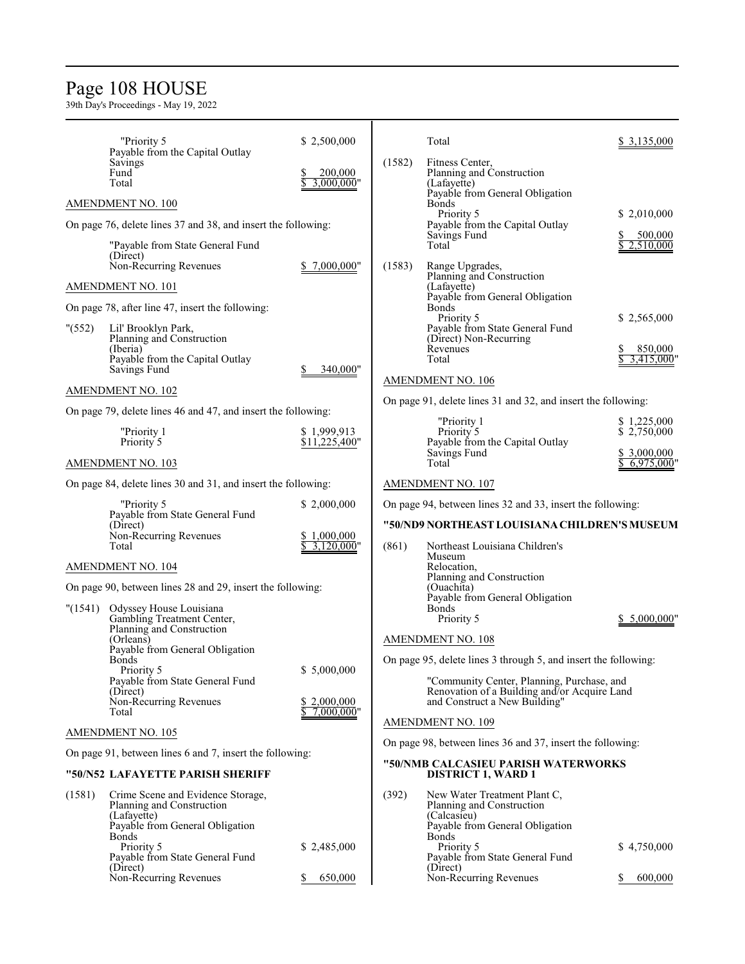### Page 108 HOUSE

|                                                               | "Priority 5                                                    | \$2,500,000                  |                          | Total                                                                                      | \$ 3,135,000              |
|---------------------------------------------------------------|----------------------------------------------------------------|------------------------------|--------------------------|--------------------------------------------------------------------------------------------|---------------------------|
|                                                               | Payable from the Capital Outlay<br>Savings<br>Fund             | 200,000                      | (1582)                   | Fitness Center,<br>Planning and Construction                                               |                           |
|                                                               | Total                                                          | 3.000.000"                   |                          | (Lafayette)<br>Payable from General Obligation                                             |                           |
|                                                               | AMENDMENT NO. 100                                              |                              |                          | Bonds<br>Priority 5                                                                        | \$ 2,010,000              |
|                                                               | On page 76, delete lines 37 and 38, and insert the following:  |                              |                          | Payable from the Capital Outlay<br>Savings Fund                                            | 500,000                   |
|                                                               | "Payable from State General Fund<br>(Direct)                   |                              |                          | Total                                                                                      | 2,510,000                 |
|                                                               | Non-Recurring Revenues                                         | 7,000,000"                   | (1583)                   | Range Upgrades,<br>Planning and Construction                                               |                           |
|                                                               | AMENDMENT NO. 101                                              |                              |                          | (Lafayette)<br>Payable from General Obligation                                             |                           |
|                                                               | On page 78, after line 47, insert the following:               |                              |                          | Bonds<br>Priority 5                                                                        |                           |
| " (552)                                                       | Lil' Brooklyn Park,<br>Planning and Construction               |                              |                          | Payable from State General Fund<br>(Direct) Non-Recurring                                  | \$2,565,000               |
|                                                               | (Iberia)<br>Payable from the Capital Outlay                    |                              |                          | Revenues<br>Total                                                                          | 850,000<br>3.415.000      |
|                                                               | Savings Fund                                                   | 340.000"                     |                          | AMENDMENT NO. 106                                                                          |                           |
|                                                               | AMENDMENT NO. 102                                              |                              |                          | On page 91, delete lines 31 and 32, and insert the following:                              |                           |
|                                                               | On page 79, delete lines 46 and 47, and insert the following:  |                              |                          | "Priority 1                                                                                | \$1,225,000               |
|                                                               | "Priority 1<br>Priority 5                                      | \$1,999,913<br>\$11,225,400" |                          | Priority 5<br>Payable from the Capital Outlay                                              | \$2,750,000               |
|                                                               | AMENDMENT NO. 103                                              |                              |                          | Savings Fund<br>Total                                                                      | \$ 3,000,000<br>6,975,000 |
| On page 84, delete lines 30 and 31, and insert the following: |                                                                |                              | <b>AMENDMENT NO. 107</b> |                                                                                            |                           |
|                                                               | "Priority 5                                                    | \$2,000,000                  |                          | On page 94, between lines 32 and 33, insert the following:                                 |                           |
|                                                               | Payable from State General Fund<br>(Direct)                    |                              |                          | "50/ND9 NORTHEAST LOUISIANA CHILDREN'S MUSEUM                                              |                           |
|                                                               | Non-Recurring Revenues<br>Total                                | \$1,000,000<br>$3,120,000$ " | (861)                    | Northeast Louisiana Children's<br>Museum                                                   |                           |
|                                                               | AMENDMENT NO. 104                                              |                              |                          | Relocation,<br>Planning and Construction                                                   |                           |
|                                                               | On page 90, between lines 28 and 29, insert the following:     |                              |                          | (Ouachita)<br>Payable from General Obligation                                              |                           |
| (1541)                                                        | Odyssey House Louisiana<br>Gambling Treatment Center,          |                              |                          | <b>Bonds</b>                                                                               | 5,000,000"                |
|                                                               | Planning and Construction                                      |                              |                          | Priority 5                                                                                 |                           |
|                                                               | (Orleans)<br>Payable from General Obligation                   |                              |                          | AMENDMENT NO. 108                                                                          |                           |
|                                                               | Bonds<br>Priority 5                                            | \$5,000,000                  |                          | On page 95, delete lines 3 through 5, and insert the following:                            |                           |
|                                                               | Payable from State General Fund<br>(Direct)                    |                              |                          | "Community Center, Planning, Purchase, and<br>Renovation of a Building and/or Acquire Land |                           |
|                                                               | Non-Recurring Revenues<br>Total                                | \$2,000,000<br>$7,000,000$ " |                          | and Construct a New Building"                                                              |                           |
|                                                               | AMENDMENT NO. 105                                              |                              |                          | AMENDMENT NO. 109                                                                          |                           |
|                                                               | On page 91, between lines 6 and 7, insert the following:       |                              |                          | On page 98, between lines 36 and 37, insert the following:                                 |                           |
|                                                               | "50/N52 LAFAYETTE PARISH SHERIFF                               |                              |                          | "50/NMB CALCASIEU PARISH WATERWORKS<br><b>DISTRICT 1, WARD 1</b>                           |                           |
| (1581)                                                        | Crime Scene and Evidence Storage,<br>Planning and Construction |                              | (392)                    | New Water Treatment Plant C,<br>Planning and Construction                                  |                           |
|                                                               | (Lafayette)<br>Payable from General Obligation                 |                              |                          | (Calcasieu)<br>Payable from General Obligation                                             |                           |
|                                                               | <b>Bonds</b><br>Priority 5                                     | \$2,485,000                  |                          | <b>Bonds</b><br>Priority 5                                                                 | \$4,750,000               |
|                                                               | Payable from State General Fund                                |                              |                          | Payable from State General Fund                                                            |                           |
|                                                               | (Direct)<br>Non-Recurring Revenues                             | 650,000                      |                          | (Direct)<br>Non-Recurring Revenues                                                         | 600,000                   |
|                                                               |                                                                |                              |                          |                                                                                            |                           |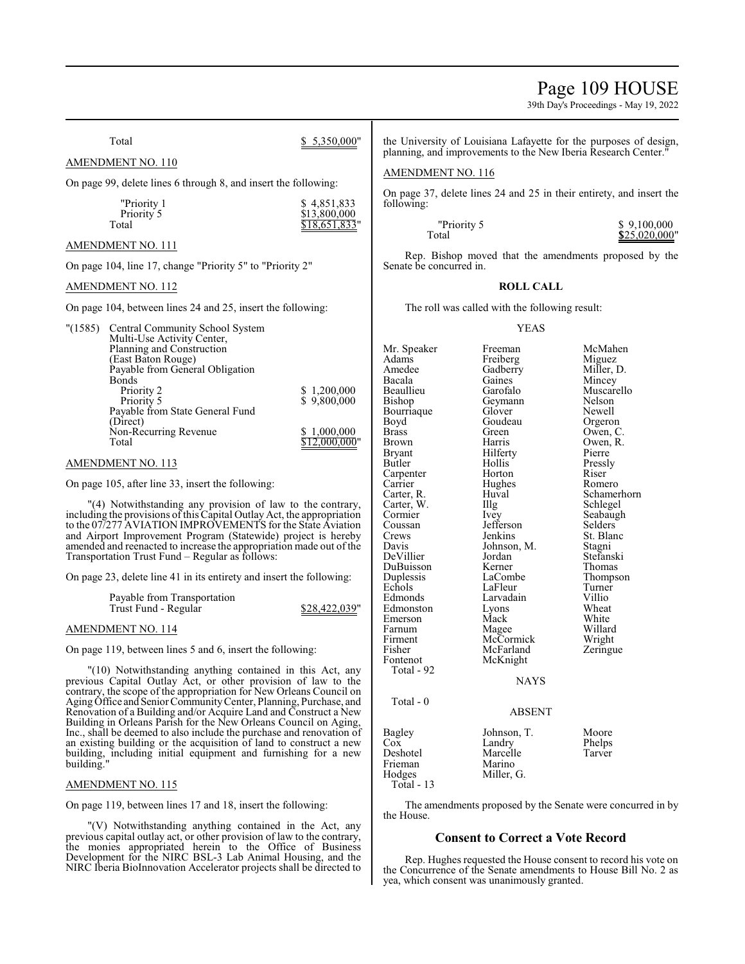# Page 109 HOUSE

39th Day's Proceedings - May 19, 2022

Total \$ 5,350,000" AMENDMENT NO. 110 On page 99, delete lines 6 through 8, and insert the following: "Priority 1 \$ 4,851,833<br>Priority 5 \$ 513,800,000 Priority 5  $\frac{$13,800,000}{$18,651,833}$ \$18,651,833' AMENDMENT NO. 111 On page 104, line 17, change "Priority 5" to "Priority 2" AMENDMENT NO. 112 On page 104, between lines 24 and 25, insert the following: "(1585) Central Community School System Multi-Use Activity Center, Planning and Construction (East Baton Rouge) Payable from General Obligation Bonds<br>Priority 2 Priority 2 <br>
Priority 5 <br>
9,800,000<br>
S 9,800,000 \$ 9,800,000 Payable from State General Fund (Direct) Non-Recurring Revenue<br>Total  $\frac{$1,000,000}{$12,000,000}$ AMENDMENT NO. 113 On page 105, after line 33, insert the following: "(4) Notwithstanding any provision of law to the contrary, including the provisions of this Capital Outlay Act, the appropriation to the 07/277 AVIATION IMPROVEMENTS for the State Aviation and Airport Improvement Program (Statewide) project is hereby amended and reenacted to increase the appropriation made out of the Transportation Trust Fund – Regular as follows: On page 23, delete line 41 in its entirety and insert the following: Payable from Transportation Trust Fund - Regular \$28,422,039" AMENDMENT NO. 114 AMENDMENT NO. 116 following: Senate be concurred in. **ROLL CALL** The roll was called with the following result: YEAS Mr. Speaker Freeman McMahen<br>Adams Freiberg Miguez Adams Freiberg<br>Amedee Gadberry Amedee Gadberry Miller, D.<br>Bacala Gaines Mincey Bacala Gaines Mincey Beaullieu Garofalo Muscarello Geymann Nelson<br>Glover Newell Bourriaque Glover<br>Boyd Goudeau Boyd Goudeau Orgeron<br>Brass Green Owen Brass Green Owen, C.<br>Brown Harris Owen, R. Brown Harris Owen, R.<br>Bryant Hilferty Pierre Bryant Hilferty<br>Butler Hollis Hollis Pressly<br>
Horton Riser Carpenter Horton<br>Carrier Hughes Carrier Hughes Romero<br>Carter, R. Huval Schamer Huval Schamerhorn<br>
Illg Schlegel Carter, W.<br>Cormier Ivey Seabaugh Coussan Jefferson Selders<br>Crews Jenkins St. Blan Crews Jenkins St. Blanc<br>
Davis Johnson, M. Stagni Johnson, M. Stagni<br>Jordan Stefanski DeVillier Jordan Stefanski DuBuisson Kerner<br>Duplessis LaCombe Duplessis LaCombe Thompson<br>
Echols LaFleur Turner LaFleur Turner<br>Larvadain Villio Edmonds Larvadain Villio Edmonston Lyons Wheat<br>
Emerson Mack White Emerson Mack White<br>
Farnum Magee Willard Farnum Magee Willard<br>Firment McCormick Wright

On page 119, between lines 5 and 6, insert the following:

"(10) Notwithstanding anything contained in this Act, any previous Capital Outlay Act, or other provision of law to the contrary, the scope of the appropriation for New Orleans Council on Aging Office and Senior Community Center, Planning, Purchase, and Renovation of a Building and/or Acquire Land and Construct a New Building in Orleans Parish for the New Orleans Council on Aging, Inc., shall be deemed to also include the purchase and renovation of an existing building or the acquisition of land to construct a new building, including initial equipment and furnishing for a new building."

### AMENDMENT NO. 115

On page 119, between lines 17 and 18, insert the following:

"(V) Notwithstanding anything contained in the Act, any previous capital outlay act, or other provision of law to the contrary, the monies appropriated herein to the Office of Business Development for the NIRC BSL-3 Lab Animal Housing, and the NIRC Iberia BioInnovation Accelerator projects shall be directed to the University of Louisiana Lafayette for the purposes of design, planning, and improvements to the New Iberia Research Center.

On page 37, delete lines 24 and 25 in their entirety, and insert the

| "Priority 5 | \$9,100,000   |
|-------------|---------------|
| Total       | \$25,020,000" |

Rep. Bishop moved that the amendments proposed by the

Firment McCormick<br>Fisher McFarland Fisher McFarland Zeringue<br>Fontenot McKnight McKnight Total - 92 **NAYS**  Total - 0 ABSENT

| Bagley<br>Cox | Johnson, T.<br>Landry | Moore<br>Phelps |
|---------------|-----------------------|-----------------|
| Deshotel      | Marcelle              | Tarver          |
| Frieman       | Marino                |                 |
| Hodges        | Miller, G.            |                 |
| Total - $13$  |                       |                 |

The amendments proposed by the Senate were concurred in by the House.

# **Consent to Correct a Vote Record**

Rep. Hughes requested the House consent to record his vote on the Concurrence of the Senate amendments to House Bill No. 2 as yea, which consent was unanimously granted.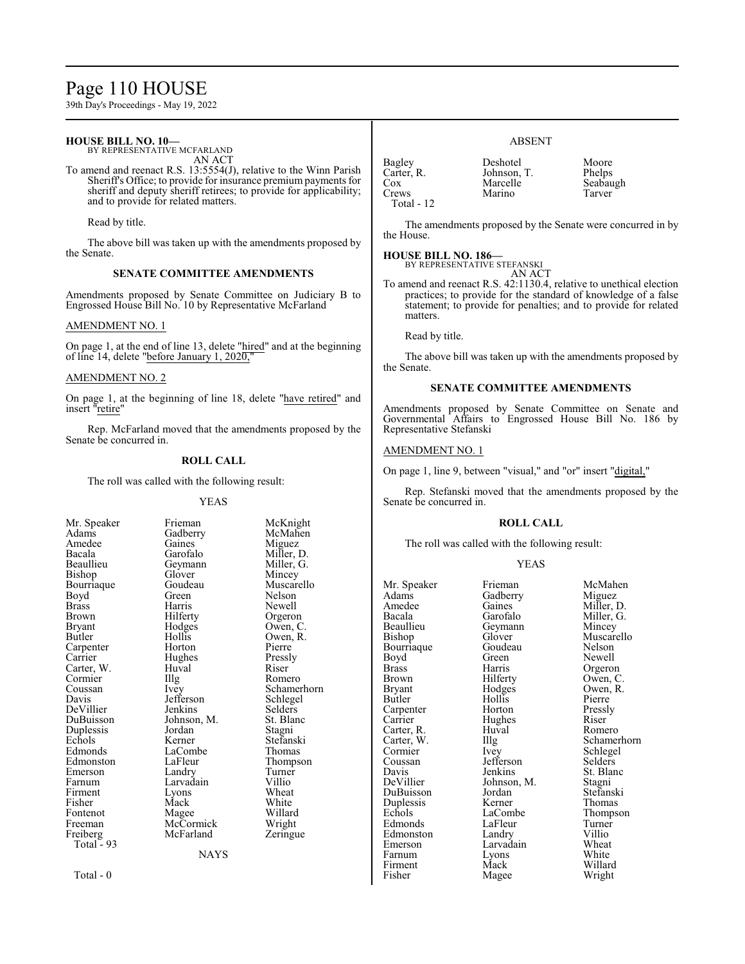# Page 110 HOUSE

39th Day's Proceedings - May 19, 2022

# **HOUSE BILL NO. 10—**

BY REPRESENTATIVE MCFARLAND AN ACT

To amend and reenact R.S. 13:5554(J), relative to the Winn Parish Sheriff's Office; to provide for insurance premium payments for sheriff and deputy sheriff retirees; to provide for applicability; and to provide for related matters.

Read by title.

The above bill was taken up with the amendments proposed by the Senate.

# **SENATE COMMITTEE AMENDMENTS**

Amendments proposed by Senate Committee on Judiciary B to Engrossed House Bill No. 10 by Representative McFarland

### AMENDMENT NO. 1

On page 1, at the end of line 13, delete "hired" and at the beginning of line 14, delete "before January 1,  $202\overline{0}$ ,"

### AMENDMENT NO. 2

On page 1, at the beginning of line 18, delete "have retired" and insert "retire"

Rep. McFarland moved that the amendments proposed by the Senate be concurred in.

# **ROLL CALL**

The roll was called with the following result:

#### YEAS

| Mr. Speaker  | Frieman     | McKnight    |
|--------------|-------------|-------------|
| Adams        | Gadberry    | McMahen     |
| Amedee       | Gaines      | Miguez      |
| Bacala       | Garofalo    | Miller, D.  |
| Beaullieu    | Geymann     | Miller, G.  |
| Bishop       | Glover      | Mincey      |
| Bourriaque   | Goudeau     | Muscarello  |
| Boyd         | Green       | Nelson      |
| <b>Brass</b> | Harris      | Newell      |
| Brown        | Hilferty    | Orgeron     |
| Bryant       | Hodges      | Owen, C.    |
| Butler       | Hollis      | Owen, R.    |
| Carpenter    | Horton      | Pierre      |
| Carrier      | Hughes      | Pressly     |
| Carter, W.   | Huval       | Riser       |
| Cormier      | Illg        | Romero      |
| Coussan      | Ivey        | Schamerhorn |
| Davis        | Jefferson   | Schlegel    |
| DeVillier    | Jenkins     | Selders     |
| DuBuisson    | Johnson, M. | St. Blanc   |
| Duplessis    | Jordan      | Stagni      |
| Echols       | Kerner      | Stefanski   |
| Edmonds      | LaCombe     | Thomas      |
| Edmonston    | LaFleur     | Thompson    |
| Emerson      | Landry      | Turner      |
| Farnum       | Larvadain   | Villio      |
| Firment      | Lyons       | Wheat       |
| Fisher       | Mack        | White       |
| Fontenot     | Magee       | Willard     |
| Freeman      | McCormick   | Wright      |
| Freiberg     | McFarland   | Zeringue    |
| Total - 93   |             |             |
|              | <b>NAYS</b> |             |
|              |             |             |

# ABSENT

| Bagley       | Deshotel    | Moore    |
|--------------|-------------|----------|
| Carter, R.   | Johnson, T. | Phelps   |
| Cox          | Marcelle    | Seabaugh |
| Crews        | Marino      | Tarver   |
| Total - $12$ |             |          |

The amendments proposed by the Senate were concurred in by the House.

### **HOUSE BILL NO. 186—**

BY REPRESENTATIVE STEFANSKI AN ACT

To amend and reenact R.S. 42:1130.4, relative to unethical election practices; to provide for the standard of knowledge of a false statement; to provide for penalties; and to provide for related matters.

Read by title.

The above bill was taken up with the amendments proposed by the Senate.

#### **SENATE COMMITTEE AMENDMENTS**

Amendments proposed by Senate Committee on Senate and Governmental Affairs to Engrossed House Bill No. 186 by Representative Stefanski

# AMENDMENT NO. 1

On page 1, line 9, between "visual," and "or" insert "digital,"

Rep. Stefanski moved that the amendments proposed by the Senate be concurred in.

#### **ROLL CALL**

The roll was called with the following result:

Magee

#### YEAS

Adams Gadberry<br>Amedee Gaines Beaullieu Geymann<br>Bishop Glover Bourriaque Goude<br>Boyd Green Carter, R. Huv<br>Carter, W. Illg Coussan Jefferson<br>Davis Jenkins Duplessis Kerner<br>Echols LaCombe Farnum Lyons<br>Firment Mack Firment Mack Willard<br>
Fisher Magee Wright

Mr. Speaker Frieman McMahen<br>Adams Gadberry Miguez Amedee Gaines Miller, D.<br>Bacala Garofalo Miller, G. Bacala Garofalo Miller, G.<br>Beaullieu Geymann Mincey Glover Muscarello<br>Goudeau Nelson Boyd Green Newell<br>Brass Harris Orgerol Brass Harris Orgeron<br>Brown Hilferty Owen, C Brown Hilferty Owen, C.<br>Bryant Hodges Owen, R. Bryant Hodges Owen, R.<br>Butler Hollis Pierre Hollis Pierre<br>
Horton Pressly Carpenter Horton Pressl<br>Carrier Hughes Riser Hughes Riser<br>
Huval Romero Cormier Ivey Schlegel<br>
Coussan Jefferson Selders Davis Jenkins St. Blanc<br>DeVillier Johnson, M. Stagni Johnson, M. Stagni<br>Jordan Stefanski DuBuisson Jordan Stefansk<br>Duplessis Kerner Thomas LaCombe<br>
LaFleur Turner<br>
Turner Edmonds LaFleur Turner<br>Edmonston Landry Villio Edmonston Landry Villio<br>
Emerson Larvadain Wheat Larvadain Wheat<br>
Lyons White

Carter, W. Illg Schamerhorn<br>
Cormier Ivey Schlegel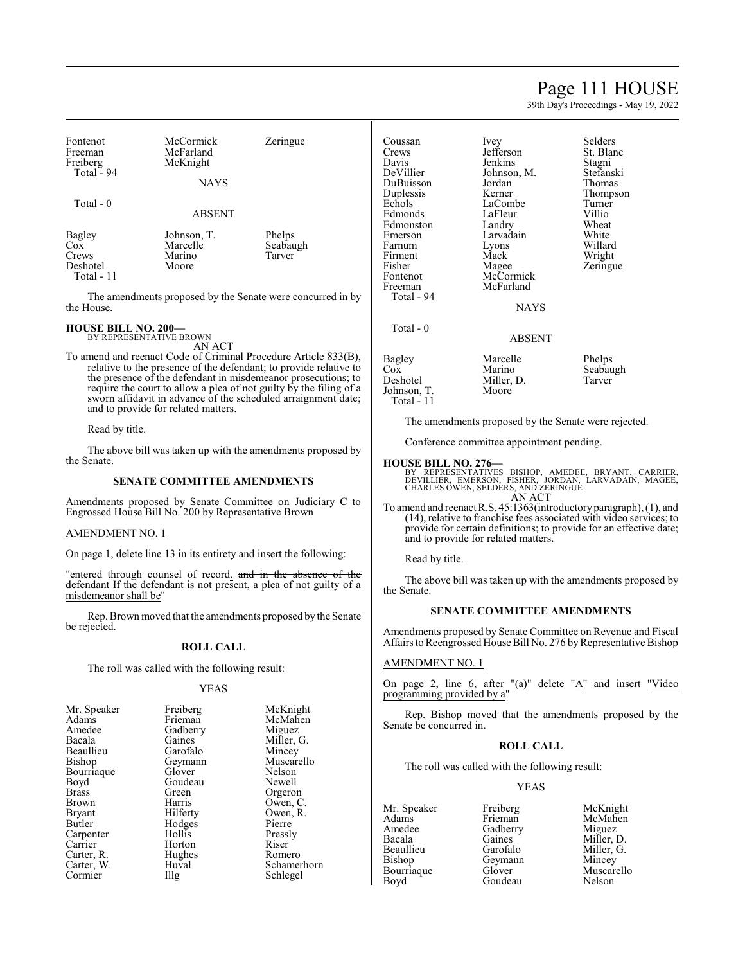# Page 111 HOUSE

39th Day's Proceedings - May 19, 2022

| Fontenot<br>Freeman<br>Freiberg<br>Total - 94 | McCormick<br>McFarland<br>McKnight<br><b>NAYS</b> | Zeringue                     |
|-----------------------------------------------|---------------------------------------------------|------------------------------|
| Total - 0                                     | <b>ABSENT</b>                                     |                              |
| Bagley<br>Cox<br>Crews<br>Deshotel            | Johnson, T.<br>Marcelle<br>Marino<br>Moore        | Phelps<br>Seabaugh<br>Tarver |

Total - 11

The amendments proposed by the Senate were concurred in by the House.

# **HOUSE BILL NO. 200—** BY REPRESENTATIVE BROWN

AN ACT

To amend and reenact Code of Criminal Procedure Article 833(B), relative to the presence of the defendant; to provide relative to the presence of the defendant in misdemeanor prosecutions; to require the court to allow a plea of not guilty by the filing of a sworn affidavit in advance of the scheduled arraignment date; and to provide for related matters.

Read by title.

The above bill was taken up with the amendments proposed by the Senate.

#### **SENATE COMMITTEE AMENDMENTS**

Amendments proposed by Senate Committee on Judiciary C to Engrossed House Bill No. 200 by Representative Brown

### AMENDMENT NO. 1

On page 1, delete line 13 in its entirety and insert the following:

"entered through counsel of record. and in the absence of the defendant If the defendant is not present, a plea of not guilty of a misdemeanor shall be"

Rep. Brown moved that the amendments proposed by the Senate be rejected.

### **ROLL CALL**

The roll was called with the following result:

#### YEAS

| Mr. Speaker  | Freiberg | McKnight    |
|--------------|----------|-------------|
| Adams        | Frieman  | McMahen     |
| Amedee       | Gadberry | Miguez      |
| Bacala       | Gaines   | Miller, G.  |
| Beaullieu    | Garofalo | Mincey      |
| Bishop       | Geymann  | Muscarello  |
| Bourriaque   | Glover   | Nelson      |
| Boyd         | Goudeau  | Newell      |
| <b>Brass</b> | Green    | Orgeron     |
| Brown        | Harris   | Owen, C.    |
| Bryant       | Hilferty | Owen, R.    |
| Butler       | Hodges   | Pierre      |
| Carpenter    | Hollis   | Pressly     |
| Carrier      | Horton   | Riser       |
| Carter, R.   | Hughes   | Romero      |
| Carter, W.   | Huval    | Schamerhorn |
| Cormier      | Illg     | Schlegel    |

| Coussan     | Ivey        | Selders   |
|-------------|-------------|-----------|
| Crews       | Jefferson   | St. Blanc |
| Davis       | Jenkins     | Stagni    |
| DeVillier   | Johnson, M. | Stefanski |
| DuBuisson   | Jordan      | Thomas    |
| Duplessis   | Kerner      | Thompson  |
| Echols      | LaCombe     | Turner    |
| Edmonds     | LaFleur     | Villio    |
| Edmonston   | Landry      | Wheat     |
| Emerson     | Larvadain   | White     |
| Farnum      | Lyons       | Willard   |
| Firment     | Mack        | Wright    |
| Fisher      | Magee       | Zeringue  |
| Fontenot    | McCormick   |           |
| Freeman     | McFarland   |           |
| Total - 94  |             |           |
|             | NAYS        |           |
| Total - 0   |             |           |
|             | ABSENT      |           |
|             |             |           |
| Bagley      | Marcelle    | Phelps    |
| $\cos$      | Marino      | Seabaugh  |
| Deshotel    | Miller, D.  | Tarver    |
| Johnson, T. | Moore       |           |
| Total - 11  |             |           |

The amendments proposed by the Senate were rejected.

Conference committee appointment pending.

#### **HOUSE BILL NO. 276—**

BY REPRESENTATIVES BISHOP, AMEDEE, BRYANT, CARRIER,<br>DEVILLIER, EMERSON, FISHER, JORDAN, LARVADAIN, MAGEE,<br>CHARLES OWEN,SELDERS,AND ZERINGUE<br>AN ACT

To amend and reenact R.S. 45:1363(introductory paragraph), (1), and (14), relative to franchise fees associated with video services; to provide for certain definitions; to provide for an effective date; and to provide for related matters.

Read by title.

The above bill was taken up with the amendments proposed by the Senate.

# **SENATE COMMITTEE AMENDMENTS**

Amendments proposed by Senate Committee on Revenue and Fiscal Affairs to Reengrossed House Bill No. 276 by Representative Bishop

### AMENDMENT NO. 1

On page 2, line 6, after " $(a)$ " delete " $A$ " and insert "Video programming provided by a"

Rep. Bishop moved that the amendments proposed by the Senate be concurred in.

## **ROLL CALL**

The roll was called with the following result:

Goudeau

# YEAS

Amedee Gadberry<br>Bacala Gaines Bacala Gaines Miller, D.<br>Beaullieu Garofalo Miller, G. Beaullieu Garofalo Miller, G.<br>Bishop Geymann Mincey Bourriaque Glover Muscarello<br>Boyd Goudeau Nelson

Mr. Speaker Freiberg McKnight<br>
Adams Frieman McMahen Adams Frieman McMahen<br>Amedee Gadberry Miguez Geymann Mincey<br>Glover Muscarello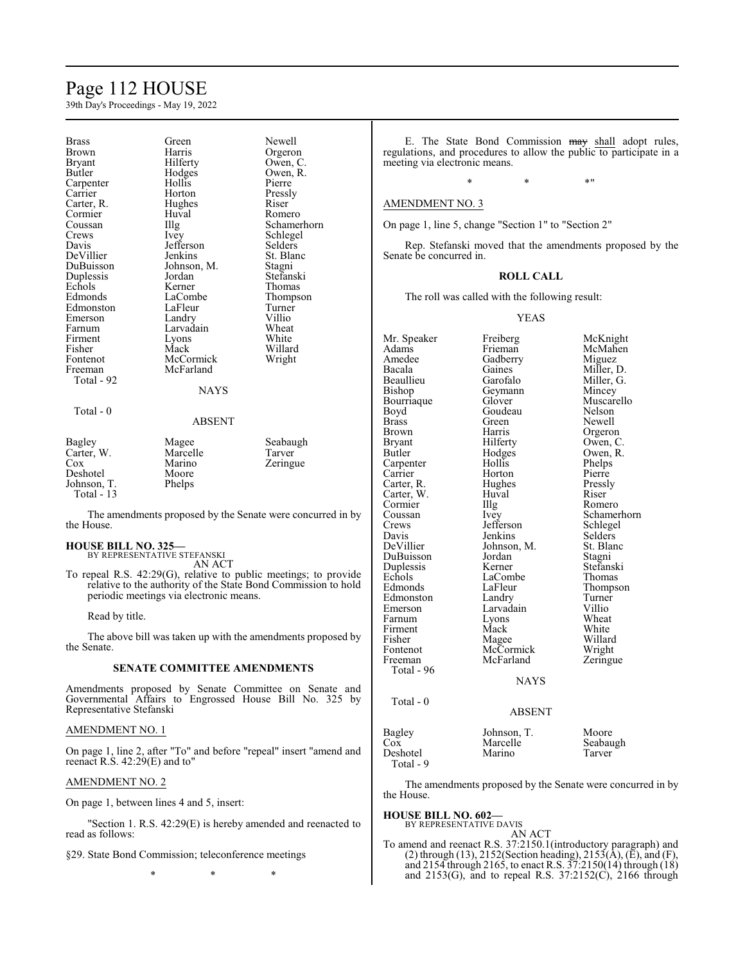# Page 112 HOUSE

39th Day's Proceedings - May 19, 2022

| Brass                                                                   | Green                                          | Newell                         |
|-------------------------------------------------------------------------|------------------------------------------------|--------------------------------|
| Brown                                                                   | Harris                                         | Orgeron                        |
| Bryant                                                                  | Hilferty                                       | Owen, C.                       |
| <b>Butler</b>                                                           | Hodges                                         | Owen, R.                       |
| Carpenter                                                               | Hollis                                         | Pierre                         |
| Carrier                                                                 | Horton                                         | Pressly                        |
| Carter, R.                                                              | Hughes                                         | Riser                          |
| Cormier                                                                 | Huval                                          | Romero                         |
| Coussan                                                                 | Illg                                           | Schamerhorn                    |
| Crews                                                                   | Ivey                                           | Schlegel                       |
| Davis                                                                   | Jefferson                                      | Selders                        |
| DeVillier                                                               | Jenkins                                        | St. Blanc                      |
| DuBuisson                                                               | Johnson, M.                                    | Stagni                         |
| Duplessis                                                               | Jordan                                         | Stefanski                      |
| Echols                                                                  | Kerner                                         | Thomas                         |
| Edmonds                                                                 | LaCombe                                        | Thompson                       |
| Edmonston                                                               | LaFleur                                        | Turner                         |
| Emerson                                                                 | Landry                                         | Villio                         |
| Farnum                                                                  | Larvadain                                      | Wheat                          |
| Firment                                                                 | Lyons                                          | White                          |
| Fisher                                                                  | Mack                                           | Willard                        |
| Fontenot                                                                | McCormick                                      | Wright                         |
| Freeman<br>Total - 92                                                   | McFarland<br><b>NAYS</b>                       |                                |
| Total - 0                                                               | ABSENT                                         |                                |
| Bagley<br>Carter, W.<br>$\cos$<br>Deshotel<br>Johnson, T.<br>Total - 13 | Magee<br>Marcelle<br>Marino<br>Moore<br>Phelps | Seabaugh<br>Tarver<br>Zeringue |

The amendments proposed by the Senate were concurred in by the House.

#### **HOUSE BILL NO. 325—**

BY REPRESENTATIVE STEFANSKI AN ACT

To repeal R.S. 42:29(G), relative to public meetings; to provide relative to the authority of the State Bond Commission to hold periodic meetings via electronic means.

Read by title.

The above bill was taken up with the amendments proposed by the Senate.

#### **SENATE COMMITTEE AMENDMENTS**

Amendments proposed by Senate Committee on Senate and Governmental Affairs to Engrossed House Bill No. 325 by Representative Stefanski

# AMENDMENT NO. 1

On page 1, line 2, after "To" and before "repeal" insert "amend and reenact R.S. 42:29(E) and to"

#### AMENDMENT NO. 2

On page 1, between lines 4 and 5, insert:

"Section 1. R.S. 42:29(E) is hereby amended and reenacted to read as follows:

§29. State Bond Commission; teleconference meetings

\* \* \*

E. The State Bond Commission may shall adopt rules, regulations, and procedures to allow the public to participate in a meeting via electronic means.

# $*$  \*  $*$  \*  $*$  \*

# AMENDMENT NO. 3

On page 1, line 5, change "Section 1" to "Section 2"

Rep. Stefanski moved that the amendments proposed by the Senate be concurred in.

#### **ROLL CALL**

The roll was called with the following result:

YEAS

Mr. Speaker Freiberg McKnight<br>
Adams Frieman McMahen Adams Frieman McMahen<br>Amedee Gadberry Miguez Amedee Gadberry<br>Bacala Gaines Bacala Gaines Miller, D.<br>Beaullieu Garofalo Miller, G. Beaullieu Garofalo Miller, G.<br>Bishop Geymann Mincey Bourriaque Glover Muscarello<br>Boyd Goudeau Nelson Boyd Goudeau<br>Brass Green Brass Green Newell<br>Brown Harris Orgero Brown Harris Orgeron<br>Bryant Hilferty Owen, C Bryant Hilferty Owen, C.<br>Butler Hodges Owen, R. Carpenter Hollis Phelps<br>Carrier Horton Pierre Carter, R. Hughes Pressly Carter, W. Huval Riser Cormier 111g Romero Cormier<br>Coussan Crews Jefferson Schlegel<br>
Davis Jenkins Selders Davis Jenkins Selders<br>DeVillier Johnson, M. St. Blanc DuBuisson Jordan Stagni Duplessis Kerner Stefansk<br>Echols LaCombe Thomas Echols LaCombe<br>Edmonds LaFleur Edmonston Landry Turner<br>
Emerson Larvadain Villio Farnum Lyons Wheat<br>
Firment Mack White Firment Mack<br>Fisher Magee Fisher Magee Willard<br>Fontenot McCormick Wright Fontenot McCormick<br>Freeman McFarland Total - 96 Total - 0

Geymann Mincey<br>Glover Muscarello Hodges Owen, R.<br>Hollis Phelps Horton Pierre<br>
Hughes Pressly Ivey Schamerhorn<br>Jefferson Schlegel Johnson, M. St. Blanch<br>Jordan Stagni LaFleur Thompson<br>Landry Turner Larvadain Villio<br>
Lyons Wheat Zeringue

#### ABSENT

**NAYS** 

| Bagley    | Johnson, T. | Moore    |
|-----------|-------------|----------|
| Cox       | Marcelle    | Seabaugh |
| Deshotel  | Marino      | Tarver   |
| Total - 9 |             |          |

The amendments proposed by the Senate were concurred in by the House.

#### **HOUSE BILL NO. 602—**

BY REPRESENTATIVE DAVIS AN ACT

To amend and reenact R.S. 37:2150.1(introductory paragraph) and (2) through (13), 2152(Section heading), 2153( $\overline{A}$ ), ( $\overline{E}$ ), and (F), and 2154 through 2165, to enact R.S. 37:2150(14) through (18) and  $2153(G)$ , and to repeal R.S.  $37:2152(C)$ ,  $2166$  through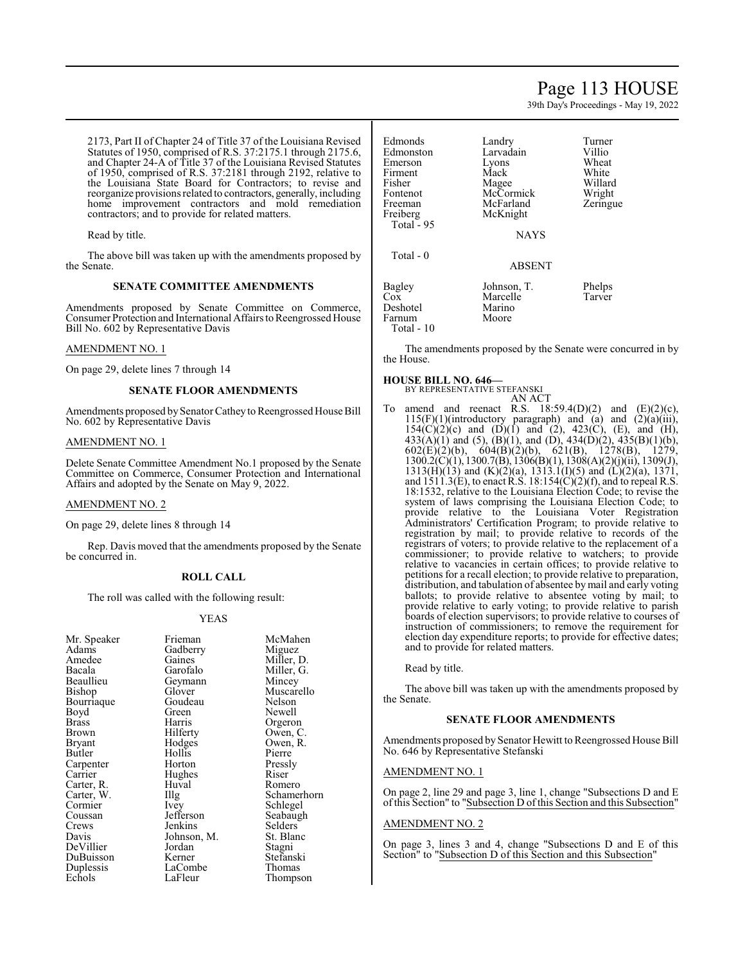# Page 113 HOUSE

39th Day's Proceedings - May 19, 2022

2173, Part II of Chapter 24 of Title 37 of the Louisiana Revised Statutes of 1950, comprised of R.S. 37:2175.1 through 2175.6, and Chapter 24-A of Title 37 of the Louisiana Revised Statutes of 1950, comprised of R.S. 37:2181 through 2192, relative to the Louisiana State Board for Contractors; to revise and reorganize provisions related to contractors, generally, including home improvement contractors and mold remediation contractors; and to provide for related matters.

Read by title.

The above bill was taken up with the amendments proposed by the Senate.

### **SENATE COMMITTEE AMENDMENTS**

Amendments proposed by Senate Committee on Commerce, Consumer Protection and International Affairs to Reengrossed House Bill No. 602 by Representative Davis

### AMENDMENT NO. 1

On page 29, delete lines 7 through 14

# **SENATE FLOOR AMENDMENTS**

Amendments proposed by Senator Cathey to Reengrossed House Bill No. 602 by Representative Davis

### AMENDMENT NO. 1

Delete Senate Committee Amendment No.1 proposed by the Senate Committee on Commerce, Consumer Protection and International Affairs and adopted by the Senate on May 9, 2022.

#### AMENDMENT NO. 2

On page 29, delete lines 8 through 14

Rep. Davis moved that the amendments proposed by the Senate be concurred in.

#### **ROLL CALL**

The roll was called with the following result:

#### YEAS

| Mr. Speaker | Frieman     | McMahen     |
|-------------|-------------|-------------|
| Adams       | Gadberry    | Miguez      |
| Amedee      | Gaines      | Miller, D.  |
| Bacala      | Garofalo    | Miller, G.  |
| Beaullieu   | Geymann     | Mincey      |
| Bishop      | Glover      | Muscarello  |
| Bourriaque  | Goudeau     | Nelson      |
| Boyd        | Green       | Newell      |
| Brass       | Harris      | Orgeron     |
| Brown       | Hilferty    | Owen, C.    |
| Bryant      | Hodges      | Owen, R.    |
| Butler      | Hollis      | Pierre      |
| Carpenter   | Horton      | Pressly     |
| Carrier     | Hughes      | Riser       |
| Carter, R.  | Huval       | Romero      |
| Carter, W.  | Illg        | Schamerhorn |
| Cormier     | Ivey        | Schlegel    |
| Coussan     | Jefferson   | Seabaugh    |
| Crews       | Jenkins     | Selders     |
| Davis       | Johnson, M. | St. Blanc   |
| DeVillier   | Jordan      | Stagni      |
| DuBuisson   | Kerner      | Stefanski   |
| Duplessis   | LaCombe     | Thomas      |
| Echols      | LaFleur     | Thompson    |
|             |             |             |

| Edmonds     | Landry        | Turner   |
|-------------|---------------|----------|
| Edmonston   | Larvadain     | Villio   |
| Emerson     | Lyons         | Wheat    |
| Firment     | Mack          | White    |
| Fisher      | Magee         | Willard  |
| Fontenot    | McCormick     | Wright   |
| Freeman     | McFarland     | Zeringue |
| Freiberg    | McKnight      |          |
| Total $-95$ |               |          |
|             | <b>NAYS</b>   |          |
|             |               |          |
| Total - 0   |               |          |
|             | <b>ABSENT</b> |          |
|             |               |          |
| Bagley      | Johnson, T.   | Phelps   |
| $\cos$      | Marcelle      | Tarver   |
| Deshotel    | Marino        |          |
| Farnum      | Moore         |          |
| Total - 10  |               |          |
|             |               |          |

The amendments proposed by the Senate were concurred in by the House.

#### **HOUSE BILL NO. 646—** BY REPRESENTATIVE STEFANSKI

AN ACT

To amend and reenact R.S.  $18:59.4(D)(2)$  and  $(E)(2)(c)$ ,  $115(F)(1)$ (introductory paragraph) and (a) and  $(2)(a)(iii)$ ,  $154(C)(2)(c)$  and  $(D)(1)$  and  $(2)$ ,  $423(C)$ ,  $(E)$ , and  $(H)$ ,  $433(A)(1)$  and  $(5)$ ,  $(B)(1)$ , and  $(D)$ ,  $434(D)(2)$ ,  $435(B)(1)(b)$ ,  $602(E)(2)(b)$ ,  $604(B)(2)(b)$ ,  $621(B)$ ,  $1278(B)$ ,  $1279$ , 1300.2(C)(1), 1300.7(B), 1306(B)(1), 1308(A)(2)(j)(ii), 1309(J), 1313(H)(13) and (K)(2)(a), 1313.1(I)(5) and (L)(2)(a), 1371, and  $1511.3(E)$ , to enact R.S.  $18:154(C)(2)(f)$ , and to repeal R.S. 18:1532, relative to the Louisiana Election Code; to revise the system of laws comprising the Louisiana Election Code; to provide relative to the Louisiana Voter Registration Administrators' Certification Program; to provide relative to registration by mail; to provide relative to records of the registrars of voters; to provide relative to the replacement of a commissioner; to provide relative to watchers; to provide relative to vacancies in certain offices; to provide relative to petitions for a recall election; to provide relative to preparation, distribution, and tabulation of absentee bymail and early voting ballots; to provide relative to absentee voting by mail; to provide relative to early voting; to provide relative to parish boards of election supervisors; to provide relative to courses of instruction of commissioners; to remove the requirement for election day expenditure reports; to provide for effective dates; and to provide for related matters.

Read by title.

The above bill was taken up with the amendments proposed by the Senate.

#### **SENATE FLOOR AMENDMENTS**

Amendments proposed by Senator Hewitt to Reengrossed House Bill No. 646 by Representative Stefanski

#### AMENDMENT NO. 1

On page 2, line 29 and page 3, line 1, change "Subsections D and E ofthis Section" to "Subsection D ofthis Section and this Subsection"

# AMENDMENT NO. 2

On page 3, lines 3 and 4, change "Subsections D and E of this Section" to "Subsection D of this Section and this Subsection"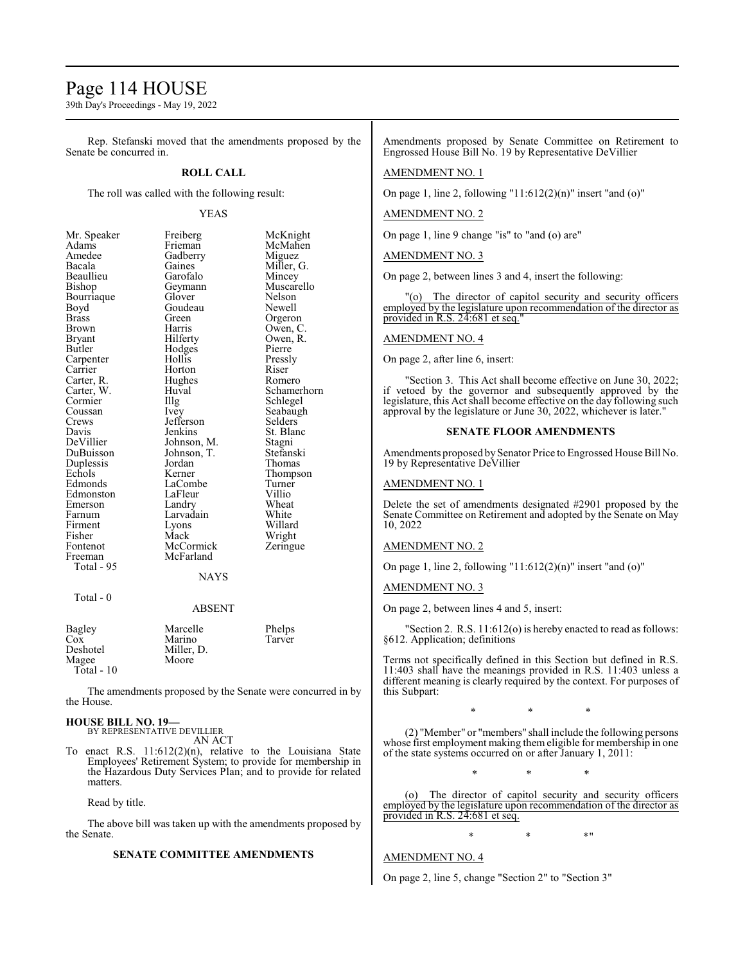# Page 114 HOUSE

39th Day's Proceedings - May 19, 2022

Rep. Stefanski moved that the amendments proposed by the Senate be concurred in.

### **ROLL CALL**

The roll was called with the following result:

#### YEAS

| Mr. Speaker | Freiberg    | McKnight    |
|-------------|-------------|-------------|
| Adams       | Frieman     | McMahen     |
| Amedee      | Gadberry    | Miguez      |
| Bacala      | Gaines      | Miller, G.  |
| Beaullieu   | Garofalo    | Mincey      |
| Bishop      | Geymann     | Muscarello  |
| Bourriaque  | Glover      | Nelson      |
| Boyd        | Goudeau     | Newell      |
| Brass       | Green       | Orgeron     |
| Brown       | Harris      | Owen, C.    |
| Bryant      | Hilferty    | Owen, R.    |
| Butler      | Hodges      | Pierre      |
| Carpenter   | Hollis      | Pressly     |
| Carrier     | Horton      | Riser       |
| Carter, R.  | Hughes      | Romero      |
| Carter, W.  | Huval       | Schamerhorn |
| Cormier     | Illg        | Schlegel    |
| Coussan     | Ivey        | Seabaugh    |
| Crews       | Jefferson   | Selders     |
| Davis       | Jenkins     | St. Blanc   |
| DeVillier   | Johnson, M. | Stagni      |
| DuBuisson   | Johnson, T. | Stefanski   |
| Duplessis   | Jordan      | Thomas      |
| Echols      | Kerner      | Thompson    |
| Edmonds     | LaCombe     | Turner      |
| Edmonston   | LaFleur     | Villio      |
| Emerson     | Landry      | Wheat       |
| Farnum      | Larvadain   | White       |
| Firment     | Lyons       | Willard     |
| Fisher      | Mack        | Wright      |
| Fontenot    | McCormick   | Zeringue    |
| Freeman     | McFarland   |             |
| Total - 95  | <b>NAYS</b> |             |
|             |             |             |

Total - 0

# ABSENT

| Bagley       | Marcelle   | Phelps |
|--------------|------------|--------|
| Cox          | Marino     | Tarver |
| Deshotel     | Miller, D. |        |
| Magee        | Moore      |        |
| Total - $10$ |            |        |

The amendments proposed by the Senate were concurred in by the House.

# **HOUSE BILL NO. 19—** BY REPRESENTATIVE DEVILLIER

AN ACT

To enact R.S. 11:612(2)(n), relative to the Louisiana State Employees' Retirement System; to provide for membership in the Hazardous Duty Services Plan; and to provide for related matters.

Read by title.

The above bill was taken up with the amendments proposed by the Senate.

#### **SENATE COMMITTEE AMENDMENTS**

Amendments proposed by Senate Committee on Retirement to Engrossed House Bill No. 19 by Representative DeVillier

# AMENDMENT NO. 1

On page 1, line 2, following "11:612(2)(n)" insert "and (o)"

#### AMENDMENT NO. 2

On page 1, line 9 change "is" to "and (o) are"

#### AMENDMENT NO. 3

On page 2, between lines 3 and 4, insert the following:

"(o) The director of capitol security and security officers employed by the legislature upon recommendation of the director as provided in R.S. 24:681 et seq.

#### AMENDMENT NO. 4

On page 2, after line 6, insert:

"Section 3. This Act shall become effective on June 30, 2022; if vetoed by the governor and subsequently approved by the legislature, this Act shall become effective on the day following such approval by the legislature or June 30, 2022, whichever is later."

# **SENATE FLOOR AMENDMENTS**

Amendments proposed by Senator Price to Engrossed House Bill No. 19 by Representative DeVillier

# AMENDMENT NO. 1

Delete the set of amendments designated #2901 proposed by the Senate Committee on Retirement and adopted by the Senate on May 10, 2022

#### AMENDMENT NO. 2

On page 1, line 2, following "11:612(2)(n)" insert "and (o)"

#### AMENDMENT NO. 3

On page 2, between lines 4 and 5, insert:

"Section 2. R.S. 11:612(o) is hereby enacted to read as follows: §612. Application; definitions

Terms not specifically defined in this Section but defined in R.S. 11:403 shall have the meanings provided in R.S. 11:403 unless a different meaning is clearly required by the context. For purposes of this Subpart:

\* \* \*

(2) "Member" or "members" shall include the following persons whose first employment making them eligible for membership in one of the state systems occurred on or after January 1, 2011:

\* \* \*

(o) The director of capitol security and security officers employed by the legislature upon recommendation of the director as<br>provided in R.S. 24:681 et seq.  $24:681$  et seq.

 $*$  \*  $*$  \*

#### AMENDMENT NO. 4

On page 2, line 5, change "Section 2" to "Section 3"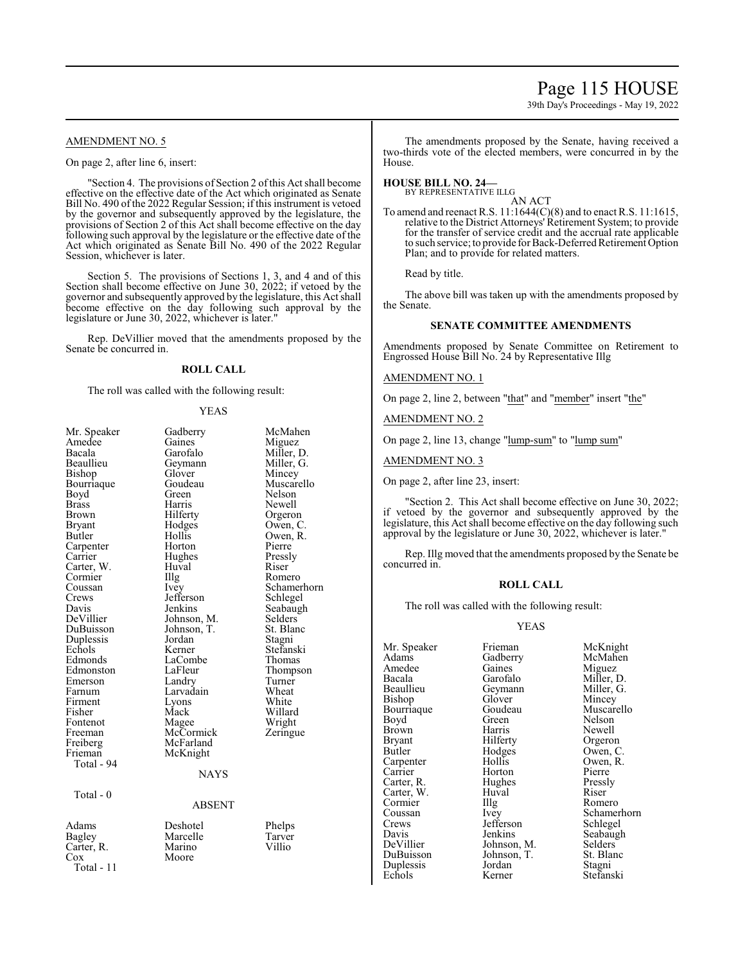# Page 115 HOUSE

39th Day's Proceedings - May 19, 2022

# AMENDMENT NO. 5

On page 2, after line 6, insert:

"Section 4. The provisions of Section 2 ofthis Act shall become effective on the effective date of the Act which originated as Senate Bill No. 490 of the 2022 Regular Session; if this instrument is vetoed by the governor and subsequently approved by the legislature, the provisions of Section 2 of this Act shall become effective on the day following such approval by the legislature or the effective date of the Act which originated as Senate Bill No. 490 of the 2022 Regular Session, whichever is later.

Section 5. The provisions of Sections 1, 3, and 4 and of this Section shall become effective on June 30, 2022; if vetoed by the governor and subsequently approved by the legislature, this Act shall become effective on the day following such approval by the legislature or June 30, 2022, whichever is later."

Rep. DeVillier moved that the amendments proposed by the Senate be concurred in.

# **ROLL CALL**

The roll was called with the following result:

#### YEAS

| Mr. Speaker<br>Amedee<br>Bacala<br>Beaullieu<br>Bishop<br>Bourriaque<br>Boyd<br>Brass<br>Brown<br><b>Bryant</b><br>Butler<br>Carpenter<br>Carrier                                                        | Gadberry<br>Gaines<br>Garofalo<br>Geymann<br>Glover<br>Goudeau<br>Green<br>Harris<br>Hilferty<br>Hodges<br>Hollis<br>Horton<br>Hughes                                                                      | McMahen<br>Miguez<br>Miller, D.<br>Miller, G.<br>Mincey<br>Muscarello<br>Nelson<br>Newell<br>Orgeron<br>Owen, C.<br>Owen, R.<br>Pierre<br>Pressly                     |
|----------------------------------------------------------------------------------------------------------------------------------------------------------------------------------------------------------|------------------------------------------------------------------------------------------------------------------------------------------------------------------------------------------------------------|-----------------------------------------------------------------------------------------------------------------------------------------------------------------------|
| Carter, W.                                                                                                                                                                                               | Huval                                                                                                                                                                                                      | Riser                                                                                                                                                                 |
| Cormier                                                                                                                                                                                                  | Illg                                                                                                                                                                                                       | Romero                                                                                                                                                                |
| Coussan<br>Crews<br>Davis<br>DeVillier<br>DuBuisson<br>Duplessis<br>Echols<br>Edmonds<br>Edmonston<br>Emerson<br>Farnum<br>Firment<br>Fisher<br>Fontenot<br>Freeman<br>Freiberg<br>Frieman<br>Total - 94 | Ivey<br>Jefferson<br>Jenkins<br>Johnson, M.<br>Johnson, T.<br>Jordan<br>Kerner<br>LaCombe<br>LaFleur<br>Landry<br>Larvadain<br>Lyons<br>Mack<br>Magee<br>McCormick<br>McFarland<br>McKnight<br><b>NAYS</b> | Schamerhorn<br>Schlegel<br>Seabaugh<br>Selders<br>St. Blanc<br>Stagni<br>Stefanski<br>Thomas<br>Thompson<br>Turner<br>Wheat<br>White<br>Willard<br>Wright<br>Zeringue |
| Total - 0                                                                                                                                                                                                |                                                                                                                                                                                                            |                                                                                                                                                                       |
|                                                                                                                                                                                                          | <b>ABSENT</b>                                                                                                                                                                                              |                                                                                                                                                                       |
| Adams<br>Bagley<br>Carter, R.<br>Cox<br>Total - 11                                                                                                                                                       | Deshotel<br>Marcelle<br>Marino<br>Moore                                                                                                                                                                    | Phelps<br>Tarver<br>Villio                                                                                                                                            |

The amendments proposed by the Senate, having received a two-thirds vote of the elected members, were concurred in by the House.

# **HOUSE BILL NO. 24—**

BY REPRESENTATIVE ILLG AN ACT

To amend and reenact R.S. 11:1644(C)(8) and to enact R.S. 11:1615, relative to the District Attorneys' Retirement System; to provide for the transfer of service credit and the accrual rate applicable to such service; to provide for Back-Deferred Retirement Option Plan; and to provide for related matters.

Read by title.

The above bill was taken up with the amendments proposed by the Senate.

### **SENATE COMMITTEE AMENDMENTS**

Amendments proposed by Senate Committee on Retirement to Engrossed House Bill No. 24 by Representative Illg

#### AMENDMENT NO. 1

On page 2, line 2, between "that" and "member" insert "the"

AMENDMENT NO. 2

On page 2, line 13, change "lump-sum" to "lump sum"

AMENDMENT NO. 3

On page 2, after line 23, insert:

"Section 2. This Act shall become effective on June 30, 2022; if vetoed by the governor and subsequently approved by the legislature, this Act shall become effective on the day following such approval by the legislature or June 30, 2022, whichever is later."

Rep. Illg moved that the amendments proposed by the Senate be concurred in.

#### **ROLL CALL**

The roll was called with the following result:

#### YEAS

Amedee Gaines<br>Bacala Garofalo Beaullieu Geymann<br>Bishop Glover Cormier Illg<br>Coussan Ivey Duplessis Jordan<br>Echols Kerner

Mr. Speaker Frieman McKnight<br>
Adams Gadberry McMahen Gadberry McMahen<br>Gaines Miguez Bacala Garofalo Miller, D.<br>Beaullieu Geymann Miller, G. Glover Mincey<br>Goudeau Muscarello Bourriaque Goudeau Muscarello<br>Boyd Green Nelson Boyd Green Nelson<br>Brown Harris Newell Brown Harris Newell Bryant Hilferty Orgeron<br>Butler Hodges Owen, C Hodges Owen, C.<br>Hollis Owen, R. Carpenter Hollis Owen,<br>Carrier Horton Pierre Horton Pierre<br>Hughes Pressly Carter, R. Hughes Pressly Carter, W. Huval Riser<br>
Cormier IIIg Romero Coussan Ivey Schamerhorn<br>Crews Iefferson Schlegel Crews Jefferson Schlegel<br>Davis Jenkins Seabaugh Davis Jenkins Seabaugh<br>DeVillier Johnson, M. Selders DeVillier Johnson, M. Selders<br>DuBuisson Johnson, T. St. Blanc Johnson, T. St. Blanch<br>Jordan Stagni Stefanski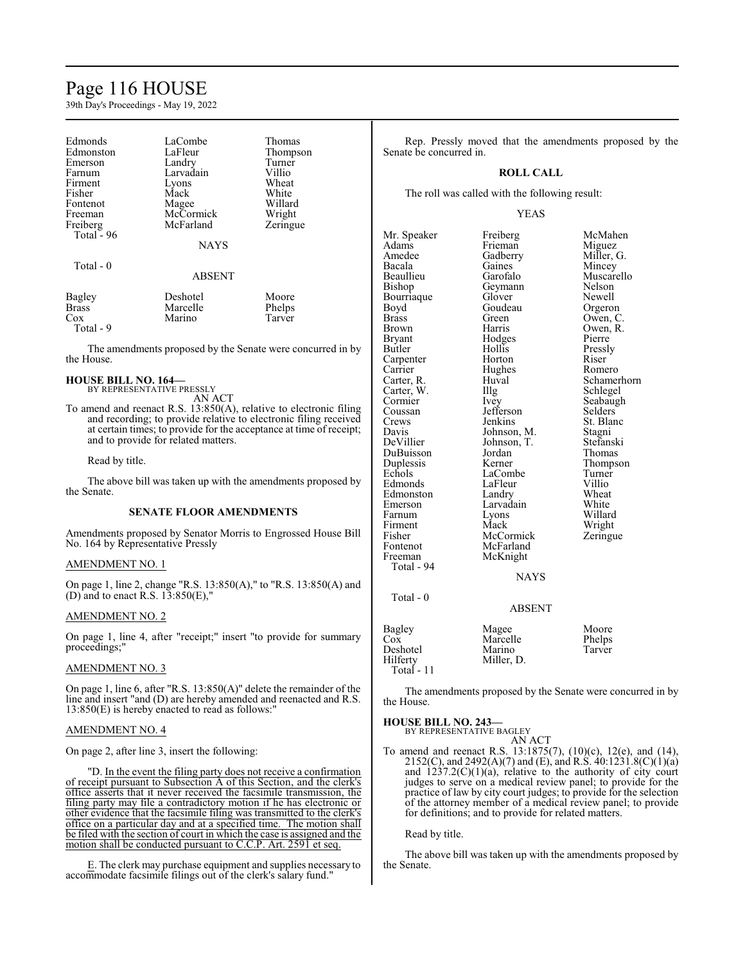# Page 116 HOUSE

39th Day's Proceedings - May 19, 2022

| Edmonds<br>Edmonston<br>Emerson<br>Farnum<br>Firment<br>Fisher<br>Fontenot<br>Freeman<br>Freiberg<br>Total $-96$<br>Total $-0$ | LaCombe<br>LaFleur<br>Landry<br>Larvadain<br>Lyons<br>Mack<br>Magee<br>McCormick<br>McFarland<br><b>NAYS</b><br><b>ABSENT</b> | Thomas<br>Thompson<br>Turner<br>Villio<br>Wheat<br>White<br>Willard<br>Wright<br>Zeringue |
|--------------------------------------------------------------------------------------------------------------------------------|-------------------------------------------------------------------------------------------------------------------------------|-------------------------------------------------------------------------------------------|
| Bagley                                                                                                                         | Deshotel                                                                                                                      | Moore                                                                                     |
| <b>Brass</b>                                                                                                                   | Marcelle                                                                                                                      | Phelps                                                                                    |
| Cox                                                                                                                            | Marino                                                                                                                        | Tarver                                                                                    |

The amendments proposed by the Senate were concurred in by the House.

**HOUSE BILL NO. 164—** BY REPRESENTATIVE PRESSLY

AN ACT To amend and reenact R.S. 13:850(A), relative to electronic filing and recording; to provide relative to electronic filing received at certain times; to provide for the acceptance at time of receipt; and to provide for related matters.

Read by title.

Total - 9

The above bill was taken up with the amendments proposed by the Senate.

#### **SENATE FLOOR AMENDMENTS**

Amendments proposed by Senator Morris to Engrossed House Bill No. 164 by Representative Pressly

#### AMENDMENT NO. 1

On page 1, line 2, change "R.S. 13:850(A)," to "R.S. 13:850(A) and (D) and to enact R.S.  $13:850(E)$ ,"

#### AMENDMENT NO. 2

On page 1, line 4, after "receipt;" insert "to provide for summary proceedings;"

#### AMENDMENT NO. 3

On page 1, line 6, after "R.S. 13:850(A)" delete the remainder of the line and insert "and (D) are hereby amended and reenacted and R.S. 13:850(E) is hereby enacted to read as follows:"

#### AMENDMENT NO. 4

On page 2, after line 3, insert the following:

"D. In the event the filing party does not receive a confirmation of receipt pursuant to Subsection A of this Section, and the clerk's office asserts that it never received the facsimile transmission, the filing party may file a contradictory motion if he has electronic or other evidence that the facsimile filing was transmitted to the clerk's office on a particular day and at a specified time. The motion shall be filed with the section of court in which the case is assigned and the motion shall be conducted pursuant to C.C.P. Art. 2591 et seq.

E. The clerk may purchase equipment and supplies necessary to accommodate facsimile filings out of the clerk's salary fund."

Rep. Pressly moved that the amendments proposed by the Senate be concurred in.

#### **ROLL CALL**

The roll was called with the following result:

#### YEAS

Mr. Speaker Freiberg McMahen<br>Adams Frieman Miguez Adams Frieman<br>Amedee Gadberry Amedee Gadberry Miller, G.<br>Bacala Gaines Mincey Bacala Gaines Mincey<br>Beaullieu Garofalo Muscare Beaullieu Garofalo Muscarello<br>Bishop Geymann Nelson Geymann<br>Glover Bourriaque Glover Newell<br>Boyd Goudeau Orgero Boyd Goudeau Orgeron<br>Brass Green Owen, C Brass Green Owen, C.<br>Brown Harris Owen, R. Brown **Harris** Owen, R.<br>Brvant Hodges Pierre Bryant Hodges<br>Butler Hollis Hollis Pressly<br>
Horton Riser Carpenter Horton<br>Carrier Hughes Carrier Hughes Romero<br>Carter, R. Huval Schamer Huval Schamerhorn<br>Illg Schlegel Carter, W. Illg<br>Cormier Ivey Cormier Ivey Seabaugh<br>
Coussan Jefferson Selders Coussan Jefferson<br>Crews Jenkins Crews Jenkins St. Blanc<br>Davis Johnson, M. Stagni Davis Johnson, M. Stagni<br>DeVillier Johnson, T. Stefanski Johnson, T. Stefansk<br>Jordan Thomas DuBuisson Jordan<br>Duplessis Kerner Duplessis Kerner Thompson<br>
Echols LaCombe Turner LaCombe Turner<br>
LaFleur Villio Edmonds LaFleur Villio<br>Edmonston Landry Wheat Edmonston Landry Wheat<br>
Emerson Larvadain White Emerson Larvadain White<br>
Farnum Lyons Willard Lyons<br>Mack Firment Mack Wright<br>
Fisher McCormick Zeringue Fisher McCormick<br>Fontenot McFarland Fontenot McFarland<br>Freeman McKnight McKnight Total - 94 NAYS Total - 0 ABSENT Bagley Magee Moore Cox Marcelle Phelps Deshotel Marino Tarver Hilferty Miller, D.

| Bagley     | Magee      | Moore  |
|------------|------------|--------|
| Cox        | Marcelle   | Phelps |
| Deshotel   | Marino     | Tarver |
| Hilfertv   | Miller, D. |        |
| Total - 11 |            |        |

The amendments proposed by the Senate were concurred in by the House.

### **HOUSE BILL NO. 243—**

BY REPRESENTATIVE BAGLEY AN ACT

To amend and reenact R.S. 13:1875(7), (10)(c), 12(e), and (14), 2152(C), and 2492(A)(7) and (E), and R.S. 40:1231.8(C)(1)(a) and  $1237.2(C)(1)(a)$ , relative to the authority of city court judges to serve on a medical review panel; to provide for the practice of law by city court judges; to provide for the selection of the attorney member of a medical review panel; to provide for definitions; and to provide for related matters.

Read by title.

The above bill was taken up with the amendments proposed by the Senate.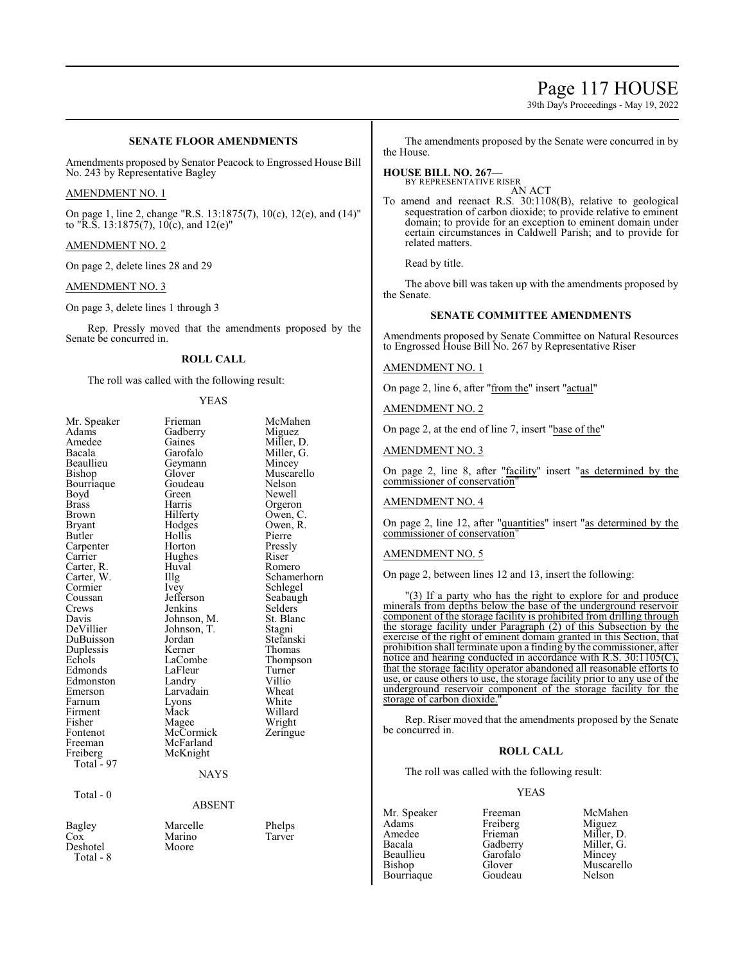# Page 117 HOUSE

39th Day's Proceedings - May 19, 2022

# **SENATE FLOOR AMENDMENTS**

Amendments proposed by Senator Peacock to Engrossed House Bill No. 243 by Representative Bagley

### AMENDMENT NO. 1

On page 1, line 2, change "R.S. 13:1875(7), 10(c), 12(e), and (14)" to "R.S.  $13:1875(7)$ ,  $10($ c), and  $12(e)$ "

### AMENDMENT NO. 2

On page 2, delete lines 28 and 29

#### AMENDMENT NO. 3

#### On page 3, delete lines 1 through 3

Rep. Pressly moved that the amendments proposed by the Senate be concurred in.

# **ROLL CALL**

The roll was called with the following result:

Gadberry<br>Gaines

Geymann<br>Glover

Goudeau<br>Green

Huval<br>Illg

Johnson, T.<br>Jordan

Lyons<br>Mack

McCormick McFarland McKnight

#### YEAS

| Mr. Speaker                                   |
|-----------------------------------------------|
| Adams                                         |
| Amedee                                        |
| Bacala                                        |
| Beaullieu                                     |
| Bishop                                        |
| Bourriaque                                    |
| Boyd                                          |
| <b>Brass</b>                                  |
| Brown                                         |
| <b>Bryant</b>                                 |
| Butler                                        |
|                                               |
|                                               |
| Carpenter<br>Carrier<br>Carrier<br>Carter, W. |
|                                               |
| Cormier                                       |
| Coussan                                       |
| Crews                                         |
| Davis                                         |
| DeVillier                                     |
| De ville<br>DuBuisson<br>Duplessis            |
|                                               |
| Echols                                        |
| Edmonds                                       |
| Edmonston                                     |
| Emerson                                       |
| Farnum                                        |
| Firment                                       |
| Fisher                                        |
| Fontenot                                      |
| Freeman                                       |
| Freiberg<br>- Total                           |
| 97                                            |
|                                               |
|                                               |

Frieman McMahen<br>Gadberry Miguez Gaines Miller, D.<br>Garofalo Miller, G. Miller, G.<br>Mincey Muscarello<br>Nelson Green Newell<br>Harris Orgero Harris Orgeron<br>Hilferty Owen, C Owen, C. Hodges Owen, R.<br>Hollis Pierre Hollis Pierre<br>
Horton Pressly Horton Pressl<br>Hughes Riser Hughes Riser Illg Schamerhorn<br>Ivey Schlegel Schlegel<br>Seabaugh Jefferson Seabaughters Seabaughters Seabaughters Seabaughters Seabaughters Seabaughters Seabaughters Seabaughters Seabaughters Seabaughters Seabaughters Seabaughters Seabaughters Seabaughters Seabaughters Seabaughters Seab Jenkins Selders<br>Johnson, M. St. Blanc Johnson, M. St. Blanch<br>Johnson, T. Stagni Jordan Stefanski<br>Kerner Thomas Kerner Thomas<br>LaCombe Thomas LaCombe Thompson<br>LaFleur Turner Turner<br>Villio Landry Villio<br>
Larvadain Wheat Larvadain Wheat<br>Lyons White Willard<br>Wright Magee Wright<br>McCormick Zeringue

#### **NAYS**

ABSENT

Total - 0

Bagley Marcelle Phelps<br>Cox Marino Tarver Cox Marino<br>
Deshotel Moore Deshotel

Total - 8

The amendments proposed by the Senate were concurred in by the House.

# **HOUSE BILL NO. 267—** BY REPRESENTATIVE RISER

AN ACT

To amend and reenact R.S. 30:1108(B), relative to geological sequestration of carbon dioxide; to provide relative to eminent domain; to provide for an exception to eminent domain under certain circumstances in Caldwell Parish; and to provide for related matters.

Read by title.

The above bill was taken up with the amendments proposed by the Senate.

# **SENATE COMMITTEE AMENDMENTS**

Amendments proposed by Senate Committee on Natural Resources to Engrossed House Bill No. 267 by Representative Riser

#### AMENDMENT NO. 1

On page 2, line 6, after "from the" insert "actual"

AMENDMENT NO. 2

On page 2, at the end of line 7, insert "base of the"

### AMENDMENT NO. 3

On page 2, line 8, after "facility" insert "as determined by the commissioner of conservation"

### AMENDMENT NO. 4

On page 2, line 12, after "quantities" insert "as determined by the commissioner of conservation"

#### AMENDMENT NO. 5

On page 2, between lines 12 and 13, insert the following:

"(3) If a party who has the right to explore for and produce minerals from depths below the base of the underground reservoir component of the storage facility is prohibited from drilling through the storage facility under Paragraph (2) of this Subsection by the exercise of the right of eminent domain granted in this Section, that prohibition shall terminate upon a finding by the commissioner, after notice and hearing conducted in accordance with R.S. 30:1105(C), that the storage facility operator abandoned all reasonable efforts to use, or cause others to use, the storage facility prior to any use of the underground reservoir component of the storage facility for the storage of carbon dioxide.

Rep. Riser moved that the amendments proposed by the Senate be concurred in.

### **ROLL CALL**

The roll was called with the following result:

# YEAS

Adams<br>
Amedee Frieman Beaullieu Garofalo<br>Bishop Glover Bourriaque

Amedee Frieman Miller, D.<br>Bacala Gadberry Miller, G. Bacala Gadberry Miller, G.

Mr. Speaker Freeman McMahen<br>Adams Freiberg Miguez Glover Muscarello<br>Goudeau Nelson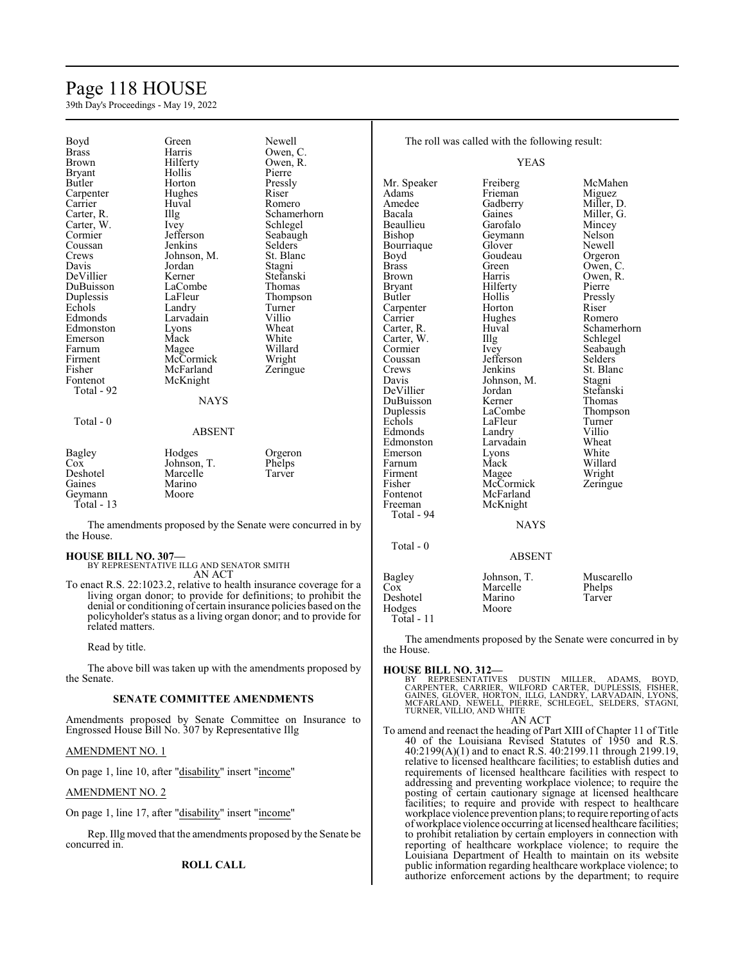# Page 118 HOUSE

39th Day's Proceedings - May 19, 2022

| Boyd                                                       | Green             | Newell         |                     | The roll was called with the following result: |                  |
|------------------------------------------------------------|-------------------|----------------|---------------------|------------------------------------------------|------------------|
| <b>Brass</b>                                               | Harris            | Owen, C.       |                     |                                                |                  |
| <b>Brown</b>                                               | Hilferty          | Owen, R.       |                     | <b>YEAS</b>                                    |                  |
| <b>Bryant</b>                                              | Hollis            | Pierre         |                     |                                                |                  |
| Butler                                                     | Horton            | Pressly        | Mr. Speaker         | Freiberg                                       | McMahen          |
| Carpenter                                                  | Hughes            | Riser          | Adams               | Frieman                                        | Miguez           |
| Carrier                                                    | Huval             | Romero         | Amedee              | Gadberry                                       | Miller, D.       |
| Carter, R.                                                 | $\prod_{i=1}^{n}$ | Schamerhorn    | Bacala              | Gaines                                         | Miller, G.       |
| Carter, W.                                                 | Ivey              | Schlegel       | Beaullieu           | Garofalo                                       | Mincey           |
| Cormier                                                    | Jefferson         | Seabaugh       | Bishop              | Geymann                                        | Nelson           |
| Coussan                                                    | Jenkins           | <b>Selders</b> | Bourriaque          | Glover                                         | Newell           |
| Crews                                                      | Johnson, M.       | St. Blanc      | Boyd                | Goudeau                                        | Orgeron          |
| Davis                                                      | Jordan            | Stagni         | <b>Brass</b>        | Green                                          | Owen, C.         |
| DeVillier                                                  | Kerner            | Stefanski      | <b>Brown</b>        | Harris                                         | Owen, R.         |
| DuBuisson                                                  | LaCombe           | <b>Thomas</b>  | <b>Bryant</b>       | Hilferty                                       | Pierre           |
| Duplessis                                                  | LaFleur           | Thompson       | Butler              | Hollis                                         | Pressly          |
| Echols                                                     | Landry            | Turner         | Carpenter           | Horton                                         | Riser            |
| Edmonds                                                    | Larvadain         | Villio         | Carrier             | Hughes                                         | Romero           |
| Edmonston                                                  | Lyons             | Wheat          | Carter, R.          | Huval                                          | Schamerhorn      |
| Emerson                                                    | Mack              | White          | Carter, W.          | Illg                                           | Schlegel         |
| Farnum                                                     | Magee             | Willard        | Cormier             | Ivey                                           | Seabaugh         |
| Firment                                                    | McCormick         | Wright         | Coussan             | Jefferson                                      | <b>Selders</b>   |
| Fisher                                                     | McFarland         | Zeringue       | Crews               | Jenkins                                        | St. Blanc        |
| Fontenot                                                   | McKnight          |                | Davis               | Johnson, M.                                    | Stagni           |
| Total - 92                                                 |                   |                | DeVillier           | Jordan                                         | Stefanski        |
|                                                            | <b>NAYS</b>       |                | DuBuisson           | Kerner                                         | <b>Thomas</b>    |
|                                                            |                   |                |                     | LaCombe                                        |                  |
| Total - $0$                                                |                   |                | Duplessis<br>Echols | LaFleur                                        | Thompson         |
|                                                            | <b>ABSENT</b>     |                | Edmonds             |                                                | Turner<br>Villio |
|                                                            |                   |                |                     | Landry<br>Larvadain                            | Wheat            |
|                                                            |                   |                | Edmonston           |                                                |                  |
| <b>Bagley</b>                                              | Hodges            | Orgeron        | Emerson             | Lyons<br>Mack                                  | White<br>Willard |
| Cox                                                        | Johnson, T.       | Phelps         | Farnum              |                                                |                  |
| Deshotel                                                   | Marcelle          | Tarver         | Firment             | Magee<br>McCormick                             | Wright           |
| Gaines                                                     | Marino            |                | Fisher              |                                                | Zeringue         |
| Geymann                                                    | Moore             |                | Fontenot            | McFarland                                      |                  |
| Total $-13$                                                |                   |                | Freeman             | McKnight                                       |                  |
|                                                            |                   |                | Total - 94          |                                                |                  |
| The amendments proposed by the Senate were concurred in by |                   |                | <b>NAYS</b>         |                                                |                  |
| the House.                                                 |                   |                |                     |                                                |                  |
|                                                            |                   |                | Total - $0$         |                                                |                  |
| <b>HOUSE BILL NO. 307-</b>                                 |                   |                |                     | <b>ABSENT</b>                                  |                  |

**HOUSE BILL NO. 307—** BY REPRESENTATIVE ILLG AND SENATOR SMITH AN ACT

To enact R.S. 22:1023.2, relative to health insurance coverage for a living organ donor; to provide for definitions; to prohibit the denial or conditioning of certain insurance policies based on the policyholder's status as a living organ donor; and to provide for related matters.

Read by title.

The above bill was taken up with the amendments proposed by the Senate.

# **SENATE COMMITTEE AMENDMENTS**

Amendments proposed by Senate Committee on Insurance to Engrossed House Bill No. 307 by Representative Illg

# AMENDMENT NO. 1

On page 1, line 10, after "disability" insert "income"

#### AMENDMENT NO. 2

On page 1, line 17, after "disability" insert "income"

Rep. Illg moved that the amendments proposed by the Senate be concurred in.

# **ROLL CALL**

the House. **HOUSE BILL NO. 312—** BY REPRESENTATIVES DUSTIN MILLER, ADAMS, BOYD,<br>CARPENTER, CARRIER, WILFORD-CARTER, DUPLESSIS, FISHER,<br>GAINES, GLOVER, HORTON, ILLG, LANDRY, LARVADAIN, LYONS,<br>MCFARLAND, NEWELL, PIERRE, SCHLEGEL, SELDERS, STAGNI,<br>TURNER,VIL

Marcelle Phelps<br>
Marino Tarver

The amendments proposed by the Senate were concurred in by

AN ACT

Bagley Johnson, T. Muscarello<br>Cox Marcelle Phelps

Deshotel Marino<br>
Hodges Moore

Hodges Total - 11

To amend and reenact the heading of Part XIII of Chapter 11 of Title 40 of the Louisiana Revised Statutes of 1950 and R.S. 40:2199(A)(1) and to enact R.S. 40:2199.11 through 2199.19, relative to licensed healthcare facilities; to establish duties and requirements of licensed healthcare facilities with respect to addressing and preventing workplace violence; to require the posting of certain cautionary signage at licensed healthcare facilities; to require and provide with respect to healthcare workplace violence prevention plans; to require reporting of acts ofworkplace violence occurring at licensed healthcare facilities; to prohibit retaliation by certain employers in connection with reporting of healthcare workplace violence; to require the Louisiana Department of Health to maintain on its website public information regarding healthcare workplace violence; to authorize enforcement actions by the department; to require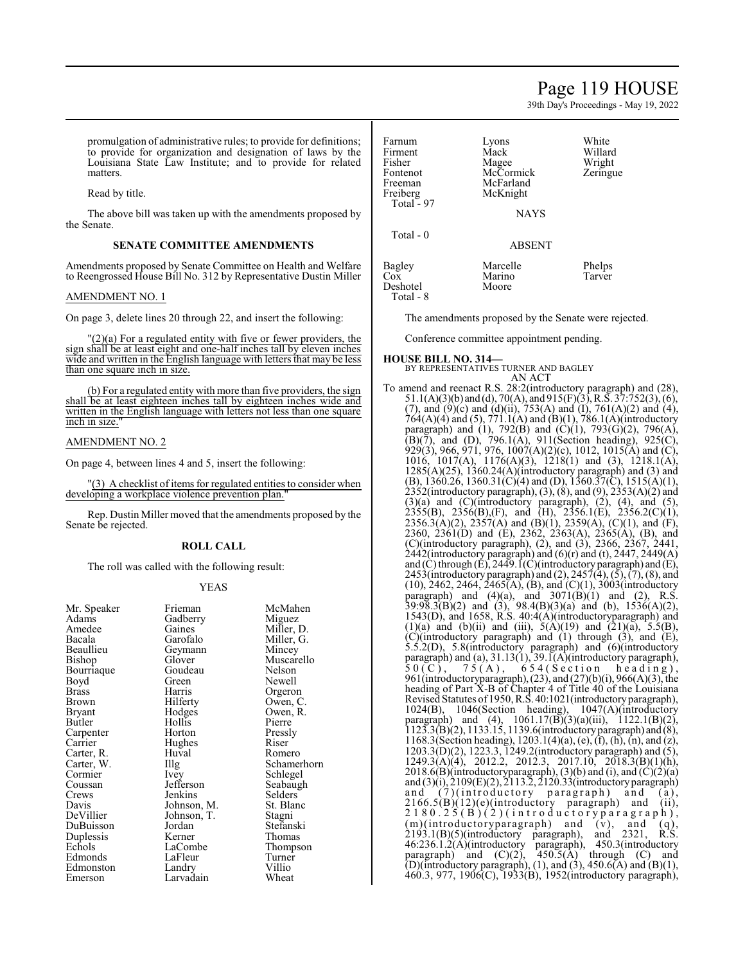# Page 119 HOUSE

39th Day's Proceedings - May 19, 2022

promulgation of administrative rules; to provide for definitions; to provide for organization and designation of laws by the Louisiana State Law Institute; and to provide for related matters.

Read by title.

The above bill was taken up with the amendments proposed by the Senate.

# **SENATE COMMITTEE AMENDMENTS**

Amendments proposed by Senate Committee on Health and Welfare to Reengrossed House Bill No. 312 by Representative Dustin Miller

### AMENDMENT NO. 1

On page 3, delete lines 20 through 22, and insert the following:

 $'(2)(a)$  For a regulated entity with five or fewer providers, the sign shall be at least eight and one-half inches tall by eleven inches wide and written in the English language with letters that may be less than one square inch in size.

(b) For a regulated entity with more than five providers, the sign shall be at least eighteen inches tall by eighteen inches wide and written in the English language with letters not less than one square inch in size.

### AMENDMENT NO. 2

On page 4, between lines 4 and 5, insert the following:

"(3) A checklist of items for regulated entities to consider when developing a workplace violence prevention plan."

Rep. Dustin Miller moved that the amendments proposed by the Senate be rejected.

#### **ROLL CALL**

The roll was called with the following result:

#### YEAS

| Mr. Speaker  | Frieman     | McMahen     |
|--------------|-------------|-------------|
| Adams        | Gadberry    | Miguez      |
| Amedee       | Gaines      | Miller, D.  |
| Bacala       | Garofalo    | Miller, G.  |
| Beaullieu    | Geymann     | Mincey      |
| Bishop       | Glover      | Muscarello  |
| Bourriaque   | Goudeau     | Nelson      |
| Boyd         | Green)      | Newell      |
| <b>Brass</b> | Harris      | Orgeron     |
| Brown        | Hilferty    | Owen, C.    |
| Bryant       | Hodges      | Owen, R.    |
| Butler       | Hollis      | Pierre      |
| Carpenter    | Horton      | Pressly     |
| Carrier      | Hughes      | Riser       |
| Carter, R.   | Huval       | Romero      |
| Carter, W.   | Illg        | Schamerhorn |
| Cormier      | Ivey        | Schlegel    |
| Coussan      | Jefferson   | Seabaugh    |
| Crews        | Jenkins     | Selders     |
| Davis        | Johnson, M. | St. Blanc   |
| DeVillier    | Johnson, T. | Stagni      |
| DuBuisson    | Jordan      | Stefanski   |
| Duplessis    | Kerner      | Thomas      |
| Echols       | LaCombe     | Thompson    |
| Edmonds      | LaFleur     | Turner      |
| Edmonston    | Landry      | Villio      |
| Emerson      | Larvadain   | Wheat       |
|              |             |             |

| Farnum      | Lyons       | White    |
|-------------|-------------|----------|
| Firment     | Mack        | Willard  |
| Fisher      | Magee       | Wright   |
| Fontenot    | McCormick   | Zeringue |
| Freeman     | McFarland   |          |
| Freiberg    | McKnight    |          |
| Total $-97$ |             |          |
|             | <b>NAYS</b> |          |
| Total - 0   |             |          |
|             | ABSENT      |          |
| Bagley      | Marcelle    | Phelps   |
| Cox         | Marino      | Tarver   |
| Deshotel    | Moore       |          |
| Total - 8   |             |          |

The amendments proposed by the Senate were rejected.

Conference committee appointment pending.

#### **HOUSE BILL NO. 314—** BY REPRESENTATIVES TURNER AND BAGLEY AN ACT

To amend and reenact R.S. 28:2(introductory paragraph) and (28), 51.1(A)(3)(b) and (d), 70(A), and 915(F)(3), R.S. 37:752(3), (6), (7), and (9)(c) and (d)(ii), 753(A) and (I), 761(A)(2) and (4), 764(A)(4) and (5), 771.1(A) and (B)(1), 786.1(A)(introductory paragraph) and (1), 792(B) and (C)(1), 793(G)(2), 796(A), (B)(7), and (D), 796.1(A), 911(Section heading), 925(C), 929(3), 966, 971, 976, 1007(A)(2)(c), 1012, 1015(A) and (C), 1016, 1017(A), 1176(A)(3), 1218(1) and (3), 1218.1(A),  $1285(A)(25)$ ,  $1360.24(A)$ (introductory paragraph) and (3) and (B), 1360.26, 1360.31(C)(4) and (D), 1360.37(C), 1515(A)(1),  $2352$ (introductory paragraph), (3), (8), and (9),  $2353(A)(2)$  and  $(3)(a)$  and  $(C)(introducing paragraph)$ ,  $(2)$ ,  $(4)$ , and  $(5)$ ,  $2355(B)$ ,  $2356(B)$ , (F), and (H),  $2356.1(E)$ ,  $2356.2(C)(1)$ , 2356.3(A)(2), 2357(A) and (B)(1), 2359(A), (C)(1), and (F), 2360, 2361(D) and (E), 2362, 2363(A), 2365(A), (B), and (C)(introductory paragraph), (2), and (3), 2366, 2367, 2441, 2442(introductory paragraph) and (6)(r) and (t), 2447, 2449(A) and (C) through (E), 2449.1(C)(introductory paragraph) and (E), 2453(introductory paragraph) and (2), 2457(4), (5), (7), (8), and  $(10)$ , 2462, 2464, 2465(A), (B), and  $(C)(1)$ , 3003(introductory paragraph) and  $(4)(a)$ , and  $3071(B)(1)$  and  $(2)$ , R.S.  $39:98.3(B)(2)$  and  $(3)$ ,  $98.4(B)(3)(a)$  and  $(b)$ ,  $1536(A)(2)$ , 1543(D), and 1658, R.S. 40:4(A)(introductoryparagraph) and (1)(a) and (b)(ii) and (iii),  $5(A)(19)$  and  $(21)(a)$ ,  $5.5(B)$ , (C)(introductory paragraph) and (1) through (3), and (E), 5.5.2(D), 5.8(introductory paragraph) and (6)(introductory paragraph) and (a), 31.13(1), 39.1(A)(introductory paragraph),  $50({\rm C}),$  75(A), 654(Section heading), 961(introductoryparagraph),(23), and (27)(b)(i), 966(A)(3), the heading of Part X-B of Chapter 4 of Title 40 of the Louisiana Revised Statutes of 1950, R.S. 40:1021(introductory paragraph), 1024(B), 1046(Section heading), 1047(A)(introductory paragraph) and  $(4)$ , 1061.17 $(B)(3)(a)(iii)$ , 1122.1 $(B)(2)$ , 1123.3(B)(2), 1133.15, 1139.6(introductory paragraph) and (8), 1168.3(Section heading), 1203.1(4)(a), (e), (f), (h), (n), and (z), 1203.3(D)(2), 1223.3, 1249.2(introductory paragraph) and (5), 1249.3(A)(4), 2012.2, 2012.3, 2017.10, 2018.3(B)(1)(h), 2018.6(B)(introductoryparagraph), (3)(b) and (i), and  $\overline{C}(2)(a)$ and (3)(i), 2109(E)(2), 2113.2, 2120.33(introductory paragraph) and (7)(introductory paragraph) and (a),  $2166.5(B)(12)(e)$ (introductory paragraph) and (ii),  $2180.25(B)(2)$  (introductory paragraph),  $(m)(introductoryparagnh)$  and  $(v)$ , and  $(q)$ , 2193.1(B)(5)(introductory paragraph), and 2321, R.S. 46:236.1.2(A)(introductory paragraph), 450.3(introductory paragraph) and (C)(2), 450.5(A) through (C) and (D)(introductory paragraph), (1), and (3), 450.6(A) and (B)(1), 460.3, 977, 1906(C), 1933(B), 1952(introductory paragraph),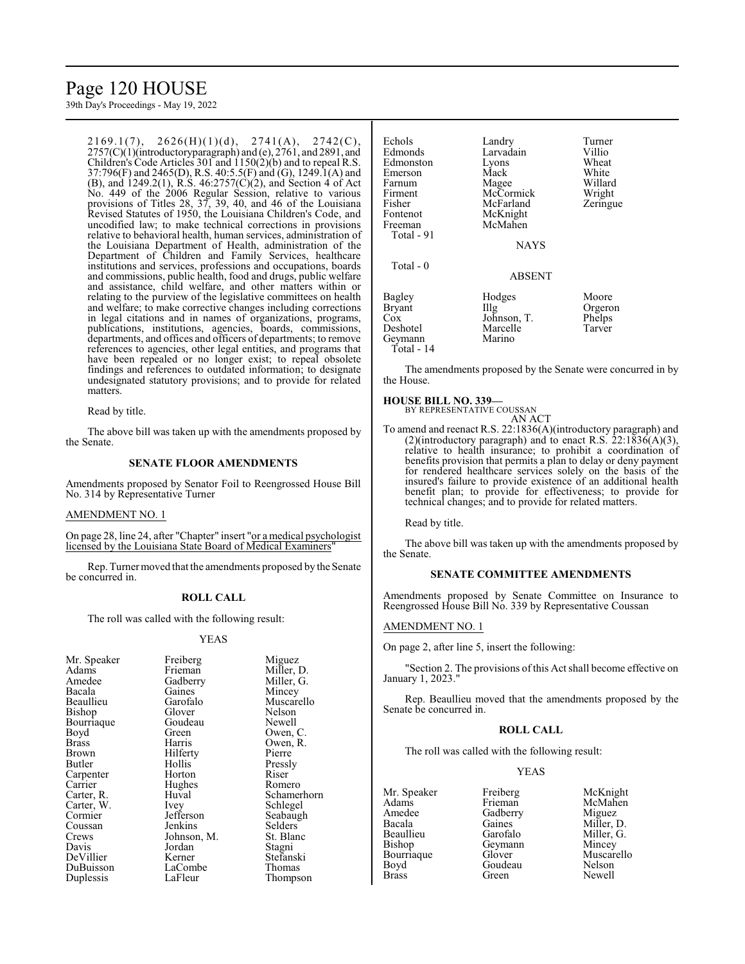# Page 120 HOUSE

39th Day's Proceedings - May 19, 2022

 $2169.1(7)$ ,  $2626(H)(1)(d)$ ,  $2741(A)$ ,  $2742(C)$ , 2757(C)(1)(introductoryparagraph) and (e), 2761, and 2891, and Children's Code Articles 301 and  $(1150(2)(b))$  and to repeal R.S. 37:796(F) and 2465(D), R.S. 40:5.5(F) and (G), 1249.1(A) and (B), and 1249.2(1), R.S. 46:2757(C)(2), and Section 4 of Act No. 449 of the 2006 Regular Session, relative to various provisions of Titles 28, 37, 39, 40, and 46 of the Louisiana Revised Statutes of 1950, the Louisiana Children's Code, and uncodified law; to make technical corrections in provisions relative to behavioral health, human services, administration of the Louisiana Department of Health, administration of the Department of Children and Family Services, healthcare institutions and services, professions and occupations, boards and commissions, public health, food and drugs, public welfare and assistance, child welfare, and other matters within or relating to the purview of the legislative committees on health and welfare; to make corrective changes including corrections in legal citations and in names of organizations, programs, publications, institutions, agencies, boards, commissions, departments, and offices and officers of departments; to remove references to agencies, other legal entities, and programs that have been repealed or no longer exist; to repeal obsolete findings and references to outdated information; to designate undesignated statutory provisions; and to provide for related matters.

Read by title.

The above bill was taken up with the amendments proposed by the Senate.

# **SENATE FLOOR AMENDMENTS**

Amendments proposed by Senator Foil to Reengrossed House Bill No. 314 by Representative Turner

#### AMENDMENT NO. 1

On page 28, line 24, after "Chapter" insert "or a medical psychologist licensed by the Louisiana State Board of Medical Examiners"

Rep. Turner moved that the amendments proposed by the Senate be concurred in.

# **ROLL CALL**

The roll was called with the following result:

#### YEAS

| Mr. Speaker | Freiberg    | Miguez      |
|-------------|-------------|-------------|
| Adams       | Frieman     | Miller, D.  |
| Amedee      | Gadberry    | Miller, G.  |
| Bacala      | Gaines      | Mincey      |
| Beaullieu   | Garofalo    | Muscarello  |
| Bishop      | Glover      | Nelson      |
| Bourriaque  | Goudeau     | Newell      |
| Boyd        | Green       | Owen, C.    |
| Brass       | Harris      | Owen, R.    |
| Brown       | Hilferty    | Pierre      |
| Butler      | Hollis      | Pressly     |
| Carpenter   | Horton      | Riser       |
| Carrier     | Hughes      | Romero      |
| Carter, R.  | Huval       | Schamerhorn |
| Carter, W.  | Ivey        | Schlegel    |
| Cormier     | Jefferson   | Seabaugh    |
| Coussan     | Jenkins     | Selders     |
| Crews       | Johnson, M. | St. Blanc   |
| Davis       | Jordan      | Stagni      |
| DeVillier   | Kerner      | Stefanski   |
| DuBuisson   | LaCombe     | Thomas      |
| Duplessis   | LaFleur     | Thompson    |

Echols Landry Turner<br>
Edmonds Larvadain Villio Larvadain Villio<br>Lyons Wheat Edmonston Lyons Wheat<br>
Emerson Mack White Emerson Mack White<br>
Farnum Magee Willard Farnum Magee Willard<br>Firment McCormick Wright McCormick Fisher McFarland Zeringue<br>Fontenot McKnight Fontenot McKnight<br>Freeman McMahen McMahen Total - 91 NAYS Total - 0 ABSENT Bagley Hodges Moore<br>Bryant IIIg Orgero Bryant Illg Orgeron<br>
Cox Johnson, T. Phelps Cox Johnson, T. Phelps<br>Deshotel Marcelle Tarver Marcelle<br>Marino Geymann Total - 14

The amendments proposed by the Senate were concurred in by the House.

# **HOUSE BILL NO. 339—**

BY REPRESENTATIVE COUSSAN AN ACT

To amend and reenact R.S. 22:1836(A)(introductory paragraph) and (2)(introductory paragraph) and to enact R.S.  $22:1836(A)(3)$ , relative to health insurance; to prohibit a coordination of benefits provision that permits a plan to delay or deny payment for rendered healthcare services solely on the basis of the insured's failure to provide existence of an additional health benefit plan; to provide for effectiveness; to provide for technical changes; and to provide for related matters.

Read by title.

The above bill was taken up with the amendments proposed by the Senate.

#### **SENATE COMMITTEE AMENDMENTS**

Amendments proposed by Senate Committee on Insurance to Reengrossed House Bill No. 339 by Representative Coussan

#### AMENDMENT NO. 1

On page 2, after line 5, insert the following:

"Section 2. The provisions of this Act shall become effective on January 1, 2023."

Rep. Beaullieu moved that the amendments proposed by the Senate be concurred in.

# **ROLL CALL**

The roll was called with the following result:

#### YEAS

Mr. Speaker Freiberg McKnight<br>Adams Frieman McMahen Adams Frieman McMahen Amedee Gadberry<br>Bacala Gaines Bacala Gaines Miller, D.<br>Beaullieu Garofalo Miller. G. Beaullieu Garofalo Miller, G.<br>Bishop Geymann Mincey Bourriaque Glover Muscarello<br>Boyd Goudeau Nelson Boyd Goudeau<br>Brass Green

Geymann Mincey<br>Glover Muscarello Newell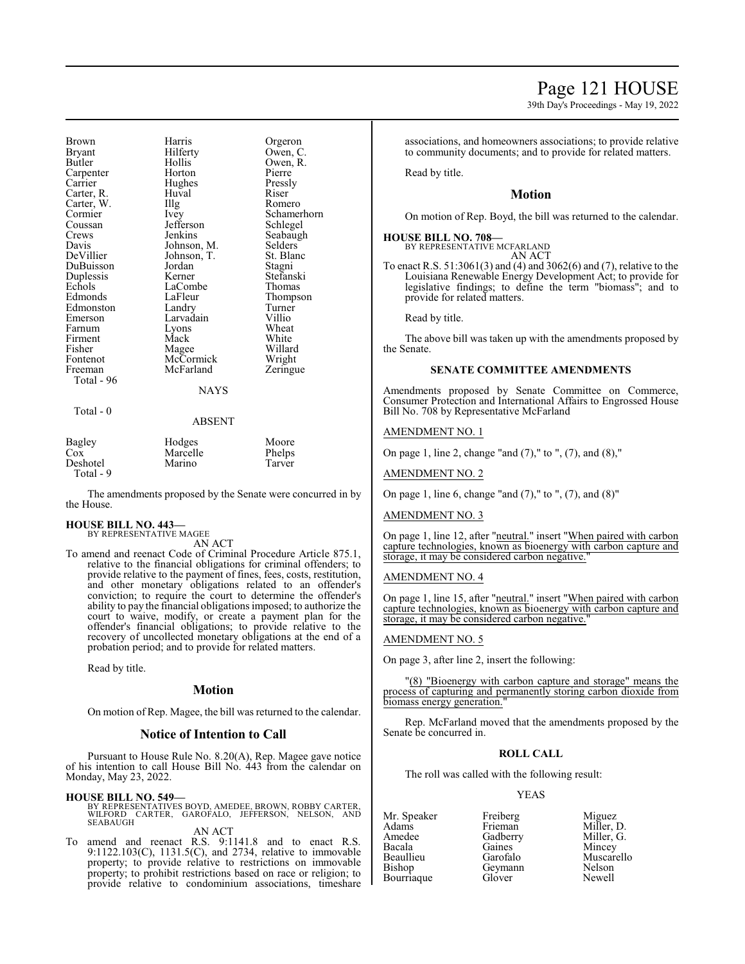39th Day's Proceedings - May 19, 2022

Brown Harris Orgeron<br>Bryant Hilferty Owen. C Bryant Hilferty<br>Butler Hollis Hollis Owen, R.<br>Horton Pierre Carpenter Horton Pierre<br>Carrier Hughes Pressly Hughes Pressl<br>Huval Riser Carter, R. Carter, W. Illg Romero<br>Cormier Ivey Schamer Cormier Ivey Schamerhorn<br>
Coussan Iefferson Schlegel Coussan Jefferson<br>Crews Jenkins Crews Jenkins Seabaugh<br>Davis Johnson, M. Selders Davis Johnson, M. Selders<br>DeVillier Johnson, T. St. Blanc Johnson, T. St. Blanch<br>Jordan Stagni DuBuisson Jordan Stagni<br>
Duplessis Kerner Stefanski Duplessis Kerner Stefanski Echols LaCombe<br>Edmonds LaFleur LaFleur Thompson<br>Landry Turner Edmonston Landry Turner<br>
Emerson Larvadain Villio Emerson Larvadain Villio<br>Farnum Lyons Wheat Lyons Wheat<br>
Mack White Firment Mack White<br>
Fisher Magee Willard Fisher Magee Willard<br>Fontenot McCormick Wright Fontenot McCormick Wright<br>Freeman McFarland Zeringue McFarland Total - 96 NAYS Total - 0 ABSENT

| Bagley    | Hodges   | Moore  |
|-----------|----------|--------|
| Cox       | Marcelle | Phelps |
| Deshotel  | Marino   | Tarver |
| Total - 9 |          |        |

The amendments proposed by the Senate were concurred in by the House.

# **HOUSE BILL NO. 443—** BY REPRESENTATIVE MAGEE

AN ACT

To amend and reenact Code of Criminal Procedure Article 875.1, relative to the financial obligations for criminal offenders; to provide relative to the payment of fines, fees, costs, restitution, and other monetary obligations related to an offender's conviction; to require the court to determine the offender's ability to pay the financial obligations imposed; to authorize the court to waive, modify, or create a payment plan for the offender's financial obligations; to provide relative to the recovery of uncollected monetary obligations at the end of a probation period; and to provide for related matters.

Read by title.

# **Motion**

On motion of Rep. Magee, the bill was returned to the calendar.

# **Notice of Intention to Call**

Pursuant to House Rule No. 8.20(A), Rep. Magee gave notice of his intention to call House Bill No. 443 from the calendar on Monday, May 23, 2022.

# **HOUSE BILL NO. 549—**

BY REPRESENTATIVES BOYD, AMEDEE, BROWN, ROBBY CARTER, WILFORD CARTER, GAROFALO, JEFFERSON, NELSON, AND **SEABAUGH** AN ACT

To amend and reenact R.S. 9:1141.8 and to enact R.S.

9:1122.103(C), 1131.5(C), and 2734, relative to immovable property; to provide relative to restrictions on immovable property; to prohibit restrictions based on race or religion; to provide relative to condominium associations, timeshare associations, and homeowners associations; to provide relative to community documents; and to provide for related matters.

Read by title.

# **Motion**

On motion of Rep. Boyd, the bill was returned to the calendar.

#### **HOUSE BILL NO. 708—**

BY REPRESENTATIVE MCFARLAND AN ACT

To enact R.S. 51:3061(3) and (4) and 3062(6) and (7), relative to the Louisiana Renewable Energy Development Act; to provide for legislative findings; to define the term "biomass"; and to provide for related matters.

Read by title.

The above bill was taken up with the amendments proposed by the Senate.

# **SENATE COMMITTEE AMENDMENTS**

Amendments proposed by Senate Committee on Commerce, Consumer Protection and International Affairs to Engrossed House Bill No. 708 by Representative McFarland

#### AMENDMENT NO. 1

On page 1, line 2, change "and (7)," to ", (7), and (8),"

AMENDMENT NO. 2

On page 1, line 6, change "and (7)," to ", (7), and (8)"

### AMENDMENT NO. 3

On page 1, line 12, after "neutral." insert "When paired with carbon capture technologies, known as bioenergy with carbon capture and storage, it may be considered carbon negative.

#### AMENDMENT NO. 4

On page 1, line 15, after "neutral." insert "When paired with carbon capture technologies, known as bioenergy with carbon capture and storage, it may be considered carbon negative."

#### AMENDMENT NO. 5

On page 3, after line 2, insert the following:

"(8) "Bioenergy with carbon capture and storage" means the process of capturing and permanently storing carbon dioxide from biomass energy generation.

Rep. McFarland moved that the amendments proposed by the Senate be concurred in.

### **ROLL CALL**

The roll was called with the following result:

# YEAS

Mr. Speaker Freiberg Miguez<br>Adams Frieman Miller. I Adams Frieman Miller, D. Amedee Gadberry Miller, G.<br>Bacala Gaines Mincey Bacala Gaines Mincey Beaullieu Garofalo Muscarello Bourriaque Glover

Geymann Nelson<br>Glover Newell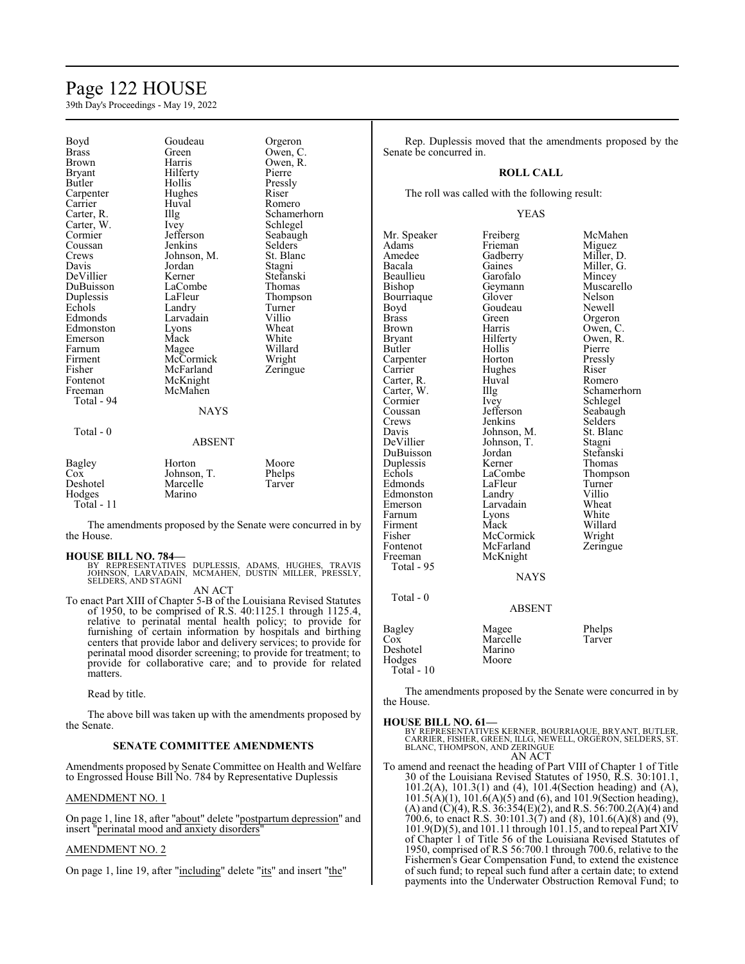# Page 122 HOUSE

39th Day's Proceedings - May 19, 2022

| Boyd<br>Brass<br>Brown<br>Bryant<br><b>Butler</b><br>Carpenter<br>Carrier<br>Carter, R.<br>Carter, W.<br>Cormier<br>Coussan<br>Crews<br>Davis<br>DeVillier<br>DuBuisson<br>Duplessis<br>Echols<br>Edmonds<br>Edmonston<br>Emerson<br>Farnum<br>Firment<br>Fisher<br>Fontenot<br>Freeman<br>Total - 94<br>$Total - 0$ | Goudeau<br>Green<br>Harris<br>Hilferty<br>Hollis<br>Hughes<br>Huval<br>Illg<br>Ivey<br>Jefferson<br>Jenkins<br>Johnson, M.<br>Jordan<br>Kerner<br>LaCombe<br>LaFleur<br>Landry<br>Larvadain<br>Lyons<br>Mack<br>Magee<br>McCormick<br>McFarland<br>McKnight<br>McMahen<br><b>NAYS</b><br><b>ABSENT</b> | Orgeron<br>Owen, C.<br>Owen, R.<br>Pierre<br>Pressly<br>Riser<br>Romero<br>Schamerhorn<br>Schlegel<br>Seabaugh<br>Selders<br>St. Blanc<br>Stagni<br>Stefanski<br>Thomas<br>Thompson<br>Turner<br>Villio<br>Wheat<br>White<br>Willard<br>Wright<br>Zeringue |
|----------------------------------------------------------------------------------------------------------------------------------------------------------------------------------------------------------------------------------------------------------------------------------------------------------------------|--------------------------------------------------------------------------------------------------------------------------------------------------------------------------------------------------------------------------------------------------------------------------------------------------------|------------------------------------------------------------------------------------------------------------------------------------------------------------------------------------------------------------------------------------------------------------|
| Bagley<br>Cox<br>Deshotel                                                                                                                                                                                                                                                                                            | Horton<br>Johnson, T.<br>Marcelle                                                                                                                                                                                                                                                                      | Moore<br>Phelps<br>Tarver                                                                                                                                                                                                                                  |
| Hodges<br>Total - 11                                                                                                                                                                                                                                                                                                 | Marino                                                                                                                                                                                                                                                                                                 |                                                                                                                                                                                                                                                            |

The amendments proposed by the Senate were concurred in by the House.

#### **HOUSE BILL NO. 784—**

BY REPRESENTATIVES DUPLESSIS, ADAMS, HUGHES, TRAVIS<br>JOHNSON, LARVADAIN, MCMAHEN, DUSTIN MILLER, PRESSLY,<br>SELDERS,AND STAGNI AN ACT

To enact Part XIII of Chapter 5-B of the Louisiana Revised Statutes of 1950, to be comprised of R.S. 40:1125.1 through 1125.4, relative to perinatal mental health policy; to provide for furnishing of certain information by hospitals and birthing centers that provide labor and delivery services; to provide for perinatal mood disorder screening; to provide for treatment; to provide for collaborative care; and to provide for related matters.

Read by title.

The above bill was taken up with the amendments proposed by the Senate.

#### **SENATE COMMITTEE AMENDMENTS**

Amendments proposed by Senate Committee on Health and Welfare to Engrossed House Bill No. 784 by Representative Duplessis

#### AMENDMENT NO. 1

On page 1, line 18, after "about" delete "postpartum depression" and insert "perinatal mood and anxiety disorders"

#### AMENDMENT NO. 2

On page 1, line 19, after "including" delete "its" and insert "the"

Rep. Duplessis moved that the amendments proposed by the Senate be concurred in.

#### **ROLL CALL**

The roll was called with the following result:

#### YEAS

Mr. Speaker Freiberg McMahen<br>Adams Frieman Miguez Adams Frieman<br>Amedee Gadberry Amedee Gadberry Miller, D.<br>Bacala Gaines Miller, G. Gaines Miller, G.<br>Garofalo Mincey Beaullieu Garofalo<br>Bishop Geymann Geymann Muscarello<br>Glover Nelson Bourriaque Glover Nelson<br>Boyd Goudeau Newell Boyd Goudeau<br>Brass Green Brass Green Orgeron<br>Brown Harris Owen C Brown Harris Owen, C.<br>Brvant Hilferty Owen, R. Bryant Hilferty Owen,<br>Butler Hollis Pierre Hollis Pierre<br>
Horton Pressly Carpenter Horton Pressl<br>Carrier Hughes Riser Hughes Riser<br>Huyal Romero Carter, R. Huv<br>Carter, W. Illg Carter, W. Illg Schamerhorn<br>
Cormier Ivey Schlegel Cormier Ivey Schlegel<br>
Coussan Iefferson Seabaug Coussan Jefferson Seabaugh<br>Crews Jenkins Selders Crews Jenkins Selders<br>Davis Johnson, M. St. Blanc Davis Johnson, M. St. Blanck St. Blanck Johnson, T. Stagni Johnson, T. Stagni<br>Jordan Stefanski DuBuisson Jordan Stefansk<br>Duplessis Kerner Thomas Duplessis Kerner Thomas<br>Echols LaCombe Thompson LaCombe Thomp<br>LaFleur Turner Edmonds LaFleur Turner<br>Edmonston Landry Villio Edmonston Landry Villio<br>
Emerson Larvadain Wheat Emerson Larvadain Wheat<br>
Earnum Lyons White Lyons<br>Mack Firment Mack Willard<br>Fisher McCormick Wright Fisher McCormick Wright<br>
Fontenot McFarland Zeringue Fontenot McFarland<br>Freeman McKnight McKnight Total - 95 NAYS Total - 0 ABSENT Bagley Magee Phelps<br>
Cox Marcelle Tarver Marcelle<br>Marino Deshotel Marino<br>
Hodges Moore Hodges

Total - 10

The amendments proposed by the Senate were concurred in by the House.

#### **HOUSE BILL NO. 61—**

BY REPRESENTATIVES KERNER, BOURRIAQUE, BRYANT, BUTLER,<br>CARRIER, FISHER, GREEN, ILLG, NEWELL, ORGERON, SELDERS, ST.<br>BLANC, THOMPSON, AND ZERINGUE AN ACT

To amend and reenact the heading of Part VIII of Chapter 1 of Title 30 of the Louisiana Revised Statutes of 1950, R.S. 30:101.1, 101.2(A), 101.3(1) and (4), 101.4(Section heading) and (A), 101.5(A)(1), 101.6(A)(5) and (6), and 101.9(Section heading), (A) and (C)(4), R.S. 36:354(E)(2), and R.S. 56:700.2(A)(4) and 700.6, to enact R.S. 30:101.3(7) and (8), 101.6(A)(8) and (9), 101.9(D)(5), and 101.11 through 101.15, and to repeal Part XIV of Chapter 1 of Title 56 of the Louisiana Revised Statutes of 1950, comprised of R.S 56:700.1 through 700.6, relative to the Fishermen's Gear Compensation Fund, to extend the existence of such fund; to repeal such fund after a certain date; to extend payments into the Underwater Obstruction Removal Fund; to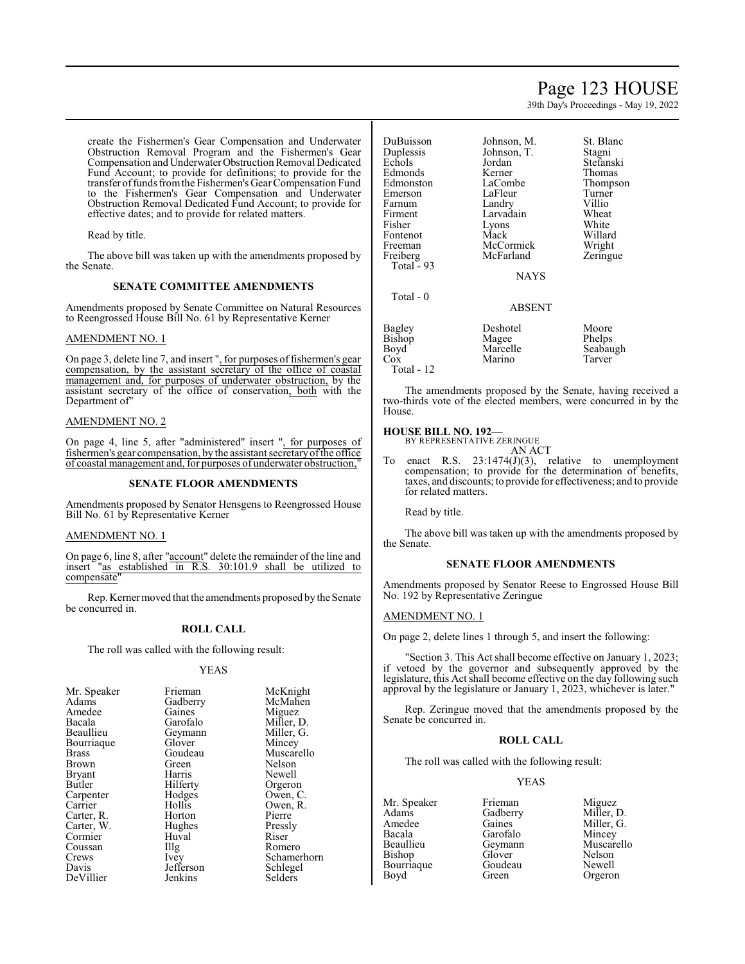# Page 123 HOUSE

39th Day's Proceedings - May 19, 2022

create the Fishermen's Gear Compensation and Underwater Obstruction Removal Program and the Fishermen's Gear Compensation and UnderwaterObstructionRemoval Dedicated Fund Account; to provide for definitions; to provide for the transfer offunds fromthe Fishermen's Gear Compensation Fund to the Fishermen's Gear Compensation and Underwater Obstruction Removal Dedicated Fund Account; to provide for effective dates; and to provide for related matters.

Read by title.

The above bill was taken up with the amendments proposed by the Senate.

# **SENATE COMMITTEE AMENDMENTS**

Amendments proposed by Senate Committee on Natural Resources to Reengrossed House Bill No. 61 by Representative Kerner

# AMENDMENT NO. 1

On page 3, delete line 7, and insert ", for purposes of fishermen's gear compensation, by the assistant secretary of the office of coastal management and, for purposes of underwater obstruction, by the assistant secretary of the office of conservation, both with the Department of"

### AMENDMENT NO. 2

On page 4, line 5, after "administered" insert ", for purposes of fishermen's gear compensation, by the assistant secretaryofthe office of coastal management and, for purposes of underwater obstruction,"

#### **SENATE FLOOR AMENDMENTS**

Amendments proposed by Senator Hensgens to Reengrossed House Bill No. 61 by Representative Kerner

#### AMENDMENT NO. 1

On page 6, line 8, after "account" delete the remainder of the line and insert "as established in R.S. 30:101.9 shall be utilized to compensate

Rep. Kerner moved that the amendments proposed by the Senate be concurred in.

# **ROLL CALL**

The roll was called with the following result:

#### YEAS

|           | McKnight                                                                                      |
|-----------|-----------------------------------------------------------------------------------------------|
|           | McMahen                                                                                       |
|           | Miguez                                                                                        |
|           | Miller, D.                                                                                    |
|           | Miller, G.                                                                                    |
|           |                                                                                               |
|           | Mincey                                                                                        |
|           | Muscarello                                                                                    |
| Green     | Nelson                                                                                        |
| Harris    | Newell                                                                                        |
| Hilferty  | Orgeron                                                                                       |
|           | Owen, C.                                                                                      |
| Hollis    | Owen, R.                                                                                      |
| Horton    | Pierre                                                                                        |
|           | Pressly                                                                                       |
| Huval     | Riser                                                                                         |
| Illg      | Romero                                                                                        |
| Ivey      | Schamerhorn                                                                                   |
| Jefferson | Schlegel                                                                                      |
| Jenkins   | Selders                                                                                       |
|           | Frieman<br>Gadberry<br>Gaines<br>Garofalo<br>Geymann<br>Glover<br>Goudeau<br>Hodges<br>Hughes |

DuBuisson Johnson, M. St. Blanc<br>
Duplessis Johnson, T. Stagni Duplessis Johnson<br>Echols Jordan Edmonds<br>
Edmonston LaCombe Emerson LaFleur Turner<br>Farnum Landry Villio Farnum Landry Villio<br>Firment Larvadain Wheat Firment Larvadain Wheat<br>
Fisher Lyons White Fontenot Mack Willard<br>Freeman McCormick Wright Freeman McCormick Wright<br>
Freiberg McFarland Zeringue Total  $-93$ Total - 0

Jordan Stefanski<br>Kerner Thomas LaCombe Thompson<br>LaFleur Turner Lyons White<br>Mack Willard McFarland

NAYS

# ABSENT

| Bagley            | Deshotel | Moore    |
|-------------------|----------|----------|
| Bishop            | Magee    | Phelps   |
| Boyd <sup>-</sup> | Marcelle | Seabaugh |
| Cox               | Marino   | Tarver   |
| Total - 12        |          |          |

The amendments proposed by the Senate, having received a two-thirds vote of the elected members, were concurred in by the House.

# **HOUSE BILL NO. 192—** BY REPRESENTATIVE ZERINGUE

AN ACT

To enact R.S. 23:1474(J)(3), relative to unemployment compensation; to provide for the determination of benefits, taxes, and discounts; to provide for effectiveness; and to provide for related matters.

Read by title.

The above bill was taken up with the amendments proposed by the Senate.

#### **SENATE FLOOR AMENDMENTS**

Amendments proposed by Senator Reese to Engrossed House Bill No. 192 by Representative Zeringue

# AMENDMENT NO. 1

On page 2, delete lines 1 through 5, and insert the following:

"Section 3. This Act shall become effective on January 1, 2023; if vetoed by the governor and subsequently approved by the legislature, this Act shall become effective on the day following such approval by the legislature or January 1, 2023, whichever is later."

Rep. Zeringue moved that the amendments proposed by the Senate be concurred in.

#### **ROLL CALL**

The roll was called with the following result:

# YEAS

Adams Gadberry<br>Amedee Gaines Amedee Gaines Miller, G.<br>Bacala Garofalo Mincey Bacala Garofalo Mincey Bourriaque Goude<br>Boyd Green

Mr. Speaker Frieman Miguez<br>Adams Gadberry Miller, D. Beaullieu Geymann Muscarello<br>Bishop Glover Nelson Glover Nelson<br>Goudeau Newell Orgeron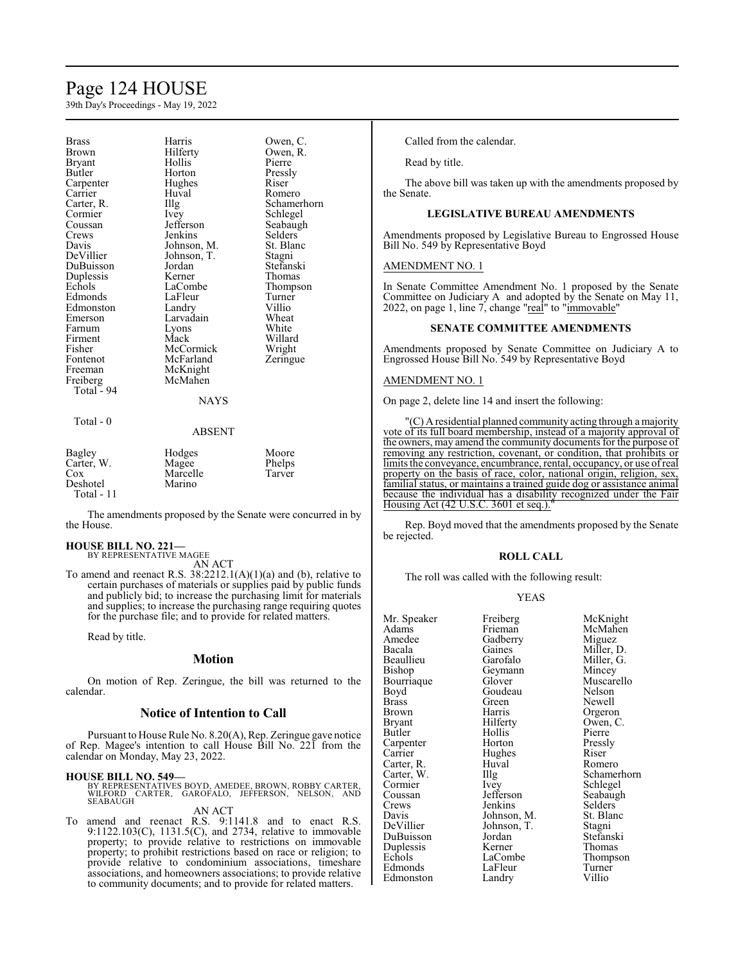# Page 124 HOUSE

39th Day's Proceedings - May 19, 2022

| <b>Brass</b><br>Brown<br>Bryant<br>Butler<br>Carpenter<br>Carrier<br>Carter, R.<br>Cormier<br>Coussan<br>Crews<br>Davis<br>DeVillier<br>DuBuisson<br>Duplessis<br>Echols<br>Edmonds<br>Edmonston<br>Emerson<br>Farnum<br>Firment<br>Fisher<br>Fontenot<br>Freeman<br>Freiberg | Harris<br>Hilferty<br>Hollis<br>Horton<br>Hughes<br>Huval<br>Illg<br><i>lvey</i><br>Jefferson<br>Jenkins<br>Johnson, M.<br>Johnson, T.<br>Jordan<br>Kerner<br>LaCombe<br>LaFleur<br>Landry<br>Larvadain<br>Lyons<br>Mack<br>McCormick<br>McFarland<br>McKnight<br>McMahen | Owen, C.<br>Owen, R.<br>Pierre<br>Pressly<br>Riser<br>Romero<br>Schamerhorn<br>Schlegel<br>Seabaugh<br>Selders<br>St. Blanc<br>Stagni<br>Stefanski<br>Thomas<br>Thompson<br>Turner<br>Villio<br>Wheat<br>White<br>Willard<br>Wright<br>Zeringue |
|-------------------------------------------------------------------------------------------------------------------------------------------------------------------------------------------------------------------------------------------------------------------------------|---------------------------------------------------------------------------------------------------------------------------------------------------------------------------------------------------------------------------------------------------------------------------|-------------------------------------------------------------------------------------------------------------------------------------------------------------------------------------------------------------------------------------------------|
| Total - 94                                                                                                                                                                                                                                                                    | <b>NAYS</b>                                                                                                                                                                                                                                                               |                                                                                                                                                                                                                                                 |
| Total - 0                                                                                                                                                                                                                                                                     | ABSENT                                                                                                                                                                                                                                                                    |                                                                                                                                                                                                                                                 |
| Bagley<br>Carter, W.<br>$\cos$<br>Deshotel                                                                                                                                                                                                                                    | Hodges<br>Magee<br>Marcelle<br>Marino                                                                                                                                                                                                                                     | Moore<br>Phelps<br>Tarver                                                                                                                                                                                                                       |

The amendments proposed by the Senate were concurred in by the House.

# **HOUSE BILL NO. 221—**

Total - 11

BY REPRESENTATIVE MAGEE

AN ACT To amend and reenact R.S.  $38:2212.1(A)(1)(a)$  and (b), relative to certain purchases of materials or supplies paid by public funds and publicly bid; to increase the purchasing limit for materials and supplies; to increase the purchasing range requiring quotes for the purchase file; and to provide for related matters.

Read by title.

# **Motion**

On motion of Rep. Zeringue, the bill was returned to the calendar.

# **Notice of Intention to Call**

Pursuant to House Rule No. 8.20(A), Rep. Zeringue gave notice of Rep. Magee's intention to call House Bill No. 221 from the calendar on Monday, May 23, 2022.

#### **HOUSE BILL NO. 549—**

BY REPRESENTATIVES BOYD, AMEDEE, BROWN, ROBBY CARTER,<br>WILFORD CARTER, GAROFALO, JEFFERSON, NELSON, AND<br>SEABAUGH

# AN ACT

To amend and reenact R.S. 9:1141.8 and to enact R.S. 9:1122.103(C), 1131.5(C), and 2734, relative to immovable property; to provide relative to restrictions on immovable property; to prohibit restrictions based on race or religion; to provide relative to condominium associations, timeshare associations, and homeowners associations; to provide relative to community documents; and to provide for related matters.

Called from the calendar.

Read by title.

The above bill was taken up with the amendments proposed by the Senate.

#### **LEGISLATIVE BUREAU AMENDMENTS**

Amendments proposed by Legislative Bureau to Engrossed House Bill No. 549 by Representative Boyd

# AMENDMENT NO. 1

In Senate Committee Amendment No. 1 proposed by the Senate Committee on Judiciary A and adopted by the Senate on May 11, 2022, on page 1, line 7, change "real" to "immovable"

# **SENATE COMMITTEE AMENDMENTS**

Amendments proposed by Senate Committee on Judiciary A to Engrossed House Bill No. 549 by Representative Boyd

### AMENDMENT NO. 1

On page 2, delete line 14 and insert the following:

"(C) Aresidential planned community acting through a majority vote of its full board membership, instead of a majority approval of the owners, may amend the community documents for the purpose of removing any restriction, covenant, or condition, that prohibits or limits the conveyance, encumbrance, rental, occupancy, or use ofreal property on the basis of race, color, national origin, religion, sex, familial status, or maintains a trained guide dog or assistance animal because the individual has a disability recognized under the Fair Housing Act (42 U.S.C. 3601 et seq.)."

Rep. Boyd moved that the amendments proposed by the Senate be rejected.

#### **ROLL CALL**

The roll was called with the following result:

#### YEAS

| Mr. Speaker   | Freiberg    | McKnight    |
|---------------|-------------|-------------|
| Adams         | Frieman     | McMahen     |
| Amedee        | Gadberry    | Miguez      |
| Bacala        | Gaines      | Miller, D.  |
| Beaullieu     | Garofalo    | Miller, G.  |
| Bishop        | Geymann     | Mincey      |
| Bourriaque    | Glover      | Muscarello  |
| Boyd          | Goudeau     | Nelson      |
| Brass         | Green       | Newell      |
| Brown         | Harris      | Orgeron     |
| <b>Bryant</b> | Hilferty    | Owen, C.    |
| Butler        | Hollis      | Pierre      |
| Carpenter     | Horton      | Pressly     |
| Carrier       | Hughes      | Riser       |
| Carter, R.    | Huval       | Romero      |
| Carter, W.    | Illg        | Schamerhorn |
| Cormier       | Ivey        | Schlegel    |
| Coussan       | Jefferson   | Seabaugh    |
| Crews         | Jenkins     | Selders     |
| Davis         | Johnson, M. | St. Blanc   |
| DeVillier     | Johnson, T. | Stagni      |
| DuBuisson     | Jordan      | Stefanski   |
| Duplessis     | Kerner      | Thomas      |
| Echols        | LaCombe     | Thompson    |
| Edmonds       | LaFleur     | Turner      |
| Edmonston     | Landry      | Villio      |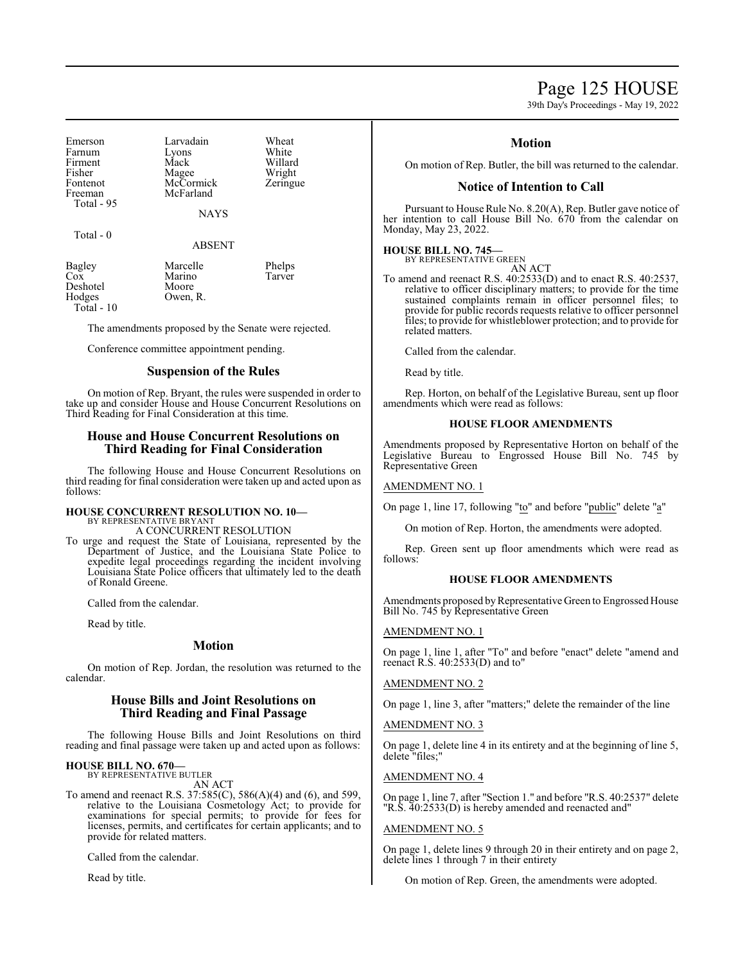Page 125 HOUSE

39th Day's Proceedings - May 19, 2022

Emerson Larvadain Wheat<br>
Farnum Lyons White Farnum Lyons<br>Firment Mack Firment Mack Willard<br>
Fisher Magee Wright Fisher Magee Wright<br>Fontenot McCormick Zeringue Fontenot McCormick<br>Freeman McFarland Total - 95

McFarland

NAYS

Total - 0

#### ABSENT

Bagley Marcelle Phelps<br>
Cox Marino Tarver Marino<br>Moore Deshotel<br>Hodges Owen, R. Total - 10

The amendments proposed by the Senate were rejected.

Conference committee appointment pending.

# **Suspension of the Rules**

On motion of Rep. Bryant, the rules were suspended in order to take up and consider House and House Concurrent Resolutions on Third Reading for Final Consideration at this time.

# **House and House Concurrent Resolutions on Third Reading for Final Consideration**

The following House and House Concurrent Resolutions on third reading for final consideration were taken up and acted upon as follows:

# **HOUSE CONCURRENT RESOLUTION NO. 10—** BY REPRESENTATIVE BRYANT

A CONCURRENT RESOLUTION

To urge and request the State of Louisiana, represented by the Department of Justice, and the Louisiana State Police to expedite legal proceedings regarding the incident involving Louisiana State Police officers that ultimately led to the death of Ronald Greene.

Called from the calendar.

Read by title.

# **Motion**

On motion of Rep. Jordan, the resolution was returned to the calendar.

# **House Bills and Joint Resolutions on Third Reading and Final Passage**

The following House Bills and Joint Resolutions on third reading and final passage were taken up and acted upon as follows:

# **HOUSE BILL NO. 670—** BY REPRESENTATIVE BUTLER

AN ACT

To amend and reenact R.S. 37:585(C), 586(A)(4) and (6), and 599, relative to the Louisiana Cosmetology Act; to provide for examinations for special permits; to provide for fees for licenses, permits, and certificates for certain applicants; and to provide for related matters.

Called from the calendar.

Read by title.

# **Motion**

On motion of Rep. Butler, the bill was returned to the calendar.

# **Notice of Intention to Call**

Pursuant to House Rule No. 8.20(A), Rep. Butler gave notice of her intention to call House Bill No. 670 from the calendar on Monday, May 23, 2022.

# **HOUSE BILL NO. 745—** BY REPRESENTATIVE GREEN

AN ACT

To amend and reenact R.S. 40:2533(D) and to enact R.S. 40:2537, relative to officer disciplinary matters; to provide for the time sustained complaints remain in officer personnel files; to provide for public records requests relative to officer personnel files; to provide for whistleblower protection; and to provide for related matters.

Called from the calendar.

Read by title.

Rep. Horton, on behalf of the Legislative Bureau, sent up floor amendments which were read as follows:

### **HOUSE FLOOR AMENDMENTS**

Amendments proposed by Representative Horton on behalf of the Legislative Bureau to Engrossed House Bill No. 745 by Representative Green

### AMENDMENT NO. 1

On page 1, line 17, following "to" and before "public" delete "a"

On motion of Rep. Horton, the amendments were adopted.

Rep. Green sent up floor amendments which were read as follows:

# **HOUSE FLOOR AMENDMENTS**

Amendments proposed by Representative Green to Engrossed House Bill No. 745 by Representative Green

AMENDMENT NO. 1

On page 1, line 1, after "To" and before "enact" delete "amend and reenact R.S. 40:2533(D) and to"

# AMENDMENT NO. 2

On page 1, line 3, after "matters;" delete the remainder of the line

AMENDMENT NO. 3

On page 1, delete line 4 in its entirety and at the beginning of line 5, delete "files;"

# AMENDMENT NO. 4

On page 1, line 7, after "Section 1." and before "R.S. 40:2537" delete "R.S. 40:2533(D) is hereby amended and reenacted and"

### AMENDMENT NO. 5

On page 1, delete lines 9 through 20 in their entirety and on page 2, delete lines 1 through 7 in their entirety

On motion of Rep. Green, the amendments were adopted.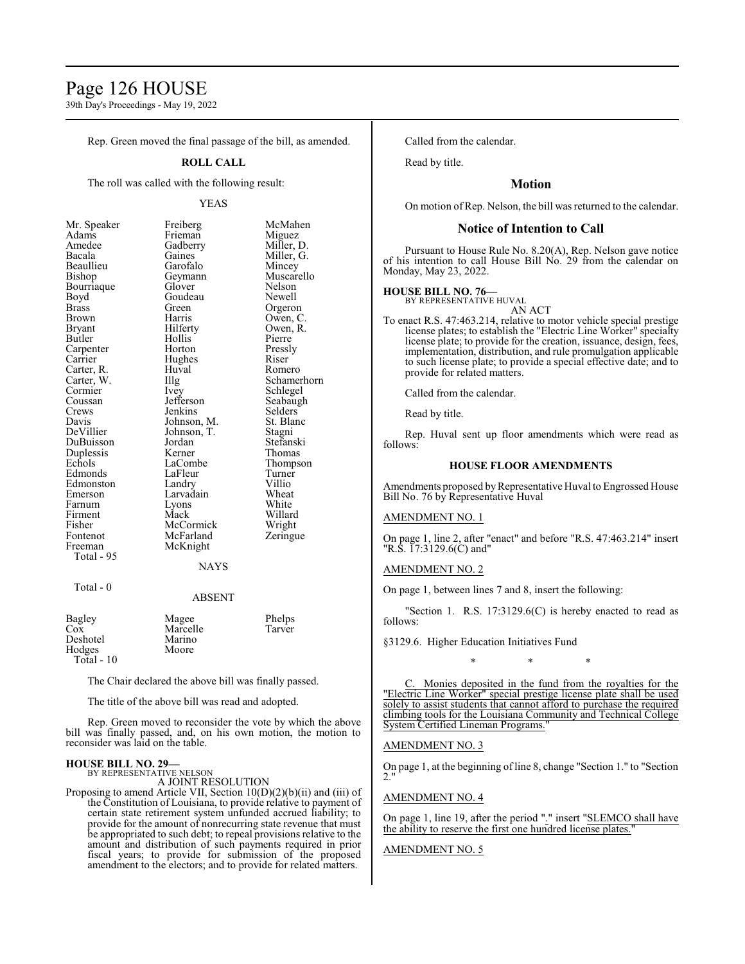# Page 126 HOUSE

39th Day's Proceedings - May 19, 2022

Rep. Green moved the final passage of the bill, as amended.

### **ROLL CALL**

The roll was called with the following result:

#### YEAS

McMahen Miguez Miller, D. Miller, G. Mincey Muscarello<br>Nelson

Orgeron Owen, C. Owen, R.<br>Pierre

Romero Schamerhorn Schlegel Seabaugh Selders<sup>'</sup> St. Blanc Stagni Stefanski Thomas Thompson Turner<br>Villio

Wright Zeringue

| Mr. Speaker  | Freiberg    | McMah         |
|--------------|-------------|---------------|
| Adams        | Frieman     | Miguez        |
| Amedee       | Gadberry    | Miller,       |
| Bacala       | Gaines      | Miller,       |
| Beaullieu    | Garofalo    | Mincey        |
| Bishop       | Geymann     | Muscar        |
| Bourriaque   | Glover      | Nelson        |
| Boyd         | Goudeau     | Newell        |
| <b>Brass</b> | Green       | Orgeror       |
| Brown        | Harris      | Owen,         |
| Bryant       | Hilferty    | Owen, l       |
| Butler       | Hollis      | Pierre        |
| Carpenter    | Horton      | Pressly       |
| Carrier      | Hughes      | Riser         |
| Carter, R.   | Huval       | Romerc        |
| Carter, W.   | $\rm{IIIg}$ | Schame        |
| Cormier      | Ivey        | Schlege       |
| Coussan      | Jefferson   | Seabaug       |
| Crews        | Jenkins     | Selders       |
| Davis        | Johnson, M. | St. Blar      |
| DeVillier    | Johnson, T. | Stagni        |
| DuBuisson    | Jordan      | Stefansl      |
| Duplessis    | Kerner      | Thomas        |
| Echols       | LaCombe     | <b>Thomps</b> |
| Edmonds      | LaFleur     | Turner        |
| Edmonston    | Landry      | Villio        |
| Emerson      | Larvadain   | Wheat         |
| Farnum       | Lyons       | White         |
| Firment      | Mack        | Willard       |
| Fisher       | McCormick   | Wright        |
| Fontenot     | McFarland   | Zeringu       |
| Freeman      | McKnight    |               |
| Total - 95   |             |               |
|              | <b>NAYS</b> |               |
|              |             |               |

#### ABSENT

| Bagley       | Magee    | Phelps |
|--------------|----------|--------|
| Cox          | Marcelle | Tarver |
| Deshotel     | Marino   |        |
| Hodges       | Moore    |        |
| Total - $10$ |          |        |

The Chair declared the above bill was finally passed.

The title of the above bill was read and adopted.

Rep. Green moved to reconsider the vote by which the above bill was finally passed, and, on his own motion, the motion to reconsider was laid on the table.

# **HOUSE BILL NO. 29—** BY REPRESENTATIVE NELSON

Total - 0

A JOINT RESOLUTION

Proposing to amend Article VII, Section 10(D)(2)(b)(ii) and (iii) of the Constitution of Louisiana, to provide relative to payment of certain state retirement system unfunded accrued liability; to provide for the amount of nonrecurring state revenue that must be appropriated to such debt; to repeal provisions relative to the amount and distribution of such payments required in prior fiscal years; to provide for submission of the proposed amendment to the electors; and to provide for related matters.

Called from the calendar.

Read by title.

# **Motion**

On motion of Rep. Nelson, the bill was returned to the calendar.

# **Notice of Intention to Call**

Pursuant to House Rule No. 8.20(A), Rep. Nelson gave notice of his intention to call House Bill No. 29 from the calendar on Monday, May 23, 2022.

# **HOUSE BILL NO. 76—**

BY REPRESENTATIVE HUVAL AN ACT

To enact R.S. 47:463.214, relative to motor vehicle special prestige license plates; to establish the "Electric Line Worker" specialty license plate; to provide for the creation, issuance, design, fees, implementation, distribution, and rule promulgation applicable to such license plate; to provide a special effective date; and to provide for related matters.

Called from the calendar.

Read by title.

Rep. Huval sent up floor amendments which were read as follows:

### **HOUSE FLOOR AMENDMENTS**

Amendments proposed by Representative Huval to Engrossed House Bill No. 76 by Representative Huval

# AMENDMENT NO. 1

On page 1, line 2, after "enact" and before "R.S. 47:463.214" insert "R.S. 17:3129.6(C) and"

### AMENDMENT NO. 2

On page 1, between lines 7 and 8, insert the following:

"Section 1. R.S.  $17:3129.6(C)$  is hereby enacted to read as follows:

§3129.6. Higher Education Initiatives Fund

\* \* \* Monies deposited in the fund from the royalties for the

"Electric Line Worker" special prestige license plate shall be used solely to assist students that cannot afford to purchase the required climbing tools for the Louisiana Community and Technical College System Certified Lineman Programs."

#### AMENDMENT NO. 3

On page 1, at the beginning of line 8, change "Section 1." to "Section 2."

#### AMENDMENT NO. 4

On page 1, line 19, after the period "." insert "SLEMCO shall have the ability to reserve the first one hundred license plates."

#### AMENDMENT NO. 5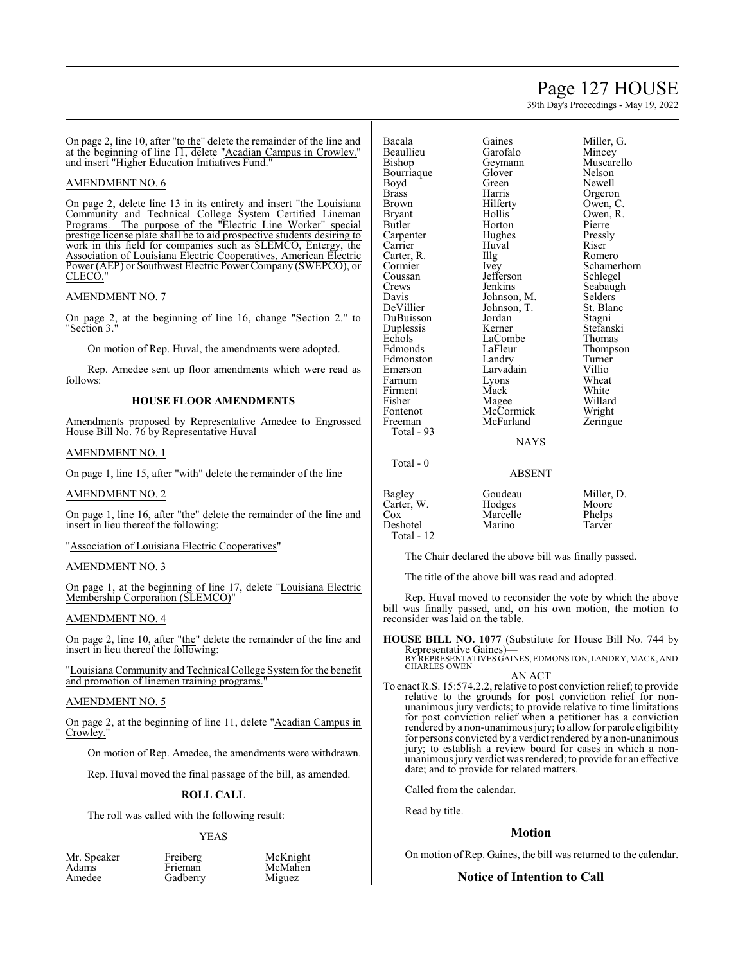# Page 127 HOUSE

39th Day's Proceedings - May 19, 2022

On page 2, line 10, after "to the" delete the remainder of the line and at the beginning of line 11, delete "Acadian Campus in Crowley." and insert "Higher Education Initiatives Fund."

# AMENDMENT NO. 6

On page 2, delete line 13 in its entirety and insert "the Louisiana Community and Technical College System Certified Lineman Programs. The purpose of the "Electric Line Worker" special prestige license plate shall be to aid prospective students desiring to work in this field for companies such as SLEMCO, Entergy, the Association of Louisiana Electric Cooperatives, American Electric Power (AEP) or Southwest Electric Power Company (SWEPCO), or CLECO."

#### AMENDMENT NO. 7

On page 2, at the beginning of line 16, change "Section 2." to "Section 3."

On motion of Rep. Huval, the amendments were adopted.

Rep. Amedee sent up floor amendments which were read as follows:

#### **HOUSE FLOOR AMENDMENTS**

Amendments proposed by Representative Amedee to Engrossed House Bill No. 76 by Representative Huval

# AMENDMENT NO. 1

On page 1, line 15, after "with" delete the remainder of the line

#### AMENDMENT NO. 2

On page 1, line 16, after "the" delete the remainder of the line and insert in lieu thereof the following:

"Association of Louisiana Electric Cooperatives"

# AMENDMENT NO. 3

On page 1, at the beginning of line 17, delete "Louisiana Electric Membership Corporation (SLEMCO)"

#### AMENDMENT NO. 4

On page 2, line 10, after "the" delete the remainder of the line and insert in lieu thereof the following:

"Louisiana Community and Technical College Systemfor the benefit and promotion of linemen training programs.

# AMENDMENT NO. 5

On page 2, at the beginning of line 11, delete "Acadian Campus in Crowley."

On motion of Rep. Amedee, the amendments were withdrawn.

Rep. Huval moved the final passage of the bill, as amended.

#### **ROLL CALL**

The roll was called with the following result:

Gadberry

#### YEAS

| Mr. Speaker |  |
|-------------|--|
| Adams       |  |
| Amedee      |  |

Freiberg McKnight<br>Frieman McMahen

| Bacala       | Gaines      | Miller, |
|--------------|-------------|---------|
| Beaullieu    | Garofalo    | Mince   |
| Bishop       | Geymann     | Musca   |
| Bourriaque   | Glover      | Nelsor  |
| Boyd         | Green       | Newel   |
| <b>Brass</b> | Harris      | Orgero  |
| Brown        | Hilferty    | Owen,   |
| Bryant       | Hollis      | Owen,   |
| Butler       | Horton      | Pierre  |
| Carpenter    | Hughes      | Pressly |
| Carrier      | Huval       | Riser   |
| Carter, R.   | Illg        | Romer   |
| Cormier      | Ivey        | Scham   |
| Coussan      | Jefferson   | Schleg  |
| Crews        | Jenkins     | Seabaı  |
| Davis        | Johnson, M. | Selder  |
| DeVillier    | Johnson, T. | St. Bla |
| DuBuisson    | Jordan      | Stagni  |
| Duplessis    | Kerner      | Stefan  |
| Echols       | LaCombe     | Thoma   |
| Edmonds      | LaFleur     | Thomp   |
| Edmonston    | Landry      | Turnei  |
| Emerson      | Larvadain   | Villio  |
| Farnum       | Lyons       | Wheat   |
| Firment      | Mack        | White   |
| Fisher       | Magee       | Willar  |
| Fontenot     | McCormick   | Wrigh   |
| Freeman      | McFarland   | Zering  |
| Total - 93   |             |         |

Total - 0

Gaines Miller, G.<br>Garofalo Mincev Muscarello<br>Nelson Orgeron Hilferty Owen, C.<br>Hollis Owen, R. Owen, R.<br>Pierre Illg Romero<br>Ivey Schamer Schamerhorn<br>Schlegel Seabaugh Johnson, M. Selders<br>Johnson, T. St. Blanc Stefanski<br>Thomas Thompson<br>Turner Mack White<br>Magee Willard Zeringue

#### ABSENT

**NAYS** 

| Bagley     | Goudeau  | Miller, D. |
|------------|----------|------------|
| Carter, W. | Hodges   | Moore      |
| Cox        | Marcelle | Phelps     |
| Deshotel   | Marino   | Tarver     |
| Total - 12 |          |            |

The Chair declared the above bill was finally passed.

The title of the above bill was read and adopted.

Rep. Huval moved to reconsider the vote by which the above bill was finally passed, and, on his own motion, the motion to reconsider was laid on the table.

**HOUSE BILL NO. 1077** (Substitute for House Bill No. 744 by Representative Gaines)**—**

BY REPRESENTATIVES GAINES, EDMONSTON, LANDRY, MACK, AND CHARLES OWEN AN ACT

To enact R.S. 15:574.2.2, relative to post conviction relief; to provide relative to the grounds for post conviction relief for nonunanimous jury verdicts; to provide relative to time limitations for post conviction relief when a petitioner has a conviction rendered by a non-unanimous jury; to allow for parole eligibility for persons convicted by a verdict rendered by a non-unanimous jury; to establish a review board for cases in which a nonunanimous jury verdict was rendered; to provide for an effective date; and to provide for related matters.

Called from the calendar.

Read by title.

# **Motion**

On motion of Rep. Gaines, the bill was returned to the calendar.

#### **Notice of Intention to Call**

# McMahen<br>Miguez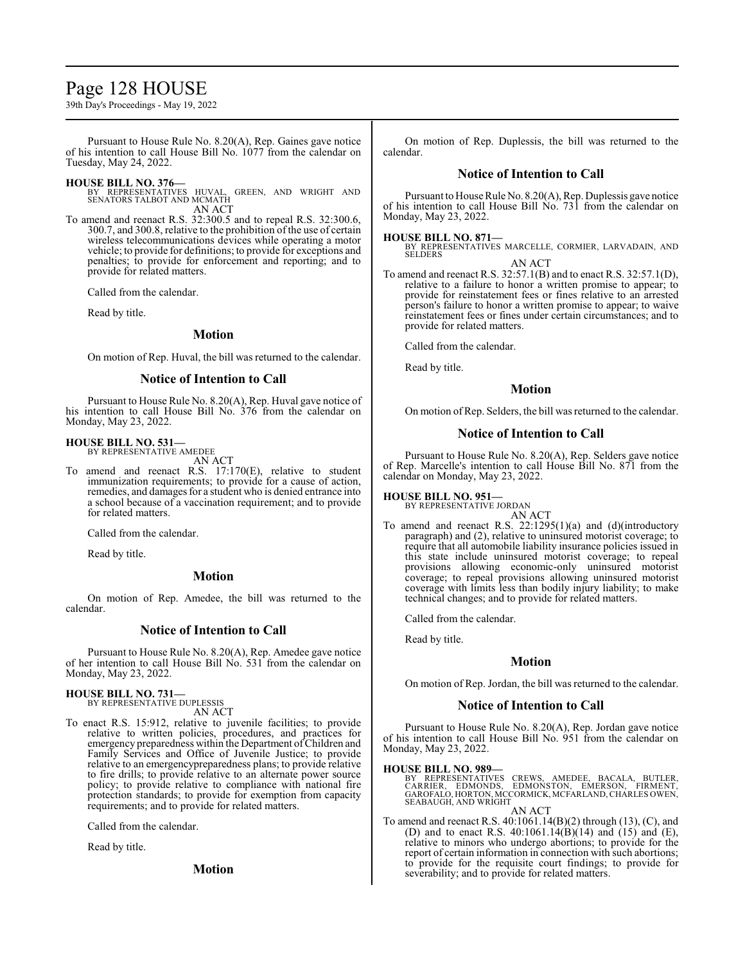# Page 128 HOUSE

39th Day's Proceedings - May 19, 2022

Pursuant to House Rule No. 8.20(A), Rep. Gaines gave notice of his intention to call House Bill No. 1077 from the calendar on Tuesday, May 24, 2022.

# **HOUSE BILL NO. 376—**

BY REPRESENTATIVES HUVAL, GREEN, AND WRIGHT AND SENATORS TALBOT AND MCMATH AN ACT

To amend and reenact R.S. 32:300.5 and to repeal R.S. 32:300.6, 300.7, and 300.8, relative to the prohibition of the use of certain wireless telecommunications devices while operating a motor vehicle; to provide for definitions; to provide for exceptions and penalties; to provide for enforcement and reporting; and to provide for related matters.

Called from the calendar.

Read by title.

### **Motion**

On motion of Rep. Huval, the bill was returned to the calendar.

# **Notice of Intention to Call**

Pursuant to House Rule No. 8.20(A), Rep. Huval gave notice of his intention to call House Bill No. 376 from the calendar on Monday, May 23, 2022.

# **HOUSE BILL NO. 531—**

BY REPRESENTATIVE AMEDEE AN ACT

To amend and reenact R.S. 17:170(E), relative to student immunization requirements; to provide for a cause of action, remedies, and damages for a student who is denied entrance into a school because of a vaccination requirement; and to provide for related matters.

Called from the calendar.

Read by title.

# **Motion**

On motion of Rep. Amedee, the bill was returned to the calendar.

# **Notice of Intention to Call**

Pursuant to House Rule No. 8.20(A), Rep. Amedee gave notice of her intention to call House Bill No. 531 from the calendar on Monday, May 23, 2022.

**HOUSE BILL NO. 731—** BY REPRESENTATIVE DUPLESSIS

AN ACT

To enact R.S. 15:912, relative to juvenile facilities; to provide relative to written policies, procedures, and practices for emergency preparedness within the Department ofChildren and Family Services and Office of Juvenile Justice; to provide relative to an emergencypreparedness plans; to provide relative to fire drills; to provide relative to an alternate power source policy; to provide relative to compliance with national fire protection standards; to provide for exemption from capacity requirements; and to provide for related matters.

Called from the calendar.

Read by title.

**Motion**

On motion of Rep. Duplessis, the bill was returned to the calendar.

# **Notice of Intention to Call**

Pursuant to House Rule No. 8.20(A), Rep. Duplessis gave notice of his intention to call House Bill No. 731 from the calendar on Monday, May 23, 2022.

**HOUSE BILL NO. 871—** BY REPRESENTATIVES MARCELLE, CORMIER, LARVADAIN, AND SELDERS AN ACT

To amend and reenact R.S. 32:57.1(B) and to enact R.S. 32:57.1(D), relative to a failure to honor a written promise to appear; to provide for reinstatement fees or fines relative to an arrested person's failure to honor a written promise to appear; to waive reinstatement fees or fines under certain circumstances; and to provide for related matters.

Called from the calendar.

Read by title.

# **Motion**

On motion of Rep. Selders, the bill was returned to the calendar.

### **Notice of Intention to Call**

Pursuant to House Rule No. 8.20(A), Rep. Selders gave notice of Rep. Marcelle's intention to call House Bill No. 871 from the calendar on Monday, May 23, 2022.

# **HOUSE BILL NO. 951—** BY REPRESENTATIVE JORDAN

AN ACT

To amend and reenact R.S. 22:1295(1)(a) and (d)(introductory paragraph) and (2), relative to uninsured motorist coverage; to require that all automobile liability insurance policies issued in this state include uninsured motorist coverage; to repeal provisions allowing economic-only uninsured motorist coverage; to repeal provisions allowing uninsured motorist coverage with limits less than bodily injury liability; to make technical changes; and to provide for related matters.

Called from the calendar.

Read by title.

# **Motion**

On motion of Rep. Jordan, the bill was returned to the calendar.

#### **Notice of Intention to Call**

Pursuant to House Rule No. 8.20(A), Rep. Jordan gave notice of his intention to call House Bill No. 951 from the calendar on Monday, May 23, 2022.

# **HOUSE BILL NO. 989—**

BY REPRESENTATIVES CREWS, AMEDEE, BACALA, BUTLER,<br>CARRIER, EDMONDS, EDMONSTON, EMERSON, FIRMENT,<br>GAROFALO,HORTON,MCCORMICK,MCFARLAND,CHARLESOWEN, SEABAUGH, AND WRIGHT AN ACT

To amend and reenact R.S. 40:1061.14(B)(2) through (13), (C), and (D) and to enact R.S.  $40:1061.14(B)(14)$  and  $(15)$  and  $(E)$ , relative to minors who undergo abortions; to provide for the report of certain information in connection with such abortions; to provide for the requisite court findings; to provide for severability; and to provide for related matters.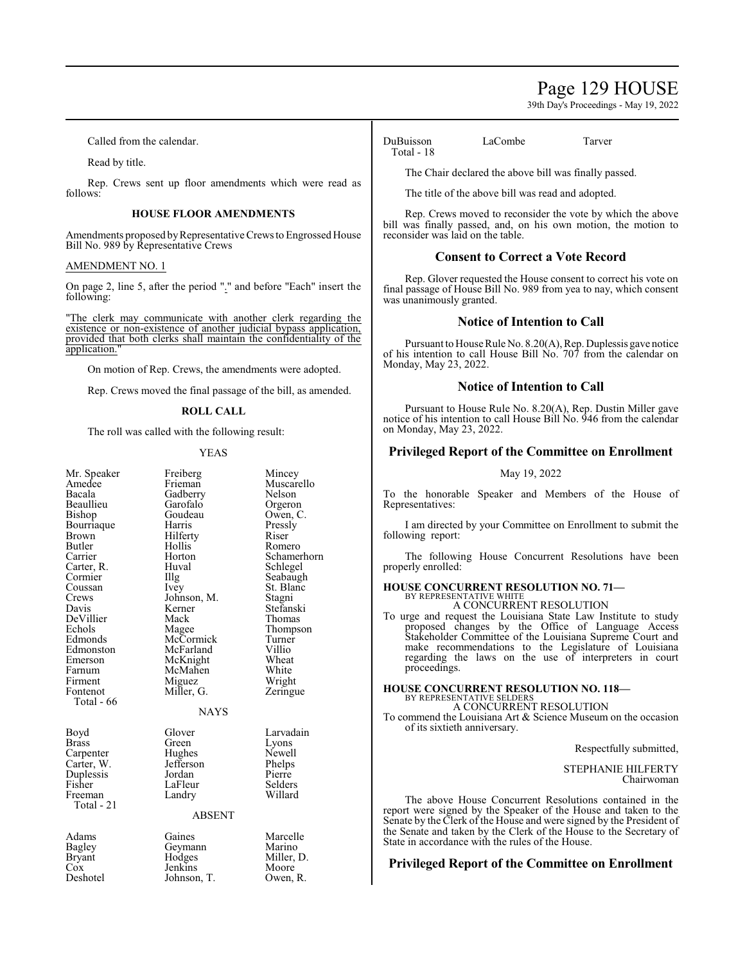# Page 129 HOUSE

39th Day's Proceedings - May 19, 2022

Called from the calendar.

Read by title.

Rep. Crews sent up floor amendments which were read as follows:

### **HOUSE FLOOR AMENDMENTS**

Amendments proposed by Representative Crews to Engrossed House Bill No. 989 by Representative Crews

# AMENDMENT NO. 1

On page 2, line 5, after the period "." and before "Each" insert the following:

"The clerk may communicate with another clerk regarding the existence or non-existence of another judicial bypass application, provided that both clerks shall maintain the confidentiality of the application.

On motion of Rep. Crews, the amendments were adopted.

Rep. Crews moved the final passage of the bill, as amended.

#### **ROLL CALL**

The roll was called with the following result:

#### YEAS

| Mr. Speaker<br>Amedee<br>Bacala<br>Beaullieu<br>Bishop<br>Bourriaque<br>Brown<br>Butler<br>Carrier<br>Carter, R.<br>Cormier<br>Coussan<br>Crews<br>Davis<br>DeVillier<br>Echols<br>Edmonds<br>Edmonston<br>Emerson | Freiberg<br>Frieman<br>Gadberry<br>Garofalo<br>Goudeau<br>Harris<br>Hilferty<br>Hollis<br>Horton<br>Huval<br>Illg<br>Ivey<br>Johnson, M.<br>Kerner<br>Mack<br>Magee<br>McCormick<br>McFarland<br>McKnight | Mincey<br>Muscarello<br>Nelson<br>Orgeron<br>Owen, C.<br>Pressly<br>Riser<br>Romero<br>Schamerhorn<br>Schlegel<br>Seabaugh<br>St. Blanc<br>Stagni<br>Stefanski<br>Thomas<br>Thompson<br>Turner<br>Villio<br>Wheat |
|--------------------------------------------------------------------------------------------------------------------------------------------------------------------------------------------------------------------|-----------------------------------------------------------------------------------------------------------------------------------------------------------------------------------------------------------|-------------------------------------------------------------------------------------------------------------------------------------------------------------------------------------------------------------------|
| Farnum<br>Firment<br>Fontenot<br>Total - 66                                                                                                                                                                        | McMahen<br>Miguez<br>Miller, G.                                                                                                                                                                           | White<br>Wright<br>Zeringue                                                                                                                                                                                       |
|                                                                                                                                                                                                                    | <b>NAYS</b>                                                                                                                                                                                               |                                                                                                                                                                                                                   |
| Boyd<br><b>Brass</b><br>Carpenter<br>Carter, W.<br>Duplessis<br>Fisher<br>Freeman<br>Total - 21                                                                                                                    | Glover<br>Green<br>Hughes<br>Jefferson<br>Jordan<br>LaFleur<br>Landry<br><b>ABSENT</b>                                                                                                                    | Larvadain<br>Lyons<br>Newell<br>Phelps<br>Pierre<br>Selders<br>Willard                                                                                                                                            |
| Adams<br>Bagley<br>Bryant<br>Cox<br>Deshotel                                                                                                                                                                       | Gaines<br>Geymann<br>Hodges<br>Jenkins<br>Johnson, T.                                                                                                                                                     | Marcelle<br>Marino<br>Miller, D.<br>Moore<br>Owen, R.                                                                                                                                                             |

DuBuisson LaCombe Tarver Total - 18

The Chair declared the above bill was finally passed.

The title of the above bill was read and adopted.

Rep. Crews moved to reconsider the vote by which the above bill was finally passed, and, on his own motion, the motion to reconsider was laid on the table.

# **Consent to Correct a Vote Record**

Rep. Glover requested the House consent to correct his vote on final passage of House Bill No. 989 from yea to nay, which consent was unanimously granted.

# **Notice of Intention to Call**

Pursuant to House Rule No. 8.20(A), Rep. Duplessis gave notice of his intention to call House Bill No. 707 from the calendar on Monday, May 23, 2022.

# **Notice of Intention to Call**

Pursuant to House Rule No. 8.20(A), Rep. Dustin Miller gave notice of his intention to call House Bill No. 946 from the calendar on Monday, May 23, 2022.

# **Privileged Report of the Committee on Enrollment**

### May 19, 2022

To the honorable Speaker and Members of the House of Representatives:

I am directed by your Committee on Enrollment to submit the following report:

The following House Concurrent Resolutions have been properly enrolled:

#### **HOUSE CONCURRENT RESOLUTION NO. 71—** BY REPRESENTATIVE WHITE

A CONCURRENT RESOLUTION

To urge and request the Louisiana State Law Institute to study proposed changes by the Office of Language Access Stakeholder Committee of the Louisiana Supreme Court and make recommendations to the Legislature of Louisiana regarding the laws on the use of interpreters in court proceedings.

#### **HOUSE CONCURRENT RESOLUTION NO. 118—** BY REPRESENTATIVE SELDERS A CONCURRENT RESOLUTION

To commend the Louisiana Art & Science Museum on the occasion of its sixtieth anniversary.

Respectfully submitted,

STEPHANIE HILFERTY Chairwoman

The above House Concurrent Resolutions contained in the report were signed by the Speaker of the House and taken to the Senate by the Clerk of the House and were signed by the President of the Senate and taken by the Clerk of the House to the Secretary of State in accordance with the rules of the House.

# **Privileged Report of the Committee on Enrollment**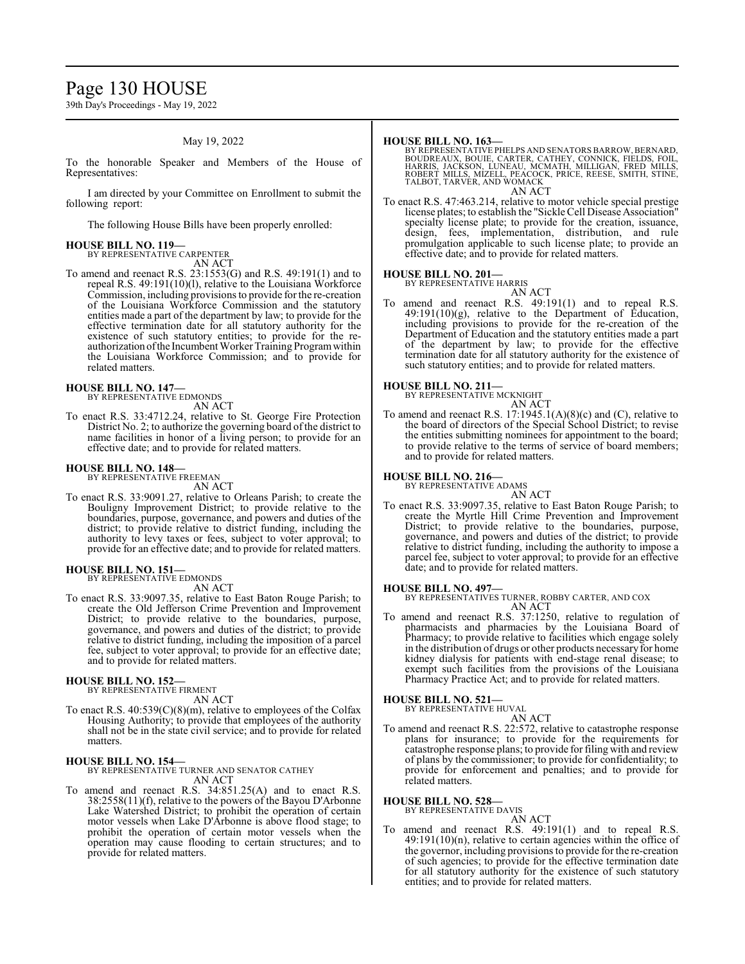# Page 130 HOUSE

39th Day's Proceedings - May 19, 2022

### May 19, 2022

To the honorable Speaker and Members of the House of Representatives:

I am directed by your Committee on Enrollment to submit the following report:

The following House Bills have been properly enrolled:

# **HOUSE BILL NO. 119—** BY REPRESENTATIVE CARPENTER

AN ACT

To amend and reenact R.S. 23:1553(G) and R.S. 49:191(1) and to repeal R.S. 49:191(10)(l), relative to the Louisiana Workforce Commission, including provisions to provide forthe re-creation of the Louisiana Workforce Commission and the statutory entities made a part of the department by law; to provide for the effective termination date for all statutory authority for the existence of such statutory entities; to provide for the reauthorization ofthe Incumbent Worker Training Programwithin the Louisiana Workforce Commission; and to provide for related matters.

#### **HOUSE BILL NO. 147—**

BY REPRESENTATIVE EDMONDS

AN ACT

To enact R.S. 33:4712.24, relative to St. George Fire Protection District No. 2; to authorize the governing board of the district to name facilities in honor of a living person; to provide for an effective date; and to provide for related matters.

# **HOUSE BILL NO. 148—** BY REPRESENTATIVE FREEMAN

AN ACT

To enact R.S. 33:9091.27, relative to Orleans Parish; to create the Bouligny Improvement District; to provide relative to the boundaries, purpose, governance, and powers and duties of the district; to provide relative to district funding, including the authority to levy taxes or fees, subject to voter approval; to provide for an effective date; and to provide for related matters.

**HOUSE BILL NO. 151—** BY REPRESENTATIVE EDMONDS

AN ACT

To enact R.S. 33:9097.35, relative to East Baton Rouge Parish; to create the Old Jefferson Crime Prevention and Improvement District; to provide relative to the boundaries, purpose, governance, and powers and duties of the district; to provide relative to district funding, including the imposition of a parcel fee, subject to voter approval; to provide for an effective date; and to provide for related matters.

#### **HOUSE BILL NO. 152—**

BY REPRESENTATIVE FIRMENT AN ACT

To enact R.S. 40:539(C)(8)(m), relative to employees of the Colfax Housing Authority; to provide that employees of the authority shall not be in the state civil service; and to provide for related matters.

#### **HOUSE BILL NO. 154—**

BY REPRESENTATIVE TURNER AND SENATOR CATHEY AN ACT

To amend and reenact R.S. 34:851.25(A) and to enact R.S. 38:2558(11)(f), relative to the powers of the Bayou D'Arbonne Lake Watershed District; to prohibit the operation of certain motor vessels when Lake D'Arbonne is above flood stage; to prohibit the operation of certain motor vessels when the operation may cause flooding to certain structures; and to provide for related matters.

#### **HOUSE BILL NO. 163—**

BY REPRESENTATIVE PHELPS AND SENATORS BARROW, BERNARD,<br>BOUDREAUX, BOUIE, CARTER, CATHEY, CONNICK, FIELDS, FOIL,<br>HARRIS, JACKSON, LUNEAU, MCMATH, MILLIGAN, FRED MILLS,<br>ROBERT MILLS, MIZELL, PEACOCK, PRICE, REESE, SMITH, STI TALBOT, TARVER, AND WOMACK AN ACT

To enact R.S. 47:463.214, relative to motor vehicle special prestige license plates; to establish the "Sickle Cell Disease Association" specialty license plate; to provide for the creation, issuance, design, fees, implementation, distribution, and rule promulgation applicable to such license plate; to provide an effective date; and to provide for related matters.

#### **HOUSE BILL NO. 201—**

BY REPRESENTATIVE HARRIS

AN ACT To amend and reenact R.S. 49:191(1) and to repeal R.S. 49:191(10)(g), relative to the Department of Education, including provisions to provide for the re-creation of the Department of Education and the statutory entities made a part of the department by law; to provide for the effective termination date for all statutory authority for the existence of

such statutory entities; and to provide for related matters.

# **HOUSE BILL NO. 211—**

BY REPRESENTATIVE MCKNIGHT

AN ACT

To amend and reenact R.S. 17:1945.1(A)(8)(c) and (C), relative to the board of directors of the Special School District; to revise the entities submitting nominees for appointment to the board; to provide relative to the terms of service of board members; and to provide for related matters.

#### **HOUSE BILL NO. 216—** BY REPRESENTATIVE ADAMS

AN ACT

To enact R.S. 33:9097.35, relative to East Baton Rouge Parish; to create the Myrtle Hill Crime Prevention and Improvement District; to provide relative to the boundaries, purpose, governance, and powers and duties of the district; to provide relative to district funding, including the authority to impose a parcel fee, subject to voter approval; to provide for an effective date; and to provide for related matters.

#### **HOUSE BILL NO. 497—**

BY REPRESENTATIVES TURNER, ROBBY CARTER, AND COX AN ACT

To amend and reenact R.S. 37:1250, relative to regulation of pharmacists and pharmacies by the Louisiana Board of Pharmacy; to provide relative to facilities which engage solely in the distribution of drugs or other products necessaryfor home kidney dialysis for patients with end-stage renal disease; to exempt such facilities from the provisions of the Louisiana Pharmacy Practice Act; and to provide for related matters.

#### **HOUSE BILL NO. 521—**

BY REPRESENTATIVE HUVAL

AN ACT To amend and reenact R.S. 22:572, relative to catastrophe response plans for insurance; to provide for the requirements for catastrophe response plans; to provide for filing with and review of plans by the commissioner; to provide for confidentiality; to provide for enforcement and penalties; and to provide for related matters.

# **HOUSE BILL NO. 528—** BY REPRESENTATIVE DAVIS

AN ACT

To amend and reenact R.S. 49:191(1) and to repeal R.S. 49:191(10)(n), relative to certain agencies within the office of the governor, including provisions to provide for the re-creation of such agencies; to provide for the effective termination date for all statutory authority for the existence of such statutory entities; and to provide for related matters.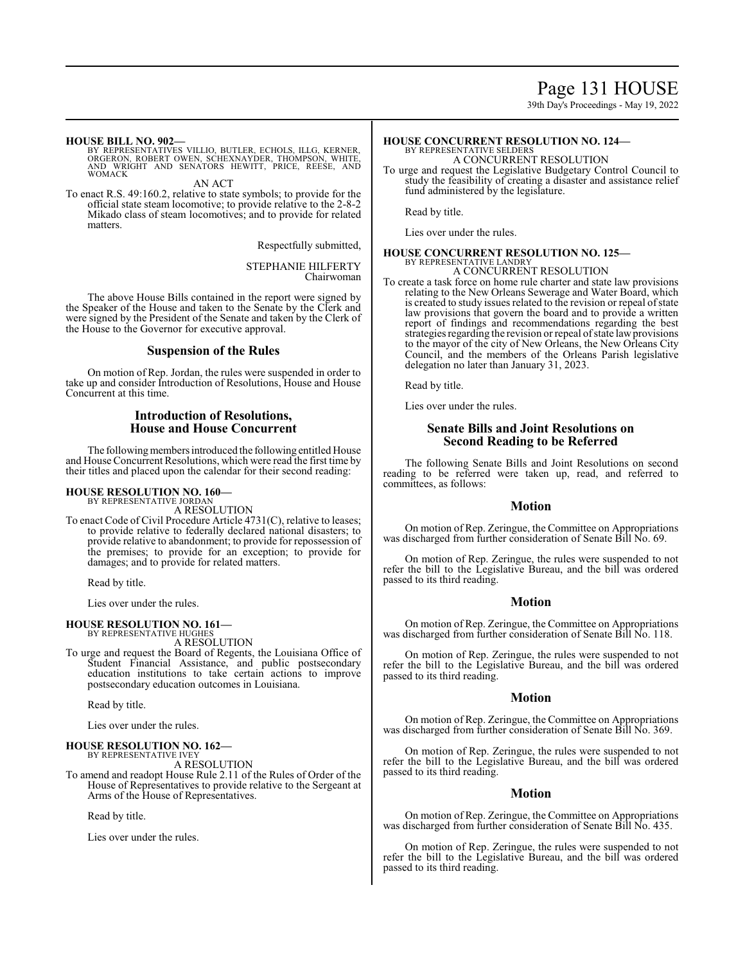39th Day's Proceedings - May 19, 2022

#### **HOUSE BILL NO. 902—**

BY REPRESENTATIVES VILLIO, BUTLER, ECHOLS, ILLG, KERNER,<br>ORGERON, ROBERT OWEN, SCHEXNAYDER, THOMPSON, WHITE,<br>AND WRIGHT AND SENATORS HEWITT, PRICE, REESE, AND **WOMACK** 

AN ACT

To enact R.S. 49:160.2, relative to state symbols; to provide for the official state steam locomotive; to provide relative to the 2-8-2 Mikado class of steam locomotives; and to provide for related matters.

Respectfully submitted,

STEPHANIE HILFERTY Chairwoman

The above House Bills contained in the report were signed by the Speaker of the House and taken to the Senate by the Clerk and were signed by the President of the Senate and taken by the Clerk of the House to the Governor for executive approval.

# **Suspension of the Rules**

On motion of Rep. Jordan, the rules were suspended in order to take up and consider Introduction of Resolutions, House and House Concurrent at this time.

# **Introduction of Resolutions, House and House Concurrent**

The following members introduced the following entitled House and House Concurrent Resolutions, which were read the first time by their titles and placed upon the calendar for their second reading:

#### **HOUSE RESOLUTION NO. 160—** BY REPRESENTATIVE JORDAN

A RESOLUTION

To enact Code of Civil Procedure Article 4731(C), relative to leases; to provide relative to federally declared national disasters; to provide relative to abandonment; to provide for repossession of the premises; to provide for an exception; to provide for damages; and to provide for related matters.

Read by title.

Lies over under the rules.

# **HOUSE RESOLUTION NO. 161—**

BY REPRESENTATIVE HUGHES A RESOLUTION

To urge and request the Board of Regents, the Louisiana Office of Student Financial Assistance, and public postsecondary education institutions to take certain actions to improve postsecondary education outcomes in Louisiana.

Read by title.

Lies over under the rules.

#### **HOUSE RESOLUTION NO. 162—**

BY REPRESENTATIVE IVEY A RESOLUTION

To amend and readopt House Rule 2.11 of the Rules of Order of the House of Representatives to provide relative to the Sergeant at Arms of the House of Representatives.

Read by title.

Lies over under the rules.

#### **HOUSE CONCURRENT RESOLUTION NO. 124—** BY REPRESENTATIVE SELDERS

A CONCURRENT RESOLUTION

To urge and request the Legislative Budgetary Control Council to study the feasibility of creating a disaster and assistance relief fund administered by the legislature.

Read by title.

Lies over under the rules.

#### **HOUSE CONCURRENT RESOLUTION NO. 125—** BY REPRESENTATIVE LANDRY A CONCURRENT RESOLUTION

To create a task force on home rule charter and state law provisions relating to the New Orleans Sewerage and Water Board, which is created to study issues related to the revision or repeal of state law provisions that govern the board and to provide a written report of findings and recommendations regarding the best strategies regarding the revision or repeal of state law provisions to the mayor of the city of New Orleans, the New Orleans City Council, and the members of the Orleans Parish legislative delegation no later than January 31, 2023.

Read by title.

Lies over under the rules.

# **Senate Bills and Joint Resolutions on Second Reading to be Referred**

The following Senate Bills and Joint Resolutions on second reading to be referred were taken up, read, and referred to committees, as follows:

#### **Motion**

On motion of Rep. Zeringue, the Committee on Appropriations was discharged from further consideration of Senate Bill No. 69.

On motion of Rep. Zeringue, the rules were suspended to not refer the bill to the Legislative Bureau, and the bill was ordered passed to its third reading.

# **Motion**

On motion of Rep. Zeringue, the Committee on Appropriations was discharged from further consideration of Senate Bill No. 118.

On motion of Rep. Zeringue, the rules were suspended to not refer the bill to the Legislative Bureau, and the bill was ordered passed to its third reading.

#### **Motion**

On motion of Rep. Zeringue, the Committee on Appropriations was discharged from further consideration of Senate Bill No. 369.

On motion of Rep. Zeringue, the rules were suspended to not refer the bill to the Legislative Bureau, and the bill was ordered passed to its third reading.

# **Motion**

On motion of Rep. Zeringue, the Committee on Appropriations was discharged from further consideration of Senate Bill No. 435.

On motion of Rep. Zeringue, the rules were suspended to not refer the bill to the Legislative Bureau, and the bill was ordered passed to its third reading.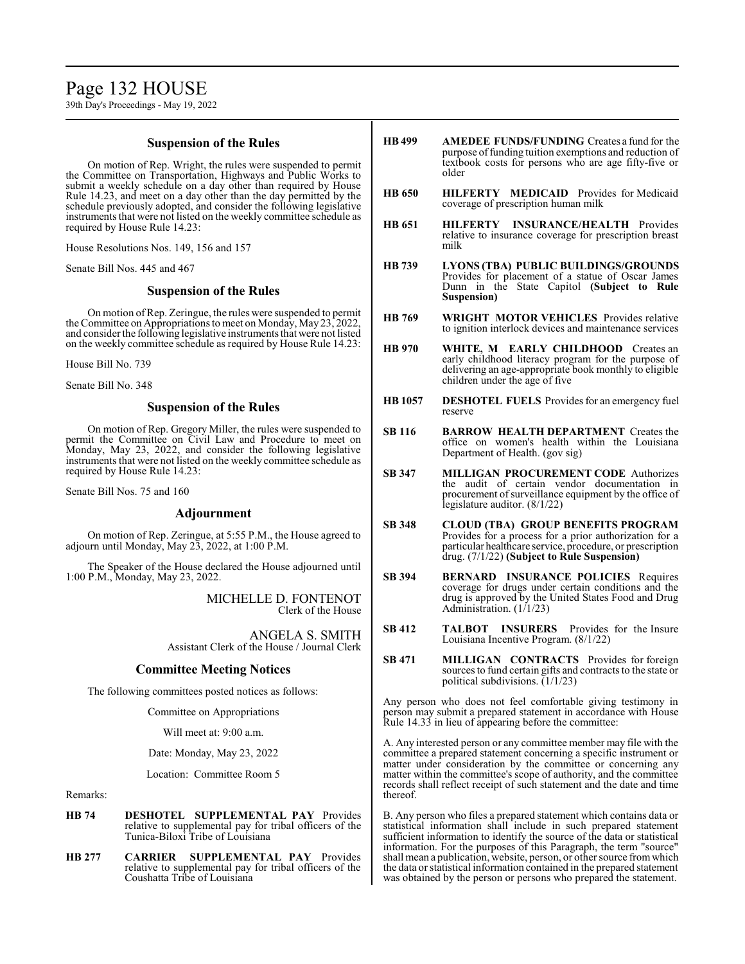# Page 132 HOUSE

39th Day's Proceedings - May 19, 2022

# **Suspension of the Rules**

On motion of Rep. Wright, the rules were suspended to permit the Committee on Transportation, Highways and Public Works to submit a weekly schedule on a day other than required by House Rule 14.23, and meet on a day other than the day permitted by the schedule previously adopted, and consider the following legislative instruments that were not listed on the weekly committee schedule as required by House Rule 14.23:

House Resolutions Nos. 149, 156 and 157

Senate Bill Nos. 445 and 467

# **Suspension of the Rules**

On motion ofRep. Zeringue, the rules were suspended to permit the Committee on Appropriations to meet on Monday, May 23, 2022, and consider the following legislative instruments that were not listed on the weekly committee schedule as required by House Rule 14.23:

House Bill No. 739

Senate Bill No. 348

# **Suspension of the Rules**

On motion of Rep. Gregory Miller, the rules were suspended to permit the Committee on Civil Law and Procedure to meet on Monday, May 23, 2022, and consider the following legislative instruments that were not listed on the weekly committee schedule as required by House Rule 14.23:

Senate Bill Nos. 75 and 160

# **Adjournment**

On motion of Rep. Zeringue, at 5:55 P.M., the House agreed to adjourn until Monday, May 23, 2022, at 1:00 P.M.

The Speaker of the House declared the House adjourned until 1:00 P.M., Monday, May 23, 2022.

> MICHELLE D. FONTENOT Clerk of the House

ANGELA S. SMITH Assistant Clerk of the House / Journal Clerk

# **Committee Meeting Notices**

The following committees posted notices as follows:

Committee on Appropriations

Will meet at: 9:00 a.m.

Date: Monday, May 23, 2022

Location: Committee Room 5

Remarks:

- **HB 74 DESHOTEL SUPPLEMENTAL PAY** Provides relative to supplemental pay for tribal officers of the Tunica-Biloxi Tribe of Louisiana
- **HB 277 CARRIER SUPPLEMENTAL PAY** Provides relative to supplemental pay for tribal officers of the Coushatta Tribe of Louisiana
- **HB 499 AMEDEE FUNDS/FUNDING** Creates a fund for the purpose of funding tuition exemptions and reduction of textbook costs for persons who are age fifty-five or older
- **HB 650 HILFERTY MEDICAID** Provides for Medicaid coverage of prescription human milk
- **HB 651 HILFERTY INSURANCE/HEALTH** Provides relative to insurance coverage for prescription breast milk
- **HB 739 LYONS (TBA) PUBLIC BUILDINGS/GROUNDS**  Provides for placement of a statue of Oscar James Dunn in the State Capitol **(Subject to Rule Suspension)**
- **HB 769 WRIGHT MOTOR VEHICLES** Provides relative to ignition interlock devices and maintenance services
- **HB 970 WHITE, M EARLY CHILDHOOD** Creates an early childhood literacy program for the purpose of delivering an age-appropriate book monthly to eligible children under the age of five
- **HB 1057 DESHOTEL FUELS** Provides for an emergency fuel reserve
- **SB 116 BARROW HEALTH DEPARTMENT** Creates the office on women's health within the Louisiana Department of Health. (gov sig)
- **SB 347 MILLIGAN PROCUREMENT CODE** Authorizes the audit of certain vendor documentation in procurement of surveillance equipment by the office of legislature auditor. (8/1/22)
- **SB 348 CLOUD (TBA) GROUP BENEFITS PROGRAM** Provides for a process for a prior authorization for a particular healthcare service, procedure, or prescription drug. (7/1/22) **(Subject to Rule Suspension)**
- **SB 394 BERNARD INSURANCE POLICIES** Requires coverage for drugs under certain conditions and the drug is approved by the United States Food and Drug Administration. (1/1/23)
- **SB 412 TALBOT INSURERS** Provides for the Insure Louisiana Incentive Program. (8/1/22)
- **SB 471 MILLIGAN CONTRACTS** Provides for foreign sources to fund certain gifts and contracts to the state or political subdivisions.  $(1/1/23)$

Any person who does not feel comfortable giving testimony in person may submit a prepared statement in accordance with House Rule 14.33 in lieu of appearing before the committee:

A. Any interested person or any committee member may file with the committee a prepared statement concerning a specific instrument or matter under consideration by the committee or concerning any matter within the committee's scope of authority, and the committee records shall reflect receipt of such statement and the date and time thereof.

B. Any person who files a prepared statement which contains data or statistical information shall include in such prepared statement sufficient information to identify the source of the data or statistical information. For the purposes of this Paragraph, the term "source" shall mean a publication, website, person, or other source fromwhich the data or statistical information contained in the prepared statement was obtained by the person or persons who prepared the statement.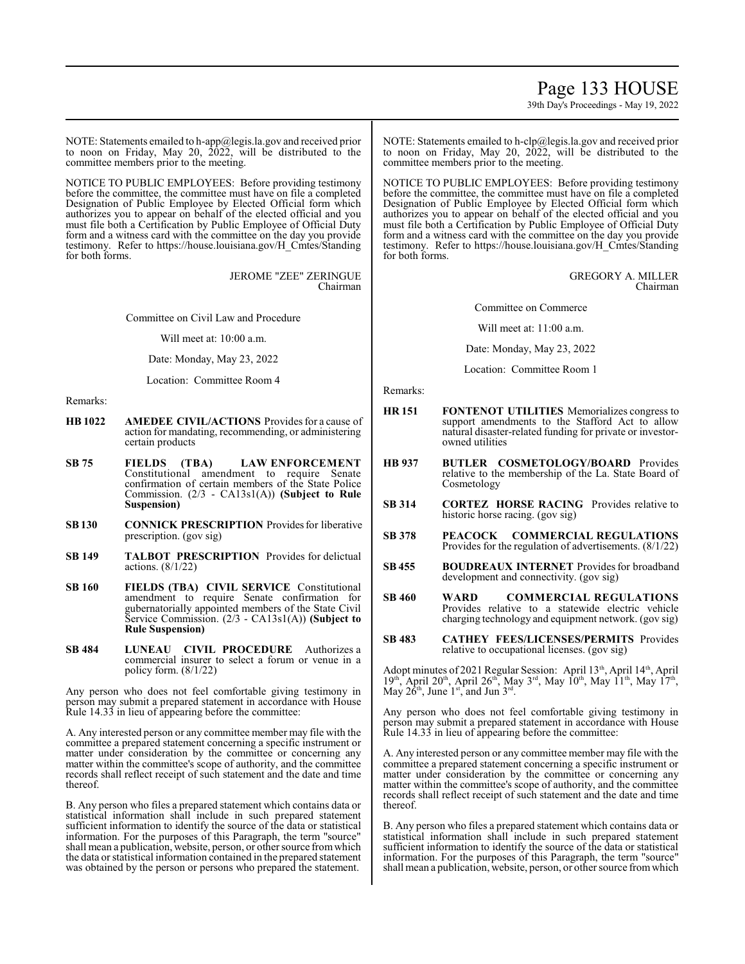# Page 133 HOUSE

39th Day's Proceedings - May 19, 2022

NOTE: Statements emailed to h-app@legis.la.gov and received prior to noon on Friday, May 20, 2022, will be distributed to the committee members prior to the meeting.

NOTICE TO PUBLIC EMPLOYEES: Before providing testimony before the committee, the committee must have on file a completed Designation of Public Employee by Elected Official form which authorizes you to appear on behalf of the elected official and you must file both a Certification by Public Employee of Official Duty form and a witness card with the committee on the day you provide testimony. Refer to https://house.louisiana.gov/H\_Cmtes/Standing for both forms.

> JEROME "ZEE" ZERINGUE Chairman

Committee on Civil Law and Procedure

Will meet at: 10:00 a.m.

Date: Monday, May 23, 2022

Location: Committee Room 4

Remarks:

- **HB 1022 AMEDEE CIVIL/ACTIONS** Provides for a cause of action for mandating, recommending, or administering certain products
- **SB 75 FIELDS (TBA) LAW ENFORCEMENT**  Constitutional amendment to require Senate confirmation of certain members of the State Police Commission. (2/3 - CA13s1(A)) **(Subject to Rule Suspension)**
- **SB130 CONNICK PRESCRIPTION** Providesfor liberative prescription. (gov sig)
- **SB 149 TALBOT PRESCRIPTION** Provides for delictual actions. (8/1/22)
- **SB 160 FIELDS (TBA) CIVIL SERVICE** Constitutional amendment to require Senate confirmation for gubernatorially appointed members of the State Civil Service Commission. (2/3 - CA13s1(A)) **(Subject to Rule Suspension)**
- **SB 484 LUNEAU CIVIL PROCEDURE** Authorizes a commercial insurer to select a forum or venue in a policy form. (8/1/22)

Any person who does not feel comfortable giving testimony in person may submit a prepared statement in accordance with House Rule 14.33 in lieu of appearing before the committee:

A. Any interested person or any committee member may file with the committee a prepared statement concerning a specific instrument or matter under consideration by the committee or concerning any matter within the committee's scope of authority, and the committee records shall reflect receipt of such statement and the date and time thereof.

B. Any person who files a prepared statement which contains data or statistical information shall include in such prepared statement sufficient information to identify the source of the data or statistical information. For the purposes of this Paragraph, the term "source" shall mean a publication, website, person, or other source fromwhich the data or statistical information contained in the prepared statement was obtained by the person or persons who prepared the statement.

NOTE: Statements emailed to h-clp@legis.la.gov and received prior to noon on Friday, May 20, 2022, will be distributed to the committee members prior to the meeting.

NOTICE TO PUBLIC EMPLOYEES: Before providing testimony before the committee, the committee must have on file a completed Designation of Public Employee by Elected Official form which authorizes you to appear on behalf of the elected official and you must file both a Certification by Public Employee of Official Duty form and a witness card with the committee on the day you provide testimony. Refer to https://house.louisiana.gov/H\_Cmtes/Standing for both forms.

#### GREGORY A. MILLER Chairman

Committee on Commerce

Will meet at: 11:00 a.m.

Date: Monday, May 23, 2022

Location: Committee Room 1

Remarks:

- **HR 151 FONTENOT UTILITIES** Memorializes congress to support amendments to the Stafford Act to allow natural disaster-related funding for private or investorowned utilities
- **HB 937 BUTLER COSMETOLOGY/BOARD** Provides relative to the membership of the La. State Board of Cosmetology
- **SB 314 CORTEZ HORSE RACING** Provides relative to historic horse racing. (gov sig)
- **SB 378 PEACOCK COMMERCIAL REGULATIONS**  Provides for the regulation of advertisements. (8/1/22)
- **SB 455 BOUDREAUX INTERNET** Provides for broadband development and connectivity. (gov sig)
- **SB 460 WARD COMMERCIAL REGULATIONS**  Provides relative to a statewide electric vehicle charging technology and equipment network. (gov sig)
- **SB 483 CATHEY FEES/LICENSES/PERMITS** Provides relative to occupational licenses. (gov sig)

Adopt minutes of 2021 Regular Session: April 13<sup>th</sup>, April 14<sup>th</sup>, April  $19<sup>th</sup>$ , April  $20<sup>th</sup>$ , April  $26<sup>th</sup>$ , May  $3<sup>rd</sup>$ , May  $10<sup>th</sup>$ , May  $11<sup>th</sup>$ , May  $17<sup>th</sup>$ , May  $2\hat{6}^{\text{th}}$ , June  $1^{\text{st}}$ , and Jun  $3^{\text{rd}}$ .

Any person who does not feel comfortable giving testimony in person may submit a prepared statement in accordance with House Rule 14.33 in lieu of appearing before the committee:

A. Any interested person or any committee member may file with the committee a prepared statement concerning a specific instrument or matter under consideration by the committee or concerning any matter within the committee's scope of authority, and the committee records shall reflect receipt of such statement and the date and time thereof.

B. Any person who files a prepared statement which contains data or statistical information shall include in such prepared statement sufficient information to identify the source of the data or statistical information. For the purposes of this Paragraph, the term "source" shall mean a publication, website, person, or other source fromwhich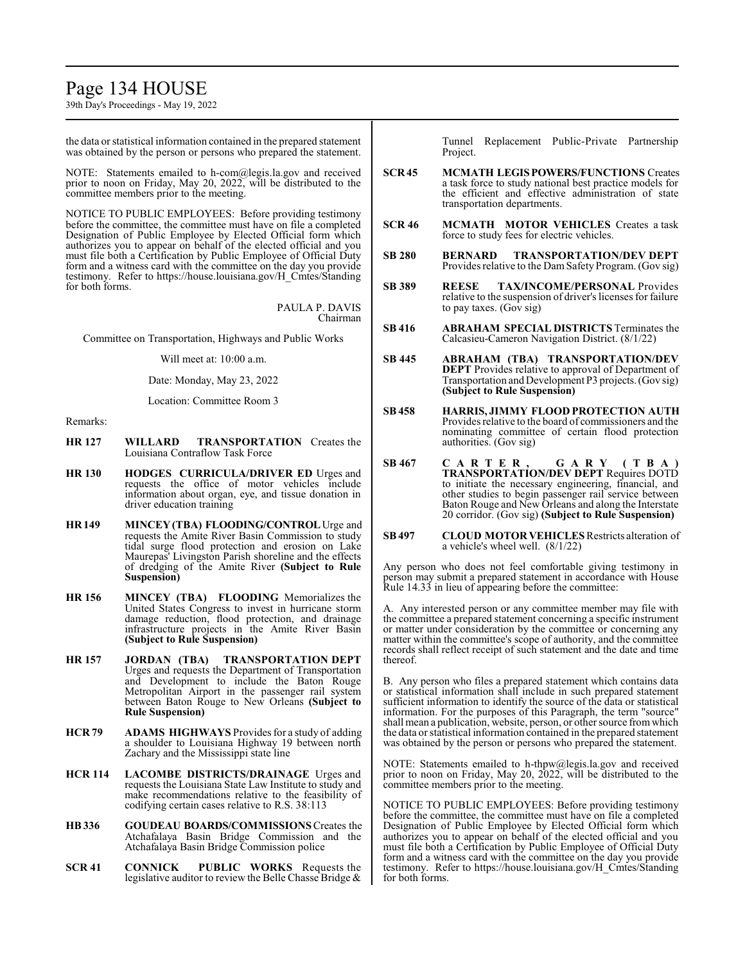# Page 134 HOUSE

39th Day's Proceedings - May 19, 2022

the data or statistical information contained in the prepared statement was obtained by the person or persons who prepared the statement.

NOTE: Statements emailed to h-com@legis.la.gov and received prior to noon on Friday, May 20, 2022, will be distributed to the committee members prior to the meeting.

NOTICE TO PUBLIC EMPLOYEES: Before providing testimony before the committee, the committee must have on file a completed Designation of Public Employee by Elected Official form which authorizes you to appear on behalf of the elected official and you must file both a Certification by Public Employee of Official Duty form and a witness card with the committee on the day you provide testimony. Refer to https://house.louisiana.gov/H\_Cmtes/Standing for both forms.

> PAULA P. DAVIS Chairman

Committee on Transportation, Highways and Public Works

Will meet at: 10:00 a.m.

Date: Monday, May 23, 2022

Location: Committee Room 3

Remarks:

- **HR 127 WILLARD TRANSPORTATION** Creates the Louisiana Contraflow Task Force
- **HR 130 HODGES CURRICULA/DRIVER ED** Urges and requests the office of motor vehicles include information about organ, eye, and tissue donation in driver education training
- **HR 149 MINCEY (TBA) FLOODING/CONTROL**Urge and requests the Amite River Basin Commission to study tidal surge flood protection and erosion on Lake Maurepas' Livingston Parish shoreline and the effects of dredging of the Amite River **(Subject to Rule Suspension)**
- **HR 156 MINCEY (TBA) FLOODING** Memorializes the United States Congress to invest in hurricane storm damage reduction, flood protection, and drainage infrastructure projects in the Amite River Basin **(Subject to Rule Suspension)**
- **HR 157 JORDAN (TBA) TRANSPORTATION DEPT** Urges and requests the Department of Transportation and Development to include the Baton Rouge Metropolitan Airport in the passenger rail system between Baton Rouge to New Orleans **(Subject to Rule Suspension)**
- **HCR 79 ADAMS HIGHWAYS** Provides for a study of adding a shoulder to Louisiana Highway 19 between north Zachary and the Mississippi state line
- **HCR 114 LACOMBE DISTRICTS/DRAINAGE** Urges and requests the Louisiana State Law Institute to study and make recommendations relative to the feasibility of codifying certain cases relative to R.S. 38:113
- **HB336 GOUDEAU BOARDS/COMMISSIONS** Creates the Atchafalaya Basin Bridge Commission and the Atchafalaya Basin Bridge Commission police
- **SCR 41 CONNICK PUBLIC WORKS** Requests the legislative auditor to review the Belle Chasse Bridge &

Tunnel Replacement Public-Private Partnership Project.

- **SCR 45 MCMATH LEGISPOWERS/FUNCTIONS** Creates a task force to study national best practice models for the efficient and effective administration of state transportation departments.
- **SCR 46 MCMATH MOTOR VEHICLES** Creates a task force to study fees for electric vehicles.
- **SB 280 BERNARD TRANSPORTATION/DEV DEPT** Provides relative to the DamSafety Program. (Gov sig)
- **SB 389 REESE TAX/INCOME/PERSONAL** Provides relative to the suspension of driver's licenses for failure to pay taxes. (Gov sig)
- **SB 416 ABRAHAM SPECIAL DISTRICTS** Terminates the Calcasieu-Cameron Navigation District. (8/1/22)
- **SB 445 ABRAHAM (TBA) TRANSPORTATION/DEV DEPT** Provides relative to approval of Department of Transportation and Development P3 projects.(Gov sig) **(Subject to Rule Suspension)**
- **SB 458 HARRIS, JIMMY FLOOD PROTECTION AUTH** Provides relative to the board of commissioners and the nominating committee of certain flood protection authorities. (Gov sig)
- **SB 467 C A R T E R , G A R Y ( T B A ) TRANSPORTATION/DEV DEPT** Requires DOTD to initiate the necessary engineering, financial, and other studies to begin passenger rail service between Baton Rouge and New Orleans and along the Interstate 20 corridor. (Gov sig) **(Subject to Rule Suspension)**
- **SB497 CLOUD MOTOR VEHICLES** Restricts alteration of a vehicle's wheel well. (8/1/22)

Any person who does not feel comfortable giving testimony in person may submit a prepared statement in accordance with House Rule 14.33 in lieu of appearing before the committee:

A. Any interested person or any committee member may file with the committee a prepared statement concerning a specific instrument or matter under consideration by the committee or concerning any matter within the committee's scope of authority, and the committee records shall reflect receipt of such statement and the date and time thereof.

B. Any person who files a prepared statement which contains data or statistical information shall include in such prepared statement sufficient information to identify the source of the data or statistical information. For the purposes of this Paragraph, the term "source" shall mean a publication, website, person, or other source fromwhich the data or statistical information contained in the prepared statement was obtained by the person or persons who prepared the statement.

NOTE: Statements emailed to h-thpw@legis.la.gov and received prior to noon on Friday, May 20, 2022, will be distributed to the committee members prior to the meeting.

NOTICE TO PUBLIC EMPLOYEES: Before providing testimony before the committee, the committee must have on file a completed Designation of Public Employee by Elected Official form which authorizes you to appear on behalf of the elected official and you must file both a Certification by Public Employee of Official Duty form and a witness card with the committee on the day you provide testimony. Refer to https://house.louisiana.gov/H\_Cmtes/Standing for both forms.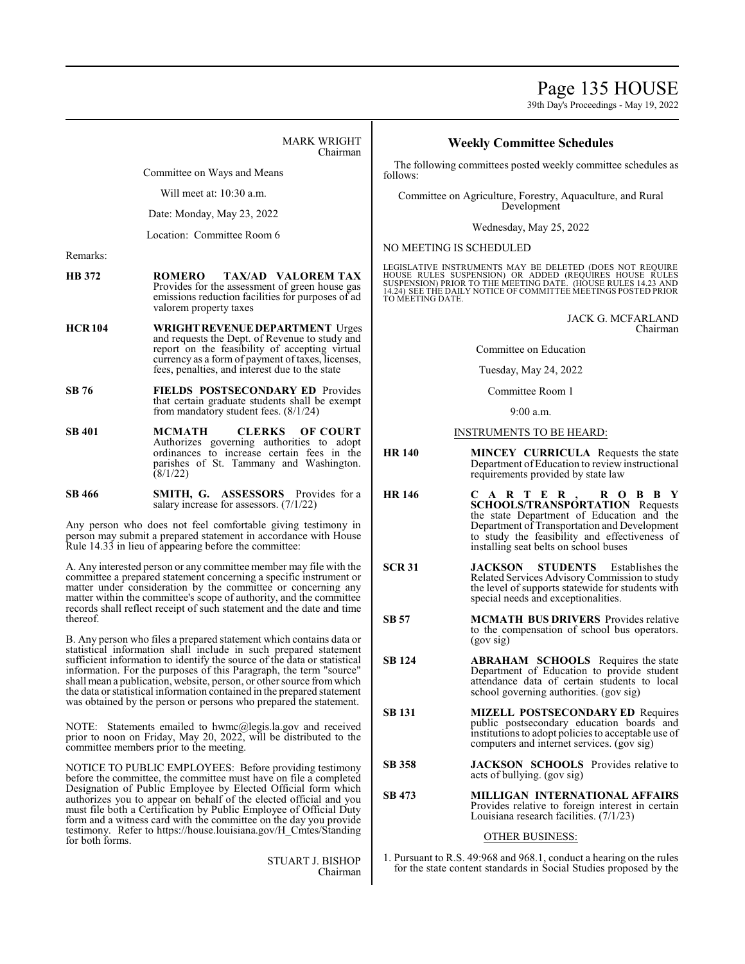Page 135 HOUSE

39th Day's Proceedings - May 19, 2022

MARK WRIGHT Chairman

Committee on Ways and Means

Will meet at: 10:30 a.m.

Date: Monday, May 23, 2022

Location: Committee Room 6

Remarks:

- **HB 372 ROMERO TAX/AD VALOREM TAX** Provides for the assessment of green house gas emissions reduction facilities for purposes of ad valorem property taxes
- **HCR 104 WRIGHTREVENUEDEPARTMENT** Urges and requests the Dept. of Revenue to study and report on the feasibility of accepting virtual currency as a form of payment of taxes, licenses, fees, penalties, and interest due to the state
- **SB 76 FIELDS POSTSECONDARY ED** Provides that certain graduate students shall be exempt from mandatory student fees. (8/1/24)
- **SB 401 MCMATH CLERKS OF COURT**  Authorizes governing authorities to adopt ordinances to increase certain fees in the parishes of St. Tammany and Washington. (8/1/22)

**SB 466 SMITH, G. ASSESSORS** Provides for a salary increase for assessors. (7/1/22)

Any person who does not feel comfortable giving testimony in person may submit a prepared statement in accordance with House Rule 14.33 in lieu of appearing before the committee:

A. Any interested person or any committee member may file with the committee a prepared statement concerning a specific instrument or matter under consideration by the committee or concerning any matter within the committee's scope of authority, and the committee records shall reflect receipt of such statement and the date and time thereof.

B. Any person who files a prepared statement which contains data or statistical information shall include in such prepared statement sufficient information to identify the source of the data or statistical information. For the purposes of this Paragraph, the term "source" shall mean a publication, website, person, or other source fromwhich the data or statistical information contained in the prepared statement was obtained by the person or persons who prepared the statement.

NOTE: Statements emailed to hwmc@legis.la.gov and received prior to noon on Friday, May 20, 2022, will be distributed to the committee members prior to the meeting.

NOTICE TO PUBLIC EMPLOYEES: Before providing testimony before the committee, the committee must have on file a completed Designation of Public Employee by Elected Official form which authorizes you to appear on behalf of the elected official and you must file both a Certification by Public Employee of Official Duty form and a witness card with the committee on the day you provide testimony. Refer to https://house.louisiana.gov/H\_Cmtes/Standing for both forms.

> STUART J. BISHOP Chairman

# **Weekly Committee Schedules**

The following committees posted weekly committee schedules as follows:

Committee on Agriculture, Forestry, Aquaculture, and Rural Development

Wednesday, May 25, 2022

NO MEETING IS SCHEDULED

LEGISLATIVE INSTRUMENTS MAY BE DELETED (DOES NOT REQUIRE HOUSE RULES SUSPENSION) OR ADDED (REQUIRES HOUSE RULES<br>SUSPENSION)PRIOR TO THE MEETING DATE. (HOUSE RULES 14.22 AND<br>14.24) SEE THE DAILY NOTICE OF COMMITTEE MEETINGS POSTED PRIOR TO MEETING DATE.

> JACK G. MCFARLAND Chairman

Committee on Education

Tuesday, May 24, 2022

Committee Room 1

9:00 a.m.

### INSTRUMENTS TO BE HEARD:

- **HR 140 MINCEY CURRICULA** Requests the state Department of Education to review instructional requirements provided by state law
- **HR 146 C A R T E R , R O B B Y SCHOOLS/TRANSPORTATION** Requests the state Department of Education and the Department of Transportation and Development to study the feasibility and effectiveness of installing seat belts on school buses
- **SCR 31 JACKSON STUDENTS** Establishes the Related Services AdvisoryCommission to study the level of supports statewide for students with special needs and exceptionalities.
- **SB 57 MCMATH BUS DRIVERS** Provides relative to the compensation of school bus operators. (gov sig)
- **SB 124 ABRAHAM SCHOOLS** Requires the state Department of Education to provide student attendance data of certain students to local school governing authorities. (gov sig)
- **SB 131 MIZELL POSTSECONDARY ED** Requires public postsecondary education boards and institutions to adopt policies to acceptable use of computers and internet services. (gov sig)
- **SB 358 JACKSON SCHOOLS** Provides relative to acts of bullying. (gov sig)
- **SB 473 MILLIGAN INTERNATIONAL AFFAIRS** Provides relative to foreign interest in certain Louisiana research facilities. (7/1/23)

# OTHER BUSINESS:

1. Pursuant to R.S. 49:968 and 968.1, conduct a hearing on the rules for the state content standards in Social Studies proposed by the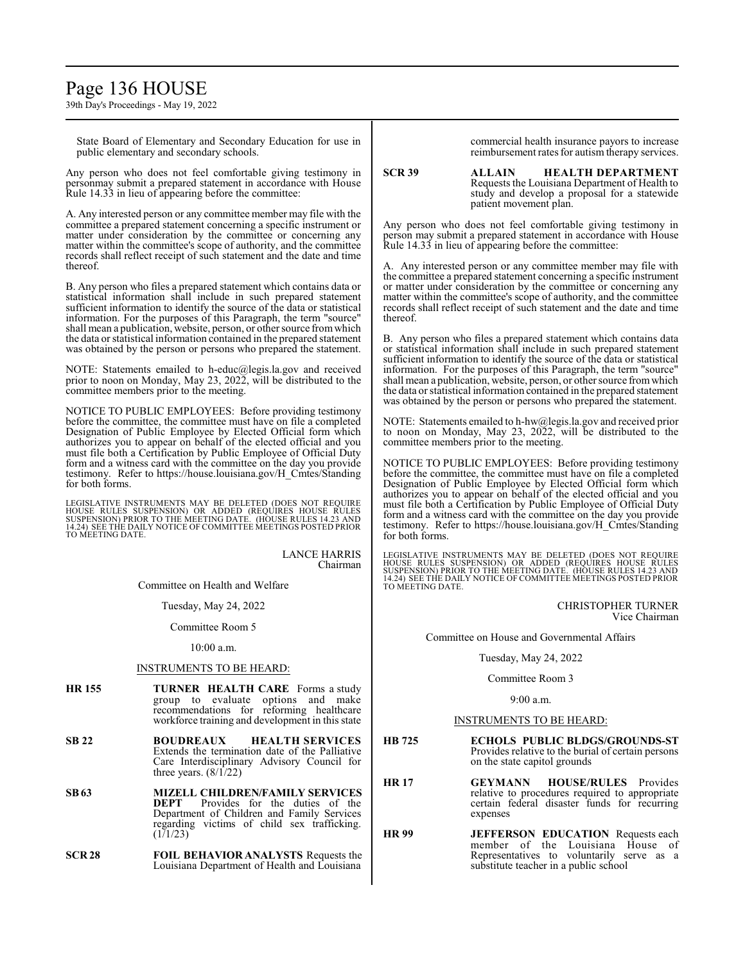# Page 136 HOUSE

39th Day's Proceedings - May 19, 2022

State Board of Elementary and Secondary Education for use in public elementary and secondary schools.

Any person who does not feel comfortable giving testimony in personmay submit a prepared statement in accordance with House Rule 14.33 in lieu of appearing before the committee:

A. Any interested person or any committee member may file with the committee a prepared statement concerning a specific instrument or matter under consideration by the committee or concerning any matter within the committee's scope of authority, and the committee records shall reflect receipt of such statement and the date and time thereof.

B. Any person who files a prepared statement which contains data or statistical information shall include in such prepared statement sufficient information to identify the source of the data or statistical information. For the purposes of this Paragraph, the term "source" shall mean a publication, website, person, or other source fromwhich the data or statistical information contained in the prepared statement was obtained by the person or persons who prepared the statement.

NOTE: Statements emailed to h-educ@legis.la.gov and received prior to noon on Monday, May 23, 2022, will be distributed to the committee members prior to the meeting.

NOTICE TO PUBLIC EMPLOYEES: Before providing testimony before the committee, the committee must have on file a completed Designation of Public Employee by Elected Official form which authorizes you to appear on behalf of the elected official and you must file both a Certification by Public Employee of Official Duty form and a witness card with the committee on the day you provide testimony. Refer to https://house.louisiana.gov/H\_Cmtes/Standing for both forms.

LEGISLATIVE INSTRUMENTS MAY BE DELETED (DOES NOT REQUIRE<br>HOUSE RULES SUSPENSION) OR ADDED (REQUIRES HOUSE RULES<br>SUSPENSION) PRIOR TO THE MEETING DATE. (HOUSE RULES 14.23 AND<br>14.24) SEE THE DAILY NOTICE OF COMMITTEE MEETING TO MEETING DATE.

> LANCE HARRIS Chairman

Committee on Health and Welfare

Tuesday, May 24, 2022

Committee Room 5

#### 10:00 a.m.

# INSTRUMENTS TO BE HEARD:

- **HR 155 TURNER HEALTH CARE** Forms a study group to evaluate options and make recommendations for reforming healthcare workforce training and development in this state
- **SB 22 BOUDREAUX HEALTH SERVICES** Extends the termination date of the Palliative Care Interdisciplinary Advisory Council for three years.  $(8/1/22)$
- **SB63 MIZELL CHILDREN/FAMILY SERVICES** Provides for the duties of the Department of Children and Family Services regarding victims of child sex trafficking.  $(1)1/23$
- **SCR 28 FOIL BEHAVIOR ANALYSTS** Requests the Louisiana Department of Health and Louisiana

commercial health insurance payors to increase reimbursement rates for autism therapy services.

**SCR 39 ALLAIN HEALTH DEPARTMENT** Requests the Louisiana Department of Health to study and develop a proposal for a statewide patient movement plan.

Any person who does not feel comfortable giving testimony in person may submit a prepared statement in accordance with House Rule 14.33 in lieu of appearing before the committee:

A. Any interested person or any committee member may file with the committee a prepared statement concerning a specific instrument or matter under consideration by the committee or concerning any matter within the committee's scope of authority, and the committee records shall reflect receipt of such statement and the date and time thereof.

B. Any person who files a prepared statement which contains data or statistical information shall include in such prepared statement sufficient information to identify the source of the data or statistical information. For the purposes of this Paragraph, the term "source" shall mean a publication, website, person, or other source fromwhich the data or statistical information contained in the prepared statement was obtained by the person or persons who prepared the statement.

NOTE: Statements emailed to h-hw@legis.la.gov and received prior to noon on Monday, May 23, 2022, will be distributed to the committee members prior to the meeting.

NOTICE TO PUBLIC EMPLOYEES: Before providing testimony before the committee, the committee must have on file a completed Designation of Public Employee by Elected Official form which authorizes you to appear on behalf of the elected official and you must file both a Certification by Public Employee of Official Duty form and a witness card with the committee on the day you provide testimony. Refer to https://house.louisiana.gov/H\_Cmtes/Standing for both forms.

LEGISLATIVE INSTRUMENTS MAY BE DELETED (DOES NOT REQUIRE<br>HOUSE RULES SUSPENSION) OR ADDED (REQUIRES HOUSE RULES<br>SUSPENSION) PRIOR TO THE MEETING DATE. (HOUSE RULES 14.23 AND<br>14.24) SEE THE DAILY NOTICE OF COMMITTEE MEETING TO MEETING DATE.

> CHRISTOPHER TURNER Vice Chairman

Committee on House and Governmental Affairs

#### Tuesday, May 24, 2022

#### Committee Room 3

9:00 a.m.

# INSTRUMENTS TO BE HEARD:

- **HB 725 ECHOLS PUBLIC BLDGS/GROUNDS-ST** Provides relative to the burial of certain persons on the state capitol grounds
- **HR 17 GEYMANN HOUSE/RULES** Provides relative to procedures required to appropriate certain federal disaster funds for recurring expenses
- **HR 99 JEFFERSON EDUCATION** Requests each member of the Louisiana House of Representatives to voluntarily serve as a substitute teacher in a public school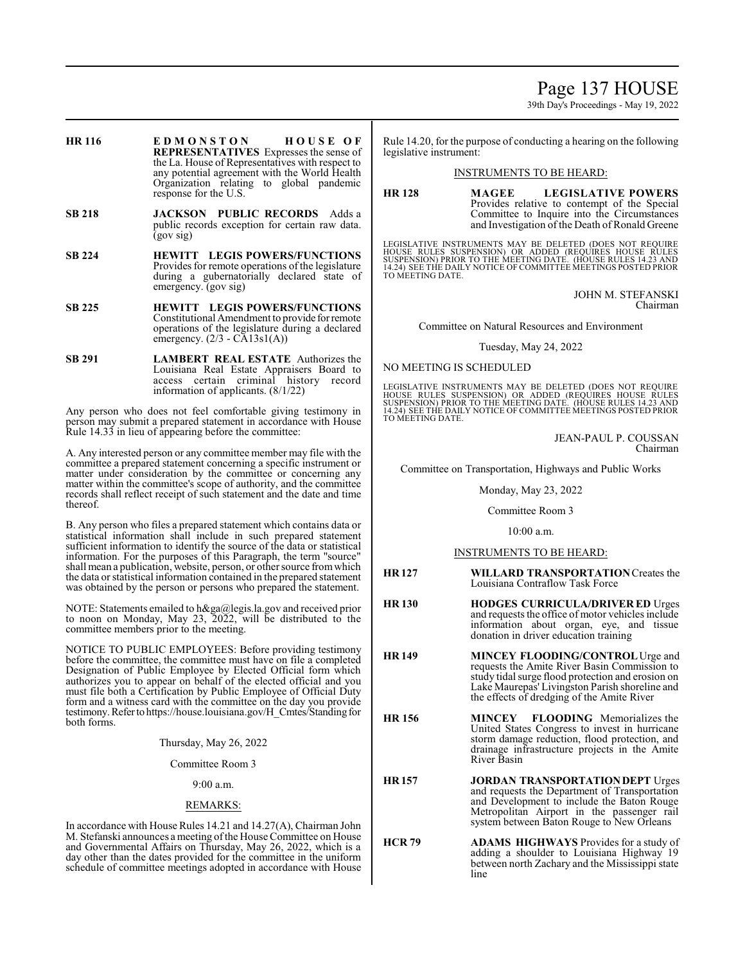Page 137 HOUSE

39th Day's Proceedings - May 19, 2022

- **HR 116 E D M O N S T O N H O U S E O F REPRESENTATIVES** Expresses the sense of the La. House of Representatives with respect to any potential agreement with the World Health Organization relating to global pandemic response for the U.S.
- **SB 218 JACKSON PUBLIC RECORDS** Adds a public records exception for certain raw data. (gov sig)
- **SB 224 HEWITT LEGIS POWERS/FUNCTIONS** Provides for remote operations of the legislature during a gubernatorially declared state of emergency. (gov sig)
- **SB 225 HEWITT LEGIS POWERS/FUNCTIONS** Constitutional Amendment to provide forremote operations of the legislature during a declared emergency.  $(2/3 - CA13s1(A))$
- **SB 291 LAMBERT REAL ESTATE** Authorizes the Louisiana Real Estate Appraisers Board to access certain criminal history record information of applicants. (8/1/22)

Any person who does not feel comfortable giving testimony in person may submit a prepared statement in accordance with House Rule 14.33 in lieu of appearing before the committee:

A. Any interested person or any committee member may file with the committee a prepared statement concerning a specific instrument or matter under consideration by the committee or concerning any matter within the committee's scope of authority, and the committee records shall reflect receipt of such statement and the date and time thereof.

B. Any person who files a prepared statement which contains data or statistical information shall include in such prepared statement sufficient information to identify the source of the data or statistical information. For the purposes of this Paragraph, the term "source" shall mean a publication, website, person, or other source fromwhich the data or statistical information contained in the prepared statement was obtained by the person or persons who prepared the statement.

NOTE: Statements emailed to h&ga@legis.la.gov and received prior to noon on Monday, May 23, 2022, will be distributed to the committee members prior to the meeting.

NOTICE TO PUBLIC EMPLOYEES: Before providing testimony before the committee, the committee must have on file a completed Designation of Public Employee by Elected Official form which authorizes you to appear on behalf of the elected official and you must file both a Certification by Public Employee of Official Duty form and a witness card with the committee on the day you provide testimony.Referto https://house.louisiana.gov/H\_Cmtes/Standing for both forms.

Thursday, May 26, 2022

Committee Room 3

9:00 a.m.

#### REMARKS:

In accordance with House Rules 14.21 and 14.27(A), Chairman John M. Stefanski announces a meeting ofthe House Committee on House and Governmental Affairs on Thursday, May 26, 2022, which is a day other than the dates provided for the committee in the uniform schedule of committee meetings adopted in accordance with House Rule 14.20, for the purpose of conducting a hearing on the following legislative instrument:

### INSTRUMENTS TO BE HEARD:

**HR 128 MAGEE LEGISLATIVE POWERS** Provides relative to contempt of the Special Committee to Inquire into the Circumstances and Investigation of the Death of Ronald Greene

LEGISLATIVE INSTRUMENTS MAY BE DELETED (DOES NOT REQUIRE<br>HOUSE RULES SUSPENSION) OR ADDED (REQUIRES HOUSE RULES<br>SUSPENSION) PRIOR TO THE MEETING DATE. (HOUSE RULES 14.23 AND<br>14.24) SEE THE DAILY NOTICE OF COMMITTEE MEETING TO MEETING DATE.

> JOHN M. STEFANSKI Chairman

Committee on Natural Resources and Environment

Tuesday, May 24, 2022

### NO MEETING IS SCHEDULED

LEGISLATIVE INSTRUMENTS MAY BE DELETED (DOES NOT REQUIRE HOUSE RULES SUSPENSION) OR ADDED (REQUIRES HOUSE RULES SUSPENSION) PRIOR TO THE MEETING DATE. (HOUSE RULES 14.23 AND 14.24) SEE THE DAILY NOTICE OF COMMITTEE MEETINGS POSTED PRIOR TO MEETING DATE.

#### JEAN-PAUL P. COUSSAN Chairman

Committee on Transportation, Highways and Public Works

Monday, May 23, 2022

#### Committee Room 3

10:00 a.m.

# INSTRUMENTS TO BE HEARD:

- **HR 127 WILLARD TRANSPORTATION**Creates the Louisiana Contraflow Task Force
- **HR 130 HODGES CURRICULA/DRIVER ED** Urges and requests the office of motor vehicles include information about organ, eye, and tissue donation in driver education training
- **HR 149 MINCEY FLOODING/CONTROL**Urge and requests the Amite River Basin Commission to study tidal surge flood protection and erosion on Lake Maurepas' Livingston Parish shoreline and the effects of dredging of the Amite River
- **HR 156 MINCEY FLOODING** Memorializes the United States Congress to invest in hurricane storm damage reduction, flood protection, and drainage infrastructure projects in the Amite River Basin
- **HR 157 <b>JORDAN TRANSPORTATION DEPT** Urges and requests the Department of Transportation and Development to include the Baton Rouge Metropolitan Airport in the passenger rail system between Baton Rouge to New Orleans
- **HCR 79 ADAMS HIGHWAYS** Provides for a study of adding a shoulder to Louisiana Highway 19 between north Zachary and the Mississippi state line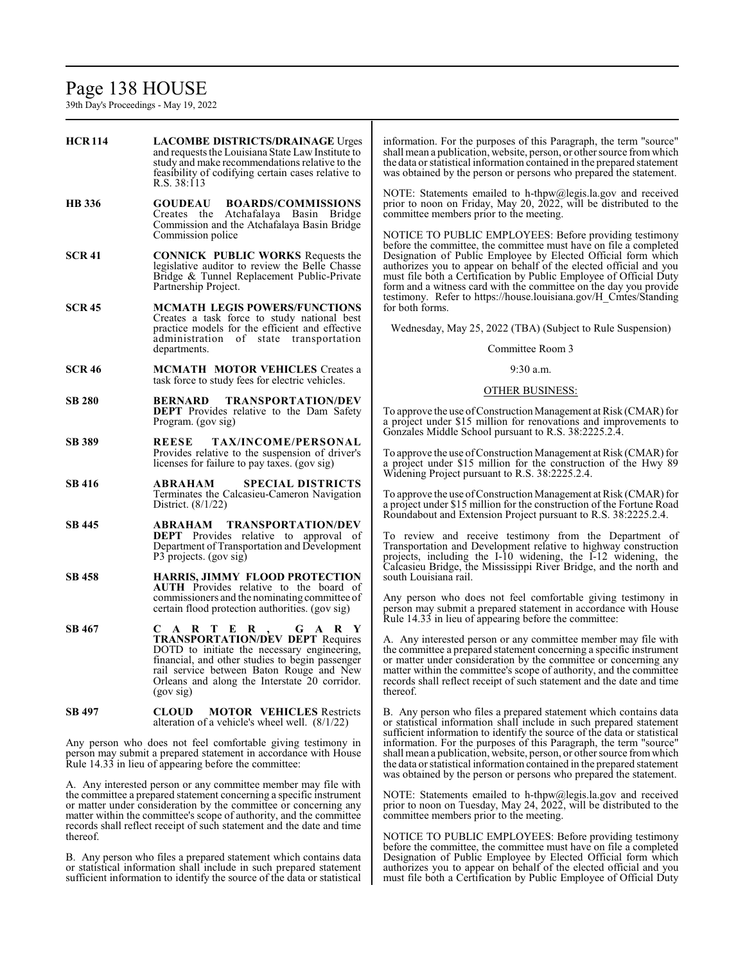# Page 138 HOUSE

39th Day's Proceedings - May 19, 2022

**HCR 114 LACOMBE DISTRICTS/DRAINAGE** Urges and requests the Louisiana State Law Institute to study and make recommendations relative to the feasibility of codifying certain cases relative to R.S. 38:113 **HB 336 GOUDEAU BOARDS/COMMISSIONS** Creates the Atchafalaya Basin Bridge Commission and the Atchafalaya Basin Bridge Commission police **SCR 41 CONNICK PUBLIC WORKS** Requests the legislative auditor to review the Belle Chasse Bridge & Tunnel Replacement Public-Private Partnership Project. **SCR 45 MCMATH LEGIS POWERS/FUNCTIONS** Creates a task force to study national best practice models for the efficient and effective administration of state transportation departments. **SCR 46 MCMATH MOTOR VEHICLES** Creates a task force to study fees for electric vehicles. **SB 280 BERNARD TRANSPORTATION/DEV DEPT** Provides relative to the Dam Safety Program. (gov sig) **SB 389 REESE TAX/INCOME/PERSONAL** Provides relative to the suspension of driver's licenses for failure to pay taxes. (gov sig) **SB 416 ABRAHAM SPECIAL DISTRICTS** Terminates the Calcasieu-Cameron Navigation District. (8/1/22) **SB 445 ABRAHAM TRANSPORTATION/DEV DEPT** Provides relative to approval of Department of Transportation and Development P3 projects. (gov sig) **SB 458 HARRIS, JIMMY FLOOD PROTECTION AUTH** Provides relative to the board of commissioners and the nominating committee of certain flood protection authorities. (gov sig) **SB 467 C A R T E R , G A R Y TRANSPORTATION/DEV DEPT** Requires DOTD to initiate the necessary engineering, financial, and other studies to begin passenger rail service between Baton Rouge and New Orleans and along the Interstate 20 corridor. (gov sig) **SB 497 CLOUD MOTOR VEHICLES** Restricts alteration of a vehicle's wheel well. (8/1/22) Any person who does not feel comfortable giving testimony in person may submit a prepared statement in accordance with House Rule 14.33 in lieu of appearing before the committee: A. Any interested person or any committee member may file with the committee a prepared statement concerning a specific instrument or matter under consideration by the committee or concerning any for both forms. south Louisiana rail. thereof.

thereof. B. Any person who files a prepared statement which contains data or statistical information shall include in such prepared statement sufficient information to identify the source of the data or statistical

matter within the committee's scope of authority, and the committee records shall reflect receipt of such statement and the date and time information. For the purposes of this Paragraph, the term "source" shall mean a publication, website, person, or other source fromwhich the data or statistical information contained in the prepared statement was obtained by the person or persons who prepared the statement.

NOTE: Statements emailed to h-thpw@legis.la.gov and received prior to noon on Friday, May 20, 2022, will be distributed to the committee members prior to the meeting.

NOTICE TO PUBLIC EMPLOYEES: Before providing testimony before the committee, the committee must have on file a completed Designation of Public Employee by Elected Official form which authorizes you to appear on behalf of the elected official and you must file both a Certification by Public Employee of Official Duty form and a witness card with the committee on the day you provide testimony. Refer to https://house.louisiana.gov/H\_Cmtes/Standing

Wednesday, May 25, 2022 (TBA) (Subject to Rule Suspension)

Committee Room 3

#### 9:30 a.m.

#### OTHER BUSINESS:

To approve the use ofConstruction Management at Risk (CMAR) for a project under \$15 million for renovations and improvements to Gonzales Middle School pursuant to R.S. 38:2225.2.4.

To approve the use of Construction Management at Risk (CMAR) for a project under \$15 million for the construction of the Hwy 89 Widening Project pursuant to R.S. 38:2225.2.4.

To approve the use ofConstruction Management at Risk (CMAR) for a project under \$15 million for the construction of the Fortune Road Roundabout and Extension Project pursuant to R.S. 38:2225.2.4.

To review and receive testimony from the Department of Transportation and Development relative to highway construction projects, including the I-10 widening, the I-12 widening, the Calcasieu Bridge, the Mississippi River Bridge, and the north and

Any person who does not feel comfortable giving testimony in person may submit a prepared statement in accordance with House Rule 14.33 in lieu of appearing before the committee:

A. Any interested person or any committee member may file with the committee a prepared statement concerning a specific instrument or matter under consideration by the committee or concerning any matter within the committee's scope of authority, and the committee records shall reflect receipt of such statement and the date and time

B. Any person who files a prepared statement which contains data or statistical information shall include in such prepared statement sufficient information to identify the source of the data or statistical information. For the purposes of this Paragraph, the term "source" shall mean a publication, website, person, or other source fromwhich the data or statistical information contained in the prepared statement was obtained by the person or persons who prepared the statement.

NOTE: Statements emailed to h-thpw@legis.la.gov and received prior to noon on Tuesday, May 24, 2022, will be distributed to the committee members prior to the meeting.

NOTICE TO PUBLIC EMPLOYEES: Before providing testimony before the committee, the committee must have on file a completed Designation of Public Employee by Elected Official form which authorizes you to appear on behalf of the elected official and you must file both a Certification by Public Employee of Official Duty